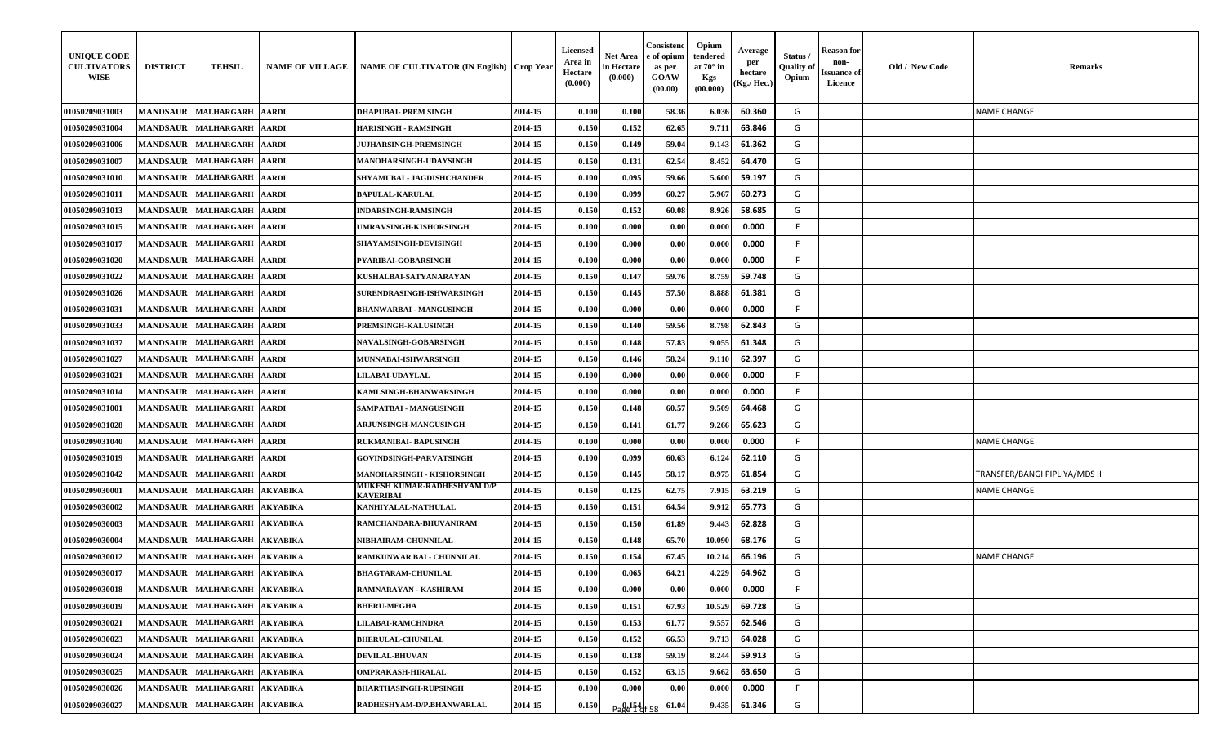| <b>UNIQUE CODE</b><br><b>CULTIVATORS</b><br><b>WISE</b> | <b>DISTRICT</b> | <b>TEHSIL</b>                | <b>NAME OF VILLAGE</b> | NAME OF CULTIVATOR (IN English)   Crop Year |         | <b>Licensed</b><br>Area in<br><b>Hectare</b><br>(0.000) | Net Area<br>in Hectare<br>(0.000) | Consistenc<br>e of opium<br>as per<br><b>GOAW</b><br>(00.00) | Opium<br>tendered<br>at $70^\circ$ in<br>Kgs<br>(00.000) | Average<br>per<br>hectare<br>(Kg./ Hec.) | Status/<br><b>Quality of</b><br>Opium | Reason for<br>non-<br>Issuance of<br>Licence | Old / New Code | <b>Remarks</b>                |
|---------------------------------------------------------|-----------------|------------------------------|------------------------|---------------------------------------------|---------|---------------------------------------------------------|-----------------------------------|--------------------------------------------------------------|----------------------------------------------------------|------------------------------------------|---------------------------------------|----------------------------------------------|----------------|-------------------------------|
| 01050209031003                                          |                 | MANDSAUR MALHARGARH          | <b>AARDI</b>           | <b>DHAPUBAI- PREM SINGH</b>                 | 2014-15 | 0.100                                                   | 0.100                             | 58.36                                                        | 6.036                                                    | 60.360                                   | G                                     |                                              |                | NAME CHANGE                   |
| <b>01050209031004</b>                                   | <b>MANDSAUR</b> | <b>MALHARGARH</b>            | <b>AARDI</b>           | HARISINGH - RAMSINGH                        | 2014-15 | 0.150                                                   | 0.152                             | 62.65                                                        | 9.711                                                    | 63.846                                   | G                                     |                                              |                |                               |
| 01050209031006                                          | <b>MANDSAUR</b> | <b>MALHARGARH</b>            | <b>AARDI</b>           | <b>JUJHARSINGH-PREMSINGH</b>                | 2014-15 | 0.150                                                   | 0.149                             | 59.04                                                        | 9.143                                                    | 61.362                                   | G                                     |                                              |                |                               |
| 01050209031007                                          | <b>MANDSAUR</b> | <b>MALHARGARH</b>            | <b>AARDI</b>           | <b>MANOHARSINGH-UDAYSINGH</b>               | 2014-15 | 0.150                                                   | 0.131                             | 62.54                                                        | 8.452                                                    | 64.470                                   | G                                     |                                              |                |                               |
| <b>01050209031010</b>                                   | <b>MANDSAUR</b> | <b>MALHARGARH</b>            | <b>AARDI</b>           | SHYAMUBAI - JAGDISHCHANDER                  | 2014-15 | 0.100                                                   | 0.095                             | 59.66                                                        | 5.600                                                    | 59.197                                   | G                                     |                                              |                |                               |
| <b>01050209031011</b>                                   | <b>MANDSAUR</b> | <b>MALHARGARH</b>            | <b>AARDI</b>           | <b>BAPULAL-KARULAL</b>                      | 2014-15 | 0.100                                                   | 0.099                             | 60.27                                                        | 5.967                                                    | 60.273                                   | G                                     |                                              |                |                               |
| 01050209031013                                          | <b>MANDSAUR</b> | <b>MALHARGARH</b>            | <b>AARDI</b>           | <b>INDARSINGH-RAMSINGH</b>                  | 2014-15 | 0.150                                                   | 0.152                             | 60.08                                                        | 8.926                                                    | 58.685                                   | G                                     |                                              |                |                               |
| 01050209031015                                          | <b>MANDSAUR</b> | <b>MALHARGARH</b>            | <b>AARDI</b>           | UMRAVSINGH-KISHORSINGH                      | 2014-15 | 0.100                                                   | 0.000                             | 0.00                                                         | 0.000                                                    | 0.000                                    | F.                                    |                                              |                |                               |
| <b>01050209031017</b>                                   | <b>MANDSAUR</b> | <b>MALHARGARH</b>            | <b>AARDI</b>           | SHAYAMSINGH-DEVISINGH                       | 2014-15 | 0.100                                                   | 0.000                             | 0.00                                                         | 0.000                                                    | 0.000                                    | F.                                    |                                              |                |                               |
| <b>01050209031020</b>                                   | <b>MANDSAUR</b> | <b>MALHARGARH</b>            | <b>AARDI</b>           | PYARIBAI-GOBARSINGH                         | 2014-15 | 0.100                                                   | 0.000                             | 0.00                                                         | 0.000                                                    | 0.000                                    | F.                                    |                                              |                |                               |
| 01050209031022                                          | <b>MANDSAUR</b> | <b>MALHARGARH</b>            | <b>AARDI</b>           | KUSHALBAI-SATYANARAYAN                      | 2014-15 | 0.150                                                   | 0.147                             | 59.76                                                        | 8.759                                                    | 59.748                                   | G                                     |                                              |                |                               |
| 01050209031026                                          |                 | MANDSAUR MALHARGARH          | <b>AARDI</b>           | SURENDRASINGH-ISHWARSINGH                   | 2014-15 | 0.150                                                   | 0.145                             | 57.50                                                        | 8.888                                                    | 61.381                                   | G                                     |                                              |                |                               |
| <b>01050209031031</b>                                   | <b>MANDSAUR</b> | <b>MALHARGARH</b>            | <b>AARDI</b>           | BHANWARBAI - MANGUSINGH                     | 2014-15 | 0.100                                                   | 0.000                             | 0.00                                                         | 0.000                                                    | 0.000                                    | -F                                    |                                              |                |                               |
| 01050209031033                                          | <b>MANDSAUR</b> | <b>MALHARGARH</b>            | <b>AARDI</b>           | <b>PREMSINGH-KALUSINGH</b>                  | 2014-15 | 0.150                                                   | 0.140                             | 59.56                                                        | 8.798                                                    | 62.843                                   | G                                     |                                              |                |                               |
| 01050209031037                                          | <b>MANDSAUR</b> | <b>MALHARGARH</b>            | <b>AARDI</b>           | <b>NAVALSINGH-GOBARSINGH</b>                | 2014-15 | 0.150                                                   | 0.148                             | 57.83                                                        | 9.055                                                    | 61.348                                   | G                                     |                                              |                |                               |
| 01050209031027                                          |                 | MANDSAUR MALHARGARH          | <b>AARDI</b>           | MUNNABAI-ISHWARSINGH                        | 2014-15 | 0.150                                                   | 0.146                             | 58.24                                                        | 9.110                                                    | 62.397                                   | G                                     |                                              |                |                               |
| 01050209031021                                          | <b>MANDSAUR</b> | <b>MALHARGARH</b>            | <b>AARDI</b>           | <b>LILABAI-UDAYLAL</b>                      | 2014-15 | 0.100                                                   | 0.000                             | 0.00                                                         | 0.000                                                    | 0.000                                    |                                       |                                              |                |                               |
| 01050209031014                                          | <b>MANDSAUR</b> | <b>MALHARGARH</b>            | <b>AARDI</b>           | KAMLSINGH-BHANWARSINGH                      | 2014-15 | 0.100                                                   | 0.000                             | 0.00                                                         | 0.000                                                    | 0.000                                    | F.                                    |                                              |                |                               |
| 01050209031001                                          | <b>MANDSAUR</b> | <b>MALHARGARH</b>            | <b>AARDI</b>           | SAMPATBAI - MANGUSINGH                      | 2014-15 | 0.150                                                   | 0.148                             | 60.57                                                        | 9.509                                                    | 64.468                                   | G                                     |                                              |                |                               |
| 01050209031028                                          |                 | MANDSAUR MALHARGARH          | <b>AARDI</b>           | <b>ARJUNSINGH-MANGUSINGH</b>                | 2014-15 | 0.150                                                   | 0.141                             | 61.77                                                        | 9.266                                                    | 65.623                                   | G                                     |                                              |                |                               |
| 01050209031040                                          | <b>MANDSAUR</b> | <b>MALHARGARH</b>            | <b>AARDI</b>           | RUKMANIBAI- BAPUSINGH                       | 2014-15 | 0.100                                                   | 0.000                             | 0.00                                                         | 0.000                                                    | 0.000                                    |                                       |                                              |                | NAME CHANGE                   |
| 01050209031019                                          | <b>MANDSAUR</b> | <b>MALHARGARH</b>            | <b>AARDI</b>           | <b>GOVINDSINGH-PARVATSINGH</b>              | 2014-15 | 0.100                                                   | 0.099                             | 60.63                                                        | 6.124                                                    | 62.110                                   | G                                     |                                              |                |                               |
| 01050209031042                                          | <b>MANDSAUR</b> | <b>MALHARGARH</b>            | <b>AARDI</b>           | MANOHARSINGH - KISHORSINGH                  | 2014-15 | 0.150                                                   | 0.145                             | 58.17                                                        | 8.975                                                    | 61.854                                   | G                                     |                                              |                | TRANSFER/BANGI PIPLIYA/MDS II |
| 01050209030001                                          | <b>MANDSAUR</b> | <b>MALHARGARH</b>            | <b>AKYABIKA</b>        | MUKESH KUMAR-RADHESHYAM D/P<br>KAVERIBAI    | 2014-15 | 0.150                                                   | 0.125                             | 62.75                                                        | 7.915                                                    | 63.219                                   | G                                     |                                              |                | NAME CHANGE                   |
| <b>01050209030002</b>                                   | <b>MANDSAUR</b> | <b>MALHARGARH</b>            | <b>AKYABIKA</b>        | KANHIYALAL-NATHULAL                         | 2014-15 | 0.150                                                   | 0.151                             | 64.54                                                        | 9.912                                                    | 65.773                                   | G                                     |                                              |                |                               |
| 01050209030003                                          | <b>MANDSAUR</b> | <b>MALHARGARH</b>            | <b>AKYABIKA</b>        | RAMCHANDARA-BHUVANIRAM                      | 2014-15 | 0.150                                                   | 0.150                             | 61.89                                                        | 9.443                                                    | 62.828                                   | G                                     |                                              |                |                               |
| 01050209030004                                          | <b>MANDSAUR</b> | <b>MALHARGARH</b>            | <b>AKYABIKA</b>        | NIBHAIRAM-CHUNNILAL                         | 2014-15 | 0.150                                                   | 0.148                             | 65.70                                                        | 10.090                                                   | 68.176                                   | G                                     |                                              |                |                               |
| 01050209030012                                          | <b>MANDSAUR</b> | <b>MALHARGARH</b>            | <b>AKYABIKA</b>        | RAMKUNWAR BAI - CHUNNILAL                   | 2014-15 | 0.150                                                   | 0.154                             | 67.45                                                        | 10.214                                                   | 66.196                                   | G                                     |                                              |                | <b>NAME CHANGE</b>            |
| 01050209030017                                          |                 | MANDSAUR MALHARGARH AKYABIKA |                        | <b>BHAGTARAM-CHUNILAL</b>                   | 2014-15 | 0.100                                                   | 0.065                             | 64.21                                                        | 4.229                                                    | 64.962                                   | G                                     |                                              |                |                               |
| 01050209030018                                          |                 | MANDSAUR MALHARGARH          | <b>AKYABIKA</b>        | RAMNARAYAN - KASHIRAM                       | 2014-15 | 0.100                                                   | 0.000                             | 0.00                                                         | 0.000                                                    | 0.000                                    | F.                                    |                                              |                |                               |
| 01050209030019                                          |                 | MANDSAUR MALHARGARH          | <b>AKYABIKA</b>        | <b>BHERU-MEGHA</b>                          | 2014-15 | 0.150                                                   | 0.151                             | 67.93                                                        | 10.529                                                   | 69.728                                   | G                                     |                                              |                |                               |
| <b>01050209030021</b>                                   |                 | MANDSAUR MALHARGARH          | <b>AKYABIKA</b>        | <b>LILABAI-RAMCHNDRA</b>                    | 2014-15 | 0.150                                                   | 0.153                             | 61.77                                                        | 9.557                                                    | 62.546                                   | G                                     |                                              |                |                               |
| 01050209030023                                          | <b>MANDSAUR</b> | <b>MALHARGARH</b>            | <b>AKYABIKA</b>        | <b>BHERULAL-CHUNILAL</b>                    | 2014-15 | 0.150                                                   | 0.152                             | 66.53                                                        | 9.713                                                    | 64.028                                   | G                                     |                                              |                |                               |
| 01050209030024                                          | <b>MANDSAUR</b> | <b>MALHARGARH</b>            | <b>AKYABIKA</b>        | <b>DEVILAL-BHUVAN</b>                       | 2014-15 | 0.150                                                   | 0.138                             | 59.19                                                        | 8.244                                                    | 59.913                                   | G                                     |                                              |                |                               |
| 01050209030025                                          |                 | MANDSAUR MALHARGARH          | <b>AKYABIKA</b>        | <b>OMPRAKASH-HIRALAL</b>                    | 2014-15 | 0.150                                                   | 0.152                             | 63.15                                                        | 9.662                                                    | 63.650                                   | G                                     |                                              |                |                               |
| 01050209030026                                          | <b>MANDSAUR</b> | <b>MALHARGARH</b>            | <b>AKYABIKA</b>        | BHARTHASINGH-RUPSINGH                       | 2014-15 | 0.100                                                   | 0.000                             | 0.00                                                         | 0.000                                                    | 0.000                                    |                                       |                                              |                |                               |
| 01050209030027                                          |                 | MANDSAUR MALHARGARH          | <b>AKYABIKA</b>        | RADHESHYAM-D/P.BHANWARLAL                   | 2014-15 | 0.150                                                   | Page 16 58                        | 61.0                                                         | 9.435                                                    | 61.346                                   | G                                     |                                              |                |                               |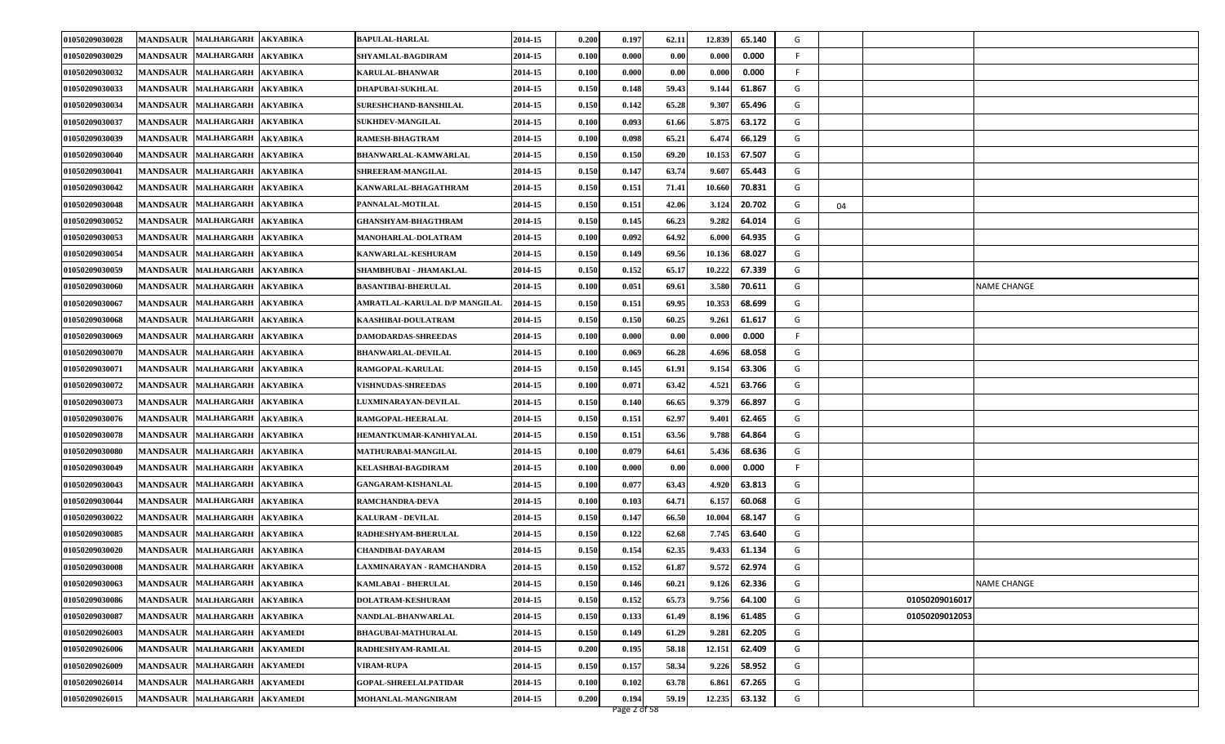| 01050209030028 |                 | MANDSAUR MALHARGARH AKYABIKA |                 | <b>BAPULAL-HARLAL</b>         | 2014-15 | 0.200 | 0.197 | 62.11 | 12.839 | 65.140 | G       |                |                    |
|----------------|-----------------|------------------------------|-----------------|-------------------------------|---------|-------|-------|-------|--------|--------|---------|----------------|--------------------|
| 01050209030029 | <b>MANDSAUR</b> | <b>MALHARGARH</b>            | <b>AKYABIKA</b> | <b>SHYAMLAL-BAGDIRAM</b>      | 2014-15 | 0.100 | 0.000 | 0.00  | 0.000  | 0.000  | F.      |                |                    |
| 01050209030032 |                 | MANDSAUR MALHARGARH AKYABIKA |                 | <b>KARULAL-BHANWAR</b>        | 2014-15 | 0.100 | 0.000 | 0.00  | 0.000  | 0.000  | F.      |                |                    |
| 01050209030033 | <b>MANDSAUR</b> | MALHARGARH AKYABIKA          |                 | <b>DHAPUBAI-SUKHLAL</b>       | 2014-15 | 0.150 | 0.148 | 59.43 | 9.144  | 61.867 | G       |                |                    |
| 01050209030034 | <b>MANDSAUR</b> | <b>MALHARGARH</b>            | <b>AKYABIKA</b> | SURESHCHAND-BANSHILAL         | 2014-15 | 0.150 | 0.142 | 65.28 | 9.307  | 65.496 | G       |                |                    |
| 01050209030037 |                 | MANDSAUR MALHARGARH AKYABIKA |                 | <b>SUKHDEV-MANGILAL</b>       | 2014-15 | 0.100 | 0.093 | 61.66 | 5.875  | 63.172 | G       |                |                    |
| 01050209030039 |                 | MANDSAUR MALHARGARH AKYABIKA |                 | RAMESH-BHAGTRAM               | 2014-15 | 0.100 | 0.098 | 65.21 | 6.474  | 66.129 | G       |                |                    |
| 01050209030040 | <b>MANDSAUR</b> | MALHARGARH AKYABIKA          |                 | BHANWARLAL-KAMWARLAL          | 2014-15 | 0.150 | 0.150 | 69.20 | 10.153 | 67.507 | G       |                |                    |
| 01050209030041 | <b>MANDSAUR</b> | <b>MALHARGARH</b>            | <b>AKYABIKA</b> | SHREERAM-MANGILAL             | 2014-15 | 0.150 | 0.147 | 63.74 | 9.607  | 65.443 | G       |                |                    |
| 01050209030042 | <b>MANDSAUR</b> | MALHARGARH AKYABIKA          |                 | KANWARLAL-BHAGATHRAM          | 2014-15 | 0.150 | 0.151 | 71.41 | 10.660 | 70.831 | G       |                |                    |
| 01050209030048 |                 | MANDSAUR MALHARGARH AKYABIKA |                 | PANNALAL-MOTILAL              | 2014-15 | 0.150 | 0.151 | 42.06 | 3.124  | 20.702 | G<br>04 |                |                    |
| 01050209030052 | <b>MANDSAUR</b> | <b>MALHARGARH</b>            | <b>AKYABIKA</b> | <b>GHANSHYAM-BHAGTHRAM</b>    | 2014-15 | 0.150 | 0.145 | 66.23 | 9.282  | 64.014 | G       |                |                    |
| 01050209030053 | <b>MANDSAUR</b> | <b>MALHARGARH</b>            | <b>AKYABIKA</b> | MANOHARLAL-DOLATRAM           | 2014-15 | 0.100 | 0.092 | 64.92 | 6.000  | 64.935 | G       |                |                    |
| 01050209030054 |                 | MANDSAUR MALHARGARH AKYABIKA |                 | KANWARLAL-KESHURAM            | 2014-15 | 0.150 | 0.149 | 69.56 | 10.136 | 68.027 | G       |                |                    |
| 01050209030059 |                 | MANDSAUR MALHARGARH AKYABIKA |                 | SHAMBHUBAI - JHAMAKLAL        | 2014-15 | 0.150 | 0.152 | 65.17 | 10.222 | 67.339 | G       |                |                    |
| 01050209030060 | <b>MANDSAUR</b> | <b>MALHARGARH</b>            | <b>AKYABIKA</b> | <b>BASANTIBAI-BHERULAL</b>    | 2014-15 | 0.100 | 0.051 | 69.61 | 3.580  | 70.611 | G       |                | <b>NAME CHANGE</b> |
| 01050209030067 | <b>MANDSAUR</b> | <b>MALHARGARH</b>            | <b>AKYABIKA</b> | AMRATLAL-KARULAL D/P MANGILAL | 2014-15 | 0.150 | 0.151 | 69.95 | 10.353 | 68.699 | G       |                |                    |
| 01050209030068 |                 | MANDSAUR MALHARGARH AKYABIKA |                 | KAASHIBAI-DOULATRAM           | 2014-15 | 0.150 | 0.150 | 60.25 | 9.261  | 61.617 | G       |                |                    |
| 01050209030069 |                 | MANDSAUR MALHARGARH          | <b>AKYABIKA</b> | <b>DAMODARDAS-SHREEDAS</b>    | 2014-15 | 0.100 | 0.000 | 0.00  | 0.000  | 0.000  | -F      |                |                    |
| 01050209030070 | <b>MANDSAUR</b> | MALHARGARH AKYABIKA          |                 | <b>BHANWARLAL-DEVILAL</b>     | 2014-15 | 0.100 | 0.069 | 66.28 | 4.696  | 68.058 | G       |                |                    |
| 01050209030071 |                 | <b>MANDSAUR MALHARGARH</b>   | <b>AKYABIKA</b> | RAMGOPAL-KARULAL              | 2014-15 | 0.150 | 0.145 | 61.91 | 9.154  | 63.306 | G       |                |                    |
| 01050209030072 |                 | MANDSAUR MALHARGARH AKYABIKA |                 | <b>VISHNUDAS-SHREEDAS</b>     | 2014-15 | 0.100 | 0.071 | 63.42 | 4.521  | 63.766 | G       |                |                    |
| 01050209030073 |                 | <b>MANDSAUR MALHARGARH</b>   | <b>AKYABIKA</b> | <b>LUXMINARAYAN-DEVILAL</b>   | 2014-15 | 0.150 | 0.140 | 66.65 | 9.379  | 66.897 | G       |                |                    |
| 01050209030076 | <b>MANDSAUR</b> | MALHARGARH AKYABIKA          |                 | <b>RAMGOPAL-HEERALAL</b>      | 2014-15 | 0.150 | 0.151 | 62.97 | 9.401  | 62.465 | G       |                |                    |
| 01050209030078 |                 | MANDSAUR   MALHARGARH        | <b>AKYABIKA</b> | HEMANTKUMAR-KANHIYALAL        | 2014-15 | 0.150 | 0.151 | 63.56 | 9.788  | 64.864 | G       |                |                    |
| 01050209030080 |                 | MANDSAUR MALHARGARH AKYABIKA |                 | MATHURABAI-MANGILAL           | 2014-15 | 0.100 | 0.079 | 64.61 | 5.436  | 68.636 | G       |                |                    |
| 01050209030049 | <b>MANDSAUR</b> | MALHARGARH AKYABIKA          |                 | <b>KELASHBAI-BAGDIRAM</b>     | 2014-15 | 0.100 | 0.000 | 0.00  | 0.000  | 0.000  | F       |                |                    |
| 01050209030043 | <b>MANDSAUR</b> | <b>MALHARGARH</b>            | <b>AKYABIKA</b> | <b>GANGARAM-KISHANLAL</b>     | 2014-15 | 0.100 | 0.077 | 63.43 | 4.920  | 63.813 | G       |                |                    |
| 01050209030044 |                 | MANDSAUR MALHARGARH AKYABIKA |                 | <b>RAMCHANDRA-DEVA</b>        | 2014-15 | 0.100 | 0.103 | 64.71 | 6.157  | 60.068 | G       |                |                    |
| 01050209030022 |                 | MANDSAUR MALHARGARH AKYABIKA |                 | <b>KALURAM - DEVILAL</b>      | 2014-15 | 0.150 | 0.147 | 66.50 | 10.004 | 68.147 | G       |                |                    |
| 01050209030085 | <b>MANDSAUR</b> | MALHARGARH AKYABIKA          |                 | RADHESHYAM-BHERULAL           | 2014-15 | 0.150 | 0.122 | 62.68 | 7.745  | 63.640 | G       |                |                    |
| 01050209030020 | <b>MANDSAUR</b> | <b>MALHARGARH</b>            | <b>AKYABIKA</b> | <b>CHANDIBAI-DAYARAM</b>      | 2014-15 | 0.150 | 0.154 | 62.35 | 9.433  | 61.134 | G       |                |                    |
| 01050209030008 |                 | MANDSAUR MALHARGARH AKYABIKA |                 | LAXMINARAYAN - RAMCHANDRA     | 2014-15 | 0.150 | 0.152 | 61.87 | 9.572  | 62.974 | G       |                |                    |
| 01050209030063 |                 | MANDSAUR MALHARGARH AKYABIKA |                 | <b>KAMLABAI - BHERULAL</b>    | 2014-15 | 0.150 | 0.146 | 60.21 | 9.126  | 62.336 | G       |                | <b>NAME CHANGE</b> |
| 01050209030086 |                 | MANDSAUR MALHARGARH AKYABIKA |                 | DOLATRAM-KESHURAM             | 2014-15 | 0.150 | 0.152 | 65.73 | 9.756  | 64.100 | G       | 01050209016017 |                    |
| 01050209030087 |                 | MANDSAUR MALHARGARH AKYABIKA |                 | NANDLAL-BHANWARLAL            | 2014-15 | 0.150 | 0.133 | 61.49 | 8.196  | 61.485 | G       | 01050209012053 |                    |
| 01050209026003 |                 | MANDSAUR MALHARGARH AKYAMEDI |                 | <b>BHAGUBAI-MATHURALAL</b>    | 2014-15 | 0.150 | 0.149 | 61.29 | 9.281  | 62.205 | G       |                |                    |
| 01050209026006 |                 | MANDSAUR MALHARGARH AKYAMEDI |                 | RADHESHYAM-RAMLAL             | 2014-15 | 0.200 | 0.195 | 58.18 | 12.151 | 62.409 | G       |                |                    |
| 01050209026009 |                 | MANDSAUR MALHARGARH AKYAMEDI |                 | <b>VIRAM-RUPA</b>             | 2014-15 | 0.150 | 0.157 | 58.34 | 9.226  | 58.952 | G       |                |                    |
| 01050209026014 |                 | MANDSAUR MALHARGARH AKYAMEDI |                 | <b>GOPAL-SHREELALPATIDAR</b>  | 2014-15 | 0.100 | 0.102 | 63.78 | 6.861  | 67.265 | G       |                |                    |
| 01050209026015 |                 | MANDSAUR MALHARGARH AKYAMEDI |                 | MOHANLAL-MANGNIRAM            | 2014-15 | 0.200 | 0.194 | 59.19 | 12.235 | 63.132 | G       |                |                    |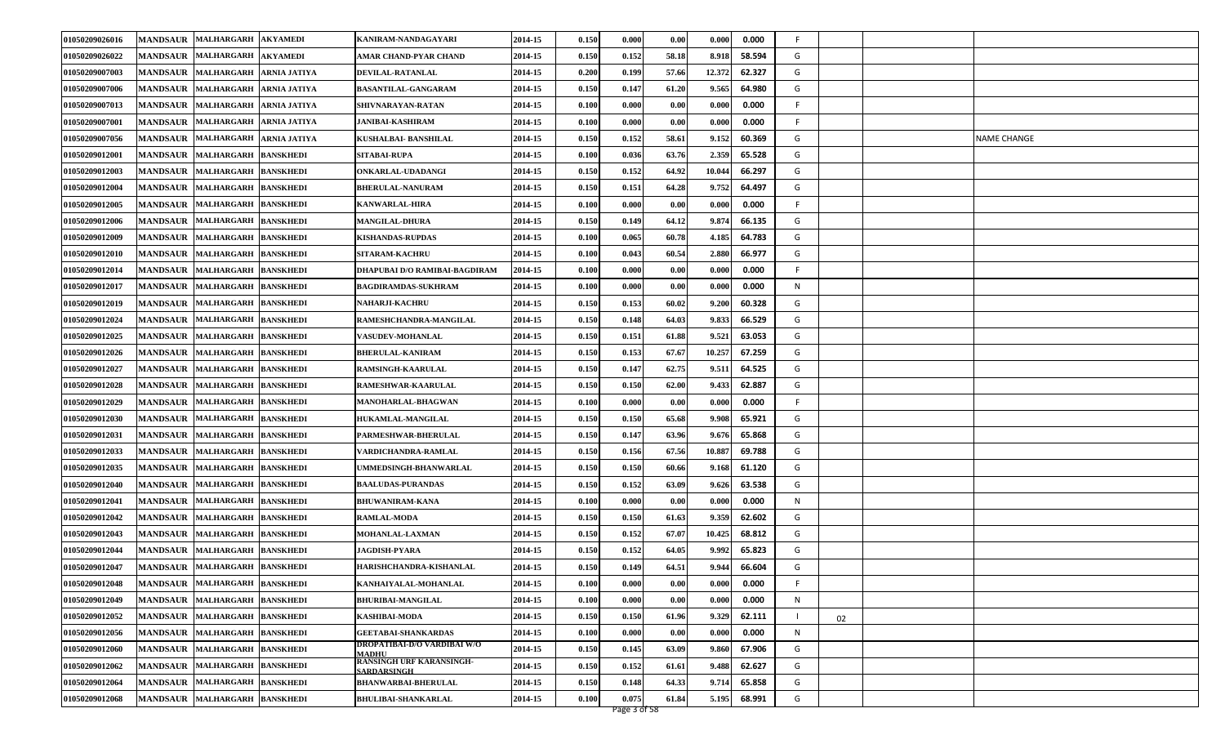| 01050209026016 | MANDSAUR MALHARGARH<br><b>AKYAMEDI</b>                   | KANIRAM-NANDAGAYARI                                   | 2014-15 | 0.150 | 0.000 | 0.00  | 0.000<br>0.000   | F. |    |             |
|----------------|----------------------------------------------------------|-------------------------------------------------------|---------|-------|-------|-------|------------------|----|----|-------------|
| 01050209026022 | MANDSAUR MALHARGARH<br><b>AKYAMEDI</b>                   | AMAR CHAND-PYAR CHAND                                 | 2014-15 | 0.150 | 0.152 | 58.18 | 58.594<br>8.918  | G  |    |             |
| 01050209007003 | MANDSAUR MALHARGARH<br><b>ARNIA JATIYA</b>               | DEVILAL-RATANLAL                                      | 2014-15 | 0.200 | 0.199 | 57.66 | 12.372<br>62.327 | G  |    |             |
| 01050209007006 | MANDSAUR MALHARGARH<br><b>ARNIA JATIYA</b>               | <b>BASANTILAL-GANGARAM</b>                            | 2014-15 | 0.150 | 0.147 | 61.20 | 9.565<br>64.980  | G  |    |             |
| 01050209007013 | MANDSAUR MALHARGARH<br><b>ARNIA JATIYA</b>               | SHIVNARAYAN-RATAN                                     | 2014-15 | 0.100 | 0.000 | 0.00  | 0.000<br>0.000   | F. |    |             |
| 01050209007001 | MANDSAUR MALHARGARH<br><b>ARNIA JATIYA</b>               | JANIBAI-KASHIRAM                                      | 2014-15 | 0.100 | 0.000 | 0.00  | 0.000<br>0.000   | F. |    |             |
| 01050209007056 | MANDSAUR MALHARGARH<br><b>ARNIA JATIYA</b>               | KUSHALBAI- BANSHILAL                                  | 2014-15 | 0.150 | 0.152 | 58.61 | 9.152<br>60.369  | G  |    | NAME CHANGE |
| 01050209012001 | MANDSAUR MALHARGARH BANSKHEDI                            | SITABAI-RUPA                                          | 2014-15 | 0.100 | 0.036 | 63.76 | 2.359<br>65.528  | G  |    |             |
| 01050209012003 | <b>MALHARGARH</b><br><b>BANSKHEDI</b><br><b>MANDSAUR</b> | ONKARLAL-UDADANGI                                     | 2014-15 | 0.150 | 0.152 | 64.92 | 66.297<br>10.044 | G  |    |             |
| 01050209012004 | MANDSAUR MALHARGARH<br><b>BANSKHEDI</b>                  | <b>BHERULAL-NANURAM</b>                               | 2014-15 | 0.150 | 0.151 | 64.28 | 9.752<br>64.497  | G  |    |             |
| 01050209012005 | MANDSAUR MALHARGARH BANSKHEDI                            | <b>KANWARLAL-HIRA</b>                                 | 2014-15 | 0.100 | 0.000 | 0.00  | 0.000<br>0.000   | F  |    |             |
| 01050209012006 | MANDSAUR MALHARGARH BANSKHEDI                            | <b>MANGILAL-DHURA</b>                                 | 2014-15 | 0.150 | 0.149 | 64.12 | 9.874<br>66.135  | G  |    |             |
| 01050209012009 | <b>MANDSAUR</b><br><b>MALHARGARH</b><br><b>BANSKHEDI</b> | <b>KISHANDAS-RUPDAS</b>                               | 2014-15 | 0.100 | 0.065 | 60.78 | 64.783<br>4.185  | G  |    |             |
| 01050209012010 | MANDSAUR MALHARGARH BANSKHEDI                            | <b>SITARAM-KACHRU</b>                                 | 2014-15 | 0.100 | 0.043 | 60.54 | 2.880<br>66.977  | G  |    |             |
| 01050209012014 | MANDSAUR MALHARGARH BANSKHEDI                            | DHAPUBAI D/O RAMIBAI-BAGDIRAM                         | 2014-15 | 0.100 | 0.000 | 0.00  | 0.000<br>0.000   | F  |    |             |
| 01050209012017 | MANDSAUR MALHARGARH<br><b>BANSKHEDI</b>                  | <b>BAGDIRAMDAS-SUKHRAM</b>                            | 2014-15 | 0.100 | 0.000 | 0.00  | 0.000<br>0.000   | N  |    |             |
| 01050209012019 | <b>MALHARGARH</b><br><b>MANDSAUR</b><br><b>BANSKHEDI</b> | <b>NAHARJI-KACHRU</b>                                 | 2014-15 | 0.150 | 0.153 | 60.02 | 9.200<br>60.328  | G  |    |             |
| 01050209012024 | MANDSAUR MALHARGARH<br><b>BANSKHEDI</b>                  | RAMESHCHANDRA-MANGILAL                                | 2014-15 | 0.150 | 0.148 | 64.03 | 9.833<br>66.529  | G  |    |             |
| 01050209012025 | MANDSAUR MALHARGARH<br><b>BANSKHEDI</b>                  | <b>VASUDEV-MOHANLAL</b>                               | 2014-15 | 0.150 | 0.151 | 61.88 | 9.521<br>63.053  | G  |    |             |
| 01050209012026 | MANDSAUR MALHARGARH<br><b>BANSKHEDI</b>                  | <b>BHERULAL-KANIRAM</b>                               | 2014-15 | 0.150 | 0.153 | 67.67 | 10.257<br>67.259 | G  |    |             |
| 01050209012027 | <b>MANDSAUR</b><br><b>MALHARGARH</b><br><b>BANSKHEDI</b> | RAMSINGH-KAARULAL                                     | 2014-15 | 0.150 | 0.147 | 62.75 | 64.525<br>9.511  | G  |    |             |
| 01050209012028 | MANDSAUR MALHARGARH<br><b>BANSKHEDI</b>                  | RAMESHWAR-KAARULAL                                    | 2014-15 | 0.150 | 0.150 | 62.00 | 9.433<br>62.887  | G  |    |             |
| 01050209012029 | MANDSAUR MALHARGARH BANSKHEDI                            | <b>MANOHARLAL-BHAGWAN</b>                             | 2014-15 | 0.100 | 0.000 | 0.00  | 0.000<br>0.000   | F  |    |             |
| 01050209012030 | <b>MANDSAUR</b><br>MALHARGARH BANSKHEDI                  | <b>HUKAMLAL-MANGILAL</b>                              | 2014-15 | 0.150 | 0.150 | 65.68 | 65.921<br>9.908  | G  |    |             |
| 01050209012031 | <b>MANDSAUR</b><br><b>MALHARGARH</b><br><b>BANSKHEDI</b> | PARMESHWAR-BHERULAL                                   | 2014-15 | 0.150 | 0.147 | 63.96 | 9.676<br>65.868  | G  |    |             |
| 01050209012033 | MANDSAUR MALHARGARH<br><b>BANSKHEDI</b>                  | VARDICHANDRA-RAMLAL                                   | 2014-15 | 0.150 | 0.156 | 67.56 | 10.887<br>69.788 | G  |    |             |
| 01050209012035 | MANDSAUR MALHARGARH BANSKHEDI                            | <b>JMMEDSINGH-BHANWARLAL</b>                          | 2014-15 | 0.150 | 0.150 | 60.66 | 9.168<br>61.120  | G  |    |             |
| 01050209012040 | MANDSAUR MALHARGARH BANSKHEDI                            | <b>BAALUDAS-PURANDAS</b>                              | 2014-15 | 0.150 | 0.152 | 63.09 | 63.538<br>9.626  | G  |    |             |
| 01050209012041 | MANDSAUR MALHARGARH<br><b>BANSKHEDI</b>                  | <b>BHUWANIRAM-KANA</b>                                | 2014-15 | 0.100 | 0.000 | 0.00  | 0.000<br>0.000   | N  |    |             |
| 01050209012042 | MANDSAUR MALHARGARH BANSKHEDI                            | <b>RAMLAL-MODA</b>                                    | 2014-15 | 0.150 | 0.150 | 61.63 | 9.359<br>62.602  | G  |    |             |
| 01050209012043 | MANDSAUR MALHARGARH BANSKHEDI                            | <b>MOHANLAL-LAXMAN</b>                                | 2014-15 | 0.150 | 0.152 | 67.07 | 10.425<br>68.812 | G  |    |             |
| 01050209012044 | <b>MALHARGARH</b><br><b>MANDSAUR</b><br><b>BANSKHEDI</b> | JAGDISH-PYARA                                         | 2014-15 | 0.150 | 0.152 | 64.05 | 65.823<br>9.992  | G  |    |             |
| 01050209012047 | MANDSAUR MALHARGARH BANSKHEDI                            | HARISHCHANDRA-KISHANLAL                               | 2014-15 | 0.150 | 0.149 | 64.51 | 9.944<br>66.604  | G  |    |             |
| 01050209012048 | MANDSAUR MALHARGARH BANSKHEDI                            | KANHAIYALAL-MOHANLAL                                  | 2014-15 | 0.100 | 0.000 | 0.00  | 0.000<br>0.000   | F  |    |             |
| 01050209012049 | MANDSAUR MALHARGARH BANSKHEDI                            | <b>BHURIBAI-MANGILAL</b>                              | 2014-15 | 0.100 | 0.000 | 0.00  | 0.000<br>0.000   | N  |    |             |
| 01050209012052 | MANDSAUR MALHARGARH BANSKHEDI                            | <b>KASHIBAI-MODA</b>                                  | 2014-15 | 0.150 | 0.150 | 61.96 | 9.329<br>62.111  |    | 02 |             |
| 01050209012056 | MANDSAUR MALHARGARH BANSKHEDI                            | <b>GEETABAI-SHANKARDAS</b>                            | 2014-15 | 0.100 | 0.000 | 0.00  | 0.000<br>0.000   | N  |    |             |
| 01050209012060 | MANDSAUR MALHARGARH BANSKHEDI                            | DROPATIBAI-D/O VARDIBAI W/O<br><b>MADHU</b>           | 2014-15 | 0.150 | 0.145 | 63.09 | 9.860<br>67.906  | G  |    |             |
| 01050209012062 | MANDSAUR MALHARGARH BANSKHEDI                            | <b>RANSINGH URF KARANSINGH-</b><br><b>SARDARSINGH</b> | 2014-15 | 0.150 | 0.152 | 61.61 | 9.488<br>62.627  | G  |    |             |
| 01050209012064 | MANDSAUR MALHARGARH BANSKHEDI                            | <b>BHANWARBAI-BHERULAL</b>                            | 2014-15 | 0.150 | 0.148 | 64.33 | 9.714<br>65.858  | G  |    |             |
| 01050209012068 | MANDSAUR MALHARGARH BANSKHEDI                            | <b>BHULIBAI-SHANKARLAL</b>                            | 2014-15 | 0.100 | 0.075 | 61.84 | 68.991<br>5.195  | G  |    |             |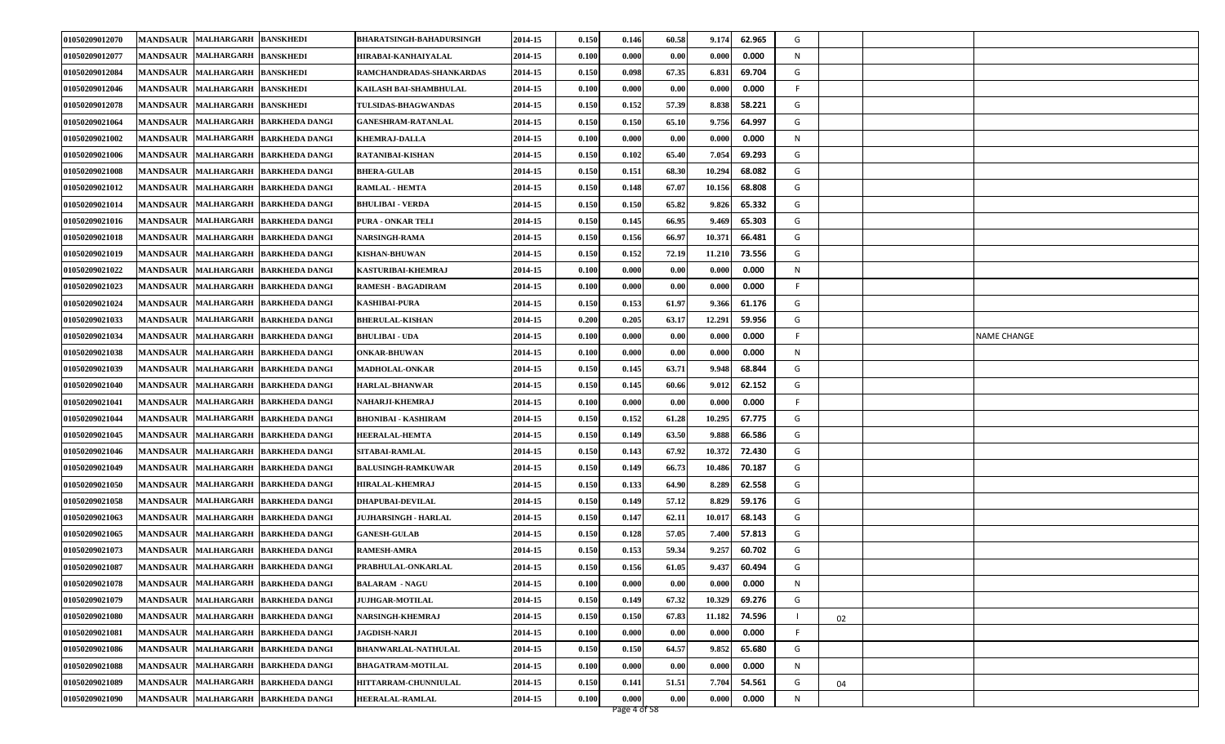| 01050209012070 | MANDSAUR MALHARGARH BANSKHEDI                                 | <b>BHARATSINGH-BAHADURSINGH</b> | 2014-15 | 0.150 | 0.146 | 60.58 | 9.174<br>62.965  | G  |    |             |
|----------------|---------------------------------------------------------------|---------------------------------|---------|-------|-------|-------|------------------|----|----|-------------|
| 01050209012077 | <b>MANDSAUR MALHARGARH</b><br><b>BANSKHEDI</b>                | HIRABAI-KANHAIYALAL             | 2014-15 | 0.100 | 0.000 | 0.00  | 0.000<br>0.000   | N  |    |             |
| 01050209012084 | MANDSAUR MALHARGARH<br><b>BANSKHEDI</b>                       | RAMCHANDRADAS-SHANKARDAS        | 2014-15 | 0.150 | 0.098 | 67.35 | 6.831<br>69.704  | G  |    |             |
| 01050209012046 | MANDSAUR MALHARGARH BANSKHEDI                                 | KAILASH BAI-SHAMBHULAL          | 2014-15 | 0.100 | 0.000 | 0.00  | 0.000<br>0.000   | F  |    |             |
| 01050209012078 | MANDSAUR MALHARGARH BANSKHEDI                                 | <b>TULSIDAS-BHAGWANDAS</b>      | 2014-15 | 0.150 | 0.152 | 57.39 | 8.838<br>58.221  | G  |    |             |
| 01050209021064 | MANDSAUR MALHARGARH<br><b>BARKHEDA DANGI</b>                  | <b>GANESHRAM-RATANLAL</b>       | 2014-15 | 0.150 | 0.150 | 65.10 | 9.756<br>64.997  | G  |    |             |
| 01050209021002 | MANDSAUR MALHARGARH BARKHEDA DANGI                            | <b>KHEMRAJ-DALLA</b>            | 2014-15 | 0.100 | 0.000 | 0.00  | 0.000<br>0.000   | N  |    |             |
| 01050209021006 | MANDSAUR MALHARGARH BARKHEDA DANGI                            | RATANIBAI-KISHAN                | 2014-15 | 0.150 | 0.102 | 65.40 | 7.054<br>69.293  | G  |    |             |
| 01050209021008 | <b>MANDSAUR</b><br><b>MALHARGARH</b><br><b>BARKHEDA DANGI</b> | <b>BHERA-GULAB</b>              | 2014-15 | 0.150 | 0.151 | 68.30 | 10.294<br>68.082 | G  |    |             |
| 01050209021012 | MANDSAUR MALHARGARH BARKHEDA DANGI                            | <b>RAMLAL - HEMTA</b>           | 2014-15 | 0.150 | 0.148 | 67.07 | 10.156<br>68.808 | G  |    |             |
| 01050209021014 | MANDSAUR MALHARGARH BARKHEDA DANGI                            | <b>BHULIBAI - VERDA</b>         | 2014-15 | 0.150 | 0.150 | 65.82 | 9.826<br>65.332  | G  |    |             |
| 01050209021016 | MANDSAUR MALHARGARH BARKHEDA DANGI                            | PURA - ONKAR TELI               | 2014-15 | 0.150 | 0.145 | 66.95 | 9.469<br>65.303  | G  |    |             |
| 01050209021018 | <b>MANDSAUR</b><br><b>MALHARGARH</b><br><b>BARKHEDA DANGI</b> | <b>NARSINGH-RAMA</b>            | 2014-15 | 0.150 | 0.156 | 66.9  | 66.481<br>10.371 | G  |    |             |
| 01050209021019 | MANDSAUR MALHARGARH BARKHEDA DANGI                            | <b>KISHAN-BHUWAN</b>            | 2014-15 | 0.150 | 0.152 | 72.19 | 73.556<br>11.210 | G  |    |             |
| 01050209021022 | MANDSAUR MALHARGARH BARKHEDA DANGI                            | KASTURIBAI-KHEMRAJ              | 2014-15 | 0.100 | 0.000 | 0.00  | 0.000<br>0.000   | N  |    |             |
| 01050209021023 | MANDSAUR MALHARGARH<br><b>BARKHEDA DANGI</b>                  | <b>RAMESH - BAGADIRAM</b>       | 2014-15 | 0.100 | 0.000 | 0.00  | 0.000<br>0.000   | F  |    |             |
| 01050209021024 | <b>MANDSAUR</b><br><b>MALHARGARH</b><br><b>BARKHEDA DANGI</b> | <b>KASHIBAI-PURA</b>            | 2014-15 | 0.150 | 0.153 | 61.97 | 9.366<br>61.176  | G  |    |             |
| 01050209021033 | MANDSAUR MALHARGARH<br><b>BARKHEDA DANGI</b>                  | <b>BHERULAL-KISHAN</b>          | 2014-15 | 0.200 | 0.205 | 63.17 | 12.291<br>59.956 | G  |    |             |
| 01050209021034 | MANDSAUR MALHARGARH BARKHEDA DANGI                            | <b>BHULIBAI - UDA</b>           | 2014-15 | 0.100 | 0.000 | 0.00  | 0.000<br>0.000   | F  |    | NAME CHANGE |
| 01050209021038 | MANDSAUR MALHARGARH<br><b>BARKHEDA DANGI</b>                  | <b>ONKAR-BHUWAN</b>             | 2014-15 | 0.100 | 0.000 | 0.00  | 0.000<br>0.000   | N  |    |             |
| 01050209021039 | <b>MANDSAUR</b><br><b>MALHARGARH</b><br><b>BARKHEDA DANGI</b> | <b>MADHOLAL-ONKAR</b>           | 2014-15 | 0.150 | 0.145 | 63.71 | 68.844<br>9.948  | G  |    |             |
| 01050209021040 | MANDSAUR MALHARGARH<br><b>BARKHEDA DANGI</b>                  | <b>HARLAL-BHANWAR</b>           | 2014-15 | 0.150 | 0.145 | 60.66 | 9.012<br>62.152  | G  |    |             |
| 01050209021041 | MANDSAUR MALHARGARH<br><b>BARKHEDA DANGI</b>                  | NAHARJI-KHEMRAJ                 | 2014-15 | 0.100 | 0.000 | 0.00  | 0.000<br>0.000   | F  |    |             |
| 01050209021044 | <b>MANDSAUR</b><br>MALHARGARH BARKHEDA DANGI                  | <b>BHONIBAI - KASHIRAM</b>      | 2014-15 | 0.150 | 0.152 | 61.28 | 10.295<br>67.775 | G  |    |             |
| 01050209021045 | <b>MANDSAUR</b><br><b>MALHARGARH</b><br><b>BARKHEDA DANGI</b> | <b>HEERALAL-HEMTA</b>           | 2014-15 | 0.150 | 0.149 | 63.50 | 66.586<br>9.888  | G  |    |             |
| 01050209021046 | MANDSAUR MALHARGARH<br><b>BARKHEDA DANGI</b>                  | SITABAI-RAMLAL                  | 2014-15 | 0.150 | 0.143 | 67.92 | 10.372<br>72.430 | G  |    |             |
| 01050209021049 | MANDSAUR MALHARGARH BARKHEDA DANGI                            | <b>BALUSINGH-RAMKUWAR</b>       | 2014-15 | 0.150 | 0.149 | 66.73 | 10.486<br>70.187 | G  |    |             |
| 01050209021050 | MANDSAUR MALHARGARH BARKHEDA DANGI                            | <b>HIRALAL-KHEMRAJ</b>          | 2014-15 | 0.150 | 0.133 | 64.90 | 62.558<br>8.289  | G  |    |             |
| 01050209021058 | MANDSAUR MALHARGARH<br><b>BARKHEDA DANGI</b>                  | <b>DHAPUBAI-DEVILAL</b>         | 2014-15 | 0.150 | 0.149 | 57.12 | 8.829<br>59.176  | G  |    |             |
| 01050209021063 | MANDSAUR MALHARGARH BARKHEDA DANGI                            | <b>JUJHARSINGH - HARLAL</b>     | 2014-15 | 0.150 | 0.147 | 62.11 | 10.017<br>68.143 | G  |    |             |
| 01050209021065 | MANDSAUR MALHARGARH BARKHEDA DANGI                            | <b>GANESH-GULAB</b>             | 2014-15 | 0.150 | 0.128 | 57.05 | 7.400<br>57.813  | G  |    |             |
| 01050209021073 | <b>MANDSAUR</b><br><b>MALHARGARH</b><br><b>BARKHEDA DANGI</b> | <b>RAMESH-AMRA</b>              | 2014-15 | 0.150 | 0.153 | 59.34 | 9.257<br>60.702  | G  |    |             |
| 01050209021087 | MANDSAUR MALHARGARH BARKHEDA DANGI                            | PRABHULAL-ONKARLAL              | 2014-15 | 0.150 | 0.156 | 61.05 | 9.437<br>60.494  | G  |    |             |
| 01050209021078 | MANDSAUR MALHARGARH BARKHEDA DANGI                            | <b>BALARAM - NAGU</b>           | 2014-15 | 0.100 | 0.000 | 0.00  | 0.000<br>0.000   | N  |    |             |
| 01050209021079 | MANDSAUR MALHARGARH BARKHEDA DANGI                            | <b>JUJHGAR-MOTILAL</b>          | 2014-15 | 0.150 | 0.149 | 67.32 | 10.329<br>69.276 | G  |    |             |
| 01050209021080 | MANDSAUR MALHARGARH BARKHEDA DANGI                            | NARSINGH-KHEMRAJ                | 2014-15 | 0.150 | 0.150 | 67.83 | 74.596<br>11.182 |    | 02 |             |
| 01050209021081 | MANDSAUR MALHARGARH BARKHEDA DANGI                            | <b>JAGDISH-NARJI</b>            | 2014-15 | 0.100 | 0.000 | 0.00  | 0.000<br>0.000   | F. |    |             |
| 01050209021086 | MANDSAUR MALHARGARH BARKHEDA DANGI                            | <b>BHANWARLAL-NATHULAL</b>      | 2014-15 | 0.150 | 0.150 | 64.57 | 9.852<br>65.680  | G  |    |             |
| 01050209021088 | MANDSAUR MALHARGARH BARKHEDA DANGI                            | <b>BHAGATRAM-MOTILAL</b>        | 2014-15 | 0.100 | 0.000 | 0.00  | 0.000<br>0.000   | N  |    |             |
| 01050209021089 | MALHARGARH BARKHEDA DANGI<br><b>MANDSAUR</b>                  | HITTARRAM-CHUNNIULAL            | 2014-15 | 0.150 | 0.141 | 51.51 | 7.704<br>54.561  | G  | 04 |             |
| 01050209021090 | MANDSAUR MALHARGARH BARKHEDA DANGI                            | <b>HEERALAL-RAMLAL</b>          | 2014-15 | 0.100 | 0.000 | 0.00  | 0.000<br>0.000   | N  |    |             |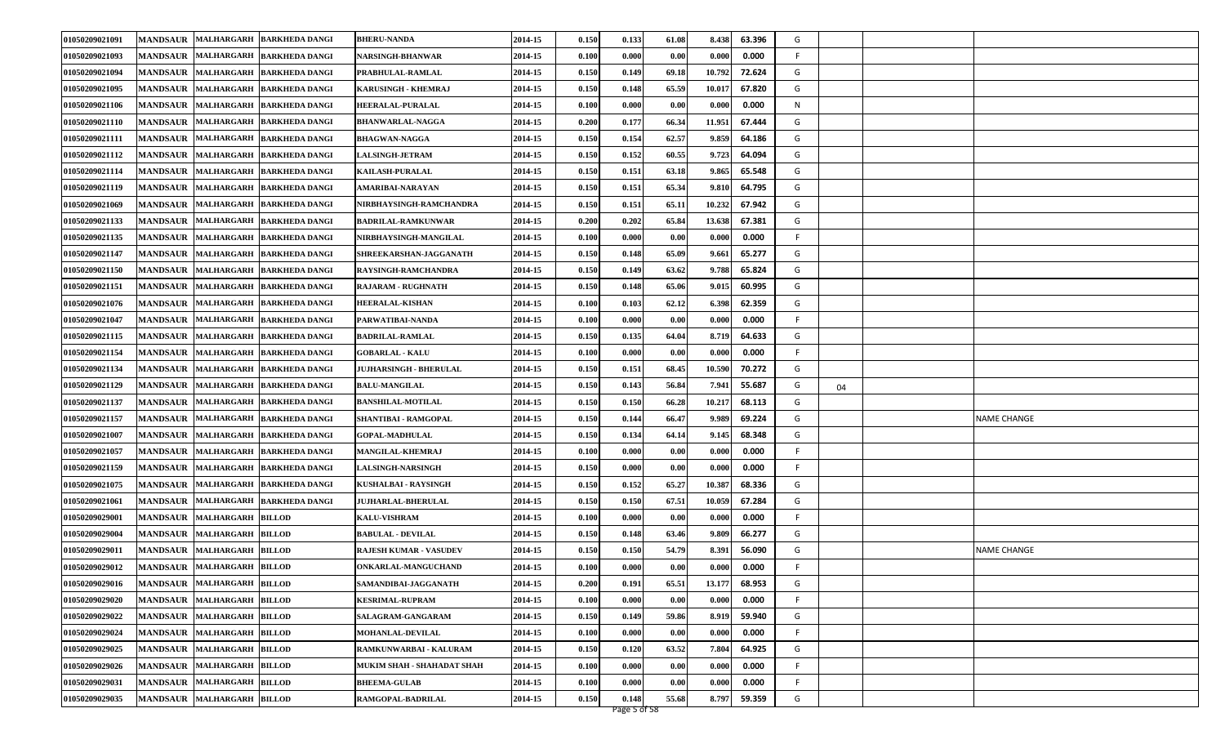| 01050209021091 |                 | MANDSAUR MALHARGARH BARKHEDA DANGI         | <b>BHERU-NANDA</b>            | 2014-15 | 0.150 | 0.133        | 61.08 | 8.438  | 63.396 | G       |                    |
|----------------|-----------------|--------------------------------------------|-------------------------------|---------|-------|--------------|-------|--------|--------|---------|--------------------|
| 01050209021093 |                 | MANDSAUR MALHARGARH BARKHEDA DANGI         | NARSINGH-BHANWAR              | 2014-15 | 0.100 | 0.000        | 0.00  | 0.000  | 0.000  | F.      |                    |
| 01050209021094 |                 | MANDSAUR MALHARGARH BARKHEDA DANGI         | PRABHULAL-RAMLAL              | 2014-15 | 0.150 | 0.149        | 69.18 | 10.792 | 72.624 | G       |                    |
| 01050209021095 |                 | MANDSAUR MALHARGARH BARKHEDA DANGI         | <b>KARUSINGH - KHEMRAJ</b>    | 2014-15 | 0.150 | 0.148        | 65.59 | 10.017 | 67.820 | G       |                    |
| 01050209021106 | <b>MANDSAUR</b> | MALHARGARH BARKHEDA DANGI                  | <b>HEERALAL-PURALAL</b>       | 2014-15 | 0.100 | 0.000        | 0.00  | 0.000  | 0.000  | N       |                    |
| 01050209021110 | <b>MANDSAUR</b> | MALHARGARH BARKHEDA DANGI                  | <b>BHANWARLAL-NAGGA</b>       | 2014-15 | 0.200 | 0.177        | 66.34 | 11.951 | 67.444 | G       |                    |
| 01050209021111 |                 | MANDSAUR MALHARGARH BARKHEDA DANGI         | <b>BHAGWAN-NAGGA</b>          | 2014-15 | 0.150 | 0.154        | 62.57 | 9.859  | 64.186 | G       |                    |
| 01050209021112 | <b>MANDSAUR</b> | MALHARGARH BARKHEDA DANGI                  | <b>LALSINGH-JETRAM</b>        | 2014-15 | 0.150 | 0.152        | 60.55 | 9.723  | 64.094 | G       |                    |
| 01050209021114 | <b>MANDSAUR</b> | MALHARGARH BARKHEDA DANGI                  | <b>KAILASH-PURALAL</b>        | 2014-15 | 0.150 | 0.151        | 63.18 | 9.865  | 65.548 | G       |                    |
| 01050209021119 | <b>MANDSAUR</b> | MALHARGARH BARKHEDA DANGI                  | AMARIBAI-NARAYAN              | 2014-15 | 0.150 | 0.151        | 65.34 | 9.810  | 64.795 | G       |                    |
| 01050209021069 |                 | MANDSAUR MALHARGARH BARKHEDA DANGI         | NIRBHAYSINGH-RAMCHANDRA       | 2014-15 | 0.150 | 0.151        | 65.11 | 10.232 | 67.942 | G       |                    |
| 01050209021133 | <b>MANDSAUR</b> | MALHARGARH BARKHEDA DANGI                  | <b>BADRILAL-RAMKUNWAR</b>     | 2014-15 | 0.200 | 0.202        | 65.84 | 13.638 | 67.381 | G       |                    |
| 01050209021135 | <b>MANDSAUR</b> | <b>MALHARGARH</b><br><b>BARKHEDA DANGI</b> | NIRBHAYSINGH-MANGILAL         | 2014-15 | 0.100 | 0.000        | 0.00  | 0.000  | 0.000  | F       |                    |
| 01050209021147 | <b>MANDSAUR</b> | MALHARGARH BARKHEDA DANGI                  | SHREEKARSHAN-JAGGANATH        | 2014-15 | 0.150 | 0.148        | 65.09 | 9.661  | 65.277 | G       |                    |
| 01050209021150 | <b>MANDSAUR</b> | MALHARGARH BARKHEDA DANGI                  | RAYSINGH-RAMCHANDRA           | 2014-15 | 0.150 | 0.149        | 63.62 | 9.788  | 65.824 | G       |                    |
| 01050209021151 | <b>MANDSAUR</b> | MALHARGARH BARKHEDA DANGI                  | RAJARAM - RUGHNATH            | 2014-15 | 0.150 | 0.148        | 65.06 | 9.015  | 60.995 | G       |                    |
| 01050209021076 | <b>MANDSAUR</b> | <b>MALHARGARH</b><br><b>BARKHEDA DANGI</b> | <b>HEERALAL-KISHAN</b>        | 2014-15 | 0.100 | 0.103        | 62.12 | 6.398  | 62.359 | G       |                    |
| 01050209021047 | <b>MANDSAUR</b> | MALHARGARH BARKHEDA DANGI                  | PARWATIBAI-NANDA              | 2014-15 | 0.100 | 0.000        | 0.00  | 0.000  | 0.000  | F.      |                    |
| 01050209021115 |                 | MANDSAUR MALHARGARH BARKHEDA DANGI         | <b>BADRILAL-RAMLAL</b>        | 2014-15 | 0.150 | 0.135        | 64.04 | 8.719  | 64.633 | G       |                    |
| 01050209021154 | <b>MANDSAUR</b> | MALHARGARH BARKHEDA DANGI                  | <b>GOBARLAL - KALU</b>        | 2014-15 | 0.100 | 0.000        | 0.00  | 0.000  | 0.000  | F.      |                    |
| 01050209021134 | <b>MANDSAUR</b> | MALHARGARH BARKHEDA DANGI                  | <b>JUJHARSINGH - BHERULAL</b> | 2014-15 | 0.150 | 0.151        | 68.45 | 10.590 | 70.272 | G       |                    |
| 01050209021129 |                 | MANDSAUR MALHARGARH BARKHEDA DANGI         | <b>BALU-MANGILAL</b>          | 2014-15 | 0.150 | 0.143        | 56.84 | 7.941  | 55.687 | G<br>04 |                    |
| 01050209021137 |                 | MANDSAUR MALHARGARH BARKHEDA DANGI         | <b>BANSHILAL-MOTILAL</b>      | 2014-15 | 0.150 | 0.150        | 66.28 | 10.217 | 68.113 | G       |                    |
| 01050209021157 | <b>MANDSAUR</b> | MALHARGARH BARKHEDA DANGI                  | SHANTIBAI - RAMGOPAL          | 2014-15 | 0.150 | 0.144        | 66.47 | 9.989  | 69.224 | G       | <b>NAME CHANGE</b> |
| 01050209021007 |                 | MANDSAUR MALHARGARH BARKHEDA DANGI         | <b>GOPAL-MADHULAL</b>         | 2014-15 | 0.150 | 0.134        | 64.14 | 9.145  | 68.348 | G       |                    |
| 01050209021057 |                 | MANDSAUR MALHARGARH BARKHEDA DANGI         | <b>MANGILAL-KHEMRAJ</b>       | 2014-15 | 0.100 | 0.000        | 0.00  | 0.000  | 0.000  | F.      |                    |
| 01050209021159 |                 | MANDSAUR MALHARGARH BARKHEDA DANGI         | <b>LALSINGH-NARSINGH</b>      | 2014-15 | 0.150 | 0.000        | 0.00  | 0.000  | 0.000  | F       |                    |
| 01050209021075 | <b>MANDSAUR</b> | MALHARGARH BARKHEDA DANGI                  | KUSHALBAI - RAYSINGH          | 2014-15 | 0.150 | 0.152        | 65.27 | 10.387 | 68.336 | G       |                    |
| 01050209021061 | <b>MANDSAUR</b> | MALHARGARH BARKHEDA DANGI                  | <b>JUJHARLAL-BHERULAL</b>     | 2014-15 | 0.150 | 0.150        | 67.51 | 10.059 | 67.284 | G       |                    |
| 01050209029001 |                 | MANDSAUR MALHARGARH BILLOD                 | <b>KALU-VISHRAM</b>           | 2014-15 | 0.100 | 0.000        | 0.00  | 0.000  | 0.000  | F.      |                    |
| 01050209029004 | <b>MANDSAUR</b> | MALHARGARH BILLOD                          | <b>BABULAL - DEVILAL</b>      | 2014-15 | 0.150 | 0.148        | 63.46 | 9.809  | 66.277 | G       |                    |
| 01050209029011 | <b>MANDSAUR</b> | <b>MALHARGARH BILLOD</b>                   | <b>RAJESH KUMAR - VASUDEV</b> | 2014-15 | 0.150 | 0.150        | 54.79 | 8.391  | 56.090 | G       | <b>NAME CHANGE</b> |
| 01050209029012 |                 | MANDSAUR MALHARGARH BILLOD                 | ONKARLAL-MANGUCHAND           | 2014-15 | 0.100 | 0.000        | 0.00  | 0.000  | 0.000  | F       |                    |
| 01050209029016 |                 | MANDSAUR MALHARGARH BILLOD                 | SAMANDIBAI-JAGGANATH          | 2014-15 | 0.200 | 0.191        | 65.51 | 13.177 | 68.953 | G       |                    |
| 01050209029020 |                 | MANDSAUR MALHARGARH BILLOD                 | <b>KESRIMAL-RUPRAM</b>        | 2014-15 | 0.100 | 0.000        | 0.00  | 0.000  | 0.000  | F.      |                    |
| 01050209029022 | <b>MANDSAUR</b> | MALHARGARH BILLOD                          | SALAGRAM-GANGARAM             | 2014-15 | 0.150 | 0.149        | 59.86 | 8.919  | 59.940 | G       |                    |
| 01050209029024 |                 | MANDSAUR MALHARGARH BILLOD                 | <b>MOHANLAL-DEVILAL</b>       | 2014-15 | 0.100 | 0.000        | 0.00  | 0.000  | 0.000  | F.      |                    |
| 01050209029025 |                 | MANDSAUR MALHARGARH BILLOD                 | RAMKUNWARBAI - KALURAM        | 2014-15 | 0.150 | 0.120        | 63.52 | 7.804  | 64.925 | G       |                    |
| 01050209029026 |                 | MANDSAUR MALHARGARH BILLOD                 | MUKIM SHAH - SHAHADAT SHAH    | 2014-15 | 0.100 | 0.000        | 0.00  | 0.000  | 0.000  | F       |                    |
| 01050209029031 | <b>MANDSAUR</b> | MALHARGARH BILLOD                          | <b>BHEEMA-GULAB</b>           | 2014-15 | 0.100 | 0.000        | 0.00  | 0.000  | 0.000  | F       |                    |
| 01050209029035 |                 | MANDSAUR MALHARGARH BILLOD                 | RAMGOPAL-BADRILAL             | 2014-15 | 0.150 | 0.148        | 55.68 | 8.797  | 59.359 | G       |                    |
|                |                 |                                            |                               |         |       | Page 5 of 58 |       |        |        |         |                    |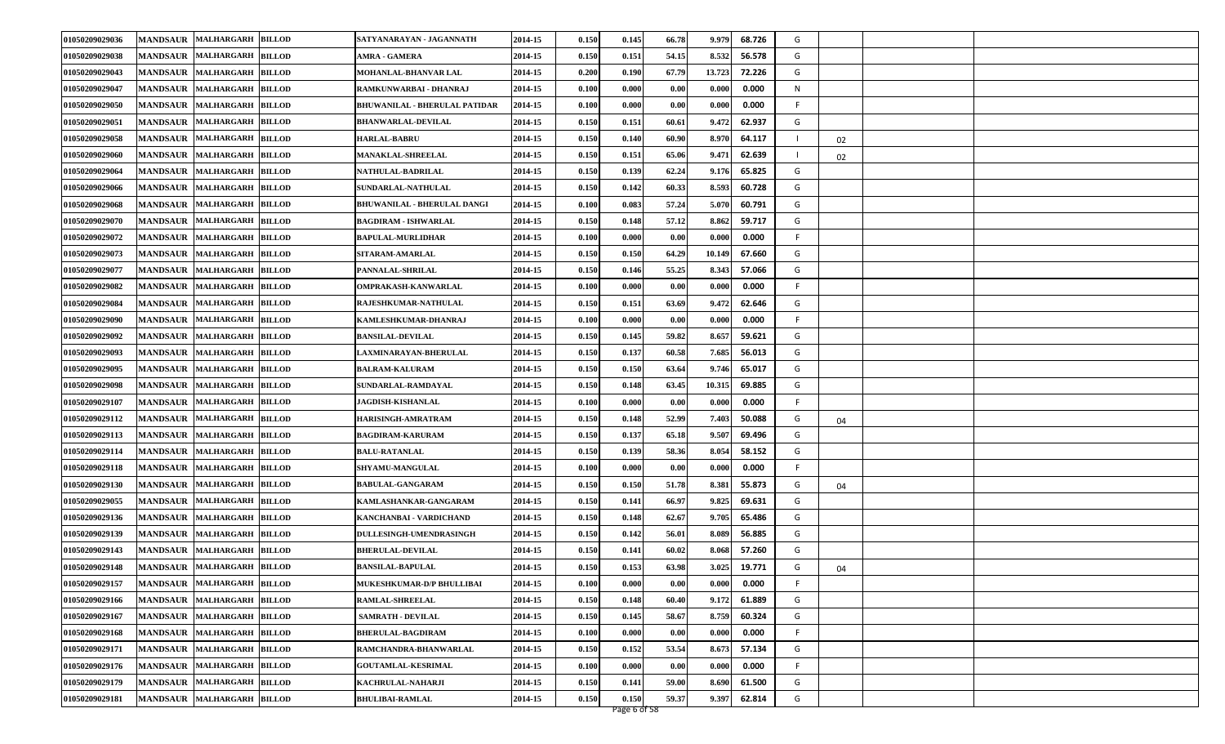| 01050209029036 | <b>MANDSAUR</b><br><b>MALHARGARH</b>        | <b>BILLOD</b> | SATYANARAYAN - JAGANNATH           | 2014-15 | 0.150 | 0.145 | 66.78 | 9.979  | 68.726 | G  |    |  |
|----------------|---------------------------------------------|---------------|------------------------------------|---------|-------|-------|-------|--------|--------|----|----|--|
| 01050209029038 | <b>MALHARGARH</b><br><b>MANDSAUR</b>        | <b>BILLOD</b> | <b>AMRA - GAMERA</b>               | 2014-15 | 0.150 | 0.151 | 54.15 | 8.532  | 56.578 | G  |    |  |
| 01050209029043 | <b>MANDSAUR</b><br><b>MALHARGARH</b>        | <b>BILLOD</b> | MOHANLAL-BHANVAR LAL               | 2014-15 | 0.200 | 0.190 | 67.79 | 13.723 | 72.226 | G  |    |  |
| 01050209029047 | <b>MALHARGARH</b><br><b>MANDSAUR</b>        | <b>BILLOD</b> | RAMKUNWARBAI - DHANRAJ             | 2014-15 | 0.100 | 0.000 | 0.00  | 0.000  | 0.000  | N  |    |  |
| 01050209029050 | <b>MANDSAUR</b><br><b>MALHARGARH</b>        | <b>BILLOD</b> | BHUWANILAL - BHERULAL PATIDAR      | 2014-15 | 0.100 | 0.000 | 0.00  | 0.000  | 0.000  | F  |    |  |
| 01050209029051 | <b>MANDSAUR</b><br><b>MALHARGARH</b>        | <b>BILLOD</b> | <b>BHANWARLAL-DEVILAL</b>          | 2014-15 | 0.150 | 0.151 | 60.61 | 9.472  | 62.937 | G  |    |  |
| 01050209029058 | <b>MANDSAUR</b><br><b>MALHARGARH</b>        | <b>BILLOD</b> | <b>HARLAL-BABRU</b>                | 2014-15 | 0.150 | 0.140 | 60.90 | 8.970  | 64.117 |    | 02 |  |
| 01050209029060 | <b>MALHARGARH</b><br><b>MANDSAUR</b>        | <b>BILLOD</b> | <b>MANAKLAL-SHREELAL</b>           | 2014-15 | 0.150 | 0.151 | 65.06 | 9.471  | 62.639 |    | 02 |  |
| 01050209029064 | <b>MALHARGARH</b><br><b>MANDSAUR</b>        | <b>BILLOD</b> | <b>NATHULAL-BADRILAL</b>           | 2014-15 | 0.150 | 0.139 | 62.24 | 9.176  | 65.825 | G  |    |  |
| 01050209029066 | <b>MANDSAUR</b><br><b>MALHARGARH</b>        | <b>BILLOD</b> | SUNDARLAL-NATHULAL                 | 2014-15 | 0.150 | 0.142 | 60.33 | 8.593  | 60.728 | G  |    |  |
| 01050209029068 | <b>MANDSAUR</b><br><b>MALHARGARH</b>        | <b>BILLOD</b> | <b>BHUWANILAL - BHERULAL DANGI</b> | 2014-15 | 0.100 | 0.083 | 57.24 | 5.070  | 60.791 | G  |    |  |
| 01050209029070 | <b>MANDSAUR</b><br><b>MALHARGARH</b>        | <b>BILLOD</b> | BAGDIRAM - ISHWARLAL               | 2014-15 | 0.150 | 0.148 | 57.12 | 8.862  | 59.717 | G  |    |  |
| 01050209029072 | <b>MANDSAUR</b><br><b>MALHARGARH</b>        | <b>BILLOD</b> | <b>BAPULAL-MURLIDHAR</b>           | 2014-15 | 0.100 | 0.000 | 0.00  | 0.000  | 0.000  | F  |    |  |
| 01050209029073 | <b>MALHARGARH</b><br><b>MANDSAUR</b>        | <b>BILLOD</b> | SITARAM-AMARLAL                    | 2014-15 | 0.150 | 0.150 | 64.29 | 10.149 | 67.660 | G  |    |  |
| 01050209029077 | <b>MANDSAUR</b><br><b>MALHARGARH</b>        | <b>BILLOD</b> | PANNALAL-SHRILAL                   | 2014-15 | 0.150 | 0.146 | 55.25 | 8.343  | 57.066 | G  |    |  |
| 01050209029082 | <b>MALHARGARH</b><br><b>MANDSAUR</b>        | <b>BILLOD</b> | OMPRAKASH-KANWARLAL                | 2014-15 | 0.100 | 0.000 | 0.00  | 0.000  | 0.000  |    |    |  |
| 01050209029084 | <b>MANDSAUR</b><br><b>MALHARGARH</b>        | <b>BILLOD</b> | RAJESHKUMAR-NATHULAL               | 2014-15 | 0.150 | 0.151 | 63.69 | 9.472  | 62.646 | G  |    |  |
| 01050209029090 | <b>MANDSAUR</b><br><b>MALHARGARH</b>        | <b>BILLOD</b> | KAMLESHKUMAR-DHANRAJ               | 2014-15 | 0.100 | 0.000 | 0.00  | 0.000  | 0.000  | F  |    |  |
| 01050209029092 | <b>MANDSAUR</b><br><b>MALHARGARH BILLOD</b> |               | <b>BANSILAL-DEVILAL</b>            | 2014-15 | 0.150 | 0.145 | 59.82 | 8.657  | 59.621 | G  |    |  |
| 01050209029093 | <b>MANDSAUR</b><br><b>MALHARGARH</b>        | <b>BILLOD</b> | LAXMINARAYAN-BHERULAL              | 2014-15 | 0.150 | 0.137 | 60.58 | 7.685  | 56.013 | G  |    |  |
| 01050209029095 | <b>MANDSAUR</b><br><b>MALHARGARH</b>        | <b>BILLOD</b> | <b>BALRAM-KALURAM</b>              | 2014-15 | 0.150 | 0.150 | 63.64 | 9.746  | 65.017 | G  |    |  |
| 01050209029098 | <b>MANDSAUR</b><br><b>MALHARGARH</b>        | <b>BILLOD</b> | SUNDARLAL-RAMDAYAL                 | 2014-15 | 0.150 | 0.148 | 63.45 | 10.315 | 69.885 | G  |    |  |
| 01050209029107 | <b>MANDSAUR</b><br>MALHARGARH BILLOD        |               | <b>JAGDISH-KISHANLAL</b>           | 2014-15 | 0.100 | 0.000 | 0.00  | 0.000  | 0.000  | F. |    |  |
| 01050209029112 | <b>MANDSAUR</b><br><b>MALHARGARH</b>        | <b>BILLOD</b> | HARISINGH-AMRATRAM                 | 2014-15 | 0.150 | 0.148 | 52.99 | 7.403  | 50.088 | G  | 04 |  |
| 01050209029113 | <b>MANDSAUR</b><br><b>MALHARGARH</b>        | <b>BILLOD</b> | <b>BAGDIRAM-KARURAM</b>            | 2014-15 | 0.150 | 0.137 | 65.18 | 9.507  | 69.496 | G  |    |  |
| 01050209029114 | <b>MANDSAUR</b><br><b>MALHARGARH</b>        | <b>BILLOD</b> | <b>BALU-RATANLAL</b>               | 2014-15 | 0.150 | 0.139 | 58.36 | 8.054  | 58.152 | G  |    |  |
| 01050209029118 | <b>MANDSAUR</b><br><b>MALHARGARH</b>        | <b>BILLOD</b> | <b>SHYAMU-MANGULAL</b>             | 2014-15 | 0.100 | 0.000 | 0.00  | 0.000  | 0.000  | F  |    |  |
| 01050209029130 | <b>MANDSAUR</b><br><b>MALHARGARH</b>        | <b>BILLOD</b> | <b>BABULAL-GANGARAM</b>            | 2014-15 | 0.150 | 0.150 | 51.78 | 8.381  | 55.873 | G  | 04 |  |
| 01050209029055 | <b>MANDSAUR</b><br><b>MALHARGARH</b>        | <b>BILLOD</b> | KAMLASHANKAR-GANGARAM              | 2014-15 | 0.150 | 0.141 | 66.97 | 9.825  | 69.631 | G  |    |  |
| 01050209029136 | <b>MANDSAUR</b><br><b>MALHARGARH</b>        | <b>BILLOD</b> | KANCHANBAI - VARDICHAND            | 2014-15 | 0.150 | 0.148 | 62.67 | 9.705  | 65.486 | G  |    |  |
| 01050209029139 | <b>MALHARGARH</b><br><b>MANDSAUR</b>        | <b>BILLOD</b> | <b>DULLESINGH-UMENDRASINGH</b>     | 2014-15 | 0.150 | 0.142 | 56.01 | 8.089  | 56.885 | G  |    |  |
| 01050209029143 | <b>MALHARGARH</b><br><b>MANDSAUR</b>        | <b>BILLOD</b> | <b>BHERULAL-DEVILAL</b>            | 2014-15 | 0.150 | 0.141 | 60.02 | 8.068  | 57.260 | G  |    |  |
| 01050209029148 | MANDSAUR MALHARGARH BILLOD                  |               | <b>BANSILAL-BAPULAL</b>            | 2014-15 | 0.150 | 0.153 | 63.98 | 3.025  | 19.771 | G  | 04 |  |
| 01050209029157 | MANDSAUR MALHARGARH BILLOD                  |               | MUKESHKUMAR-D/P BHULLIBAI          | 2014-15 | 0.100 | 0.000 | 0.00  | 0.000  | 0.000  | F  |    |  |
| 01050209029166 | <b>MANDSAUR</b><br><b>MALHARGARH</b>        | <b>BILLOD</b> | <b>RAMLAL-SHREELAL</b>             | 2014-15 | 0.150 | 0.148 | 60.40 | 9.172  | 61.889 | G  |    |  |
| 01050209029167 | <b>MALHARGARH</b><br><b>MANDSAUR</b>        | <b>BILLOD</b> | <b>SAMRATH - DEVILAL</b>           | 2014-15 | 0.150 | 0.145 | 58.67 | 8.759  | 60.324 | G  |    |  |
| 01050209029168 | <b>MALHARGARH</b><br><b>MANDSAUR</b>        | <b>BILLOD</b> | <b>BHERULAL-BAGDIRAM</b>           | 2014-15 | 0.100 | 0.000 | 0.00  | 0.000  | 0.000  | F  |    |  |
| 01050209029171 | MANDSAUR MALHARGARH BILLOD                  |               | RAMCHANDRA-BHANWARLAL              | 2014-15 | 0.150 | 0.152 | 53.54 | 8.673  | 57.134 | G  |    |  |
| 01050209029176 | <b>MANDSAUR</b><br><b>MALHARGARH</b>        | <b>BILLOD</b> | <b>GOUTAMLAL-KESRIMAL</b>          | 2014-15 | 0.100 | 0.000 | 0.00  | 0.000  | 0.000  | F  |    |  |
| 01050209029179 | <b>MALHARGARH</b><br><b>MANDSAUR</b>        | <b>BILLOD</b> | KACHRULAL-NAHARJI                  | 2014-15 | 0.150 | 0.141 | 59.00 | 8.690  | 61.500 | G  |    |  |
| 01050209029181 | <b>MANDSAUR</b><br><b>MALHARGARH</b>        | <b>BILLOD</b> | <b>BHULIBAI-RAMLAL</b>             | 2014-15 | 0.150 | 0.150 | 59.37 | 9.397  | 62.814 | G  |    |  |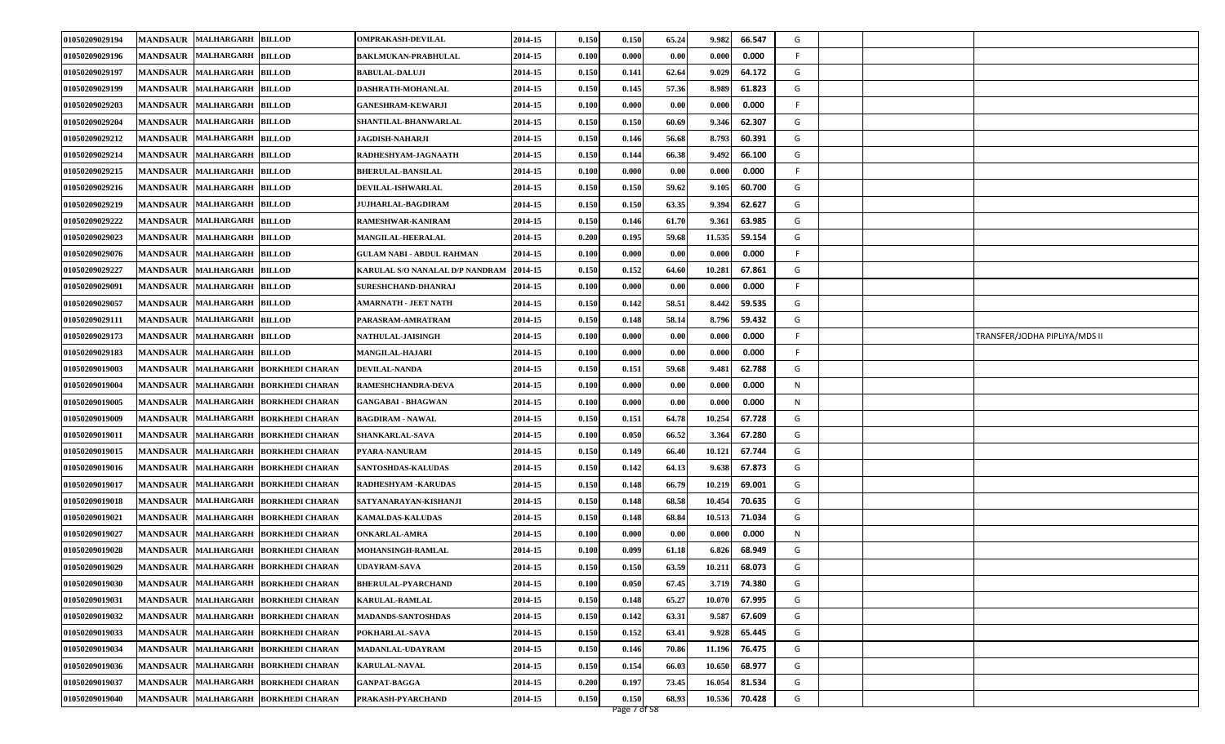| 01050209029194 | <b>MANDSAUR</b><br><b>MALHARGARH</b>        | <b>BILLOD</b>          | <b>OMPRAKASH-DEVILAL</b>        | 2014-15 | 0.150 | 0.150 | 65.24 | 9.982  | 66.547 | G |                               |
|----------------|---------------------------------------------|------------------------|---------------------------------|---------|-------|-------|-------|--------|--------|---|-------------------------------|
| 01050209029196 | <b>MALHARGARH</b><br><b>MANDSAUR</b>        | <b>BILLOD</b>          | <b>BAKLMUKAN-PRABHULAL</b>      | 2014-15 | 0.100 | 0.000 | 0.00  | 0.000  | 0.000  | F |                               |
| 01050209029197 | <b>MANDSAUR</b><br><b>MALHARGARH</b>        | <b>BILLOD</b>          | <b>BABULAL-DALUJI</b>           | 2014-15 | 0.150 | 0.141 | 62.64 | 9.029  | 64.172 | G |                               |
| 01050209029199 | <b>MANDSAUR</b><br><b>MALHARGARH</b>        | <b>BILLOD</b>          | <b>DASHRATH-MOHANLAL</b>        | 2014-15 | 0.150 | 0.145 | 57.36 | 8.989  | 61.823 | G |                               |
| 01050209029203 | <b>MANDSAUR</b><br><b>MALHARGARH</b>        | <b>BILLOD</b>          | <b>GANESHRAM-KEWARJI</b>        | 2014-15 | 0.100 | 0.000 | 0.00  | 0.000  | 0.000  | F |                               |
| 01050209029204 | <b>MANDSAUR</b><br><b>MALHARGARH</b>        | <b>BILLOD</b>          | SHANTILAL-BHANWARLAL            | 2014-15 | 0.150 | 0.150 | 60.69 | 9.346  | 62.307 | G |                               |
| 01050209029212 | <b>MANDSAUR</b><br><b>MALHARGARH</b>        | <b>BILLOD</b>          | <b>JAGDISH-NAHARJI</b>          | 2014-15 | 0.150 | 0.146 | 56.68 | 8.793  | 60.391 | G |                               |
| 01050209029214 | <b>MALHARGARH</b><br><b>MANDSAUR</b>        | <b>BILLOD</b>          | RADHESHYAM-JAGNAATH             | 2014-15 | 0.150 | 0.144 | 66.38 | 9.492  | 66.100 | G |                               |
| 01050209029215 | <b>MALHARGARH</b><br><b>MANDSAUR</b>        | <b>BILLOD</b>          | <b>BHERULAL-BANSILAL</b>        | 2014-15 | 0.100 | 0.000 | 0.00  | 0.000  | 0.000  | F |                               |
| 01050209029216 | <b>MALHARGARH</b><br><b>MANDSAUR</b>        | <b>BILLOD</b>          | DEVILAL-ISHWARLAL               | 2014-15 | 0.150 | 0.150 | 59.62 | 9.105  | 60.700 | G |                               |
| 01050209029219 | <b>MANDSAUR</b><br><b>MALHARGARH</b>        | <b>BILLOD</b>          | <b>JUJHARLAL-BAGDIRAM</b>       | 2014-15 | 0.150 | 0.150 | 63.35 | 9.394  | 62.627 | G |                               |
| 01050209029222 | <b>MANDSAUR</b><br><b>MALHARGARH</b>        | <b>BILLOD</b>          | RAMESHWAR-KANIRAM               | 2014-15 | 0.150 | 0.146 | 61.70 | 9.361  | 63.985 | G |                               |
| 01050209029023 | <b>MANDSAUR</b><br><b>MALHARGARH</b>        | <b>BILLOD</b>          | <b>MANGILAL-HEERALAL</b>        | 2014-15 | 0.200 | 0.195 | 59.68 | 11.535 | 59.154 | G |                               |
| 01050209029076 | <b>MALHARGARH</b><br><b>MANDSAUR</b>        | <b>BILLOD</b>          | GULAM NABI - ABDUL RAHMAN       | 2014-15 | 0.100 | 0.000 | 0.00  | 0.000  | 0.000  | F |                               |
| 01050209029227 | <b>MANDSAUR</b><br><b>MALHARGARH</b>        | <b>BILLOD</b>          | KARULAL S/O NANALAL D/P NANDRAM | 2014-15 | 0.150 | 0.152 | 64.60 | 10.281 | 67.861 | G |                               |
| 01050209029091 | <b>MALHARGARH</b><br><b>MANDSAUR</b>        | <b>BILLOD</b>          | <b>SURESHCHAND-DHANRAJ</b>      | 2014-15 | 0.100 | 0.000 | 0.00  | 0.000  | 0.000  |   |                               |
| 01050209029057 | <b>MANDSAUR</b><br><b>MALHARGARH</b>        | <b>BILLOD</b>          | <b>AMARNATH - JEET NATH</b>     | 2014-15 | 0.150 | 0.142 | 58.51 | 8.442  | 59.535 | G |                               |
| 01050209029111 | <b>MANDSAUR</b><br><b>MALHARGARH</b>        | <b>BILLOD</b>          | PARASRAM-AMRATRAM               | 2014-15 | 0.150 | 0.148 | 58.14 | 8.796  | 59.432 | G |                               |
| 01050209029173 | <b>MANDSAUR</b><br><b>MALHARGARH BILLOD</b> |                        | NATHULAL-JAISINGH               | 2014-15 | 0.100 | 0.000 | 0.00  | 0.000  | 0.000  | F | TRANSFER/JODHA PIPLIYA/MDS II |
| 01050209029183 | <b>MANDSAUR</b><br><b>MALHARGARH</b>        | <b>BILLOD</b>          | <b>MANGILAL-HAJARI</b>          | 2014-15 | 0.100 | 0.000 | 0.00  | 0.000  | 0.000  | F |                               |
| 01050209019003 | <b>MANDSAUR</b><br><b>MALHARGARH</b>        | <b>BORKHEDI CHARAN</b> | <b>DEVILAL-NANDA</b>            | 2014-15 | 0.150 | 0.151 | 59.68 | 9.481  | 62.788 | G |                               |
| 01050209019004 | <b>MANDSAUR</b><br><b>MALHARGARH</b>        | <b>BORKHEDI CHARAN</b> | RAMESHCHANDRA-DEVA              | 2014-15 | 0.100 | 0.000 | 0.00  | 0.000  | 0.000  | N |                               |
| 01050209019005 | <b>MANDSAUR</b><br><b>MALHARGARH</b>        | <b>BORKHEDI CHARAN</b> | GANGABAI - BHAGWAN              | 2014-15 | 0.100 | 0.000 | 0.00  | 0.000  | 0.000  | N |                               |
| 01050209019009 | <b>MANDSAUR</b><br><b>MALHARGARH</b>        | <b>BORKHEDI CHARAN</b> | <b>BAGDIRAM - NAWAL</b>         | 2014-15 | 0.150 | 0.151 | 64.78 | 10.254 | 67.728 | G |                               |
| 01050209019011 | <b>MANDSAUR</b><br><b>MALHARGARH</b>        | <b>BORKHEDI CHARAN</b> | <b>SHANKARLAL-SAVA</b>          | 2014-15 | 0.100 | 0.050 | 66.52 | 3.364  | 67.280 | G |                               |
| 01050209019015 | <b>MANDSAUR</b><br><b>MALHARGARH</b>        | <b>BORKHEDI CHARAN</b> | <b>PYARA-NANURAM</b>            | 2014-15 | 0.150 | 0.149 | 66.40 | 10.121 | 67.744 | G |                               |
| 01050209019016 | <b>MANDSAUR</b><br><b>MALHARGARH</b>        | <b>BORKHEDI CHARAN</b> | SANTOSHDAS-KALUDAS              | 2014-15 | 0.150 | 0.142 | 64.13 | 9.638  | 67.873 | G |                               |
| 01050209019017 | <b>MANDSAUR</b><br><b>MALHARGARH</b>        | <b>BORKHEDI CHARAN</b> | RADHESHYAM -KARUDAS             | 2014-15 | 0.150 | 0.148 | 66.79 | 10.219 | 69.001 | G |                               |
| 01050209019018 | <b>MANDSAUR</b><br><b>MALHARGARH</b>        | <b>BORKHEDI CHARAN</b> | SATYANARAYAN-KISHANJI           | 2014-15 | 0.150 | 0.148 | 68.58 | 10.454 | 70.635 | G |                               |
| 01050209019021 | <b>MANDSAUR</b><br><b>MALHARGARH</b>        | <b>BORKHEDI CHARAN</b> | <b>KAMALDAS-KALUDAS</b>         | 2014-15 | 0.150 | 0.148 | 68.84 | 10.513 | 71.034 | G |                               |
| 01050209019027 | <b>MALHARGARH</b><br><b>MANDSAUR</b>        | <b>BORKHEDI CHARAN</b> | <b>ONKARLAL-AMRA</b>            | 2014-15 | 0.100 | 0.000 | 0.00  | 0.000  | 0.000  | N |                               |
| 01050209019028 | <b>MALHARGARH</b><br><b>MANDSAUR</b>        | <b>BORKHEDI CHARAN</b> | <b>MOHANSINGH-RAMLAL</b>        | 2014-15 | 0.100 | 0.099 | 61.18 | 6.82   | 68.949 | G |                               |
| 01050209019029 | MANDSAUR MALHARGARH BORKHEDI CHARAN         |                        | <b>UDAYRAM-SAVA</b>             | 2014-15 | 0.150 | 0.150 | 63.59 | 10.211 | 68.073 | G |                               |
| 01050209019030 | MANDSAUR MALHARGARH BORKHEDI CHARAN         |                        | BHERULAL-PYARCHAND              | 2014-15 | 0.100 | 0.050 | 67.45 | 3.719  | 74.380 | G |                               |
| 01050209019031 | <b>MANDSAUR</b><br><b>MALHARGARH</b>        | <b>BORKHEDI CHARAN</b> | <b>KARULAL-RAMLAL</b>           | 2014-15 | 0.150 | 0.148 | 65.27 | 10.070 | 67.995 | G |                               |
| 01050209019032 | <b>MANDSAUR</b><br><b>MALHARGARH</b>        | <b>BORKHEDI CHARAN</b> | <b>MADANDS-SANTOSHDAS</b>       | 2014-15 | 0.150 | 0.142 | 63.31 | 9.587  | 67.609 | G |                               |
| 01050209019033 | <b>MANDSAUR</b><br><b>MALHARGARH</b>        | <b>BORKHEDI CHARAN</b> | POKHARLAL-SAVA                  | 2014-15 | 0.150 | 0.152 | 63.41 | 9.928  | 65.445 | G |                               |
| 01050209019034 | <b>MALHARGARH</b><br><b>MANDSAUR</b>        | <b>BORKHEDI CHARAN</b> | MADANLAL-UDAYRAM                | 2014-15 | 0.150 | 0.146 | 70.86 | 11.196 | 76.475 | G |                               |
| 01050209019036 | <b>MALHARGARH</b><br><b>MANDSAUR</b>        | <b>BORKHEDI CHARAN</b> | <b>KARULAL-NAVAL</b>            | 2014-15 | 0.150 | 0.154 | 66.03 | 10.650 | 68.977 | G |                               |
| 01050209019037 | <b>MALHARGARH</b><br><b>MANDSAUR</b>        | <b>BORKHEDI CHARAN</b> | <b>GANPAT-BAGGA</b>             | 2014-15 | 0.200 | 0.197 | 73.45 | 16.054 | 81.534 | G |                               |
| 01050209019040 | <b>MANDSAUR</b><br><b>MALHARGARH</b>        | <b>BORKHEDI CHARAN</b> | PRAKASH-PYARCHAND               | 2014-15 | 0.150 | 0.150 | 68.93 | 10.536 | 70.428 | G |                               |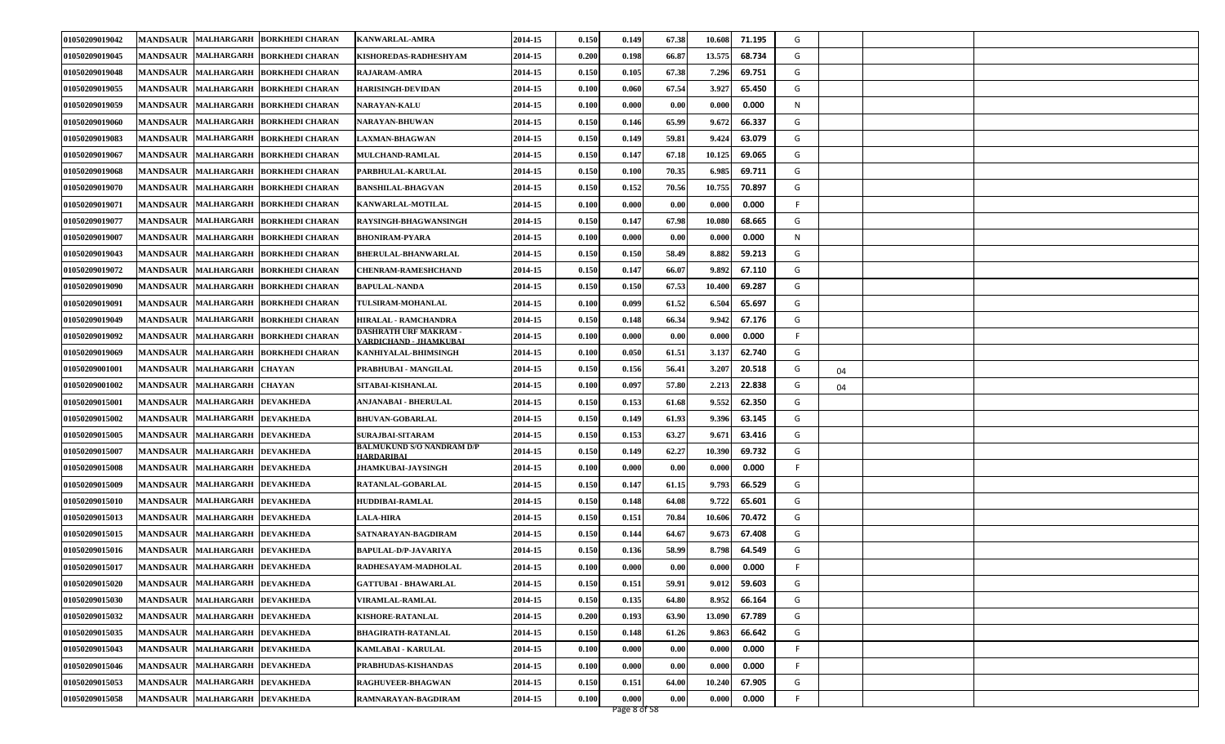| 01050209019042 |                               | MANDSAUR MALHARGARH BORKHEDI CHARAN     | <b>KANWARLAL-AMRA</b>                                 | 2014-15 | 0.150 | 0.149 | 67.38 | 10.608<br>71.195 | G  |    |  |
|----------------|-------------------------------|-----------------------------------------|-------------------------------------------------------|---------|-------|-------|-------|------------------|----|----|--|
| 01050209019045 | MANDSAUR MALHARGARH           | <b>BORKHEDI CHARAN</b>                  | KISHOREDAS-RADHESHYAM                                 | 2014-15 | 0.200 | 0.198 | 66.87 | 13.575<br>68.734 | G  |    |  |
| 01050209019048 |                               | MANDSAUR MALHARGARH BORKHEDI CHARAN     | <b>RAJARAM-AMRA</b>                                   | 2014-15 | 0.150 | 0.105 | 67.38 | 7.296<br>69.751  | G  |    |  |
| 01050209019055 |                               | MANDSAUR   MALHARGARH   BORKHEDI CHARAN | <b>HARISINGH-DEVIDAN</b>                              | 2014-15 | 0.100 | 0.060 | 67.54 | 3.927<br>65.450  | G  |    |  |
| 01050209019059 | MANDSAUR MALHARGARH           | <b>BORKHEDI CHARAN</b>                  | <b>NARAYAN-KALU</b>                                   | 2014-15 | 0.100 | 0.000 | 0.00  | 0.000<br>0.000   | N  |    |  |
| 01050209019060 |                               | MANDSAUR MALHARGARH BORKHEDI CHARAN     | NARAYAN-BHUWAN                                        | 2014-15 | 0.150 | 0.146 | 65.99 | 9.672<br>66.337  | G  |    |  |
| 01050209019083 |                               | MANDSAUR MALHARGARH BORKHEDI CHARAN     | <b>LAXMAN-BHAGWAN</b>                                 | 2014-15 | 0.150 | 0.149 | 59.81 | 9.424<br>63.079  | G  |    |  |
| 01050209019067 | MANDSAUR MALHARGARH           | <b>BORKHEDI CHARAN</b>                  | <b>MULCHAND-RAMLAL</b>                                | 2014-15 | 0.150 | 0.147 | 67.18 | 10.125<br>69.065 | G  |    |  |
| 01050209019068 | MANDSAUR MALHARGARH           | <b>BORKHEDI CHARAN</b>                  | PARBHULAL-KARULAL                                     | 2014-15 | 0.150 | 0.100 | 70.35 | 6.985<br>69.711  | G  |    |  |
| 01050209019070 |                               | MANDSAUR MALHARGARH BORKHEDI CHARAN     | <b>BANSHILAL-BHAGVAN</b>                              | 2014-15 | 0.150 | 0.152 | 70.56 | 10.755<br>70.897 | G  |    |  |
| 01050209019071 |                               | MANDSAUR MALHARGARH BORKHEDI CHARAN     | <b>KANWARLAL-MOTILAL</b>                              | 2014-15 | 0.100 | 0.000 | 0.00  | 0.000<br>0.000   | F  |    |  |
| 01050209019077 |                               | MANDSAUR MALHARGARH BORKHEDI CHARAN     | RAYSINGH-BHAGWANSINGH                                 | 2014-15 | 0.150 | 0.147 | 67.98 | 10.080<br>68.665 | G  |    |  |
| 01050209019007 |                               | MANDSAUR MALHARGARH BORKHEDI CHARAN     | <b>BHONIRAM-PYARA</b>                                 | 2014-15 | 0.100 | 0.000 | 0.00  | 0.000<br>0.000   | N  |    |  |
| 01050209019043 |                               | MANDSAUR MALHARGARH BORKHEDI CHARAN     | BHERULAL-BHANWARLAL                                   | 2014-15 | 0.150 | 0.150 | 58.49 | 8.882<br>59.213  | G  |    |  |
| 01050209019072 |                               | MANDSAUR MALHARGARH BORKHEDI CHARAN     | <b>CHENRAM-RAMESHCHAND</b>                            | 2014-15 | 0.150 | 0.147 | 66.07 | 9.892<br>67.110  | G  |    |  |
| 01050209019090 |                               | MANDSAUR   MALHARGARH   BORKHEDI CHARAN | <b>BAPULAL-NANDA</b>                                  | 2014-15 | 0.150 | 0.150 | 67.53 | 69.287<br>10.400 | G  |    |  |
| 01050209019091 |                               | MANDSAUR MALHARGARH BORKHEDI CHARAN     | <b>TULSIRAM-MOHANLAL</b>                              | 2014-15 | 0.100 | 0.099 | 61.52 | 6.504<br>65.697  | G  |    |  |
| 01050209019049 |                               | MANDSAUR MALHARGARH BORKHEDI CHARAN     | HIRALAL - RAMCHANDRA                                  | 2014-15 | 0.150 | 0.148 | 66.34 | 67.176<br>9.942  | G  |    |  |
| 01050209019092 |                               | MANDSAUR MALHARGARH BORKHEDI CHARAN     | <b>DASHRATH URF MAKRAM -</b><br>ARDICHAND - JHAMKUBAI | 2014-15 | 0.100 | 0.000 | 0.00  | 0.000<br>0.000   | F  |    |  |
| 01050209019069 |                               | MANDSAUR MALHARGARH BORKHEDI CHARAN     | KANHIYALAL-BHIMSINGH                                  | 2014-15 | 0.100 | 0.050 | 61.51 | 3.137<br>62.740  | G  |    |  |
| 01050209001001 | MANDSAUR MALHARGARH           | <b>CHAYAN</b>                           | PRABHUBAI - MANGILAL                                  | 2014-15 | 0.150 | 0.156 | 56.41 | 3.207<br>20.518  | G  | 04 |  |
| 01050209001002 | MANDSAUR MALHARGARH CHAYAN    |                                         | SITABAI-KISHANLAL                                     | 2014-15 | 0.100 | 0.097 | 57.80 | 2.213<br>22.838  | G  | 04 |  |
| 01050209015001 | MANDSAUR MALHARGARH DEVAKHEDA |                                         | ANJANABAI - BHERULAL                                  | 2014-15 | 0.150 | 0.153 | 61.68 | 9.552<br>62.350  | G  |    |  |
| 01050209015002 | MANDSAUR MALHARGARH DEVAKHEDA |                                         | <b>BHUVAN-GOBARLAL</b>                                | 2014-15 | 0.150 | 0.149 | 61.93 | 9.396<br>63.145  | G  |    |  |
| 01050209015005 | MANDSAUR MALHARGARH DEVAKHEDA |                                         | <b>SURAJBAI-SITARAM</b>                               | 2014-15 | 0.150 | 0.153 | 63.27 | 9.671<br>63.416  | G  |    |  |
| 01050209015007 | MANDSAUR MALHARGARH DEVAKHEDA |                                         | BALMUKUND S/O NANDRAM D/P<br>HARDARIBAI               | 2014-15 | 0.150 | 0.149 | 62.27 | 69.732<br>10.390 | G  |    |  |
| 01050209015008 | MANDSAUR MALHARGARH DEVAKHEDA |                                         | <b>JHAMKUBAI-JAYSINGH</b>                             | 2014-15 | 0.100 | 0.000 | 0.00  | 0.000<br>0.000   | F  |    |  |
| 01050209015009 | MANDSAUR MALHARGARH DEVAKHEDA |                                         | RATANLAL-GOBARLAL                                     | 2014-15 | 0.150 | 0.147 | 61.15 | 66.529<br>9.793  | G  |    |  |
| 01050209015010 | MANDSAUR MALHARGARH DEVAKHEDA |                                         | HUDDIBAI-RAMLAL                                       | 2014-15 | 0.150 | 0.148 | 64.08 | 9.722<br>65.601  | G  |    |  |
| 01050209015013 | MANDSAUR MALHARGARH DEVAKHEDA |                                         | <b>LALA-HIRA</b>                                      | 2014-15 | 0.150 | 0.151 | 70.84 | 70.472<br>10.606 | G  |    |  |
| 01050209015015 | MANDSAUR MALHARGARH DEVAKHEDA |                                         | SATNARAYAN-BAGDIRAM                                   | 2014-15 | 0.150 | 0.144 | 64.67 | 67.408<br>9.673  | G  |    |  |
| 01050209015016 | MANDSAUR MALHARGARH DEVAKHEDA |                                         | BAPULAL-D/P-JAVARIYA                                  | 2014-15 | 0.150 | 0.136 | 58.99 | 64.549<br>8.798  | G  |    |  |
| 01050209015017 | MANDSAUR MALHARGARH DEVAKHEDA |                                         | RADHESAYAM-MADHOLAL                                   | 2014-15 | 0.100 | 0.000 | 0.00  | 0.000<br>0.000   | F  |    |  |
| 01050209015020 | MANDSAUR MALHARGARH DEVAKHEDA |                                         | <b>GATTUBAI - BHAWARLAL</b>                           | 2014-15 | 0.150 | 0.151 | 59.91 | 59.603<br>9.012  | G  |    |  |
| 01050209015030 | MANDSAUR MALHARGARH DEVAKHEDA |                                         | VIRAMLAL-RAMLAL                                       | 2014-15 | 0.150 | 0.135 | 64.80 | 66.164<br>8.952  | G  |    |  |
| 01050209015032 | MANDSAUR MALHARGARH DEVAKHEDA |                                         | <b>KISHORE-RATANLAL</b>                               | 2014-15 | 0.200 | 0.193 | 63.90 | 13.090<br>67.789 | G  |    |  |
| 01050209015035 | MANDSAUR MALHARGARH DEVAKHEDA |                                         | <b>BHAGIRATH-RATANLAL</b>                             | 2014-15 | 0.150 | 0.148 | 61.26 | 9.863<br>66.642  | G  |    |  |
| 01050209015043 | MANDSAUR MALHARGARH DEVAKHEDA |                                         | KAMLABAI - KARULAL                                    | 2014-15 | 0.100 | 0.000 | 0.00  | 0.000<br>0.000   | F  |    |  |
| 01050209015046 | MANDSAUR MALHARGARH DEVAKHEDA |                                         | PRABHUDAS-KISHANDAS                                   | 2014-15 | 0.100 | 0.000 | 0.00  | 0.000<br>0.000   | F. |    |  |
| 01050209015053 | MANDSAUR MALHARGARH DEVAKHEDA |                                         | <b>RAGHUVEER-BHAGWAN</b>                              | 2014-15 | 0.150 | 0.151 | 64.00 | 67.905<br>10.240 | G  |    |  |
| 01050209015058 | MANDSAUR MALHARGARH DEVAKHEDA |                                         | RAMNARAYAN-BAGDIRAM                                   | 2014-15 | 0.100 | 0.000 | 0.00  | 0.000<br>0.000   | F. |    |  |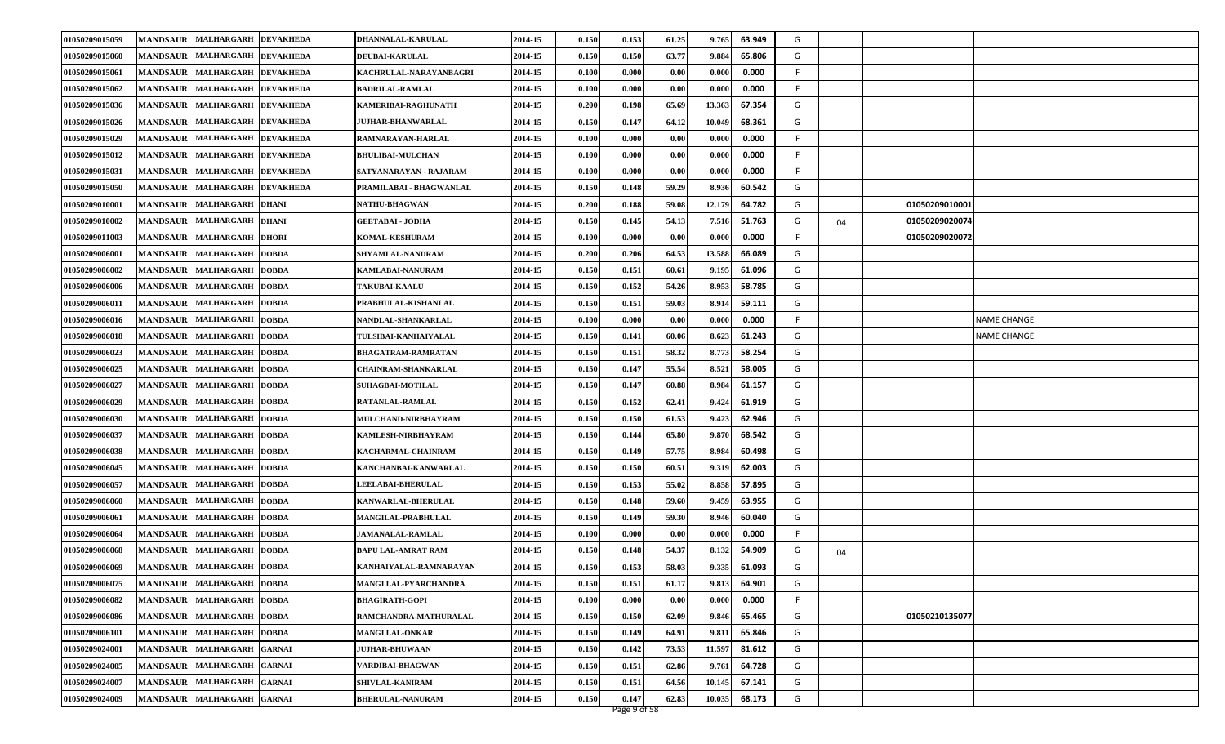| 01050209015059 | MANDSAUR MALHARGARH DEVAKHEDA                            | DHANNALAL-KARULAL          | 2014-15 | 0.150 | 0.153 | 61.25 | 9.765<br>63.949  | G  |    |                |             |
|----------------|----------------------------------------------------------|----------------------------|---------|-------|-------|-------|------------------|----|----|----------------|-------------|
| 01050209015060 | MANDSAUR   MALHARGARH<br><b>DEVAKHEDA</b>                | <b>DEUBAI-KARULAL</b>      | 2014-15 | 0.150 | 0.150 | 63.77 | 9.884<br>65.806  | G  |    |                |             |
| 01050209015061 | MANDSAUR MALHARGARH<br><b>DEVAKHEDA</b>                  | KACHRULAL-NARAYANBAGRI     | 2014-15 | 0.100 | 0.000 | 0.00  | 0.000<br>0.000   | F. |    |                |             |
| 01050209015062 | MANDSAUR MALHARGARH DEVAKHEDA                            | BADRILAL-RAMLAL            | 2014-15 | 0.100 | 0.000 | 0.00  | 0.000<br>0.000   | F  |    |                |             |
| 01050209015036 | <b>MANDSAUR</b><br>MALHARGARH DEVAKHEDA                  | KAMERIBAI-RAGHUNATH        | 2014-15 | 0.200 | 0.198 | 65.69 | 13.363<br>67.354 | G  |    |                |             |
| 01050209015026 | MANDSAUR MALHARGARH DEVAKHEDA                            | <b>JUJHAR-BHANWARLAL</b>   | 2014-15 | 0.150 | 0.147 | 64.12 | 10.049<br>68.361 | G  |    |                |             |
| 01050209015029 | MANDSAUR MALHARGARH DEVAKHEDA                            | RAMNARAYAN-HARLAL          | 2014-15 | 0.100 | 0.000 | 0.00  | 0.000<br>0.000   | F. |    |                |             |
| 01050209015012 | MANDSAUR MALHARGARH DEVAKHEDA                            | <b>BHULIBAI-MULCHAN</b>    | 2014-15 | 0.100 | 0.000 | 0.00  | 0.000<br>0.000   | F  |    |                |             |
| 01050209015031 | <b>MANDSAUR</b><br><b>MALHARGARH</b><br><b>DEVAKHEDA</b> | SATYANARAYAN - RAJARAM     | 2014-15 | 0.100 | 0.000 | 0.00  | 0.000<br>0.000   | F. |    |                |             |
| 01050209015050 | <b>MANDSAUR</b><br><b>MALHARGARH</b><br><b>DEVAKHEDA</b> | PRAMILABAI - BHAGWANLAL    | 2014-15 | 0.150 | 0.148 | 59.29 | 8.936<br>60.542  | G  |    |                |             |
| 01050209010001 | MANDSAUR MALHARGARH DHANI                                | <b>NATHU-BHAGWAN</b>       | 2014-15 | 0.200 | 0.188 | 59.08 | 64.782<br>12.179 | G  |    | 01050209010001 |             |
| 01050209010002 | <b>MANDSAUR MALHARGARH</b><br><b>DHANI</b>               | <b>GEETABAI - JODHA</b>    | 2014-15 | 0.150 | 0.145 | 54.13 | 7.516<br>51.763  | G  | 04 | 01050209020074 |             |
| 01050209011003 | <b>MANDSAUR</b><br><b>MALHARGARH</b><br><b>DHORI</b>     | <b>KOMAL-KESHURAM</b>      | 2014-15 | 0.100 | 0.000 | 0.00  | 0.000<br>0.000   | F. |    | 01050209020072 |             |
| 01050209006001 | MANDSAUR MALHARGARH<br><b>DOBDA</b>                      | SHYAMLAL-NANDRAM           | 2014-15 | 0.200 | 0.206 | 64.53 | 13.588<br>66.089 | G  |    |                |             |
| 01050209006002 | MANDSAUR MALHARGARH<br><b>DOBDA</b>                      | KAMLABAI-NANURAM           | 2014-15 | 0.150 | 0.151 | 60.61 | 9.195<br>61.096  | G  |    |                |             |
| 01050209006006 | MANDSAUR MALHARGARH<br><b>DOBDA</b>                      | <b>TAKUBAI-KAALU</b>       | 2014-15 | 0.150 | 0.152 | 54.26 | 58.785<br>8.953  | G  |    |                |             |
| 01050209006011 | <b>MALHARGARH</b><br><b>MANDSAUR</b><br><b>DOBDA</b>     | PRABHULAL-KISHANLAL        | 2014-15 | 0.150 | 0.151 | 59.03 | 8.914<br>59.111  | G  |    |                |             |
| 01050209006016 | <b>MANDSAUR</b><br><b>MALHARGARH</b><br><b>DOBDA</b>     | NANDLAL-SHANKARLAL         | 2014-15 | 0.100 | 0.000 | 0.00  | 0.000<br>0.000   | F. |    |                | NAME CHANGE |
| 01050209006018 | MANDSAUR MALHARGARH<br><b>DOBDA</b>                      | TULSIBAI-KANHAIYALAL       | 2014-15 | 0.150 | 0.141 | 60.06 | 8.623<br>61.243  | G  |    |                | NAME CHANGE |
| 01050209006023 | MANDSAUR MALHARGARH<br><b>DOBDA</b>                      | BHAGATRAM-RAMRATAN         | 2014-15 | 0.150 | 0.151 | 58.32 | 8.773<br>58.254  | G  |    |                |             |
| 01050209006025 | <b>MANDSAUR</b><br><b>MALHARGARH</b><br><b>DOBDA</b>     | <b>CHAINRAM-SHANKARLAL</b> | 2014-15 | 0.150 | 0.147 | 55.54 | 8.521<br>58.005  | G  |    |                |             |
| 01050209006027 | MANDSAUR MALHARGARH<br><b>DOBDA</b>                      | SUHAGBAI-MOTILAL           | 2014-15 | 0.150 | 0.147 | 60.88 | 8.984<br>61.157  | G  |    |                |             |
| 01050209006029 | MANDSAUR MALHARGARH<br><b>DOBDA</b>                      | RATANLAL-RAMLAL            | 2014-15 | 0.150 | 0.152 | 62.41 | 9.424<br>61.919  | G  |    |                |             |
| 01050209006030 | <b>MANDSAUR</b><br><b>MALHARGARH</b><br><b>DOBDA</b>     | <b>MULCHAND-NIRBHAYRAM</b> | 2014-15 | 0.150 | 0.150 | 61.53 | 9.423<br>62.946  | G  |    |                |             |
| 01050209006037 | <b>MANDSAUR</b><br><b>MALHARGARH</b><br><b>DOBDA</b>     | KAMLESH-NIRBHAYRAM         | 2014-15 | 0.150 | 0.144 | 65.80 | 9.870<br>68.542  | G  |    |                |             |
| 01050209006038 | MANDSAUR MALHARGARH<br><b>DOBDA</b>                      | KACHARMAL-CHAINRAM         | 2014-15 | 0.150 | 0.149 | 57.75 | 8.984<br>60.498  | G  |    |                |             |
| 01050209006045 | MANDSAUR MALHARGARH<br><b>DOBDA</b>                      | KANCHANBAI-KANWARLAL       | 2014-15 | 0.150 | 0.150 | 60.51 | 9.319<br>62.003  | G  |    |                |             |
| 01050209006057 | <b>MANDSAUR</b><br><b>MALHARGARH</b><br><b>DOBDA</b>     | <b>LEELABAI-BHERULAL</b>   | 2014-15 | 0.150 | 0.153 | 55.02 | 57.895<br>8.858  | G  |    |                |             |
| 01050209006060 | MANDSAUR MALHARGARH<br><b>DOBDA</b>                      | KANWARLAL-BHERULAL         | 2014-15 | 0.150 | 0.148 | 59.60 | 9.459<br>63.955  | G  |    |                |             |
| 01050209006061 | MANDSAUR MALHARGARH<br><b>DOBDA</b>                      | MANGILAL-PRABHULAL         | 2014-15 | 0.150 | 0.149 | 59.30 | 8.946<br>60.040  | G  |    |                |             |
| 01050209006064 | MANDSAUR MALHARGARH DOBDA                                | <b>JAMANALAL-RAMLAL</b>    | 2014-15 | 0.100 | 0.000 | 0.00  | 0.000<br>0.000   | F  |    |                |             |
| 01050209006068 | <b>MANDSAUR</b><br><b>MALHARGARH</b><br><b>DOBDA</b>     | BAPU LAL-AMRAT RAM         | 2014-15 | 0.150 | 0.148 | 54.37 | 8.132<br>54.909  | G  | 04 |                |             |
| 01050209006069 | MANDSAUR MALHARGARH DOBDA                                | KANHAIYALAL-RAMNARAYAN     | 2014-15 | 0.150 | 0.153 | 58.03 | 9.335<br>61.093  | G  |    |                |             |
| 01050209006075 | MANDSAUR MALHARGARH DOBDA                                | MANGI LAL-PYARCHANDRA      | 2014-15 | 0.150 | 0.151 | 61.17 | 9.813<br>64.901  | G  |    |                |             |
| 01050209006082 | MANDSAUR MALHARGARH DOBDA                                | <b>BHAGIRATH-GOPI</b>      | 2014-15 | 0.100 | 0.000 | 0.00  | 0.000<br>0.000   | F  |    |                |             |
| 01050209006086 | MANDSAUR MALHARGARH DOBDA                                | RAMCHANDRA-MATHURALAL      | 2014-15 | 0.150 | 0.150 | 62.09 | 65.465<br>9.846  | G  |    | 01050210135077 |             |
| 01050209006101 | MANDSAUR MALHARGARH DOBDA                                | <b>MANGI LAL-ONKAR</b>     | 2014-15 | 0.150 | 0.149 | 64.91 | 9.811<br>65.846  | G  |    |                |             |
| 01050209024001 | MANDSAUR MALHARGARH GARNAI                               | <b>JUJHAR-BHUWAAN</b>      | 2014-15 | 0.150 | 0.142 | 73.53 | 11.597<br>81.612 | G  |    |                |             |
| 01050209024005 | MANDSAUR MALHARGARH GARNAI                               | VARDIBAI-BHAGWAN           | 2014-15 | 0.150 | 0.151 | 62.86 | 64.728<br>9.761  | G  |    |                |             |
| 01050209024007 | MANDSAUR MALHARGARH GARNAI                               | SHIVLAL-KANIRAM            | 2014-15 | 0.150 | 0.151 | 64.56 | 67.141<br>10.145 | G  |    |                |             |
| 01050209024009 | MANDSAUR MALHARGARH GARNAI                               | <b>BHERULAL-NANURAM</b>    | 2014-15 | 0.150 | 0.147 | 62.83 | 10.035<br>68.173 | G  |    |                |             |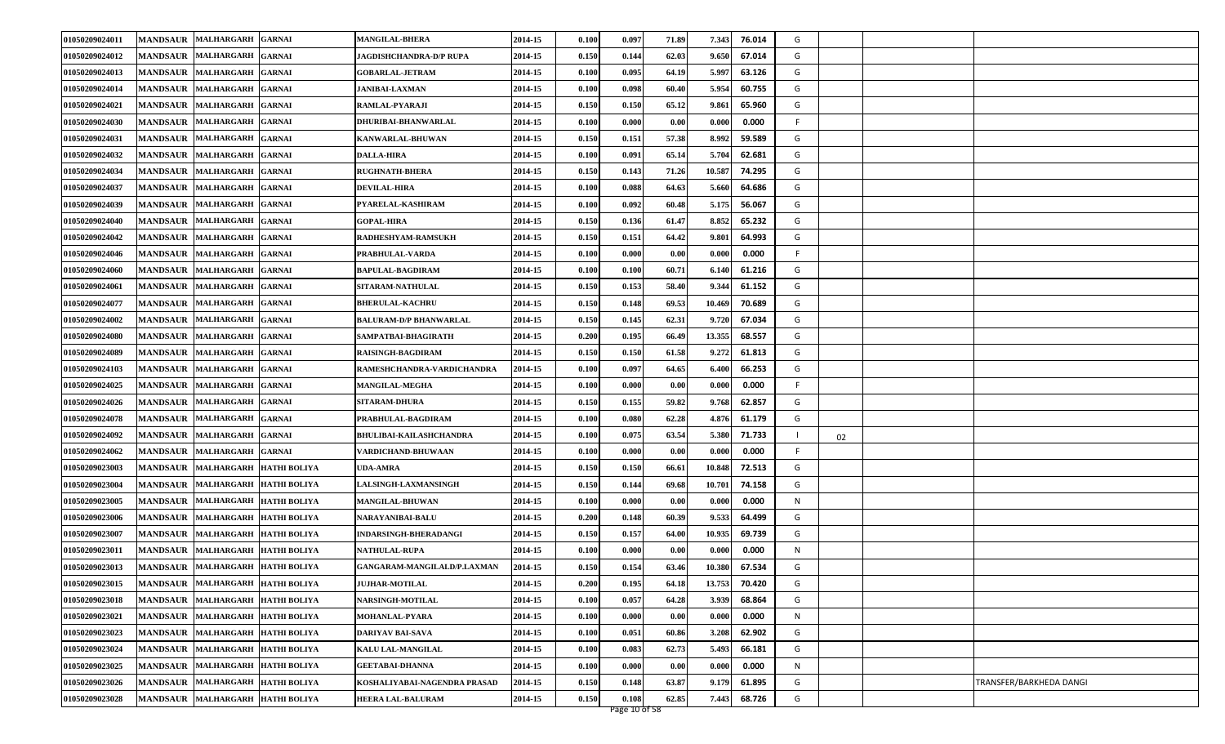| 01050209024011 | <b>MANDSAUR</b> | <b>MALHARGARH</b><br><b>GARNAI</b>                | <b>MANGILAL-BHERA</b>          | 2014-15 | 0.100 | 0.097                  | 71.89 | 7.343                | 76.014 | G   |    |                         |
|----------------|-----------------|---------------------------------------------------|--------------------------------|---------|-------|------------------------|-------|----------------------|--------|-----|----|-------------------------|
| 01050209024012 |                 | MANDSAUR MALHARGARH<br><b>GARNAI</b>              | JAGDISHCHANDRA-D/P RUPA        | 2014-15 | 0.150 | 0.144                  | 62.03 | 9.650                | 67.014 | G   |    |                         |
| 01050209024013 |                 | MANDSAUR MALHARGARH<br><b>GARNAI</b>              | <b>GOBARLAL-JETRAM</b>         | 2014-15 | 0.100 | 0.095                  | 64.19 | 5.997                | 63.126 | G   |    |                         |
| 01050209024014 |                 | <b>MANDSAUR MALHARGARH</b><br><b>GARNAI</b>       | <b>JANIBAI-LAXMAN</b>          | 2014-15 | 0.100 | 0.098                  | 60.40 | 5.954                | 60.755 | G   |    |                         |
| 01050209024021 | <b>MANDSAUR</b> | <b>MALHARGARH</b><br><b>GARNAI</b>                | RAMLAL-PYARAJI                 | 2014-15 | 0.150 | 0.150                  | 65.12 | 9.861                | 65.960 | G   |    |                         |
| 01050209024030 |                 | MANDSAUR MALHARGARH<br><b>GARNAI</b>              | DHURIBAI-BHANWARLAL            | 2014-15 | 0.100 | 0.000                  | 0.00  | 0.000                | 0.000  | -F  |    |                         |
| 01050209024031 |                 | MANDSAUR MALHARGARH<br><b>GARNAI</b>              | KANWARLAL-BHUWAN               | 2014-15 | 0.150 | 0.151                  | 57.38 | 8.992                | 59.589 | G   |    |                         |
| 01050209024032 | <b>MANDSAUR</b> | <b>MALHARGARH</b><br><b>GARNAI</b>                | DALLA-HIRA                     | 2014-15 | 0.100 | 0.091                  | 65.14 | 5.704                | 62.681 | G   |    |                         |
| 01050209024034 | <b>MANDSAUR</b> | <b>MALHARGARH</b><br><b>GARNAI</b>                | <b>RUGHNATH-BHERA</b>          | 2014-15 | 0.150 | 0.143                  | 71.26 | 10.587               | 74.295 | G   |    |                         |
| 01050209024037 | <b>MANDSAUR</b> | <b>MALHARGARH</b><br><b>GARNAI</b>                | <b>DEVILAL-HIRA</b>            | 2014-15 | 0.100 | 0.088                  | 64.63 | 5.660                | 64.686 | G   |    |                         |
| 01050209024039 |                 | MANDSAUR MALHARGARH<br><b>GARNAI</b>              | PYARELAL-KASHIRAM              | 2014-15 | 0.100 | 0.092                  | 60.48 | 5.175                | 56.067 | G   |    |                         |
| 01050209024040 | <b>MANDSAUR</b> | <b>MALHARGARH</b><br><b>GARNAI</b>                | <b>GOPAL-HIRA</b>              | 2014-15 | 0.150 | 0.136                  | 61.47 | 8.852                | 65.232 | G   |    |                         |
| 01050209024042 | <b>MANDSAUR</b> | <b>MALHARGARH</b><br><b>GARNAI</b>                | RADHESHYAM-RAMSUKH             | 2014-15 | 0.150 | 0.151                  | 64.42 | 9.801                | 64.993 | G   |    |                         |
| 01050209024046 |                 | MANDSAUR MALHARGARH<br><b>GARNAI</b>              | PRABHULAL-VARDA                | 2014-15 | 0.100 | 0.000                  | 0.00  | 0.000                | 0.000  | -F  |    |                         |
| 01050209024060 |                 | MANDSAUR MALHARGARH<br><b>GARNAI</b>              | <b>BAPULAL-BAGDIRAM</b>        | 2014-15 | 0.100 | 0.100                  | 60.71 | 6.140                | 61.216 | G   |    |                         |
| 01050209024061 | <b>MANDSAUR</b> | <b>MALHARGARH</b><br><b>GARNAI</b>                | <b>SITARAM-NATHULAL</b>        | 2014-15 | 0.150 | 0.153                  | 58.40 | 9.344                | 61.152 | G   |    |                         |
| 01050209024077 | <b>MANDSAUR</b> | <b>MALHARGARH</b><br><b>GARNAI</b>                | <b>BHERULAL-KACHRU</b>         | 2014-15 | 0.150 | 0.148                  | 69.53 | 10.469               | 70.689 | G   |    |                         |
| 01050209024002 |                 | MANDSAUR MALHARGARH<br><b>GARNAI</b>              | <b>BALURAM-D/P BHANWARLAL</b>  | 2014-15 | 0.150 | 0.145                  | 62.31 | 9.720                | 67.034 | G   |    |                         |
| 01050209024080 |                 | MANDSAUR MALHARGARH<br><b>GARNAI</b>              | SAMPATBAI-BHAGIRATH            | 2014-15 | 0.200 | 0.195                  | 66.49 | 13.355               | 68.557 | G   |    |                         |
| 01050209024089 | <b>MANDSAUR</b> | <b>MALHARGARH</b><br><b>GARNAI</b>                | <b>RAISINGH-BAGDIRAM</b>       | 2014-15 | 0.150 | 0.150                  | 61.58 | 9.272                | 61.813 | G   |    |                         |
| 01050209024103 |                 | MANDSAUR MALHARGARH<br><b>GARNAI</b>              | RAMESHCHANDRA-VARDICHANDRA     | 2014-15 | 0.100 | 0.097                  | 64.65 | 6.400                | 66.253 | G   |    |                         |
| 01050209024025 |                 | MANDSAUR MALHARGARH<br><b>GARNAI</b>              | <b>MANGILAL-MEGHA</b>          | 2014-15 | 0.100 | 0.000                  | 0.00  | 0.000                | 0.000  | -F  |    |                         |
| 01050209024026 | <b>MANDSAUR</b> | <b>MALHARGARH</b><br><b>GARNAI</b>                | <b>SITARAM-DHURA</b>           | 2014-15 | 0.150 | 0.155                  | 59.82 | 9.768                | 62.857 | G   |    |                         |
| 01050209024078 | <b>MANDSAUR</b> | <b>MALHARGARH</b><br><b>GARNAI</b>                | PRABHULAL-BAGDIRAM             | 2014-15 | 0.100 | 0.080                  | 62.28 | 4.876                | 61.179 | G   |    |                         |
| 01050209024092 |                 | <b>MANDSAUR MALHARGARH</b><br><b>GARNAI</b>       | <b>BHULIBAI-KAILASHCHANDRA</b> | 2014-15 | 0.100 | 0.075                  | 63.54 | 5.380                | 71.733 | - 1 | 02 |                         |
| 01050209024062 |                 | MANDSAUR MALHARGARH<br><b>GARNAI</b>              | VARDICHAND-BHUWAAN             | 2014-15 | 0.100 | 0.000                  | 0.00  | 0.000                | 0.000  | - F |    |                         |
| 01050209023003 | <b>MANDSAUR</b> | <b>MALHARGARH</b><br><b>HATHI BOLIYA</b>          | UDA-AMRA                       | 2014-15 | 0.150 | 0.150                  | 66.6  | 10.848               | 72.513 | G   |    |                         |
| 01050209023004 | <b>MANDSAUR</b> | <b>MALHARGARH</b><br><b>HATHI BOLIYA</b>          | <b>LALSINGH-LAXMANSINGH</b>    | 2014-15 | 0.150 | 0.144                  | 69.68 | 10.701               | 74.158 | G   |    |                         |
| 01050209023005 |                 | <b>MANDSAUR MALHARGARH</b><br><b>HATHI BOLIYA</b> | <b>MANGILAL-BHUWAN</b>         | 2014-15 | 0.100 | 0.000                  | 0.00  | $\boldsymbol{0.000}$ | 0.000  | N   |    |                         |
| 01050209023006 |                 | MANDSAUR MALHARGARH<br><b>HATHI BOLIYA</b>        | <b>NARAYANIBAI-BALU</b>        | 2014-15 | 0.200 | 0.148                  | 60.39 | 9.533                | 64.499 | G   |    |                         |
| 01050209023007 | <b>MANDSAUR</b> | <b>MALHARGARH</b><br><b>HATHI BOLIYA</b>          | INDARSINGH-BHERADANGI          | 2014-15 | 0.150 | 0.157                  | 64.00 | 10.935               | 69.739 | G   |    |                         |
| 01050209023011 | <b>MANDSAUR</b> | <b>MALHARGARH</b><br><b>HATHI BOLIYA</b>          | <b>NATHULAL-RUPA</b>           | 2014-15 | 0.100 | 0.000                  | 0.00  | 0.000                | 0.000  | N   |    |                         |
| 01050209023013 |                 | MANDSAUR   MALHARGARH   HATHI BOLIYA              | GANGARAM-MANGILALD/P.LAXMAN    | 2014-15 | 0.150 | 0.154                  | 63.46 | 10.380               | 67.534 | G   |    |                         |
| 01050209023015 |                 | MANDSAUR MALHARGARH HATHI BOLIYA                  | <b>JUJHAR-MOTILAL</b>          | 2014-15 | 0.200 | 0.195                  | 64.18 | 13.753               | 70.420 | G   |    |                         |
| 01050209023018 |                 | MANDSAUR MALHARGARH HATHI BOLIYA                  | <b>NARSINGH-MOTILAL</b>        | 2014-15 | 0.100 | 0.057                  | 64.28 | 3.939                | 68.864 | G   |    |                         |
| 01050209023021 |                 | MANDSAUR MALHARGARH HATHI BOLIYA                  | MOHANLAL-PYARA                 | 2014-15 | 0.100 | 0.000                  | 0.00  | 0.000                | 0.000  | N   |    |                         |
| 01050209023023 |                 | MANDSAUR MALHARGARH HATHI BOLIYA                  | DARIYAV BAI-SAVA               | 2014-15 | 0.100 | 0.051                  | 60.86 | 3.208                | 62.902 | G   |    |                         |
| 01050209023024 |                 | MANDSAUR MALHARGARH HATHI BOLIYA                  | KALU LAL-MANGILAL              | 2014-15 | 0.100 | 0.083                  | 62.73 | 5.493                | 66.181 | G   |    |                         |
| 01050209023025 |                 | MANDSAUR MALHARGARH HATHI BOLIYA                  | <b>GEETABAI-DHANNA</b>         | 2014-15 | 0.100 | 0.000                  | 0.00  | 0.000                | 0.000  | N   |    |                         |
| 01050209023026 |                 | MANDSAUR MALHARGARH HATHI BOLIYA                  | KOSHALIYABAI-NAGENDRA PRASAD   | 2014-15 | 0.150 | 0.148                  | 63.87 | 9.179                | 61.895 | G   |    | TRANSFER/BARKHEDA DANGI |
| 01050209023028 |                 | MANDSAUR MALHARGARH HATHI BOLIYA                  | <b>HEERA LAL-BALURAM</b>       | 2014-15 | 0.150 | 0.108<br>Page 10 of 58 | 62.85 | 7.443                | 68.726 | G   |    |                         |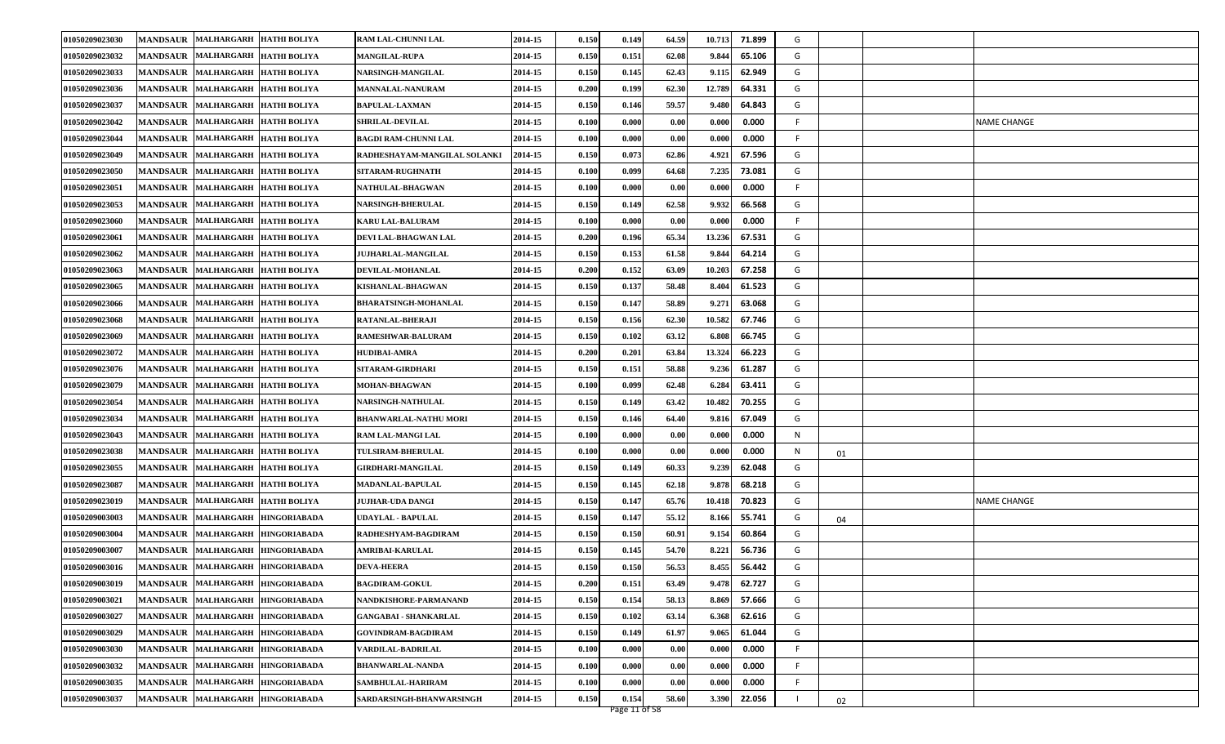| 01050209023030 | <b>MANDSAUR</b><br>MALHARGARH HATHI BOLIYA                  |                     | RAM LAL-CHUNNI LAL           | 2014-15 | 0.150 | 0.149 | 64.59 | 10.713 | 71.899 | G  |    |                    |
|----------------|-------------------------------------------------------------|---------------------|------------------------------|---------|-------|-------|-------|--------|--------|----|----|--------------------|
| 01050209023032 | MALHARGARH HATHI BOLIYA<br><b>MANDSAUR</b>                  |                     | <b>MANGILAL-RUPA</b>         | 2014-15 | 0.150 | 0.151 | 62.08 | 9.844  | 65.106 | G  |    |                    |
| 01050209023033 | <b>MANDSAUR</b><br><b>MALHARGARH</b><br><b>HATHI BOLIYA</b> |                     | <b>NARSINGH-MANGILAL</b>     | 2014-15 | 0.150 | 0.145 | 62.43 | 9.115  | 62.949 | G  |    |                    |
| 01050209023036 | MANDSAUR MALHARGARH HATHI BOLIYA                            |                     | <b>MANNALAL-NANURAM</b>      | 2014-15 | 0.200 | 0.199 | 62.30 | 12.789 | 64.331 | G  |    |                    |
| 01050209023037 | <b>MANDSAUR</b><br><b>MALHARGARH</b>                        | <b>HATHI BOLIYA</b> | <b>BAPULAL-LAXMAN</b>        | 2014-15 | 0.150 | 0.146 | 59.57 | 9.480  | 64.843 | G  |    |                    |
| 01050209023042 | <b>MANDSAUR</b><br><b>MALHARGARH</b><br><b>HATHI BOLIYA</b> |                     | <b>SHRILAL-DEVILAL</b>       | 2014-15 | 0.100 | 0.000 | 0.00  | 0.000  | 0.000  | F. |    | NAME CHANGE        |
| 01050209023044 | <b>MANDSAUR</b><br>MALHARGARH HATHI BOLIYA                  |                     | <b>BAGDI RAM-CHUNNI LAL</b>  | 2014-15 | 0.100 | 0.000 | 0.00  | 0.000  | 0.000  | F. |    |                    |
| 01050209023049 | <b>MANDSAUR</b><br><b>MALHARGARH</b><br><b>HATHI BOLIYA</b> |                     | RADHESHAYAM-MANGILAL SOLANKI | 2014-15 | 0.150 | 0.073 | 62.86 | 4.921  | 67.596 | G  |    |                    |
| 01050209023050 | <b>MALHARGARH</b><br><b>MANDSAUR</b>                        | <b>HATHI BOLIYA</b> | SITARAM-RUGHNATH             | 2014-15 | 0.100 | 0.099 | 64.68 | 7.235  | 73.081 | G  |    |                    |
| 01050209023051 | <b>MANDSAUR</b><br><b>MALHARGARH</b><br><b>HATHI BOLIYA</b> |                     | <b>NATHULAL-BHAGWAN</b>      | 2014-15 | 0.100 | 0.000 | 0.00  | 0.000  | 0.000  | F. |    |                    |
| 01050209023053 | <b>MANDSAUR</b><br>MALHARGARH HATHI BOLIYA                  |                     | <b>NARSINGH-BHERULAL</b>     | 2014-15 | 0.150 | 0.149 | 62.58 | 9.932  | 66.568 | G  |    |                    |
| 01050209023060 | <b>MANDSAUR</b><br><b>MALHARGARH</b><br><b>HATHI BOLIYA</b> |                     | <b>KARU LAL-BALURAM</b>      | 2014-15 | 0.100 | 0.000 | 0.00  | 0.000  | 0.000  | F. |    |                    |
| 01050209023061 | <b>MANDSAUR</b><br><b>MALHARGARH</b>                        | <b>HATHI BOLIYA</b> | DEVI LAL-BHAGWAN LAL         | 2014-15 | 0.200 | 0.196 | 65.34 | 13.236 | 67.531 | G  |    |                    |
| 01050209023062 | MALHARGARH HATHI BOLIYA<br><b>MANDSAUR</b>                  |                     | <b>JUJHARLAL-MANGILAL</b>    | 2014-15 | 0.150 | 0.153 | 61.58 | 9.844  | 64.214 | G  |    |                    |
| 01050209023063 | MALHARGARH HATHI BOLIYA<br><b>MANDSAUR</b>                  |                     | DEVILAL-MOHANLAL             | 2014-15 | 0.200 | 0.152 | 63.09 | 10.203 | 67.258 | G  |    |                    |
| 01050209023065 | <b>MALHARGARH</b><br><b>MANDSAUR</b>                        | <b>HATHI BOLIYA</b> | KISHANLAL-BHAGWAN            | 2014-15 | 0.150 | 0.137 | 58.48 | 8.404  | 61.523 | G  |    |                    |
| 01050209023066 | <b>MANDSAUR</b><br><b>MALHARGARH</b>                        | <b>HATHI BOLIYA</b> | <b>BHARATSINGH-MOHANLAL</b>  | 2014-15 | 0.150 | 0.147 | 58.89 | 9.271  | 63.068 | G  |    |                    |
| 01050209023068 | <b>MANDSAUR</b><br><b>MALHARGARH</b>                        | <b>HATHI BOLIYA</b> | RATANLAL-BHERAJI             | 2014-15 | 0.150 | 0.156 | 62.30 | 10.582 | 67.746 | G  |    |                    |
| 01050209023069 | MANDSAUR MALHARGARH HATHI BOLIYA                            |                     | <b>RAMESHWAR-BALURAM</b>     | 2014-15 | 0.150 | 0.102 | 63.12 | 6.808  | 66.745 | G  |    |                    |
| 01050209023072 | <b>MALHARGARH</b><br><b>MANDSAUR</b>                        | <b>HATHI BOLIYA</b> | <b>HUDIBAI-AMRA</b>          | 2014-15 | 0.200 | 0.201 | 63.84 | 13.324 | 66.223 | G  |    |                    |
| 01050209023076 | <b>MANDSAUR</b><br>MALHARGARH HATHI BOLIYA                  |                     | SITARAM-GIRDHARI             | 2014-15 | 0.150 | 0.151 | 58.88 | 9.236  | 61.287 | G  |    |                    |
| 01050209023079 | <b>MALHARGARH</b><br><b>MANDSAUR</b>                        | <b>HATHI BOLIYA</b> | MOHAN-BHAGWAN                | 2014-15 | 0.100 | 0.099 | 62.48 | 6.284  | 63.411 | G  |    |                    |
| 01050209023054 | <b>MANDSAUR</b><br>MALHARGARH HATHI BOLIYA                  |                     | <b>NARSINGH-NATHULAL</b>     | 2014-15 | 0.150 | 0.149 | 63.42 | 10.482 | 70.255 | G  |    |                    |
| 01050209023034 | <b>MANDSAUR</b><br><b>MALHARGARH</b><br><b>HATHI BOLIYA</b> |                     | <b>BHANWARLAL-NATHU MORI</b> | 2014-15 | 0.150 | 0.146 | 64.40 | 9.816  | 67.049 | G  |    |                    |
| 01050209023043 | <b>MANDSAUR</b><br>MALHARGARH HATHI BOLIYA                  |                     | RAM LAL-MANGI LAL            | 2014-15 | 0.100 | 0.000 | 0.00  | 0.000  | 0.000  | N  |    |                    |
| 01050209023038 | <b>MANDSAUR</b><br><b>MALHARGARH</b><br><b>HATHI BOLIYA</b> |                     | TULSIRAM-BHERULAL            | 2014-15 | 0.100 | 0.000 | 0.00  | 0.000  | 0.000  | N  | 01 |                    |
| 01050209023055 | MANDSAUR  MALHARGARH  HATHI BOLIYA                          |                     | <b>GIRDHARI-MANGILAL</b>     | 2014-15 | 0.150 | 0.149 | 60.33 | 9.239  | 62.048 | G  |    |                    |
| 01050209023087 | <b>MANDSAUR</b><br><b>MALHARGARH</b><br><b>HATHI BOLIYA</b> |                     | <b>MADANLAL-BAPULAL</b>      | 2014-15 | 0.150 | 0.145 | 62.18 | 9.878  | 68.218 | G  |    |                    |
| 01050209023019 | <b>MANDSAUR</b><br>MALHARGARH HATHI BOLIYA                  |                     | <b>JUJHAR-UDA DANGI</b>      | 2014-15 | 0.150 | 0.147 | 65.76 | 10.418 | 70.823 | G  |    | <b>NAME CHANGE</b> |
| 01050209003003 | <b>MANDSAUR</b><br><b>MALHARGARH</b>                        | <b>HINGORIABADA</b> | <b>UDAYLAL - BAPULAL</b>     | 2014-15 | 0.150 | 0.147 | 55.12 | 8.166  | 55.741 | G  | 04 |                    |
| 01050209003004 | <b>MANDSAUR</b><br>MALHARGARH HINGORIABADA                  |                     | RADHESHYAM-BAGDIRAM          | 2014-15 | 0.150 | 0.150 | 60.91 | 9.154  | 60.864 | G  |    |                    |
| 01050209003007 | <b>MALHARGARH</b><br><b>MANDSAUR</b>                        | <b>HINGORIABADA</b> | <b>AMRIBAI-KARULAL</b>       | 2014-15 | 0.150 | 0.145 | 54.70 | 8.221  | 56.736 | G  |    |                    |
| 01050209003016 | MANDSAUR MALHARGARH HINGORIABADA                            |                     | <b>DEVA-HEERA</b>            | 2014-15 | 0.150 | 0.150 | 56.53 | 8.455  | 56.442 | G  |    |                    |
| 01050209003019 | MANDSAUR MALHARGARH HINGORIABADA                            |                     | <b>BAGDIRAM-GOKUL</b>        | 2014-15 | 0.200 | 0.151 | 63.49 | 9.478  | 62.727 | G  |    |                    |
| 01050209003021 | MANDSAUR MALHARGARH HINGORIABADA                            |                     | NANDKISHORE-PARMANAND        | 2014-15 | 0.150 | 0.154 | 58.13 | 8.869  | 57.666 | G  |    |                    |
| 01050209003027 | <b>MANDSAUR</b><br>MALHARGARH HINGORIABADA                  |                     | <b>GANGABAI - SHANKARLAL</b> | 2014-15 | 0.150 | 0.102 | 63.14 | 6.368  | 62.616 | G  |    |                    |
| 01050209003029 | MALHARGARH HINGORIABADA<br><b>MANDSAUR</b>                  |                     | <b>GOVINDRAM-BAGDIRAM</b>    | 2014-15 | 0.150 | 0.149 | 61.97 | 9.065  | 61.044 | G  |    |                    |
| 01050209003030 | MANDSAUR MALHARGARH HINGORIABADA                            |                     | VARDILAL-BADRILAL            | 2014-15 | 0.100 | 0.000 | 0.00  | 0.000  | 0.000  | F. |    |                    |
| 01050209003032 | <b>MANDSAUR</b><br>MALHARGARH HINGORIABADA                  |                     | <b>BHANWARLAL-NANDA</b>      | 2014-15 | 0.100 | 0.000 | 0.00  | 0.000  | 0.000  | F. |    |                    |
| 01050209003035 | <b>MANDSAUR</b><br><b>MALHARGARH</b>                        | <b>HINGORIABADA</b> | SAMBHULAL-HARIRAM            | 2014-15 | 0.100 | 0.000 | 0.00  | 0.000  | 0.000  | F. |    |                    |
| 01050209003037 | MANDSAUR MALHARGARH                                         | <b>HINGORIABADA</b> | SARDARSINGH-BHANWARSINGH     | 2014-15 | 0.150 | 0.154 | 58.60 | 3.390  | 22.056 |    | 02 |                    |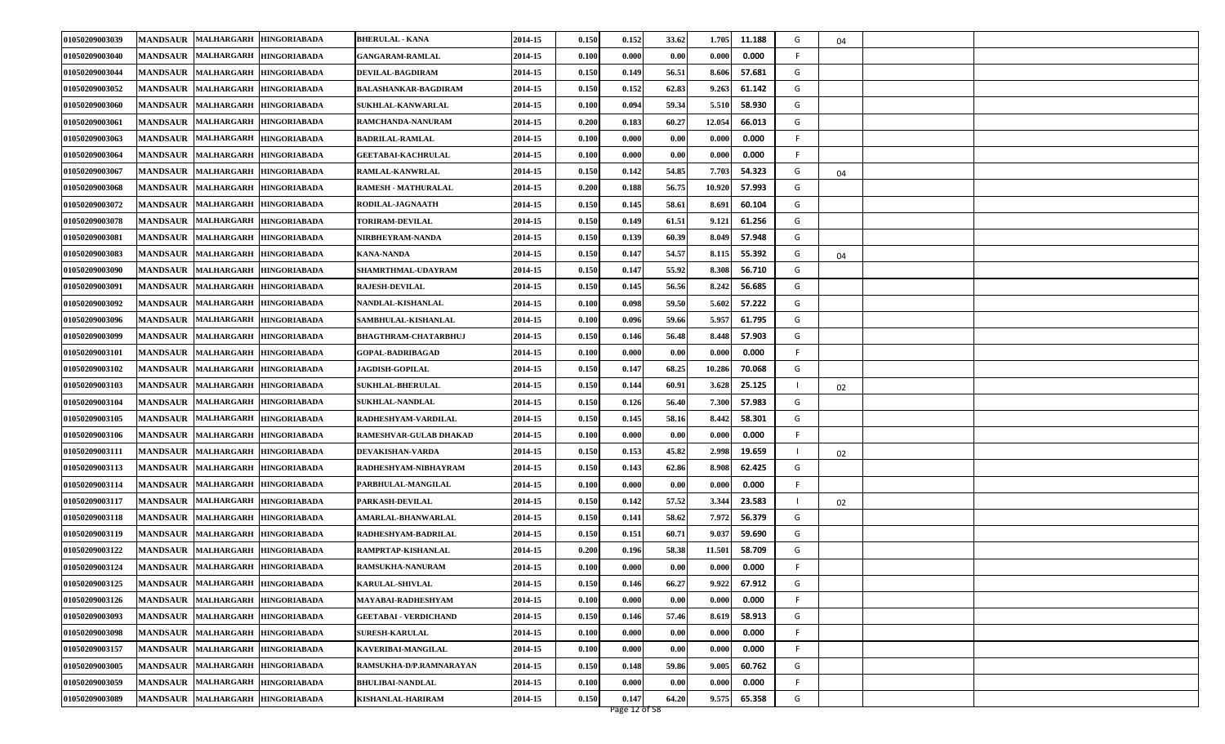| 01050209003039 | MANDSAUR MALHARGARH<br><b>HINGORIABADA</b>                  | <b>BHERULAL - KANA</b>       | 2014-15 | 0.150 | 0.152 | 33.62 | 1.705<br>11.188  | G  | 04 |  |
|----------------|-------------------------------------------------------------|------------------------------|---------|-------|-------|-------|------------------|----|----|--|
| 01050209003040 | MANDSAUR MALHARGARH<br><b>HINGORIABADA</b>                  | <b>GANGARAM-RAMLAL</b>       | 2014-15 | 0.100 | 0.000 | 0.00  | 0.000<br>0.000   | F. |    |  |
| 01050209003044 | MANDSAUR MALHARGARH<br><b>HINGORIABADA</b>                  | <b>DEVILAL-BAGDIRAM</b>      | 2014-15 | 0.150 | 0.149 | 56.51 | 8.606<br>57.681  | G  |    |  |
| 01050209003052 | MANDSAUR MALHARGARH HINGORIABADA                            | BALASHANKAR-BAGDIRAM         | 2014-15 | 0.150 | 0.152 | 62.83 | 9.263<br>61.142  | G  |    |  |
| 01050209003060 | MANDSAUR MALHARGARH<br><b>HINGORIABADA</b>                  | <b>SUKHLAL-KANWARLAL</b>     | 2014-15 | 0.100 | 0.094 | 59.34 | 5.510<br>58.930  | G  |    |  |
| 01050209003061 | MANDSAUR MALHARGARH<br><b>HINGORIABADA</b>                  | RAMCHANDA-NANURAM            | 2014-15 | 0.200 | 0.183 | 60.27 | 12.054<br>66.013 | G  |    |  |
| 01050209003063 | MANDSAUR MALHARGARH<br><b>HINGORIABADA</b>                  | <b>BADRILAL-RAMLAL</b>       | 2014-15 | 0.100 | 0.000 | 0.00  | 0.000<br>0.000   | F. |    |  |
| 01050209003064 | MANDSAUR MALHARGARH<br><b>HINGORIABADA</b>                  | GEETABAI-KACHRULAL           | 2014-15 | 0.100 | 0.000 | 0.00  | 0.000<br>0.000   | F  |    |  |
| 01050209003067 | <b>MANDSAUR</b><br><b>MALHARGARH</b><br><b>HINGORIABADA</b> | RAMLAL-KANWRLAL              | 2014-15 | 0.150 | 0.142 | 54.85 | 7.703<br>54.323  | G  | 04 |  |
| 01050209003068 | MANDSAUR MALHARGARH<br><b>HINGORIABADA</b>                  | <b>RAMESH - MATHURALAL</b>   | 2014-15 | 0.200 | 0.188 | 56.75 | 10.920<br>57.993 | G  |    |  |
| 01050209003072 | MANDSAUR MALHARGARH HINGORIABADA                            | RODILAL-JAGNAATH             | 2014-15 | 0.150 | 0.145 | 58.61 | 60.104<br>8.691  | G  |    |  |
| 01050209003078 | MANDSAUR MALHARGARH<br><b>HINGORIABADA</b>                  | <b>TORIRAM-DEVILAL</b>       | 2014-15 | 0.150 | 0.149 | 61.51 | 9.121<br>61.256  | G  |    |  |
| 01050209003081 | <b>MANDSAUR</b><br><b>MALHARGARH</b><br><b>HINGORIABADA</b> | NIRBHEYRAM-NANDA             | 2014-15 | 0.150 | 0.139 | 60.39 | 57.948<br>8.049  | G  |    |  |
| 01050209003083 | MANDSAUR MALHARGARH<br><b>HINGORIABADA</b>                  | <b>KANA-NANDA</b>            | 2014-15 | 0.150 | 0.147 | 54.57 | 8.115<br>55.392  | G  | 04 |  |
| 01050209003090 | MANDSAUR MALHARGARH<br><b>HINGORIABADA</b>                  | SHAMRTHMAL-UDAYRAM           | 2014-15 | 0.150 | 0.147 | 55.92 | 8.308<br>56.710  | G  |    |  |
| 01050209003091 | MANDSAUR MALHARGARH<br><b>HINGORIABADA</b>                  | <b>RAJESH-DEVILAL</b>        | 2014-15 | 0.150 | 0.145 | 56.56 | 8.242<br>56.685  | G  |    |  |
| 01050209003092 | <b>MANDSAUR</b><br><b>MALHARGARH</b><br><b>HINGORIABADA</b> | NANDLAL-KISHANLAL            | 2014-15 | 0.100 | 0.098 | 59.50 | 57.222<br>5.602  | G  |    |  |
| 01050209003096 | MANDSAUR MALHARGARH<br><b>HINGORIABADA</b>                  | SAMBHULAL-KISHANLAL          | 2014-15 | 0.100 | 0.096 | 59.66 | 5.957<br>61.795  | G  |    |  |
| 01050209003099 | MANDSAUR MALHARGARH<br><b>HINGORIABADA</b>                  | <b>BHAGTHRAM-CHATARBHUJ</b>  | 2014-15 | 0.150 | 0.146 | 56.48 | 8.448<br>57.903  | G  |    |  |
| 01050209003101 | MANDSAUR MALHARGARH<br><b>HINGORIABADA</b>                  | <b>GOPAL BADRIBAGAD</b>      | 2014-15 | 0.100 | 0.000 | 0.00  | 0.000<br>0.000   | F  |    |  |
| 01050209003102 | <b>MANDSAUR</b><br><b>MALHARGARH</b><br><b>HINGORIABADA</b> | <b>JAGDISH-GOPILAL</b>       | 2014-15 | 0.150 | 0.147 | 68.25 | 10.286<br>70.068 | G  |    |  |
| 01050209003103 | MANDSAUR MALHARGARH<br><b>HINGORIABADA</b>                  | <b>SUKHLAL-BHERULAL</b>      | 2014-15 | 0.150 | 0.144 | 60.91 | 3.628<br>25.125  |    | 02 |  |
| 01050209003104 | MANDSAUR MALHARGARH<br><b>HINGORIABADA</b>                  | <b>SUKHLAL-NANDLAL</b>       | 2014-15 | 0.150 | 0.126 | 56.40 | 7.300<br>57.983  | G  |    |  |
| 01050209003105 | <b>MANDSAUR</b><br><b>MALHARGARH</b><br><b>HINGORIABADA</b> | RADHESHYAM-VARDILAL          | 2014-15 | 0.150 | 0.145 | 58.16 | 8.442<br>58.301  | G  |    |  |
| 01050209003106 | <b>MANDSAUR</b><br><b>MALHARGARH</b><br><b>HINGORIABADA</b> | RAMESHVAR-GULAB DHAKAD       | 2014-15 | 0.100 | 0.000 | 0.00  | 0.000<br>0.000   | F. |    |  |
| 01050209003111 | MANDSAUR MALHARGARH<br><b>HINGORIABADA</b>                  | DEVAKISHAN-VARDA             | 2014-15 | 0.150 | 0.153 | 45.82 | 2.998<br>19.659  |    | 02 |  |
| 01050209003113 | MANDSAUR MALHARGARH HINGORIABADA                            | RADHESHYAM-NIBHAYRAM         | 2014-15 | 0.150 | 0.143 | 62.86 | 8.908<br>62.425  | G  |    |  |
| 01050209003114 | MANDSAUR MALHARGARH<br><b>HINGORIABADA</b>                  | PARBHULAL MANGILAL           | 2014-15 | 0.100 | 0.000 | 0.00  | 0.000<br>0.000   | F. |    |  |
| 01050209003117 | MANDSAUR MALHARGARH<br><b>HINGORIABADA</b>                  | PARKASH-DEVILAL              | 2014-15 | 0.150 | 0.142 | 57.52 | 3.344<br>23.583  | -1 | 02 |  |
| 01050209003118 | MANDSAUR MALHARGARH<br><b>HINGORIABADA</b>                  | <b>AMARLAL-BHANWARLAL</b>    | 2014-15 | 0.150 | 0.141 | 58.62 | 7.972<br>56.379  | G  |    |  |
| 01050209003119 | MANDSAUR MALHARGARH<br><b>HINGORIABADA</b>                  | RADHESHYAM-BADRILAL          | 2014-15 | 0.150 | 0.151 | 60.71 | 9.037<br>59.690  | G  |    |  |
| 01050209003122 | <b>MANDSAUR</b><br><b>MALHARGARH</b><br><b>HINGORIABADA</b> | RAMPRTAP-KISHANLAL           | 2014-15 | 0.200 | 0.196 | 58.38 | 11.501<br>58.709 | G  |    |  |
| 01050209003124 | MANDSAUR MALHARGARH HINGORIABADA                            | RAMSUKHA-NANURAM             | 2014-15 | 0.100 | 0.000 | 0.00  | 0.000<br>0.000   | F  |    |  |
| 01050209003125 | MANDSAUR MALHARGARH HINGORIABADA                            | <b>KARULAL-SHIVLAL</b>       | 2014-15 | 0.150 | 0.146 | 66.27 | 9.922<br>67.912  | G  |    |  |
| 01050209003126 | MANDSAUR MALHARGARH HINGORIABADA                            | MAYABAI-RADHESHYAM           | 2014-15 | 0.100 | 0.000 | 0.00  | 0.000<br>0.000   | F. |    |  |
| 01050209003093 | MANDSAUR MALHARGARH HINGORIABADA                            | <b>GEETABAI - VERDICHAND</b> | 2014-15 | 0.150 | 0.146 | 57.46 | 58.913<br>8.619  | G  |    |  |
| 01050209003098 | MANDSAUR MALHARGARH HINGORIABADA                            | <b>SURESH-KARULAL</b>        | 2014-15 | 0.100 | 0.000 | 0.00  | 0.000<br>0.000   | F. |    |  |
| 01050209003157 | MANDSAUR MALHARGARH HINGORIABADA                            | KAVERIBAI-MANGILAL           | 2014-15 | 0.100 | 0.000 | 0.00  | 0.000<br>0.000   | F. |    |  |
| 01050209003005 | MANDSAUR MALHARGARH HINGORIABADA                            | RAMSUKHA-D/P.RAMNARAYAN      | 2014-15 | 0.150 | 0.148 | 59.86 | 9.005<br>60.762  | G  |    |  |
| 01050209003059 | MANDSAUR MALHARGARH<br><b>HINGORIABADA</b>                  | <b>BHULIBAI-NANDLAL</b>      | 2014-15 | 0.100 | 0.000 | 0.00  | 0.000<br>0.000   | F. |    |  |
| 01050209003089 | MANDSAUR MALHARGARH<br><b>HINGORIABADA</b>                  | <b>KISHANLAL-HARIRAM</b>     | 2014-15 | 0.150 | 0.147 | 64.20 | 9.575<br>65.358  | G  |    |  |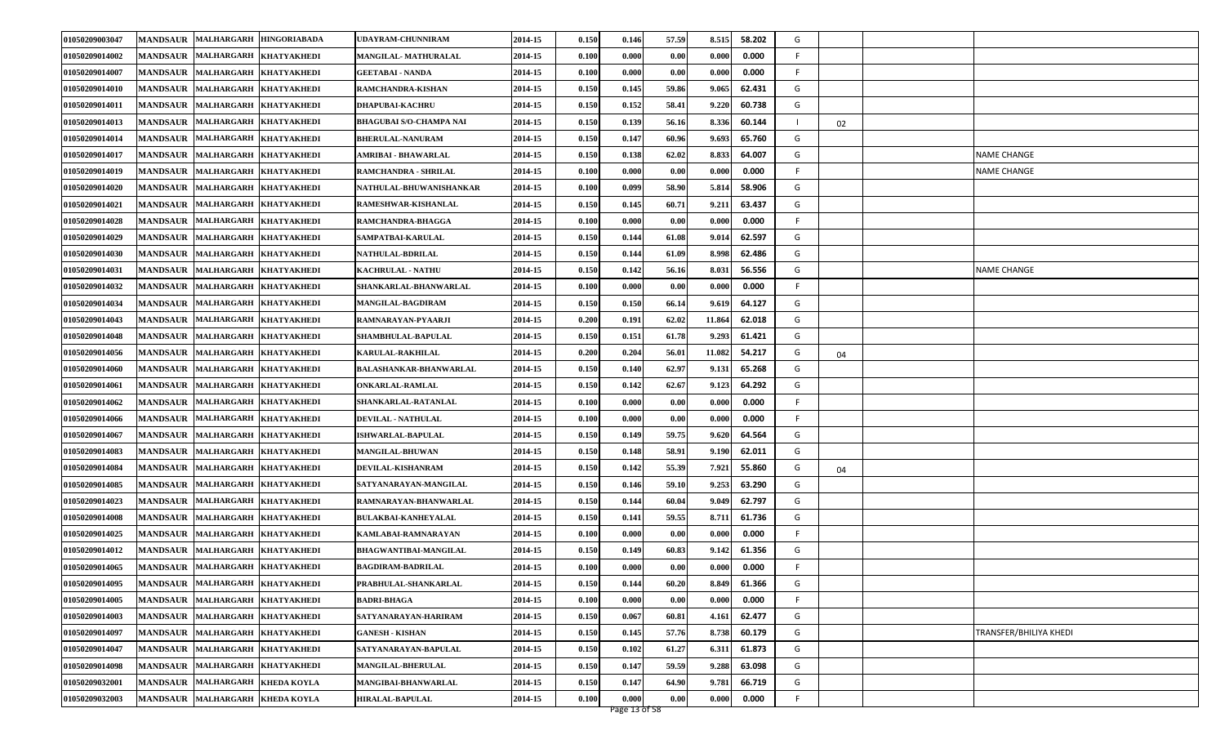| 01050209003047 |                 | MANDSAUR MALHARGARH HINGORIABADA                 | UDAYRAM-CHUNNIRAM              | 2014-15 | 0.150 | 0.146 | 57.59 | 8.515  | 58.202 | G  |    |                        |
|----------------|-----------------|--------------------------------------------------|--------------------------------|---------|-------|-------|-------|--------|--------|----|----|------------------------|
| 01050209014002 |                 | MANDSAUR MALHARGARH<br><b>KHATYAKHEDI</b>        | MANGILAL-MATHURALAL            | 2014-15 | 0.100 | 0.000 | 0.00  | 0.000  | 0.000  | -F |    |                        |
| 01050209014007 |                 | MANDSAUR MALHARGARH KHATYAKHEDI                  | <b>GEETABAI - NANDA</b>        | 2014-15 | 0.100 | 0.000 | 0.00  | 0.000  | 0.000  | -F |    |                        |
| 01050209014010 |                 | MANDSAUR MALHARGARH KHATYAKHEDI                  | RAMCHANDRA-KISHAN              | 2014-15 | 0.150 | 0.145 | 59.86 | 9.065  | 62.431 | G  |    |                        |
| 01050209014011 |                 | MANDSAUR MALHARGARH KHATYAKHEDI                  | <b>DHAPUBAI-KACHRU</b>         | 2014-15 | 0.150 | 0.152 | 58.41 | 9.220  | 60.738 | G  |    |                        |
| 01050209014013 |                 | <b>MANDSAUR MALHARGARH</b><br><b>KHATYAKHEDI</b> | <b>BHAGUBAI S/O-CHAMPA NAI</b> | 2014-15 | 0.150 | 0.139 | 56.16 | 8.336  | 60.144 | -1 | 02 |                        |
| 01050209014014 |                 | MANDSAUR MALHARGARH KHATYAKHEDI                  | <b>BHERULAL-NANURAM</b>        | 2014-15 | 0.150 | 0.147 | 60.96 | 9.693  | 65.760 | G  |    |                        |
| 01050209014017 |                 | MANDSAUR MALHARGARH KHATYAKHEDI                  | AMRIBAI - BHAWARLAL            | 2014-15 | 0.150 | 0.138 | 62.02 | 8.833  | 64.007 | G  |    | NAME CHANGE            |
| 01050209014019 | <b>MANDSAUR</b> | MALHARGARH KHATYAKHEDI                           | RAMCHANDRA - SHRILAL           | 2014-15 | 0.100 | 0.000 | 0.00  | 0.000  | 0.000  | -F |    | <b>NAME CHANGE</b>     |
| 01050209014020 |                 | MANDSAUR MALHARGARH<br><b>KHATYAKHEDI</b>        | NATHULAL-BHUWANISHANKAR        | 2014-15 | 0.100 | 0.099 | 58.90 | 5.814  | 58.906 | G  |    |                        |
| 01050209014021 |                 | MANDSAUR MALHARGARH KHATYAKHEDI                  | RAMESHWAR-KISHANLAL            | 2014-15 | 0.150 | 0.145 | 60.71 | 9.211  | 63.437 | G  |    |                        |
| 01050209014028 |                 | MANDSAUR MALHARGARH KHATYAKHEDI                  | RAMCHANDRA-BHAGGA              | 2014-15 | 0.100 | 0.000 | 0.00  | 0.000  | 0.000  | -F |    |                        |
| 01050209014029 | <b>MANDSAUR</b> | <b>MALHARGARH</b><br><b>KHATYAKHEDI</b>          | SAMPATBAI-KARULAL              | 2014-15 | 0.150 | 0.144 | 61.08 | 9.014  | 62.597 | G  |    |                        |
| 01050209014030 |                 | MANDSAUR MALHARGARH KHATYAKHEDI                  | <b>NATHULAL-BDRILAL</b>        | 2014-15 | 0.150 | 0.144 | 61.09 | 8.998  | 62.486 | G  |    |                        |
| 01050209014031 |                 | MANDSAUR MALHARGARH KHATYAKHEDI                  | <b>KACHRULAL - NATHU</b>       | 2014-15 | 0.150 | 0.142 | 56.16 | 8.031  | 56.556 | G  |    | <b>NAME CHANGE</b>     |
| 01050209014032 | <b>MANDSAUR</b> | <b>MALHARGARH</b><br><b>KHATYAKHEDI</b>          | SHANKARLAL-BHANWARLAL          | 2014-15 | 0.100 | 0.000 | 0.00  | 0.000  | 0.000  | -F |    |                        |
| 01050209014034 | <b>MANDSAUR</b> | <b>MALHARGARH</b><br><b>KHATYAKHEDI</b>          | MANGILAL-BAGDIRAM              | 2014-15 | 0.150 | 0.150 | 66.14 | 9.619  | 64.127 | G  |    |                        |
| 01050209014043 |                 | MANDSAUR MALHARGARH KHATYAKHEDI                  | RAMNARAYAN-PYAARJI             | 2014-15 | 0.200 | 0.191 | 62.02 | 11.864 | 62.018 | G  |    |                        |
| 01050209014048 |                 | MANDSAUR MALHARGARH KHATYAKHEDI                  | SHAMBHULAL-BAPULAL             | 2014-15 | 0.150 | 0.151 | 61.78 | 9.293  | 61.421 | G  |    |                        |
| 01050209014056 |                 | MANDSAUR MALHARGARH<br><b>KHATYAKHEDI</b>        | <b>KARULAL-RAKHILAL</b>        | 2014-15 | 0.200 | 0.204 | 56.01 | 11.082 | 54.217 | G  | 04 |                        |
| 01050209014060 | <b>MANDSAUR</b> | <b>MALHARGARH</b><br><b>KHATYAKHEDI</b>          | BALASHANKAR-BHANWARLAL         | 2014-15 | 0.150 | 0.140 | 62.97 | 9.131  | 65.268 | G  |    |                        |
| 01050209014061 |                 | MANDSAUR MALHARGARH KHATYAKHEDI                  | <b>ONKARLAL-RAMLAL</b>         | 2014-15 | 0.150 | 0.142 | 62.67 | 9.123  | 64.292 | G  |    |                        |
| 01050209014062 |                 | MANDSAUR MALHARGARH KHATYAKHEDI                  | SHANKARLAL-RATANLAL            | 2014-15 | 0.100 | 0.000 | 0.00  | 0.000  | 0.000  | F  |    |                        |
| 01050209014066 | <b>MANDSAUR</b> | MALHARGARH KHATYAKHEDI                           | DEVILAL - NATHULAL             | 2014-15 | 0.100 | 0.000 | 0.00  | 0.000  | 0.000  | -F |    |                        |
| 01050209014067 | <b>MANDSAUR</b> | <b>MALHARGARH</b><br><b>KHATYAKHEDI</b>          | <b>ISHWARLAL-BAPULAL</b>       | 2014-15 | 0.150 | 0.149 | 59.75 | 9.620  | 64.564 | G  |    |                        |
| 01050209014083 | <b>MANDSAUR</b> | MALHARGARH KHATYAKHEDI                           | <b>MANGILAL-BHUWAN</b>         | 2014-15 | 0.150 | 0.148 | 58.91 | 9.190  | 62.011 | G  |    |                        |
| 01050209014084 |                 | MANDSAUR MALHARGARH KHATYAKHEDI                  | DEVILAL-KISHANRAM              | 2014-15 | 0.150 | 0.142 | 55.39 | 7.921  | 55.860 | G  | 04 |                        |
| 01050209014085 |                 | MANDSAUR MALHARGARH KHATYAKHEDI                  | SATYANARAYAN-MANGILAL          | 2014-15 | 0.150 | 0.146 | 59.10 | 9.253  | 63.290 | G  |    |                        |
| 01050209014023 |                 | MANDSAUR MALHARGARH KHATYAKHEDI                  | RAMNARAYAN-BHANWARLAL          | 2014-15 | 0.150 | 0.144 | 60.04 | 9.049  | 62.797 | G  |    |                        |
| 01050209014008 |                 | MANDSAUR MALHARGARH KHATYAKHEDI                  | <b>BULAKBAI-KANHEYALAL</b>     | 2014-15 | 0.150 | 0.141 | 59.55 | 8.711  | 61.736 | G  |    |                        |
| 01050209014025 |                 | MANDSAUR MALHARGARH KHATYAKHEDI                  | KAMLABAI-RAMNARAYAN            | 2014-15 | 0.100 | 0.000 | 0.00  | 0.000  | 0.000  | -F |    |                        |
| 01050209014012 | <b>MANDSAUR</b> | <b>MALHARGARH</b><br><b>KHATYAKHEDI</b>          | BHAGWANTIBAI-MANGILAL          | 2014-15 | 0.150 | 0.149 | 60.83 | 9.142  | 61.356 | G  |    |                        |
| 01050209014065 |                 | MANDSAUR MALHARGARH KHATYAKHEDI                  | <b>BAGDIRAM-BADRILAL</b>       | 2014-15 | 0.100 | 0.000 | 0.00  | 0.000  | 0.000  | -F |    |                        |
| 01050209014095 |                 | MANDSAUR MALHARGARH KHATYAKHEDI                  | PRABHULAL-SHANKARLAL           | 2014-15 | 0.150 | 0.144 | 60.20 | 8.849  | 61.366 | G  |    |                        |
| 01050209014005 |                 | MANDSAUR MALHARGARH KHATYAKHEDI                  | <b>BADRI-BHAGA</b>             | 2014-15 | 0.100 | 0.000 | 0.00  | 0.000  | 0.000  |    |    |                        |
| 01050209014003 |                 | MANDSAUR MALHARGARH KHATYAKHEDI                  | SATYANARAYAN-HARIRAM           | 2014-15 | 0.150 | 0.067 | 60.81 | 4.161  | 62.477 | G  |    |                        |
| 01050209014097 |                 | MANDSAUR MALHARGARH KHATYAKHEDI                  | <b>GANESH - KISHAN</b>         | 2014-15 | 0.150 | 0.145 | 57.76 | 8.738  | 60.179 | G  |    | TRANSFER/BHILIYA KHEDI |
| 01050209014047 |                 | MANDSAUR MALHARGARH KHATYAKHEDI                  | SATYANARAYAN-BAPULAL           | 2014-15 | 0.150 | 0.102 | 61.27 | 6.311  | 61.873 | G  |    |                        |
| 01050209014098 |                 | MANDSAUR MALHARGARH KHATYAKHEDI                  | MANGILAL-BHERULAL              | 2014-15 | 0.150 | 0.147 | 59.59 | 9.288  | 63.098 | G  |    |                        |
| 01050209032001 | <b>MANDSAUR</b> | MALHARGARH KHEDA KOYLA                           | MANGIBAI-BHANWARLAL            | 2014-15 | 0.150 | 0.147 | 64.90 | 9.781  | 66.719 | G  |    |                        |
| 01050209032003 |                 | MANDSAUR MALHARGARH KHEDA KOYLA                  | <b>HIRALAL-BAPULAL</b>         | 2014-15 | 0.100 | 0.000 | 0.00  | 0.000  | 0.000  | -F |    |                        |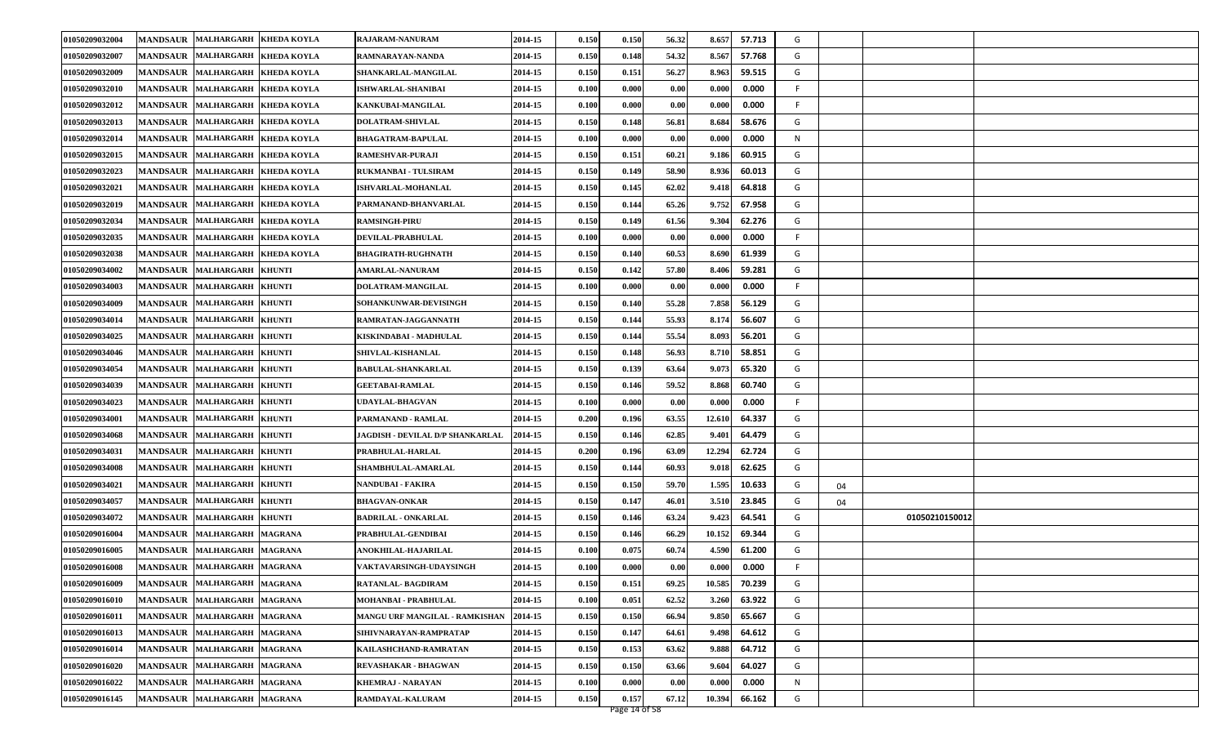| 01050209032004 |                 | MANDSAUR MALHARGARH KHEDA KOYLA         | RAJARAM-NANURAM                  | 2014-15 | 0.150 | 0.150         | 56.32 | 8.657  | 57.713 | G       |                |  |
|----------------|-----------------|-----------------------------------------|----------------------------------|---------|-------|---------------|-------|--------|--------|---------|----------------|--|
| 01050209032007 |                 | MANDSAUR MALHARGARH KHEDA KOYLA         | RAMNARAYAN-NANDA                 | 2014-15 | 0.150 | 0.148         | 54.32 | 8.567  | 57.768 | G       |                |  |
| 01050209032009 |                 | MANDSAUR MALHARGARH KHEDA KOYLA         | SHANKARLAL-MANGILAL              | 2014-15 | 0.150 | 0.151         | 56.27 | 8.963  | 59.515 | G       |                |  |
| 01050209032010 | <b>MANDSAUR</b> | MALHARGARH KHEDA KOYLA                  | <b>ISHWARLAL-SHANIBAI</b>        | 2014-15 | 0.100 | 0.000         | 0.00  | 0.000  | 0.000  | F       |                |  |
| 01050209032012 | <b>MANDSAUR</b> | <b>MALHARGARH</b><br><b>KHEDA KOYLA</b> | KANKUBAI-MANGILAL                | 2014-15 | 0.100 | 0.000         | 0.00  | 0.000  | 0.000  | F       |                |  |
| 01050209032013 |                 | MANDSAUR MALHARGARH KHEDA KOYLA         | DOLATRAM-SHIVLAL                 | 2014-15 | 0.150 | 0.148         | 56.81 | 8.684  | 58.676 | G       |                |  |
| 01050209032014 |                 | MANDSAUR MALHARGARH KHEDA KOYLA         | <b>BHAGATRAM-BAPULAL</b>         | 2014-15 | 0.100 | 0.000         | 0.00  | 0.000  | 0.000  | N       |                |  |
| 01050209032015 | <b>MANDSAUR</b> | MALHARGARH KHEDA KOYLA                  | <b>RAMESHVAR-PURAJI</b>          | 2014-15 | 0.150 | 0.151         | 60.21 | 9.186  | 60.915 | G       |                |  |
| 01050209032023 | <b>MANDSAUR</b> | <b>MALHARGARH</b><br><b>KHEDA KOYLA</b> | RUKMANBAI - TULSIRAM             | 2014-15 | 0.150 | 0.149         | 58.90 | 8.936  | 60.013 | G       |                |  |
| 01050209032021 | <b>MANDSAUR</b> | MALHARGARH KHEDA KOYLA                  | <b>ISHVARLAL-MOHANLAL</b>        | 2014-15 | 0.150 | 0.145         | 62.02 | 9.418  | 64.818 | G       |                |  |
| 01050209032019 |                 | MANDSAUR MALHARGARH KHEDA KOYLA         | PARMANAND-BHANVARLAL             | 2014-15 | 0.150 | 0.144         | 65.26 | 9.752  | 67.958 | G       |                |  |
| 01050209032034 | <b>MANDSAUR</b> | MALHARGARH KHEDA KOYLA                  | <b>RAMSINGH-PIRU</b>             | 2014-15 | 0.150 | 0.149         | 61.56 | 9.304  | 62.276 | G       |                |  |
| 01050209032035 | <b>MANDSAUR</b> | <b>MALHARGARH</b><br><b>KHEDA KOYLA</b> | DEVILAL-PRABHULAL                | 2014-15 | 0.100 | 0.000         | 0.00  | 0.000  | 0.000  | F       |                |  |
| 01050209032038 |                 | MANDSAUR MALHARGARH KHEDA KOYLA         | <b>BHAGIRATH-RUGHNATH</b>        | 2014-15 | 0.150 | 0.140         | 60.53 | 8.690  | 61.939 | G       |                |  |
| 01050209034002 |                 | MANDSAUR MALHARGARH KHUNTI              | <b>AMARLAL-NANURAM</b>           | 2014-15 | 0.150 | 0.142         | 57.80 | 8.406  | 59.281 | G       |                |  |
| 01050209034003 | <b>MANDSAUR</b> | <b>MALHARGARH</b><br><b>KHUNTI</b>      | DOLATRAM-MANGILAL                | 2014-15 | 0.100 | 0.000         | 0.00  | 0.000  | 0.000  | F.      |                |  |
| 01050209034009 | <b>MANDSAUR</b> | <b>MALHARGARH</b><br><b>KHUNTI</b>      | SOHANKUNWAR-DEVISINGH            | 2014-15 | 0.150 | 0.140         | 55.28 | 7.858  | 56.129 | G       |                |  |
| 01050209034014 |                 | MANDSAUR MALHARGARH KHUNTI              | RAMRATAN-JAGGANNATH              | 2014-15 | 0.150 | 0.144         | 55.93 | 8.174  | 56.607 | G       |                |  |
| 01050209034025 |                 | MANDSAUR MALHARGARH KHUNTI              | KISKINDABAI - MADHULAL           | 2014-15 | 0.150 | 0.144         | 55.54 | 8.093  | 56.201 | G       |                |  |
| 01050209034046 | <b>MANDSAUR</b> | <b>MALHARGARH</b><br><b>KHUNTI</b>      | SHIVLAL-KISHANLAL                | 2014-15 | 0.150 | 0.148         | 56.93 | 8.710  | 58.851 | G       |                |  |
| 01050209034054 |                 | MANDSAUR MALHARGARH<br><b>KHUNTI</b>    | <b>BABULAL-SHANKARLAL</b>        | 2014-15 | 0.150 | 0.139         | 63.64 | 9.073  | 65.320 | G       |                |  |
| 01050209034039 |                 | MANDSAUR MALHARGARH KHUNTI              | <b>GEETABAI-RAMLAL</b>           | 2014-15 | 0.150 | 0.146         | 59.52 | 8.868  | 60.740 | G       |                |  |
| 01050209034023 |                 | MANDSAUR MALHARGARH KHUNTI              | UDAYLAL-BHAGVAN                  | 2014-15 | 0.100 | 0.000         | 0.00  | 0.000  | 0.000  | F.      |                |  |
| 01050209034001 | <b>MANDSAUR</b> | MALHARGARH KHUNTI                       | PARMANAND - RAMLAL               | 2014-15 | 0.200 | 0.196         | 63.55 | 12.610 | 64.337 | G       |                |  |
| 01050209034068 |                 | MANDSAUR  MALHARGARH<br><b>KHUNTI</b>   | JAGDISH - DEVILAL D/P SHANKARLAL | 2014-15 | 0.150 | 0.146         | 62.85 | 9.401  | 64.479 | G       |                |  |
| 01050209034031 |                 | MANDSAUR MALHARGARH KHUNTI              | PRABHULAL-HARLAL                 | 2014-15 | 0.200 | 0.196         | 63.09 | 12.294 | 62.724 | G       |                |  |
| 01050209034008 | <b>MANDSAUR</b> | MALHARGARH KHUNTI                       | <b>SHAMBHULAL-AMARLAL</b>        | 2014-15 | 0.150 | 0.144         | 60.93 | 9.018  | 62.625 | G       |                |  |
| 01050209034021 | <b>MANDSAUR</b> | MALHARGARH KHUNTI                       | NANDUBAI - FAKIRA                | 2014-15 | 0.150 | 0.150         | 59.70 | 1.595  | 10.633 | G<br>04 |                |  |
| 01050209034057 |                 | MANDSAUR MALHARGARH KHUNTI              | <b>BHAGVAN-ONKAR</b>             | 2014-15 | 0.150 | 0.147         | 46.01 | 3.510  | 23.845 | G<br>04 |                |  |
| 01050209034072 |                 | MANDSAUR MALHARGARH KHUNTI              | <b>BADRILAL - ONKARLAL</b>       | 2014-15 | 0.150 | 0.146         | 63.24 | 9.423  | 64.541 | G       | 01050210150012 |  |
| 01050209016004 | <b>MANDSAUR</b> | MALHARGARH MAGRANA                      | PRABHULAL-GENDIBAI               | 2014-15 | 0.150 | 0.146         | 66.29 | 10.152 | 69.344 | G       |                |  |
| 01050209016005 | <b>MANDSAUR</b> | <b>MALHARGARH</b><br><b>MAGRANA</b>     | ANOKHILAL-HAJARILAL              | 2014-15 | 0.100 | 0.075         | 60.74 | 4.590  | 61.200 | G       |                |  |
| 01050209016008 |                 | MANDSAUR MALHARGARH MAGRANA             | <b>VAKTAVARSINGH-UDAYSINGH</b>   | 2014-15 | 0.100 | 0.000         | 0.00  | 0.000  | 0.000  | F       |                |  |
| 01050209016009 |                 | MANDSAUR MALHARGARH MAGRANA             | RATANLAL-BAGDIRAM                | 2014-15 | 0.150 | 0.151         | 69.25 | 10.585 | 70.239 | G       |                |  |
| 01050209016010 |                 | MANDSAUR MALHARGARH MAGRANA             | MOHANBAI - PRABHULAL             | 2014-15 | 0.100 | 0.051         | 62.52 | 3.260  | 63.922 | G       |                |  |
| 01050209016011 |                 | MANDSAUR MALHARGARH MAGRANA             | MANGU URF MANGILAL - RAMKISHAN   | 2014-15 | 0.150 | 0.150         | 66.94 | 9.850  | 65.667 | G       |                |  |
| 01050209016013 |                 | MANDSAUR MALHARGARH MAGRANA             | SIHIVNARAYAN-RAMPRATAP           | 2014-15 | 0.150 | 0.147         | 64.61 | 9.498  | 64.612 | G       |                |  |
| 01050209016014 |                 | MANDSAUR MALHARGARH MAGRANA             | KAILASHCHAND-RAMRATAN            | 2014-15 | 0.150 | 0.153         | 63.62 | 9.888  | 64.712 | G       |                |  |
| 01050209016020 |                 | MANDSAUR MALHARGARH MAGRANA             | REVASHAKAR - BHAGWAN             | 2014-15 | 0.150 | 0.150         | 63.66 | 9.604  | 64.027 | G       |                |  |
| 01050209016022 |                 | MANDSAUR MALHARGARH MAGRANA             | <b>KHEMRAJ - NARAYAN</b>         | 2014-15 | 0.100 | 0.000         | 0.00  | 0.000  | 0.000  | N       |                |  |
| 01050209016145 |                 | MANDSAUR MALHARGARH MAGRANA             | <b>RAMDAYAL-KALURAM</b>          | 2014-15 | 0.150 | 0.157         | 67.12 | 10.394 | 66.162 | G       |                |  |
|                |                 |                                         |                                  |         |       | Page 14 of 58 |       |        |        |         |                |  |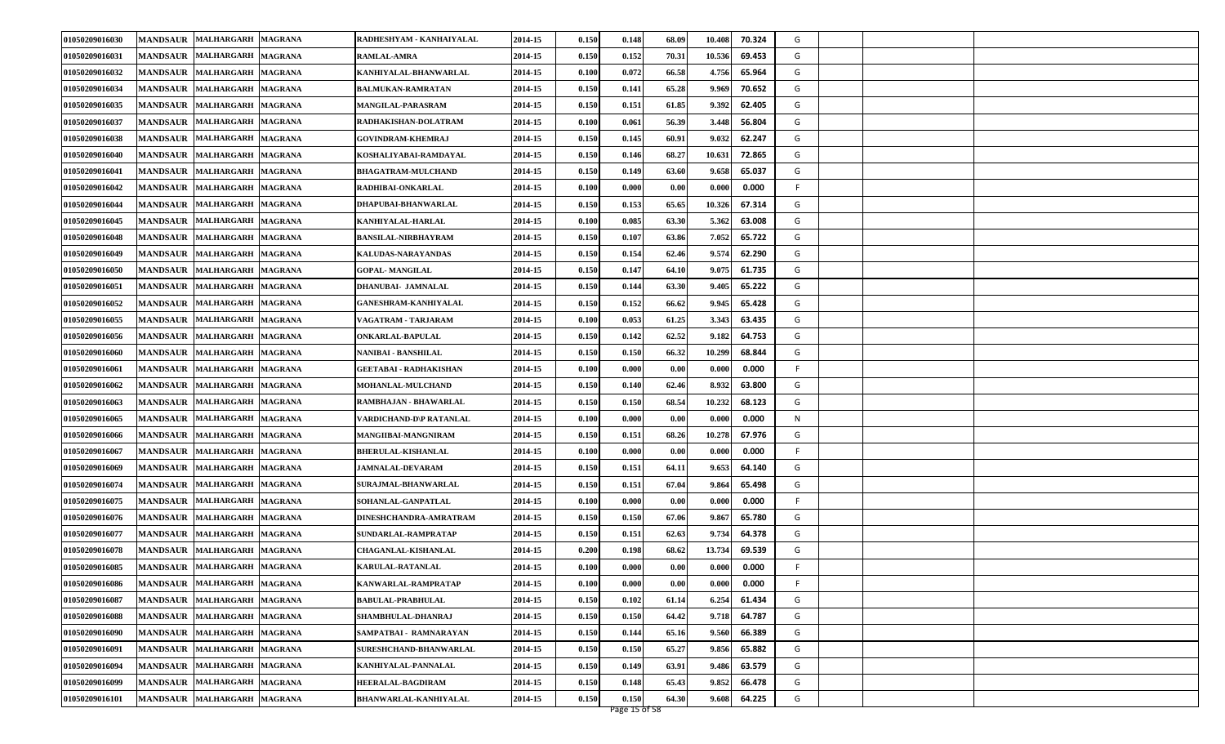| 01050209016031<br><b>MANDSAUR MALHARGARH</b><br><b>MAGRANA</b><br>0.150<br>10.536<br>69.453<br>G<br><b>RAMLAL-AMRA</b><br>2014-15<br>0.152<br>70.31<br>KANHIYALAL-BHANWARLAL<br>4.756<br>G<br>01050209016032<br>MANDSAUR MALHARGARH MAGRANA<br>2014-15<br>0.100<br>0.072<br>66.58<br>65.964<br>65.28<br>70.652<br>G<br>01050209016034<br>MANDSAUR MALHARGARH MAGRANA<br>2014-15<br>0.150<br>0.141<br>9.969<br><b>BALMUKAN-RAMRATAN</b><br>62.405<br>G<br>01050209016035<br>MANDSAUR MALHARGARH MAGRANA<br>0.150<br>61.85<br>9.392<br>MANGILAL-PARASRAM<br>2014-15<br>0.151<br>G<br>01050209016037<br>0.100<br>56.39<br>3.448<br>56.804<br>MANDSAUR MALHARGARH MAGRANA<br>2014-15<br>0.061<br>RADHAKISHAN-DOLATRAM<br>60.91<br>G<br>01050209016038<br>2014-15<br>0.150<br>0.145<br>9.032<br>62.247<br>MANDSAUR MALHARGARH MAGRANA<br><b>GOVINDRAM-KHEMRAJ</b><br>MANDSAUR MALHARGARH MAGRANA<br>0.150<br>68.27<br>10.631<br>72.865<br>G<br>01050209016040<br>KOSHALIYABAI-RAMDAYAL<br>2014-15<br>0.146<br>01050209016041<br>MANDSAUR MALHARGARH MAGRANA<br><b>BHAGATRAM-MULCHAND</b><br>2014-15<br>0.150<br>63.60<br>9.658<br>65.037<br>G<br>0.149<br>0.100<br>0.00<br>0.000<br>0.000<br>01050209016042<br>MANDSAUR MALHARGARH MAGRANA<br>2014-15<br>0.000<br>F.<br>RADHIBAI-ONKARLAL<br>65.65<br>2014-15<br>0.150<br>0.153<br>10.326<br>67.314<br>G<br>01050209016044<br>MANDSAUR MALHARGARH MAGRANA<br>DHAPUBAI-BHANWARLAL<br>0.100<br>63.30<br>5.362<br>63.008<br>G<br>01050209016045<br>MANDSAUR MALHARGARH MAGRANA<br>2014-15<br>0.085<br>KANHIYALAL-HARLAL<br>01050209016048<br>2014-15<br>0.150<br>63.86<br>7.052<br>65.722<br>G<br>MANDSAUR MALHARGARH MAGRANA<br><b>BANSILAL-NIRBHAYRAM</b><br>0.107<br>01050209016049<br>MANDSAUR MALHARGARH MAGRANA<br>KALUDAS-NARAYANDAS<br>2014-15<br>0.150<br>62.46<br>9.574<br>62.290<br>G<br>0.154<br>MANDSAUR MALHARGARH MAGRANA<br><b>GOPAL- MANGILAL</b><br>2014-15<br>0.150<br>0.147<br>64.10<br>9.075<br>61.735<br>G<br>01050209016050<br>01050209016051<br>2014-15<br>0.150<br>63.30<br>65.222<br>G<br>MANDSAUR MALHARGARH MAGRANA<br>DHANUBAI- JAMNALAL<br>0.144<br>9.405<br>01050209016052<br>MANDSAUR MALHARGARH MAGRANA<br>2014-15<br>0.150<br>66.62<br>9.945<br>65.428<br>G<br>GANESHRAM-KANHIYALAL<br>0.152<br>01050209016055<br>2014-15<br>0.100<br>61.25<br>3.343<br>63.435<br>G<br>MANDSAUR MALHARGARH MAGRANA<br>0.053<br>VAGATRAM - TARJARAM<br>0.150<br>0.142<br>62.52<br>9.182<br>64.753<br>G<br>01050209016056<br>MANDSAUR MALHARGARH MAGRANA<br>ONKARLAL-BAPULAL<br>2014-15<br>66.32<br>68.844<br>01050209016060<br>MANDSAUR MALHARGARH MAGRANA<br>2014-15<br>0.150<br>0.150<br>10.299<br>G<br>NANIBAI - BANSHILAL<br>01050209016061<br>MANDSAUR MALHARGARH MAGRANA<br>2014-15<br>0.100<br>0.000<br>0.00<br>0.000<br>0.000<br>F.<br>GEETABAI - RADHAKISHAN<br>01050209016062<br>MANDSAUR MALHARGARH MAGRANA<br>2014-15<br>0.150<br>62.46<br>8.932<br>63.800<br>G<br>MOHANLAL-MULCHAND<br>0.140<br>68.54<br>2014-15<br>0.150<br>0.150<br>10.232<br>68.123<br>G<br>01050209016063<br>MANDSAUR MALHARGARH MAGRANA<br>RAMBHAJAN - BHAWARLAL<br>01050209016065<br>2014-15<br>0.100<br>0.000<br>0.00<br>0.000<br>0.000<br>N<br>MANDSAUR MALHARGARH MAGRANA<br>VARDICHAND-D\P RATANLAL<br>10.278<br>67.976<br>01050209016066<br>0.150<br>68.26<br>G<br>MANDSAUR MALHARGARH MAGRANA<br>MANGIIBAI-MANGNIRAM<br>2014-15<br>0.151<br>01050209016067<br>MANDSAUR MALHARGARH MAGRANA<br>BHERULAL-KISHANLAL<br>2014-15<br>0.100<br>0.00<br>0.000<br>0.000<br>F<br>0.000<br>MANDSAUR MALHARGARH MAGRANA<br>2014-15<br>0.150<br>64.11<br>9.653<br>64.140<br>G<br>01050209016069<br><b>JAMNALAL-DEVARAM</b><br>0.151<br>67.04<br>G<br>01050209016074<br>MANDSAUR MALHARGARH MAGRANA<br>2014-15<br>0.150<br>9.864<br>65.498<br>SURAJMAL-BHANWARLAL<br>0.151<br>01050209016075<br>0.100<br>0.000<br>F.<br>MANDSAUR MALHARGARH MAGRANA<br>SOHANLAL-GANPATLAL<br>2014-15<br>0.000<br>0.00<br>0.000<br>67.06<br>G<br>0.150<br>0.150<br>9.867<br>65.780<br>01050209016076<br>MANDSAUR MALHARGARH MAGRANA<br>DINESHCHANDRA-AMRATRAM<br>2014-15<br>MANDSAUR MALHARGARH MAGRANA<br>0.150<br>62.63<br>9.734<br>64.378<br>G<br>01050209016077<br>SUNDARLAL-RAMPRATAP<br>2014-15<br>0.151<br>01050209016078<br>MANDSAUR MALHARGARH MAGRANA<br><b>CHAGANLAL-KISHANLAL</b><br>2014-15<br>0.200<br>68.62<br>13.734<br>69.539<br>G<br>0.198<br>01050209016085<br>MANDSAUR MALHARGARH MAGRANA<br>2014-15<br>0.100<br>0.000<br>0.00<br>0.000<br>0.000<br>KARULAL-RATANLAL<br>F.<br>MANDSAUR MALHARGARH MAGRANA<br>2014-15<br>01050209016086<br>0.100<br>0.000<br>0.00<br>0.000<br>0.000<br>KANWARLAL-RAMPRATAP<br>F<br>61.434<br>G<br>01050209016087<br>MANDSAUR MALHARGARH MAGRANA<br>2014-15<br>0.150<br>0.102<br>61.14<br>6.254<br><b>BABULAL-PRABHULAL</b><br>G<br>0.150<br>64.787<br>01050209016088<br>MANDSAUR MALHARGARH MAGRANA<br>SHAMBHULAL-DHANRAJ<br>2014-15<br>64.42<br>9.718<br>0.150<br>MANDSAUR MALHARGARH MAGRANA<br>01050209016090<br>SAMPATBAI - RAMNARAYAN<br>2014-15<br>0.150<br>65.16<br>9.560<br>66.389<br>G<br>0.144<br>MANDSAUR MALHARGARH MAGRANA<br>65.27<br>9.856<br>65.882<br>01050209016091<br>SURESHCHAND-BHANWARLAL<br>2014-15<br>0.150<br>0.150<br>G<br>01050209016094<br>MANDSAUR MALHARGARH MAGRANA<br>2014-15<br>0.150<br>0.149<br>63.91<br>9.486<br>63.579<br>G<br>KANHIYALAL-PANNALAL<br>01050209016099<br>MANDSAUR MALHARGARH MAGRANA<br>2014-15<br>0.150<br>9.852<br>HEERALAL-BAGDIRAM<br>0.148<br>65.43<br>66.478<br>G<br>64.225<br>01050209016101<br>MANDSAUR MALHARGARH MAGRANA<br><b>BHANWARLAL-KANHIYALAL</b><br>2014-15<br>0.150<br>0.150<br>64.30<br>9.608<br>G | 01050209016030 | MANDSAUR MALHARGARH MAGRANA | RADHESHYAM - KANHAIYALAL | 2014-15 | 0.150 | 0.148 | 68.09 | 70.324<br>10.408 | G |  |  |
|-------------------------------------------------------------------------------------------------------------------------------------------------------------------------------------------------------------------------------------------------------------------------------------------------------------------------------------------------------------------------------------------------------------------------------------------------------------------------------------------------------------------------------------------------------------------------------------------------------------------------------------------------------------------------------------------------------------------------------------------------------------------------------------------------------------------------------------------------------------------------------------------------------------------------------------------------------------------------------------------------------------------------------------------------------------------------------------------------------------------------------------------------------------------------------------------------------------------------------------------------------------------------------------------------------------------------------------------------------------------------------------------------------------------------------------------------------------------------------------------------------------------------------------------------------------------------------------------------------------------------------------------------------------------------------------------------------------------------------------------------------------------------------------------------------------------------------------------------------------------------------------------------------------------------------------------------------------------------------------------------------------------------------------------------------------------------------------------------------------------------------------------------------------------------------------------------------------------------------------------------------------------------------------------------------------------------------------------------------------------------------------------------------------------------------------------------------------------------------------------------------------------------------------------------------------------------------------------------------------------------------------------------------------------------------------------------------------------------------------------------------------------------------------------------------------------------------------------------------------------------------------------------------------------------------------------------------------------------------------------------------------------------------------------------------------------------------------------------------------------------------------------------------------------------------------------------------------------------------------------------------------------------------------------------------------------------------------------------------------------------------------------------------------------------------------------------------------------------------------------------------------------------------------------------------------------------------------------------------------------------------------------------------------------------------------------------------------------------------------------------------------------------------------------------------------------------------------------------------------------------------------------------------------------------------------------------------------------------------------------------------------------------------------------------------------------------------------------------------------------------------------------------------------------------------------------------------------------------------------------------------------------------------------------------------------------------------------------------------------------------------------------------------------------------------------------------------------------------------------------------------------------------------------------------------------------------------------------------------------------------------------------------------------------------------------------------------------------------------------------------------------------------------------------------------------------------------------------------------------------------------------------------------------------------------------------------------------------------------------------------------------------------------------------------------------------------------------------------------------------------------------------------------------------------------------------------------------------------------------------------------------------------------------------------------------------------------------------------------------------------------------------------------------------------------------------------------------------------------------------------------------------------------------------------------------------------------------------------------------------------------------------------|----------------|-----------------------------|--------------------------|---------|-------|-------|-------|------------------|---|--|--|
|                                                                                                                                                                                                                                                                                                                                                                                                                                                                                                                                                                                                                                                                                                                                                                                                                                                                                                                                                                                                                                                                                                                                                                                                                                                                                                                                                                                                                                                                                                                                                                                                                                                                                                                                                                                                                                                                                                                                                                                                                                                                                                                                                                                                                                                                                                                                                                                                                                                                                                                                                                                                                                                                                                                                                                                                                                                                                                                                                                                                                                                                                                                                                                                                                                                                                                                                                                                                                                                                                                                                                                                                                                                                                                                                                                                                                                                                                                                                                                                                                                                                                                                                                                                                                                                                                                                                                                                                                                                                                                                                                                                                                                                                                                                                                                                                                                                                                                                                                                                                                                                                                                                                                                                                                                                                                                                                                                                                                                                                                                                                                                                                                                                 |                |                             |                          |         |       |       |       |                  |   |  |  |
|                                                                                                                                                                                                                                                                                                                                                                                                                                                                                                                                                                                                                                                                                                                                                                                                                                                                                                                                                                                                                                                                                                                                                                                                                                                                                                                                                                                                                                                                                                                                                                                                                                                                                                                                                                                                                                                                                                                                                                                                                                                                                                                                                                                                                                                                                                                                                                                                                                                                                                                                                                                                                                                                                                                                                                                                                                                                                                                                                                                                                                                                                                                                                                                                                                                                                                                                                                                                                                                                                                                                                                                                                                                                                                                                                                                                                                                                                                                                                                                                                                                                                                                                                                                                                                                                                                                                                                                                                                                                                                                                                                                                                                                                                                                                                                                                                                                                                                                                                                                                                                                                                                                                                                                                                                                                                                                                                                                                                                                                                                                                                                                                                                                 |                |                             |                          |         |       |       |       |                  |   |  |  |
|                                                                                                                                                                                                                                                                                                                                                                                                                                                                                                                                                                                                                                                                                                                                                                                                                                                                                                                                                                                                                                                                                                                                                                                                                                                                                                                                                                                                                                                                                                                                                                                                                                                                                                                                                                                                                                                                                                                                                                                                                                                                                                                                                                                                                                                                                                                                                                                                                                                                                                                                                                                                                                                                                                                                                                                                                                                                                                                                                                                                                                                                                                                                                                                                                                                                                                                                                                                                                                                                                                                                                                                                                                                                                                                                                                                                                                                                                                                                                                                                                                                                                                                                                                                                                                                                                                                                                                                                                                                                                                                                                                                                                                                                                                                                                                                                                                                                                                                                                                                                                                                                                                                                                                                                                                                                                                                                                                                                                                                                                                                                                                                                                                                 |                |                             |                          |         |       |       |       |                  |   |  |  |
|                                                                                                                                                                                                                                                                                                                                                                                                                                                                                                                                                                                                                                                                                                                                                                                                                                                                                                                                                                                                                                                                                                                                                                                                                                                                                                                                                                                                                                                                                                                                                                                                                                                                                                                                                                                                                                                                                                                                                                                                                                                                                                                                                                                                                                                                                                                                                                                                                                                                                                                                                                                                                                                                                                                                                                                                                                                                                                                                                                                                                                                                                                                                                                                                                                                                                                                                                                                                                                                                                                                                                                                                                                                                                                                                                                                                                                                                                                                                                                                                                                                                                                                                                                                                                                                                                                                                                                                                                                                                                                                                                                                                                                                                                                                                                                                                                                                                                                                                                                                                                                                                                                                                                                                                                                                                                                                                                                                                                                                                                                                                                                                                                                                 |                |                             |                          |         |       |       |       |                  |   |  |  |
|                                                                                                                                                                                                                                                                                                                                                                                                                                                                                                                                                                                                                                                                                                                                                                                                                                                                                                                                                                                                                                                                                                                                                                                                                                                                                                                                                                                                                                                                                                                                                                                                                                                                                                                                                                                                                                                                                                                                                                                                                                                                                                                                                                                                                                                                                                                                                                                                                                                                                                                                                                                                                                                                                                                                                                                                                                                                                                                                                                                                                                                                                                                                                                                                                                                                                                                                                                                                                                                                                                                                                                                                                                                                                                                                                                                                                                                                                                                                                                                                                                                                                                                                                                                                                                                                                                                                                                                                                                                                                                                                                                                                                                                                                                                                                                                                                                                                                                                                                                                                                                                                                                                                                                                                                                                                                                                                                                                                                                                                                                                                                                                                                                                 |                |                             |                          |         |       |       |       |                  |   |  |  |
|                                                                                                                                                                                                                                                                                                                                                                                                                                                                                                                                                                                                                                                                                                                                                                                                                                                                                                                                                                                                                                                                                                                                                                                                                                                                                                                                                                                                                                                                                                                                                                                                                                                                                                                                                                                                                                                                                                                                                                                                                                                                                                                                                                                                                                                                                                                                                                                                                                                                                                                                                                                                                                                                                                                                                                                                                                                                                                                                                                                                                                                                                                                                                                                                                                                                                                                                                                                                                                                                                                                                                                                                                                                                                                                                                                                                                                                                                                                                                                                                                                                                                                                                                                                                                                                                                                                                                                                                                                                                                                                                                                                                                                                                                                                                                                                                                                                                                                                                                                                                                                                                                                                                                                                                                                                                                                                                                                                                                                                                                                                                                                                                                                                 |                |                             |                          |         |       |       |       |                  |   |  |  |
|                                                                                                                                                                                                                                                                                                                                                                                                                                                                                                                                                                                                                                                                                                                                                                                                                                                                                                                                                                                                                                                                                                                                                                                                                                                                                                                                                                                                                                                                                                                                                                                                                                                                                                                                                                                                                                                                                                                                                                                                                                                                                                                                                                                                                                                                                                                                                                                                                                                                                                                                                                                                                                                                                                                                                                                                                                                                                                                                                                                                                                                                                                                                                                                                                                                                                                                                                                                                                                                                                                                                                                                                                                                                                                                                                                                                                                                                                                                                                                                                                                                                                                                                                                                                                                                                                                                                                                                                                                                                                                                                                                                                                                                                                                                                                                                                                                                                                                                                                                                                                                                                                                                                                                                                                                                                                                                                                                                                                                                                                                                                                                                                                                                 |                |                             |                          |         |       |       |       |                  |   |  |  |
|                                                                                                                                                                                                                                                                                                                                                                                                                                                                                                                                                                                                                                                                                                                                                                                                                                                                                                                                                                                                                                                                                                                                                                                                                                                                                                                                                                                                                                                                                                                                                                                                                                                                                                                                                                                                                                                                                                                                                                                                                                                                                                                                                                                                                                                                                                                                                                                                                                                                                                                                                                                                                                                                                                                                                                                                                                                                                                                                                                                                                                                                                                                                                                                                                                                                                                                                                                                                                                                                                                                                                                                                                                                                                                                                                                                                                                                                                                                                                                                                                                                                                                                                                                                                                                                                                                                                                                                                                                                                                                                                                                                                                                                                                                                                                                                                                                                                                                                                                                                                                                                                                                                                                                                                                                                                                                                                                                                                                                                                                                                                                                                                                                                 |                |                             |                          |         |       |       |       |                  |   |  |  |
|                                                                                                                                                                                                                                                                                                                                                                                                                                                                                                                                                                                                                                                                                                                                                                                                                                                                                                                                                                                                                                                                                                                                                                                                                                                                                                                                                                                                                                                                                                                                                                                                                                                                                                                                                                                                                                                                                                                                                                                                                                                                                                                                                                                                                                                                                                                                                                                                                                                                                                                                                                                                                                                                                                                                                                                                                                                                                                                                                                                                                                                                                                                                                                                                                                                                                                                                                                                                                                                                                                                                                                                                                                                                                                                                                                                                                                                                                                                                                                                                                                                                                                                                                                                                                                                                                                                                                                                                                                                                                                                                                                                                                                                                                                                                                                                                                                                                                                                                                                                                                                                                                                                                                                                                                                                                                                                                                                                                                                                                                                                                                                                                                                                 |                |                             |                          |         |       |       |       |                  |   |  |  |
|                                                                                                                                                                                                                                                                                                                                                                                                                                                                                                                                                                                                                                                                                                                                                                                                                                                                                                                                                                                                                                                                                                                                                                                                                                                                                                                                                                                                                                                                                                                                                                                                                                                                                                                                                                                                                                                                                                                                                                                                                                                                                                                                                                                                                                                                                                                                                                                                                                                                                                                                                                                                                                                                                                                                                                                                                                                                                                                                                                                                                                                                                                                                                                                                                                                                                                                                                                                                                                                                                                                                                                                                                                                                                                                                                                                                                                                                                                                                                                                                                                                                                                                                                                                                                                                                                                                                                                                                                                                                                                                                                                                                                                                                                                                                                                                                                                                                                                                                                                                                                                                                                                                                                                                                                                                                                                                                                                                                                                                                                                                                                                                                                                                 |                |                             |                          |         |       |       |       |                  |   |  |  |
|                                                                                                                                                                                                                                                                                                                                                                                                                                                                                                                                                                                                                                                                                                                                                                                                                                                                                                                                                                                                                                                                                                                                                                                                                                                                                                                                                                                                                                                                                                                                                                                                                                                                                                                                                                                                                                                                                                                                                                                                                                                                                                                                                                                                                                                                                                                                                                                                                                                                                                                                                                                                                                                                                                                                                                                                                                                                                                                                                                                                                                                                                                                                                                                                                                                                                                                                                                                                                                                                                                                                                                                                                                                                                                                                                                                                                                                                                                                                                                                                                                                                                                                                                                                                                                                                                                                                                                                                                                                                                                                                                                                                                                                                                                                                                                                                                                                                                                                                                                                                                                                                                                                                                                                                                                                                                                                                                                                                                                                                                                                                                                                                                                                 |                |                             |                          |         |       |       |       |                  |   |  |  |
|                                                                                                                                                                                                                                                                                                                                                                                                                                                                                                                                                                                                                                                                                                                                                                                                                                                                                                                                                                                                                                                                                                                                                                                                                                                                                                                                                                                                                                                                                                                                                                                                                                                                                                                                                                                                                                                                                                                                                                                                                                                                                                                                                                                                                                                                                                                                                                                                                                                                                                                                                                                                                                                                                                                                                                                                                                                                                                                                                                                                                                                                                                                                                                                                                                                                                                                                                                                                                                                                                                                                                                                                                                                                                                                                                                                                                                                                                                                                                                                                                                                                                                                                                                                                                                                                                                                                                                                                                                                                                                                                                                                                                                                                                                                                                                                                                                                                                                                                                                                                                                                                                                                                                                                                                                                                                                                                                                                                                                                                                                                                                                                                                                                 |                |                             |                          |         |       |       |       |                  |   |  |  |
|                                                                                                                                                                                                                                                                                                                                                                                                                                                                                                                                                                                                                                                                                                                                                                                                                                                                                                                                                                                                                                                                                                                                                                                                                                                                                                                                                                                                                                                                                                                                                                                                                                                                                                                                                                                                                                                                                                                                                                                                                                                                                                                                                                                                                                                                                                                                                                                                                                                                                                                                                                                                                                                                                                                                                                                                                                                                                                                                                                                                                                                                                                                                                                                                                                                                                                                                                                                                                                                                                                                                                                                                                                                                                                                                                                                                                                                                                                                                                                                                                                                                                                                                                                                                                                                                                                                                                                                                                                                                                                                                                                                                                                                                                                                                                                                                                                                                                                                                                                                                                                                                                                                                                                                                                                                                                                                                                                                                                                                                                                                                                                                                                                                 |                |                             |                          |         |       |       |       |                  |   |  |  |
|                                                                                                                                                                                                                                                                                                                                                                                                                                                                                                                                                                                                                                                                                                                                                                                                                                                                                                                                                                                                                                                                                                                                                                                                                                                                                                                                                                                                                                                                                                                                                                                                                                                                                                                                                                                                                                                                                                                                                                                                                                                                                                                                                                                                                                                                                                                                                                                                                                                                                                                                                                                                                                                                                                                                                                                                                                                                                                                                                                                                                                                                                                                                                                                                                                                                                                                                                                                                                                                                                                                                                                                                                                                                                                                                                                                                                                                                                                                                                                                                                                                                                                                                                                                                                                                                                                                                                                                                                                                                                                                                                                                                                                                                                                                                                                                                                                                                                                                                                                                                                                                                                                                                                                                                                                                                                                                                                                                                                                                                                                                                                                                                                                                 |                |                             |                          |         |       |       |       |                  |   |  |  |
|                                                                                                                                                                                                                                                                                                                                                                                                                                                                                                                                                                                                                                                                                                                                                                                                                                                                                                                                                                                                                                                                                                                                                                                                                                                                                                                                                                                                                                                                                                                                                                                                                                                                                                                                                                                                                                                                                                                                                                                                                                                                                                                                                                                                                                                                                                                                                                                                                                                                                                                                                                                                                                                                                                                                                                                                                                                                                                                                                                                                                                                                                                                                                                                                                                                                                                                                                                                                                                                                                                                                                                                                                                                                                                                                                                                                                                                                                                                                                                                                                                                                                                                                                                                                                                                                                                                                                                                                                                                                                                                                                                                                                                                                                                                                                                                                                                                                                                                                                                                                                                                                                                                                                                                                                                                                                                                                                                                                                                                                                                                                                                                                                                                 |                |                             |                          |         |       |       |       |                  |   |  |  |
|                                                                                                                                                                                                                                                                                                                                                                                                                                                                                                                                                                                                                                                                                                                                                                                                                                                                                                                                                                                                                                                                                                                                                                                                                                                                                                                                                                                                                                                                                                                                                                                                                                                                                                                                                                                                                                                                                                                                                                                                                                                                                                                                                                                                                                                                                                                                                                                                                                                                                                                                                                                                                                                                                                                                                                                                                                                                                                                                                                                                                                                                                                                                                                                                                                                                                                                                                                                                                                                                                                                                                                                                                                                                                                                                                                                                                                                                                                                                                                                                                                                                                                                                                                                                                                                                                                                                                                                                                                                                                                                                                                                                                                                                                                                                                                                                                                                                                                                                                                                                                                                                                                                                                                                                                                                                                                                                                                                                                                                                                                                                                                                                                                                 |                |                             |                          |         |       |       |       |                  |   |  |  |
|                                                                                                                                                                                                                                                                                                                                                                                                                                                                                                                                                                                                                                                                                                                                                                                                                                                                                                                                                                                                                                                                                                                                                                                                                                                                                                                                                                                                                                                                                                                                                                                                                                                                                                                                                                                                                                                                                                                                                                                                                                                                                                                                                                                                                                                                                                                                                                                                                                                                                                                                                                                                                                                                                                                                                                                                                                                                                                                                                                                                                                                                                                                                                                                                                                                                                                                                                                                                                                                                                                                                                                                                                                                                                                                                                                                                                                                                                                                                                                                                                                                                                                                                                                                                                                                                                                                                                                                                                                                                                                                                                                                                                                                                                                                                                                                                                                                                                                                                                                                                                                                                                                                                                                                                                                                                                                                                                                                                                                                                                                                                                                                                                                                 |                |                             |                          |         |       |       |       |                  |   |  |  |
|                                                                                                                                                                                                                                                                                                                                                                                                                                                                                                                                                                                                                                                                                                                                                                                                                                                                                                                                                                                                                                                                                                                                                                                                                                                                                                                                                                                                                                                                                                                                                                                                                                                                                                                                                                                                                                                                                                                                                                                                                                                                                                                                                                                                                                                                                                                                                                                                                                                                                                                                                                                                                                                                                                                                                                                                                                                                                                                                                                                                                                                                                                                                                                                                                                                                                                                                                                                                                                                                                                                                                                                                                                                                                                                                                                                                                                                                                                                                                                                                                                                                                                                                                                                                                                                                                                                                                                                                                                                                                                                                                                                                                                                                                                                                                                                                                                                                                                                                                                                                                                                                                                                                                                                                                                                                                                                                                                                                                                                                                                                                                                                                                                                 |                |                             |                          |         |       |       |       |                  |   |  |  |
|                                                                                                                                                                                                                                                                                                                                                                                                                                                                                                                                                                                                                                                                                                                                                                                                                                                                                                                                                                                                                                                                                                                                                                                                                                                                                                                                                                                                                                                                                                                                                                                                                                                                                                                                                                                                                                                                                                                                                                                                                                                                                                                                                                                                                                                                                                                                                                                                                                                                                                                                                                                                                                                                                                                                                                                                                                                                                                                                                                                                                                                                                                                                                                                                                                                                                                                                                                                                                                                                                                                                                                                                                                                                                                                                                                                                                                                                                                                                                                                                                                                                                                                                                                                                                                                                                                                                                                                                                                                                                                                                                                                                                                                                                                                                                                                                                                                                                                                                                                                                                                                                                                                                                                                                                                                                                                                                                                                                                                                                                                                                                                                                                                                 |                |                             |                          |         |       |       |       |                  |   |  |  |
|                                                                                                                                                                                                                                                                                                                                                                                                                                                                                                                                                                                                                                                                                                                                                                                                                                                                                                                                                                                                                                                                                                                                                                                                                                                                                                                                                                                                                                                                                                                                                                                                                                                                                                                                                                                                                                                                                                                                                                                                                                                                                                                                                                                                                                                                                                                                                                                                                                                                                                                                                                                                                                                                                                                                                                                                                                                                                                                                                                                                                                                                                                                                                                                                                                                                                                                                                                                                                                                                                                                                                                                                                                                                                                                                                                                                                                                                                                                                                                                                                                                                                                                                                                                                                                                                                                                                                                                                                                                                                                                                                                                                                                                                                                                                                                                                                                                                                                                                                                                                                                                                                                                                                                                                                                                                                                                                                                                                                                                                                                                                                                                                                                                 |                |                             |                          |         |       |       |       |                  |   |  |  |
|                                                                                                                                                                                                                                                                                                                                                                                                                                                                                                                                                                                                                                                                                                                                                                                                                                                                                                                                                                                                                                                                                                                                                                                                                                                                                                                                                                                                                                                                                                                                                                                                                                                                                                                                                                                                                                                                                                                                                                                                                                                                                                                                                                                                                                                                                                                                                                                                                                                                                                                                                                                                                                                                                                                                                                                                                                                                                                                                                                                                                                                                                                                                                                                                                                                                                                                                                                                                                                                                                                                                                                                                                                                                                                                                                                                                                                                                                                                                                                                                                                                                                                                                                                                                                                                                                                                                                                                                                                                                                                                                                                                                                                                                                                                                                                                                                                                                                                                                                                                                                                                                                                                                                                                                                                                                                                                                                                                                                                                                                                                                                                                                                                                 |                |                             |                          |         |       |       |       |                  |   |  |  |
|                                                                                                                                                                                                                                                                                                                                                                                                                                                                                                                                                                                                                                                                                                                                                                                                                                                                                                                                                                                                                                                                                                                                                                                                                                                                                                                                                                                                                                                                                                                                                                                                                                                                                                                                                                                                                                                                                                                                                                                                                                                                                                                                                                                                                                                                                                                                                                                                                                                                                                                                                                                                                                                                                                                                                                                                                                                                                                                                                                                                                                                                                                                                                                                                                                                                                                                                                                                                                                                                                                                                                                                                                                                                                                                                                                                                                                                                                                                                                                                                                                                                                                                                                                                                                                                                                                                                                                                                                                                                                                                                                                                                                                                                                                                                                                                                                                                                                                                                                                                                                                                                                                                                                                                                                                                                                                                                                                                                                                                                                                                                                                                                                                                 |                |                             |                          |         |       |       |       |                  |   |  |  |
|                                                                                                                                                                                                                                                                                                                                                                                                                                                                                                                                                                                                                                                                                                                                                                                                                                                                                                                                                                                                                                                                                                                                                                                                                                                                                                                                                                                                                                                                                                                                                                                                                                                                                                                                                                                                                                                                                                                                                                                                                                                                                                                                                                                                                                                                                                                                                                                                                                                                                                                                                                                                                                                                                                                                                                                                                                                                                                                                                                                                                                                                                                                                                                                                                                                                                                                                                                                                                                                                                                                                                                                                                                                                                                                                                                                                                                                                                                                                                                                                                                                                                                                                                                                                                                                                                                                                                                                                                                                                                                                                                                                                                                                                                                                                                                                                                                                                                                                                                                                                                                                                                                                                                                                                                                                                                                                                                                                                                                                                                                                                                                                                                                                 |                |                             |                          |         |       |       |       |                  |   |  |  |
|                                                                                                                                                                                                                                                                                                                                                                                                                                                                                                                                                                                                                                                                                                                                                                                                                                                                                                                                                                                                                                                                                                                                                                                                                                                                                                                                                                                                                                                                                                                                                                                                                                                                                                                                                                                                                                                                                                                                                                                                                                                                                                                                                                                                                                                                                                                                                                                                                                                                                                                                                                                                                                                                                                                                                                                                                                                                                                                                                                                                                                                                                                                                                                                                                                                                                                                                                                                                                                                                                                                                                                                                                                                                                                                                                                                                                                                                                                                                                                                                                                                                                                                                                                                                                                                                                                                                                                                                                                                                                                                                                                                                                                                                                                                                                                                                                                                                                                                                                                                                                                                                                                                                                                                                                                                                                                                                                                                                                                                                                                                                                                                                                                                 |                |                             |                          |         |       |       |       |                  |   |  |  |
|                                                                                                                                                                                                                                                                                                                                                                                                                                                                                                                                                                                                                                                                                                                                                                                                                                                                                                                                                                                                                                                                                                                                                                                                                                                                                                                                                                                                                                                                                                                                                                                                                                                                                                                                                                                                                                                                                                                                                                                                                                                                                                                                                                                                                                                                                                                                                                                                                                                                                                                                                                                                                                                                                                                                                                                                                                                                                                                                                                                                                                                                                                                                                                                                                                                                                                                                                                                                                                                                                                                                                                                                                                                                                                                                                                                                                                                                                                                                                                                                                                                                                                                                                                                                                                                                                                                                                                                                                                                                                                                                                                                                                                                                                                                                                                                                                                                                                                                                                                                                                                                                                                                                                                                                                                                                                                                                                                                                                                                                                                                                                                                                                                                 |                |                             |                          |         |       |       |       |                  |   |  |  |
|                                                                                                                                                                                                                                                                                                                                                                                                                                                                                                                                                                                                                                                                                                                                                                                                                                                                                                                                                                                                                                                                                                                                                                                                                                                                                                                                                                                                                                                                                                                                                                                                                                                                                                                                                                                                                                                                                                                                                                                                                                                                                                                                                                                                                                                                                                                                                                                                                                                                                                                                                                                                                                                                                                                                                                                                                                                                                                                                                                                                                                                                                                                                                                                                                                                                                                                                                                                                                                                                                                                                                                                                                                                                                                                                                                                                                                                                                                                                                                                                                                                                                                                                                                                                                                                                                                                                                                                                                                                                                                                                                                                                                                                                                                                                                                                                                                                                                                                                                                                                                                                                                                                                                                                                                                                                                                                                                                                                                                                                                                                                                                                                                                                 |                |                             |                          |         |       |       |       |                  |   |  |  |
|                                                                                                                                                                                                                                                                                                                                                                                                                                                                                                                                                                                                                                                                                                                                                                                                                                                                                                                                                                                                                                                                                                                                                                                                                                                                                                                                                                                                                                                                                                                                                                                                                                                                                                                                                                                                                                                                                                                                                                                                                                                                                                                                                                                                                                                                                                                                                                                                                                                                                                                                                                                                                                                                                                                                                                                                                                                                                                                                                                                                                                                                                                                                                                                                                                                                                                                                                                                                                                                                                                                                                                                                                                                                                                                                                                                                                                                                                                                                                                                                                                                                                                                                                                                                                                                                                                                                                                                                                                                                                                                                                                                                                                                                                                                                                                                                                                                                                                                                                                                                                                                                                                                                                                                                                                                                                                                                                                                                                                                                                                                                                                                                                                                 |                |                             |                          |         |       |       |       |                  |   |  |  |
|                                                                                                                                                                                                                                                                                                                                                                                                                                                                                                                                                                                                                                                                                                                                                                                                                                                                                                                                                                                                                                                                                                                                                                                                                                                                                                                                                                                                                                                                                                                                                                                                                                                                                                                                                                                                                                                                                                                                                                                                                                                                                                                                                                                                                                                                                                                                                                                                                                                                                                                                                                                                                                                                                                                                                                                                                                                                                                                                                                                                                                                                                                                                                                                                                                                                                                                                                                                                                                                                                                                                                                                                                                                                                                                                                                                                                                                                                                                                                                                                                                                                                                                                                                                                                                                                                                                                                                                                                                                                                                                                                                                                                                                                                                                                                                                                                                                                                                                                                                                                                                                                                                                                                                                                                                                                                                                                                                                                                                                                                                                                                                                                                                                 |                |                             |                          |         |       |       |       |                  |   |  |  |
|                                                                                                                                                                                                                                                                                                                                                                                                                                                                                                                                                                                                                                                                                                                                                                                                                                                                                                                                                                                                                                                                                                                                                                                                                                                                                                                                                                                                                                                                                                                                                                                                                                                                                                                                                                                                                                                                                                                                                                                                                                                                                                                                                                                                                                                                                                                                                                                                                                                                                                                                                                                                                                                                                                                                                                                                                                                                                                                                                                                                                                                                                                                                                                                                                                                                                                                                                                                                                                                                                                                                                                                                                                                                                                                                                                                                                                                                                                                                                                                                                                                                                                                                                                                                                                                                                                                                                                                                                                                                                                                                                                                                                                                                                                                                                                                                                                                                                                                                                                                                                                                                                                                                                                                                                                                                                                                                                                                                                                                                                                                                                                                                                                                 |                |                             |                          |         |       |       |       |                  |   |  |  |
|                                                                                                                                                                                                                                                                                                                                                                                                                                                                                                                                                                                                                                                                                                                                                                                                                                                                                                                                                                                                                                                                                                                                                                                                                                                                                                                                                                                                                                                                                                                                                                                                                                                                                                                                                                                                                                                                                                                                                                                                                                                                                                                                                                                                                                                                                                                                                                                                                                                                                                                                                                                                                                                                                                                                                                                                                                                                                                                                                                                                                                                                                                                                                                                                                                                                                                                                                                                                                                                                                                                                                                                                                                                                                                                                                                                                                                                                                                                                                                                                                                                                                                                                                                                                                                                                                                                                                                                                                                                                                                                                                                                                                                                                                                                                                                                                                                                                                                                                                                                                                                                                                                                                                                                                                                                                                                                                                                                                                                                                                                                                                                                                                                                 |                |                             |                          |         |       |       |       |                  |   |  |  |
|                                                                                                                                                                                                                                                                                                                                                                                                                                                                                                                                                                                                                                                                                                                                                                                                                                                                                                                                                                                                                                                                                                                                                                                                                                                                                                                                                                                                                                                                                                                                                                                                                                                                                                                                                                                                                                                                                                                                                                                                                                                                                                                                                                                                                                                                                                                                                                                                                                                                                                                                                                                                                                                                                                                                                                                                                                                                                                                                                                                                                                                                                                                                                                                                                                                                                                                                                                                                                                                                                                                                                                                                                                                                                                                                                                                                                                                                                                                                                                                                                                                                                                                                                                                                                                                                                                                                                                                                                                                                                                                                                                                                                                                                                                                                                                                                                                                                                                                                                                                                                                                                                                                                                                                                                                                                                                                                                                                                                                                                                                                                                                                                                                                 |                |                             |                          |         |       |       |       |                  |   |  |  |
|                                                                                                                                                                                                                                                                                                                                                                                                                                                                                                                                                                                                                                                                                                                                                                                                                                                                                                                                                                                                                                                                                                                                                                                                                                                                                                                                                                                                                                                                                                                                                                                                                                                                                                                                                                                                                                                                                                                                                                                                                                                                                                                                                                                                                                                                                                                                                                                                                                                                                                                                                                                                                                                                                                                                                                                                                                                                                                                                                                                                                                                                                                                                                                                                                                                                                                                                                                                                                                                                                                                                                                                                                                                                                                                                                                                                                                                                                                                                                                                                                                                                                                                                                                                                                                                                                                                                                                                                                                                                                                                                                                                                                                                                                                                                                                                                                                                                                                                                                                                                                                                                                                                                                                                                                                                                                                                                                                                                                                                                                                                                                                                                                                                 |                |                             |                          |         |       |       |       |                  |   |  |  |
|                                                                                                                                                                                                                                                                                                                                                                                                                                                                                                                                                                                                                                                                                                                                                                                                                                                                                                                                                                                                                                                                                                                                                                                                                                                                                                                                                                                                                                                                                                                                                                                                                                                                                                                                                                                                                                                                                                                                                                                                                                                                                                                                                                                                                                                                                                                                                                                                                                                                                                                                                                                                                                                                                                                                                                                                                                                                                                                                                                                                                                                                                                                                                                                                                                                                                                                                                                                                                                                                                                                                                                                                                                                                                                                                                                                                                                                                                                                                                                                                                                                                                                                                                                                                                                                                                                                                                                                                                                                                                                                                                                                                                                                                                                                                                                                                                                                                                                                                                                                                                                                                                                                                                                                                                                                                                                                                                                                                                                                                                                                                                                                                                                                 |                |                             |                          |         |       |       |       |                  |   |  |  |
|                                                                                                                                                                                                                                                                                                                                                                                                                                                                                                                                                                                                                                                                                                                                                                                                                                                                                                                                                                                                                                                                                                                                                                                                                                                                                                                                                                                                                                                                                                                                                                                                                                                                                                                                                                                                                                                                                                                                                                                                                                                                                                                                                                                                                                                                                                                                                                                                                                                                                                                                                                                                                                                                                                                                                                                                                                                                                                                                                                                                                                                                                                                                                                                                                                                                                                                                                                                                                                                                                                                                                                                                                                                                                                                                                                                                                                                                                                                                                                                                                                                                                                                                                                                                                                                                                                                                                                                                                                                                                                                                                                                                                                                                                                                                                                                                                                                                                                                                                                                                                                                                                                                                                                                                                                                                                                                                                                                                                                                                                                                                                                                                                                                 |                |                             |                          |         |       |       |       |                  |   |  |  |
|                                                                                                                                                                                                                                                                                                                                                                                                                                                                                                                                                                                                                                                                                                                                                                                                                                                                                                                                                                                                                                                                                                                                                                                                                                                                                                                                                                                                                                                                                                                                                                                                                                                                                                                                                                                                                                                                                                                                                                                                                                                                                                                                                                                                                                                                                                                                                                                                                                                                                                                                                                                                                                                                                                                                                                                                                                                                                                                                                                                                                                                                                                                                                                                                                                                                                                                                                                                                                                                                                                                                                                                                                                                                                                                                                                                                                                                                                                                                                                                                                                                                                                                                                                                                                                                                                                                                                                                                                                                                                                                                                                                                                                                                                                                                                                                                                                                                                                                                                                                                                                                                                                                                                                                                                                                                                                                                                                                                                                                                                                                                                                                                                                                 |                |                             |                          |         |       |       |       |                  |   |  |  |
|                                                                                                                                                                                                                                                                                                                                                                                                                                                                                                                                                                                                                                                                                                                                                                                                                                                                                                                                                                                                                                                                                                                                                                                                                                                                                                                                                                                                                                                                                                                                                                                                                                                                                                                                                                                                                                                                                                                                                                                                                                                                                                                                                                                                                                                                                                                                                                                                                                                                                                                                                                                                                                                                                                                                                                                                                                                                                                                                                                                                                                                                                                                                                                                                                                                                                                                                                                                                                                                                                                                                                                                                                                                                                                                                                                                                                                                                                                                                                                                                                                                                                                                                                                                                                                                                                                                                                                                                                                                                                                                                                                                                                                                                                                                                                                                                                                                                                                                                                                                                                                                                                                                                                                                                                                                                                                                                                                                                                                                                                                                                                                                                                                                 |                |                             |                          |         |       |       |       |                  |   |  |  |
|                                                                                                                                                                                                                                                                                                                                                                                                                                                                                                                                                                                                                                                                                                                                                                                                                                                                                                                                                                                                                                                                                                                                                                                                                                                                                                                                                                                                                                                                                                                                                                                                                                                                                                                                                                                                                                                                                                                                                                                                                                                                                                                                                                                                                                                                                                                                                                                                                                                                                                                                                                                                                                                                                                                                                                                                                                                                                                                                                                                                                                                                                                                                                                                                                                                                                                                                                                                                                                                                                                                                                                                                                                                                                                                                                                                                                                                                                                                                                                                                                                                                                                                                                                                                                                                                                                                                                                                                                                                                                                                                                                                                                                                                                                                                                                                                                                                                                                                                                                                                                                                                                                                                                                                                                                                                                                                                                                                                                                                                                                                                                                                                                                                 |                |                             |                          |         |       |       |       |                  |   |  |  |
|                                                                                                                                                                                                                                                                                                                                                                                                                                                                                                                                                                                                                                                                                                                                                                                                                                                                                                                                                                                                                                                                                                                                                                                                                                                                                                                                                                                                                                                                                                                                                                                                                                                                                                                                                                                                                                                                                                                                                                                                                                                                                                                                                                                                                                                                                                                                                                                                                                                                                                                                                                                                                                                                                                                                                                                                                                                                                                                                                                                                                                                                                                                                                                                                                                                                                                                                                                                                                                                                                                                                                                                                                                                                                                                                                                                                                                                                                                                                                                                                                                                                                                                                                                                                                                                                                                                                                                                                                                                                                                                                                                                                                                                                                                                                                                                                                                                                                                                                                                                                                                                                                                                                                                                                                                                                                                                                                                                                                                                                                                                                                                                                                                                 |                |                             |                          |         |       |       |       |                  |   |  |  |
|                                                                                                                                                                                                                                                                                                                                                                                                                                                                                                                                                                                                                                                                                                                                                                                                                                                                                                                                                                                                                                                                                                                                                                                                                                                                                                                                                                                                                                                                                                                                                                                                                                                                                                                                                                                                                                                                                                                                                                                                                                                                                                                                                                                                                                                                                                                                                                                                                                                                                                                                                                                                                                                                                                                                                                                                                                                                                                                                                                                                                                                                                                                                                                                                                                                                                                                                                                                                                                                                                                                                                                                                                                                                                                                                                                                                                                                                                                                                                                                                                                                                                                                                                                                                                                                                                                                                                                                                                                                                                                                                                                                                                                                                                                                                                                                                                                                                                                                                                                                                                                                                                                                                                                                                                                                                                                                                                                                                                                                                                                                                                                                                                                                 |                |                             |                          |         |       |       |       |                  |   |  |  |
| Page 15 of 58                                                                                                                                                                                                                                                                                                                                                                                                                                                                                                                                                                                                                                                                                                                                                                                                                                                                                                                                                                                                                                                                                                                                                                                                                                                                                                                                                                                                                                                                                                                                                                                                                                                                                                                                                                                                                                                                                                                                                                                                                                                                                                                                                                                                                                                                                                                                                                                                                                                                                                                                                                                                                                                                                                                                                                                                                                                                                                                                                                                                                                                                                                                                                                                                                                                                                                                                                                                                                                                                                                                                                                                                                                                                                                                                                                                                                                                                                                                                                                                                                                                                                                                                                                                                                                                                                                                                                                                                                                                                                                                                                                                                                                                                                                                                                                                                                                                                                                                                                                                                                                                                                                                                                                                                                                                                                                                                                                                                                                                                                                                                                                                                                                   |                |                             |                          |         |       |       |       |                  |   |  |  |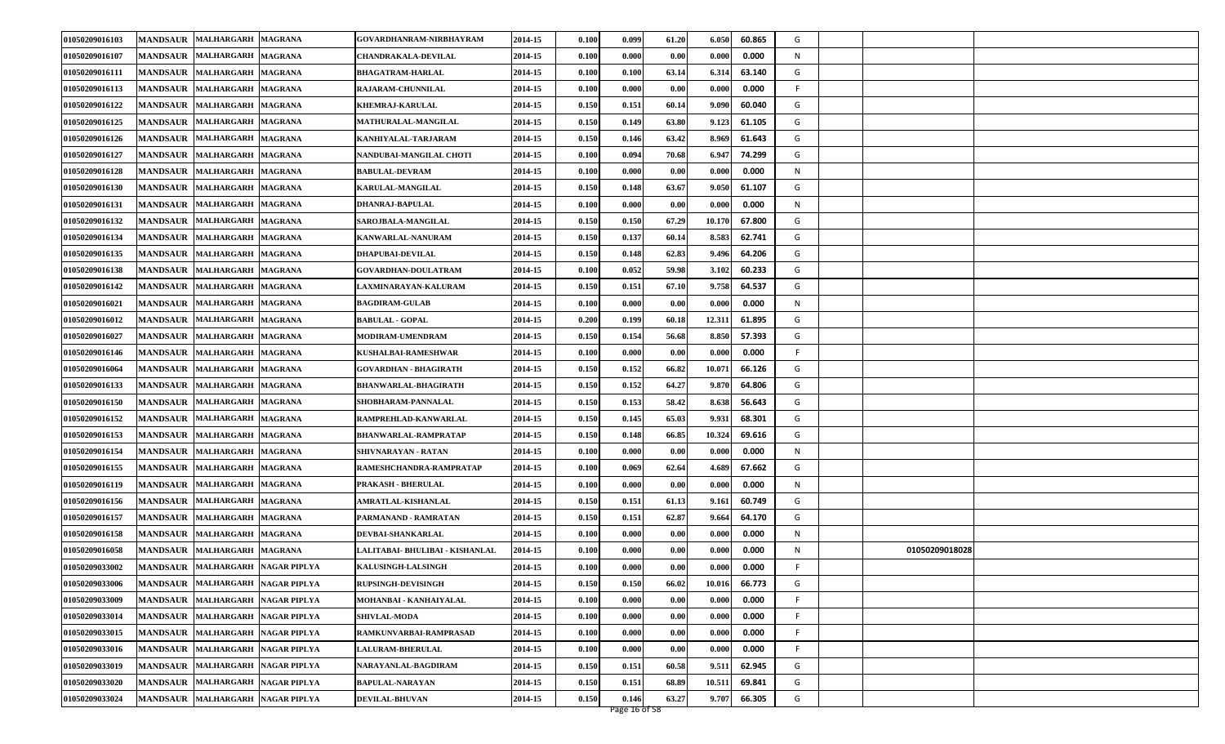| 01050209016103 | <b>MANDSAUR</b><br><b>MALHARGARH</b>       | <b>MAGRANA</b> | GOVARDHANRAM-NIRBHAYRAM         | 2014-15 | 0.100 | 0.099         | 61.20 | 6.050  | 60.865 | G  |                |
|----------------|--------------------------------------------|----------------|---------------------------------|---------|-------|---------------|-------|--------|--------|----|----------------|
| 01050209016107 | <b>MANDSAUR</b><br><b>MALHARGARH</b>       | <b>MAGRANA</b> | <b>CHANDRAKALA-DEVILAL</b>      | 2014-15 | 0.100 | 0.000         | 0.00  | 0.000  | 0.000  | N  |                |
| 01050209016111 | <b>MANDSAUR</b><br><b>MALHARGARH</b>       | <b>MAGRANA</b> | <b>BHAGATRAM-HARLAL</b>         | 2014-15 | 0.100 | 0.100         | 63.14 | 6.314  | 63.140 | G  |                |
| 01050209016113 | <b>MANDSAUR</b><br><b>MALHARGARH</b>       | <b>MAGRANA</b> | <b>RAJARAM-CHUNNILAL</b>        | 2014-15 | 0.100 | 0.000         | 0.00  | 0.000  | 0.000  | F  |                |
| 01050209016122 | <b>MANDSAUR</b><br><b>MALHARGARH</b>       | <b>MAGRANA</b> | <b>KHEMRAJ-KARULAL</b>          | 2014-15 | 0.150 | 0.151         | 60.14 | 9.090  | 60.040 | G  |                |
| 01050209016125 | <b>MANDSAUR</b><br><b>MALHARGARH</b>       | <b>MAGRANA</b> | <b>MATHURALAL-MANGILAL</b>      | 2014-15 | 0.150 | 0.149         | 63.80 | 9.123  | 61.105 | G  |                |
| 01050209016126 | <b>MANDSAUR</b><br>MALHARGARH MAGRANA      |                | KANHIYALAL-TARJARAM             | 2014-15 | 0.150 | 0.146         | 63.42 | 8.969  | 61.643 | G  |                |
| 01050209016127 | <b>MALHARGARH</b><br><b>MANDSAUR</b>       | <b>MAGRANA</b> | NANDUBAI-MANGILAL CHOTI         | 2014-15 | 0.100 | 0.094         | 70.68 | 6.947  | 74.299 | G  |                |
| 01050209016128 | <b>MANDSAUR</b><br><b>MALHARGARH</b>       | <b>MAGRANA</b> | <b>BABULAL-DEVRAM</b>           | 2014-15 | 0.100 | 0.000         | 0.00  | 0.000  | 0.000  | N  |                |
| 01050209016130 | <b>MANDSAUR</b><br><b>MALHARGARH</b>       | <b>MAGRANA</b> | <b>KARULAL-MANGILAL</b>         | 2014-15 | 0.150 | 0.148         | 63.67 | 9.050  | 61.107 | G  |                |
| 01050209016131 | <b>MANDSAUR</b><br>MALHARGARH MAGRANA      |                | <b>DHANRAJ-BAPULAL</b>          | 2014-15 | 0.100 | 0.000         | 0.00  | 0.000  | 0.000  | N  |                |
| 01050209016132 | <b>MANDSAUR</b><br><b>MALHARGARH</b>       | <b>MAGRANA</b> | <b>SAROJBALA-MANGILAL</b>       | 2014-15 | 0.150 | 0.150         | 67.29 | 10.170 | 67.800 | G  |                |
| 01050209016134 | <b>MANDSAUR</b><br><b>MALHARGARH</b>       | <b>MAGRANA</b> | <b>KANWARLAL-NANURAM</b>        | 2014-15 | 0.150 | 0.137         | 60.14 | 8.583  | 62.741 | G  |                |
| 01050209016135 | <b>MANDSAUR</b><br><b>MALHARGARH</b>       | <b>MAGRANA</b> | <b>DHAPUBAI-DEVILAL</b>         | 2014-15 | 0.150 | 0.148         | 62.83 | 9.496  | 64.206 | G  |                |
| 01050209016138 | <b>MANDSAUR</b><br>MALHARGARH MAGRANA      |                | <b>GOVARDHAN-DOULATRAM</b>      | 2014-15 | 0.100 | 0.052         | 59.98 | 3.102  | 60.233 | G  |                |
| 01050209016142 | <b>MANDSAUR</b><br><b>MALHARGARH</b>       | <b>MAGRANA</b> | <b>LAXMINARAYAN-KALURAM</b>     | 2014-15 | 0.150 | 0.151         | 67.10 | 9.758  | 64.537 | G  |                |
| 01050209016021 | <b>MALHARGARH</b><br><b>MANDSAUR</b>       | <b>MAGRANA</b> | <b>BAGDIRAM-GULAB</b>           | 2014-15 | 0.100 | 0.000         | 0.00  | 0.000  | 0.000  | N  |                |
| 01050209016012 | <b>MANDSAUR</b><br><b>MALHARGARH</b>       | <b>MAGRANA</b> | <b>BABULAL - GOPAL</b>          | 2014-15 | 0.200 | 0.199         | 60.18 | 12.311 | 61.895 | G  |                |
| 01050209016027 | <b>MANDSAUR</b><br>MALHARGARH MAGRANA      |                | MODIRAM-UMENDRAM                | 2014-15 | 0.150 | 0.154         | 56.68 | 8.850  | 57.393 | G  |                |
| 01050209016146 | <b>MANDSAUR</b><br><b>MALHARGARH</b>       | <b>MAGRANA</b> | KUSHALBAI-RAMESHWAR             | 2014-15 | 0.100 | 0.000         | 0.00  | 0.000  | 0.000  | F  |                |
| 01050209016064 | <b>MANDSAUR</b><br><b>MALHARGARH</b>       | <b>MAGRANA</b> | <b>GOVARDHAN - BHAGIRATH</b>    | 2014-15 | 0.150 | 0.152         | 66.82 | 10.071 | 66.126 | G  |                |
| 01050209016133 | <b>MANDSAUR</b><br><b>MALHARGARH</b>       | <b>MAGRANA</b> | <b>BHANWARLAL-BHAGIRATH</b>     | 2014-15 | 0.150 | 0.152         | 64.27 | 9.870  | 64.806 | G  |                |
| 01050209016150 | <b>MANDSAUR</b><br>MALHARGARH MAGRANA      |                | SHOBHARAM-PANNALAL              | 2014-15 | 0.150 | 0.153         | 58.42 | 8.638  | 56.643 | G  |                |
| 01050209016152 | <b>MANDSAUR</b><br><b>MALHARGARH</b>       | <b>MAGRANA</b> | RAMPREHLAD-KANWARLAL            | 2014-15 | 0.150 | 0.145         | 65.03 | 9.931  | 68.301 | G  |                |
| 01050209016153 | <b>MANDSAUR</b><br><b>MALHARGARH</b>       | <b>MAGRANA</b> | BHANWARLAL-RAMPRATAP            | 2014-15 | 0.150 | 0.148         | 66.85 | 10.324 | 69.616 | G  |                |
| 01050209016154 | <b>MANDSAUR</b><br><b>MALHARGARH</b>       | <b>MAGRANA</b> | <b>SHIVNARAYAN - RATAN</b>      | 2014-15 | 0.100 | 0.000         | 0.00  | 0.000  | 0.000  | N  |                |
| 01050209016155 | MALHARGARH MAGRANA<br><b>MANDSAUR</b>      |                | RAMESHCHANDRA-RAMPRATAP         | 2014-15 | 0.100 | 0.069         | 62.64 | 4.689  | 67.662 | G  |                |
| 01050209016119 | <b>MANDSAUR</b><br><b>MALHARGARH</b>       | <b>MAGRANA</b> | PRAKASH - BHERULAL              | 2014-15 | 0.100 | 0.000         | 0.00  | 0.000  | 0.000  | N  |                |
| 01050209016156 | <b>MANDSAUR</b><br><b>MALHARGARH</b>       | <b>MAGRANA</b> | AMRATLAL-KISHANLAL              | 2014-15 | 0.150 | 0.151         | 61.13 | 9.161  | 60.749 | G  |                |
| 01050209016157 | <b>MANDSAUR</b><br>MALHARGARH MAGRANA      |                | PARMANAND - RAMRATAN            | 2014-15 | 0.150 | 0.151         | 62.87 | 9.664  | 64.170 | G  |                |
| 01050209016158 | <b>MALHARGARH</b><br><b>MANDSAUR</b>       | <b>MAGRANA</b> | DEVBAI-SHANKARLAL               | 2014-15 | 0.100 | 0.000         | 0.00  | 0.000  | 0.000  | N  |                |
| 01050209016058 | <b>MANDSAUR</b><br><b>MALHARGARH</b>       | <b>MAGRANA</b> | LALITABAI- BHULIBAI - KISHANLAL | 2014-15 | 0.100 | 0.000         | 0.00  | 0.000  | 0.000  | N  | 01050209018028 |
| 01050209033002 | MANDSAUR MALHARGARH NAGAR PIPLYA           |                | KALUSINGH-LALSINGH              | 2014-15 | 0.100 | 0.000         | 0.00  | 0.000  | 0.000  |    |                |
| 01050209033006 | MANDSAUR MALHARGARH NAGAR PIPLYA           |                | <b>RUPSINGH-DEVISINGH</b>       | 2014-15 | 0.150 | 0.150         | 66.02 | 10.016 | 66.773 | G  |                |
| 01050209033009 | MALHARGARH NAGAR PIPLYA<br><b>MANDSAUR</b> |                | MOHANBAI - KANHAIYALAL          | 2014-15 | 0.100 | 0.000         | 0.00  | 0.000  | 0.000  | F. |                |
| 01050209033014 | <b>MANDSAUR</b><br>MALHARGARH NAGAR PIPLYA |                | <b>SHIVLAL-MODA</b>             | 2014-15 | 0.100 | 0.000         | 0.00  | 0.000  | 0.000  | F. |                |
| 01050209033015 | <b>MANDSAUR</b><br>MALHARGARH NAGAR PIPLYA |                | RAMKUNVARBAI-RAMPRASAD          | 2014-15 | 0.100 | 0.000         | 0.00  | 0.000  | 0.000  | F  |                |
| 01050209033016 | MANDSAUR MALHARGARH NAGAR PIPLYA           |                | <b>LALURAM-BHERULAL</b>         | 2014-15 | 0.100 | 0.000         | 0.00  | 0.000  | 0.000  | F  |                |
| 01050209033019 | <b>MANDSAUR</b><br>MALHARGARH NAGAR PIPLYA |                | NARAYANLAL-BAGDIRAM             | 2014-15 | 0.150 | 0.151         | 60.58 | 9.511  | 62.945 | G  |                |
| 01050209033020 | MALHARGARH NAGAR PIPLYA<br><b>MANDSAUR</b> |                | <b>BAPULAL-NARAYAN</b>          | 2014-15 | 0.150 | 0.151         | 68.89 | 10.511 | 69.841 | G  |                |
| 01050209033024 | MANDSAUR MALHARGARH NAGAR PIPLYA           |                | <b>DEVILAL-BHUVAN</b>           | 2014-15 | 0.150 | 0.146         | 63.27 | 9.707  | 66.305 | G  |                |
|                |                                            |                |                                 |         |       | Page 16 of 58 |       |        |        |    |                |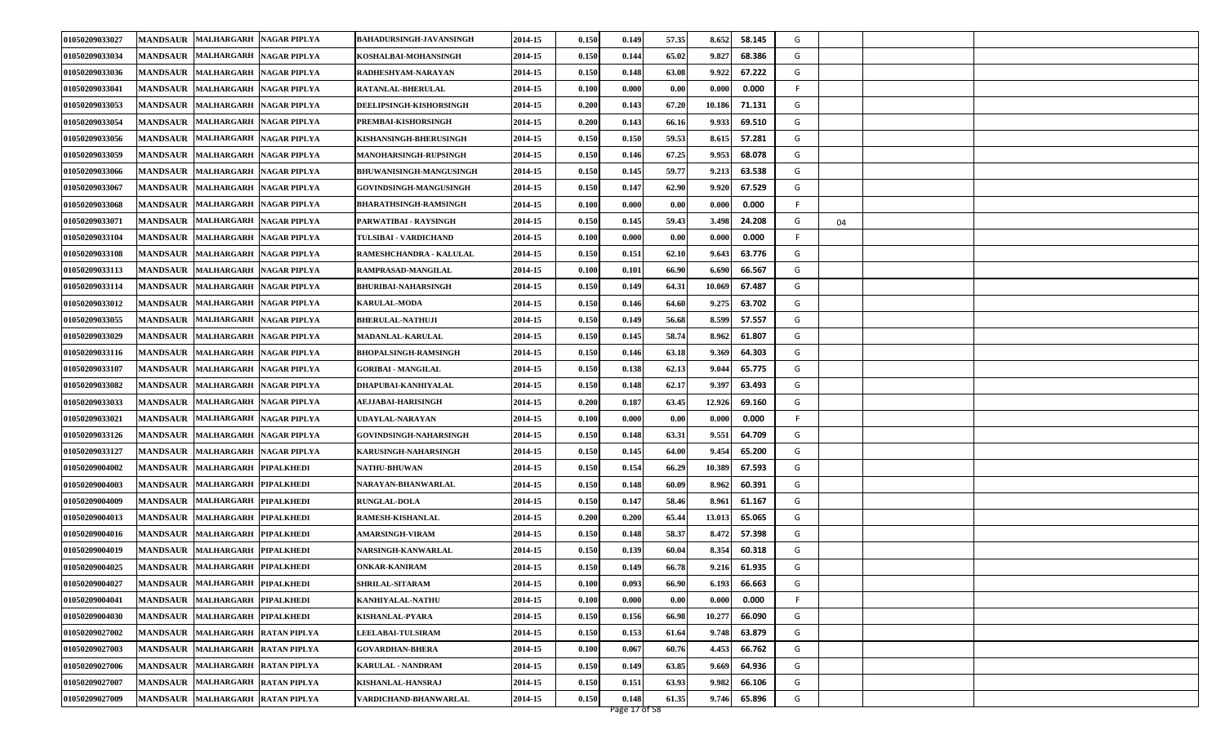| 01050209033027 | <b>MANDSAUR</b><br><b>MALHARGARH</b>       | <b>NAGAR PIPLYA</b> | BAHADURSINGH-JAVANSINGH        | 2014-15 | 0.150 | 0.149         | 57.35 | 8.652  | 58.145 | G |    |  |
|----------------|--------------------------------------------|---------------------|--------------------------------|---------|-------|---------------|-------|--------|--------|---|----|--|
| 01050209033034 | <b>MALHARGARH</b><br><b>MANDSAUR</b>       | <b>NAGAR PIPLYA</b> | KOSHALBAI-MOHANSINGH           | 2014-15 | 0.150 | 0.144         | 65.02 | 9.827  | 68.386 | G |    |  |
| 01050209033036 | <b>MANDSAUR</b><br><b>MALHARGARH</b>       | <b>NAGAR PIPLYA</b> | RADHESHYAM-NARAYAN             | 2014-15 | 0.150 | 0.148         | 63.08 | 9.922  | 67.222 | G |    |  |
| 01050209033041 | <b>MANDSAUR</b><br><b>MALHARGARH</b>       | <b>NAGAR PIPLYA</b> | <b>RATANLAL-BHERULAL</b>       | 2014-15 | 0.100 | 0.000         | 0.00  | 0.000  | 0.000  | F |    |  |
| 01050209033053 | <b>MANDSAUR</b><br><b>MALHARGARH</b>       | <b>NAGAR PIPLYA</b> | <b>DEELIPSINGH-KISHORSINGH</b> | 2014-15 | 0.200 | 0.143         | 67.20 | 10.186 | 71.131 | G |    |  |
| 01050209033054 | <b>MANDSAUR</b><br><b>MALHARGARH</b>       | <b>NAGAR PIPLYA</b> | PREMBAI-KISHORSINGH            | 2014-15 | 0.200 | 0.143         | 66.16 | 9.933  | 69.510 | G |    |  |
| 01050209033056 | <b>MANDSAUR</b><br>MALHARGARH NAGAR PIPLYA |                     | <b>KISHANSINGH-BHERUSINGH</b>  | 2014-15 | 0.150 | 0.150         | 59.53 | 8.615  | 57.281 | G |    |  |
| 01050209033059 | <b>MALHARGARH</b><br><b>MANDSAUR</b>       | <b>NAGAR PIPLYA</b> | <b>MANOHARSINGH-RUPSINGH</b>   | 2014-15 | 0.150 | 0.146         | 67.25 | 9.953  | 68.078 | G |    |  |
| 01050209033066 | <b>MALHARGARH</b><br><b>MANDSAUR</b>       | <b>NAGAR PIPLYA</b> | BHUWANISINGH-MANGUSINGH        | 2014-15 | 0.150 | 0.145         | 59.77 | 9.213  | 63.538 | G |    |  |
| 01050209033067 | <b>MANDSAUR</b><br><b>MALHARGARH</b>       | <b>NAGAR PIPLYA</b> | GOVINDSINGH-MANGUSINGH         | 2014-15 | 0.150 | 0.147         | 62.90 | 9.920  | 67.529 | G |    |  |
| 01050209033068 | <b>MANDSAUR</b><br>MALHARGARH NAGAR PIPLYA |                     | <b>BHARATHSINGH-RAMSINGH</b>   | 2014-15 | 0.100 | 0.000         | 0.00  | 0.000  | 0.000  | F |    |  |
| 01050209033071 | <b>MANDSAUR</b><br><b>MALHARGARH</b>       | NAGAR PIPLYA        | PARWATIBAI - RAYSINGH          | 2014-15 | 0.150 | 0.145         | 59.43 | 3.498  | 24.208 | G | 04 |  |
| 01050209033104 | <b>MANDSAUR</b><br><b>MALHARGARH</b>       | <b>NAGAR PIPLYA</b> | TULSIBAI - VARDICHAND          | 2014-15 | 0.100 | 0.000         | 0.00  | 0.000  | 0.000  | F |    |  |
| 01050209033108 | MALHARGARH NAGAR PIPLYA<br><b>MANDSAUR</b> |                     | RAMESHCHANDRA - KALULAL        | 2014-15 | 0.150 | 0.151         | 62.10 | 9.643  | 63.776 | G |    |  |
| 01050209033113 | <b>MANDSAUR</b><br>MALHARGARH NAGAR PIPLYA |                     | RAMPRASAD-MANGILAL             | 2014-15 | 0.100 | 0.101         | 66.90 | 6.690  | 66.567 | G |    |  |
| 01050209033114 | <b>MALHARGARH</b><br><b>MANDSAUR</b>       | <b>NAGAR PIPLYA</b> | <b>BHURIBAI-NAHARSINGH</b>     | 2014-15 | 0.150 | 0.149         | 64.31 | 10.069 | 67.487 | G |    |  |
| 01050209033012 | <b>MANDSAUR</b><br><b>MALHARGARH</b>       | <b>NAGAR PIPLYA</b> | <b>KARULAL-MODA</b>            | 2014-15 | 0.150 | 0.146         | 64.60 | 9.275  | 63.702 | G |    |  |
| 01050209033055 | <b>MANDSAUR</b><br><b>MALHARGARH</b>       | <b>NAGAR PIPLYA</b> | <b>BHERULAL-NATHUJI</b>        | 2014-15 | 0.150 | 0.149         | 56.68 | 8.599  | 57.557 | G |    |  |
| 01050209033029 | <b>MANDSAUR</b><br>MALHARGARH NAGAR PIPLYA |                     | MADANLAL-KARULAL               | 2014-15 | 0.150 | 0.145         | 58.74 | 8.962  | 61.807 | G |    |  |
| 01050209033116 | <b>MANDSAUR</b><br><b>MALHARGARH</b>       | NAGAR PIPLYA        | <b>BHOPALSINGH-RAMSINGH</b>    | 2014-15 | 0.150 | 0.146         | 63.18 | 9.369  | 64.303 | G |    |  |
| 01050209033107 | <b>MANDSAUR</b><br><b>MALHARGARH</b>       | <b>NAGAR PIPLYA</b> | <b>GORIBAI - MANGILAL</b>      | 2014-15 | 0.150 | 0.138         | 62.13 | 9.044  | 65.775 | G |    |  |
| 01050209033082 | <b>MANDSAUR</b><br>MALHARGARH NAGAR PIPLYA |                     | DHAPUBAI-KANHIYALAL            | 2014-15 | 0.150 | 0.148         | 62.17 | 9.397  | 63.493 | G |    |  |
| 01050209033033 | <b>MANDSAUR</b><br>MALHARGARH NAGAR PIPLYA |                     | <b>AEJJABAI-HARISINGH</b>      | 2014-15 | 0.200 | 0.187         | 63.45 | 12.926 | 69.160 | G |    |  |
| 01050209033021 | <b>MANDSAUR</b><br><b>MALHARGARH</b>       | <b>NAGAR PIPLYA</b> | UDAYLAL-NARAYAN                | 2014-15 | 0.100 | 0.000         | 0.00  | 0.000  | 0.000  | F |    |  |
| 01050209033126 | <b>MANDSAUR</b><br><b>MALHARGARH</b>       | <b>NAGAR PIPLYA</b> | <b>GOVINDSINGH-NAHARSINGH</b>  | 2014-15 | 0.150 | 0.148         | 63.31 | 9.551  | 64.709 | G |    |  |
| 01050209033127 | <b>MANDSAUR</b><br>MALHARGARH NAGAR PIPLYA |                     | KARUSINGH-NAHARSINGH           | 2014-15 | 0.150 | 0.145         | 64.00 | 9.454  | 65.200 | G |    |  |
| 01050209004002 | <b>MANDSAUR</b><br><b>MALHARGARH</b>       | <b>PIPALKHEDI</b>   | <b>NATHU-BHUWAN</b>            | 2014-15 | 0.150 | 0.154         | 66.29 | 10.389 | 67.593 | G |    |  |
| 01050209004003 | <b>MANDSAUR</b><br><b>MALHARGARH</b>       | <b>PIPALKHEDI</b>   | NARAYAN-BHANWARLAL             | 2014-15 | 0.150 | 0.148         | 60.09 | 8.962  | 60.391 | G |    |  |
| 01050209004009 | <b>MANDSAUR</b><br><b>MALHARGARH</b>       | <b>PIPALKHEDI</b>   | <b>RUNGLAL-DOLA</b>            | 2014-15 | 0.150 | 0.147         | 58.46 | 8.961  | 61.167 | G |    |  |
| 01050209004013 | <b>MANDSAUR</b><br><b>MALHARGARH</b>       | <b>PIPALKHEDI</b>   | RAMESH-KISHANLAL               | 2014-15 | 0.200 | 0.200         | 65.44 | 13.013 | 65.065 | G |    |  |
| 01050209004016 | <b>MALHARGARH</b><br><b>MANDSAUR</b>       | <b>PIPALKHEDI</b>   | <b>AMARSINGH-VIRAM</b>         | 2014-15 | 0.150 | 0.148         | 58.37 | 8.472  | 57.398 | G |    |  |
| 01050209004019 | <b>MALHARGARH</b><br><b>MANDSAUR</b>       | <b>PIPALKHEDI</b>   | NARSINGH-KANWARLAL             | 2014-15 | 0.150 | 0.139         | 60.04 | 8.354  | 60.318 | G |    |  |
| 01050209004025 | MANDSAUR MALHARGARH PIPALKHEDI             |                     | <b>ONKAR-KANIRAM</b>           | 2014-15 | 0.150 | 0.149         | 66.78 | 9.216  | 61.935 | G |    |  |
| 01050209004027 | MANDSAUR MALHARGARH PIPALKHEDI             |                     | SHRILAL-SITARAM                | 2014-15 | 0.100 | 0.093         | 66.90 | 6.193  | 66.663 | G |    |  |
| 01050209004041 | <b>MANDSAUR</b><br><b>MALHARGARH</b>       | <b>PIPALKHEDI</b>   | KANHIYALAL-NATHU               | 2014-15 | 0.100 | 0.000         | 0.00  | 0.000  | 0.000  | F |    |  |
| 01050209004030 | <b>MANDSAUR</b><br>MALHARGARH PIPALKHEDI   |                     | KISHANLAL-PYARA                | 2014-15 | 0.150 | 0.156         | 66.98 | 10.277 | 66.090 | G |    |  |
| 01050209027002 | <b>MANDSAUR</b><br><b>MALHARGARH</b>       | <b>RATAN PIPLYA</b> | <b>LEELABAI-TULSIRAM</b>       | 2014-15 | 0.150 | 0.153         | 61.64 | 9.748  | 63.879 | G |    |  |
| 01050209027003 | MALHARGARH RATAN PIPLYA<br><b>MANDSAUR</b> |                     | <b>GOVARDHAN-BHERA</b>         | 2014-15 | 0.100 | 0.067         | 60.76 | 4.453  | 66.762 | G |    |  |
| 01050209027006 | <b>MANDSAUR</b><br><b>MALHARGARH</b>       | <b>RATAN PIPLYA</b> | KARULAL - NANDRAM              | 2014-15 | 0.150 | 0.149         | 63.85 | 9.669  | 64.936 | G |    |  |
| 01050209027007 | <b>MALHARGARH</b><br><b>MANDSAUR</b>       | <b>RATAN PIPLYA</b> | KISHANLAL-HANSRAJ              | 2014-15 | 0.150 | 0.151         | 63.93 | 9.982  | 66.106 | G |    |  |
| 01050209027009 | MANDSAUR MALHARGARH RATAN PIPLYA           |                     | VARDICHAND-BHANWARLAL          | 2014-15 | 0.150 | 0.148         | 61.35 | 9.746  | 65.896 | G |    |  |
|                |                                            |                     |                                |         |       | Page 17 of 58 |       |        |        |   |    |  |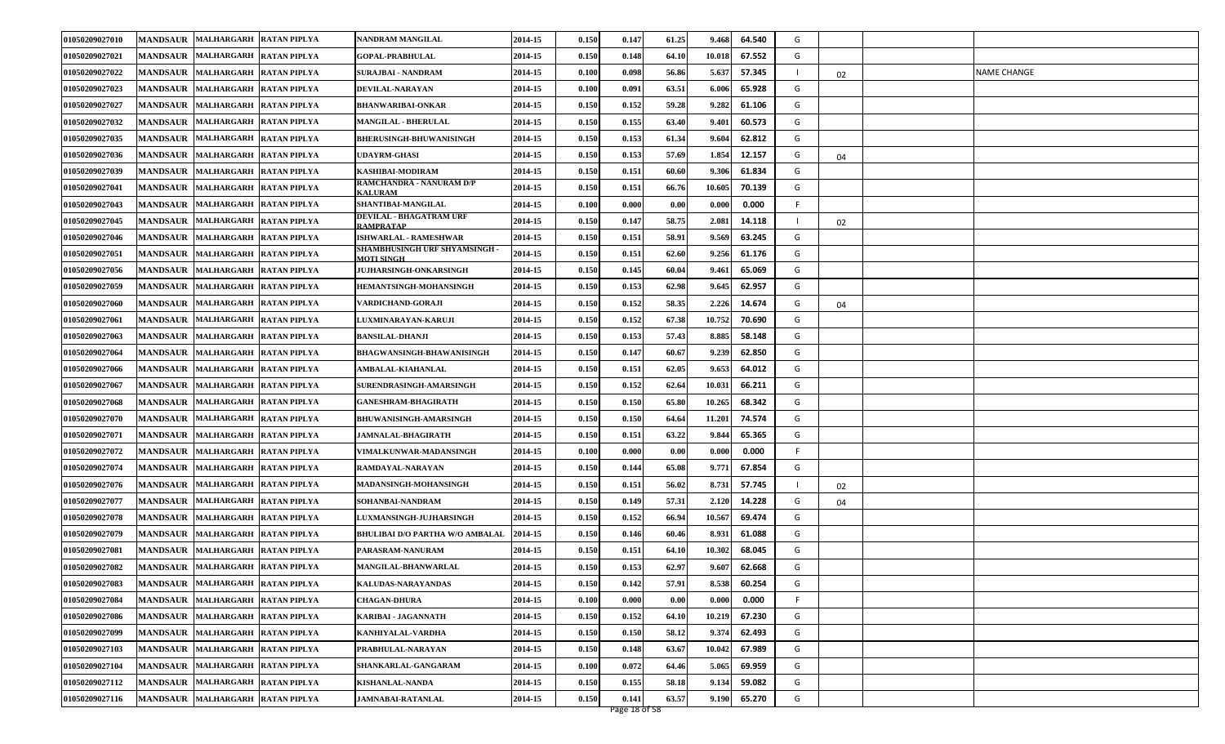| 01050209027010 | <b>MANDSAUR</b><br>MALHARGARH RATAN PIPLYA   |                     | NANDRAM MANGILAL                                         | 2014-15 | 0.150 | 0.147         | 61.25 | 9.468  | 64.540 | G  |    |                    |
|----------------|----------------------------------------------|---------------------|----------------------------------------------------------|---------|-------|---------------|-------|--------|--------|----|----|--------------------|
| 01050209027021 | <b>MANDSAUR</b><br>MALHARGARH RATAN PIPLYA   |                     | <b>GOPAL-PRABHULAL</b>                                   | 2014-15 | 0.150 | 0.148         | 64.1  | 10.018 | 67.552 | G  |    |                    |
| 01050209027022 | <b>MANDSAUR</b><br>MALHARGARH RATAN PIPLYA   |                     | <b>SURAJBAI - NANDRAM</b>                                | 2014-15 | 0.100 | 0.098         | 56.86 | 5.637  | 57.345 |    | 02 | <b>NAME CHANGE</b> |
| 01050209027023 | <b>MANDSAUR</b><br>MALHARGARH RATAN PIPLYA   |                     | <b>DEVILAL-NARAYAN</b>                                   | 2014-15 | 0.100 | 0.091         | 63.51 | 6.006  | 65.928 | G  |    |                    |
| 01050209027027 | <b>MANDSAUR</b><br><b>MALHARGARH</b>         | <b>RATAN PIPLYA</b> | <b>BHANWARIBAI-ONKAR</b>                                 | 2014-15 | 0.150 | 0.152         | 59.28 | 9.282  | 61.106 | G  |    |                    |
| 01050209027032 | <b>MANDSAUR</b><br>MALHARGARH RATAN PIPLYA   |                     | <b>MANGILAL - BHERULAL</b>                               | 2014-15 | 0.150 | 0.155         | 63.40 | 9.401  | 60.573 | G  |    |                    |
| 01050209027035 | <b>MANDSAUR</b><br>MALHARGARH RATAN PIPLYA   |                     | <b>BHERUSINGH-BHUWANISINGH</b>                           | 2014-15 | 0.150 | 0.153         | 61.34 | 9.604  | 62.812 | G  |    |                    |
| 01050209027036 | MALHARGARH RATAN PIPLYA<br><b>MANDSAUR</b>   |                     | <b>UDAYRM-GHASI</b>                                      | 2014-15 | 0.150 | 0.153         | 57.69 | 1.854  | 12.157 | G  | 04 |                    |
| 01050209027039 | <b>MALHARGARH</b><br><b>MANDSAUR</b>         | <b>RATAN PIPLYA</b> | KASHIBAI-MODIRAM                                         | 2014-15 | 0.150 | 0.151         | 60.60 | 9.306  | 61.834 | G  |    |                    |
| 01050209027041 | <b>MANDSAUR</b><br>MALHARGARH RATAN PIPLYA   |                     | <b>RAMCHANDRA - NANURAM D/P</b><br><b><i>KALURAM</i></b> | 2014-15 | 0.150 | 0.151         | 66.76 | 10.605 | 70.139 | G  |    |                    |
| 01050209027043 | <b>MANDSAUR</b><br>MALHARGARH RATAN PIPLYA   |                     | SHANTIBAI-MANGILAL                                       | 2014-15 | 0.100 | 0.000         | 0.00  | 0.000  | 0.000  | F  |    |                    |
| 01050209027045 | <b>MANDSAUR</b><br><b>MALHARGARH</b>         | <b>RATAN PIPLYA</b> | <b>DEVILAL - BHAGATRAM URF</b><br><b>RAMPRATAP</b>       | 2014-15 | 0.150 | 0.147         | 58.75 | 2.081  | 14.118 |    | 02 |                    |
| 01050209027046 | <b>MANDSAUR</b><br>MALHARGARH RATAN PIPLYA   |                     | <b>ISHWARLAL - RAMESHWAR</b>                             | 2014-15 | 0.150 | 0.151         | 58.91 | 9.569  | 63.245 | G  |    |                    |
| 01050209027051 | MALHARGARH RATAN PIPLYA<br><b>MANDSAUR</b>   |                     | <b>SHAMBHUSINGH URF SHYAMSINGH</b><br><b>MOTI SINGH</b>  | 2014-15 | 0.150 | 0.151         | 62.60 | 9.256  | 61.176 | G  |    |                    |
| 01050209027056 | <b>MANDSAUR</b><br>MALHARGARH RATAN PIPLYA   |                     | <b>JUJHARSINGH-ONKARSINGH</b>                            | 2014-15 | 0.150 | 0.145         | 60.04 | 9.461  | 65.069 | G  |    |                    |
| 01050209027059 | <b>MANDSAUR</b><br>MALHARGARH RATAN PIPLYA   |                     | HEMANTSINGH-MOHANSINGH                                   | 2014-15 | 0.150 | 0.153         | 62.98 | 9.645  | 62.957 | G  |    |                    |
| 01050209027060 | MALHARGARH RATAN PIPLYA<br><b>MANDSAUR</b>   |                     | VARDICHAND-GORAJI                                        | 2014-15 | 0.150 | 0.152         | 58.35 | 2.226  | 14.674 | G  | 04 |                    |
| 01050209027061 | <b>MANDSAUR</b><br>MALHARGARH RATAN PIPLYA   |                     | <b>LUXMINARAYAN-KARUJI</b>                               | 2014-15 | 0.150 | 0.152         | 67.38 | 10.752 | 70.690 | G  |    |                    |
| 01050209027063 | <b>MANDSAUR</b><br>MALHARGARH RATAN PIPLYA   |                     | <b>BANSILAL-DHANJI</b>                                   | 2014-15 | 0.150 | 0.153         | 57.43 | 8.885  | 58.148 | G  |    |                    |
| 01050209027064 | <b>MANDSAUR</b><br>MALHARGARH RATAN PIPLYA   |                     | <b>BHAGWANSINGH-BHAWANISINGH</b>                         | 2014-15 | 0.150 | 0.147         | 60.67 | 9.239  | 62.850 | G  |    |                    |
| 01050209027066 | <b>MANDSAUR</b><br>MALHARGARH RATAN PIPLYA   |                     | AMBALAL-KIAHANLAL                                        | 2014-15 | 0.150 | 0.151         | 62.05 | 9.653  | 64.012 | G  |    |                    |
| 01050209027067 | <b>MANDSAUR</b><br>MALHARGARH RATAN PIPLYA   |                     | SURENDRASINGH-AMARSINGH                                  | 2014-15 | 0.150 | 0.152         | 62.64 | 10.031 | 66.211 | G  |    |                    |
| 01050209027068 | <b>MANDSAUR</b><br>MALHARGARH RATAN PIPLYA   |                     | <b>GANESHRAM-BHAGIRATH</b>                               | 2014-15 | 0.150 | 0.150         | 65.80 | 10.265 | 68.342 | G  |    |                    |
| 01050209027070 | <b>MANDSAUR</b><br><b>MALHARGARH</b>         | <b>RATAN PIPLYA</b> | <b>BHUWANISINGH-AMARSINGH</b>                            | 2014-15 | 0.150 | 0.150         | 64.64 | 11.201 | 74.574 | G  |    |                    |
| 01050209027071 | <b>MANDSAUR</b><br>MALHARGARH RATAN PIPLYA   |                     | <b>JAMNALAL-BHAGIRATH</b>                                | 2014-15 | 0.150 | 0.151         | 63.22 | 9.844  | 65.365 | G  |    |                    |
| 01050209027072 | <b>MANDSAUR</b><br>MALHARGARH RATAN PIPLYA   |                     | VIMALKUNWAR-MADANSINGH                                   | 2014-15 | 0.100 | 0.000         | 0.00  | 0.000  | 0.000  | F. |    |                    |
| 01050209027074 | <b>MANDSAUR</b><br>MALHARGARH RATAN PIPLYA   |                     | RAMDAYAL-NARAYAN                                         | 2014-15 | 0.150 | 0.144         | 65.08 | 9.771  | 67.854 | G  |    |                    |
| 01050209027076 | <b>MANDSAUR</b><br>MALHARGARH RATAN PIPLYA   |                     | <b>MADANSINGH-MOHANSINGH</b>                             | 2014-15 | 0.150 | 0.151         | 56.02 | 8.731  | 57.745 |    | 02 |                    |
| 01050209027077 | <b>MANDSAUR</b><br>MALHARGARH RATAN PIPLYA   |                     | SOHANBAI-NANDRAM                                         | 2014-15 | 0.150 | 0.149         | 57.31 | 2.120  | 14.228 | G  | 04 |                    |
| 01050209027078 | <b>MANDSAUR</b><br>MALHARGARH RATAN PIPLYA   |                     | LUXMANSINGH-JUJHARSINGH                                  | 2014-15 | 0.150 | 0.152         | 66.94 | 10.567 | 69.474 | G  |    |                    |
| 01050209027079 | <b>MANDSAUR</b><br><b>MALHARGARH</b>         | <b>RATAN PIPLYA</b> | <b>BHULIBAI D/O PARTHA W/O AMBALAL</b>                   | 2014-15 | 0.150 | 0.146         | 60.46 | 8.931  | 61.088 | G  |    |                    |
| 01050209027081 | MALHARGARH RATAN PIPLYA<br><b>MANDSAUR</b>   |                     | PARASRAM-NANURAM                                         | 2014-15 | 0.150 | 0.151         | 64.1  | 10.302 | 68.045 | G  |    |                    |
| 01050209027082 | MANDSAUR MALHARGARH RATAN PIPLYA             |                     | MANGILAL-BHANWARLAL                                      | 2014-15 | 0.150 | 0.153         | 62.97 | 9.607  | 62.668 | G  |    |                    |
| 01050209027083 | MANDSAUR MALHARGARH RATAN PIPLYA             |                     | KALUDAS-NARAYANDAS                                       | 2014-15 | 0.150 | 0.142         | 57.91 | 8.538  | 60.254 | G  |    |                    |
| 01050209027084 | <b>MANDSAUR</b><br>MALHARGARH RATAN PIPLYA   |                     | <b>CHAGAN-DHURA</b>                                      | 2014-15 | 0.100 | 0.000         | 0.00  | 0.000  | 0.000  | F. |    |                    |
| 01050209027086 | <b>MANDSAUR</b><br>MALHARGARH RATAN PIPLYA   |                     | KARIBAI - JAGANNATH                                      | 2014-15 | 0.150 | 0.152         | 64.10 | 10.219 | 67.230 | G  |    |                    |
| 01050209027099 | <b>MANDSAUR</b><br>MALHARGARH   RATAN PIPLYA |                     | KANHIYALAL-VARDHA                                        | 2014-15 | 0.150 | 0.150         | 58.12 | 9.374  | 62.493 | G  |    |                    |
| 01050209027103 | MANDSAUR MALHARGARH RATAN PIPLYA             |                     | PRABHULAL-NARAYAN                                        | 2014-15 | 0.150 | 0.148         | 63.67 | 10.042 | 67.989 | G  |    |                    |
| 01050209027104 | <b>MANDSAUR</b><br>MALHARGARH RATAN PIPLYA   |                     | SHANKARLAL-GANGARAM                                      | 2014-15 | 0.100 | 0.072         | 64.46 | 5.065  | 69.959 | G  |    |                    |
| 01050209027112 | MALHARGARH RATAN PIPLYA<br><b>MANDSAUR</b>   |                     | <b>KISHANLAL-NANDA</b>                                   | 2014-15 | 0.150 | 0.155         | 58.18 | 9.134  | 59.082 | G  |    |                    |
| 01050209027116 | MANDSAUR MALHARGARH RATAN PIPLYA             |                     | <b>JAMNABAI-RATANLAL</b>                                 | 2014-15 | 0.150 | 0.141         | 63.57 | 9.190  | 65.270 | G  |    |                    |
|                |                                              |                     |                                                          |         |       | Page 18 of 58 |       |        |        |    |    |                    |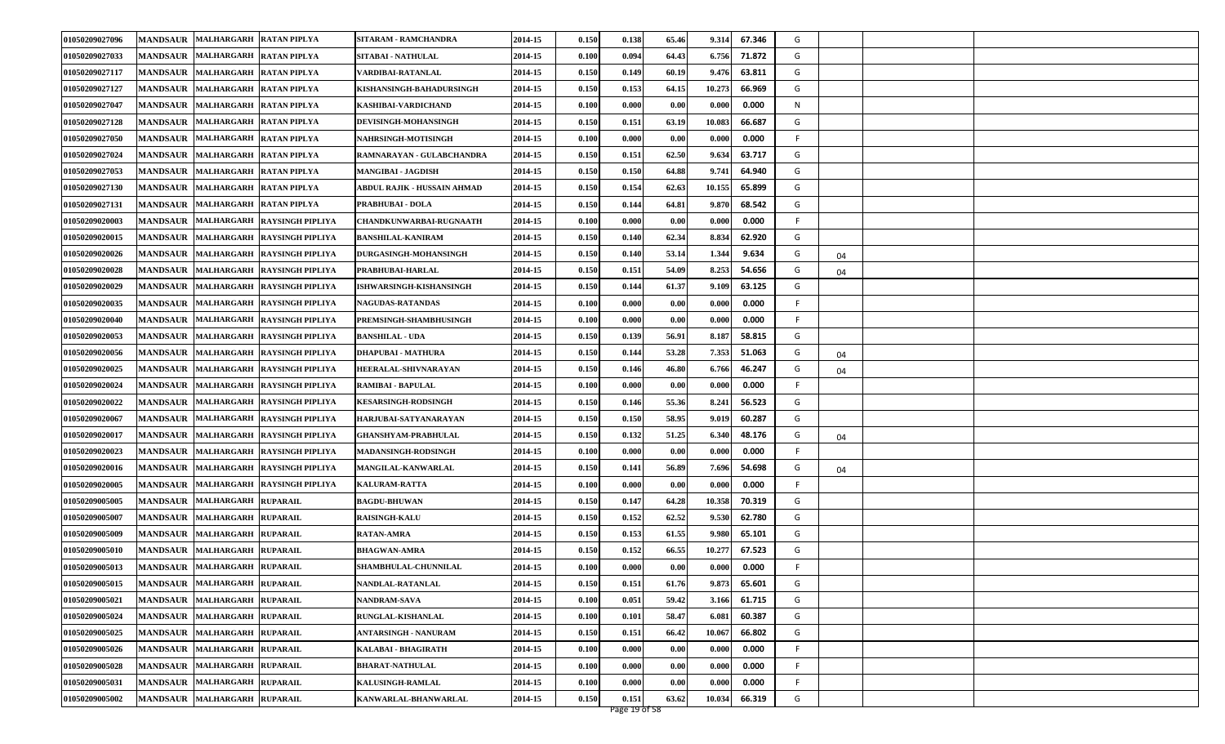| 01050209027033<br>MANDSAUR MALHARGARH RATAN PIPLYA<br>SITABAI - NATHULAL<br>2014-15<br>0.094<br>64.43<br>6.756<br>71.872<br>G<br>0.100<br>01050209027117<br>MANDSAUR MALHARGARH RATAN PIPLYA<br>2014-15<br>60.19<br>9.476<br>63.811<br>G<br>VARDIBAI-RATANLAL<br>0.150<br>0.149<br>01050209027127<br>MANDSAUR MALHARGARH RATAN PIPLYA<br>2014-15<br>0.153<br>64.15<br>10.273<br>66.969<br>G<br>0.150<br>KISHANSINGH-BAHADURSINGH<br>01050209027047<br><b>MANDSAUR</b><br>MALHARGARH RATAN PIPLYA<br>0.000<br>0.000<br>N<br>2014-15<br>0.100<br>0.000<br>0.00<br>KASHIBAI-VARDICHAND<br>01050209027128<br>MANDSAUR MALHARGARH RATAN PIPLYA<br>0.150<br>63.19<br>10.083<br>66.687<br>G<br>DEVISINGH-MOHANSINGH<br>2014-15<br>0.151<br>01050209027050<br>MANDSAUR MALHARGARH RATAN PIPLYA<br>2014-15<br>0.000<br>0.00<br>0.000<br>0.000<br>-F<br><b>NAHRSINGH-MOTISINGH</b><br>0.100<br>01050209027024<br>MANDSAUR MALHARGARH RATAN PIPLYA<br>RAMNARAYAN - GULABCHANDRA<br>62.50<br>9.634<br>63.717<br>G<br>2014-15<br>0.150<br>0.151<br>01050209027053<br>64.88<br>64.940<br><b>MANDSAUR</b><br>MALHARGARH RATAN PIPLYA<br>2014-15<br>0.150<br>0.150<br>9.741<br>G<br><b>MANGIBAI - JAGDISH</b><br>62.63<br>G<br>01050209027130<br><b>MANDSAUR</b><br>MALHARGARH RATAN PIPLYA<br>2014-15<br>0.150<br>10.155<br>65.899<br>0.154<br>ABDUL RAJIK - HUSSAIN AHMAD<br>9.870<br>68.542<br>G<br>01050209027131<br>MANDSAUR MALHARGARH RATAN PIPLYA<br>2014-15<br>0.144<br>64.81<br><b>PRABHUBAI - DOLA</b><br>0.150<br>01050209020003<br>0.000<br>0.000<br>0.000<br>F<br>MANDSAUR MALHARGARH RAYSINGH PIPLIYA<br>2014-15<br>0.00<br><b>CHANDKUNWARBAI-RUGNAATH</b><br>0.100<br>62.34<br>62.920<br>G<br>01050209020015<br><b>MANDSAUR</b><br>MALHARGARH RAYSINGH PIPLIYA<br>2014-15<br>0.140<br>8.834<br><b>BANSHILAL-KANIRAM</b><br>0.150<br>G<br>01050209020026<br>MANDSAUR MALHARGARH RAYSINGH PIPLIYA<br>2014-15<br>53.14<br>1.344<br>9.634<br>DURGASINGH-MOHANSINGH<br>0.150<br>0.140<br>04<br>G<br>MANDSAUR MALHARGARH RAYSINGH PIPLIYA<br>PRABHUBAI-HARLAL<br>2014-15<br>54.09<br>8.253<br>54.656<br>01050209020028<br>0.150<br>0.151<br>04<br>61.37<br>63.125<br>G<br>01050209020029<br><b>MANDSAUR</b><br>MALHARGARH RAYSINGH PIPLIYA<br><b>ISHWARSINGH-KISHANSINGH</b><br>2014-15<br>0.150<br>0.144<br>9.109<br>01050209020035<br><b>MANDSAUR</b><br>MALHARGARH RAYSINGH PIPLIYA<br>2014-15<br>0.000<br>0.000<br>0.000<br><b>NAGUDAS-RATANDAS</b><br>0.100<br>0.00<br>-F<br>01050209020040<br>0.000<br>0.000<br>F<br>MANDSAUR MALHARGARH RAYSINGH PIPLIYA<br>PREMSINGH-SHAMBHUSINGH<br>2014-15<br>0.100<br>0.000<br>0.00<br>01050209020053<br>MANDSAUR MALHARGARH RAYSINGH PIPLIYA<br>2014-15<br>0.139<br>56.91<br>8.187<br>58.815<br>G<br><b>BANSHILAL - UDA</b><br>0.150<br>01050209020056<br>MANDSAUR MALHARGARH RAYSINGH PIPLIYA<br>53.28<br>7.353<br>51.063<br>G<br><b>DHAPUBAI - MATHURA</b><br>2014-15<br>0.150<br>0.144<br>04<br>G<br>01050209020025<br>MALHARGARH RAYSINGH PIPLIYA<br>0.150<br>46.80<br>6.766<br>46.247<br><b>MANDSAUR</b><br>HEERALAL-SHIVNARAYAN<br>2014-15<br>0.146<br>04<br>01050209020024<br>0.000<br>0.000<br>0.000<br>-F<br>MANDSAUR MALHARGARH RAYSINGH PIPLIYA<br><b>RAMIBAI - BAPULAL</b><br>2014-15<br>0.100<br>0.00<br>55.36<br>01050209020022<br>2014-15<br>0.150<br>0.146<br>8.241<br>56.523<br>G<br>MANDSAUR MALHARGARH RAYSINGH PIPLIYA<br><b>KESARSINGH-RODSINGH</b><br>01050209020067<br>58.95<br>60.287<br>G<br><b>MANDSAUR</b><br>MALHARGARH RAYSINGH PIPLIYA<br>HARJUBAI-SATYANARAYAN<br>2014-15<br>0.150<br>0.150<br>9.019<br>01050209020017<br>0.150<br>0.132<br>51.25<br>6.340<br>48.176<br>G<br><b>MANDSAUR</b><br>MALHARGARH RAYSINGH PIPLIYA<br><b>GHANSHYAM-PRABHULAL</b><br>2014-15<br>04<br>01050209020023<br>MANDSAUR MALHARGARH RAYSINGH PIPLIYA<br><b>MADANSINGH-RODSINGH</b><br>2014-15<br>0.000<br>0.000<br>0.000<br>-F<br>0.100<br>0.00<br>01050209020016<br>MANDSAUR MALHARGARH RAYSINGH PIPLIYA<br>MANGILAL-KANWARLAL<br>2014-15<br>0.141<br>56.89<br>7.696<br>54.698<br>G<br>0.150<br>04<br>01050209020005<br><b>MANDSAUR</b><br>MALHARGARH RAYSINGH PIPLIYA<br>0.000<br>0.000<br>0.000<br>F<br>2014-15<br>0.100<br>0.00<br><b>KALURAM-RATTA</b><br>01050209005005<br>MANDSAUR MALHARGARH RUPARAIL<br>2014-15<br>0.150<br>64.28<br>10.358<br>70.319<br>G<br><b>BAGDU-BHUWAN</b><br>0.147<br>01050209005007<br>MANDSAUR MALHARGARH RUPARAIL<br>2014-15<br>0.150<br>62.52<br>9.530<br>62.780<br>G<br><b>RAISINGH-KALU</b><br>0.152<br>01050209005009<br>MANDSAUR MALHARGARH RUPARAIL<br><b>RATAN-AMRA</b><br>2014-15<br>61.55<br>9.980<br>65.101<br>G<br>0.150<br>0.153<br>67.523<br>01050209005010<br><b>MANDSAUR</b><br>MALHARGARH RUPARAIL<br><b>BHAGWAN-AMRA</b><br>66.55<br>10.277<br>G<br>2014-15<br>0.150<br>0.152<br>01050209005013<br>MANDSAUR MALHARGARH RUPARAIL<br>2014-15<br>0.000<br>0.00<br>0.000<br>0.000<br>F<br><b>SHAMBHULAL-CHUNNILAL</b><br>0.100<br>MANDSAUR MALHARGARH RUPARAIL<br>01050209005015<br>2014-15<br>0.150<br>0.151<br>61.76<br>9.873<br>65.601<br>G<br>NANDLAL-RATANLAL<br>59.42<br>61.715<br>G<br>01050209005021<br>MANDSAUR MALHARGARH RUPARAIL<br>2014-15<br>0.051<br>3.166<br>NANDRAM-SAVA<br>0.100<br>01050209005024<br><b>MANDSAUR</b><br>MALHARGARH RUPARAIL<br>58.47<br>60.387<br>G<br><b>RUNGLAL-KISHANLAL</b><br>2014-15<br>0.100<br>0.101<br>6.081<br>MANDSAUR MALHARGARH RUPARAIL<br>G<br>01050209005025<br><b>ANTARSINGH - NANURAM</b><br>66.802<br>2014-15<br>0.150<br>66.42<br>10.067<br>0.151<br>MANDSAUR MALHARGARH RUPARAIL<br>0.000<br>01050209005026<br>KALABAI - BHAGIRATH<br>2014-15<br>0.000<br>0.00<br>0.000<br>F<br>0.100<br>MANDSAUR MALHARGARH RUPARAIL<br>01050209005028<br>2014-15<br>0.000<br>0.000<br>0.000<br><b>BHARAT-NATHULAL</b><br>0.100<br>0.00<br>F | 01050209027096 | MANDSAUR   MALHARGARH   RATAN PIPLYA   | SITARAM - RAMCHANDRA    | 2014-15 | 0.150 | 0.138 | 65.46 | 9.314 | 67.346 | G |  |  |
|---------------------------------------------------------------------------------------------------------------------------------------------------------------------------------------------------------------------------------------------------------------------------------------------------------------------------------------------------------------------------------------------------------------------------------------------------------------------------------------------------------------------------------------------------------------------------------------------------------------------------------------------------------------------------------------------------------------------------------------------------------------------------------------------------------------------------------------------------------------------------------------------------------------------------------------------------------------------------------------------------------------------------------------------------------------------------------------------------------------------------------------------------------------------------------------------------------------------------------------------------------------------------------------------------------------------------------------------------------------------------------------------------------------------------------------------------------------------------------------------------------------------------------------------------------------------------------------------------------------------------------------------------------------------------------------------------------------------------------------------------------------------------------------------------------------------------------------------------------------------------------------------------------------------------------------------------------------------------------------------------------------------------------------------------------------------------------------------------------------------------------------------------------------------------------------------------------------------------------------------------------------------------------------------------------------------------------------------------------------------------------------------------------------------------------------------------------------------------------------------------------------------------------------------------------------------------------------------------------------------------------------------------------------------------------------------------------------------------------------------------------------------------------------------------------------------------------------------------------------------------------------------------------------------------------------------------------------------------------------------------------------------------------------------------------------------------------------------------------------------------------------------------------------------------------------------------------------------------------------------------------------------------------------------------------------------------------------------------------------------------------------------------------------------------------------------------------------------------------------------------------------------------------------------------------------------------------------------------------------------------------------------------------------------------------------------------------------------------------------------------------------------------------------------------------------------------------------------------------------------------------------------------------------------------------------------------------------------------------------------------------------------------------------------------------------------------------------------------------------------------------------------------------------------------------------------------------------------------------------------------------------------------------------------------------------------------------------------------------------------------------------------------------------------------------------------------------------------------------------------------------------------------------------------------------------------------------------------------------------------------------------------------------------------------------------------------------------------------------------------------------------------------------------------------------------------------------------------------------------------------------------------------------------------------------------------------------------------------------------------------------------------------------------------------------------------------------------------------------------------------------------------------------------------------------------------------------------------------------------------------------------------------------------------------------------------------------------------------------------------------------------------------------------------------------------------------------------------------------------------------------------------------------------------------------------------------------------------------------------------------------------------------------------------------------------------------------------------------------------------------------------------------------------------|----------------|----------------------------------------|-------------------------|---------|-------|-------|-------|-------|--------|---|--|--|
|                                                                                                                                                                                                                                                                                                                                                                                                                                                                                                                                                                                                                                                                                                                                                                                                                                                                                                                                                                                                                                                                                                                                                                                                                                                                                                                                                                                                                                                                                                                                                                                                                                                                                                                                                                                                                                                                                                                                                                                                                                                                                                                                                                                                                                                                                                                                                                                                                                                                                                                                                                                                                                                                                                                                                                                                                                                                                                                                                                                                                                                                                                                                                                                                                                                                                                                                                                                                                                                                                                                                                                                                                                                                                                                                                                                                                                                                                                                                                                                                                                                                                                                                                                                                                                                                                                                                                                                                                                                                                                                                                                                                                                                                                                                                                                                                                                                                                                                                                                                                                                                                                                                                                                                                                                                                                                                                                                                                                                                                                                                                                                                                                                                                                                                                                                                             |                |                                        |                         |         |       |       |       |       |        |   |  |  |
|                                                                                                                                                                                                                                                                                                                                                                                                                                                                                                                                                                                                                                                                                                                                                                                                                                                                                                                                                                                                                                                                                                                                                                                                                                                                                                                                                                                                                                                                                                                                                                                                                                                                                                                                                                                                                                                                                                                                                                                                                                                                                                                                                                                                                                                                                                                                                                                                                                                                                                                                                                                                                                                                                                                                                                                                                                                                                                                                                                                                                                                                                                                                                                                                                                                                                                                                                                                                                                                                                                                                                                                                                                                                                                                                                                                                                                                                                                                                                                                                                                                                                                                                                                                                                                                                                                                                                                                                                                                                                                                                                                                                                                                                                                                                                                                                                                                                                                                                                                                                                                                                                                                                                                                                                                                                                                                                                                                                                                                                                                                                                                                                                                                                                                                                                                                             |                |                                        |                         |         |       |       |       |       |        |   |  |  |
|                                                                                                                                                                                                                                                                                                                                                                                                                                                                                                                                                                                                                                                                                                                                                                                                                                                                                                                                                                                                                                                                                                                                                                                                                                                                                                                                                                                                                                                                                                                                                                                                                                                                                                                                                                                                                                                                                                                                                                                                                                                                                                                                                                                                                                                                                                                                                                                                                                                                                                                                                                                                                                                                                                                                                                                                                                                                                                                                                                                                                                                                                                                                                                                                                                                                                                                                                                                                                                                                                                                                                                                                                                                                                                                                                                                                                                                                                                                                                                                                                                                                                                                                                                                                                                                                                                                                                                                                                                                                                                                                                                                                                                                                                                                                                                                                                                                                                                                                                                                                                                                                                                                                                                                                                                                                                                                                                                                                                                                                                                                                                                                                                                                                                                                                                                                             |                |                                        |                         |         |       |       |       |       |        |   |  |  |
|                                                                                                                                                                                                                                                                                                                                                                                                                                                                                                                                                                                                                                                                                                                                                                                                                                                                                                                                                                                                                                                                                                                                                                                                                                                                                                                                                                                                                                                                                                                                                                                                                                                                                                                                                                                                                                                                                                                                                                                                                                                                                                                                                                                                                                                                                                                                                                                                                                                                                                                                                                                                                                                                                                                                                                                                                                                                                                                                                                                                                                                                                                                                                                                                                                                                                                                                                                                                                                                                                                                                                                                                                                                                                                                                                                                                                                                                                                                                                                                                                                                                                                                                                                                                                                                                                                                                                                                                                                                                                                                                                                                                                                                                                                                                                                                                                                                                                                                                                                                                                                                                                                                                                                                                                                                                                                                                                                                                                                                                                                                                                                                                                                                                                                                                                                                             |                |                                        |                         |         |       |       |       |       |        |   |  |  |
|                                                                                                                                                                                                                                                                                                                                                                                                                                                                                                                                                                                                                                                                                                                                                                                                                                                                                                                                                                                                                                                                                                                                                                                                                                                                                                                                                                                                                                                                                                                                                                                                                                                                                                                                                                                                                                                                                                                                                                                                                                                                                                                                                                                                                                                                                                                                                                                                                                                                                                                                                                                                                                                                                                                                                                                                                                                                                                                                                                                                                                                                                                                                                                                                                                                                                                                                                                                                                                                                                                                                                                                                                                                                                                                                                                                                                                                                                                                                                                                                                                                                                                                                                                                                                                                                                                                                                                                                                                                                                                                                                                                                                                                                                                                                                                                                                                                                                                                                                                                                                                                                                                                                                                                                                                                                                                                                                                                                                                                                                                                                                                                                                                                                                                                                                                                             |                |                                        |                         |         |       |       |       |       |        |   |  |  |
|                                                                                                                                                                                                                                                                                                                                                                                                                                                                                                                                                                                                                                                                                                                                                                                                                                                                                                                                                                                                                                                                                                                                                                                                                                                                                                                                                                                                                                                                                                                                                                                                                                                                                                                                                                                                                                                                                                                                                                                                                                                                                                                                                                                                                                                                                                                                                                                                                                                                                                                                                                                                                                                                                                                                                                                                                                                                                                                                                                                                                                                                                                                                                                                                                                                                                                                                                                                                                                                                                                                                                                                                                                                                                                                                                                                                                                                                                                                                                                                                                                                                                                                                                                                                                                                                                                                                                                                                                                                                                                                                                                                                                                                                                                                                                                                                                                                                                                                                                                                                                                                                                                                                                                                                                                                                                                                                                                                                                                                                                                                                                                                                                                                                                                                                                                                             |                |                                        |                         |         |       |       |       |       |        |   |  |  |
|                                                                                                                                                                                                                                                                                                                                                                                                                                                                                                                                                                                                                                                                                                                                                                                                                                                                                                                                                                                                                                                                                                                                                                                                                                                                                                                                                                                                                                                                                                                                                                                                                                                                                                                                                                                                                                                                                                                                                                                                                                                                                                                                                                                                                                                                                                                                                                                                                                                                                                                                                                                                                                                                                                                                                                                                                                                                                                                                                                                                                                                                                                                                                                                                                                                                                                                                                                                                                                                                                                                                                                                                                                                                                                                                                                                                                                                                                                                                                                                                                                                                                                                                                                                                                                                                                                                                                                                                                                                                                                                                                                                                                                                                                                                                                                                                                                                                                                                                                                                                                                                                                                                                                                                                                                                                                                                                                                                                                                                                                                                                                                                                                                                                                                                                                                                             |                |                                        |                         |         |       |       |       |       |        |   |  |  |
|                                                                                                                                                                                                                                                                                                                                                                                                                                                                                                                                                                                                                                                                                                                                                                                                                                                                                                                                                                                                                                                                                                                                                                                                                                                                                                                                                                                                                                                                                                                                                                                                                                                                                                                                                                                                                                                                                                                                                                                                                                                                                                                                                                                                                                                                                                                                                                                                                                                                                                                                                                                                                                                                                                                                                                                                                                                                                                                                                                                                                                                                                                                                                                                                                                                                                                                                                                                                                                                                                                                                                                                                                                                                                                                                                                                                                                                                                                                                                                                                                                                                                                                                                                                                                                                                                                                                                                                                                                                                                                                                                                                                                                                                                                                                                                                                                                                                                                                                                                                                                                                                                                                                                                                                                                                                                                                                                                                                                                                                                                                                                                                                                                                                                                                                                                                             |                |                                        |                         |         |       |       |       |       |        |   |  |  |
|                                                                                                                                                                                                                                                                                                                                                                                                                                                                                                                                                                                                                                                                                                                                                                                                                                                                                                                                                                                                                                                                                                                                                                                                                                                                                                                                                                                                                                                                                                                                                                                                                                                                                                                                                                                                                                                                                                                                                                                                                                                                                                                                                                                                                                                                                                                                                                                                                                                                                                                                                                                                                                                                                                                                                                                                                                                                                                                                                                                                                                                                                                                                                                                                                                                                                                                                                                                                                                                                                                                                                                                                                                                                                                                                                                                                                                                                                                                                                                                                                                                                                                                                                                                                                                                                                                                                                                                                                                                                                                                                                                                                                                                                                                                                                                                                                                                                                                                                                                                                                                                                                                                                                                                                                                                                                                                                                                                                                                                                                                                                                                                                                                                                                                                                                                                             |                |                                        |                         |         |       |       |       |       |        |   |  |  |
|                                                                                                                                                                                                                                                                                                                                                                                                                                                                                                                                                                                                                                                                                                                                                                                                                                                                                                                                                                                                                                                                                                                                                                                                                                                                                                                                                                                                                                                                                                                                                                                                                                                                                                                                                                                                                                                                                                                                                                                                                                                                                                                                                                                                                                                                                                                                                                                                                                                                                                                                                                                                                                                                                                                                                                                                                                                                                                                                                                                                                                                                                                                                                                                                                                                                                                                                                                                                                                                                                                                                                                                                                                                                                                                                                                                                                                                                                                                                                                                                                                                                                                                                                                                                                                                                                                                                                                                                                                                                                                                                                                                                                                                                                                                                                                                                                                                                                                                                                                                                                                                                                                                                                                                                                                                                                                                                                                                                                                                                                                                                                                                                                                                                                                                                                                                             |                |                                        |                         |         |       |       |       |       |        |   |  |  |
|                                                                                                                                                                                                                                                                                                                                                                                                                                                                                                                                                                                                                                                                                                                                                                                                                                                                                                                                                                                                                                                                                                                                                                                                                                                                                                                                                                                                                                                                                                                                                                                                                                                                                                                                                                                                                                                                                                                                                                                                                                                                                                                                                                                                                                                                                                                                                                                                                                                                                                                                                                                                                                                                                                                                                                                                                                                                                                                                                                                                                                                                                                                                                                                                                                                                                                                                                                                                                                                                                                                                                                                                                                                                                                                                                                                                                                                                                                                                                                                                                                                                                                                                                                                                                                                                                                                                                                                                                                                                                                                                                                                                                                                                                                                                                                                                                                                                                                                                                                                                                                                                                                                                                                                                                                                                                                                                                                                                                                                                                                                                                                                                                                                                                                                                                                                             |                |                                        |                         |         |       |       |       |       |        |   |  |  |
|                                                                                                                                                                                                                                                                                                                                                                                                                                                                                                                                                                                                                                                                                                                                                                                                                                                                                                                                                                                                                                                                                                                                                                                                                                                                                                                                                                                                                                                                                                                                                                                                                                                                                                                                                                                                                                                                                                                                                                                                                                                                                                                                                                                                                                                                                                                                                                                                                                                                                                                                                                                                                                                                                                                                                                                                                                                                                                                                                                                                                                                                                                                                                                                                                                                                                                                                                                                                                                                                                                                                                                                                                                                                                                                                                                                                                                                                                                                                                                                                                                                                                                                                                                                                                                                                                                                                                                                                                                                                                                                                                                                                                                                                                                                                                                                                                                                                                                                                                                                                                                                                                                                                                                                                                                                                                                                                                                                                                                                                                                                                                                                                                                                                                                                                                                                             |                |                                        |                         |         |       |       |       |       |        |   |  |  |
|                                                                                                                                                                                                                                                                                                                                                                                                                                                                                                                                                                                                                                                                                                                                                                                                                                                                                                                                                                                                                                                                                                                                                                                                                                                                                                                                                                                                                                                                                                                                                                                                                                                                                                                                                                                                                                                                                                                                                                                                                                                                                                                                                                                                                                                                                                                                                                                                                                                                                                                                                                                                                                                                                                                                                                                                                                                                                                                                                                                                                                                                                                                                                                                                                                                                                                                                                                                                                                                                                                                                                                                                                                                                                                                                                                                                                                                                                                                                                                                                                                                                                                                                                                                                                                                                                                                                                                                                                                                                                                                                                                                                                                                                                                                                                                                                                                                                                                                                                                                                                                                                                                                                                                                                                                                                                                                                                                                                                                                                                                                                                                                                                                                                                                                                                                                             |                |                                        |                         |         |       |       |       |       |        |   |  |  |
|                                                                                                                                                                                                                                                                                                                                                                                                                                                                                                                                                                                                                                                                                                                                                                                                                                                                                                                                                                                                                                                                                                                                                                                                                                                                                                                                                                                                                                                                                                                                                                                                                                                                                                                                                                                                                                                                                                                                                                                                                                                                                                                                                                                                                                                                                                                                                                                                                                                                                                                                                                                                                                                                                                                                                                                                                                                                                                                                                                                                                                                                                                                                                                                                                                                                                                                                                                                                                                                                                                                                                                                                                                                                                                                                                                                                                                                                                                                                                                                                                                                                                                                                                                                                                                                                                                                                                                                                                                                                                                                                                                                                                                                                                                                                                                                                                                                                                                                                                                                                                                                                                                                                                                                                                                                                                                                                                                                                                                                                                                                                                                                                                                                                                                                                                                                             |                |                                        |                         |         |       |       |       |       |        |   |  |  |
|                                                                                                                                                                                                                                                                                                                                                                                                                                                                                                                                                                                                                                                                                                                                                                                                                                                                                                                                                                                                                                                                                                                                                                                                                                                                                                                                                                                                                                                                                                                                                                                                                                                                                                                                                                                                                                                                                                                                                                                                                                                                                                                                                                                                                                                                                                                                                                                                                                                                                                                                                                                                                                                                                                                                                                                                                                                                                                                                                                                                                                                                                                                                                                                                                                                                                                                                                                                                                                                                                                                                                                                                                                                                                                                                                                                                                                                                                                                                                                                                                                                                                                                                                                                                                                                                                                                                                                                                                                                                                                                                                                                                                                                                                                                                                                                                                                                                                                                                                                                                                                                                                                                                                                                                                                                                                                                                                                                                                                                                                                                                                                                                                                                                                                                                                                                             |                |                                        |                         |         |       |       |       |       |        |   |  |  |
|                                                                                                                                                                                                                                                                                                                                                                                                                                                                                                                                                                                                                                                                                                                                                                                                                                                                                                                                                                                                                                                                                                                                                                                                                                                                                                                                                                                                                                                                                                                                                                                                                                                                                                                                                                                                                                                                                                                                                                                                                                                                                                                                                                                                                                                                                                                                                                                                                                                                                                                                                                                                                                                                                                                                                                                                                                                                                                                                                                                                                                                                                                                                                                                                                                                                                                                                                                                                                                                                                                                                                                                                                                                                                                                                                                                                                                                                                                                                                                                                                                                                                                                                                                                                                                                                                                                                                                                                                                                                                                                                                                                                                                                                                                                                                                                                                                                                                                                                                                                                                                                                                                                                                                                                                                                                                                                                                                                                                                                                                                                                                                                                                                                                                                                                                                                             |                |                                        |                         |         |       |       |       |       |        |   |  |  |
|                                                                                                                                                                                                                                                                                                                                                                                                                                                                                                                                                                                                                                                                                                                                                                                                                                                                                                                                                                                                                                                                                                                                                                                                                                                                                                                                                                                                                                                                                                                                                                                                                                                                                                                                                                                                                                                                                                                                                                                                                                                                                                                                                                                                                                                                                                                                                                                                                                                                                                                                                                                                                                                                                                                                                                                                                                                                                                                                                                                                                                                                                                                                                                                                                                                                                                                                                                                                                                                                                                                                                                                                                                                                                                                                                                                                                                                                                                                                                                                                                                                                                                                                                                                                                                                                                                                                                                                                                                                                                                                                                                                                                                                                                                                                                                                                                                                                                                                                                                                                                                                                                                                                                                                                                                                                                                                                                                                                                                                                                                                                                                                                                                                                                                                                                                                             |                |                                        |                         |         |       |       |       |       |        |   |  |  |
|                                                                                                                                                                                                                                                                                                                                                                                                                                                                                                                                                                                                                                                                                                                                                                                                                                                                                                                                                                                                                                                                                                                                                                                                                                                                                                                                                                                                                                                                                                                                                                                                                                                                                                                                                                                                                                                                                                                                                                                                                                                                                                                                                                                                                                                                                                                                                                                                                                                                                                                                                                                                                                                                                                                                                                                                                                                                                                                                                                                                                                                                                                                                                                                                                                                                                                                                                                                                                                                                                                                                                                                                                                                                                                                                                                                                                                                                                                                                                                                                                                                                                                                                                                                                                                                                                                                                                                                                                                                                                                                                                                                                                                                                                                                                                                                                                                                                                                                                                                                                                                                                                                                                                                                                                                                                                                                                                                                                                                                                                                                                                                                                                                                                                                                                                                                             |                |                                        |                         |         |       |       |       |       |        |   |  |  |
|                                                                                                                                                                                                                                                                                                                                                                                                                                                                                                                                                                                                                                                                                                                                                                                                                                                                                                                                                                                                                                                                                                                                                                                                                                                                                                                                                                                                                                                                                                                                                                                                                                                                                                                                                                                                                                                                                                                                                                                                                                                                                                                                                                                                                                                                                                                                                                                                                                                                                                                                                                                                                                                                                                                                                                                                                                                                                                                                                                                                                                                                                                                                                                                                                                                                                                                                                                                                                                                                                                                                                                                                                                                                                                                                                                                                                                                                                                                                                                                                                                                                                                                                                                                                                                                                                                                                                                                                                                                                                                                                                                                                                                                                                                                                                                                                                                                                                                                                                                                                                                                                                                                                                                                                                                                                                                                                                                                                                                                                                                                                                                                                                                                                                                                                                                                             |                |                                        |                         |         |       |       |       |       |        |   |  |  |
|                                                                                                                                                                                                                                                                                                                                                                                                                                                                                                                                                                                                                                                                                                                                                                                                                                                                                                                                                                                                                                                                                                                                                                                                                                                                                                                                                                                                                                                                                                                                                                                                                                                                                                                                                                                                                                                                                                                                                                                                                                                                                                                                                                                                                                                                                                                                                                                                                                                                                                                                                                                                                                                                                                                                                                                                                                                                                                                                                                                                                                                                                                                                                                                                                                                                                                                                                                                                                                                                                                                                                                                                                                                                                                                                                                                                                                                                                                                                                                                                                                                                                                                                                                                                                                                                                                                                                                                                                                                                                                                                                                                                                                                                                                                                                                                                                                                                                                                                                                                                                                                                                                                                                                                                                                                                                                                                                                                                                                                                                                                                                                                                                                                                                                                                                                                             |                |                                        |                         |         |       |       |       |       |        |   |  |  |
|                                                                                                                                                                                                                                                                                                                                                                                                                                                                                                                                                                                                                                                                                                                                                                                                                                                                                                                                                                                                                                                                                                                                                                                                                                                                                                                                                                                                                                                                                                                                                                                                                                                                                                                                                                                                                                                                                                                                                                                                                                                                                                                                                                                                                                                                                                                                                                                                                                                                                                                                                                                                                                                                                                                                                                                                                                                                                                                                                                                                                                                                                                                                                                                                                                                                                                                                                                                                                                                                                                                                                                                                                                                                                                                                                                                                                                                                                                                                                                                                                                                                                                                                                                                                                                                                                                                                                                                                                                                                                                                                                                                                                                                                                                                                                                                                                                                                                                                                                                                                                                                                                                                                                                                                                                                                                                                                                                                                                                                                                                                                                                                                                                                                                                                                                                                             |                |                                        |                         |         |       |       |       |       |        |   |  |  |
|                                                                                                                                                                                                                                                                                                                                                                                                                                                                                                                                                                                                                                                                                                                                                                                                                                                                                                                                                                                                                                                                                                                                                                                                                                                                                                                                                                                                                                                                                                                                                                                                                                                                                                                                                                                                                                                                                                                                                                                                                                                                                                                                                                                                                                                                                                                                                                                                                                                                                                                                                                                                                                                                                                                                                                                                                                                                                                                                                                                                                                                                                                                                                                                                                                                                                                                                                                                                                                                                                                                                                                                                                                                                                                                                                                                                                                                                                                                                                                                                                                                                                                                                                                                                                                                                                                                                                                                                                                                                                                                                                                                                                                                                                                                                                                                                                                                                                                                                                                                                                                                                                                                                                                                                                                                                                                                                                                                                                                                                                                                                                                                                                                                                                                                                                                                             |                |                                        |                         |         |       |       |       |       |        |   |  |  |
|                                                                                                                                                                                                                                                                                                                                                                                                                                                                                                                                                                                                                                                                                                                                                                                                                                                                                                                                                                                                                                                                                                                                                                                                                                                                                                                                                                                                                                                                                                                                                                                                                                                                                                                                                                                                                                                                                                                                                                                                                                                                                                                                                                                                                                                                                                                                                                                                                                                                                                                                                                                                                                                                                                                                                                                                                                                                                                                                                                                                                                                                                                                                                                                                                                                                                                                                                                                                                                                                                                                                                                                                                                                                                                                                                                                                                                                                                                                                                                                                                                                                                                                                                                                                                                                                                                                                                                                                                                                                                                                                                                                                                                                                                                                                                                                                                                                                                                                                                                                                                                                                                                                                                                                                                                                                                                                                                                                                                                                                                                                                                                                                                                                                                                                                                                                             |                |                                        |                         |         |       |       |       |       |        |   |  |  |
|                                                                                                                                                                                                                                                                                                                                                                                                                                                                                                                                                                                                                                                                                                                                                                                                                                                                                                                                                                                                                                                                                                                                                                                                                                                                                                                                                                                                                                                                                                                                                                                                                                                                                                                                                                                                                                                                                                                                                                                                                                                                                                                                                                                                                                                                                                                                                                                                                                                                                                                                                                                                                                                                                                                                                                                                                                                                                                                                                                                                                                                                                                                                                                                                                                                                                                                                                                                                                                                                                                                                                                                                                                                                                                                                                                                                                                                                                                                                                                                                                                                                                                                                                                                                                                                                                                                                                                                                                                                                                                                                                                                                                                                                                                                                                                                                                                                                                                                                                                                                                                                                                                                                                                                                                                                                                                                                                                                                                                                                                                                                                                                                                                                                                                                                                                                             |                |                                        |                         |         |       |       |       |       |        |   |  |  |
|                                                                                                                                                                                                                                                                                                                                                                                                                                                                                                                                                                                                                                                                                                                                                                                                                                                                                                                                                                                                                                                                                                                                                                                                                                                                                                                                                                                                                                                                                                                                                                                                                                                                                                                                                                                                                                                                                                                                                                                                                                                                                                                                                                                                                                                                                                                                                                                                                                                                                                                                                                                                                                                                                                                                                                                                                                                                                                                                                                                                                                                                                                                                                                                                                                                                                                                                                                                                                                                                                                                                                                                                                                                                                                                                                                                                                                                                                                                                                                                                                                                                                                                                                                                                                                                                                                                                                                                                                                                                                                                                                                                                                                                                                                                                                                                                                                                                                                                                                                                                                                                                                                                                                                                                                                                                                                                                                                                                                                                                                                                                                                                                                                                                                                                                                                                             |                |                                        |                         |         |       |       |       |       |        |   |  |  |
|                                                                                                                                                                                                                                                                                                                                                                                                                                                                                                                                                                                                                                                                                                                                                                                                                                                                                                                                                                                                                                                                                                                                                                                                                                                                                                                                                                                                                                                                                                                                                                                                                                                                                                                                                                                                                                                                                                                                                                                                                                                                                                                                                                                                                                                                                                                                                                                                                                                                                                                                                                                                                                                                                                                                                                                                                                                                                                                                                                                                                                                                                                                                                                                                                                                                                                                                                                                                                                                                                                                                                                                                                                                                                                                                                                                                                                                                                                                                                                                                                                                                                                                                                                                                                                                                                                                                                                                                                                                                                                                                                                                                                                                                                                                                                                                                                                                                                                                                                                                                                                                                                                                                                                                                                                                                                                                                                                                                                                                                                                                                                                                                                                                                                                                                                                                             |                |                                        |                         |         |       |       |       |       |        |   |  |  |
|                                                                                                                                                                                                                                                                                                                                                                                                                                                                                                                                                                                                                                                                                                                                                                                                                                                                                                                                                                                                                                                                                                                                                                                                                                                                                                                                                                                                                                                                                                                                                                                                                                                                                                                                                                                                                                                                                                                                                                                                                                                                                                                                                                                                                                                                                                                                                                                                                                                                                                                                                                                                                                                                                                                                                                                                                                                                                                                                                                                                                                                                                                                                                                                                                                                                                                                                                                                                                                                                                                                                                                                                                                                                                                                                                                                                                                                                                                                                                                                                                                                                                                                                                                                                                                                                                                                                                                                                                                                                                                                                                                                                                                                                                                                                                                                                                                                                                                                                                                                                                                                                                                                                                                                                                                                                                                                                                                                                                                                                                                                                                                                                                                                                                                                                                                                             |                |                                        |                         |         |       |       |       |       |        |   |  |  |
|                                                                                                                                                                                                                                                                                                                                                                                                                                                                                                                                                                                                                                                                                                                                                                                                                                                                                                                                                                                                                                                                                                                                                                                                                                                                                                                                                                                                                                                                                                                                                                                                                                                                                                                                                                                                                                                                                                                                                                                                                                                                                                                                                                                                                                                                                                                                                                                                                                                                                                                                                                                                                                                                                                                                                                                                                                                                                                                                                                                                                                                                                                                                                                                                                                                                                                                                                                                                                                                                                                                                                                                                                                                                                                                                                                                                                                                                                                                                                                                                                                                                                                                                                                                                                                                                                                                                                                                                                                                                                                                                                                                                                                                                                                                                                                                                                                                                                                                                                                                                                                                                                                                                                                                                                                                                                                                                                                                                                                                                                                                                                                                                                                                                                                                                                                                             |                |                                        |                         |         |       |       |       |       |        |   |  |  |
|                                                                                                                                                                                                                                                                                                                                                                                                                                                                                                                                                                                                                                                                                                                                                                                                                                                                                                                                                                                                                                                                                                                                                                                                                                                                                                                                                                                                                                                                                                                                                                                                                                                                                                                                                                                                                                                                                                                                                                                                                                                                                                                                                                                                                                                                                                                                                                                                                                                                                                                                                                                                                                                                                                                                                                                                                                                                                                                                                                                                                                                                                                                                                                                                                                                                                                                                                                                                                                                                                                                                                                                                                                                                                                                                                                                                                                                                                                                                                                                                                                                                                                                                                                                                                                                                                                                                                                                                                                                                                                                                                                                                                                                                                                                                                                                                                                                                                                                                                                                                                                                                                                                                                                                                                                                                                                                                                                                                                                                                                                                                                                                                                                                                                                                                                                                             |                |                                        |                         |         |       |       |       |       |        |   |  |  |
|                                                                                                                                                                                                                                                                                                                                                                                                                                                                                                                                                                                                                                                                                                                                                                                                                                                                                                                                                                                                                                                                                                                                                                                                                                                                                                                                                                                                                                                                                                                                                                                                                                                                                                                                                                                                                                                                                                                                                                                                                                                                                                                                                                                                                                                                                                                                                                                                                                                                                                                                                                                                                                                                                                                                                                                                                                                                                                                                                                                                                                                                                                                                                                                                                                                                                                                                                                                                                                                                                                                                                                                                                                                                                                                                                                                                                                                                                                                                                                                                                                                                                                                                                                                                                                                                                                                                                                                                                                                                                                                                                                                                                                                                                                                                                                                                                                                                                                                                                                                                                                                                                                                                                                                                                                                                                                                                                                                                                                                                                                                                                                                                                                                                                                                                                                                             |                |                                        |                         |         |       |       |       |       |        |   |  |  |
|                                                                                                                                                                                                                                                                                                                                                                                                                                                                                                                                                                                                                                                                                                                                                                                                                                                                                                                                                                                                                                                                                                                                                                                                                                                                                                                                                                                                                                                                                                                                                                                                                                                                                                                                                                                                                                                                                                                                                                                                                                                                                                                                                                                                                                                                                                                                                                                                                                                                                                                                                                                                                                                                                                                                                                                                                                                                                                                                                                                                                                                                                                                                                                                                                                                                                                                                                                                                                                                                                                                                                                                                                                                                                                                                                                                                                                                                                                                                                                                                                                                                                                                                                                                                                                                                                                                                                                                                                                                                                                                                                                                                                                                                                                                                                                                                                                                                                                                                                                                                                                                                                                                                                                                                                                                                                                                                                                                                                                                                                                                                                                                                                                                                                                                                                                                             |                |                                        |                         |         |       |       |       |       |        |   |  |  |
|                                                                                                                                                                                                                                                                                                                                                                                                                                                                                                                                                                                                                                                                                                                                                                                                                                                                                                                                                                                                                                                                                                                                                                                                                                                                                                                                                                                                                                                                                                                                                                                                                                                                                                                                                                                                                                                                                                                                                                                                                                                                                                                                                                                                                                                                                                                                                                                                                                                                                                                                                                                                                                                                                                                                                                                                                                                                                                                                                                                                                                                                                                                                                                                                                                                                                                                                                                                                                                                                                                                                                                                                                                                                                                                                                                                                                                                                                                                                                                                                                                                                                                                                                                                                                                                                                                                                                                                                                                                                                                                                                                                                                                                                                                                                                                                                                                                                                                                                                                                                                                                                                                                                                                                                                                                                                                                                                                                                                                                                                                                                                                                                                                                                                                                                                                                             |                |                                        |                         |         |       |       |       |       |        |   |  |  |
|                                                                                                                                                                                                                                                                                                                                                                                                                                                                                                                                                                                                                                                                                                                                                                                                                                                                                                                                                                                                                                                                                                                                                                                                                                                                                                                                                                                                                                                                                                                                                                                                                                                                                                                                                                                                                                                                                                                                                                                                                                                                                                                                                                                                                                                                                                                                                                                                                                                                                                                                                                                                                                                                                                                                                                                                                                                                                                                                                                                                                                                                                                                                                                                                                                                                                                                                                                                                                                                                                                                                                                                                                                                                                                                                                                                                                                                                                                                                                                                                                                                                                                                                                                                                                                                                                                                                                                                                                                                                                                                                                                                                                                                                                                                                                                                                                                                                                                                                                                                                                                                                                                                                                                                                                                                                                                                                                                                                                                                                                                                                                                                                                                                                                                                                                                                             |                |                                        |                         |         |       |       |       |       |        |   |  |  |
|                                                                                                                                                                                                                                                                                                                                                                                                                                                                                                                                                                                                                                                                                                                                                                                                                                                                                                                                                                                                                                                                                                                                                                                                                                                                                                                                                                                                                                                                                                                                                                                                                                                                                                                                                                                                                                                                                                                                                                                                                                                                                                                                                                                                                                                                                                                                                                                                                                                                                                                                                                                                                                                                                                                                                                                                                                                                                                                                                                                                                                                                                                                                                                                                                                                                                                                                                                                                                                                                                                                                                                                                                                                                                                                                                                                                                                                                                                                                                                                                                                                                                                                                                                                                                                                                                                                                                                                                                                                                                                                                                                                                                                                                                                                                                                                                                                                                                                                                                                                                                                                                                                                                                                                                                                                                                                                                                                                                                                                                                                                                                                                                                                                                                                                                                                                             |                |                                        |                         |         |       |       |       |       |        |   |  |  |
|                                                                                                                                                                                                                                                                                                                                                                                                                                                                                                                                                                                                                                                                                                                                                                                                                                                                                                                                                                                                                                                                                                                                                                                                                                                                                                                                                                                                                                                                                                                                                                                                                                                                                                                                                                                                                                                                                                                                                                                                                                                                                                                                                                                                                                                                                                                                                                                                                                                                                                                                                                                                                                                                                                                                                                                                                                                                                                                                                                                                                                                                                                                                                                                                                                                                                                                                                                                                                                                                                                                                                                                                                                                                                                                                                                                                                                                                                                                                                                                                                                                                                                                                                                                                                                                                                                                                                                                                                                                                                                                                                                                                                                                                                                                                                                                                                                                                                                                                                                                                                                                                                                                                                                                                                                                                                                                                                                                                                                                                                                                                                                                                                                                                                                                                                                                             |                |                                        |                         |         |       |       |       |       |        |   |  |  |
|                                                                                                                                                                                                                                                                                                                                                                                                                                                                                                                                                                                                                                                                                                                                                                                                                                                                                                                                                                                                                                                                                                                                                                                                                                                                                                                                                                                                                                                                                                                                                                                                                                                                                                                                                                                                                                                                                                                                                                                                                                                                                                                                                                                                                                                                                                                                                                                                                                                                                                                                                                                                                                                                                                                                                                                                                                                                                                                                                                                                                                                                                                                                                                                                                                                                                                                                                                                                                                                                                                                                                                                                                                                                                                                                                                                                                                                                                                                                                                                                                                                                                                                                                                                                                                                                                                                                                                                                                                                                                                                                                                                                                                                                                                                                                                                                                                                                                                                                                                                                                                                                                                                                                                                                                                                                                                                                                                                                                                                                                                                                                                                                                                                                                                                                                                                             |                |                                        |                         |         |       |       |       |       |        |   |  |  |
|                                                                                                                                                                                                                                                                                                                                                                                                                                                                                                                                                                                                                                                                                                                                                                                                                                                                                                                                                                                                                                                                                                                                                                                                                                                                                                                                                                                                                                                                                                                                                                                                                                                                                                                                                                                                                                                                                                                                                                                                                                                                                                                                                                                                                                                                                                                                                                                                                                                                                                                                                                                                                                                                                                                                                                                                                                                                                                                                                                                                                                                                                                                                                                                                                                                                                                                                                                                                                                                                                                                                                                                                                                                                                                                                                                                                                                                                                                                                                                                                                                                                                                                                                                                                                                                                                                                                                                                                                                                                                                                                                                                                                                                                                                                                                                                                                                                                                                                                                                                                                                                                                                                                                                                                                                                                                                                                                                                                                                                                                                                                                                                                                                                                                                                                                                                             |                |                                        |                         |         |       |       |       |       |        |   |  |  |
|                                                                                                                                                                                                                                                                                                                                                                                                                                                                                                                                                                                                                                                                                                                                                                                                                                                                                                                                                                                                                                                                                                                                                                                                                                                                                                                                                                                                                                                                                                                                                                                                                                                                                                                                                                                                                                                                                                                                                                                                                                                                                                                                                                                                                                                                                                                                                                                                                                                                                                                                                                                                                                                                                                                                                                                                                                                                                                                                                                                                                                                                                                                                                                                                                                                                                                                                                                                                                                                                                                                                                                                                                                                                                                                                                                                                                                                                                                                                                                                                                                                                                                                                                                                                                                                                                                                                                                                                                                                                                                                                                                                                                                                                                                                                                                                                                                                                                                                                                                                                                                                                                                                                                                                                                                                                                                                                                                                                                                                                                                                                                                                                                                                                                                                                                                                             |                |                                        |                         |         |       |       |       |       |        |   |  |  |
|                                                                                                                                                                                                                                                                                                                                                                                                                                                                                                                                                                                                                                                                                                                                                                                                                                                                                                                                                                                                                                                                                                                                                                                                                                                                                                                                                                                                                                                                                                                                                                                                                                                                                                                                                                                                                                                                                                                                                                                                                                                                                                                                                                                                                                                                                                                                                                                                                                                                                                                                                                                                                                                                                                                                                                                                                                                                                                                                                                                                                                                                                                                                                                                                                                                                                                                                                                                                                                                                                                                                                                                                                                                                                                                                                                                                                                                                                                                                                                                                                                                                                                                                                                                                                                                                                                                                                                                                                                                                                                                                                                                                                                                                                                                                                                                                                                                                                                                                                                                                                                                                                                                                                                                                                                                                                                                                                                                                                                                                                                                                                                                                                                                                                                                                                                                             | 01050209005031 | <b>MANDSAUR</b><br>MALHARGARH RUPARAIL | <b>KALUSINGH-RAMLAL</b> | 2014-15 | 0.100 | 0.000 | 0.00  | 0.000 | 0.000  | F |  |  |
| G<br>01050209005002<br>63.62<br>66.319<br>MANDSAUR MALHARGARH RUPARAIL<br>2014-15<br>0.150<br>0.151<br>10.034<br>KANWARLAL-BHANWARLAL<br>Page 19 of 58                                                                                                                                                                                                                                                                                                                                                                                                                                                                                                                                                                                                                                                                                                                                                                                                                                                                                                                                                                                                                                                                                                                                                                                                                                                                                                                                                                                                                                                                                                                                                                                                                                                                                                                                                                                                                                                                                                                                                                                                                                                                                                                                                                                                                                                                                                                                                                                                                                                                                                                                                                                                                                                                                                                                                                                                                                                                                                                                                                                                                                                                                                                                                                                                                                                                                                                                                                                                                                                                                                                                                                                                                                                                                                                                                                                                                                                                                                                                                                                                                                                                                                                                                                                                                                                                                                                                                                                                                                                                                                                                                                                                                                                                                                                                                                                                                                                                                                                                                                                                                                                                                                                                                                                                                                                                                                                                                                                                                                                                                                                                                                                                                                      |                |                                        |                         |         |       |       |       |       |        |   |  |  |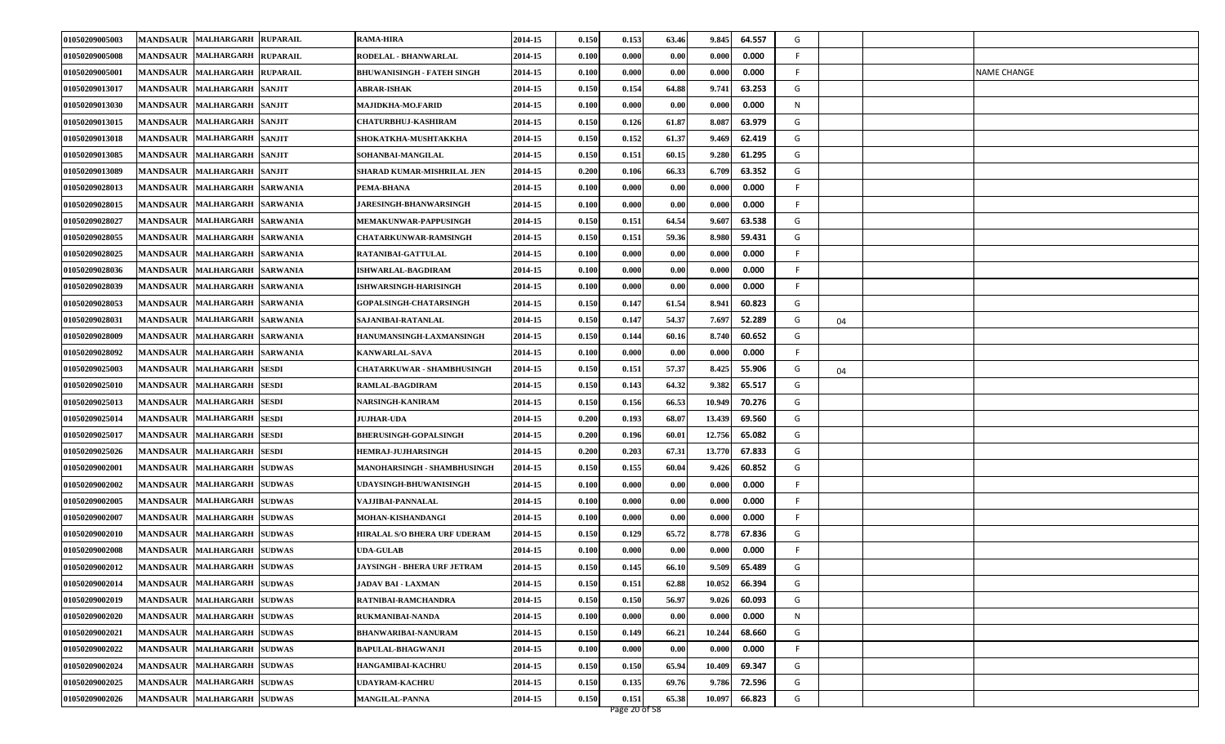| 01050209005008<br><b>MANDSAUR</b><br>MALHARGARH RUPARAIL<br>RODELAL - BHANWARLAL<br>0.000<br>F.<br>2014-15<br>0.100<br>0.000<br>0.00<br>0.000<br>MANDSAUR MALHARGARH RUPARAIL<br><b>BHUWANISINGH - FATEH SINGH</b><br>2014-15<br>0.100<br>0.000<br>0.00<br>0.000<br>0.000<br>F<br><b>NAME CHANGE</b><br>01050209005001<br>2014-15<br>64.88<br>63.253<br>G<br>01050209013017<br><b>MANDSAUR</b><br>MALHARGARH SANJIT<br>0.150<br>0.154<br>9.741<br>ABRAR-ISHAK<br>01050209013030<br><b>MANDSAUR</b><br>MALHARGARH SANJIT<br>2014-15<br>0.100<br>0.000<br>0.00<br>0.000<br>0.000<br>N<br>MAJIDKHA-MO.FARID<br>0.150<br>61.87<br>63.979<br>G<br>01050209013015<br>MANDSAUR MALHARGARH SANJIT<br><b>CHATURBHUJ-KASHIRAM</b><br>2014-15<br>0.126<br>8.087<br>0.150<br>61.37<br>G<br>2014-15<br>0.152<br>9.469<br>62.419<br>01050209013018<br>MANDSAUR MALHARGARH SANJIT<br>SHOKATKHA-MUSHTAKKHA<br>01050209013085<br>MALHARGARH SANJIT<br>SOHANBAI-MANGILAL<br>0.150<br>60.15<br>9.280<br>61.295<br>G<br><b>MANDSAUR</b><br>2014-15<br>0.151<br>01050209013089<br><b>MANDSAUR</b><br><b>MALHARGARH</b><br><b>SANJIT</b><br>SHARAD KUMAR-MISHRILAL JEN<br>2014-15<br>0.200<br>66.33<br>6.709<br>63.352<br>G<br>0.106<br>0.100<br>0.00<br>0.000<br>0.000<br>F.<br>01050209028013<br><b>MANDSAUR</b><br>MALHARGARH SARWANIA<br>PEMA-BHANA<br>2014-15<br>0.000<br>2014-15<br>0.100<br>0.000<br>0.00<br>0.000<br>0.000<br>F<br>01050209028015<br>MANDSAUR MALHARGARH SARWANIA<br><b>JARESINGH-BHANWARSINGH</b><br>01050209028027<br>0.150<br>64.54<br>9.607<br>63.538<br>G<br><b>MANDSAUR</b><br><b>MALHARGARH</b><br><b>SARWANIA</b><br>2014-15<br>0.151<br><b>MEMAKUNWAR-PAPPUSINGH</b><br>01050209028055<br>2014-15<br>0.150<br>59.36<br>8.980<br>59.431<br>G<br><b>MANDSAUR</b><br><b>MALHARGARH</b><br><b>SARWANIA</b><br><b>CHATARKUNWAR-RAMSINGH</b><br>0.151<br>01050209028025<br>MANDSAUR MALHARGARH SARWANIA<br>RATANIBAI-GATTULAL<br>2014-15<br>0.100<br>0.000<br>0.00<br>0.000<br>0.000<br>F.<br>01050209028036<br>MANDSAUR MALHARGARH SARWANIA<br>2014-15<br>0.100<br>0.000<br>0.00<br>0.000<br>0.000<br>F<br><b>ISHWARLAL-BAGDIRAM</b><br>01050209028039<br><b>MANDSAUR</b><br>MALHARGARH SARWANIA<br>2014-15<br>0.100<br>0.000<br>0.00<br>0.000<br>0.000<br>F.<br>ISHWARSINGH-HARISINGH<br>01050209028053<br><b>MANDSAUR</b><br><b>MALHARGARH</b><br>2014-15<br>0.150<br>0.147<br>61.54<br>8.941<br>60.823<br>G<br><b>SARWANIA</b><br><b>GOPALSINGH-CHATARSINGH</b><br>01050209028031<br>2014-15<br>0.150<br>0.147<br>54.37<br>7.697<br>52.289<br>G<br>MANDSAUR MALHARGARH SARWANIA<br>SAJANIBAI-RATANLAL<br>04<br>01050209028009<br>MANDSAUR MALHARGARH<br><b>SARWANIA</b><br>2014-15<br>0.150<br>0.144<br>60.16<br>8.740<br>60.652<br>G<br>HANUMANSINGH-LAXMANSINGH<br>01050209028092<br><b>MANDSAUR</b><br>MALHARGARH SARWANIA<br><b>KANWARLAL-SAVA</b><br>2014-15<br>0.100<br>0.000<br>0.00<br>0.000<br>0.000<br>F<br>01050209025003<br>57.37<br>8.425<br>MANDSAUR MALHARGARH SESDI<br>2014-15<br>0.150<br>55.906<br>G<br><b>CHATARKUWAR - SHAMBHUSINGH</b><br>0.151<br>04<br>64.32<br>9.382<br>65.517<br>G<br>01050209025010<br>MANDSAUR MALHARGARH SESDI<br>2014-15<br>0.150<br>0.143<br>RAMLAL-BAGDIRAM<br>66.53<br>01050209025013<br>2014-15<br>0.150<br>0.156<br>10.949<br>70.276<br>G<br>MANDSAUR  MALHARGARH  SESDI<br>NARSINGH-KANIRAM<br>0.200<br>68.0<br>13.439<br>69.560<br>01050209025014<br><b>MANDSAUR</b><br>2014-15<br>0.193<br>G<br>MALHARGARH SESDI<br><b>JUJHAR-UDA</b><br>12.756<br>01050209025017<br>2014-15<br>0.200<br>60.01<br>65.082<br>G<br><b>MANDSAUR MALHARGARH SESDI</b><br><b>BHERUSINGH-GOPALSINGH</b><br>0.196<br>0.200<br>67.31<br>13.770<br>67.833<br>G<br>01050209025026<br>MANDSAUR MALHARGARH SESDI<br><b>HEMRAJ-JUJHARSINGH</b><br>2014-15<br>0.203<br>G<br>MALHARGARH SUDWAS<br>MANOHARSINGH - SHAMBHUSINGH<br>2014-15<br>0.150<br>60.04<br>9.426<br>60.852<br>01050209002001<br><b>MANDSAUR</b><br>0.155<br>01050209002002<br><b>MANDSAUR</b><br><b>MALHARGARH SUDWAS</b><br>2014-15<br>0.100<br>0.000<br>0.00<br>0.000<br>0.000<br>F.<br>UDAYSINGH-BHUWANISINGH<br>2014-15<br>0.100<br>F.<br>01050209002005<br>MANDSAUR MALHARGARH SUDWAS<br>VAJJIBAI-PANNALAL<br>0.000<br>0.00<br>0.000<br>0.000<br>2014-15<br>0.100<br>0.000<br>0.00<br>0.000<br>0.000<br>F<br>01050209002007<br>MANDSAUR MALHARGARH SUDWAS<br>MOHAN-KISHANDANGI<br><b>MALHARGARH SUDWAS</b><br><b>HIRALAL S/O BHERA URF UDERAM</b><br>65.72<br>8.778<br>67.836<br>G<br>01050209002010<br><b>MANDSAUR</b><br>2014-15<br>0.150<br>0.129<br>01050209002008<br><b>MANDSAUR</b><br><b>MALHARGARH SUDWAS</b><br><b>JDA-GULAB</b><br>2014-15<br>0.100<br>0.000<br>0.000<br>0.000<br>0.00<br>F<br>01050209002012<br>MANDSAUR MALHARGARH SUDWAS<br>2014-15<br>0.150<br>66.10<br>9.509<br>65.489<br><b>JAYSINGH - BHERA URF JETRAM</b><br>0.145<br>G<br>MANDSAUR MALHARGARH SUDWAS<br>2014-15<br>62.88<br>10.052<br>01050209002014<br>0.150<br>0.151<br>66.394<br>G<br><b>JADAV BAI - LAXMAN</b><br>56.97<br>60.093<br>G<br>01050209002019<br><b>MANDSAUR</b><br><b>MALHARGARH SUDWAS</b><br>2014-15<br>0.150<br>0.150<br>9.026<br>RATNIBAI-RAMCHANDRA<br>0.100<br>0.000<br>01050209002020<br>MANDSAUR MALHARGARH SUDWAS<br>RUKMANIBAI-NANDA<br>2014-15<br>0.000<br>0.00<br>0.000<br>N<br>MANDSAUR MALHARGARH SUDWAS<br>01050209002021<br><b>BHANWARIBAI-NANURAM</b><br>2014-15<br>0.150<br>0.149<br>66.21<br>10.244<br>68.660<br>G<br>MANDSAUR MALHARGARH SUDWAS<br>0.100<br>01050209002022<br>BAPULAL-BHAGWANJI<br>2014-15<br>0.000<br>0.00<br>0.000<br>0.000<br>F<br>01050209002024<br>MANDSAUR MALHARGARH SUDWAS<br>2014-15<br>0.150<br>0.150<br>65.94<br>10.409<br>69.347<br>G<br>HANGAMIBAI-KACHRU<br>01050209002025<br>MANDSAUR MALHARGARH SUDWAS<br>2014-15<br>0.150<br>72.596<br>UDAYRAM-KACHRU<br>0.135<br>69.76<br>9.786<br>G<br>66.823<br>01050209002026<br>MANDSAUR MALHARGARH SUDWAS<br><b>MANGILAL-PANNA</b><br>2014-15<br>0.150<br>0.151<br>65.38<br>10.097<br>G<br>Page 20 of 58 | 01050209005003 | MANDSAUR MALHARGARH RUPARAIL | <b>RAMA-HIRA</b> | 2014-15 | 0.150 | 0.153 | 63.46 | 9.845 | 64.557 | G |  |
|---------------------------------------------------------------------------------------------------------------------------------------------------------------------------------------------------------------------------------------------------------------------------------------------------------------------------------------------------------------------------------------------------------------------------------------------------------------------------------------------------------------------------------------------------------------------------------------------------------------------------------------------------------------------------------------------------------------------------------------------------------------------------------------------------------------------------------------------------------------------------------------------------------------------------------------------------------------------------------------------------------------------------------------------------------------------------------------------------------------------------------------------------------------------------------------------------------------------------------------------------------------------------------------------------------------------------------------------------------------------------------------------------------------------------------------------------------------------------------------------------------------------------------------------------------------------------------------------------------------------------------------------------------------------------------------------------------------------------------------------------------------------------------------------------------------------------------------------------------------------------------------------------------------------------------------------------------------------------------------------------------------------------------------------------------------------------------------------------------------------------------------------------------------------------------------------------------------------------------------------------------------------------------------------------------------------------------------------------------------------------------------------------------------------------------------------------------------------------------------------------------------------------------------------------------------------------------------------------------------------------------------------------------------------------------------------------------------------------------------------------------------------------------------------------------------------------------------------------------------------------------------------------------------------------------------------------------------------------------------------------------------------------------------------------------------------------------------------------------------------------------------------------------------------------------------------------------------------------------------------------------------------------------------------------------------------------------------------------------------------------------------------------------------------------------------------------------------------------------------------------------------------------------------------------------------------------------------------------------------------------------------------------------------------------------------------------------------------------------------------------------------------------------------------------------------------------------------------------------------------------------------------------------------------------------------------------------------------------------------------------------------------------------------------------------------------------------------------------------------------------------------------------------------------------------------------------------------------------------------------------------------------------------------------------------------------------------------------------------------------------------------------------------------------------------------------------------------------------------------------------------------------------------------------------------------------------------------------------------------------------------------------------------------------------------------------------------------------------------------------------------------------------------------------------------------------------------------------------------------------------------------------------------------------------------------------------------------------------------------------------------------------------------------------------------------------------------------------------------------------------------------------------------------------------------------------------------------------------------------------------------------------------------------------------------------------------------------------------------------------------------------------------------------------------------------------------------------------------------------------------------------------------------------------------------------------------------------------------------------------------------------------------------------------------------------------------------------------------------------------------------------------------------------------------------------------------------------------------------------------------------------------------------------------------------------------------------------------------------------------------------------|----------------|------------------------------|------------------|---------|-------|-------|-------|-------|--------|---|--|
|                                                                                                                                                                                                                                                                                                                                                                                                                                                                                                                                                                                                                                                                                                                                                                                                                                                                                                                                                                                                                                                                                                                                                                                                                                                                                                                                                                                                                                                                                                                                                                                                                                                                                                                                                                                                                                                                                                                                                                                                                                                                                                                                                                                                                                                                                                                                                                                                                                                                                                                                                                                                                                                                                                                                                                                                                                                                                                                                                                                                                                                                                                                                                                                                                                                                                                                                                                                                                                                                                                                                                                                                                                                                                                                                                                                                                                                                                                                                                                                                                                                                                                                                                                                                                                                                                                                                                                                                                                                                                                                                                                                                                                                                                                                                                                                                                                                                                                                                                                                                                                                                                                                                                                                                                                                                                                                                                                                                                                                                                                                                                                                                                                                                                                                                                                                                                                                                                                                                                                                                               |                |                              |                  |         |       |       |       |       |        |   |  |
|                                                                                                                                                                                                                                                                                                                                                                                                                                                                                                                                                                                                                                                                                                                                                                                                                                                                                                                                                                                                                                                                                                                                                                                                                                                                                                                                                                                                                                                                                                                                                                                                                                                                                                                                                                                                                                                                                                                                                                                                                                                                                                                                                                                                                                                                                                                                                                                                                                                                                                                                                                                                                                                                                                                                                                                                                                                                                                                                                                                                                                                                                                                                                                                                                                                                                                                                                                                                                                                                                                                                                                                                                                                                                                                                                                                                                                                                                                                                                                                                                                                                                                                                                                                                                                                                                                                                                                                                                                                                                                                                                                                                                                                                                                                                                                                                                                                                                                                                                                                                                                                                                                                                                                                                                                                                                                                                                                                                                                                                                                                                                                                                                                                                                                                                                                                                                                                                                                                                                                                                               |                |                              |                  |         |       |       |       |       |        |   |  |
|                                                                                                                                                                                                                                                                                                                                                                                                                                                                                                                                                                                                                                                                                                                                                                                                                                                                                                                                                                                                                                                                                                                                                                                                                                                                                                                                                                                                                                                                                                                                                                                                                                                                                                                                                                                                                                                                                                                                                                                                                                                                                                                                                                                                                                                                                                                                                                                                                                                                                                                                                                                                                                                                                                                                                                                                                                                                                                                                                                                                                                                                                                                                                                                                                                                                                                                                                                                                                                                                                                                                                                                                                                                                                                                                                                                                                                                                                                                                                                                                                                                                                                                                                                                                                                                                                                                                                                                                                                                                                                                                                                                                                                                                                                                                                                                                                                                                                                                                                                                                                                                                                                                                                                                                                                                                                                                                                                                                                                                                                                                                                                                                                                                                                                                                                                                                                                                                                                                                                                                                               |                |                              |                  |         |       |       |       |       |        |   |  |
|                                                                                                                                                                                                                                                                                                                                                                                                                                                                                                                                                                                                                                                                                                                                                                                                                                                                                                                                                                                                                                                                                                                                                                                                                                                                                                                                                                                                                                                                                                                                                                                                                                                                                                                                                                                                                                                                                                                                                                                                                                                                                                                                                                                                                                                                                                                                                                                                                                                                                                                                                                                                                                                                                                                                                                                                                                                                                                                                                                                                                                                                                                                                                                                                                                                                                                                                                                                                                                                                                                                                                                                                                                                                                                                                                                                                                                                                                                                                                                                                                                                                                                                                                                                                                                                                                                                                                                                                                                                                                                                                                                                                                                                                                                                                                                                                                                                                                                                                                                                                                                                                                                                                                                                                                                                                                                                                                                                                                                                                                                                                                                                                                                                                                                                                                                                                                                                                                                                                                                                                               |                |                              |                  |         |       |       |       |       |        |   |  |
|                                                                                                                                                                                                                                                                                                                                                                                                                                                                                                                                                                                                                                                                                                                                                                                                                                                                                                                                                                                                                                                                                                                                                                                                                                                                                                                                                                                                                                                                                                                                                                                                                                                                                                                                                                                                                                                                                                                                                                                                                                                                                                                                                                                                                                                                                                                                                                                                                                                                                                                                                                                                                                                                                                                                                                                                                                                                                                                                                                                                                                                                                                                                                                                                                                                                                                                                                                                                                                                                                                                                                                                                                                                                                                                                                                                                                                                                                                                                                                                                                                                                                                                                                                                                                                                                                                                                                                                                                                                                                                                                                                                                                                                                                                                                                                                                                                                                                                                                                                                                                                                                                                                                                                                                                                                                                                                                                                                                                                                                                                                                                                                                                                                                                                                                                                                                                                                                                                                                                                                                               |                |                              |                  |         |       |       |       |       |        |   |  |
|                                                                                                                                                                                                                                                                                                                                                                                                                                                                                                                                                                                                                                                                                                                                                                                                                                                                                                                                                                                                                                                                                                                                                                                                                                                                                                                                                                                                                                                                                                                                                                                                                                                                                                                                                                                                                                                                                                                                                                                                                                                                                                                                                                                                                                                                                                                                                                                                                                                                                                                                                                                                                                                                                                                                                                                                                                                                                                                                                                                                                                                                                                                                                                                                                                                                                                                                                                                                                                                                                                                                                                                                                                                                                                                                                                                                                                                                                                                                                                                                                                                                                                                                                                                                                                                                                                                                                                                                                                                                                                                                                                                                                                                                                                                                                                                                                                                                                                                                                                                                                                                                                                                                                                                                                                                                                                                                                                                                                                                                                                                                                                                                                                                                                                                                                                                                                                                                                                                                                                                                               |                |                              |                  |         |       |       |       |       |        |   |  |
|                                                                                                                                                                                                                                                                                                                                                                                                                                                                                                                                                                                                                                                                                                                                                                                                                                                                                                                                                                                                                                                                                                                                                                                                                                                                                                                                                                                                                                                                                                                                                                                                                                                                                                                                                                                                                                                                                                                                                                                                                                                                                                                                                                                                                                                                                                                                                                                                                                                                                                                                                                                                                                                                                                                                                                                                                                                                                                                                                                                                                                                                                                                                                                                                                                                                                                                                                                                                                                                                                                                                                                                                                                                                                                                                                                                                                                                                                                                                                                                                                                                                                                                                                                                                                                                                                                                                                                                                                                                                                                                                                                                                                                                                                                                                                                                                                                                                                                                                                                                                                                                                                                                                                                                                                                                                                                                                                                                                                                                                                                                                                                                                                                                                                                                                                                                                                                                                                                                                                                                                               |                |                              |                  |         |       |       |       |       |        |   |  |
|                                                                                                                                                                                                                                                                                                                                                                                                                                                                                                                                                                                                                                                                                                                                                                                                                                                                                                                                                                                                                                                                                                                                                                                                                                                                                                                                                                                                                                                                                                                                                                                                                                                                                                                                                                                                                                                                                                                                                                                                                                                                                                                                                                                                                                                                                                                                                                                                                                                                                                                                                                                                                                                                                                                                                                                                                                                                                                                                                                                                                                                                                                                                                                                                                                                                                                                                                                                                                                                                                                                                                                                                                                                                                                                                                                                                                                                                                                                                                                                                                                                                                                                                                                                                                                                                                                                                                                                                                                                                                                                                                                                                                                                                                                                                                                                                                                                                                                                                                                                                                                                                                                                                                                                                                                                                                                                                                                                                                                                                                                                                                                                                                                                                                                                                                                                                                                                                                                                                                                                                               |                |                              |                  |         |       |       |       |       |        |   |  |
|                                                                                                                                                                                                                                                                                                                                                                                                                                                                                                                                                                                                                                                                                                                                                                                                                                                                                                                                                                                                                                                                                                                                                                                                                                                                                                                                                                                                                                                                                                                                                                                                                                                                                                                                                                                                                                                                                                                                                                                                                                                                                                                                                                                                                                                                                                                                                                                                                                                                                                                                                                                                                                                                                                                                                                                                                                                                                                                                                                                                                                                                                                                                                                                                                                                                                                                                                                                                                                                                                                                                                                                                                                                                                                                                                                                                                                                                                                                                                                                                                                                                                                                                                                                                                                                                                                                                                                                                                                                                                                                                                                                                                                                                                                                                                                                                                                                                                                                                                                                                                                                                                                                                                                                                                                                                                                                                                                                                                                                                                                                                                                                                                                                                                                                                                                                                                                                                                                                                                                                                               |                |                              |                  |         |       |       |       |       |        |   |  |
|                                                                                                                                                                                                                                                                                                                                                                                                                                                                                                                                                                                                                                                                                                                                                                                                                                                                                                                                                                                                                                                                                                                                                                                                                                                                                                                                                                                                                                                                                                                                                                                                                                                                                                                                                                                                                                                                                                                                                                                                                                                                                                                                                                                                                                                                                                                                                                                                                                                                                                                                                                                                                                                                                                                                                                                                                                                                                                                                                                                                                                                                                                                                                                                                                                                                                                                                                                                                                                                                                                                                                                                                                                                                                                                                                                                                                                                                                                                                                                                                                                                                                                                                                                                                                                                                                                                                                                                                                                                                                                                                                                                                                                                                                                                                                                                                                                                                                                                                                                                                                                                                                                                                                                                                                                                                                                                                                                                                                                                                                                                                                                                                                                                                                                                                                                                                                                                                                                                                                                                                               |                |                              |                  |         |       |       |       |       |        |   |  |
|                                                                                                                                                                                                                                                                                                                                                                                                                                                                                                                                                                                                                                                                                                                                                                                                                                                                                                                                                                                                                                                                                                                                                                                                                                                                                                                                                                                                                                                                                                                                                                                                                                                                                                                                                                                                                                                                                                                                                                                                                                                                                                                                                                                                                                                                                                                                                                                                                                                                                                                                                                                                                                                                                                                                                                                                                                                                                                                                                                                                                                                                                                                                                                                                                                                                                                                                                                                                                                                                                                                                                                                                                                                                                                                                                                                                                                                                                                                                                                                                                                                                                                                                                                                                                                                                                                                                                                                                                                                                                                                                                                                                                                                                                                                                                                                                                                                                                                                                                                                                                                                                                                                                                                                                                                                                                                                                                                                                                                                                                                                                                                                                                                                                                                                                                                                                                                                                                                                                                                                                               |                |                              |                  |         |       |       |       |       |        |   |  |
|                                                                                                                                                                                                                                                                                                                                                                                                                                                                                                                                                                                                                                                                                                                                                                                                                                                                                                                                                                                                                                                                                                                                                                                                                                                                                                                                                                                                                                                                                                                                                                                                                                                                                                                                                                                                                                                                                                                                                                                                                                                                                                                                                                                                                                                                                                                                                                                                                                                                                                                                                                                                                                                                                                                                                                                                                                                                                                                                                                                                                                                                                                                                                                                                                                                                                                                                                                                                                                                                                                                                                                                                                                                                                                                                                                                                                                                                                                                                                                                                                                                                                                                                                                                                                                                                                                                                                                                                                                                                                                                                                                                                                                                                                                                                                                                                                                                                                                                                                                                                                                                                                                                                                                                                                                                                                                                                                                                                                                                                                                                                                                                                                                                                                                                                                                                                                                                                                                                                                                                                               |                |                              |                  |         |       |       |       |       |        |   |  |
|                                                                                                                                                                                                                                                                                                                                                                                                                                                                                                                                                                                                                                                                                                                                                                                                                                                                                                                                                                                                                                                                                                                                                                                                                                                                                                                                                                                                                                                                                                                                                                                                                                                                                                                                                                                                                                                                                                                                                                                                                                                                                                                                                                                                                                                                                                                                                                                                                                                                                                                                                                                                                                                                                                                                                                                                                                                                                                                                                                                                                                                                                                                                                                                                                                                                                                                                                                                                                                                                                                                                                                                                                                                                                                                                                                                                                                                                                                                                                                                                                                                                                                                                                                                                                                                                                                                                                                                                                                                                                                                                                                                                                                                                                                                                                                                                                                                                                                                                                                                                                                                                                                                                                                                                                                                                                                                                                                                                                                                                                                                                                                                                                                                                                                                                                                                                                                                                                                                                                                                                               |                |                              |                  |         |       |       |       |       |        |   |  |
|                                                                                                                                                                                                                                                                                                                                                                                                                                                                                                                                                                                                                                                                                                                                                                                                                                                                                                                                                                                                                                                                                                                                                                                                                                                                                                                                                                                                                                                                                                                                                                                                                                                                                                                                                                                                                                                                                                                                                                                                                                                                                                                                                                                                                                                                                                                                                                                                                                                                                                                                                                                                                                                                                                                                                                                                                                                                                                                                                                                                                                                                                                                                                                                                                                                                                                                                                                                                                                                                                                                                                                                                                                                                                                                                                                                                                                                                                                                                                                                                                                                                                                                                                                                                                                                                                                                                                                                                                                                                                                                                                                                                                                                                                                                                                                                                                                                                                                                                                                                                                                                                                                                                                                                                                                                                                                                                                                                                                                                                                                                                                                                                                                                                                                                                                                                                                                                                                                                                                                                                               |                |                              |                  |         |       |       |       |       |        |   |  |
|                                                                                                                                                                                                                                                                                                                                                                                                                                                                                                                                                                                                                                                                                                                                                                                                                                                                                                                                                                                                                                                                                                                                                                                                                                                                                                                                                                                                                                                                                                                                                                                                                                                                                                                                                                                                                                                                                                                                                                                                                                                                                                                                                                                                                                                                                                                                                                                                                                                                                                                                                                                                                                                                                                                                                                                                                                                                                                                                                                                                                                                                                                                                                                                                                                                                                                                                                                                                                                                                                                                                                                                                                                                                                                                                                                                                                                                                                                                                                                                                                                                                                                                                                                                                                                                                                                                                                                                                                                                                                                                                                                                                                                                                                                                                                                                                                                                                                                                                                                                                                                                                                                                                                                                                                                                                                                                                                                                                                                                                                                                                                                                                                                                                                                                                                                                                                                                                                                                                                                                                               |                |                              |                  |         |       |       |       |       |        |   |  |
|                                                                                                                                                                                                                                                                                                                                                                                                                                                                                                                                                                                                                                                                                                                                                                                                                                                                                                                                                                                                                                                                                                                                                                                                                                                                                                                                                                                                                                                                                                                                                                                                                                                                                                                                                                                                                                                                                                                                                                                                                                                                                                                                                                                                                                                                                                                                                                                                                                                                                                                                                                                                                                                                                                                                                                                                                                                                                                                                                                                                                                                                                                                                                                                                                                                                                                                                                                                                                                                                                                                                                                                                                                                                                                                                                                                                                                                                                                                                                                                                                                                                                                                                                                                                                                                                                                                                                                                                                                                                                                                                                                                                                                                                                                                                                                                                                                                                                                                                                                                                                                                                                                                                                                                                                                                                                                                                                                                                                                                                                                                                                                                                                                                                                                                                                                                                                                                                                                                                                                                                               |                |                              |                  |         |       |       |       |       |        |   |  |
|                                                                                                                                                                                                                                                                                                                                                                                                                                                                                                                                                                                                                                                                                                                                                                                                                                                                                                                                                                                                                                                                                                                                                                                                                                                                                                                                                                                                                                                                                                                                                                                                                                                                                                                                                                                                                                                                                                                                                                                                                                                                                                                                                                                                                                                                                                                                                                                                                                                                                                                                                                                                                                                                                                                                                                                                                                                                                                                                                                                                                                                                                                                                                                                                                                                                                                                                                                                                                                                                                                                                                                                                                                                                                                                                                                                                                                                                                                                                                                                                                                                                                                                                                                                                                                                                                                                                                                                                                                                                                                                                                                                                                                                                                                                                                                                                                                                                                                                                                                                                                                                                                                                                                                                                                                                                                                                                                                                                                                                                                                                                                                                                                                                                                                                                                                                                                                                                                                                                                                                                               |                |                              |                  |         |       |       |       |       |        |   |  |
|                                                                                                                                                                                                                                                                                                                                                                                                                                                                                                                                                                                                                                                                                                                                                                                                                                                                                                                                                                                                                                                                                                                                                                                                                                                                                                                                                                                                                                                                                                                                                                                                                                                                                                                                                                                                                                                                                                                                                                                                                                                                                                                                                                                                                                                                                                                                                                                                                                                                                                                                                                                                                                                                                                                                                                                                                                                                                                                                                                                                                                                                                                                                                                                                                                                                                                                                                                                                                                                                                                                                                                                                                                                                                                                                                                                                                                                                                                                                                                                                                                                                                                                                                                                                                                                                                                                                                                                                                                                                                                                                                                                                                                                                                                                                                                                                                                                                                                                                                                                                                                                                                                                                                                                                                                                                                                                                                                                                                                                                                                                                                                                                                                                                                                                                                                                                                                                                                                                                                                                                               |                |                              |                  |         |       |       |       |       |        |   |  |
|                                                                                                                                                                                                                                                                                                                                                                                                                                                                                                                                                                                                                                                                                                                                                                                                                                                                                                                                                                                                                                                                                                                                                                                                                                                                                                                                                                                                                                                                                                                                                                                                                                                                                                                                                                                                                                                                                                                                                                                                                                                                                                                                                                                                                                                                                                                                                                                                                                                                                                                                                                                                                                                                                                                                                                                                                                                                                                                                                                                                                                                                                                                                                                                                                                                                                                                                                                                                                                                                                                                                                                                                                                                                                                                                                                                                                                                                                                                                                                                                                                                                                                                                                                                                                                                                                                                                                                                                                                                                                                                                                                                                                                                                                                                                                                                                                                                                                                                                                                                                                                                                                                                                                                                                                                                                                                                                                                                                                                                                                                                                                                                                                                                                                                                                                                                                                                                                                                                                                                                                               |                |                              |                  |         |       |       |       |       |        |   |  |
|                                                                                                                                                                                                                                                                                                                                                                                                                                                                                                                                                                                                                                                                                                                                                                                                                                                                                                                                                                                                                                                                                                                                                                                                                                                                                                                                                                                                                                                                                                                                                                                                                                                                                                                                                                                                                                                                                                                                                                                                                                                                                                                                                                                                                                                                                                                                                                                                                                                                                                                                                                                                                                                                                                                                                                                                                                                                                                                                                                                                                                                                                                                                                                                                                                                                                                                                                                                                                                                                                                                                                                                                                                                                                                                                                                                                                                                                                                                                                                                                                                                                                                                                                                                                                                                                                                                                                                                                                                                                                                                                                                                                                                                                                                                                                                                                                                                                                                                                                                                                                                                                                                                                                                                                                                                                                                                                                                                                                                                                                                                                                                                                                                                                                                                                                                                                                                                                                                                                                                                                               |                |                              |                  |         |       |       |       |       |        |   |  |
|                                                                                                                                                                                                                                                                                                                                                                                                                                                                                                                                                                                                                                                                                                                                                                                                                                                                                                                                                                                                                                                                                                                                                                                                                                                                                                                                                                                                                                                                                                                                                                                                                                                                                                                                                                                                                                                                                                                                                                                                                                                                                                                                                                                                                                                                                                                                                                                                                                                                                                                                                                                                                                                                                                                                                                                                                                                                                                                                                                                                                                                                                                                                                                                                                                                                                                                                                                                                                                                                                                                                                                                                                                                                                                                                                                                                                                                                                                                                                                                                                                                                                                                                                                                                                                                                                                                                                                                                                                                                                                                                                                                                                                                                                                                                                                                                                                                                                                                                                                                                                                                                                                                                                                                                                                                                                                                                                                                                                                                                                                                                                                                                                                                                                                                                                                                                                                                                                                                                                                                                               |                |                              |                  |         |       |       |       |       |        |   |  |
|                                                                                                                                                                                                                                                                                                                                                                                                                                                                                                                                                                                                                                                                                                                                                                                                                                                                                                                                                                                                                                                                                                                                                                                                                                                                                                                                                                                                                                                                                                                                                                                                                                                                                                                                                                                                                                                                                                                                                                                                                                                                                                                                                                                                                                                                                                                                                                                                                                                                                                                                                                                                                                                                                                                                                                                                                                                                                                                                                                                                                                                                                                                                                                                                                                                                                                                                                                                                                                                                                                                                                                                                                                                                                                                                                                                                                                                                                                                                                                                                                                                                                                                                                                                                                                                                                                                                                                                                                                                                                                                                                                                                                                                                                                                                                                                                                                                                                                                                                                                                                                                                                                                                                                                                                                                                                                                                                                                                                                                                                                                                                                                                                                                                                                                                                                                                                                                                                                                                                                                                               |                |                              |                  |         |       |       |       |       |        |   |  |
|                                                                                                                                                                                                                                                                                                                                                                                                                                                                                                                                                                                                                                                                                                                                                                                                                                                                                                                                                                                                                                                                                                                                                                                                                                                                                                                                                                                                                                                                                                                                                                                                                                                                                                                                                                                                                                                                                                                                                                                                                                                                                                                                                                                                                                                                                                                                                                                                                                                                                                                                                                                                                                                                                                                                                                                                                                                                                                                                                                                                                                                                                                                                                                                                                                                                                                                                                                                                                                                                                                                                                                                                                                                                                                                                                                                                                                                                                                                                                                                                                                                                                                                                                                                                                                                                                                                                                                                                                                                                                                                                                                                                                                                                                                                                                                                                                                                                                                                                                                                                                                                                                                                                                                                                                                                                                                                                                                                                                                                                                                                                                                                                                                                                                                                                                                                                                                                                                                                                                                                                               |                |                              |                  |         |       |       |       |       |        |   |  |
|                                                                                                                                                                                                                                                                                                                                                                                                                                                                                                                                                                                                                                                                                                                                                                                                                                                                                                                                                                                                                                                                                                                                                                                                                                                                                                                                                                                                                                                                                                                                                                                                                                                                                                                                                                                                                                                                                                                                                                                                                                                                                                                                                                                                                                                                                                                                                                                                                                                                                                                                                                                                                                                                                                                                                                                                                                                                                                                                                                                                                                                                                                                                                                                                                                                                                                                                                                                                                                                                                                                                                                                                                                                                                                                                                                                                                                                                                                                                                                                                                                                                                                                                                                                                                                                                                                                                                                                                                                                                                                                                                                                                                                                                                                                                                                                                                                                                                                                                                                                                                                                                                                                                                                                                                                                                                                                                                                                                                                                                                                                                                                                                                                                                                                                                                                                                                                                                                                                                                                                                               |                |                              |                  |         |       |       |       |       |        |   |  |
|                                                                                                                                                                                                                                                                                                                                                                                                                                                                                                                                                                                                                                                                                                                                                                                                                                                                                                                                                                                                                                                                                                                                                                                                                                                                                                                                                                                                                                                                                                                                                                                                                                                                                                                                                                                                                                                                                                                                                                                                                                                                                                                                                                                                                                                                                                                                                                                                                                                                                                                                                                                                                                                                                                                                                                                                                                                                                                                                                                                                                                                                                                                                                                                                                                                                                                                                                                                                                                                                                                                                                                                                                                                                                                                                                                                                                                                                                                                                                                                                                                                                                                                                                                                                                                                                                                                                                                                                                                                                                                                                                                                                                                                                                                                                                                                                                                                                                                                                                                                                                                                                                                                                                                                                                                                                                                                                                                                                                                                                                                                                                                                                                                                                                                                                                                                                                                                                                                                                                                                                               |                |                              |                  |         |       |       |       |       |        |   |  |
|                                                                                                                                                                                                                                                                                                                                                                                                                                                                                                                                                                                                                                                                                                                                                                                                                                                                                                                                                                                                                                                                                                                                                                                                                                                                                                                                                                                                                                                                                                                                                                                                                                                                                                                                                                                                                                                                                                                                                                                                                                                                                                                                                                                                                                                                                                                                                                                                                                                                                                                                                                                                                                                                                                                                                                                                                                                                                                                                                                                                                                                                                                                                                                                                                                                                                                                                                                                                                                                                                                                                                                                                                                                                                                                                                                                                                                                                                                                                                                                                                                                                                                                                                                                                                                                                                                                                                                                                                                                                                                                                                                                                                                                                                                                                                                                                                                                                                                                                                                                                                                                                                                                                                                                                                                                                                                                                                                                                                                                                                                                                                                                                                                                                                                                                                                                                                                                                                                                                                                                                               |                |                              |                  |         |       |       |       |       |        |   |  |
|                                                                                                                                                                                                                                                                                                                                                                                                                                                                                                                                                                                                                                                                                                                                                                                                                                                                                                                                                                                                                                                                                                                                                                                                                                                                                                                                                                                                                                                                                                                                                                                                                                                                                                                                                                                                                                                                                                                                                                                                                                                                                                                                                                                                                                                                                                                                                                                                                                                                                                                                                                                                                                                                                                                                                                                                                                                                                                                                                                                                                                                                                                                                                                                                                                                                                                                                                                                                                                                                                                                                                                                                                                                                                                                                                                                                                                                                                                                                                                                                                                                                                                                                                                                                                                                                                                                                                                                                                                                                                                                                                                                                                                                                                                                                                                                                                                                                                                                                                                                                                                                                                                                                                                                                                                                                                                                                                                                                                                                                                                                                                                                                                                                                                                                                                                                                                                                                                                                                                                                                               |                |                              |                  |         |       |       |       |       |        |   |  |
|                                                                                                                                                                                                                                                                                                                                                                                                                                                                                                                                                                                                                                                                                                                                                                                                                                                                                                                                                                                                                                                                                                                                                                                                                                                                                                                                                                                                                                                                                                                                                                                                                                                                                                                                                                                                                                                                                                                                                                                                                                                                                                                                                                                                                                                                                                                                                                                                                                                                                                                                                                                                                                                                                                                                                                                                                                                                                                                                                                                                                                                                                                                                                                                                                                                                                                                                                                                                                                                                                                                                                                                                                                                                                                                                                                                                                                                                                                                                                                                                                                                                                                                                                                                                                                                                                                                                                                                                                                                                                                                                                                                                                                                                                                                                                                                                                                                                                                                                                                                                                                                                                                                                                                                                                                                                                                                                                                                                                                                                                                                                                                                                                                                                                                                                                                                                                                                                                                                                                                                                               |                |                              |                  |         |       |       |       |       |        |   |  |
|                                                                                                                                                                                                                                                                                                                                                                                                                                                                                                                                                                                                                                                                                                                                                                                                                                                                                                                                                                                                                                                                                                                                                                                                                                                                                                                                                                                                                                                                                                                                                                                                                                                                                                                                                                                                                                                                                                                                                                                                                                                                                                                                                                                                                                                                                                                                                                                                                                                                                                                                                                                                                                                                                                                                                                                                                                                                                                                                                                                                                                                                                                                                                                                                                                                                                                                                                                                                                                                                                                                                                                                                                                                                                                                                                                                                                                                                                                                                                                                                                                                                                                                                                                                                                                                                                                                                                                                                                                                                                                                                                                                                                                                                                                                                                                                                                                                                                                                                                                                                                                                                                                                                                                                                                                                                                                                                                                                                                                                                                                                                                                                                                                                                                                                                                                                                                                                                                                                                                                                                               |                |                              |                  |         |       |       |       |       |        |   |  |
|                                                                                                                                                                                                                                                                                                                                                                                                                                                                                                                                                                                                                                                                                                                                                                                                                                                                                                                                                                                                                                                                                                                                                                                                                                                                                                                                                                                                                                                                                                                                                                                                                                                                                                                                                                                                                                                                                                                                                                                                                                                                                                                                                                                                                                                                                                                                                                                                                                                                                                                                                                                                                                                                                                                                                                                                                                                                                                                                                                                                                                                                                                                                                                                                                                                                                                                                                                                                                                                                                                                                                                                                                                                                                                                                                                                                                                                                                                                                                                                                                                                                                                                                                                                                                                                                                                                                                                                                                                                                                                                                                                                                                                                                                                                                                                                                                                                                                                                                                                                                                                                                                                                                                                                                                                                                                                                                                                                                                                                                                                                                                                                                                                                                                                                                                                                                                                                                                                                                                                                                               |                |                              |                  |         |       |       |       |       |        |   |  |
|                                                                                                                                                                                                                                                                                                                                                                                                                                                                                                                                                                                                                                                                                                                                                                                                                                                                                                                                                                                                                                                                                                                                                                                                                                                                                                                                                                                                                                                                                                                                                                                                                                                                                                                                                                                                                                                                                                                                                                                                                                                                                                                                                                                                                                                                                                                                                                                                                                                                                                                                                                                                                                                                                                                                                                                                                                                                                                                                                                                                                                                                                                                                                                                                                                                                                                                                                                                                                                                                                                                                                                                                                                                                                                                                                                                                                                                                                                                                                                                                                                                                                                                                                                                                                                                                                                                                                                                                                                                                                                                                                                                                                                                                                                                                                                                                                                                                                                                                                                                                                                                                                                                                                                                                                                                                                                                                                                                                                                                                                                                                                                                                                                                                                                                                                                                                                                                                                                                                                                                                               |                |                              |                  |         |       |       |       |       |        |   |  |
|                                                                                                                                                                                                                                                                                                                                                                                                                                                                                                                                                                                                                                                                                                                                                                                                                                                                                                                                                                                                                                                                                                                                                                                                                                                                                                                                                                                                                                                                                                                                                                                                                                                                                                                                                                                                                                                                                                                                                                                                                                                                                                                                                                                                                                                                                                                                                                                                                                                                                                                                                                                                                                                                                                                                                                                                                                                                                                                                                                                                                                                                                                                                                                                                                                                                                                                                                                                                                                                                                                                                                                                                                                                                                                                                                                                                                                                                                                                                                                                                                                                                                                                                                                                                                                                                                                                                                                                                                                                                                                                                                                                                                                                                                                                                                                                                                                                                                                                                                                                                                                                                                                                                                                                                                                                                                                                                                                                                                                                                                                                                                                                                                                                                                                                                                                                                                                                                                                                                                                                                               |                |                              |                  |         |       |       |       |       |        |   |  |
|                                                                                                                                                                                                                                                                                                                                                                                                                                                                                                                                                                                                                                                                                                                                                                                                                                                                                                                                                                                                                                                                                                                                                                                                                                                                                                                                                                                                                                                                                                                                                                                                                                                                                                                                                                                                                                                                                                                                                                                                                                                                                                                                                                                                                                                                                                                                                                                                                                                                                                                                                                                                                                                                                                                                                                                                                                                                                                                                                                                                                                                                                                                                                                                                                                                                                                                                                                                                                                                                                                                                                                                                                                                                                                                                                                                                                                                                                                                                                                                                                                                                                                                                                                                                                                                                                                                                                                                                                                                                                                                                                                                                                                                                                                                                                                                                                                                                                                                                                                                                                                                                                                                                                                                                                                                                                                                                                                                                                                                                                                                                                                                                                                                                                                                                                                                                                                                                                                                                                                                                               |                |                              |                  |         |       |       |       |       |        |   |  |
|                                                                                                                                                                                                                                                                                                                                                                                                                                                                                                                                                                                                                                                                                                                                                                                                                                                                                                                                                                                                                                                                                                                                                                                                                                                                                                                                                                                                                                                                                                                                                                                                                                                                                                                                                                                                                                                                                                                                                                                                                                                                                                                                                                                                                                                                                                                                                                                                                                                                                                                                                                                                                                                                                                                                                                                                                                                                                                                                                                                                                                                                                                                                                                                                                                                                                                                                                                                                                                                                                                                                                                                                                                                                                                                                                                                                                                                                                                                                                                                                                                                                                                                                                                                                                                                                                                                                                                                                                                                                                                                                                                                                                                                                                                                                                                                                                                                                                                                                                                                                                                                                                                                                                                                                                                                                                                                                                                                                                                                                                                                                                                                                                                                                                                                                                                                                                                                                                                                                                                                                               |                |                              |                  |         |       |       |       |       |        |   |  |
|                                                                                                                                                                                                                                                                                                                                                                                                                                                                                                                                                                                                                                                                                                                                                                                                                                                                                                                                                                                                                                                                                                                                                                                                                                                                                                                                                                                                                                                                                                                                                                                                                                                                                                                                                                                                                                                                                                                                                                                                                                                                                                                                                                                                                                                                                                                                                                                                                                                                                                                                                                                                                                                                                                                                                                                                                                                                                                                                                                                                                                                                                                                                                                                                                                                                                                                                                                                                                                                                                                                                                                                                                                                                                                                                                                                                                                                                                                                                                                                                                                                                                                                                                                                                                                                                                                                                                                                                                                                                                                                                                                                                                                                                                                                                                                                                                                                                                                                                                                                                                                                                                                                                                                                                                                                                                                                                                                                                                                                                                                                                                                                                                                                                                                                                                                                                                                                                                                                                                                                                               |                |                              |                  |         |       |       |       |       |        |   |  |
|                                                                                                                                                                                                                                                                                                                                                                                                                                                                                                                                                                                                                                                                                                                                                                                                                                                                                                                                                                                                                                                                                                                                                                                                                                                                                                                                                                                                                                                                                                                                                                                                                                                                                                                                                                                                                                                                                                                                                                                                                                                                                                                                                                                                                                                                                                                                                                                                                                                                                                                                                                                                                                                                                                                                                                                                                                                                                                                                                                                                                                                                                                                                                                                                                                                                                                                                                                                                                                                                                                                                                                                                                                                                                                                                                                                                                                                                                                                                                                                                                                                                                                                                                                                                                                                                                                                                                                                                                                                                                                                                                                                                                                                                                                                                                                                                                                                                                                                                                                                                                                                                                                                                                                                                                                                                                                                                                                                                                                                                                                                                                                                                                                                                                                                                                                                                                                                                                                                                                                                                               |                |                              |                  |         |       |       |       |       |        |   |  |
|                                                                                                                                                                                                                                                                                                                                                                                                                                                                                                                                                                                                                                                                                                                                                                                                                                                                                                                                                                                                                                                                                                                                                                                                                                                                                                                                                                                                                                                                                                                                                                                                                                                                                                                                                                                                                                                                                                                                                                                                                                                                                                                                                                                                                                                                                                                                                                                                                                                                                                                                                                                                                                                                                                                                                                                                                                                                                                                                                                                                                                                                                                                                                                                                                                                                                                                                                                                                                                                                                                                                                                                                                                                                                                                                                                                                                                                                                                                                                                                                                                                                                                                                                                                                                                                                                                                                                                                                                                                                                                                                                                                                                                                                                                                                                                                                                                                                                                                                                                                                                                                                                                                                                                                                                                                                                                                                                                                                                                                                                                                                                                                                                                                                                                                                                                                                                                                                                                                                                                                                               |                |                              |                  |         |       |       |       |       |        |   |  |
|                                                                                                                                                                                                                                                                                                                                                                                                                                                                                                                                                                                                                                                                                                                                                                                                                                                                                                                                                                                                                                                                                                                                                                                                                                                                                                                                                                                                                                                                                                                                                                                                                                                                                                                                                                                                                                                                                                                                                                                                                                                                                                                                                                                                                                                                                                                                                                                                                                                                                                                                                                                                                                                                                                                                                                                                                                                                                                                                                                                                                                                                                                                                                                                                                                                                                                                                                                                                                                                                                                                                                                                                                                                                                                                                                                                                                                                                                                                                                                                                                                                                                                                                                                                                                                                                                                                                                                                                                                                                                                                                                                                                                                                                                                                                                                                                                                                                                                                                                                                                                                                                                                                                                                                                                                                                                                                                                                                                                                                                                                                                                                                                                                                                                                                                                                                                                                                                                                                                                                                                               |                |                              |                  |         |       |       |       |       |        |   |  |
|                                                                                                                                                                                                                                                                                                                                                                                                                                                                                                                                                                                                                                                                                                                                                                                                                                                                                                                                                                                                                                                                                                                                                                                                                                                                                                                                                                                                                                                                                                                                                                                                                                                                                                                                                                                                                                                                                                                                                                                                                                                                                                                                                                                                                                                                                                                                                                                                                                                                                                                                                                                                                                                                                                                                                                                                                                                                                                                                                                                                                                                                                                                                                                                                                                                                                                                                                                                                                                                                                                                                                                                                                                                                                                                                                                                                                                                                                                                                                                                                                                                                                                                                                                                                                                                                                                                                                                                                                                                                                                                                                                                                                                                                                                                                                                                                                                                                                                                                                                                                                                                                                                                                                                                                                                                                                                                                                                                                                                                                                                                                                                                                                                                                                                                                                                                                                                                                                                                                                                                                               |                |                              |                  |         |       |       |       |       |        |   |  |
|                                                                                                                                                                                                                                                                                                                                                                                                                                                                                                                                                                                                                                                                                                                                                                                                                                                                                                                                                                                                                                                                                                                                                                                                                                                                                                                                                                                                                                                                                                                                                                                                                                                                                                                                                                                                                                                                                                                                                                                                                                                                                                                                                                                                                                                                                                                                                                                                                                                                                                                                                                                                                                                                                                                                                                                                                                                                                                                                                                                                                                                                                                                                                                                                                                                                                                                                                                                                                                                                                                                                                                                                                                                                                                                                                                                                                                                                                                                                                                                                                                                                                                                                                                                                                                                                                                                                                                                                                                                                                                                                                                                                                                                                                                                                                                                                                                                                                                                                                                                                                                                                                                                                                                                                                                                                                                                                                                                                                                                                                                                                                                                                                                                                                                                                                                                                                                                                                                                                                                                                               |                |                              |                  |         |       |       |       |       |        |   |  |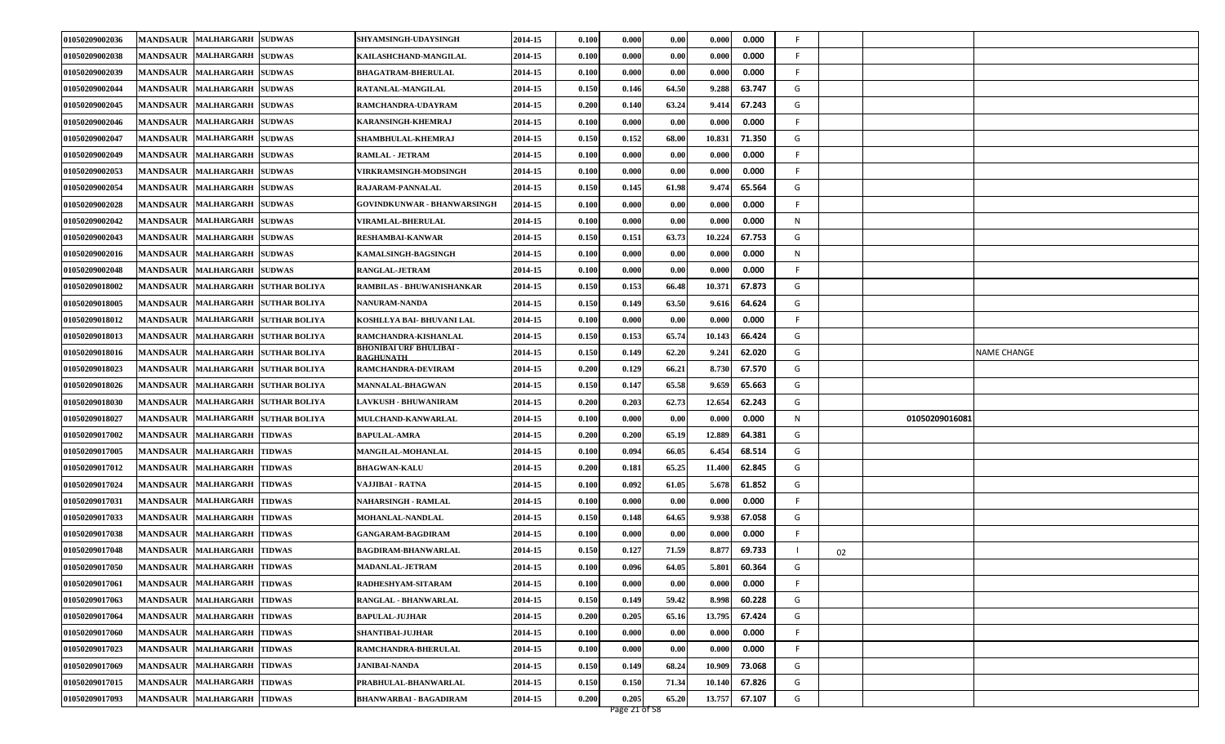| 01050209002036 |                 | MANDSAUR MALHARGARH SUDWAS            | SHYAMSINGH-UDAYSINGH                               | 2014-15 | 0.100 | 0.000 | 0.00  | 0.000  | 0.000  | F. |                |                    |
|----------------|-----------------|---------------------------------------|----------------------------------------------------|---------|-------|-------|-------|--------|--------|----|----------------|--------------------|
| 01050209002038 | <b>MANDSAUR</b> | <b>MALHARGARH SUDWAS</b>              | KAILASHCHAND-MANGILAL                              | 2014-15 | 0.100 | 0.000 | 0.00  | 0.000  | 0.000  | F. |                |                    |
| 01050209002039 |                 | MANDSAUR MALHARGARH SUDWAS            | <b>BHAGATRAM-BHERULAL</b>                          | 2014-15 | 0.100 | 0.000 | 0.00  | 0.000  | 0.000  | F. |                |                    |
| 01050209002044 | <b>MANDSAUR</b> | MALHARGARH SUDWAS                     | RATANLAL-MANGILAL                                  | 2014-15 | 0.150 | 0.146 | 64.50 | 9.288  | 63.747 | G  |                |                    |
| 01050209002045 | <b>MANDSAUR</b> | <b>MALHARGARH SUDWAS</b>              | RAMCHANDRA-UDAYRAM                                 | 2014-15 | 0.200 | 0.140 | 63.24 | 9.414  | 67.243 | G  |                |                    |
| 01050209002046 |                 | MANDSAUR MALHARGARH SUDWAS            | KARANSINGH-KHEMRAJ                                 | 2014-15 | 0.100 | 0.000 | 0.00  | 0.000  | 0.000  | F. |                |                    |
| 01050209002047 |                 | MANDSAUR MALHARGARH SUDWAS            | SHAMBHULAL-KHEMRAJ                                 | 2014-15 | 0.150 | 0.152 | 68.00 | 10.831 | 71.350 | G  |                |                    |
| 01050209002049 | <b>MANDSAUR</b> | <b>MALHARGARH SUDWAS</b>              | <b>RAMLAL - JETRAM</b>                             | 2014-15 | 0.100 | 0.000 | 0.00  | 0.000  | 0.000  | F  |                |                    |
| 01050209002053 | <b>MANDSAUR</b> | <b>MALHARGARH SUDWAS</b>              | <b>VIRKRAMSINGH-MODSINGH</b>                       | 2014-15 | 0.100 | 0.000 | 0.00  | 0.000  | 0.000  | F  |                |                    |
| 01050209002054 | <b>MANDSAUR</b> | <b>MALHARGARH SUDWAS</b>              | RAJARAM-PANNALAL                                   | 2014-15 | 0.150 | 0.145 | 61.98 | 9.474  | 65.564 | G  |                |                    |
| 01050209002028 |                 | MANDSAUR MALHARGARH SUDWAS            | GOVINDKUNWAR - BHANWARSINGH                        | 2014-15 | 0.100 | 0.000 | 0.00  | 0.000  | 0.000  | F  |                |                    |
| 01050209002042 | <b>MANDSAUR</b> | MALHARGARH SUDWAS                     | <b>VIRAMLAL-BHERULAL</b>                           | 2014-15 | 0.100 | 0.000 | 0.00  | 0.000  | 0.000  | N  |                |                    |
| 01050209002043 | <b>MANDSAUR</b> | MALHARGARH SUDWAS                     | <b>RESHAMBAI-KANWAR</b>                            | 2014-15 | 0.150 | 0.151 | 63.73 | 10.224 | 67.753 | G  |                |                    |
| 01050209002016 |                 | MANDSAUR MALHARGARH SUDWAS            | KAMALSINGH-BAGSINGH                                | 2014-15 | 0.100 | 0.000 | 0.00  | 0.000  | 0.000  | N  |                |                    |
| 01050209002048 |                 | MANDSAUR MALHARGARH SUDWAS            | RANGLAL-JETRAM                                     | 2014-15 | 0.100 | 0.000 | 0.00  | 0.000  | 0.000  | F  |                |                    |
| 01050209018002 | <b>MANDSAUR</b> | MALHARGARH SUTHAR BOLIYA              | <b>RAMBILAS - BHUWANISHANKAR</b>                   | 2014-15 | 0.150 | 0.153 | 66.48 | 10.371 | 67.873 | G  |                |                    |
| 01050209018005 | <b>MANDSAUR</b> | MALHARGARH SUTHAR BOLIYA              | <b>NANURAM-NANDA</b>                               | 2014-15 | 0.150 | 0.149 | 63.50 | 9.610  | 64.624 | G  |                |                    |
| 01050209018012 |                 | MANDSAUR MALHARGARH SUTHAR BOLIYA     | KOSHLLYA BAI- BHUVANI LAL                          | 2014-15 | 0.100 | 0.000 | 0.00  | 0.000  | 0.000  | F. |                |                    |
| 01050209018013 |                 | MANDSAUR   MALHARGARH   SUTHAR BOLIYA | RAMCHANDRA-KISHANLAL                               | 2014-15 | 0.150 | 0.153 | 65.74 | 10.143 | 66.424 | G  |                |                    |
| 01050209018016 | <b>MANDSAUR</b> | MALHARGARH SUTHAR BOLIYA              | <b>BHONIBAI URF BHULIBAI -</b><br><b>RAGHUNATH</b> | 2014-15 | 0.150 | 0.149 | 62.20 | 9.241  | 62.020 | G  |                | <b>NAME CHANGE</b> |
| 01050209018023 |                 | MANDSAUR MALHARGARH SUTHAR BOLIYA     | RAMCHANDRA-DEVIRAM                                 | 2014-15 | 0.200 | 0.129 | 66.21 | 8.730  | 67.570 | G  |                |                    |
| 01050209018026 |                 | MANDSAUR MALHARGARH SUTHAR BOLIYA     | <b>MANNALAL-BHAGWAN</b>                            | 2014-15 | 0.150 | 0.147 | 65.58 | 9.659  | 65.663 | G  |                |                    |
| 01050209018030 |                 | MANDSAUR MALHARGARH SUTHAR BOLIYA     | <b>LAVKUSH - BHUWANIRAM</b>                        | 2014-15 | 0.200 | 0.203 | 62.73 | 12.654 | 62.243 | G  |                |                    |
| 01050209018027 | <b>MANDSAUR</b> | MALHARGARH SUTHAR BOLIYA              | MULCHAND-KANWARLAL                                 | 2014-15 | 0.100 | 0.000 | 0.00  | 0.000  | 0.000  | N  | 01050209016081 |                    |
| 01050209017002 |                 | MANDSAUR MALHARGARH TIDWAS            | <b>BAPULAL-AMRA</b>                                | 2014-15 | 0.200 | 0.200 | 65.19 | 12.889 | 64.381 | G  |                |                    |
| 01050209017005 |                 | MANDSAUR MALHARGARH TIDWAS            | MANGILAL-MOHANLAL                                  | 2014-15 | 0.100 | 0.094 | 66.05 | 6.454  | 68.514 | G  |                |                    |
| 01050209017012 | <b>MANDSAUR</b> | MALHARGARH TIDWAS                     | <b>BHAGWAN-KALU</b>                                | 2014-15 | 0.200 | 0.181 | 65.25 | 11.400 | 62.845 | G  |                |                    |
| 01050209017024 | <b>MANDSAUR</b> | <b>MALHARGARH TIDWAS</b>              | VAJJIBAI - RATNA                                   | 2014-15 | 0.100 | 0.092 | 61.05 | 5.678  | 61.852 | G  |                |                    |
| 01050209017031 | <b>MANDSAUR</b> | <b>MALHARGARH TIDWAS</b>              | NAHARSINGH - RAMLAL                                | 2014-15 | 0.100 | 0.000 | 0.00  | 0.000  | 0.000  | F. |                |                    |
| 01050209017033 |                 | MANDSAUR MALHARGARH TIDWAS            | MOHANLAL-NANDLAL                                   | 2014-15 | 0.150 | 0.148 | 64.65 | 9.938  | 67.058 | G  |                |                    |
| 01050209017038 | <b>MANDSAUR</b> | MALHARGARH TIDWAS                     | GANGARAM-BAGDIRAM                                  | 2014-15 | 0.100 | 0.000 | 0.00  | 0.000  | 0.000  | F  |                |                    |
| 01050209017048 | <b>MANDSAUR</b> | <b>MALHARGARH</b><br><b>TIDWAS</b>    | BAGDIRAM-BHANWARLAL                                | 2014-15 | 0.150 | 0.127 | 71.59 | 8.877  | 69.733 | 02 |                |                    |
| 01050209017050 |                 | MANDSAUR MALHARGARH TIDWAS            | <b>MADANLAL-JETRAM</b>                             | 2014-15 | 0.100 | 0.096 | 64.05 | 5.801  | 60.364 | G  |                |                    |
| 01050209017061 |                 | MANDSAUR MALHARGARH TIDWAS            | RADHESHYAM-SITARAM                                 | 2014-15 | 0.100 | 0.000 | 0.00  | 0.000  | 0.000  | F  |                |                    |
| 01050209017063 | <b>MANDSAUR</b> | <b>MALHARGARH TIDWAS</b>              | RANGLAL - BHANWARLAL                               | 2014-15 | 0.150 | 0.149 | 59.42 | 8.998  | 60.228 | G  |                |                    |
| 01050209017064 |                 | MANDSAUR MALHARGARH TIDWAS            | <b>BAPULAL-JUJHAR</b>                              | 2014-15 | 0.200 | 0.205 | 65.16 | 13.795 | 67.424 | G  |                |                    |
| 01050209017060 |                 | MANDSAUR MALHARGARH TIDWAS            | <b>SHANTIBAI-JUJHAR</b>                            | 2014-15 | 0.100 | 0.000 | 0.00  | 0.000  | 0.000  | F. |                |                    |
| 01050209017023 |                 | MANDSAUR MALHARGARH TIDWAS            | RAMCHANDRA-BHERULAL                                | 2014-15 | 0.100 | 0.000 | 0.00  | 0.000  | 0.000  | F  |                |                    |
| 01050209017069 |                 | MANDSAUR MALHARGARH TIDWAS            | JANIBAI-NANDA                                      | 2014-15 | 0.150 | 0.149 | 68.24 | 10.909 | 73.068 | G  |                |                    |
| 01050209017015 |                 | MANDSAUR MALHARGARH TIDWAS            | PRABHULAL-BHANWARLAL                               | 2014-15 | 0.150 | 0.150 | 71.34 | 10.140 | 67.826 | G  |                |                    |
| 01050209017093 |                 | MANDSAUR MALHARGARH TIDWAS            | <b>BHANWARBAI - BAGADIRAM</b>                      | 2014-15 | 0.200 | 0.205 | 65.20 | 13.757 | 67.107 | G  |                |                    |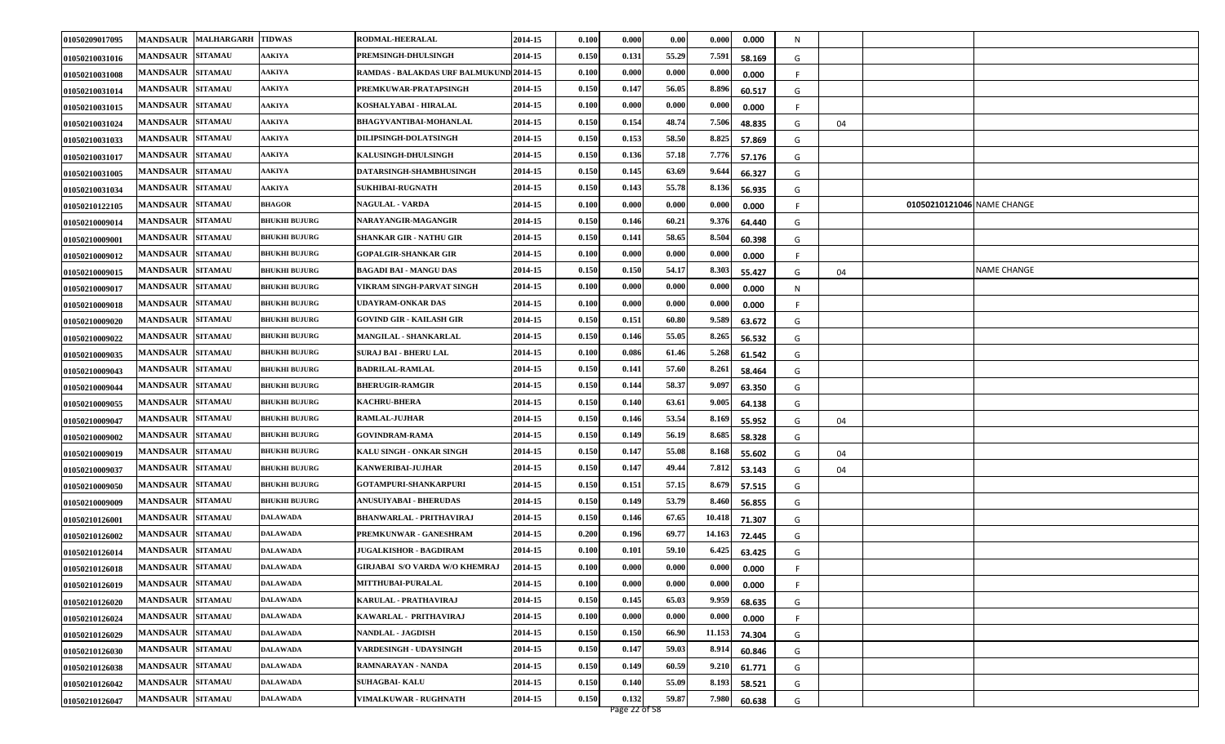| 01050209017095        |                         | MANDSAUR MALHARGARH | <b>TIDWAS</b>        | RODMAL-HEERALAL                         | 2014-15 | 0.100 | 0.000 | 0.00  | 0.000  | 0.000  | N |    |                            |                    |
|-----------------------|-------------------------|---------------------|----------------------|-----------------------------------------|---------|-------|-------|-------|--------|--------|---|----|----------------------------|--------------------|
| <b>01050210031016</b> | <b>MANDSAUR</b>         | <b>SITAMAU</b>      | <b>AAKIYA</b>        | PREMSINGH-DHULSINGH                     | 2014-15 | 0.150 | 0.131 | 55.29 | 7.591  | 58.169 | G |    |                            |                    |
| 01050210031008        | <b>MANDSAUR SITAMAU</b> |                     | <b>AAKIYA</b>        | RAMDAS - BALAKDAS URF BALMUKUND 2014-15 |         | 0.100 | 0.000 | 0.000 | 0.000  | 0.000  | F |    |                            |                    |
| <b>01050210031014</b> | MANDSAUR SITAMAU        |                     | <b>AAKIYA</b>        | PREMKUWAR-PRATAPSINGH                   | 2014-15 | 0.150 | 0.147 | 56.05 | 8.896  | 60.517 | G |    |                            |                    |
| 01050210031015        | <b>MANDSAUR</b>         | <b>SITAMAU</b>      | <b>AAKIYA</b>        | KOSHALYABAI - HIRALAL                   | 2014-15 | 0.100 | 0.000 | 0.000 | 0.000  | 0.000  | F |    |                            |                    |
| 01050210031024        | <b>MANDSAUR</b>         | <b>SITAMAU</b>      | <b>AAKIYA</b>        | <b>BHAGYVANTIBAI-MOHANLAL</b>           | 2014-15 | 0.150 | 0.154 | 48.74 | 7.506  | 48.835 | G | 04 |                            |                    |
| 01050210031033        | <b>MANDSAUR SITAMAU</b> |                     | <b>AAKIYA</b>        | <b>DILIPSINGH-DOLATSINGH</b>            | 2014-15 | 0.150 | 0.153 | 58.50 | 8.825  | 57.869 | G |    |                            |                    |
| 01050210031017        | <b>MANDSAUR</b>         | <b>SITAMAU</b>      | <b>AAKIYA</b>        | <b>KALUSINGH-DHULSINGH</b>              | 2014-15 | 0.150 | 0.136 | 57.18 | 7.776  | 57.176 | G |    |                            |                    |
| 01050210031005        | <b>MANDSAUR</b>         | <b>SITAMAU</b>      | <b>AAKIYA</b>        | <b>DATARSINGH-SHAMBHUSINGH</b>          | 2014-15 | 0.150 | 0.145 | 63.69 | 9.644  | 66.327 | G |    |                            |                    |
| 01050210031034        | <b>MANDSAUR</b>         | <b>SITAMAU</b>      | AAKIYA               | <b>SUKHIBAI-RUGNATH</b>                 | 2014-15 | 0.150 | 0.143 | 55.78 | 8.136  | 56.935 | G |    |                            |                    |
| 01050210122105        | <b>MANDSAUR SITAMAU</b> |                     | <b>BHAGOR</b>        | <b>NAGULAL - VARDA</b>                  | 2014-15 | 0.100 | 0.000 | 0.000 | 0.000  | 0.000  |   |    | 01050210121046 NAME CHANGE |                    |
| 01050210009014        | <b>MANDSAUR</b>         | <b>SITAMAU</b>      | <b>BHUKHI BUJURG</b> | NARAYANGIR-MAGANGIR                     | 2014-15 | 0.150 | 0.146 | 60.21 | 9.376  | 64.440 | G |    |                            |                    |
| 01050210009001        | <b>MANDSAUR</b>         | <b>SITAMAU</b>      | <b>BHUKHI BUJURG</b> | <b>SHANKAR GIR - NATHU GIR</b>          | 2014-15 | 0.150 | 0.141 | 58.65 | 8.504  | 60.398 | G |    |                            |                    |
| 01050210009012        | <b>MANDSAUR</b>         | <b>SITAMAU</b>      | <b>BHUKHI BUJURG</b> | <b>GOPALGIR-SHANKAR GIR</b>             | 2014-15 | 0.100 | 0.000 | 0.000 | 0.000  | 0.000  | F |    |                            |                    |
| <b>01050210009015</b> | <b>MANDSAUR SITAMAU</b> |                     | <b>BHUKHI BUJURG</b> | <b>BAGADI BAI - MANGU DAS</b>           | 2014-15 | 0.150 | 0.150 | 54.17 | 8.303  | 55.427 | G | 04 |                            | <b>NAME CHANGE</b> |
| 01050210009017        | <b>MANDSAUR</b>         | <b>SITAMAU</b>      | <b>BHUKHI BUJURG</b> | VIKRAM SINGH-PARVAT SINGH               | 2014-15 | 0.100 | 0.000 | 0.000 | 0.000  | 0.000  | N |    |                            |                    |
| 01050210009018        | <b>MANDSAUR</b>         | <b>SITAMAU</b>      | <b>BHUKHI BUJURG</b> | <b>UDAYRAM-ONKAR DAS</b>                | 2014-15 | 0.100 | 0.000 | 0.000 | 0.000  | 0.000  |   |    |                            |                    |
| 01050210009020        | <b>MANDSAUR</b>         | <b>SITAMAU</b>      | <b>BHUKHI BUJURG</b> | <b>GOVIND GIR - KAILASH GIR</b>         | 2014-15 | 0.150 | 0.151 | 60.80 | 9.589  | 63.672 | G |    |                            |                    |
| <b>01050210009022</b> | MANDSAUR SITAMAU        |                     | <b>BHUKHI BUJURG</b> | MANGILAL - SHANKARLAL                   | 2014-15 | 0.150 | 0.146 | 55.05 | 8.265  | 56.532 | G |    |                            |                    |
| 01050210009035        | <b>MANDSAUR</b>         | <b>SITAMAU</b>      | <b>BHUKHI BUJURG</b> | SURAJ BAI - BHERU LAL                   | 2014-15 | 0.100 | 0.086 | 61.46 | 5.268  | 61.542 | G |    |                            |                    |
| <b>01050210009043</b> | <b>MANDSAUR</b>         | <b>SITAMAU</b>      | <b>BHUKHI BUJURG</b> | <b>BADRILAL-RAMLAL</b>                  | 2014-15 | 0.150 | 0.141 | 57.60 | 8.261  | 58.464 | G |    |                            |                    |
| 01050210009044        | <b>MANDSAUR SITAMAU</b> |                     | <b>BHUKHI BUJURG</b> | <b>BHERUGIR-RAMGIR</b>                  | 2014-15 | 0.150 | 0.144 | 58.37 | 9.097  | 63.350 | G |    |                            |                    |
| <b>01050210009055</b> | <b>MANDSAUR</b>         | <b>SITAMAU</b>      | <b>BHUKHI BUJURG</b> | <b>KACHRU-BHERA</b>                     | 2014-15 | 0.150 | 0.140 | 63.61 | 9.005  | 64.138 | G |    |                            |                    |
| 01050210009047        | <b>MANDSAUR</b>         | <b>SITAMAU</b>      | <b>BHUKHI BUJURG</b> | <b>RAMLAL-JUJHAR</b>                    | 2014-15 | 0.150 | 0.146 | 53.54 | 8.169  | 55.952 | G | 04 |                            |                    |
| <b>01050210009002</b> | <b>MANDSAUR</b>         | <b>SITAMAU</b>      | <b>BHUKHI BUJURG</b> | <b>GOVINDRAM-RAMA</b>                   | 2014-15 | 0.150 | 0.149 | 56.19 | 8.685  | 58.328 | G |    |                            |                    |
| 01050210009019        | <b>MANDSAUR SITAMAU</b> |                     | <b>BHUKHI BUJURG</b> | KALU SINGH - ONKAR SINGH                | 2014-15 | 0.150 | 0.147 | 55.08 | 8.168  | 55.602 | G | 04 |                            |                    |
| <b>01050210009037</b> | <b>MANDSAUR</b>         | <b>SITAMAU</b>      | <b>BHUKHI BUJURG</b> | <b>KANWERIBAI-JUJHAR</b>                | 2014-15 | 0.150 | 0.147 | 49.44 | 7.812  | 53.143 | G | 04 |                            |                    |
| 01050210009050        | <b>MANDSAUR</b>         | <b>SITAMAU</b>      | <b>BHUKHI BUJURG</b> | GOTAMPURI-SHANKARPURI                   | 2014-15 | 0.150 | 0.151 | 57.15 | 8.679  | 57.515 | G |    |                            |                    |
| 01050210009009        | <b>MANDSAUR</b>         | <b>SITAMAU</b>      | <b>BHUKHI BUJURG</b> | <b>ANUSUIYABAI - BHERUDAS</b>           | 2014-15 | 0.150 | 0.149 | 53.79 | 8.460  | 56.855 | G |    |                            |                    |
| 01050210126001        | <b>MANDSAUR SITAMAU</b> |                     | <b>DALAWADA</b>      | <b>BHANWARLAL - PRITHAVIRAJ</b>         | 2014-15 | 0.150 | 0.146 | 67.65 | 10.418 | 71.307 | G |    |                            |                    |
| <b>01050210126002</b> | <b>MANDSAUR</b>         | <b>SITAMAU</b>      | DALAWADA             | PREMKUNWAR - GANESHRAM                  | 2014-15 | 0.200 | 0.196 | 69.77 | 14.163 | 72.445 | G |    |                            |                    |
| 01050210126014        | <b>MANDSAUR</b>         | <b>SITAMAU</b>      | DALAWADA             | <b>JUGALKISHOR - BAGDIRAM</b>           | 2014-15 | 0.100 | 0.101 | 59.10 | 6.425  | 63.425 | G |    |                            |                    |
| 01050210126018        | MANDSAUR SITAMAU        |                     | <b>DALAWADA</b>      | <b>GIRJABAI S/O VARDA W/O KHEMRAJ</b>   | 2014-15 | 0.100 | 0.000 | 0.000 | 0.000  | 0.000  |   |    |                            |                    |
| 01050210126019        | MANDSAUR SITAMAU        |                     | <b>DALAWADA</b>      | MITTHUBAI-PURALAL                       | 2014-15 | 0.100 | 0.000 | 0.000 | 0.000  | 0.000  | F |    |                            |                    |
| 01050210126020        | <b>MANDSAUR SITAMAU</b> |                     | DALAWADA             | KARULAL - PRATHAVIRAJ                   | 2014-15 | 0.150 | 0.145 | 65.03 | 9.959  | 68.635 | G |    |                            |                    |
| 01050210126024        | <b>MANDSAUR SITAMAU</b> |                     | <b>DALAWADA</b>      | KAWARLAL - PRITHAVIRAJ                  | 2014-15 | 0.100 | 0.000 | 0.000 | 0.000  | 0.000  |   |    |                            |                    |
| 01050210126029        | MANDSAUR SITAMAU        |                     | <b>DALAWADA</b>      | <b>NANDLAL - JAGDISH</b>                | 2014-15 | 0.150 | 0.150 | 66.90 | 11.153 | 74.304 | G |    |                            |                    |
| 01050210126030        | MANDSAUR SITAMAU        |                     | <b>DALAWADA</b>      | VARDESINGH - UDAYSINGH                  | 2014-15 | 0.150 | 0.147 | 59.03 | 8.914  | 60.846 | G |    |                            |                    |
| 01050210126038        | <b>MANDSAUR SITAMAU</b> |                     | <b>DALAWADA</b>      | RAMNARAYAN - NANDA                      | 2014-15 | 0.150 | 0.149 | 60.59 | 9.210  | 61.771 | G |    |                            |                    |
| 01050210126042        | MANDSAUR SITAMAU        |                     | <b>DALAWADA</b>      | <b>SUHAGBAI-KALU</b>                    | 2014-15 | 0.150 | 0.140 | 55.09 | 8.193  | 58.521 | G |    |                            |                    |
| 01050210126047        | MANDSAUR SITAMAU        |                     | <b>DALAWADA</b>      | <b>VIMALKUWAR - RUGHNATH</b>            | 2014-15 | 0.150 | 0.132 | 59.87 | 7.980  | 60.638 | G |    |                            |                    |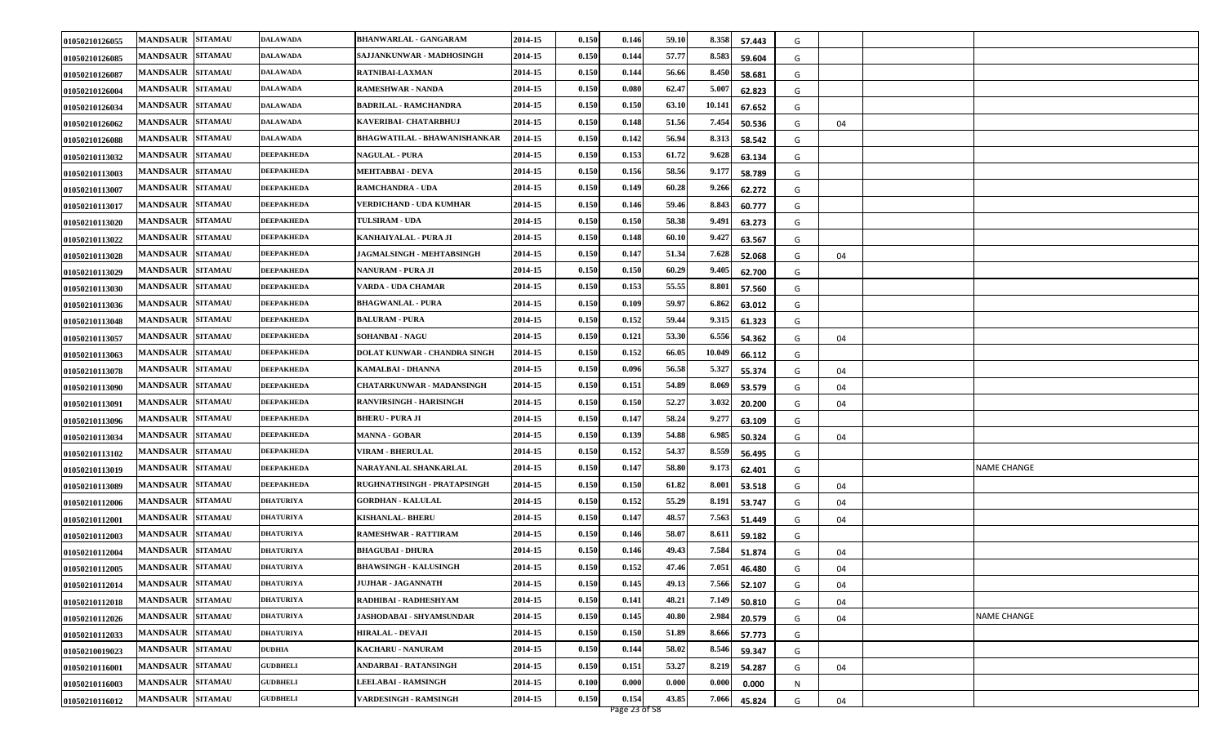| 01050210126055 | MANDSAUR SITAMAU                  | <b>DALAWADA</b>   | <b>BHANWARLAL - GANGARAM</b>    | 2014-15 | 0.150 | 0.146 | 59.10 | 8.358  | 57.443 | G |    |             |
|----------------|-----------------------------------|-------------------|---------------------------------|---------|-------|-------|-------|--------|--------|---|----|-------------|
| 01050210126085 | <b>MANDSAUR SITAMAU</b>           | <b>DALAWADA</b>   | SAJJANKUNWAR - MADHOSINGH       | 2014-15 | 0.150 | 0.144 | 57.77 | 8.583  | 59.604 | G |    |             |
| 01050210126087 | <b>MANDSAUR SITAMAU</b>           | <b>DALAWADA</b>   | RATNIBAI-LAXMAN                 | 2014-15 | 0.150 | 0.144 | 56.66 | 8.450  | 58.681 | G |    |             |
| 01050210126004 | <b>MANDSAUR SITAMAU</b>           | DALAWADA          | <b>RAMESHWAR - NANDA</b>        | 2014-15 | 0.150 | 0.080 | 62.47 | 5.007  | 62.823 | G |    |             |
| 01050210126034 | <b>SITAMAU</b><br><b>MANDSAUR</b> | <b>DALAWADA</b>   | <b>BADRILAL - RAMCHANDRA</b>    | 2014-15 | 0.150 | 0.150 | 63.1  | 10.141 | 67.652 | G |    |             |
| 01050210126062 | <b>MANDSAUR</b><br><b>SITAMAU</b> | <b>DALAWADA</b>   | KAVERIBAI- CHATARBHUJ           | 2014-15 | 0.150 | 0.148 | 51.56 | 7.454  | 50.536 | G | 04 |             |
| 01050210126088 | <b>MANDSAUR SITAMAU</b>           | <b>DALAWADA</b>   | BHAGWATILAL - BHAWANISHANKAR    | 2014-15 | 0.150 | 0.142 | 56.94 | 8.313  | 58.542 | G |    |             |
| 01050210113032 | <b>SITAMAU</b><br><b>MANDSAUR</b> | <b>DEEPAKHEDA</b> | <b>NAGULAL - PURA</b>           | 2014-15 | 0.150 | 0.153 | 61.72 | 9.628  | 63.134 | G |    |             |
| 01050210113003 | <b>SITAMAU</b><br><b>MANDSAUR</b> | <b>DEEPAKHEDA</b> | MEHTABBAI - DEVA                | 2014-15 | 0.150 | 0.156 | 58.56 | 9.177  | 58.789 | G |    |             |
| 01050210113007 | <b>SITAMAU</b><br><b>MANDSAUR</b> | <b>DEEPAKHEDA</b> | <b>RAMCHANDRA - UDA</b>         | 2014-15 | 0.150 | 0.149 | 60.28 | 9.266  | 62.272 | G |    |             |
| 01050210113017 | <b>MANDSAUR SITAMAU</b>           | <b>DEEPAKHEDA</b> | VERDICHAND - UDA KUMHAR         | 2014-15 | 0.150 | 0.146 | 59.46 | 8.843  | 60.777 | G |    |             |
| 01050210113020 | <b>MANDSAUR SITAMAU</b>           | DEEPAKHEDA        | <b>TULSIRAM - UDA</b>           | 2014-15 | 0.150 | 0.150 | 58.38 | 9.491  | 63.273 | G |    |             |
| 01050210113022 | <b>MANDSAUR</b><br><b>SITAMAU</b> | <b>DEEPAKHEDA</b> | KANHAIYALAL - PURA JI           | 2014-15 | 0.150 | 0.148 | 60.10 | 9.427  | 63.567 | G |    |             |
| 01050210113028 | <b>MANDSAUR</b><br><b>SITAMAU</b> | <b>DEEPAKHEDA</b> | JAGMALSINGH - MEHTABSINGH       | 2014-15 | 0.150 | 0.147 | 51.34 | 7.628  | 52.068 | G | 04 |             |
| 01050210113029 | <b>MANDSAUR SITAMAU</b>           | <b>DEEPAKHEDA</b> | NANURAM - PURA JI               | 2014-15 | 0.150 | 0.150 | 60.29 | 9.405  | 62.700 | G |    |             |
| 01050210113030 | <b>SITAMAU</b><br><b>MANDSAUR</b> | <b>DEEPAKHEDA</b> | VARDA - UDA CHAMAR              | 2014-15 | 0.150 | 0.153 | 55.55 | 8.801  | 57.560 | G |    |             |
| 01050210113036 | <b>MANDSAUR</b><br><b>SITAMAU</b> | <b>DEEPAKHEDA</b> | <b>BHAGWANLAL - PURA</b>        | 2014-15 | 0.150 | 0.109 | 59.97 | 6.862  | 63.012 | G |    |             |
| 01050210113048 | <b>MANDSAUR SITAMAU</b>           | <b>DEEPAKHEDA</b> | <b>BALURAM - PURA</b>           | 2014-15 | 0.150 | 0.152 | 59.44 | 9.315  | 61.323 | G |    |             |
| 01050210113057 | <b>MANDSAUR SITAMAU</b>           | <b>DEEPAKHEDA</b> | <b>SOHANBAI - NAGU</b>          | 2014-15 | 0.150 | 0.121 | 53.30 | 6.556  | 54.362 | G | 04 |             |
| 01050210113063 | <b>MANDSAUR SITAMAU</b>           | <b>DEEPAKHEDA</b> | DOLAT KUNWAR - CHANDRA SINGH    | 2014-15 | 0.150 | 0.152 | 66.05 | 10.049 | 66.112 | G |    |             |
| 01050210113078 | MANDSAUR SITAMAU                  | <b>DEEPAKHEDA</b> | KAMALBAI - DHANNA               | 2014-15 | 0.150 | 0.096 | 56.58 | 5.327  | 55.374 | G | 04 |             |
| 01050210113090 | <b>MANDSAUR SITAMAU</b>           | <b>DEEPAKHEDA</b> | CHATARKUNWAR - MADANSINGH       | 2014-15 | 0.150 | 0.151 | 54.89 | 8.069  | 53.579 | G | 04 |             |
| 01050210113091 | <b>MANDSAUR SITAMAU</b>           | <b>DEEPAKHEDA</b> | RANVIRSINGH - HARISINGH         | 2014-15 | 0.150 | 0.150 | 52.27 | 3.032  | 20.200 | G | 04 |             |
| 01050210113096 | <b>MANDSAUR</b><br><b>SITAMAU</b> | <b>DEEPAKHEDA</b> | <b>BHERU - PURA JI</b>          | 2014-15 | 0.150 | 0.147 | 58.24 | 9.277  | 63.109 | G |    |             |
| 01050210113034 | <b>MANDSAUR SITAMAU</b>           | <b>DEEPAKHEDA</b> | <b>MANNA - GOBAR</b>            | 2014-15 | 0.150 | 0.139 | 54.88 | 6.985  | 50.324 | G | 04 |             |
| 01050210113102 | <b>MANDSAUR SITAMAU</b>           | <b>DEEPAKHEDA</b> | VIRAM - BHERULAL                | 2014-15 | 0.150 | 0.152 | 54.37 | 8.559  | 56.495 | G |    |             |
| 01050210113019 | <b>MANDSAUR SITAMAU</b>           | DEEPAKHEDA        | NARAYANLAL SHANKARLAL           | 2014-15 | 0.150 | 0.147 | 58.80 | 9.173  | 62.401 | G |    | NAME CHANGE |
| 01050210113089 | <b>SITAMAU</b><br><b>MANDSAUR</b> | <b>DEEPAKHEDA</b> | RUGHNATHSINGH - PRATAPSINGH     | 2014-15 | 0.150 | 0.150 | 61.82 | 8.001  | 53.518 | G | 04 |             |
| 01050210112006 | <b>MANDSAUR</b><br><b>SITAMAU</b> | <b>DHATURIYA</b>  | <b>GORDHAN - KALULAL</b>        | 2014-15 | 0.150 | 0.152 | 55.29 | 8.191  | 53.747 | G | 04 |             |
| 01050210112001 | <b>MANDSAUR</b><br><b>SITAMAU</b> | <b>DHATURIYA</b>  | KISHANLAL- BHERU                | 2014-15 | 0.150 | 0.147 | 48.57 | 7.563  | 51.449 | G | 04 |             |
| 01050210112003 | <b>MANDSAUR SITAMAU</b>           | <b>DHATURIYA</b>  | RAMESHWAR - RATTIRAM            | 2014-15 | 0.150 | 0.146 | 58.07 | 8.611  | 59.182 | G |    |             |
| 01050210112004 | <b>SITAMAU</b><br><b>MANDSAUR</b> | <b>DHATURIYA</b>  | <b>BHAGUBAI - DHURA</b>         | 2014-15 | 0.150 | 0.146 | 49.43 | 7.584  | 51.874 | G | 04 |             |
| 01050210112005 | MANDSAUR SITAMAU                  | <b>DHATURIYA</b>  | <b>BHAWSINGH - KALUSINGH</b>    | 2014-15 | 0.150 | 0.152 | 47.46 | 7.051  | 46.480 | G | 04 |             |
| 01050210112014 | MANDSAUR SITAMAU                  | <b>DHATURIYA</b>  | <b>JUJHAR - JAGANNATH</b>       | 2014-15 | 0.150 | 0.145 | 49.13 | 7.566  | 52.107 | G | 04 |             |
| 01050210112018 | <b>MANDSAUR SITAMAU</b>           | <b>DHATURIYA</b>  | RADHIBAI - RADHESHYAM           | 2014-15 | 0.150 | 0.141 | 48.21 | 7.149  | 50.810 | G | 04 |             |
| 01050210112026 | <b>MANDSAUR SITAMAU</b>           | <b>DHATURIYA</b>  | <b>JASHODABAI - SHYAMSUNDAR</b> | 2014-15 | 0.150 | 0.145 | 40.80 | 2.984  | 20.579 | G | 04 | NAME CHANGE |
| 01050210112033 | MANDSAUR SITAMAU                  | <b>DHATURIYA</b>  | <b>HIRALAL - DEVAJI</b>         | 2014-15 | 0.150 | 0.150 | 51.89 | 8.666  | 57.773 | G |    |             |
| 01050210019023 | <b>MANDSAUR SITAMAU</b>           | <b>DUDHIA</b>     | KACHARU - NANURAM               | 2014-15 | 0.150 | 0.144 | 58.02 | 8.546  | 59.347 | G |    |             |
| 01050210116001 | MANDSAUR SITAMAU                  | <b>GUDBHELI</b>   | ANDARBAI - RATANSINGH           | 2014-15 | 0.150 | 0.151 | 53.27 | 8.219  | 54.287 | G | 04 |             |
| 01050210116003 | <b>MANDSAUR SITAMAU</b>           | <b>GUDBHELI</b>   | <b>LEELABAI - RAMSINGH</b>      | 2014-15 | 0.100 | 0.000 | 0.000 | 0.000  | 0.000  | N |    |             |
| 01050210116012 | <b>MANDSAUR SITAMAU</b>           | <b>GUDBHELI</b>   | VARDESINGH - RAMSINGH           | 2014-15 | 0.150 | 0.154 | 43.85 | 7.066  | 45.824 | G | 04 |             |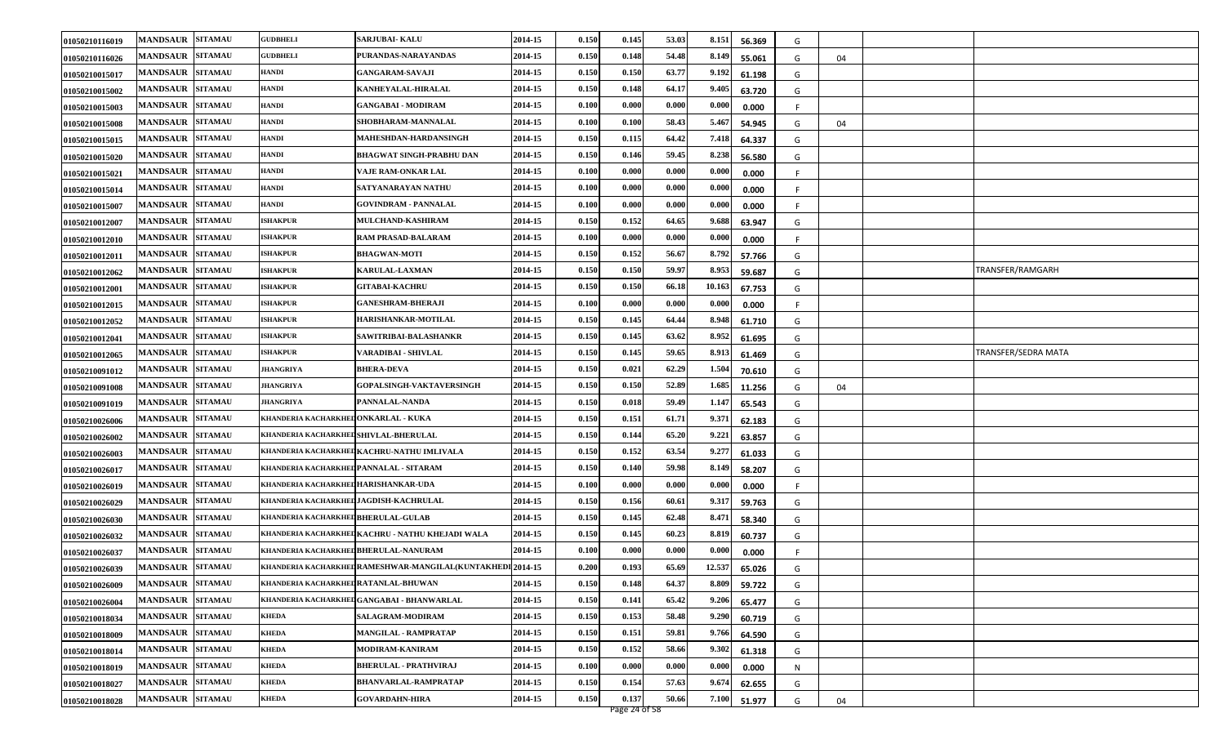| 01050210116019 | <b>MANDSAUR</b><br><b>SITAMAU</b> | <b>GUDBHELI</b>                         | <b>SARJUBAI- KALU</b>                                     | 2014-15 | 0.150 | 0.145 | 53.03 | 8.151  | 56.369 | G  |    |                     |
|----------------|-----------------------------------|-----------------------------------------|-----------------------------------------------------------|---------|-------|-------|-------|--------|--------|----|----|---------------------|
| 01050210116026 | <b>MANDSAUR</b><br><b>SITAMAU</b> | <b>GUDBHELI</b>                         | PURANDAS-NARAYANDAS                                       | 2014-15 | 0.150 | 0.148 | 54.48 | 8.149  | 55.061 | G  | 04 |                     |
| 01050210015017 | <b>MANDSAUR</b><br><b>SITAMAU</b> | <b>HANDI</b>                            | <b>GANGARAM-SAVAJI</b>                                    | 2014-15 | 0.150 | 0.150 | 63.77 | 9.192  | 61.198 | G  |    |                     |
| 01050210015002 | <b>MANDSAUR</b><br><b>SITAMAU</b> | HANDI                                   | KANHEYALAL-HIRALAL                                        | 2014-15 | 0.150 | 0.148 | 64.17 | 9.405  | 63.720 | G  |    |                     |
| 01050210015003 | <b>SITAMAU</b><br><b>MANDSAUR</b> | HANDI                                   | <b>GANGABAI - MODIRAM</b>                                 | 2014-15 | 0.100 | 0.000 | 0.000 | 0.000  | 0.000  | F. |    |                     |
| 01050210015008 | <b>MANDSAUR</b><br><b>SITAMAU</b> | HANDI                                   | SHOBHARAM-MANNALAL                                        | 2014-15 | 0.100 | 0.100 | 58.43 | 5.467  | 54.945 | G  | 04 |                     |
| 01050210015015 | <b>MANDSAUR</b><br><b>SITAMAU</b> | <b>HANDI</b>                            | MAHESHDAN-HARDANSINGH                                     | 2014-15 | 0.150 | 0.115 | 64.42 | 7.418  | 64.337 | G  |    |                     |
| 01050210015020 | <b>MANDSAUR</b><br><b>SITAMAU</b> | <b>HANDI</b>                            | <b>BHAGWAT SINGH-PRABHU DAN</b>                           | 2014-15 | 0.150 | 0.146 | 59.45 | 8.238  | 56.580 | G  |    |                     |
| 01050210015021 | <b>SITAMAU</b><br><b>MANDSAUR</b> | HANDI                                   | VAJE RAM-ONKAR LAL                                        | 2014-15 | 0.100 | 0.000 | 0.000 | 0.000  | 0.000  | F  |    |                     |
| 01050210015014 | <b>SITAMAU</b><br><b>MANDSAUR</b> | HANDI                                   | SATYANARAYAN NATHU                                        | 2014-15 | 0.100 | 0.000 | 0.000 | 0.000  | 0.000  |    |    |                     |
| 01050210015007 | <b>MANDSAUR</b><br><b>SITAMAU</b> | <b>HANDI</b>                            | <b>GOVINDRAM - PANNALAL</b>                               | 2014-15 | 0.100 | 0.000 | 0.000 | 0.000  | 0.000  | -F |    |                     |
| 01050210012007 | <b>MANDSAUR</b><br><b>SITAMAU</b> | <b>ISHAKPUR</b>                         | <b>MULCHAND-KASHIRAM</b>                                  | 2014-15 | 0.150 | 0.152 | 64.65 | 9.688  | 63.947 | G  |    |                     |
| 01050210012010 | <b>MANDSAUR</b><br><b>SITAMAU</b> | <b>ISHAKPUR</b>                         | RAM PRASAD-BALARAM                                        | 2014-15 | 0.100 | 0.000 | 0.000 | 0.000  | 0.000  | F  |    |                     |
| 01050210012011 | <b>SITAMAU</b><br><b>MANDSAUR</b> | <b>ISHAKPUR</b>                         | <b>BHAGWAN-MOTI</b>                                       | 2014-15 | 0.150 | 0.152 | 56.67 | 8.792  | 57.766 | G  |    |                     |
| 01050210012062 | <b>SITAMAU</b><br><b>MANDSAUR</b> | <b>ISHAKPUR</b>                         | <b>KARULAL-LAXMAN</b>                                     | 2014-15 | 0.150 | 0.150 | 59.97 | 8.953  | 59.687 | G  |    | TRANSFER/RAMGARH    |
| 01050210012001 | <b>SITAMAU</b><br><b>MANDSAUR</b> | <b>ISHAKPUR</b>                         | <b>GITABAI-KACHRU</b>                                     | 2014-15 | 0.150 | 0.150 | 66.18 | 10.163 | 67.753 | G  |    |                     |
| 01050210012015 | <b>MANDSAUR</b><br><b>SITAMAU</b> | <b>ISHAKPUR</b>                         | <b>GANESHRAM-BHERAJI</b>                                  | 2014-15 | 0.100 | 0.000 | 0.000 | 0.000  | 0.000  | F. |    |                     |
| 01050210012052 | <b>MANDSAUR</b><br><b>SITAMAU</b> | <b>ISHAKPUR</b>                         | HARISHANKAR-MOTILAL                                       | 2014-15 | 0.150 | 0.145 | 64.44 | 8.948  | 61.710 | G  |    |                     |
| 01050210012041 | <b>MANDSAUR</b><br><b>SITAMAU</b> | <b>ISHAKPUR</b>                         | SAWITRIBAI-BALASHANKR                                     | 2014-15 | 0.150 | 0.145 | 63.62 | 8.952  | 61.695 | G  |    |                     |
| 01050210012065 | <b>SITAMAU</b><br><b>MANDSAUR</b> | <b>ISHAKPUR</b>                         | VARADIBAI - SHIVLAL                                       | 2014-15 | 0.150 | 0.145 | 59.65 | 8.913  | 61.469 | G  |    | TRANSFER/SEDRA MATA |
| 01050210091012 | <b>MANDSAUR</b><br><b>SITAMAU</b> | <b>JHANGRIYA</b>                        | <b>BHERA-DEVA</b>                                         | 2014-15 | 0.150 | 0.021 | 62.29 | 1.504  | 70.610 | G  |    |                     |
| 01050210091008 | <b>SITAMAU</b><br><b>MANDSAUR</b> | <b>JHANGRIYA</b>                        | GOPALSINGH-VAKTAVERSINGH                                  | 2014-15 | 0.150 | 0.150 | 52.89 | 1.685  | 11.256 | G  | 04 |                     |
| 01050210091019 | <b>MANDSAUR</b><br><b>SITAMAU</b> | <b>JHANGRIYA</b>                        | PANNALAL-NANDA                                            | 2014-15 | 0.150 | 0.018 | 59.49 | 1.147  | 65.543 | G  |    |                     |
| 01050210026006 | <b>MANDSAUR</b><br><b>SITAMAU</b> | KHANDERIA KACHARKHED ONKARLAL - KUKA    |                                                           | 2014-15 | 0.150 | 0.151 | 61.71 | 9.371  | 62.183 | G  |    |                     |
| 01050210026002 | <b>MANDSAUR</b><br><b>SITAMAU</b> | KHANDERIA KACHARKHED SHIVLAL-BHERULAL   |                                                           | 2014-15 | 0.150 | 0.144 | 65.20 | 9.221  | 63.857 | G  |    |                     |
| 01050210026003 | <b>MANDSAUR</b><br><b>SITAMAU</b> |                                         | KHANDERIA KACHARKHED KACHRU-NATHU IMLIVALA                | 2014-15 | 0.150 | 0.152 | 63.54 | 9.277  | 61.033 | G  |    |                     |
| 01050210026017 | <b>MANDSAUR</b><br><b>SITAMAU</b> | KHANDERIA KACHARKHED PANNALAL - SITARAM |                                                           | 2014-15 | 0.150 | 0.140 | 59.98 | 8.149  | 58.207 | G  |    |                     |
| 01050210026019 | <b>MANDSAUR</b><br><b>SITAMAU</b> | KHANDERIA KACHARKHED HARISHANKAR-UDA    |                                                           | 2014-15 | 0.100 | 0.000 | 0.000 | 0.000  | 0.000  | F. |    |                     |
| 01050210026029 | <b>MANDSAUR</b><br><b>SITAMAU</b> | KHANDERIA KACHARKHED JAGDISH-KACHRULAL  |                                                           | 2014-15 | 0.150 | 0.156 | 60.61 | 9.317  | 59.763 | G  |    |                     |
| 01050210026030 | <b>MANDSAUR</b><br><b>SITAMAU</b> | KHANDERIA KACHARKHED BHERULAL-GULAB     |                                                           | 2014-15 | 0.150 | 0.145 | 62.48 | 8.471  | 58.340 | G  |    |                     |
| 01050210026032 | <b>MANDSAUR</b><br><b>SITAMAU</b> |                                         | KHANDERIA KACHARKHED KACHRU - NATHU KHEJADI WALA          | 2014-15 | 0.150 | 0.145 | 60.23 | 8.819  | 60.737 | G  |    |                     |
| 01050210026037 | <b>SITAMAU</b><br><b>MANDSAUR</b> | KHANDERIA KACHARKHED BHERULAL-NANURAM   |                                                           | 2014-15 | 0.100 | 0.000 | 0.000 | 0.000  | 0.000  | -F |    |                     |
| 01050210026039 | <b>SITAMAU</b><br><b>MANDSAUR</b> |                                         | khanderia kacharkhedRAMESHWAR-MANGILAL(KUNTAKHEDI 2014-15 |         | 0.200 | 0.193 | 65.69 | 12.537 | 65.026 | G  |    |                     |
| 01050210026009 | MANDSAUR SITAMAU                  | KHANDERIA KACHARKHED RATANLAL-BHUWAN    |                                                           | 2014-15 | 0.150 | 0.148 | 64.37 | 8.809  | 59.722 | G  |    |                     |
| 01050210026004 | <b>MANDSAUR</b><br><b>SITAMAU</b> |                                         | KHANDERIA KACHARKHED GANGABAI - BHANWARLAL                | 2014-15 | 0.150 | 0.141 | 65.42 | 9.206  | 65.477 | G  |    |                     |
| 01050210018034 | <b>SITAMAU</b><br><b>MANDSAUR</b> | <b>KHEDA</b>                            | SALAGRAM-MODIRAM                                          | 2014-15 | 0.150 | 0.153 | 58.48 | 9.290  | 60.719 | G  |    |                     |
| 01050210018009 | <b>SITAMAU</b><br><b>MANDSAUR</b> | <b>KHEDA</b>                            | <b>MANGILAL - RAMPRATAP</b>                               | 2014-15 | 0.150 | 0.151 | 59.81 | 9.766  | 64.590 | G  |    |                     |
| 01050210018014 | MANDSAUR SITAMAU                  | <b>KHEDA</b>                            | MODIRAM-KANIRAM                                           | 2014-15 | 0.150 | 0.152 | 58.66 | 9.302  | 61.318 | G  |    |                     |
| 01050210018019 | <b>SITAMAU</b><br><b>MANDSAUR</b> | <b>KHEDA</b>                            | <b>BHERULAL - PRATHVIRAJ</b>                              | 2014-15 | 0.100 | 0.000 | 0.000 | 0.000  | 0.000  | N  |    |                     |
| 01050210018027 | <b>SITAMAU</b><br><b>MANDSAUR</b> | <b>KHEDA</b>                            | <b>BHANVARLAL-RAMPRATAP</b>                               | 2014-15 | 0.150 | 0.154 | 57.63 | 9.674  | 62.655 | G  |    |                     |
| 01050210018028 | MANDSAUR SITAMAU                  | <b>KHEDA</b>                            | <b>GOVARDAHN-HIRA</b>                                     | 2014-15 | 0.150 | 0.137 | 50.66 | 7.100  | 51.977 | G  | 04 |                     |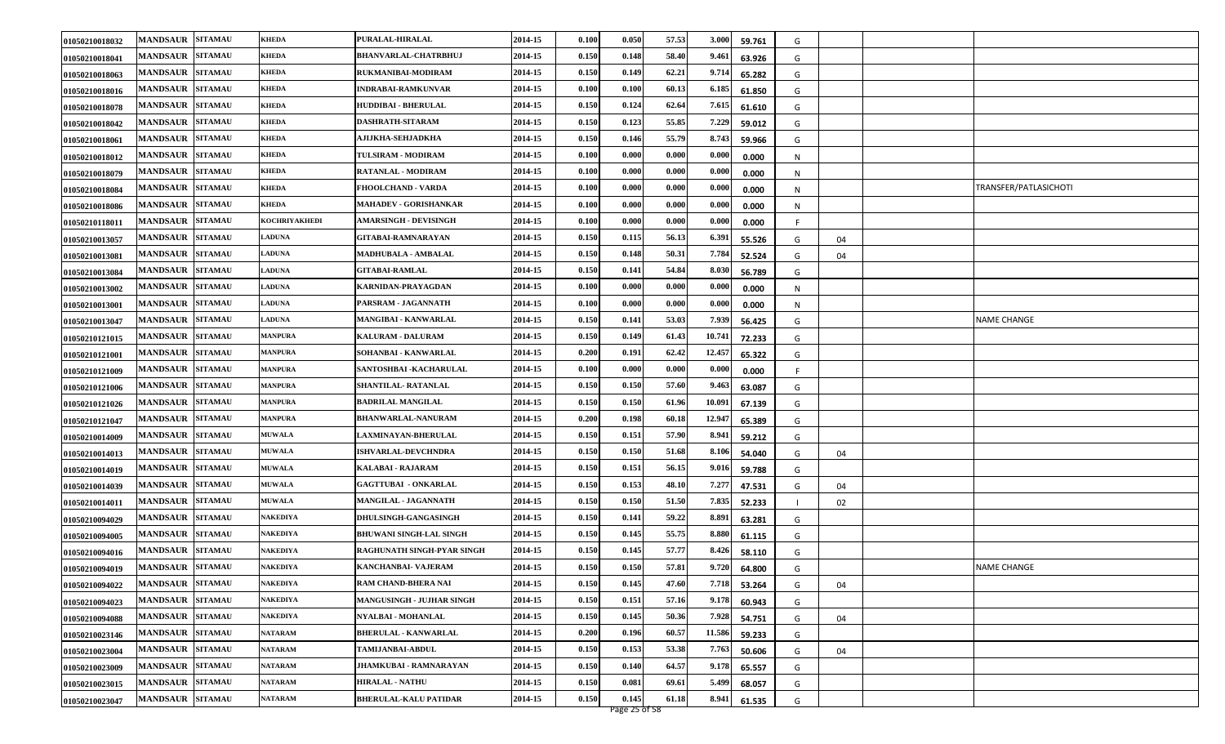| 01050210018032 | <b>MANDSAUR</b><br><b>SITAMAU</b> | <b>KHEDA</b>    | PURALAL-HIRALAL                  | 2014-15 | 0.100 | 0.050 | 57.53 | 3.000  | 59.761 | G |    |                       |
|----------------|-----------------------------------|-----------------|----------------------------------|---------|-------|-------|-------|--------|--------|---|----|-----------------------|
| 01050210018041 | <b>MANDSAUR</b><br><b>SITAMAU</b> | KHEDA           | <b>BHANVARLAL-CHATRBHUJ</b>      | 2014-15 | 0.150 | 0.148 | 58.40 | 9.461  | 63.926 | G |    |                       |
| 01050210018063 | <b>MANDSAUR</b><br><b>SITAMAU</b> | <b>KHEDA</b>    | RUKMANIBAI-MODIRAM               | 2014-15 | 0.150 | 0.149 | 62.21 | 9.714  | 65.282 | G |    |                       |
| 01050210018016 | <b>MANDSAUR</b><br><b>SITAMAU</b> | <b>KHEDA</b>    | <b>INDRABAI-RAMKUNVAR</b>        | 2014-15 | 0.100 | 0.100 | 60.13 | 6.185  | 61.850 | G |    |                       |
| 01050210018078 | <b>SITAMAU</b><br><b>MANDSAUR</b> | KHEDA           | <b>HUDDIBAI - BHERULAL</b>       | 2014-15 | 0.150 | 0.124 | 62.64 | 7.615  | 61.610 | G |    |                       |
| 01050210018042 | <b>MANDSAUR</b><br><b>SITAMAU</b> | KHEDA           | <b>DASHRATH-SITARAM</b>          | 2014-15 | 0.150 | 0.123 | 55.85 | 7.229  | 59.012 | G |    |                       |
| 01050210018061 | <b>MANDSAUR</b><br><b>SITAMAU</b> | <b>KHEDA</b>    | AJIJKHA-SEHJADKHA                | 2014-15 | 0.150 | 0.146 | 55.79 | 8.743  | 59.966 | G |    |                       |
| 01050210018012 | <b>MANDSAUR</b><br><b>SITAMAU</b> | KHEDA           | TULSIRAM - MODIRAM               | 2014-15 | 0.100 | 0.000 | 0.000 | 0.000  | 0.000  | N |    |                       |
| 01050210018079 | <b>SITAMAU</b><br><b>MANDSAUR</b> | <b>KHEDA</b>    | <b>RATANLAL - MODIRAM</b>        | 2014-15 | 0.100 | 0.000 | 0.000 | 0.000  | 0.000  | N |    |                       |
| 01050210018084 | <b>SITAMAU</b><br><b>MANDSAUR</b> | KHEDA           | <b>FHOOLCHAND - VARDA</b>        | 2014-15 | 0.100 | 0.000 | 0.000 | 0.000  | 0.000  | N |    | TRANSFER/PATLASICHOTI |
| 01050210018086 | <b>MANDSAUR</b><br><b>SITAMAU</b> | <b>KHEDA</b>    | <b>MAHADEV - GORISHANKAR</b>     | 2014-15 | 0.100 | 0.000 | 0.000 | 0.000  | 0.000  | N |    |                       |
| 01050210118011 | <b>MANDSAUR</b><br><b>SITAMAU</b> | KOCHRIYAKHEDI   | <b>AMARSINGH - DEVISINGH</b>     | 2014-15 | 0.100 | 0.000 | 0.000 | 0.000  | 0.000  |   |    |                       |
| 01050210013057 | <b>MANDSAUR</b><br><b>SITAMAU</b> | <b>LADUNA</b>   | <b>GITABAI-RAMNARAYAN</b>        | 2014-15 | 0.150 | 0.115 | 56.13 | 6.391  | 55.526 | G | 04 |                       |
| 01050210013081 | <b>SITAMAU</b><br><b>MANDSAUR</b> | <b>LADUNA</b>   | <b>MADHUBALA - AMBALAL</b>       | 2014-15 | 0.150 | 0.148 | 50.31 | 7.784  | 52.524 | G | 04 |                       |
| 01050210013084 | <b>SITAMAU</b><br><b>MANDSAUR</b> | <b>LADUNA</b>   | <b>GITABAI-RAMLAL</b>            | 2014-15 | 0.150 | 0.141 | 54.84 | 8.030  | 56.789 | G |    |                       |
| 01050210013002 | <b>SITAMAU</b><br><b>MANDSAUR</b> | <b>LADUNA</b>   | KARNIDAN-PRAYAGDAN               | 2014-15 | 0.100 | 0.000 | 0.000 | 0.000  | 0.000  | N |    |                       |
| 01050210013001 | <b>MANDSAUR</b><br><b>SITAMAU</b> | <b>LADUNA</b>   | PARSRAM - JAGANNATH              | 2014-15 | 0.100 | 0.000 | 0.000 | 0.000  | 0.000  | N |    |                       |
| 01050210013047 | <b>MANDSAUR</b><br><b>SITAMAU</b> | <b>LADUNA</b>   | MANGIBAI - KANWARLAL             | 2014-15 | 0.150 | 0.141 | 53.03 | 7.939  | 56.425 | G |    | NAME CHANGE           |
| 01050210121015 | <b>MANDSAUR</b><br><b>SITAMAU</b> | <b>MANPURA</b>  | KALURAM - DALURAM                | 2014-15 | 0.150 | 0.149 | 61.43 | 10.741 | 72.233 | G |    |                       |
| 01050210121001 | <b>SITAMAU</b><br><b>MANDSAUR</b> | MANPURA         | SOHANBAI - KANWARLAL             | 2014-15 | 0.200 | 0.191 | 62.42 | 12.457 | 65.322 | G |    |                       |
| 01050210121009 | <b>MANDSAUR</b><br><b>SITAMAU</b> | <b>MANPURA</b>  | SANTOSHBAI - KACHARULAL          | 2014-15 | 0.100 | 0.000 | 0.000 | 0.000  | 0.000  |   |    |                       |
| 01050210121006 | <b>SITAMAU</b><br><b>MANDSAUR</b> | <b>MANPURA</b>  | SHANTILAL RATANLAL               | 2014-15 | 0.150 | 0.150 | 57.60 | 9.463  | 63.087 | G |    |                       |
| 01050210121026 | <b>MANDSAUR</b><br><b>SITAMAU</b> | <b>MANPURA</b>  | <b>BADRILAL MANGILAL</b>         | 2014-15 | 0.150 | 0.150 | 61.96 | 10.091 | 67.139 | G |    |                       |
| 01050210121047 | <b>MANDSAUR</b><br><b>SITAMAU</b> | MANPURA         | <b>BHANWARLAL-NANURAM</b>        | 2014-15 | 0.200 | 0.198 | 60.18 | 12.947 | 65.389 | G |    |                       |
| 01050210014009 | <b>MANDSAUR</b><br><b>SITAMAU</b> | <b>MUWALA</b>   | LAXMINAYAN-BHERULAL              | 2014-15 | 0.150 | 0.151 | 57.90 | 8.941  | 59.212 | G |    |                       |
| 01050210014013 | <b>MANDSAUR</b><br><b>SITAMAU</b> | <b>MUWALA</b>   | <b>ISHVARLAL-DEVCHNDRA</b>       | 2014-15 | 0.150 | 0.150 | 51.68 | 8.106  | 54.040 | G | 04 |                       |
| 01050210014019 | <b>MANDSAUR</b><br><b>SITAMAU</b> | <b>MUWALA</b>   | KALABAI - RAJARAM                | 2014-15 | 0.150 | 0.151 | 56.15 | 9.016  | 59.788 | G |    |                       |
| 01050210014039 | <b>SITAMAU</b><br><b>MANDSAUR</b> | <b>MUWALA</b>   | <b>GAGTTUBAI - ONKARLAL</b>      | 2014-15 | 0.150 | 0.153 | 48.10 | 7.277  | 47.531 | G | 04 |                       |
| 01050210014011 | <b>MANDSAUR</b><br><b>SITAMAU</b> | <b>MUWALA</b>   | MANGILAL - JAGANNATH             | 2014-15 | 0.150 | 0.150 | 51.50 | 7.835  | 52.233 |   | 02 |                       |
| 01050210094029 | <b>MANDSAUR</b><br><b>SITAMAU</b> | NAKEDIYA        | DHULSINGH-GANGASINGH             | 2014-15 | 0.150 | 0.141 | 59.22 | 8.891  | 63.281 | G |    |                       |
| 01050210094005 | <b>SITAMAU</b><br><b>MANDSAUR</b> | NAKEDIYA        | <b>BHUWANI SINGH-LAL SINGH</b>   | 2014-15 | 0.150 | 0.145 | 55.75 | 8.880  | 61.115 | G |    |                       |
| 01050210094016 | <b>MANDSAUR</b><br><b>SITAMAU</b> | <b>AKEDIYA</b>  | RAGHUNATH SINGH-PYAR SINGH       | 2014-15 | 0.150 | 0.145 | 57.77 | 8.426  | 58.110 | G |    |                       |
| 01050210094019 | <b>MANDSAUR</b><br><b>SITAMAU</b> | NAKEDIYA        | KANCHANBAI- VAJERAM              | 2014-15 | 0.150 | 0.150 | 57.81 | 9.720  | 64.800 | G |    | <b>NAME CHANGE</b>    |
| 01050210094022 | MANDSAUR SITAMAU                  | <b>NAKEDIYA</b> | RAM CHAND-BHERA NAI              | 2014-15 | 0.150 | 0.145 | 47.60 | 7.718  | 53.264 | G | 04 |                       |
| 01050210094023 | <b>MANDSAUR SITAMAU</b>           | <b>NAKEDIYA</b> | <b>MANGUSINGH - JUJHAR SINGH</b> | 2014-15 | 0.150 | 0.151 | 57.16 | 9.178  | 60.943 | G |    |                       |
| 01050210094088 | <b>SITAMAU</b><br><b>MANDSAUR</b> | NAKEDIYA        | NYALBAI - MOHANLAL               | 2014-15 | 0.150 | 0.145 | 50.36 | 7.928  | 54.751 | G | 04 |                       |
| 01050210023146 | <b>SITAMAU</b><br><b>MANDSAUR</b> | <b>NATARAM</b>  | <b>BHERULAL - KANWARLAL</b>      | 2014-15 | 0.200 | 0.196 | 60.57 | 11.586 | 59.233 | G |    |                       |
| 01050210023004 | <b>SITAMAU</b><br><b>MANDSAUR</b> | <b>NATARAM</b>  | TAMIJANBAI-ABDUL                 | 2014-15 | 0.150 | 0.153 | 53.38 | 7.763  | 50.606 | G | 04 |                       |
| 01050210023009 | <b>SITAMAU</b><br><b>MANDSAUR</b> | <b>NATARAM</b>  | <b>JHAMKUBAI - RAMNARAYAN</b>    | 2014-15 | 0.150 | 0.140 | 64.57 | 9.178  | 65.557 | G |    |                       |
| 01050210023015 | <b>SITAMAU</b><br><b>MANDSAUR</b> | <b>NATARAM</b>  | <b>HIRALAL - NATHU</b>           | 2014-15 | 0.150 | 0.081 | 69.61 | 5.499  | 68.057 | G |    |                       |
| 01050210023047 | MANDSAUR SITAMAU                  | <b>NATARAM</b>  | <b>BHERULAL-KALU PATIDAR</b>     | 2014-15 | 0.150 | 0.145 | 61.18 | 8.941  | 61.535 | G |    |                       |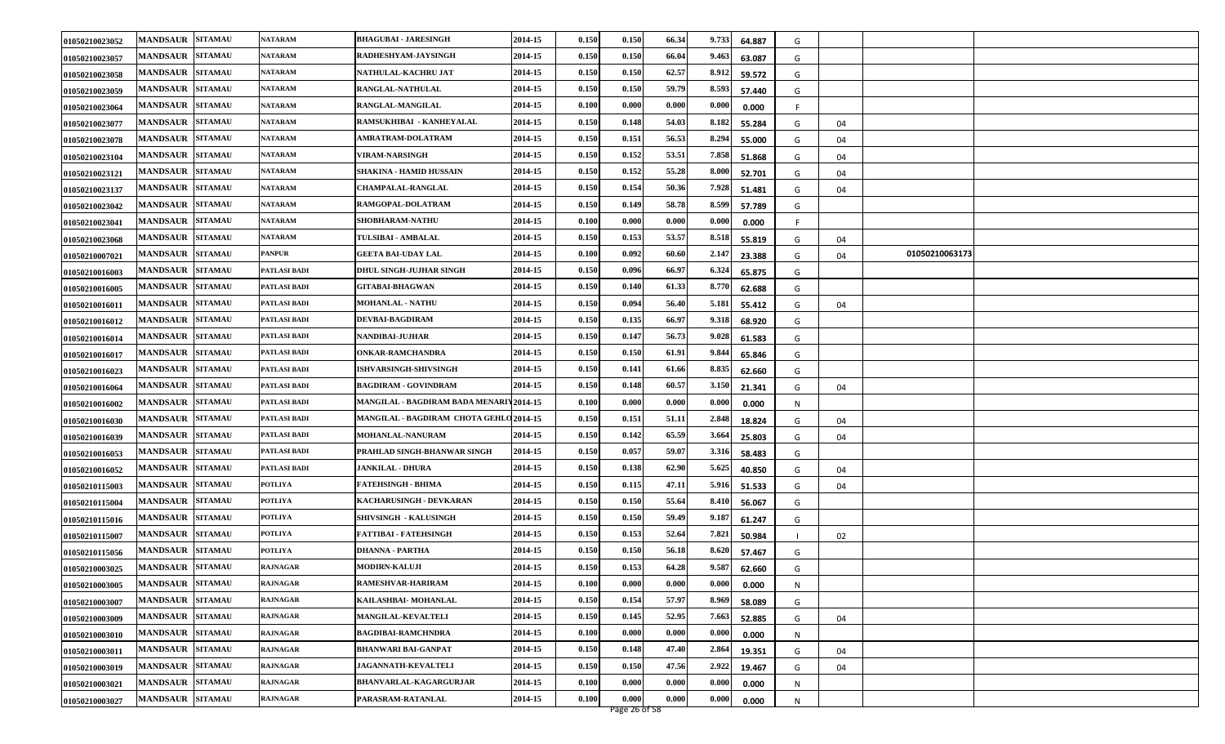| 01050210023052 | MANDSAUR SITAMAU        |                | <b>NATARAM</b>  | <b>BHAGUBAI - JARESINGH</b>             | 2014-15 | 0.150 | 0.150 | 66.34 | 9.733 | 64.887 | G       |                |  |
|----------------|-------------------------|----------------|-----------------|-----------------------------------------|---------|-------|-------|-------|-------|--------|---------|----------------|--|
| 01050210023057 | <b>MANDSAUR SITAMAU</b> |                | <b>NATARAM</b>  | RADHESHYAM-JAYSINGH                     | 2014-15 | 0.150 | 0.150 | 66.04 | 9.463 | 63.087 | G       |                |  |
| 01050210023058 | <b>MANDSAUR SITAMAU</b> |                | <b>NATARAM</b>  | NATHULAL-KACHRU JAT                     | 2014-15 | 0.150 | 0.150 | 62.57 | 8.912 | 59.572 | G       |                |  |
| 01050210023059 | MANDSAUR SITAMAU        |                | <b>NATARAM</b>  | RANGLAL-NATHULAL                        | 2014-15 | 0.150 | 0.150 | 59.79 | 8.593 | 57.440 | G       |                |  |
| 01050210023064 | <b>MANDSAUR</b>         | <b>SITAMAU</b> | <b>NATARAM</b>  | RANGLAL-MANGILAL                        | 2014-15 | 0.100 | 0.000 | 0.000 | 0.000 | 0.000  | F.      |                |  |
| 01050210023077 | <b>MANDSAUR</b>         | <b>SITAMAU</b> | <b>NATARAM</b>  | RAMSUKHIBAI - KANHEYALAL                | 2014-15 | 0.150 | 0.148 | 54.03 | 8.182 | 55.284 | G<br>04 |                |  |
| 01050210023078 | <b>MANDSAUR SITAMAU</b> |                | <b>NATARAM</b>  | <b>AMRATRAM-DOLATRAM</b>                | 2014-15 | 0.150 | 0.151 | 56.53 | 8.294 | 55.000 | G<br>04 |                |  |
| 01050210023104 | <b>MANDSAUR</b>         | <b>SITAMAU</b> | NATARAM         | <b>VIRAM-NARSINGH</b>                   | 2014-15 | 0.150 | 0.152 | 53.51 | 7.858 | 51.868 | G<br>04 |                |  |
| 01050210023121 | <b>MANDSAUR</b>         | <b>SITAMAU</b> | <b>NATARAM</b>  | <b>SHAKINA - HAMID HUSSAIN</b>          | 2014-15 | 0.150 | 0.152 | 55.28 | 8.000 | 52.701 | G<br>04 |                |  |
| 01050210023137 | <b>MANDSAUR</b>         | <b>SITAMAU</b> | <b>NATARAM</b>  | <b>CHAMPALAL-RANGLAL</b>                | 2014-15 | 0.150 | 0.154 | 50.36 | 7.928 | 51.481 | 04<br>G |                |  |
| 01050210023042 | <b>MANDSAUR SITAMAU</b> |                | <b>NATARAM</b>  | RAMGOPAL-DOLATRAM                       | 2014-15 | 0.150 | 0.149 | 58.78 | 8.599 | 57.789 | G       |                |  |
| 01050210023041 | <b>MANDSAUR SITAMAU</b> |                | NATARAM         | SHOBHARAM-NATHU                         | 2014-15 | 0.100 | 0.000 | 0.000 | 0.000 | 0.000  | F.      |                |  |
| 01050210023068 | <b>MANDSAUR</b>         | <b>SITAMAU</b> | <b>NATARAM</b>  | <b>TULSIBAI - AMBALAL</b>               | 2014-15 | 0.150 | 0.153 | 53.57 | 8.518 | 55.819 | G<br>04 |                |  |
| 01050210007021 | <b>MANDSAUR</b>         | <b>SITAMAU</b> | <b>PANPUR</b>   | <b>GEETA BAI-UDAY LAL</b>               | 2014-15 | 0.100 | 0.092 | 60.60 | 2.147 | 23.388 | G<br>04 | 01050210063173 |  |
| 01050210016003 | <b>MANDSAUR</b>         | <b>SITAMAU</b> | PATLASI BADI    | <b>DHUL SINGH-JUJHAR SINGH</b>          | 2014-15 | 0.150 | 0.096 | 66.97 | 6.324 | 65.875 | G       |                |  |
| 01050210016005 | <b>MANDSAUR</b>         | <b>SITAMAU</b> | PATLASI BADI    | <b>GITABAI-BHAGWAN</b>                  | 2014-15 | 0.150 | 0.140 | 61.33 | 8.770 | 62.688 | G       |                |  |
| 01050210016011 | <b>MANDSAUR</b>         | <b>SITAMAU</b> | PATLASI BADI    | <b>MOHANLAL - NATHU</b>                 | 2014-15 | 0.150 | 0.094 | 56.40 | 5.181 | 55.412 | G<br>04 |                |  |
| 01050210016012 | <b>MANDSAUR</b>         | <b>SITAMAU</b> | PATLASI BADI    | DEVBAI-BAGDIRAM                         | 2014-15 | 0.150 | 0.135 | 66.97 | 9.318 | 68.920 | G       |                |  |
| 01050210016014 | <b>MANDSAUR SITAMAU</b> |                | PATLASI BADI    | NANDIBAI-JUJHAR                         | 2014-15 | 0.150 | 0.147 | 56.73 | 9.028 | 61.583 | G       |                |  |
| 01050210016017 | MANDSAUR SITAMAU        |                | PATLASI BADI    | ONKAR-RAMCHANDRA                        | 2014-15 | 0.150 | 0.150 | 61.91 | 9.844 | 65.846 | G       |                |  |
| 01050210016023 | <b>MANDSAUR</b>         | <b>SITAMAU</b> | PATLASI BADI    | <b>ISHVARSINGH-SHIVSINGH</b>            | 2014-15 | 0.150 | 0.141 | 61.66 | 8.835 | 62.660 | G       |                |  |
| 01050210016064 | MANDSAUR SITAMAU        |                | PATLASI BADI    | <b>BAGDIRAM - GOVINDRAM</b>             | 2014-15 | 0.150 | 0.148 | 60.57 | 3.150 | 21.341 | G<br>04 |                |  |
| 01050210016002 | <b>MANDSAUR SITAMAU</b> |                | PATLASI BADI    | MANGILAL - BAGDIRAM BADA MENARIY2014-15 |         | 0.100 | 0.000 | 0.000 | 0.000 | 0.000  | N       |                |  |
| 01050210016030 | <b>MANDSAUR</b>         | <b>SITAMAU</b> | PATLASI BADI    | MANGILAL - BAGDIRAM CHOTA GEHLO 2014-15 |         | 0.150 | 0.151 | 51.11 | 2.848 | 18.824 | G<br>04 |                |  |
| 01050210016039 | MANDSAUR SITAMAU        |                | PATLASI BADI    | MOHANLAL-NANURAM                        | 2014-15 | 0.150 | 0.142 | 65.59 | 3.664 | 25.803 | G<br>04 |                |  |
| 01050210016053 | <b>MANDSAUR SITAMAU</b> |                | PATLASI BADI    | PRAHLAD SINGH-BHANWAR SINGH             | 2014-15 | 0.150 | 0.057 | 59.07 | 3.316 | 58.483 | G       |                |  |
| 01050210016052 | MANDSAUR SITAMAU        |                | PATLASI BADI    | <b>JANKILAL - DHURA</b>                 | 2014-15 | 0.150 | 0.138 | 62.90 | 5.625 | 40.850 | G<br>04 |                |  |
| 01050210115003 | <b>MANDSAUR</b>         | <b>SITAMAU</b> | <b>POTLIYA</b>  | FATEHSINGH - BHIMA                      | 2014-15 | 0.150 | 0.115 | 47.11 | 5.916 | 51.533 | G<br>04 |                |  |
| 01050210115004 | <b>MANDSAUR SITAMAU</b> |                | <b>POTLIYA</b>  | KACHARUSINGH - DEVKARAN                 | 2014-15 | 0.150 | 0.150 | 55.64 | 8.410 | 56.067 | G       |                |  |
| 01050210115016 | <b>MANDSAUR SITAMAU</b> |                | <b>POTLIYA</b>  | <b>SHIVSINGH - KALUSINGH</b>            | 2014-15 | 0.150 | 0.150 | 59.49 | 9.187 | 61.247 | G       |                |  |
| 01050210115007 | <b>MANDSAUR</b>         | <b>SITAMAU</b> | <b>POTLIYA</b>  | FATTIBAI - FATEHSINGH                   | 2014-15 | 0.150 | 0.153 | 52.64 | 7.821 | 50.984 | 02      |                |  |
| 01050210115056 | <b>MANDSAUR</b>         | <b>SITAMAU</b> | <b>POTLIYA</b>  | <b>DHANNA - PARTHA</b>                  | 2014-15 | 0.150 | 0.150 | 56.18 | 8.620 | 57.467 | G       |                |  |
| 01050210003025 | MANDSAUR SITAMAU        |                | <b>RAJNAGAR</b> | <b>MODIRN-KALUJI</b>                    | 2014-15 | 0.150 | 0.153 | 64.28 | 9.587 | 62.660 | G       |                |  |
| 01050210003005 | MANDSAUR SITAMAU        |                | <b>RAJNAGAR</b> | <b>RAMESHVAR-HARIRAM</b>                | 2014-15 | 0.100 | 0.000 | 0.000 | 0.000 | 0.000  | N       |                |  |
| 01050210003007 | <b>MANDSAUR SITAMAU</b> |                | RAJNAGAR        | KAILASHBAI- MOHANLAL                    | 2014-15 | 0.150 | 0.154 | 57.97 | 8.969 | 58.089 | G       |                |  |
| 01050210003009 | <b>MANDSAUR</b>         | <b>SITAMAU</b> | <b>RAJNAGAR</b> | MANGILAL-KEVALTELI                      | 2014-15 | 0.150 | 0.145 | 52.95 | 7.663 | 52.885 | G<br>04 |                |  |
| 01050210003010 | <b>MANDSAUR</b>         | <b>SITAMAU</b> | <b>RAJNAGAR</b> | <b>BAGDIBAI-RAMCHNDRA</b>               | 2014-15 | 0.100 | 0.000 | 0.000 | 0.000 | 0.000  | N       |                |  |
| 01050210003011 | <b>MANDSAUR SITAMAU</b> |                | <b>RAJNAGAR</b> | <b>BHANWARI BAI-GANPAT</b>              | 2014-15 | 0.150 | 0.148 | 47.40 | 2.864 | 19.351 | G<br>04 |                |  |
| 01050210003019 | <b>MANDSAUR SITAMAU</b> |                | <b>RAJNAGAR</b> | <b>JAGANNATH-KEVALTELI</b>              | 2014-15 | 0.150 | 0.150 | 47.56 | 2.922 | 19.467 | G<br>04 |                |  |
| 01050210003021 | <b>MANDSAUR</b>         | <b>SITAMAU</b> | <b>RAJNAGAR</b> | BHANVARLAL-KAGARGURJAR                  | 2014-15 | 0.100 | 0.000 | 0.000 | 0.000 | 0.000  | N       |                |  |
| 01050210003027 | MANDSAUR SITAMAU        |                | <b>RAJNAGAR</b> | PARASRAM-RATANLAL                       | 2014-15 | 0.100 | 0.000 | 0.000 | 0.000 | 0.000  | N       |                |  |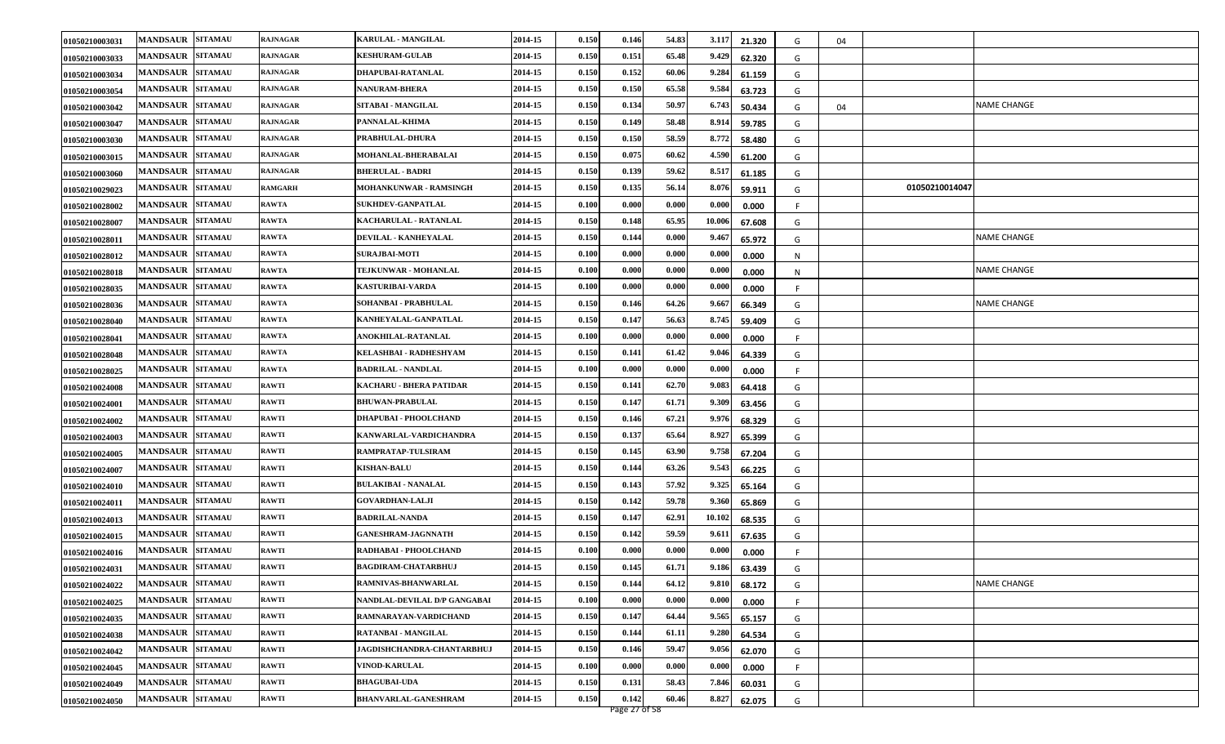| 01050210003031 | <b>MANDSAUR</b><br><b>SITAMAU</b> | <b>RAJNAGAR</b> | KARULAL - MANGILAL           | 2014-15 | 0.150 | 0.146         | 54.83 | 3.117  | 21.320 | G | 04 |                |                    |
|----------------|-----------------------------------|-----------------|------------------------------|---------|-------|---------------|-------|--------|--------|---|----|----------------|--------------------|
| 01050210003033 | <b>SITAMAU</b><br><b>MANDSAUR</b> | <b>RAJNAGAR</b> | <b>KESHURAM-GULAB</b>        | 2014-15 | 0.150 | 0.151         | 65.48 | 9.429  | 62.320 | G |    |                |                    |
| 01050210003034 | <b>MANDSAUR</b><br><b>SITAMAU</b> | <b>RAJNAGAR</b> | DHAPUBAI-RATANLAL            | 2014-15 | 0.150 | 0.152         | 60.06 | 9.284  | 61.159 | G |    |                |                    |
| 01050210003054 | <b>MANDSAUR SITAMAU</b>           | <b>RAJNAGAR</b> | <b>NANURAM-BHERA</b>         | 2014-15 | 0.150 | 0.150         | 65.58 | 9.584  | 63.723 | G |    |                |                    |
| 01050210003042 | <b>SITAMAU</b><br><b>MANDSAUR</b> | <b>RAJNAGAR</b> | SITABAI - MANGILAL           | 2014-15 | 0.150 | 0.134         | 50.97 | 6.743  | 50.434 | G | 04 |                | NAME CHANGE        |
| 01050210003047 | <b>MANDSAUR</b><br><b>SITAMAU</b> | <b>RAJNAGAR</b> | PANNALAL-KHIMA               | 2014-15 | 0.150 | 0.149         | 58.48 | 8.914  | 59.785 | G |    |                |                    |
| 01050210003030 | <b>MANDSAUR</b><br><b>SITAMAU</b> | <b>RAJNAGAR</b> | PRABHULAL-DHURA              | 2014-15 | 0.150 | 0.150         | 58.59 | 8.772  | 58.480 | G |    |                |                    |
| 01050210003015 | <b>MANDSAUR</b><br><b>SITAMAU</b> | <b>RAJNAGAR</b> | MOHANLAL-BHERABALAI          | 2014-15 | 0.150 | 0.075         | 60.62 | 4.590  | 61.200 | G |    |                |                    |
| 01050210003060 | <b>SITAMAU</b><br><b>MANDSAUR</b> | <b>RAJNAGAR</b> | <b>BHERULAL - BADRI</b>      | 2014-15 | 0.150 | 0.139         | 59.62 | 8.517  | 61.185 | G |    |                |                    |
| 01050210029023 | <b>MANDSAUR</b><br><b>SITAMAU</b> | <b>RAMGARH</b>  | MOHANKUNWAR - RAMSINGH       | 2014-15 | 0.150 | 0.135         | 56.14 | 8.07   | 59.911 | G |    | 01050210014047 |                    |
| 01050210028002 | <b>MANDSAUR</b><br><b>SITAMAU</b> | <b>RAWTA</b>    | <b>SUKHDEV-GANPATLAL</b>     | 2014-15 | 0.100 | 0.000         | 0.000 | 0.000  | 0.000  |   |    |                |                    |
| 01050210028007 | <b>MANDSAUR</b><br><b>SITAMAU</b> | <b>RAWTA</b>    | <b>KACHARULAL - RATANLAL</b> | 2014-15 | 0.150 | 0.148         | 65.95 | 10.006 | 67.608 | G |    |                |                    |
| 01050210028011 | <b>MANDSAUR</b><br><b>SITAMAU</b> | <b>RAWTA</b>    | DEVILAL - KANHEYALAL         | 2014-15 | 0.150 | 0.144         | 0.000 | 9.467  | 65.972 | G |    |                | NAME CHANGE        |
| 01050210028012 | <b>SITAMAU</b><br><b>MANDSAUR</b> | <b>RAWTA</b>    | <b>SURAJBAI-MOTI</b>         | 2014-15 | 0.100 | 0.000         | 0.000 | 0.000  | 0.000  | N |    |                |                    |
| 01050210028018 | <b>SITAMAU</b><br><b>MANDSAUR</b> | <b>RAWTA</b>    | TEJKUNWAR - MOHANLAL         | 2014-15 | 0.100 | 0.000         | 0.000 | 0.000  | 0.000  | N |    |                | <b>NAME CHANGE</b> |
| 01050210028035 | <b>SITAMAU</b><br><b>MANDSAUR</b> | <b>RAWTA</b>    | <b>KASTURIBAI-VARDA</b>      | 2014-15 | 0.100 | 0.000         | 0.000 | 0.000  | 0.000  |   |    |                |                    |
| 01050210028036 | <b>SITAMAU</b><br><b>MANDSAUR</b> | <b>RAWTA</b>    | SOHANBAI - PRABHULAL         | 2014-15 | 0.150 | 0.146         | 64.26 | 9.66   | 66.349 | G |    |                | <b>NAME CHANGE</b> |
| 01050210028040 | <b>MANDSAUR</b><br><b>SITAMAU</b> | <b>RAWTA</b>    | KANHEYALAL-GANPATLAL         | 2014-15 | 0.150 | 0.147         | 56.63 | 8.745  | 59.409 | G |    |                |                    |
| 01050210028041 | <b>MANDSAUR</b><br><b>SITAMAU</b> | <b>RAWTA</b>    | ANOKHILAL-RATANLAL           | 2014-15 | 0.100 | 0.000         | 0.000 | 0.000  | 0.000  |   |    |                |                    |
| 01050210028048 | <b>SITAMAU</b><br><b>MANDSAUR</b> | <b>RAWTA</b>    | KELASHBAI - RADHESHYAM       | 2014-15 | 0.150 | 0.141         | 61.42 | 9.046  | 64.339 | G |    |                |                    |
| 01050210028025 | <b>MANDSAUR</b><br><b>SITAMAU</b> | <b>RAWTA</b>    | <b>BADRILAL - NANDLAL</b>    | 2014-15 | 0.100 | 0.000         | 0.000 | 0.000  | 0.000  |   |    |                |                    |
| 01050210024008 | <b>SITAMAU</b><br><b>MANDSAUR</b> | <b>RAWTI</b>    | KACHARU - BHERA PATIDAR      | 2014-15 | 0.150 | 0.141         | 62.70 | 9.083  | 64.418 | G |    |                |                    |
| 01050210024001 | <b>MANDSAUR</b><br><b>SITAMAU</b> | <b>RAWTI</b>    | <b>BHUWAN-PRABULAL</b>       | 2014-15 | 0.150 | 0.147         | 61.71 | 9.309  | 63.456 | G |    |                |                    |
| 01050210024002 | <b>MANDSAUR</b><br><b>SITAMAU</b> | <b>RAWTI</b>    | <b>DHAPUBAI - PHOOLCHAND</b> | 2014-15 | 0.150 | 0.146         | 67.21 | 9.976  | 68.329 | G |    |                |                    |
| 01050210024003 | <b>SITAMAU</b><br><b>MANDSAUR</b> | <b>RAWTI</b>    | KANWARLAL-VARDICHANDRA       | 2014-15 | 0.150 | 0.137         | 65.64 | 8.927  | 65.399 | G |    |                |                    |
| 01050210024005 | <b>MANDSAUR</b><br><b>SITAMAU</b> | <b>RAWTI</b>    | RAMPRATAP-TULSIRAM           | 2014-15 | 0.150 | 0.145         | 63.90 | 9.758  | 67.204 | G |    |                |                    |
| 01050210024007 | <b>MANDSAUR SITAMAU</b>           | <b>RAWTI</b>    | <b>KISHAN-BALU</b>           | 2014-15 | 0.150 | 0.144         | 63.26 | 9.543  | 66.225 | G |    |                |                    |
| 01050210024010 | <b>SITAMAU</b><br><b>MANDSAUR</b> | <b>RAWTI</b>    | <b>BULAKIBAI - NANALAL</b>   | 2014-15 | 0.150 | 0.143         | 57.92 | 9.325  | 65.164 | G |    |                |                    |
| 01050210024011 | <b>MANDSAUR</b><br><b>SITAMAU</b> | <b>RAWTI</b>    | <b>GOVARDHAN-LALJI</b>       | 2014-15 | 0.150 | 0.142         | 59.78 | 9.360  | 65.869 | G |    |                |                    |
| 01050210024013 | <b>MANDSAUR</b><br><b>SITAMAU</b> | <b>RAWTI</b>    | <b>BADRILAL-NANDA</b>        | 2014-15 | 0.150 | 0.147         | 62.91 | 10.102 | 68.535 | G |    |                |                    |
| 01050210024015 | <b>SITAMAU</b><br><b>MANDSAUR</b> | <b>RAWTI</b>    | <b>GANESHRAM-JAGNNATH</b>    | 2014-15 | 0.150 | 0.142         | 59.59 | 9.611  | 67.635 | G |    |                |                    |
| 01050210024016 | <b>SITAMAU</b><br><b>MANDSAUR</b> | <b>RAWTI</b>    | RADHABAI - PHOOLCHAND        | 2014-15 | 0.100 | 0.000         | 0.000 | 0.000  | 0.000  |   |    |                |                    |
| 01050210024031 | <b>SITAMAU</b><br><b>MANDSAUR</b> | <b>RAWTI</b>    | <b>BAGDIRAM-CHATARBHUJ</b>   | 2014-15 | 0.150 | 0.145         | 61.71 | 9.186  | 63.439 | G |    |                |                    |
| 01050210024022 | MANDSAUR SITAMAU                  | <b>RAWTI</b>    | RAMNIVAS-BHANWARLAL          | 2014-15 | 0.150 | 0.144         | 64.12 | 9.810  | 68.172 | G |    |                | <b>NAME CHANGE</b> |
| 01050210024025 | <b>MANDSAUR SITAMAU</b>           | <b>RAWTI</b>    | NANDLAL-DEVILAL D/P GANGABAI | 2014-15 | 0.100 | 0.000         | 0.000 | 0.000  | 0.000  |   |    |                |                    |
| 01050210024035 | <b>MANDSAUR SITAMAU</b>           | <b>RAWTI</b>    | RAMNARAYAN-VARDICHAND        | 2014-15 | 0.150 | 0.147         | 64.44 | 9.565  | 65.157 | G |    |                |                    |
| 01050210024038 | MANDSAUR SITAMAU                  | <b>RAWTI</b>    | RATANBAI - MANGILAL          | 2014-15 | 0.150 | 0.144         | 61.11 | 9.280  | 64.534 | G |    |                |                    |
| 01050210024042 | MANDSAUR SITAMAU                  | <b>RAWTI</b>    | JAGDISHCHANDRA-CHANTARBHUJ   | 2014-15 | 0.150 | 0.146         | 59.47 | 9.056  | 62.070 | G |    |                |                    |
| 01050210024045 | <b>MANDSAUR SITAMAU</b>           | <b>RAWTI</b>    | <b>VINOD-KARULAL</b>         | 2014-15 | 0.100 | 0.000         | 0.000 | 0.000  | 0.000  |   |    |                |                    |
| 01050210024049 | <b>MANDSAUR</b><br><b>SITAMAU</b> | <b>RAWTI</b>    | <b>BHAGUBAI-UDA</b>          | 2014-15 | 0.150 | 0.131         | 58.43 | 7.846  | 60.031 | G |    |                |                    |
| 01050210024050 | <b>MANDSAUR SITAMAU</b>           | <b>RAWTI</b>    | <b>BHANVARLAL-GANESHRAM</b>  | 2014-15 | 0.150 | 0.142         | 60.46 | 8.827  | 62.075 | G |    |                |                    |
|                |                                   |                 |                              |         |       | Page 27 of 58 |       |        |        |   |    |                |                    |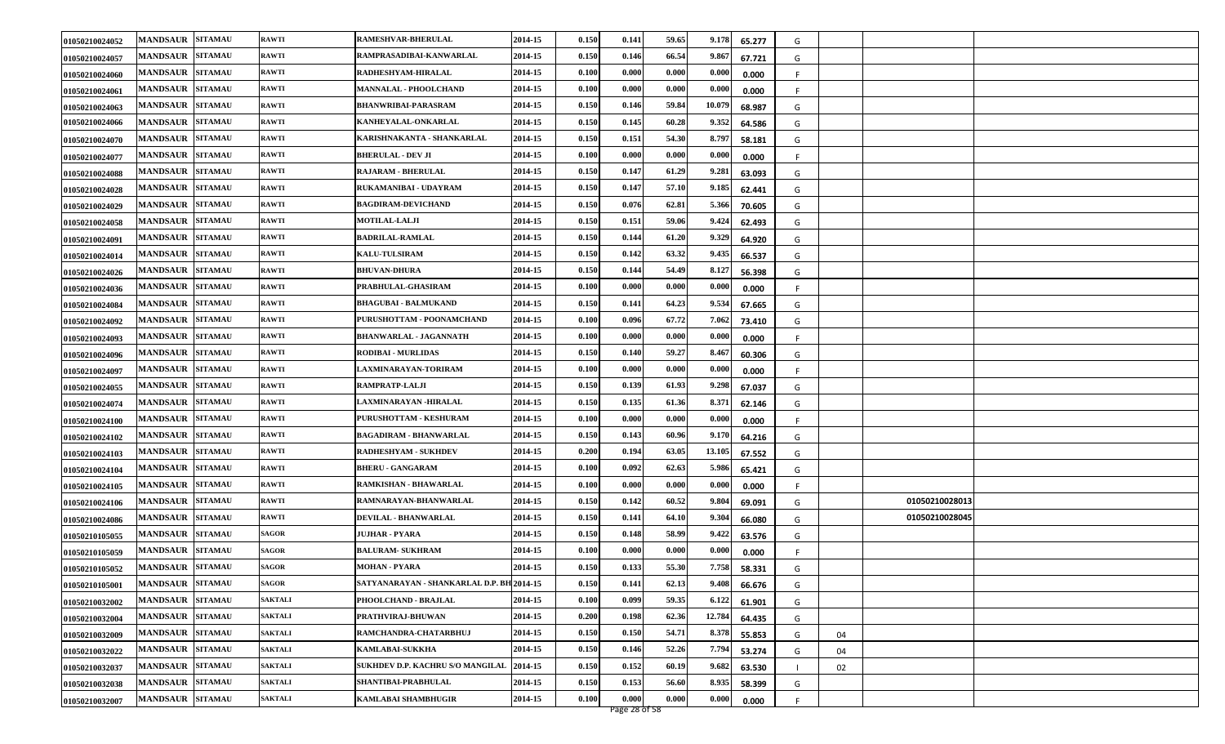| 01050210024052 | MANDSAUR SITAMAU        |                | <b>RAWTI</b>   | <b>RAMESHVAR-BHERULAL</b>                 | 2014-15 | 0.150 | 0.141 | 59.65 | 9.178<br>65.277  | G       |                |  |
|----------------|-------------------------|----------------|----------------|-------------------------------------------|---------|-------|-------|-------|------------------|---------|----------------|--|
| 01050210024057 | <b>MANDSAUR</b>         | <b>SITAMAU</b> | <b>RAWTI</b>   | RAMPRASADIBAI-KANWARLAL                   | 2014-15 | 0.150 | 0.146 | 66.54 | 9.867<br>67.721  | G       |                |  |
| 01050210024060 | <b>MANDSAUR SITAMAU</b> |                | <b>RAWTI</b>   | RADHESHYAM-HIRALAL                        | 2014-15 | 0.100 | 0.000 | 0.000 | 0.000<br>0.000   | F.      |                |  |
| 01050210024061 | MANDSAUR SITAMAU        |                | <b>RAWTI</b>   | MANNALAL - PHOOLCHAND                     | 2014-15 | 0.100 | 0.000 | 0.000 | 0.000<br>0.000   | F       |                |  |
| 01050210024063 | <b>MANDSAUR</b>         | <b>SITAMAU</b> | <b>RAWTI</b>   | <b>BHANWRIBAI-PARASRAM</b>                | 2014-15 | 0.150 | 0.146 | 59.84 | 10.079<br>68.987 | G       |                |  |
| 01050210024066 | <b>MANDSAUR</b>         | <b>SITAMAU</b> | <b>RAWTI</b>   | KANHEYALAL-ONKARLAL                       | 2014-15 | 0.150 | 0.145 | 60.28 | 9.352<br>64.586  | G       |                |  |
| 01050210024070 | <b>MANDSAUR SITAMAU</b> |                | <b>RAWTI</b>   | KARISHNAKANTA - SHANKARLAL                | 2014-15 | 0.150 | 0.151 | 54.30 | 8.797<br>58.181  | G       |                |  |
| 01050210024077 | <b>MANDSAUR</b>         | <b>SITAMAU</b> | <b>RAWTI</b>   | <b>BHERULAL - DEV JI</b>                  | 2014-15 | 0.100 | 0.000 | 0.000 | 0.000<br>0.000   | F       |                |  |
| 01050210024088 | <b>MANDSAUR</b>         | <b>SITAMAU</b> | <b>RAWTI</b>   | <b>RAJARAM - BHERULAL</b>                 | 2014-15 | 0.150 | 0.147 | 61.29 | 9.281<br>63.093  | G       |                |  |
| 01050210024028 | <b>MANDSAUR</b>         | <b>SITAMAU</b> | <b>RAWTI</b>   | RUKAMANIBAI - UDAYRAM                     | 2014-15 | 0.150 | 0.147 | 57.10 | 9.185<br>62.441  | G       |                |  |
| 01050210024029 | <b>MANDSAUR SITAMAU</b> |                | <b>RAWTI</b>   | <b>BAGDIRAM-DEVICHAND</b>                 | 2014-15 | 0.150 | 0.076 | 62.81 | 5.366<br>70.605  | G       |                |  |
| 01050210024058 | <b>MANDSAUR</b>         | <b>SITAMAU</b> | <b>RAWTI</b>   | <b>MOTILAL-LALJI</b>                      | 2014-15 | 0.150 | 0.151 | 59.06 | 9.424<br>62.493  | G       |                |  |
| 01050210024091 | <b>MANDSAUR</b>         | <b>SITAMAU</b> | <b>RAWTI</b>   | <b>BADRILAL-RAMLAL</b>                    | 2014-15 | 0.150 | 0.144 | 61.20 | 9.329<br>64.920  | G       |                |  |
| 01050210024014 | <b>MANDSAUR</b>         | <b>SITAMAU</b> | <b>RAWTI</b>   | <b>KALU-TULSIRAM</b>                      | 2014-15 | 0.150 | 0.142 | 63.32 | 9.435<br>66.537  | G       |                |  |
| 01050210024026 | <b>MANDSAUR</b>         | <b>SITAMAU</b> | <b>RAWTI</b>   | <b>BHUVAN-DHURA</b>                       | 2014-15 | 0.150 | 0.144 | 54.49 | 8.127<br>56.398  | G       |                |  |
| 01050210024036 | <b>MANDSAUR</b>         | <b>SITAMAU</b> | <b>RAWTI</b>   | PRABHULAL-GHASIRAM                        | 2014-15 | 0.100 | 0.000 | 0.000 | 0.000<br>0.000   | -F      |                |  |
| 01050210024084 | <b>MANDSAUR</b>         | <b>SITAMAU</b> | <b>RAWTI</b>   | <b>BHAGUBAI - BALMUKAND</b>               | 2014-15 | 0.150 | 0.141 | 64.23 | 9.534<br>67.665  | G       |                |  |
| 01050210024092 | <b>MANDSAUR</b>         | <b>SITAMAU</b> | <b>RAWTI</b>   | PURUSHOTTAM - POONAMCHAND                 | 2014-15 | 0.100 | 0.096 | 67.72 | 7.062<br>73.410  | G       |                |  |
| 01050210024093 | <b>MANDSAUR SITAMAU</b> |                | <b>RAWTI</b>   | <b>BHANWARLAL - JAGANNATH</b>             | 2014-15 | 0.100 | 0.000 | 0.000 | 0.000<br>0.000   |         |                |  |
| 01050210024096 | <b>MANDSAUR</b>         | <b>SITAMAU</b> | <b>RAWTI</b>   | <b>RODIBAI - MURLIDAS</b>                 | 2014-15 | 0.150 | 0.140 | 59.27 | 8.467<br>60.306  | G       |                |  |
| 01050210024097 | <b>MANDSAUR</b>         | <b>SITAMAU</b> | <b>RAWTI</b>   | LAXMINARAYAN-TORIRAM                      | 2014-15 | 0.100 | 0.000 | 0.000 | 0.000<br>0.000   |         |                |  |
| 01050210024055 | <b>MANDSAUR SITAMAU</b> |                | <b>RAWTI</b>   | <b>RAMPRATP-LALJI</b>                     | 2014-15 | 0.150 | 0.139 | 61.93 | 9.298<br>67.037  | G       |                |  |
| 01050210024074 | <b>MANDSAUR SITAMAU</b> |                | <b>RAWTI</b>   | LAXMINARAYAN -HIRALAL                     | 2014-15 | 0.150 | 0.135 | 61.36 | 8.371<br>62.146  | G       |                |  |
| 01050210024100 | <b>MANDSAUR</b>         | <b>SITAMAU</b> | <b>RAWTI</b>   | PURUSHOTTAM - KESHURAM                    | 2014-15 | 0.100 | 0.000 | 0.000 | 0.000<br>0.000   | F.      |                |  |
| 01050210024102 | MANDSAUR SITAMAU        |                | <b>RAWTI</b>   | BAGADIRAM - BHANWARLAL                    | 2014-15 | 0.150 | 0.143 | 60.96 | 9.170<br>64.216  | G       |                |  |
| 01050210024103 | <b>MANDSAUR SITAMAU</b> |                | <b>RAWTI</b>   | RADHESHYAM - SUKHDEV                      | 2014-15 | 0.200 | 0.194 | 63.05 | 13.105<br>67.552 | G       |                |  |
| 01050210024104 | MANDSAUR SITAMAU        |                | <b>RAWTI</b>   | <b>BHERU - GANGARAM</b>                   | 2014-15 | 0.100 | 0.092 | 62.63 | 5.986<br>65.421  | G       |                |  |
| 01050210024105 | <b>MANDSAUR</b>         | <b>SITAMAU</b> | <b>RAWTI</b>   | RAMKISHAN - BHAWARLAL                     | 2014-15 | 0.100 | 0.000 | 0.000 | 0.000<br>0.000   | F       |                |  |
| 01050210024106 | <b>MANDSAUR</b>         | <b>SITAMAU</b> | <b>RAWTI</b>   | RAMNARAYAN-BHANWARLAL                     | 2014-15 | 0.150 | 0.142 | 60.52 | 9.804<br>69.091  | G       | 01050210028013 |  |
| 01050210024086 | <b>MANDSAUR SITAMAU</b> |                | <b>RAWTI</b>   | DEVILAL - BHANWARLAL                      | 2014-15 | 0.150 | 0.141 | 64.10 | 9.304<br>66.080  | G       | 01050210028045 |  |
| 01050210105055 | <b>MANDSAUR</b>         | <b>SITAMAU</b> | SAGOR          | JUJHAR - PYARA                            | 2014-15 | 0.150 | 0.148 | 58.99 | 9.422<br>63.576  | G       |                |  |
| 01050210105059 | <b>MANDSAUR</b>         | <b>SITAMAU</b> | <b>SAGOR</b>   | <b>BALURAM- SUKHRAM</b>                   | 2014-15 | 0.100 | 0.000 | 0.000 | 0.000<br>0.000   | F       |                |  |
| 01050210105052 | <b>MANDSAUR SITAMAU</b> |                | SAGOR          | <b>MOHAN - PYARA</b>                      | 2014-15 | 0.150 | 0.133 | 55.30 | 7.758<br>58.331  | G       |                |  |
| 01050210105001 | MANDSAUR SITAMAU        |                | <b>SAGOR</b>   | SATYANARAYAN - SHANKARLAL D.P. BH 2014-15 |         | 0.150 | 0.141 | 62.13 | 9.408<br>66.676  | G       |                |  |
| 01050210032002 | <b>MANDSAUR SITAMAU</b> |                | <b>SAKTALI</b> | PHOOLCHAND - BRAJLAL                      | 2014-15 | 0.100 | 0.099 | 59.35 | 6.122<br>61.901  | G       |                |  |
| 01050210032004 | MANDSAUR SITAMAU        |                | <b>SAKTALI</b> | PRATHVIRAJ-BHUWAN                         | 2014-15 | 0.200 | 0.198 | 62.36 | 12.784<br>64.435 | G       |                |  |
| 01050210032009 | <b>MANDSAUR SITAMAU</b> |                | <b>SAKTALI</b> | RAMCHANDRA-CHATARBHUJ                     | 2014-15 | 0.150 | 0.150 | 54.71 | 8.378<br>55.853  | G<br>04 |                |  |
| 01050210032022 | <b>MANDSAUR SITAMAU</b> |                | <b>SAKTALI</b> | <b>KAMLABAI-SUKKHA</b>                    | 2014-15 | 0.150 | 0.146 | 52.26 | 7.794<br>53.274  | G<br>04 |                |  |
| 01050210032037 | <b>MANDSAUR SITAMAU</b> |                | <b>SAKTALI</b> | SUKHDEV D.P. KACHRU S/O MANGILAL          | 2014-15 | 0.150 | 0.152 | 60.19 | 9.682<br>63.530  | 02      |                |  |
| 01050210032038 | <b>MANDSAUR SITAMAU</b> |                | <b>SAKTALI</b> | SHANTIBAI-PRABHULAL                       | 2014-15 | 0.150 | 0.153 | 56.60 | 8.935<br>58.399  | G       |                |  |
| 01050210032007 | MANDSAUR SITAMAU        |                | <b>SAKTALI</b> | <b>KAMLABAI SHAMBHUGIR</b>                | 2014-15 | 0.100 | 0.000 | 0.000 | 0.000<br>0.000   | F.      |                |  |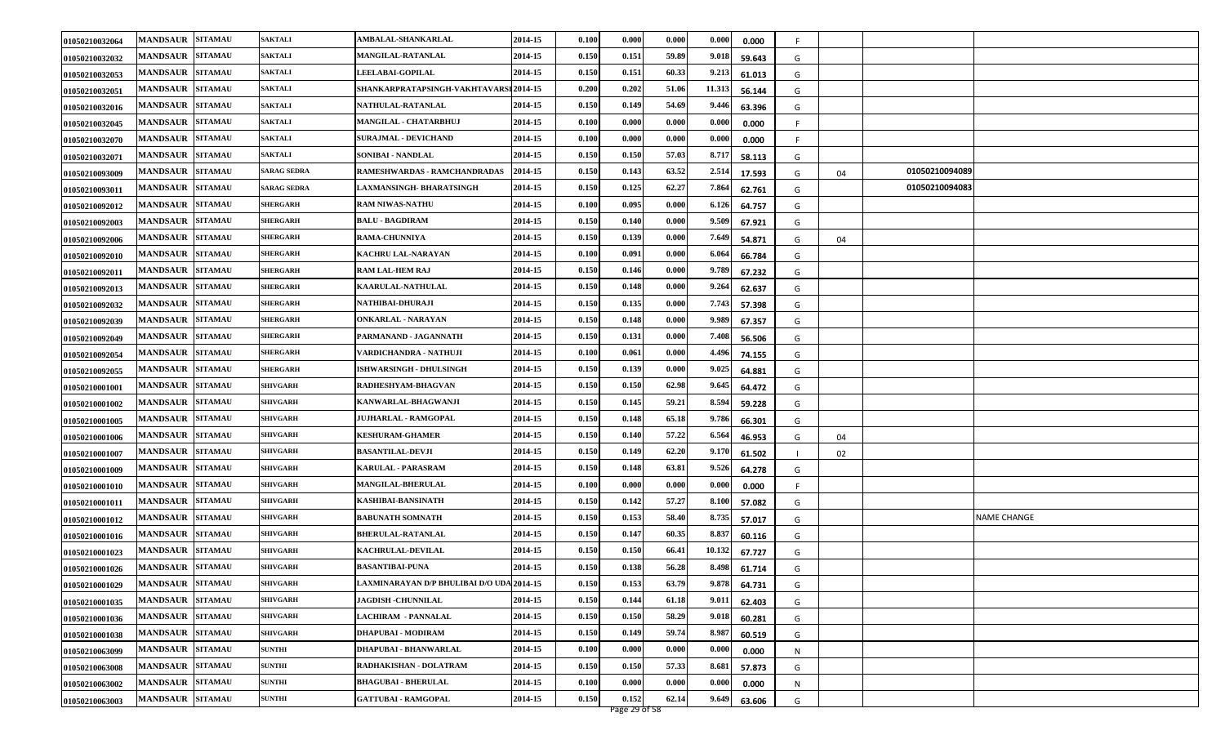| 01050210032064 | <b>MANDSAUR</b><br><b>SITAMAU</b> | <b>SAKTALI</b>     | AMBALAL-SHANKARLAL                        | 2014-15 | 0.100 | 0.000 | 0.000 | 0.000  | 0.000  | F. |    |                |                    |
|----------------|-----------------------------------|--------------------|-------------------------------------------|---------|-------|-------|-------|--------|--------|----|----|----------------|--------------------|
| 01050210032032 | <b>SITAMAU</b><br><b>MANDSAUR</b> | <b>SAKTALI</b>     | <b>MANGILAL-RATANLAL</b>                  | 2014-15 | 0.150 | 0.151 | 59.89 | 9.018  | 59.643 | G  |    |                |                    |
| 01050210032053 | <b>MANDSAUR</b><br><b>SITAMAU</b> | <b>SAKTALI</b>     | <b>LEELABAI-GOPILAL</b>                   | 2014-15 | 0.150 | 0.151 | 60.33 | 9.213  | 61.013 | G  |    |                |                    |
| 01050210032051 | <b>MANDSAUR</b><br><b>SITAMAU</b> | <b>SAKTALI</b>     | SHANKARPRATAPSINGH-VAKHTAVARSI 2014-15    |         | 0.200 | 0.202 | 51.06 | 11.313 | 56.144 | G  |    |                |                    |
| 01050210032016 | <b>MANDSAUR</b><br><b>SITAMAU</b> | <b>SAKTALI</b>     | <b>NATHULAL-RATANLAL</b>                  | 2014-15 | 0.150 | 0.149 | 54.69 | 9.446  | 63.396 | G  |    |                |                    |
| 01050210032045 | <b>MANDSAUR</b><br><b>SITAMAU</b> | <b>SAKTALI</b>     | MANGILAL - CHATARBHUJ                     | 2014-15 | 0.100 | 0.000 | 0.000 | 0.000  | 0.000  |    |    |                |                    |
| 01050210032070 | <b>MANDSAUR</b><br><b>SITAMAU</b> | <b>SAKTALI</b>     | <b>SURAJMAL - DEVICHAND</b>               | 2014-15 | 0.100 | 0.000 | 0.000 | 0.000  | 0.000  | .F |    |                |                    |
| 01050210032071 | <b>MANDSAUR</b><br><b>SITAMAU</b> | <b>SAKTALI</b>     | SONIBAI - NANDLAL                         | 2014-15 | 0.150 | 0.150 | 57.03 | 8.717  | 58.113 | G  |    |                |                    |
| 01050210093009 | <b>SITAMAU</b><br><b>MANDSAUR</b> | <b>SARAG SEDRA</b> | RAMESHWARDAS - RAMCHANDRADAS              | 2014-15 | 0.150 | 0.143 | 63.52 | 2.514  | 17.593 | G  | 04 | 01050210094089 |                    |
| 01050210093011 | <b>SITAMAU</b><br><b>MANDSAUR</b> | <b>SARAG SEDRA</b> | LAXMANSINGH- BHARATSINGH                  | 2014-15 | 0.150 | 0.125 | 62.27 | 7.864  | 62.761 | G  |    | 01050210094083 |                    |
| 01050210092012 | <b>MANDSAUR</b><br><b>SITAMAU</b> | <b>SHERGARH</b>    | <b>RAM NIWAS-NATHU</b>                    | 2014-15 | 0.100 | 0.095 | 0.000 | 6.126  | 64.757 | G  |    |                |                    |
| 01050210092003 | <b>MANDSAUR</b><br><b>SITAMAU</b> | <b>HERGARH</b>     | <b>BALU - BAGDIRAM</b>                    | 2014-15 | 0.150 | 0.140 | 0.000 | 9.509  | 67.921 | G  |    |                |                    |
| 01050210092006 | <b>MANDSAUR</b><br><b>SITAMAU</b> | <b>SHERGARH</b>    | RAMA-CHUNNIYA                             | 2014-15 | 0.150 | 0.139 | 0.000 | 7.649  | 54.871 | G  | 04 |                |                    |
| 01050210092010 | <b>SITAMAU</b><br><b>MANDSAUR</b> | <b>HERGARH</b>     | KACHRU LAL-NARAYAN                        | 2014-15 | 0.100 | 0.091 | 0.000 | 6.064  | 66.784 | G  |    |                |                    |
| 01050210092011 | <b>SITAMAU</b><br><b>MANDSAUR</b> | <b>SHERGARH</b>    | <b>RAM LAL-HEM RAJ</b>                    | 2014-15 | 0.150 | 0.146 | 0.000 | 9.789  | 67.232 | G  |    |                |                    |
| 01050210092013 | <b>SITAMAU</b><br><b>MANDSAUR</b> | <b>SHERGARH</b>    | <b>KAARULAL-NATHULAL</b>                  | 2014-15 | 0.150 | 0.148 | 0.000 | 9.264  | 62.637 | G  |    |                |                    |
| 01050210092032 | <b>MANDSAUR</b><br><b>SITAMAU</b> | <b>SHERGARH</b>    | NATHIBAI-DHURAJI                          | 2014-15 | 0.150 | 0.135 | 0.000 | 7.743  | 57.398 | G  |    |                |                    |
| 01050210092039 | <b>MANDSAUR</b><br><b>SITAMAU</b> | <b>SHERGARH</b>    | <b>ONKARLAL - NARAYAN</b>                 | 2014-15 | 0.150 | 0.148 | 0.000 | 9.989  | 67.357 | G  |    |                |                    |
| 01050210092049 | <b>MANDSAUR</b><br><b>SITAMAU</b> | <b>SHERGARH</b>    | PARMANAND - JAGANNATH                     | 2014-15 | 0.150 | 0.131 | 0.000 | 7.408  | 56.506 | G  |    |                |                    |
| 01050210092054 | <b>SITAMAU</b><br><b>MANDSAUR</b> | <b>HERGARH</b>     | VARDICHANDRA - NATHUJI                    | 2014-15 | 0.100 | 0.061 | 0.000 | 4.496  | 74.155 | G  |    |                |                    |
| 01050210092055 | <b>MANDSAUR</b><br><b>SITAMAU</b> | <b>SHERGARH</b>    | <b>ISHWARSINGH - DHULSINGH</b>            | 2014-15 | 0.150 | 0.139 | 0.000 | 9.025  | 64.881 | G  |    |                |                    |
| 01050210001001 | <b>MANDSAUR</b><br><b>SITAMAU</b> | <b>SHIVGARH</b>    | RADHESHYAM-BHAGVAN                        | 2014-15 | 0.150 | 0.150 | 62.98 | 9.645  | 64.472 | G  |    |                |                    |
| 01050210001002 | <b>MANDSAUR</b><br><b>SITAMAU</b> | <b>SHIVGARH</b>    | KANWARLAL-BHAGWANJI                       | 2014-15 | 0.150 | 0.145 | 59.21 | 8.594  | 59.228 | G  |    |                |                    |
| 01050210001005 | <b>MANDSAUR</b><br><b>SITAMAU</b> | <b>SHIVGARH</b>    | <b>JUJHARLAL - RAMGOPAL</b>               | 2014-15 | 0.150 | 0.148 | 65.18 | 9.786  | 66.301 | G  |    |                |                    |
| 01050210001006 | <b>MANDSAUR</b><br><b>SITAMAU</b> | <b>SHIVGARH</b>    | <b>KESHURAM-GHAMER</b>                    | 2014-15 | 0.150 | 0.140 | 57.22 | 6.564  | 46.953 | G  | 04 |                |                    |
| 01050210001007 | <b>MANDSAUR</b><br><b>SITAMAU</b> | <b>SHIVGARH</b>    | <b>BASANTILAL-DEVJI</b>                   | 2014-15 | 0.150 | 0.149 | 62.20 | 9.170  | 61.502 |    | 02 |                |                    |
| 01050210001009 | <b>MANDSAUR</b><br><b>SITAMAU</b> | <b>SHIVGARH</b>    | <b>KARULAL - PARASRAM</b>                 | 2014-15 | 0.150 | 0.148 | 63.81 | 9.526  | 64.278 | G  |    |                |                    |
| 01050210001010 | <b>MANDSAUR</b><br><b>SITAMAU</b> | <b>SHIVGARH</b>    | <b>MANGILAL-BHERULAL</b>                  | 2014-15 | 0.100 | 0.000 | 0.000 | 0.000  | 0.000  | F. |    |                |                    |
| 01050210001011 | <b>MANDSAUR</b><br><b>SITAMAU</b> | <b>SHIVGARH</b>    | KASHIBAI-BANSINATH                        | 2014-15 | 0.150 | 0.142 | 57.27 | 8.100  | 57.082 | G  |    |                |                    |
| 01050210001012 | <b>MANDSAUR</b><br><b>SITAMAU</b> | <b>SHIVGARH</b>    | <b>BABUNATH SOMNATH</b>                   | 2014-15 | 0.150 | 0.153 | 58.40 | 8.735  | 57.017 | G  |    |                | <b>NAME CHANGE</b> |
| 01050210001016 | <b>MANDSAUR</b><br><b>SITAMAU</b> | <b>SHIVGARH</b>    | <b>BHERULAL-RATANLAL</b>                  | 2014-15 | 0.150 | 0.147 | 60.35 | 8.837  | 60.116 | G  |    |                |                    |
| 01050210001023 | <b>SITAMAU</b><br><b>MANDSAUR</b> | <b>SHIVGARH</b>    | KACHRULAL-DEVILAL                         | 2014-15 | 0.150 | 0.150 | 66.41 | 10.132 | 67.727 | G  |    |                |                    |
| 01050210001026 | <b>SITAMAU</b><br><b>MANDSAUR</b> | <b>SHIVGARH</b>    | <b>BASANTIBAI-PUNA</b>                    | 2014-15 | 0.150 | 0.138 | 56.28 | 8.498  | 61.714 | G  |    |                |                    |
| 01050210001029 | MANDSAUR SITAMAU                  | <b>SHIVGARH</b>    | LAXMINARAYAN D/P BHULIBAI D/O UDA 2014-15 |         | 0.150 | 0.153 | 63.79 | 9.878  | 64.731 | G  |    |                |                    |
| 01050210001035 | <b>MANDSAUR SITAMAU</b>           | <b>SHIVGARH</b>    | <b>JAGDISH -CHUNNILAL</b>                 | 2014-15 | 0.150 | 0.144 | 61.18 | 9.011  | 62.403 | G  |    |                |                    |
| 01050210001036 | <b>SITAMAU</b><br><b>MANDSAUR</b> | <b>SHIVGARH</b>    | LACHIRAM - PANNALAL                       | 2014-15 | 0.150 | 0.150 | 58.29 | 9.018  | 60.281 | G  |    |                |                    |
| 01050210001038 | <b>SITAMAU</b><br><b>MANDSAUR</b> | <b>SHIVGARH</b>    | <b>DHAPUBAI - MODIRAM</b>                 | 2014-15 | 0.150 | 0.149 | 59.74 | 8.987  | 60.519 | G  |    |                |                    |
| 01050210063099 | MANDSAUR SITAMAU                  | <b>SUNTHI</b>      | <b>DHAPUBAI - BHANWARLAL</b>              | 2014-15 | 0.100 | 0.000 | 0.000 | 0.000  | 0.000  | N  |    |                |                    |
| 01050210063008 | <b>SITAMAU</b><br><b>MANDSAUR</b> | <b>SUNTHI</b>      | RADHAKISHAN - DOLATRAM                    | 2014-15 | 0.150 | 0.150 | 57.33 | 8.681  | 57.873 | G  |    |                |                    |
| 01050210063002 | <b>SITAMAU</b><br><b>MANDSAUR</b> | <b>SUNTHI</b>      | <b>BHAGUBAI - BHERULAL</b>                | 2014-15 | 0.100 | 0.000 | 0.000 | 0.000  | 0.000  | N  |    |                |                    |
| 01050210063003 | MANDSAUR SITAMAU                  | <b>SUNTHI</b>      | <b>GATTUBAI - RAMGOPAL</b>                | 2014-15 | 0.150 | 0.152 | 62.14 | 9.649  | 63.606 | G  |    |                |                    |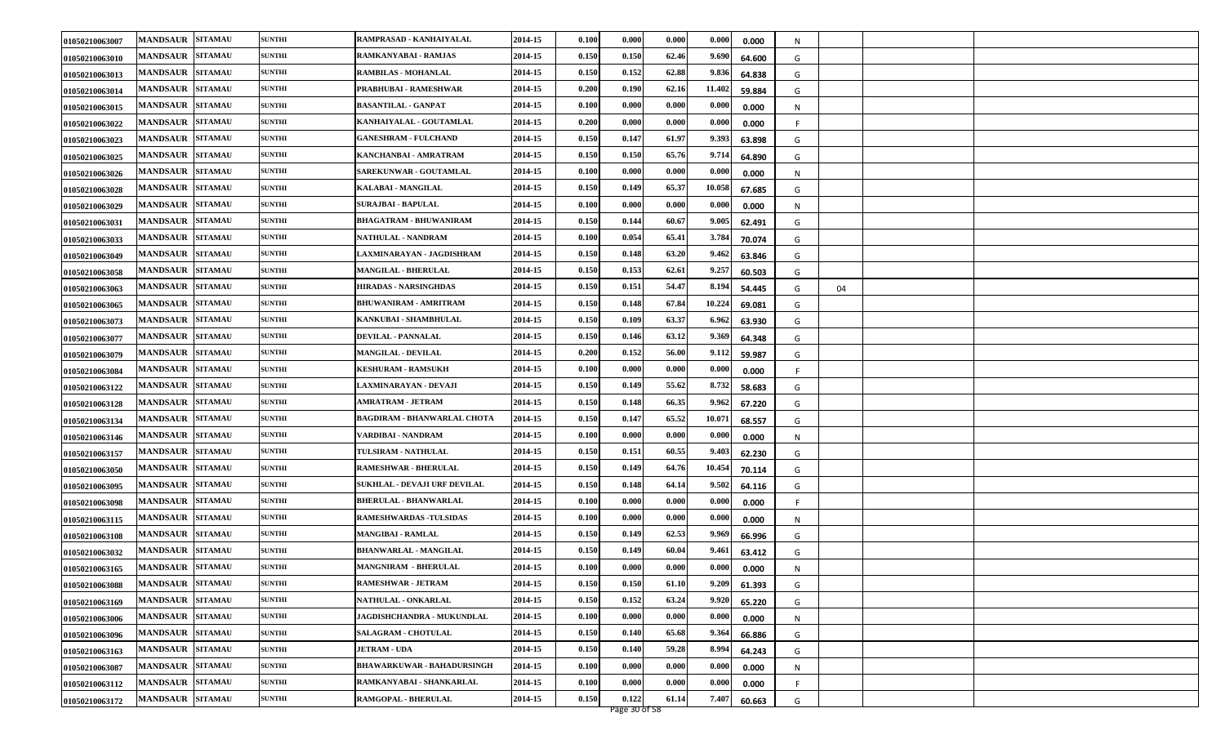| 01050210063007 | <b>MANDSAUR</b><br><b>SITAMAU</b> | <b>SUNTHI</b> | RAMPRASAD - KANHAIYALAL            | 2014-15 | 0.100 | 0.000 | 0.000 | 0.000  | 0.000  | N |    |  |
|----------------|-----------------------------------|---------------|------------------------------------|---------|-------|-------|-------|--------|--------|---|----|--|
| 01050210063010 | <b>MANDSAUR</b><br><b>SITAMAU</b> | <b>SUNTHI</b> | RAMKANYABAI - RAMJAS               | 2014-15 | 0.150 | 0.150 | 62.46 | 9.690  | 64.600 | G |    |  |
| 01050210063013 | <b>MANDSAUR</b><br><b>SITAMAU</b> | <b>SUNTHI</b> | <b>RAMBILAS - MOHANLAL</b>         | 2014-15 | 0.150 | 0.152 | 62.88 | 9.836  | 64.838 | G |    |  |
| 01050210063014 | <b>MANDSAUR</b><br><b>SITAMAU</b> | <b>SUNTHI</b> | PRABHUBAI - RAMESHWAR              | 2014-15 | 0.200 | 0.190 | 62.16 | 11.402 | 59.884 | G |    |  |
| 01050210063015 | <b>SITAMAU</b><br><b>MANDSAUR</b> | <b>SUNTHI</b> | <b>BASANTILAL - GANPAT</b>         | 2014-15 | 0.100 | 0.000 | 0.000 | 0.000  | 0.000  | N |    |  |
| 01050210063022 | <b>MANDSAUR</b><br><b>SITAMAU</b> | <b>SUNTHI</b> | KANHAIYALAL - GOUTAMLAL            | 2014-15 | 0.200 | 0.000 | 0.000 | 0.000  | 0.000  |   |    |  |
| 01050210063023 | <b>MANDSAUR</b><br><b>SITAMAU</b> | <b>SUNTHI</b> | <b>GANESHRAM - FULCHAND</b>        | 2014-15 | 0.150 | 0.147 | 61.97 | 9.393  | 63.898 | G |    |  |
| 01050210063025 | <b>MANDSAUR</b><br><b>SITAMAU</b> | <b>SUNTHI</b> | KANCHANBAI - AMRATRAM              | 2014-15 | 0.150 | 0.150 | 65.76 | 9.714  | 64.890 | G |    |  |
| 01050210063026 | <b>SITAMAU</b><br><b>MANDSAUR</b> | <b>SUNTHI</b> | <b>SAREKUNWAR - GOUTAMLAL</b>      | 2014-15 | 0.100 | 0.000 | 0.000 | 0.000  | 0.000  | N |    |  |
| 01050210063028 | <b>SITAMAU</b><br><b>MANDSAUR</b> | <b>SUNTHI</b> | KALABAI - MANGILAL                 | 2014-15 | 0.150 | 0.149 | 65.37 | 10.058 | 67.685 | G |    |  |
| 01050210063029 | <b>MANDSAUR</b><br><b>SITAMAU</b> | <b>SUNTHI</b> | <b>SURAJBAI - BAPULAL</b>          | 2014-15 | 0.100 | 0.000 | 0.000 | 0.000  | 0.000  | N |    |  |
| 01050210063031 | <b>MANDSAUR</b><br><b>SITAMAU</b> | <b>SUNTHI</b> | <b>BHAGATRAM - BHUWANIRAM</b>      | 2014-15 | 0.150 | 0.144 | 60.67 | 9.005  | 62.491 | G |    |  |
| 01050210063033 | <b>MANDSAUR</b><br><b>SITAMAU</b> | <b>SUNTHI</b> | NATHULAL - NANDRAM                 | 2014-15 | 0.100 | 0.054 | 65.41 | 3.784  | 70.074 | G |    |  |
| 01050210063049 | <b>SITAMAU</b><br><b>MANDSAUR</b> | <b>SUNTHI</b> | LAXMINARAYAN - JAGDISHRAM          | 2014-15 | 0.150 | 0.148 | 63.20 | 9.462  | 63.846 | G |    |  |
| 01050210063058 | <b>SITAMAU</b><br><b>MANDSAUR</b> | <b>SUNTHI</b> | MANGILAL - BHERULAL                | 2014-15 | 0.150 | 0.153 | 62.61 | 9.257  | 60.503 | G |    |  |
| 01050210063063 | <b>SITAMAU</b><br><b>MANDSAUR</b> | <b>SUNTHI</b> | <b>HIRADAS - NARSINGHDAS</b>       | 2014-15 | 0.150 | 0.151 | 54.47 | 8.194  | 54.445 | G | 04 |  |
| 01050210063065 | <b>SITAMAU</b><br><b>MANDSAUR</b> | <b>SUNTHI</b> | <b>BHUWANIRAM - AMRITRAM</b>       | 2014-15 | 0.150 | 0.148 | 67.8  | 10.224 | 69.081 | G |    |  |
| 01050210063073 | <b>MANDSAUR</b><br><b>SITAMAU</b> | <b>SUNTHI</b> | KANKUBAI - SHAMBHULAL              | 2014-15 | 0.150 | 0.109 | 63.37 | 6.962  | 63.930 | G |    |  |
| 01050210063077 | <b>MANDSAUR</b><br><b>SITAMAU</b> | <b>SUNTHI</b> | <b>DEVILAL - PANNALAL</b>          | 2014-15 | 0.150 | 0.146 | 63.12 | 9.369  | 64.348 | G |    |  |
| 01050210063079 | <b>SITAMAU</b><br><b>MANDSAUR</b> | <b>SUNTHI</b> | <b>MANGILAL - DEVILAL</b>          | 2014-15 | 0.200 | 0.152 | 56.00 | 9.112  | 59.987 | G |    |  |
| 01050210063084 | <b>SITAMAU</b><br><b>MANDSAUR</b> | <b>SUNTHI</b> | <b>KESHURAM - RAMSUKH</b>          | 2014-15 | 0.100 | 0.000 | 0.000 | 0.000  | 0.000  |   |    |  |
| 01050210063122 | <b>SITAMAU</b><br><b>MANDSAUR</b> | <b>SUNTHI</b> | LAXMINARAYAN - DEVAJI              | 2014-15 | 0.150 | 0.149 | 55.62 | 8.732  | 58.683 | G |    |  |
| 01050210063128 | <b>MANDSAUR</b><br><b>SITAMAU</b> | <b>SUNTHI</b> | AMRATRAM - JETRAM                  | 2014-15 | 0.150 | 0.148 | 66.35 | 9.962  | 67.220 | G |    |  |
| 01050210063134 | <b>MANDSAUR</b><br><b>SITAMAU</b> | <b>SUNTHI</b> | <b>BAGDIRAM - BHANWARLAL CHOTA</b> | 2014-15 | 0.150 | 0.147 | 65.52 | 10.071 | 68.557 | G |    |  |
| 01050210063146 | <b>MANDSAUR</b><br><b>SITAMAU</b> | <b>SUNTHI</b> | VARDIBAI - NANDRAM                 | 2014-15 | 0.100 | 0.000 | 0.000 | 0.000  | 0.000  | N |    |  |
| 01050210063157 | <b>MANDSAUR</b><br><b>SITAMAU</b> | <b>SUNTHI</b> | TULSIRAM - NATHULAL                | 2014-15 | 0.150 | 0.151 | 60.55 | 9.403  | 62.230 | G |    |  |
| 01050210063050 | <b>MANDSAUR</b><br><b>SITAMAU</b> | <b>SUNTHI</b> | <b>RAMESHWAR - BHERULAL</b>        | 2014-15 | 0.150 | 0.149 | 64.76 | 10.454 | 70.114 | G |    |  |
| 01050210063095 | <b>SITAMAU</b><br><b>MANDSAUR</b> | <b>SUNTHI</b> | SUKHLAL - DEVAJI URF DEVILAL       | 2014-15 | 0.150 | 0.148 | 64.14 | 9.502  | 64.116 | G |    |  |
| 01050210063098 | <b>MANDSAUR</b><br><b>SITAMAU</b> | <b>SUNTHI</b> | <b>BHERULAL - BHANWARLAL</b>       | 2014-15 | 0.100 | 0.000 | 0.000 | 0.000  | 0.000  |   |    |  |
| 01050210063115 | <b>MANDSAUR</b><br><b>SITAMAU</b> | <b>SUNTHI</b> | <b>RAMESHWARDAS - TULSIDAS</b>     | 2014-15 | 0.100 | 0.000 | 0.000 | 0.000  | 0.000  | N |    |  |
| 01050210063108 | <b>SITAMAU</b><br><b>MANDSAUR</b> | <b>SUNTHI</b> | <b>MANGIBAI - RAMLAL</b>           | 2014-15 | 0.150 | 0.149 | 62.53 | 9.969  | 66.996 | G |    |  |
| 01050210063032 | <b>MANDSAUR</b><br><b>SITAMAU</b> | <b>SUNTHI</b> | <b>BHANWARLAL - MANGILAL</b>       | 2014-15 | 0.150 | 0.149 | 60.0  | 9.461  | 63.412 | G |    |  |
| 01050210063165 | <b>SITAMAU</b><br><b>MANDSAUR</b> | <b>SUNTHI</b> | <b>MANGNIRAM - BHERULAL</b>        | 2014-15 | 0.100 | 0.000 | 0.000 | 0.000  | 0.000  | N |    |  |
| 01050210063088 | MANDSAUR SITAMAU                  | <b>SUNTHI</b> | <b>RAMESHWAR - JETRAM</b>          | 2014-15 | 0.150 | 0.150 | 61.10 | 9.209  | 61.393 | G |    |  |
| 01050210063169 | <b>MANDSAUR SITAMAU</b>           | <b>SUNTHI</b> | NATHULAL - ONKARLAL                | 2014-15 | 0.150 | 0.152 | 63.24 | 9.920  | 65.220 | G |    |  |
| 01050210063006 | <b>SITAMAU</b><br><b>MANDSAUR</b> | <b>SUNTHI</b> | JAGDISHCHANDRA - MUKUNDLAL         | 2014-15 | 0.100 | 0.000 | 0.000 | 0.000  | 0.000  | N |    |  |
| 01050210063096 | <b>SITAMAU</b><br><b>MANDSAUR</b> | <b>SUNTHI</b> | <b>SALAGRAM - CHOTULAL</b>         | 2014-15 | 0.150 | 0.140 | 65.68 | 9.364  | 66.886 | G |    |  |
| 01050210063163 | MANDSAUR SITAMAU                  | <b>SUNTHI</b> | <b>JETRAM - UDA</b>                | 2014-15 | 0.150 | 0.140 | 59.28 | 8.994  | 64.243 | G |    |  |
| 01050210063087 | <b>SITAMAU</b><br><b>MANDSAUR</b> | <b>SUNTHI</b> | <b>BHAWARKUWAR - BAHADURSINGH</b>  | 2014-15 | 0.100 | 0.000 | 0.000 | 0.000  | 0.000  | N |    |  |
| 01050210063112 | <b>SITAMAU</b><br><b>MANDSAUR</b> | <b>SUNTHI</b> | RAMKANYABAI - SHANKARLAL           | 2014-15 | 0.100 | 0.000 | 0.000 | 0.000  | 0.000  | F |    |  |
| 01050210063172 | MANDSAUR SITAMAU                  | <b>SUNTHI</b> | RAMGOPAL - BHERULAL                | 2014-15 | 0.150 | 0.122 | 61.14 | 7.407  | 60.663 | G |    |  |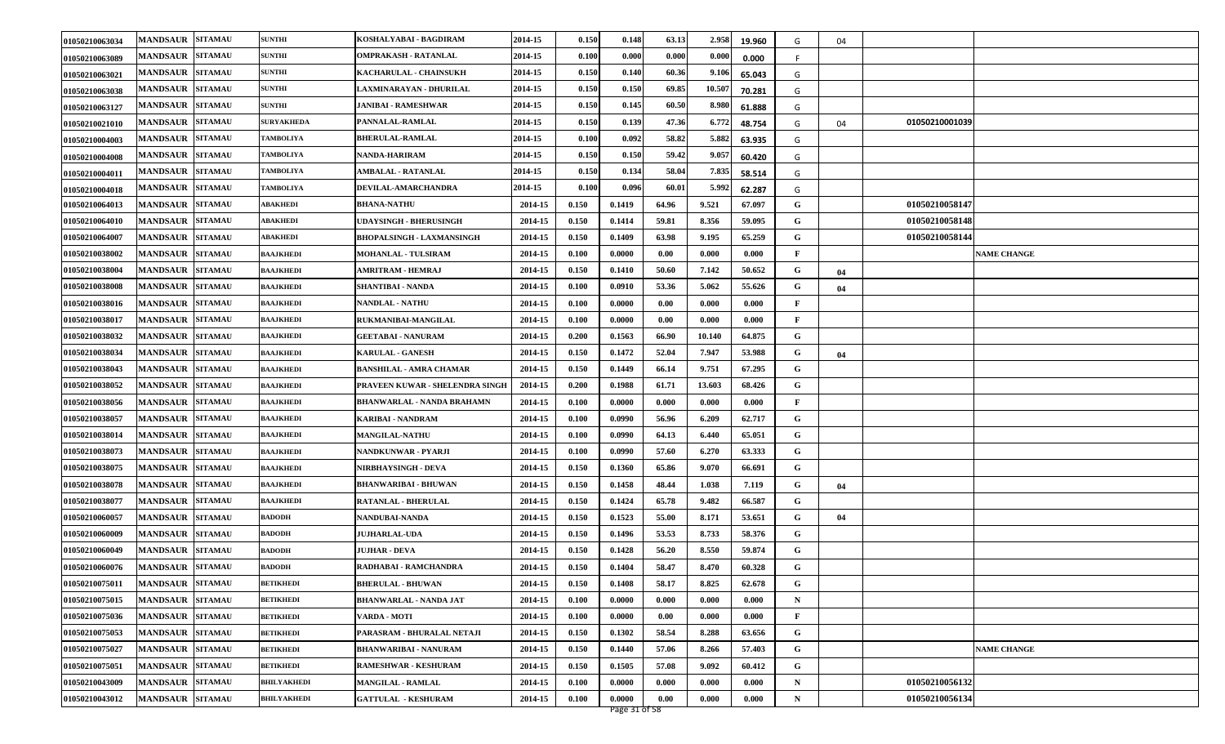| 01050210063034 | <b>MANDSAUR SITAMAU</b>           | <b>SUNTHI</b>      | KOSHALYABAI - BAGDIRAM            | 2014-15 | 0.150 | 0.148  | 63.13 | 2.958  | 19.960 | G           | 04 |                |                    |
|----------------|-----------------------------------|--------------------|-----------------------------------|---------|-------|--------|-------|--------|--------|-------------|----|----------------|--------------------|
| 01050210063089 | <b>MANDSAUR SITAMAU</b>           | <b>SUNTHI</b>      | OMPRAKASH - RATANLAL              | 2014-15 | 0.100 | 0.000  | 0.000 | 0.000  | 0.000  | F           |    |                |                    |
| 01050210063021 | <b>MANDSAUR SITAMAU</b>           | <b>SUNTHI</b>      | KACHARULAL - CHAINSUKH            | 2014-15 | 0.150 | 0.140  | 60.36 | 9.106  | 65.043 | G           |    |                |                    |
| 01050210063038 | <b>MANDSAUR SITAMAU</b>           | <b>SUNTHI</b>      | LAXMINARAYAN - DHURILAL           | 2014-15 | 0.150 | 0.150  | 69.85 | 10.507 | 70.281 | G           |    |                |                    |
| 01050210063127 | <b>MANDSAUR SITAMAU</b>           | <b>SUNTHI</b>      | JANIBAI - RAMESHWAR               | 2014-15 | 0.150 | 0.145  | 60.50 | 8.980  | 61.888 | G           |    |                |                    |
| 01050210021010 | MANDSAUR SITAMAU                  | <b>SURYAKHEDA</b>  | PANNALAL-RAMLAL                   | 2014-15 | 0.150 | 0.139  | 47.36 | 6.772  | 48.754 | G           | 04 | 01050210001039 |                    |
| 01050210004003 | MANDSAUR SITAMAU                  | <b>TAMBOLIYA</b>   | <b>BHERULAL-RAMLAL</b>            | 2014-15 | 0.100 | 0.092  | 58.82 | 5.882  | 63.935 | G           |    |                |                    |
| 01050210004008 | <b>MANDSAUR SITAMAU</b>           | <b>TAMBOLIYA</b>   | NANDA-HARIRAM                     | 2014-15 | 0.150 | 0.150  | 59.42 | 9.057  | 60.420 | G           |    |                |                    |
| 01050210004011 | <b>SITAMAU</b><br><b>MANDSAUR</b> | <b>TAMBOLIYA</b>   | <b>AMBALAL - RATANLAL</b>         | 2014-15 | 0.150 | 0.134  | 58.04 | 7.835  | 58.514 | G           |    |                |                    |
| 01050210004018 | <b>SITAMAU</b><br><b>MANDSAUR</b> | <b>TAMBOLIYA</b>   | DEVILAL-AMARCHANDRA               | 2014-15 | 0.100 | 0.096  | 60.01 | 5.992  | 62.287 | G           |    |                |                    |
| 01050210064013 | <b>MANDSAUR</b><br><b>SITAMAU</b> | ABAKHEDI           | <b>BHANA-NATHU</b>                | 2014-15 | 0.150 | 0.1419 | 64.96 | 9.521  | 67.097 | G           |    | 01050210058147 |                    |
| 01050210064010 | <b>MANDSAUR SITAMAU</b>           | ABAKHEDI           | <b>UDAYSINGH - BHERUSINGH</b>     | 2014-15 | 0.150 | 0.1414 | 59.81 | 8.356  | 59.095 | G           |    | 01050210058148 |                    |
| 01050210064007 | <b>MANDSAUR</b><br><b>SITAMAU</b> | ABAKHEDI           | <b>BHOPALSINGH - LAXMANSINGH</b>  | 2014-15 | 0.150 | 0.1409 | 63.98 | 9.195  | 65.259 | G           |    | 01050210058144 |                    |
| 01050210038002 | <b>SITAMAU</b><br><b>MANDSAUR</b> | <b>BAAJKHEDI</b>   | <b>MOHANLAL - TULSIRAM</b>        | 2014-15 | 0.100 | 0.0000 | 0.00  | 0.000  | 0.000  | F           |    |                | <b>NAME CHANGE</b> |
| 01050210038004 | <b>MANDSAUR SITAMAU</b>           | <b>BAAJKHEDI</b>   | <b>AMRITRAM - HEMRAJ</b>          | 2014-15 | 0.150 | 0.1410 | 50.60 | 7.142  | 50.652 | G           | 04 |                |                    |
| 01050210038008 | <b>MANDSAUR SITAMAU</b>           | <b>BAAJKHEDI</b>   | <b>SHANTIBAI - NANDA</b>          | 2014-15 | 0.100 | 0.0910 | 53.36 | 5.062  | 55.626 | G           | 04 |                |                    |
| 01050210038016 | <b>SITAMAU</b><br><b>MANDSAUR</b> | <b>BAAJKHEDI</b>   | <b>NANDLAL - NATHU</b>            | 2014-15 | 0.100 | 0.0000 | 0.00  | 0.000  | 0.000  | F           |    |                |                    |
| 01050210038017 | <b>MANDSAUR</b><br><b>SITAMAU</b> | <b>BAAJKHEDI</b>   | RUKMANIBAI-MANGILAL               | 2014-15 | 0.100 | 0.0000 | 0.00  | 0.000  | 0.000  | F           |    |                |                    |
| 01050210038032 | <b>MANDSAUR SITAMAU</b>           | <b>BAAJKHEDI</b>   | <b>GEETABAI - NANURAM</b>         | 2014-15 | 0.200 | 0.1563 | 66.90 | 10.140 | 64.875 | G           |    |                |                    |
| 01050210038034 | <b>SITAMAU</b><br><b>MANDSAUR</b> | <b>BAAJKHEDI</b>   | <b>KARULAL - GANESH</b>           | 2014-15 | 0.150 | 0.1472 | 52.04 | 7.947  | 53.988 | G           | 04 |                |                    |
| 01050210038043 | <b>MANDSAUR</b><br><b>SITAMAU</b> | <b>BAAJKHEDI</b>   | <b>BANSHILAL - AMRA CHAMAR</b>    | 2014-15 | 0.150 | 0.1449 | 66.14 | 9.751  | 67.295 | G           |    |                |                    |
| 01050210038052 | <b>MANDSAUR SITAMAU</b>           | <b>BAAJKHEDI</b>   | PRAVEEN KUWAR - SHELENDRA SINGH   | 2014-15 | 0.200 | 0.1988 | 61.71 | 13.603 | 68.426 | G           |    |                |                    |
| 01050210038056 | <b>MANDSAUR SITAMAU</b>           | <b>BAAJKHEDI</b>   | <b>BHANWARLAL - NANDA BRAHAMN</b> | 2014-15 | 0.100 | 0.0000 | 0.000 | 0.000  | 0.000  | F           |    |                |                    |
| 01050210038057 | <b>MANDSAUR SITAMAU</b>           | <b>BAAJKHEDI</b>   | KARIBAI - NANDRAM                 | 2014-15 | 0.100 | 0.0990 | 56.96 | 6.209  | 62.717 | G           |    |                |                    |
| 01050210038014 | <b>MANDSAUR</b><br><b>SITAMAU</b> | <b>BAAJKHEDI</b>   | <b>MANGILAL-NATHU</b>             | 2014-15 | 0.100 | 0.0990 | 64.13 | 6.440  | 65.051 | G           |    |                |                    |
| 01050210038073 | <b>MANDSAUR</b><br><b>SITAMAU</b> | <b>BAAJKHEDI</b>   | NANDKUNWAR - PYARJI               | 2014-15 | 0.100 | 0.0990 | 57.60 | 6.270  | 63.333 | G           |    |                |                    |
| 01050210038075 | <b>MANDSAUR SITAMAU</b>           | <b>BAAJKHEDI</b>   | NIRBHAYSINGH - DEVA               | 2014-15 | 0.150 | 0.1360 | 65.86 | 9.070  | 66.691 | G           |    |                |                    |
| 01050210038078 | MANDSAUR SITAMAU                  | <b>BAAJKHEDI</b>   | <b>BHANWARIBAI - BHUWAN</b>       | 2014-15 | 0.150 | 0.1458 | 48.44 | 1.038  | 7.119  | G           | 04 |                |                    |
| 01050210038077 | MANDSAUR SITAMAU                  | <b>BAAJKHEDI</b>   | <b>RATANLAL - BHERULAL</b>        | 2014-15 | 0.150 | 0.1424 | 65.78 | 9.482  | 66.587 | G           |    |                |                    |
| 01050210060057 | <b>MANDSAUR SITAMAU</b>           | <b>BADODH</b>      | NANDUBAI-NANDA                    | 2014-15 | 0.150 | 0.1523 | 55.00 | 8.171  | 53.651 | G           | 04 |                |                    |
| 01050210060009 | <b>MANDSAUR SITAMAU</b>           | <b>BADODH</b>      | <b>JUJHARLAL-UDA</b>              | 2014-15 | 0.150 | 0.1496 | 53.53 | 8.733  | 58.376 | G           |    |                |                    |
| 01050210060049 | <b>SITAMAU</b><br><b>MANDSAUR</b> | <b>BADODH</b>      | JUJHAR - DEVA                     | 2014-15 | 0.150 | 0.1428 | 56.20 | 8.550  | 59.874 | G           |    |                |                    |
| 01050210060076 | <b>MANDSAUR SITAMAU</b>           | <b>BADODH</b>      | RADHABAI - RAMCHANDRA             | 2014-15 | 0.150 | 0.1404 | 58.47 | 8.470  | 60.328 | G           |    |                |                    |
| 01050210075011 | MANDSAUR SITAMAU                  | <b>BETIKHEDI</b>   | <b>BHERULAL - BHUWAN</b>          | 2014-15 | 0.150 | 0.1408 | 58.17 | 8.825  | 62.678 | G           |    |                |                    |
| 01050210075015 | <b>MANDSAUR SITAMAU</b>           | <b>BETIKHEDI</b>   | <b>BHANWARLAL - NANDA JAT</b>     | 2014-15 | 0.100 | 0.0000 | 0.000 | 0.000  | 0.000  | $\mathbf N$ |    |                |                    |
| 01050210075036 | <b>MANDSAUR SITAMAU</b>           | <b>BETIKHEDI</b>   | VARDA - MOTI                      | 2014-15 | 0.100 | 0.0000 | 0.00  | 0.000  | 0.000  | F           |    |                |                    |
| 01050210075053 | <b>MANDSAUR SITAMAU</b>           | <b>BETIKHEDI</b>   | PARASRAM - BHURALAL NETAJI        | 2014-15 | 0.150 | 0.1302 | 58.54 | 8.288  | 63.656 | G           |    |                |                    |
| 01050210075027 | MANDSAUR SITAMAU                  | <b>BETIKHEDI</b>   | <b>BHANWARIBAI - NANURAM</b>      | 2014-15 | 0.150 | 0.1440 | 57.06 | 8.266  | 57.403 | G           |    |                | <b>NAME CHANGE</b> |
| 01050210075051 | <b>MANDSAUR SITAMAU</b>           | <b>BETIKHEDI</b>   | RAMESHWAR - KESHURAM              | 2014-15 | 0.150 | 0.1505 | 57.08 | 9.092  | 60.412 | G           |    |                |                    |
| 01050210043009 | <b>SITAMAU</b><br><b>MANDSAUR</b> | <b>BHILYAKHEDI</b> | <b>MANGILAL - RAMLAL</b>          | 2014-15 | 0.100 | 0.0000 | 0.000 | 0.000  | 0.000  | $\mathbf N$ |    | 01050210056132 |                    |
| 01050210043012 | <b>MANDSAUR SITAMAU</b>           | <b>BHILYAKHEDI</b> | <b>GATTULAL - KESHURAM</b>        | 2014-15 | 0.100 | 0.0000 | 0.00  | 0.000  | 0.000  | $\mathbf N$ |    | 01050210056134 |                    |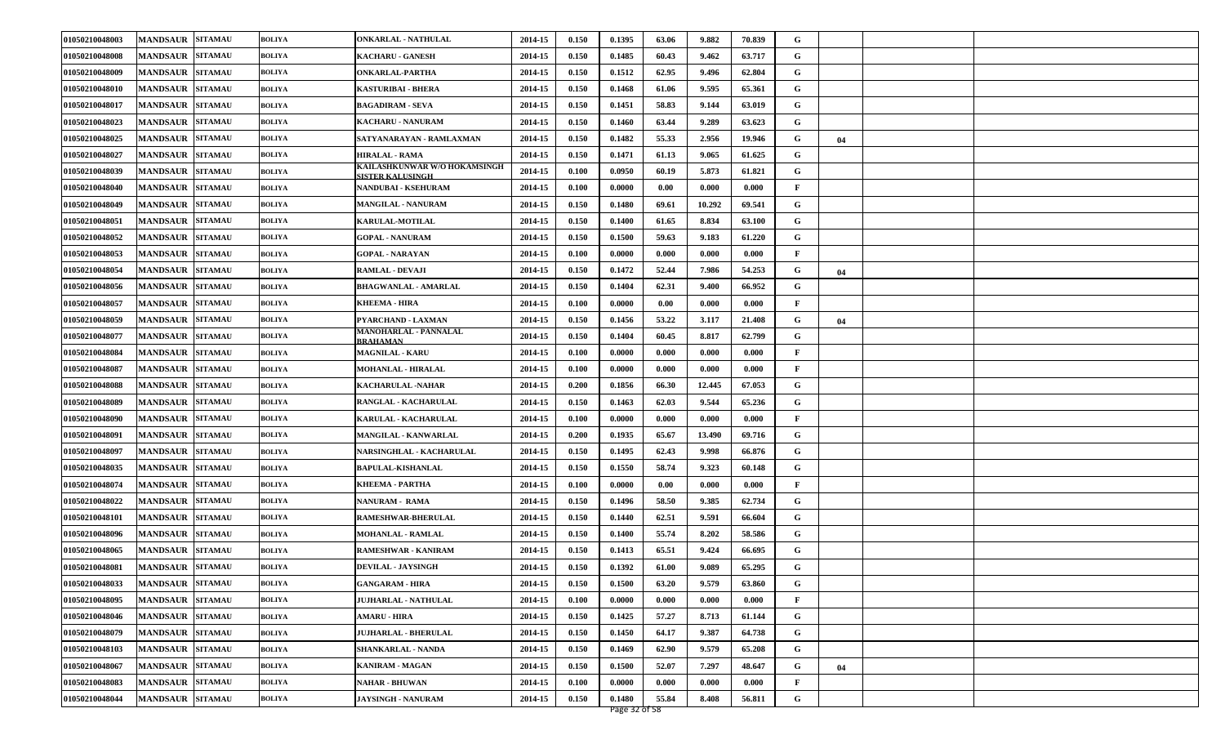| 01050210048003 | <b>MANDSAUR</b><br><b>SITAMAU</b> | <b>BOLIYA</b> | ONKARLAL - NATHULAL                                     | 2014-15 | 0.150 | 0.1395 | 63.06 | 9.882  | 70.839 | G            |    |  |
|----------------|-----------------------------------|---------------|---------------------------------------------------------|---------|-------|--------|-------|--------|--------|--------------|----|--|
| 01050210048008 | <b>MANDSAUR</b><br><b>SITAMAU</b> | <b>BOLIYA</b> | <b>KACHARU - GANESH</b>                                 | 2014-15 | 0.150 | 0.1485 | 60.43 | 9.462  | 63.717 | G            |    |  |
| 01050210048009 | <b>MANDSAUR</b><br><b>SITAMAU</b> | <b>BOLIYA</b> | <b>ONKARLAL-PARTHA</b>                                  | 2014-15 | 0.150 | 0.1512 | 62.95 | 9.496  | 62.804 | G            |    |  |
| 01050210048010 | <b>MANDSAUR</b><br><b>SITAMAU</b> | <b>BOLIYA</b> | KASTURIBAI - BHERA                                      | 2014-15 | 0.150 | 0.1468 | 61.06 | 9.595  | 65.361 | G            |    |  |
| 01050210048017 | <b>MANDSAUR</b><br><b>SITAMAU</b> | <b>BOLIYA</b> | <b>BAGADIRAM - SEVA</b>                                 | 2014-15 | 0.150 | 0.1451 | 58.83 | 9.144  | 63.019 | G            |    |  |
| 01050210048023 | <b>MANDSAUR</b><br><b>SITAMAU</b> | <b>BOLIYA</b> | KACHARU - NANURAM                                       | 2014-15 | 0.150 | 0.1460 | 63.44 | 9.289  | 63.623 | G            |    |  |
| 01050210048025 | <b>MANDSAUR</b><br><b>SITAMAU</b> | <b>BOLIYA</b> | SATYANARAYAN - RAMLAXMAN                                | 2014-15 | 0.150 | 0.1482 | 55.33 | 2.956  | 19.946 | G            | 04 |  |
| 01050210048027 | <b>SITAMAU</b><br><b>MANDSAUR</b> | BOLIYA        | <b>HIRALAL - RAMA</b>                                   | 2014-15 | 0.150 | 0.1471 | 61.13 | 9.065  | 61.625 | G            |    |  |
| 01050210048039 | <b>SITAMAU</b><br><b>MANDSAUR</b> | BOLIYA        | KAILASHKUNWAR W/O HOKAMSINGH<br><b>SISTER KALUSINGH</b> | 2014-15 | 0.100 | 0.0950 | 60.19 | 5.873  | 61.821 | G            |    |  |
| 01050210048040 | <b>MANDSAUR</b><br><b>SITAMAU</b> | BOLIYA        | <b>NANDUBAI - KSEHURAM</b>                              | 2014-15 | 0.100 | 0.0000 | 0.00  | 0.000  | 0.000  | $\mathbf{F}$ |    |  |
| 01050210048049 | <b>MANDSAUR</b><br><b>SITAMAU</b> | <b>BOLIYA</b> | MANGILAL - NANURAM                                      | 2014-15 | 0.150 | 0.1480 | 69.61 | 10.292 | 69.541 | G            |    |  |
| 01050210048051 | <b>MANDSAUR</b><br><b>SITAMAU</b> | BOLIYA        | <b>KARULAL-MOTILAL</b>                                  | 2014-15 | 0.150 | 0.1400 | 61.65 | 8.834  | 63.100 | G            |    |  |
| 01050210048052 | <b>MANDSAUR</b><br><b>SITAMAU</b> | BOLIYA        | <b>GOPAL - NANURAM</b>                                  | 2014-15 | 0.150 | 0.1500 | 59.63 | 9.183  | 61.220 | G            |    |  |
| 01050210048053 | <b>SITAMAU</b><br><b>MANDSAUR</b> | BOLIYA        | <b>GOPAL - NARAYAN</b>                                  | 2014-15 | 0.100 | 0.0000 | 0.000 | 0.000  | 0.000  | $\mathbf{F}$ |    |  |
| 01050210048054 | <b>MANDSAUR</b><br><b>SITAMAU</b> | <b>BOLIYA</b> | RAMLAL - DEVAJI                                         | 2014-15 | 0.150 | 0.1472 | 52.44 | 7.986  | 54.253 | G            | 04 |  |
| 01050210048056 | <b>SITAMAU</b><br><b>MANDSAUR</b> | BOLIYA        | <b>BHAGWANLAL - AMARLAL</b>                             | 2014-15 | 0.150 | 0.1404 | 62.31 | 9.400  | 66.952 | G            |    |  |
| 01050210048057 | <b>SITAMAU</b><br><b>MANDSAUR</b> | BOLIYA        | KHEEMA - HIRA                                           | 2014-15 | 0.100 | 0.0000 | 0.00  | 0.000  | 0.000  | $\mathbf{F}$ |    |  |
| 01050210048059 | <b>MANDSAUR</b><br><b>SITAMAU</b> | BOLIYA        | PYARCHAND - LAXMAN                                      | 2014-15 | 0.150 | 0.1456 | 53.22 | 3.117  | 21.408 | G            | 04 |  |
| 01050210048077 | <b>MANDSAUR</b><br><b>SITAMAU</b> | BOLIYA        | <b>MANOHARLAL - PANNALAL</b><br><b>BRAHAMAN</b>         | 2014-15 | 0.150 | 0.1404 | 60.45 | 8.817  | 62.799 | G            |    |  |
| 01050210048084 | <b>SITAMAU</b><br><b>MANDSAUR</b> | BOLIYA        | <b>MAGNILAL - KARU</b>                                  | 2014-15 | 0.100 | 0.0000 | 0.000 | 0.000  | 0.000  | F            |    |  |
| 01050210048087 | <b>MANDSAUR</b><br><b>SITAMAU</b> | <b>BOLIYA</b> | <b>MOHANLAL - HIRALAL</b>                               | 2014-15 | 0.100 | 0.0000 | 0.000 | 0.000  | 0.000  | $\mathbf{F}$ |    |  |
| 01050210048088 | <b>MANDSAUR</b><br><b>SITAMAU</b> | <b>BOLIYA</b> | KACHARULAL -NAHAR                                       | 2014-15 | 0.200 | 0.1856 | 66.30 | 12.445 | 67.053 | G            |    |  |
| 01050210048089 | <b>MANDSAUR</b><br><b>SITAMAU</b> | <b>BOLIYA</b> | RANGLAL - KACHARULAL                                    | 2014-15 | 0.150 | 0.1463 | 62.03 | 9.544  | 65.236 | G            |    |  |
| 01050210048090 | <b>MANDSAUR</b><br><b>SITAMAU</b> | BOLIYA        | KARULAL - KACHARULAL                                    | 2014-15 | 0.100 | 0.0000 | 0.000 | 0.000  | 0.000  | $\mathbf{F}$ |    |  |
| 01050210048091 | <b>MANDSAUR</b><br><b>SITAMAU</b> | <b>BOLIYA</b> | MANGILAL - KANWARLAL                                    | 2014-15 | 0.200 | 0.1935 | 65.67 | 13.490 | 69.716 | G            |    |  |
| 01050210048097 | <b>MANDSAUR</b><br><b>SITAMAU</b> | <b>BOLIYA</b> | NARSINGHLAL - KACHARULAL                                | 2014-15 | 0.150 | 0.1495 | 62.43 | 9.998  | 66.876 | G            |    |  |
| 01050210048035 | <b>MANDSAUR</b><br><b>SITAMAU</b> | <b>BOLIYA</b> | BAPULAL-KISHANLAL                                       | 2014-15 | 0.150 | 0.1550 | 58.74 | 9.323  | 60.148 | G            |    |  |
| 01050210048074 | <b>MANDSAUR</b><br><b>SITAMAU</b> | <b>BOLIYA</b> | KHEEMA - PARTHA                                         | 2014-15 | 0.100 | 0.0000 | 0.00  | 0.000  | 0.000  | $\mathbf{F}$ |    |  |
| 01050210048022 | <b>MANDSAUR</b><br><b>SITAMAU</b> | BOLIYA        | <b>NANURAM - RAMA</b>                                   | 2014-15 | 0.150 | 0.1496 | 58.50 | 9.385  | 62.734 | G            |    |  |
| 01050210048101 | <b>MANDSAUR</b><br><b>SITAMAU</b> | <b>BOLIYA</b> | RAMESHWAR-BHERULAL                                      | 2014-15 | 0.150 | 0.1440 | 62.51 | 9.591  | 66.604 | G            |    |  |
| 01050210048096 | <b>SITAMAU</b><br><b>MANDSAUR</b> | BOLIYA        | <b>MOHANLAL - RAMLAL</b>                                | 2014-15 | 0.150 | 0.1400 | 55.74 | 8.202  | 58.586 | G            |    |  |
| 01050210048065 | <b>MANDSAUR</b><br><b>SITAMAU</b> | BOLIYA        | RAMESHWAR - KANIRAM                                     | 2014-15 | 0.150 | 0.1413 | 65.51 | 9.424  | 66.695 | G            |    |  |
| 01050210048081 | <b>SITAMAU</b><br><b>MANDSAUR</b> | BOLIYA        | <b>DEVILAL - JAYSINGH</b>                               | 2014-15 | 0.150 | 0.1392 | 61.00 | 9.089  | 65.295 | G            |    |  |
| 01050210048033 | <b>MANDSAUR SITAMAU</b>           | <b>BOLIYA</b> | <b>GANGARAM - HIRA</b>                                  | 2014-15 | 0.150 | 0.1500 | 63.20 | 9.579  | 63.860 | G            |    |  |
| 01050210048095 | <b>MANDSAUR</b><br><b>SITAMAU</b> | <b>BOLIYA</b> | <b>JUJHARLAL - NATHULAL</b>                             | 2014-15 | 0.100 | 0.0000 | 0.000 | 0.000  | 0.000  | $\mathbf{F}$ |    |  |
| 01050210048046 | <b>SITAMAU</b><br><b>MANDSAUR</b> | <b>BOLIYA</b> | <b>AMARU - HIRA</b>                                     | 2014-15 | 0.150 | 0.1425 | 57.27 | 8.713  | 61.144 | G            |    |  |
| 01050210048079 | <b>SITAMAU</b><br><b>MANDSAUR</b> | <b>BOLIYA</b> | JUJHARLAL - BHERULAL                                    | 2014-15 | 0.150 | 0.1450 | 64.17 | 9.387  | 64.738 | G            |    |  |
| 01050210048103 | <b>SITAMAU</b><br><b>MANDSAUR</b> | <b>BOLIYA</b> | SHANKARLAL - NANDA                                      | 2014-15 | 0.150 | 0.1469 | 62.90 | 9.579  | 65.208 | G            |    |  |
| 01050210048067 | <b>SITAMAU</b><br><b>MANDSAUR</b> | BOLIYA        | KANIRAM - MAGAN                                         | 2014-15 | 0.150 | 0.1500 | 52.07 | 7.297  | 48.647 | G            | 04 |  |
| 01050210048083 | <b>SITAMAU</b><br><b>MANDSAUR</b> | <b>BOLIYA</b> | <b>NAHAR - BHUWAN</b>                                   | 2014-15 | 0.100 | 0.0000 | 0.000 | 0.000  | 0.000  | F            |    |  |
| 01050210048044 | <b>MANDSAUR</b><br><b>SITAMAU</b> | <b>BOLIYA</b> | <b>JAYSINGH - NANURAM</b>                               | 2014-15 | 0.150 | 0.1480 | 55.84 | 8.408  | 56.811 | G            |    |  |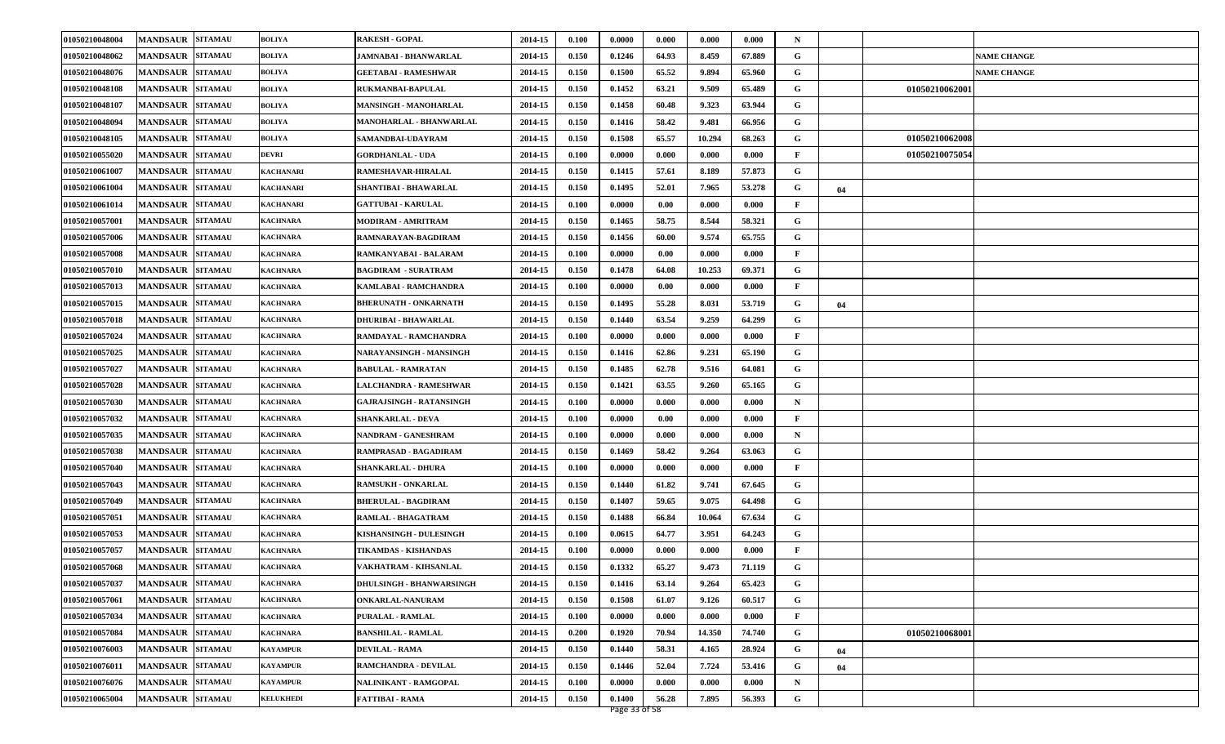| 01050210048004 | <b>MANDSAUR</b><br><b>SITAMAU</b> | <b>BOLIYA</b>    | <b>RAKESH - GOPAL</b>           | 2014-15     | 0.100 | 0.0000 | 0.000 | 0.000  | 0.000  | $\mathbf N$  |    |                |                    |
|----------------|-----------------------------------|------------------|---------------------------------|-------------|-------|--------|-------|--------|--------|--------------|----|----------------|--------------------|
| 01050210048062 | <b>MANDSAUR</b><br><b>SITAMAU</b> | <b>BOLIYA</b>    | JAMNABAI - BHANWARLAL           | 2014-15     | 0.150 | 0.1246 | 64.93 | 8.459  | 67.889 | G            |    |                | <b>NAME CHANGE</b> |
| 01050210048076 | <b>MANDSAUR</b><br><b>SITAMAU</b> | <b>BOLIYA</b>    | <b>GEETABAI - RAMESHWAR</b>     | 2014-15     | 0.150 | 0.1500 | 65.52 | 9.894  | 65.960 | G            |    |                | <b>NAME CHANGE</b> |
| 01050210048108 | <b>MANDSAUR</b><br><b>SITAMAU</b> | <b>BOLIYA</b>    | <b>RUKMANBAI-BAPULAL</b>        | 2014-15     | 0.150 | 0.1452 | 63.21 | 9.509  | 65.489 | G            |    | 01050210062001 |                    |
| 01050210048107 | <b>SITAMAU</b><br><b>MANDSAUR</b> | <b>BOLIYA</b>    | <b>MANSINGH - MANOHARLAL</b>    | 2014-15     | 0.150 | 0.1458 | 60.48 | 9.323  | 63.944 | G            |    |                |                    |
| 01050210048094 | <b>MANDSAUR</b><br><b>SITAMAU</b> | <b>BOLIYA</b>    | <b>MANOHARLAL - BHANWARLAL</b>  | 2014-15     | 0.150 | 0.1416 | 58.42 | 9.481  | 66.956 | G            |    |                |                    |
| 01050210048105 | <b>MANDSAUR</b><br><b>SITAMAU</b> | <b>BOLIYA</b>    | SAMANDBAI-UDAYRAM               | 2014-15     | 0.150 | 0.1508 | 65.57 | 10.294 | 68.263 | G            |    | 01050210062008 |                    |
| 01050210055020 | <b>SITAMAU</b><br><b>MANDSAUR</b> | <b>DEVRI</b>     | <b>GORDHANLAL - UDA</b>         | 2014-15     | 0.100 | 0.0000 | 0.000 | 0.000  | 0.000  | $\mathbf{F}$ |    | 01050210075054 |                    |
| 01050210061007 | <b>SITAMAU</b><br><b>MANDSAUR</b> | <b>KACHANARI</b> | RAMESHAVAR-HIRALAL              | 2014-15     | 0.150 | 0.1415 | 57.61 | 8.189  | 57.873 | G            |    |                |                    |
| 01050210061004 | <b>SITAMAU</b><br><b>MANDSAUR</b> | <b>KACHANARI</b> | SHANTIBAI - BHAWARLAL           | 2014-15     | 0.150 | 0.1495 | 52.01 | 7.965  | 53.278 | G            | 04 |                |                    |
| 01050210061014 | <b>MANDSAUR</b><br><b>SITAMAU</b> | <b>KACHANARI</b> | <b>GATTUBAI - KARULAL</b>       | 2014-15     | 0.100 | 0.0000 | 0.00  | 0.000  | 0.000  | F            |    |                |                    |
| 01050210057001 | <b>MANDSAUR</b><br><b>SITAMAU</b> | KACHNARA         | MODIRAM - AMRITRAM              | 2014-15     | 0.150 | 0.1465 | 58.75 | 8.544  | 58.321 | G            |    |                |                    |
| 01050210057006 | <b>MANDSAUR</b><br><b>SITAMAU</b> | KACHNARA         | RAMNARAYAN-BAGDIRAM             | 2014-15     | 0.150 | 0.1456 | 60.00 | 9.574  | 65.755 | G            |    |                |                    |
| 01050210057008 | <b>SITAMAU</b><br><b>MANDSAUR</b> | <b>KACHNARA</b>  | RAMKANYABAI - BALARAM           | 2014-15     | 0.100 | 0.0000 | 0.00  | 0.000  | 0.000  | F            |    |                |                    |
| 01050210057010 | <b>SITAMAU</b><br><b>MANDSAUR</b> | <b>KACHNARA</b>  | <b>BAGDIRAM - SURATRAM</b>      | 2014-15     | 0.150 | 0.1478 | 64.08 | 10.253 | 69.371 | G            |    |                |                    |
| 01050210057013 | <b>SITAMAU</b><br><b>MANDSAUR</b> | <b>KACHNARA</b>  | KAMLABAI - RAMCHANDRA           | 2014-15     | 0.100 | 0.0000 | 0.00  | 0.000  | 0.000  | F            |    |                |                    |
| 01050210057015 | <b>MANDSAUR</b><br><b>SITAMAU</b> | <b>KACHNARA</b>  | <b>BHERUNATH - ONKARNATH</b>    | 2014-15     | 0.150 | 0.1495 | 55.28 | 8.031  | 53.719 | G            | 04 |                |                    |
| 01050210057018 | <b>MANDSAUR</b><br><b>SITAMAU</b> | <b>KACHNARA</b>  | DHURIBAI - BHAWARLAL            | 2014-15     | 0.150 | 0.1440 | 63.54 | 9.259  | 64.299 | G            |    |                |                    |
| 01050210057024 | <b>MANDSAUR</b><br><b>SITAMAU</b> | <b>KACHNARA</b>  | RAMDAYAL - RAMCHANDRA           | 2014-15     | 0.100 | 0.0000 | 0.000 | 0.000  | 0.000  | F            |    |                |                    |
| 01050210057025 | <b>SITAMAU</b><br><b>MANDSAUR</b> | KACHNARA         | NARAYANSINGH - MANSINGH         | 2014-15     | 0.150 | 0.1416 | 62.86 | 9.231  | 65.190 | G            |    |                |                    |
| 01050210057027 | <b>SITAMAU</b><br><b>MANDSAUR</b> | <b>KACHNARA</b>  | <b>BABULAL - RAMRATAN</b>       | 2014-15     | 0.150 | 0.1485 | 62.78 | 9.516  | 64.081 | G            |    |                |                    |
| 01050210057028 | <b>SITAMAU</b><br><b>MANDSAUR</b> | <b>KACHNARA</b>  | LALCHANDRA - RAMESHWAR          | 2014-15     | 0.150 | 0.1421 | 63.55 | 9.260  | 65.165 | G            |    |                |                    |
| 01050210057030 | <b>MANDSAUR</b><br><b>SITAMAU</b> | <b>KACHNARA</b>  | <b>GAJRAJSINGH - RATANSINGH</b> | 2014-15     | 0.100 | 0.0000 | 0.000 | 0.000  | 0.000  | N            |    |                |                    |
| 01050210057032 | <b>MANDSAUR</b><br><b>SITAMAU</b> | KACHNARA         | <b>SHANKARLAL - DEVA</b>        | 2014-15     | 0.100 | 0.0000 | 0.00  | 0.000  | 0.000  | F            |    |                |                    |
| 01050210057035 | <b>MANDSAUR</b><br><b>SITAMAU</b> | <b>KACHNARA</b>  | NANDRAM - GANESHRAM             | 2014-15     | 0.100 | 0.0000 | 0.000 | 0.000  | 0.000  | N            |    |                |                    |
| 01050210057038 | <b>MANDSAUR</b><br><b>SITAMAU</b> | <b>KACHNARA</b>  | RAMPRASAD - BAGADIRAM           | 2014-15     | 0.150 | 0.1469 | 58.42 | 9.264  | 63.063 | G            |    |                |                    |
| 01050210057040 | <b>MANDSAUR</b><br><b>SITAMAU</b> | KACHNARA         | <b>SHANKARLAL - DHURA</b>       | 2014-15     | 0.100 | 0.0000 | 0.000 | 0.000  | 0.000  | F            |    |                |                    |
| 01050210057043 | <b>SITAMAU</b><br><b>MANDSAUR</b> | KACHNARA         | <b>RAMSUKH - ONKARLAL</b>       | 2014-15     | 0.150 | 0.1440 | 61.82 | 9.741  | 67.645 | G            |    |                |                    |
| 01050210057049 | <b>MANDSAUR</b><br><b>SITAMAU</b> | <b>KACHNARA</b>  | <b>BHERULAL - BAGDIRAM</b>      | 2014-15     | 0.150 | 0.1407 | 59.65 | 9.075  | 64.498 | G            |    |                |                    |
| 01050210057051 | <b>MANDSAUR</b><br><b>SITAMAU</b> | <b>KACHNARA</b>  | RAMLAL - BHAGATRAM              | 2014-15     | 0.150 | 0.1488 | 66.84 | 10.064 | 67.634 | G            |    |                |                    |
| 01050210057053 | <b>SITAMAU</b><br><b>MANDSAUR</b> | KACHNARA         | KISHANSINGH - DULESINGH         | 2014-15     | 0.100 | 0.0615 | 64.77 | 3.951  | 64.243 | G            |    |                |                    |
| 01050210057057 | <b>MANDSAUR</b><br><b>SITAMAU</b> | KACHNARA         | TIKAMDAS - KISHANDAS            | 2014-15     | 0.100 | 0.0000 | 0.000 | 0.000  | 0.000  | F            |    |                |                    |
| 01050210057068 | <b>SITAMAU</b><br><b>MANDSAUR</b> | <b>KACHNARA</b>  | VAKHATRAM - KIHSANLAL           | 2014-15     | 0.150 | 0.1332 | 65.27 | 9.473  | 71.119 | G            |    |                |                    |
| 01050210057037 | MANDSAUR SITAMAU                  | <b>KACHNARA</b>  | <b>DHULSINGH - BHANWARSINGH</b> | 2014-15     | 0.150 | 0.1416 | 63.14 | 9.264  | 65.423 | G            |    |                |                    |
| 01050210057061 | <b>MANDSAUR</b><br><b>SITAMAU</b> | <b>KACHNARA</b>  | ONKARLAL-NANURAM                | 2014-15     | 0.150 | 0.1508 | 61.07 | 9.126  | 60.517 | G            |    |                |                    |
| 01050210057034 | <b>SITAMAU</b><br><b>MANDSAUR</b> | <b>KACHNARA</b>  | <b>PURALAL - RAMLAL</b>         | 2014-15     | 0.100 | 0.0000 | 0.000 | 0.000  | 0.000  | $\mathbf F$  |    |                |                    |
| 01050210057084 | <b>SITAMAU</b><br><b>MANDSAUR</b> | <b>KACHNARA</b>  | <b>BANSHILAL - RAMLAL</b>       | 2014-15     | 0.200 | 0.1920 | 70.94 | 14.350 | 74.740 | G            |    | 01050210068001 |                    |
| 01050210076003 | <b>MANDSAUR SITAMAU</b>           | <b>KAYAMPUR</b>  | <b>DEVILAL - RAMA</b>           | 2014-15     | 0.150 | 0.1440 | 58.31 | 4.165  | 28.924 | G            | 04 |                |                    |
| 01050210076011 | <b>SITAMAU</b><br><b>MANDSAUR</b> | <b>KAYAMPUR</b>  | RAMCHANDRA - DEVILAL            | 2014-15     | 0.150 | 0.1446 | 52.04 | 7.724  | 53.416 | G            | 04 |                |                    |
| 01050210076076 | <b>MANDSAUR</b><br><b>SITAMAU</b> | <b>KAYAMPUR</b>  | NALINIKANT - RAMGOPAL           | $2014 - 15$ | 0.100 | 0.0000 | 0.000 | 0.000  | 0.000  | ${\bf N}$    |    |                |                    |
| 01050210065004 | <b>MANDSAUR</b><br><b>SITAMAU</b> | <b>KELUKHEDI</b> | <b>FATTIBAI - RAMA</b>          | 2014-15     | 0.150 | 0.1400 | 56.28 | 7.895  | 56.393 | ${\bf G}$    |    |                |                    |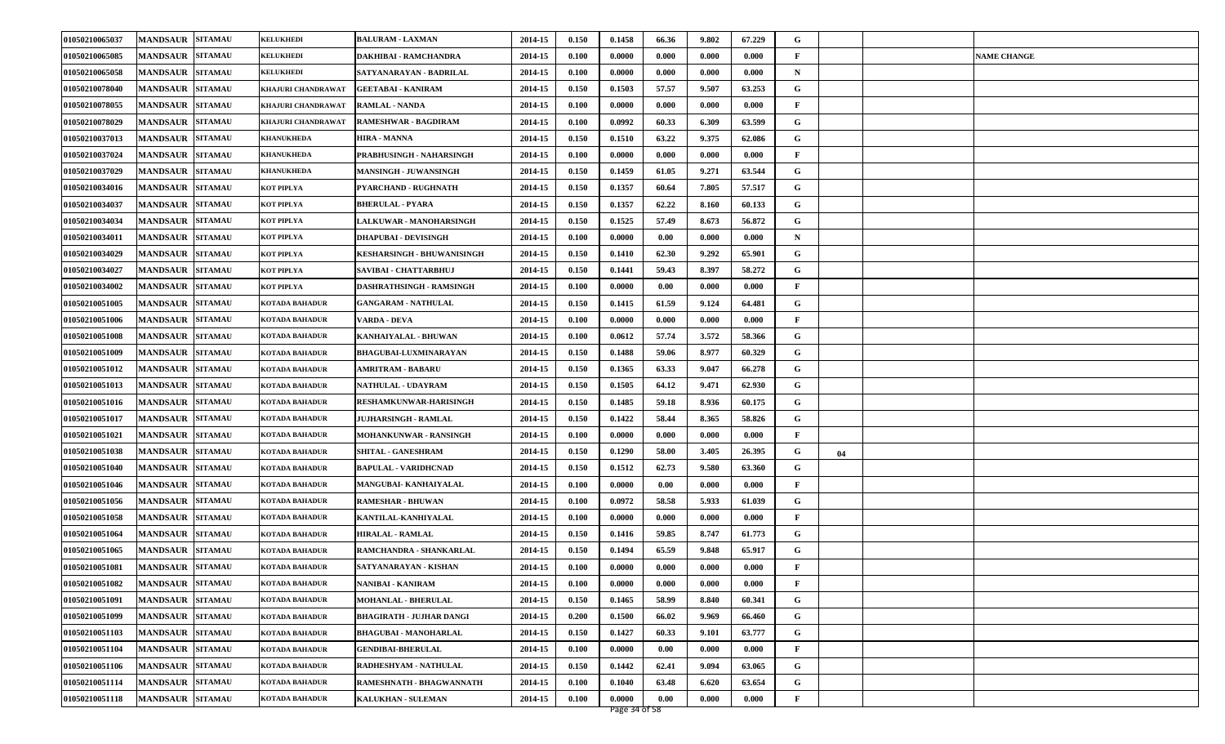| 01050210065037 | <b>MANDSAUR</b><br><b>SITAMAU</b> | <b>KELUKHEDI</b>      | <b>BALURAM - LAXMAN</b>           | 2014-15 | 0.150 | 0.1458 | 66.36 | 9.802 | 67.229 | G            |    |                    |
|----------------|-----------------------------------|-----------------------|-----------------------------------|---------|-------|--------|-------|-------|--------|--------------|----|--------------------|
| 01050210065085 | <b>MANDSAUR</b><br><b>SITAMAU</b> | <b>KELUKHEDI</b>      | DAKHIBAI - RAMCHANDRA             | 2014-15 | 0.100 | 0.0000 | 0.000 | 0.000 | 0.000  | F            |    | <b>NAME CHANGE</b> |
| 01050210065058 | <b>MANDSAUR</b><br><b>SITAMAU</b> | <b>KELUKHEDI</b>      | SATYANARAYAN - BADRILAL           | 2014-15 | 0.100 | 0.0000 | 0.000 | 0.000 | 0.000  | $\mathbf N$  |    |                    |
| 01050210078040 | <b>MANDSAUR</b><br><b>SITAMAU</b> | KHAJURI CHANDRAWAT    | <b>GEETABAI - KANIRAM</b>         | 2014-15 | 0.150 | 0.1503 | 57.57 | 9.507 | 63.253 | G            |    |                    |
| 01050210078055 | <b>SITAMAU</b><br><b>MANDSAUR</b> | KHAJURI CHANDRAWAT    | <b>RAMLAL - NANDA</b>             | 2014-15 | 0.100 | 0.0000 | 0.000 | 0.000 | 0.000  | F            |    |                    |
| 01050210078029 | <b>MANDSAUR</b><br><b>SITAMAU</b> | KHAJURI CHANDRAWAT    | RAMESHWAR - BAGDIRAM              | 2014-15 | 0.100 | 0.0992 | 60.33 | 6.309 | 63.599 | G            |    |                    |
| 01050210037013 | <b>MANDSAUR SITAMAU</b>           | <b>KHANUKHEDA</b>     | <b>HIRA - MANNA</b>               | 2014-15 | 0.150 | 0.1510 | 63.22 | 9.375 | 62.086 | G            |    |                    |
| 01050210037024 | <b>MANDSAUR</b><br><b>SITAMAU</b> | <b>KHANUKHEDA</b>     | PRABHUSINGH - NAHARSINGH          | 2014-15 | 0.100 | 0.0000 | 0.000 | 0.000 | 0.000  | F            |    |                    |
| 01050210037029 | <b>MANDSAUR</b><br><b>SITAMAU</b> | <b>KHANUKHEDA</b>     | <b>MANSINGH - JUWANSINGH</b>      | 2014-15 | 0.150 | 0.1459 | 61.05 | 9.271 | 63.544 | G            |    |                    |
| 01050210034016 | <b>MANDSAUR</b><br><b>SITAMAU</b> | KOT PIPLYA            | PYARCHAND - RUGHNATH              | 2014-15 | 0.150 | 0.1357 | 60.64 | 7.805 | 57.517 | G            |    |                    |
| 01050210034037 | <b>MANDSAUR</b><br><b>SITAMAU</b> | KOT PIPLYA            | <b>BHERULAL - PYARA</b>           | 2014-15 | 0.150 | 0.1357 | 62.22 | 8.160 | 60.133 | G            |    |                    |
| 01050210034034 | <b>MANDSAUR</b><br><b>SITAMAU</b> | KOT PIPLYA            | <b>LALKUWAR - MANOHARSINGH</b>    | 2014-15 | 0.150 | 0.1525 | 57.49 | 8.673 | 56.872 | G            |    |                    |
| 01050210034011 | <b>MANDSAUR</b><br><b>SITAMAU</b> | KOT PIPLYA            | <b>DHAPUBAI - DEVISINGH</b>       | 2014-15 | 0.100 | 0.0000 | 0.00  | 0.000 | 0.000  | N            |    |                    |
| 01050210034029 | <b>SITAMAU</b><br><b>MANDSAUR</b> | KOT PIPLYA            | <b>KESHARSINGH - BHUWANISINGH</b> | 2014-15 | 0.150 | 0.1410 | 62.30 | 9.292 | 65.901 | G            |    |                    |
| 01050210034027 | <b>SITAMAU</b><br><b>MANDSAUR</b> | KOT PIPLYA            | SAVIBAI - CHATTARBHUJ             | 2014-15 | 0.150 | 0.1441 | 59.43 | 8.397 | 58.272 | G            |    |                    |
| 01050210034002 | <b>MANDSAUR</b><br><b>SITAMAU</b> | KOT PIPLYA            | DASHRATHSINGH - RAMSINGH          | 2014-15 | 0.100 | 0.0000 | 0.00  | 0.000 | 0.000  | F            |    |                    |
| 01050210051005 | <b>SITAMAU</b><br><b>MANDSAUR</b> | KOTADA BAHADUR        | <b>GANGARAM - NATHULAL</b>        | 2014-15 | 0.150 | 0.1415 | 61.59 | 9.124 | 64.481 | G            |    |                    |
| 01050210051006 | <b>MANDSAUR</b><br><b>SITAMAU</b> | <b>KOTADA BAHADUR</b> | VARDA - DEVA                      | 2014-15 | 0.100 | 0.0000 | 0.000 | 0.000 | 0.000  | $\mathbf{F}$ |    |                    |
| 01050210051008 | <b>SITAMAU</b><br><b>MANDSAUR</b> | KOTADA BAHADUR        | KANHAIYALAL - BHUWAN              | 2014-15 | 0.100 | 0.0612 | 57.74 | 3.572 | 58.366 | G            |    |                    |
| 01050210051009 | <b>SITAMAU</b><br><b>MANDSAUR</b> | KOTADA BAHADUR        | <b>BHAGUBAI-LUXMINARAYAN</b>      | 2014-15 | 0.150 | 0.1488 | 59.06 | 8.977 | 60.329 | G            |    |                    |
| 01050210051012 | <b>MANDSAUR</b><br><b>SITAMAU</b> | KOTADA BAHADUR        | <b>AMRITRAM - BABARU</b>          | 2014-15 | 0.150 | 0.1365 | 63.33 | 9.047 | 66.278 | G            |    |                    |
| 01050210051013 | <b>SITAMAU</b><br><b>MANDSAUR</b> | KOTADA BAHADUR        | NATHULAL - UDAYRAM                | 2014-15 | 0.150 | 0.1505 | 64.12 | 9.471 | 62.930 | G            |    |                    |
| 01050210051016 | <b>MANDSAUR</b><br><b>SITAMAU</b> | KOTADA BAHADUR        | RESHAMKUNWAR-HARISINGH            | 2014-15 | 0.150 | 0.1485 | 59.18 | 8.936 | 60.175 | G            |    |                    |
| 01050210051017 | <b>MANDSAUR</b><br><b>SITAMAU</b> | KOTADA BAHADUR        | JUJHARSINGH - RAMLAL              | 2014-15 | 0.150 | 0.1422 | 58.44 | 8.365 | 58.826 | G            |    |                    |
| 01050210051021 | <b>MANDSAUR</b><br><b>SITAMAU</b> | KOTADA BAHADUR        | <b>MOHANKUNWAR - RANSINGH</b>     | 2014-15 | 0.100 | 0.0000 | 0.000 | 0.000 | 0.000  | F            |    |                    |
| 01050210051038 | <b>MANDSAUR</b><br><b>SITAMAU</b> | KOTADA BAHADUR        | SHITAL - GANESHRAM                | 2014-15 | 0.150 | 0.1290 | 58.00 | 3.405 | 26.395 | G            | 04 |                    |
| 01050210051040 | <b>MANDSAUR</b><br><b>SITAMAU</b> | KOTADA BAHADUR        | <b>BAPULAL - VARIDHCNAD</b>       | 2014-15 | 0.150 | 0.1512 | 62.73 | 9.580 | 63.360 | G            |    |                    |
| 01050210051046 | <b>SITAMAU</b><br><b>MANDSAUR</b> | KOTADA BAHADUR        | MANGUBAI- KANHAIYALAL             | 2014-15 | 0.100 | 0.0000 | 0.00  | 0.000 | 0.000  | F            |    |                    |
| 01050210051056 | <b>MANDSAUR</b><br><b>SITAMAU</b> | KOTADA BAHADUR        | <b>RAMESHAR - BHUWAN</b>          | 2014-15 | 0.100 | 0.0972 | 58.58 | 5.933 | 61.039 | G            |    |                    |
| 01050210051058 | <b>MANDSAUR</b><br><b>SITAMAU</b> | <b>KOTADA BAHADUR</b> | KANTILAL-KANHIYALAL               | 2014-15 | 0.100 | 0.0000 | 0.000 | 0.000 | 0.000  | F            |    |                    |
| 01050210051064 | <b>MANDSAUR</b><br><b>SITAMAU</b> | KOTADA BAHADUR        | <b>HIRALAL - RAMLAL</b>           | 2014-15 | 0.150 | 0.1416 | 59.85 | 8.747 | 61.773 | G            |    |                    |
| 01050210051065 | <b>MANDSAUR</b><br><b>SITAMAU</b> | KOTADA BAHADUR        | RAMCHANDRA - SHANKARLAL           | 2014-15 | 0.150 | 0.1494 | 65.59 | 9.848 | 65.917 | G            |    |                    |
| 01050210051081 | <b>MANDSAUR</b><br><b>SITAMAU</b> | <b>KOTADA BAHADUR</b> | SATYANARAYAN - KISHAN             | 2014-15 | 0.100 | 0.0000 | 0.000 | 0.000 | 0.000  | F            |    |                    |
| 01050210051082 | MANDSAUR SITAMAU                  | <b>KOTADA BAHADUR</b> | NANIBAI - KANIRAM                 | 2014-15 | 0.100 | 0.0000 | 0.000 | 0.000 | 0.000  | F            |    |                    |
| 01050210051091 | <b>MANDSAUR SITAMAU</b>           | <b>KOTADA BAHADUR</b> | MOHANLAL - BHERULAL               | 2014-15 | 0.150 | 0.1465 | 58.99 | 8.840 | 60.341 | G            |    |                    |
| 01050210051099 | <b>MANDSAUR</b><br><b>SITAMAU</b> | KOTADA BAHADUR        | <b>BHAGIRATH - JUJHAR DANGI</b>   | 2014-15 | 0.200 | 0.1500 | 66.02 | 9.969 | 66.460 | G            |    |                    |
| 01050210051103 | <b>MANDSAUR</b><br><b>SITAMAU</b> | KOTADA BAHADUR        | <b>BHAGUBAI - MANOHARLAL</b>      | 2014-15 | 0.150 | 0.1427 | 60.33 | 9.101 | 63.777 | G            |    |                    |
| 01050210051104 | <b>MANDSAUR</b><br><b>SITAMAU</b> | <b>KOTADA BAHADUR</b> | <b>GENDIBAI-BHERULAL</b>          | 2014-15 | 0.100 | 0.0000 | 0.00  | 0.000 | 0.000  | $\mathbf F$  |    |                    |
| 01050210051106 | MANDSAUR SITAMAU                  | <b>KOTADA BAHADUR</b> | RADHESHYAM - NATHULAL             | 2014-15 | 0.150 | 0.1442 | 62.41 | 9.094 | 63.065 | G            |    |                    |
| 01050210051114 | <b>MANDSAUR</b><br><b>SITAMAU</b> | KOTADA BAHADUR        | RAMESHNATH - BHAGWANNATH          | 2014-15 | 0.100 | 0.1040 | 63.48 | 6.620 | 63.654 | G            |    |                    |
| 01050210051118 | <b>MANDSAUR</b><br><b>SITAMAU</b> | <b>KOTADA BAHADUR</b> | KALUKHAN - SULEMAN                | 2014-15 | 0.100 | 0.0000 | 0.00  | 0.000 | 0.000  | $\mathbf{F}$ |    |                    |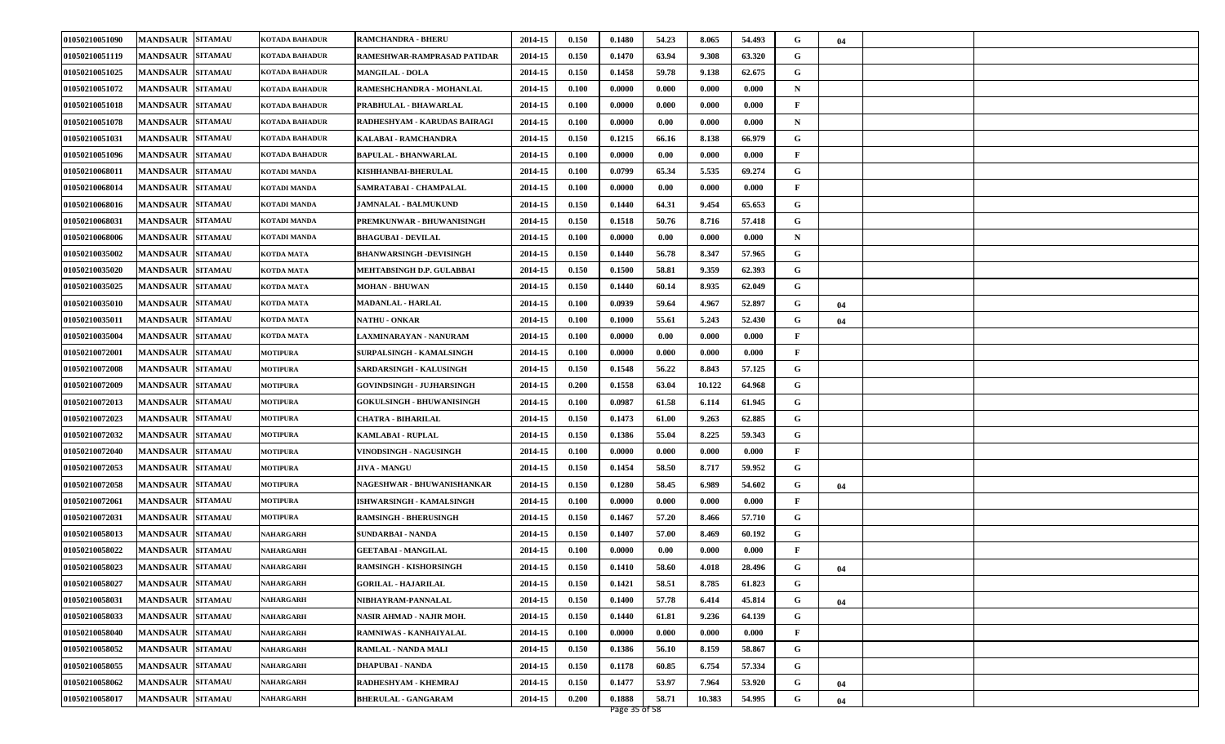| 01050210051090 | <b>MANDSAUR</b><br><b>SITAMAU</b> | KOTADA BAHADUR   | <b>RAMCHANDRA - BHERU</b>        | 2014-15 | 0.150 | 0.1480 | 54.23 | 8.065  | 54.493 | G            | 04 |  |
|----------------|-----------------------------------|------------------|----------------------------------|---------|-------|--------|-------|--------|--------|--------------|----|--|
| 01050210051119 | <b>MANDSAUR</b><br><b>SITAMAU</b> | KOTADA BAHADUR   | RAMESHWAR-RAMPRASAD PATIDAR      | 2014-15 | 0.150 | 0.1470 | 63.94 | 9.308  | 63.320 | G            |    |  |
| 01050210051025 | <b>MANDSAUR</b><br><b>SITAMAU</b> | KOTADA BAHADUR   | <b>MANGILAL - DOLA</b>           | 2014-15 | 0.150 | 0.1458 | 59.78 | 9.138  | 62.675 | G            |    |  |
| 01050210051072 | <b>MANDSAUR</b><br><b>SITAMAU</b> | KOTADA BAHADUR   | RAMESHCHANDRA - MOHANLAL         | 2014-15 | 0.100 | 0.0000 | 0.000 | 0.000  | 0.000  | $\mathbf N$  |    |  |
| 01050210051018 | <b>MANDSAUR</b><br><b>SITAMAU</b> | KOTADA BAHADUR   | PRABHULAL - BHAWARLAL            | 2014-15 | 0.100 | 0.0000 | 0.000 | 0.000  | 0.000  | $\mathbf{F}$ |    |  |
| 01050210051078 | <b>MANDSAUR</b><br><b>SITAMAU</b> | KOTADA BAHADUR   | RADHESHYAM - KARUDAS BAIRAGI     | 2014-15 | 0.100 | 0.0000 | 0.00  | 0.000  | 0.000  | $\mathbf N$  |    |  |
| 01050210051031 | <b>MANDSAUR</b><br><b>SITAMAU</b> | KOTADA BAHADUR   | KALABAI - RAMCHANDRA             | 2014-15 | 0.150 | 0.1215 | 66.16 | 8.138  | 66.979 | G            |    |  |
| 01050210051096 | <b>SITAMAU</b><br><b>MANDSAUR</b> | KOTADA BAHADUR   | <b>BAPULAL - BHANWARLAL</b>      | 2014-15 | 0.100 | 0.0000 | 0.00  | 0.000  | 0.000  | $\mathbf{F}$ |    |  |
| 01050210068011 | <b>MANDSAUR</b><br><b>SITAMAU</b> | KOTADI MANDA     | <b>KISHHANBAI-BHERULAL</b>       | 2014-15 | 0.100 | 0.0799 | 65.34 | 5.535  | 69.274 | G            |    |  |
| 01050210068014 | <b>MANDSAUR</b><br><b>SITAMAU</b> | KOTADI MANDA     | SAMRATABAI - CHAMPALAL           | 2014-15 | 0.100 | 0.0000 | 0.00  | 0.000  | 0.000  | $\mathbf{F}$ |    |  |
| 01050210068016 | <b>MANDSAUR</b><br><b>SITAMAU</b> | KOTADI MANDA     | <b>JAMNALAL - BALMUKUND</b>      | 2014-15 | 0.150 | 0.1440 | 64.31 | 9.454  | 65.653 | G            |    |  |
| 01050210068031 | <b>MANDSAUR</b><br><b>SITAMAU</b> | KOTADI MANDA     | PREMKUNWAR - BHUWANISINGH        | 2014-15 | 0.150 | 0.1518 | 50.76 | 8.716  | 57.418 | G            |    |  |
| 01050210068006 | <b>MANDSAUR</b><br><b>SITAMAU</b> | KOTADI MANDA     | <b>BHAGUBAI - DEVILAL</b>        | 2014-15 | 0.100 | 0.0000 | 0.00  | 0.000  | 0.000  | $\mathbf N$  |    |  |
| 01050210035002 | <b>SITAMAU</b><br><b>MANDSAUR</b> | KOTDA MATA       | <b>BHANWARSINGH -DEVISINGH</b>   | 2014-15 | 0.150 | 0.1440 | 56.78 | 8.347  | 57.965 | G            |    |  |
| 01050210035020 | <b>SITAMAU</b><br><b>MANDSAUR</b> | KOTDA MATA       | MEHTABSINGH D.P. GULABBAI        | 2014-15 | 0.150 | 0.1500 | 58.81 | 9.359  | 62.393 | G            |    |  |
| 01050210035025 | <b>SITAMAU</b><br><b>MANDSAUR</b> | KOTDA MATA       | <b>MOHAN - BHUWAN</b>            | 2014-15 | 0.150 | 0.1440 | 60.14 | 8.935  | 62.049 | G            |    |  |
| 01050210035010 | <b>MANDSAUR</b><br><b>SITAMAU</b> | KOTDA MATA       | <b>MADANLAL - HARLAL</b>         | 2014-15 | 0.100 | 0.0939 | 59.64 | 4.967  | 52.897 | G            | 04 |  |
| 01050210035011 | <b>MANDSAUR</b><br><b>SITAMAU</b> | KOTDA MATA       | <b>NATHU - ONKAR</b>             | 2014-15 | 0.100 | 0.1000 | 55.61 | 5.243  | 52.430 | G            | 04 |  |
| 01050210035004 | <b>MANDSAUR</b><br><b>SITAMAU</b> | KOTDA MATA       | LAXMINARAYAN - NANURAM           | 2014-15 | 0.100 | 0.0000 | 0.00  | 0.000  | 0.000  | $\mathbf{F}$ |    |  |
| 01050210072001 | <b>MANDSAUR</b><br><b>SITAMAU</b> | <b>MOTIPURA</b>  | SURPALSINGH - KAMALSINGH         | 2014-15 | 0.100 | 0.0000 | 0.000 | 0.000  | 0.000  | F            |    |  |
| 01050210072008 | <b>MANDSAUR</b><br><b>SITAMAU</b> | <b>MOTIPURA</b>  | SARDARSINGH - KALUSINGH          | 2014-15 | 0.150 | 0.1548 | 56.22 | 8.843  | 57.125 | G            |    |  |
| 01050210072009 | <b>MANDSAUR</b><br><b>SITAMAU</b> | <b>MOTIPURA</b>  | GOVINDSINGH - JUJHARSINGH        | 2014-15 | 0.200 | 0.1558 | 63.04 | 10.122 | 64.968 | G            |    |  |
| 01050210072013 | <b>MANDSAUR</b><br><b>SITAMAU</b> | <b>MOTIPURA</b>  | <b>GOKULSINGH - BHUWANISINGH</b> | 2014-15 | 0.100 | 0.0987 | 61.58 | 6.114  | 61.945 | G            |    |  |
| 01050210072023 | <b>MANDSAUR</b><br><b>SITAMAU</b> | <b>MOTIPURA</b>  | CHATRA - BIHARILAL               | 2014-15 | 0.150 | 0.1473 | 61.00 | 9.263  | 62.885 | G            |    |  |
| 01050210072032 | <b>MANDSAUR</b><br><b>SITAMAU</b> | <b>MOTIPURA</b>  | KAMLABAI - RUPLAL                | 2014-15 | 0.150 | 0.1386 | 55.04 | 8.225  | 59.343 | G            |    |  |
| 01050210072040 | <b>MANDSAUR</b><br><b>SITAMAU</b> | <b>MOTIPURA</b>  | VINODSINGH - NAGUSINGH           | 2014-15 | 0.100 | 0.0000 | 0.000 | 0.000  | 0.000  | $\mathbf{F}$ |    |  |
| 01050210072053 | <b>MANDSAUR</b><br><b>SITAMAU</b> | <b>MOTIPURA</b>  | <b>JIVA - MANGU</b>              | 2014-15 | 0.150 | 0.1454 | 58.50 | 8.717  | 59.952 | G            |    |  |
| 01050210072058 | <b>MANDSAUR</b><br><b>SITAMAU</b> | <b>MOTIPURA</b>  | NAGESHWAR - BHUWANISHANKAR       | 2014-15 | 0.150 | 0.1280 | 58.45 | 6.989  | 54.602 | G            | 04 |  |
| 01050210072061 | <b>MANDSAUR</b><br><b>SITAMAU</b> | <b>MOTIPURA</b>  | ISHWARSINGH - KAMALSINGH         | 2014-15 | 0.100 | 0.0000 | 0.000 | 0.000  | 0.000  | $\mathbf{F}$ |    |  |
| 01050210072031 | <b>MANDSAUR</b><br><b>SITAMAU</b> | <b>MOTIPURA</b>  | <b>RAMSINGH - BHERUSINGH</b>     | 2014-15 | 0.150 | 0.1467 | 57.20 | 8.466  | 57.710 | G            |    |  |
| 01050210058013 | <b>SITAMAU</b><br><b>MANDSAUR</b> | <b>NAHARGARH</b> | SUNDARBAI - NANDA                | 2014-15 | 0.150 | 0.1407 | 57.00 | 8.469  | 60.192 | G            |    |  |
| 01050210058022 | <b>MANDSAUR</b><br><b>SITAMAU</b> | <b>NAHARGARH</b> | <b>GEETABAI - MANGILAL</b>       | 2014-15 | 0.100 | 0.0000 | 0.00  | 0.000  | 0.000  | F            |    |  |
| 01050210058023 | <b>MANDSAUR</b><br><b>SITAMAU</b> | <b>NAHARGARH</b> | <b>RAMSINGH - KISHORSINGH</b>    | 2014-15 | 0.150 | 0.1410 | 58.60 | 4.018  | 28.496 | G            | 04 |  |
| 01050210058027 | <b>MANDSAUR SITAMAU</b>           | <b>NAHARGARH</b> | <b>GORILAL - HAJARILAL</b>       | 2014-15 | 0.150 | 0.1421 | 58.51 | 8.785  | 61.823 | G            |    |  |
| 01050210058031 | <b>MANDSAUR</b><br><b>SITAMAU</b> | NAHARGARH        | NIBHAYRAM-PANNALAL               | 2014-15 | 0.150 | 0.1400 | 57.78 | 6.414  | 45.814 | G            | 04 |  |
| 01050210058033 | <b>MANDSAUR</b><br><b>SITAMAU</b> | NAHARGARH        | NASIR AHMAD - NAJIR MOH.         | 2014-15 | 0.150 | 0.1440 | 61.81 | 9.236  | 64.139 | G            |    |  |
| 01050210058040 | <b>MANDSAUR</b><br><b>SITAMAU</b> | NAHARGARH        | RAMNIWAS - KANHAIYALAL           | 2014-15 | 0.100 | 0.0000 | 0.000 | 0.000  | 0.000  | $\mathbf{F}$ |    |  |
| 01050210058052 | <b>SITAMAU</b><br><b>MANDSAUR</b> | NAHARGARH        | RAMLAL - NANDA MALI              | 2014-15 | 0.150 | 0.1386 | 56.10 | 8.159  | 58.867 | G            |    |  |
| 01050210058055 | <b>SITAMAU</b><br><b>MANDSAUR</b> | <b>NAHARGARH</b> | <b>DHAPUBAI - NANDA</b>          | 2014-15 | 0.150 | 0.1178 | 60.85 | 6.754  | 57.334 | G            |    |  |
| 01050210058062 | <b>SITAMAU</b><br><b>MANDSAUR</b> | NAHARGARH        | RADHESHYAM - KHEMRAJ             | 2014-15 | 0.150 | 0.1477 | 53.97 | 7.964  | 53.920 | G            | 04 |  |
| 01050210058017 | <b>MANDSAUR</b><br><b>SITAMAU</b> | NAHARGARH        | <b>BHERULAL - GANGARAM</b>       | 2014-15 | 0.200 | 0.1888 | 58.71 | 10.383 | 54.995 | G            | 04 |  |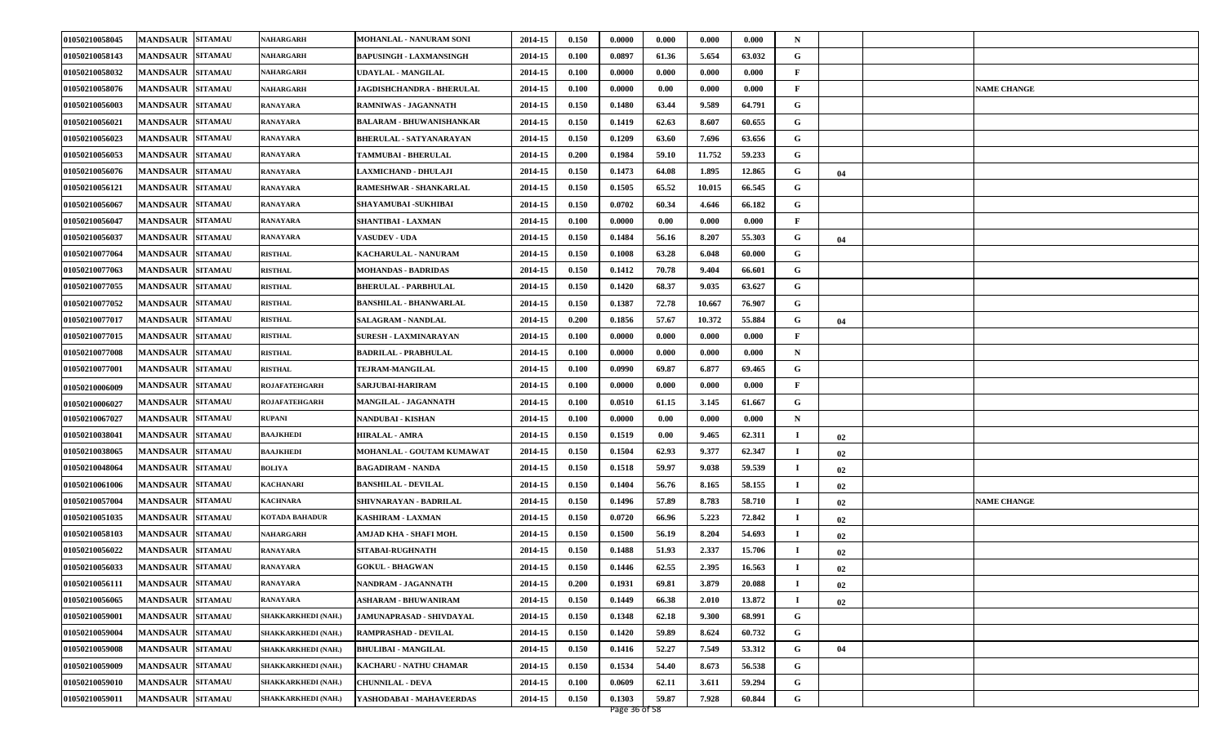| 01050210058045 | <b>MANDSAUR SITAMAU</b>           | NAHARGARH                  | <b>MOHANLAL - NANURAM SONI</b>  | 2014-15 | 0.150 | 0.0000 | 0.000 | 0.000  | 0.000  | N           |    |                    |
|----------------|-----------------------------------|----------------------------|---------------------------------|---------|-------|--------|-------|--------|--------|-------------|----|--------------------|
| 01050210058143 | <b>MANDSAUR SITAMAU</b>           | NAHARGARH                  | <b>BAPUSINGH - LAXMANSINGH</b>  | 2014-15 | 0.100 | 0.0897 | 61.36 | 5.654  | 63.032 | G           |    |                    |
| 01050210058032 | <b>MANDSAUR SITAMAU</b>           | <b>NAHARGARH</b>           | UDAYLAL - MANGILAL              | 2014-15 | 0.100 | 0.0000 | 0.000 | 0.000  | 0.000  | F           |    |                    |
| 01050210058076 | <b>MANDSAUR SITAMAU</b>           | NAHARGARH                  | JAGDISHCHANDRA - BHERULAL       | 2014-15 | 0.100 | 0.0000 | 0.00  | 0.000  | 0.000  | F           |    | <b>NAME CHANGE</b> |
| 01050210056003 | <b>MANDSAUR SITAMAU</b>           | <b>RANAYARA</b>            | RAMNIWAS - JAGANNATH            | 2014-15 | 0.150 | 0.1480 | 63.44 | 9.589  | 64.791 | G           |    |                    |
| 01050210056021 | <b>MANDSAUR SITAMAU</b>           | <b>RANAYARA</b>            | <b>BALARAM - BHUWANISHANKAR</b> | 2014-15 | 0.150 | 0.1419 | 62.63 | 8.607  | 60.655 | G           |    |                    |
| 01050210056023 | <b>MANDSAUR SITAMAU</b>           | <b>RANAYARA</b>            | <b>BHERULAL - SATYANARAYAN</b>  | 2014-15 | 0.150 | 0.1209 | 63.60 | 7.696  | 63.656 | G           |    |                    |
| 01050210056053 | <b>MANDSAUR SITAMAU</b>           | <b>RANAYARA</b>            | <b>TAMMUBAI - BHERULAL</b>      | 2014-15 | 0.200 | 0.1984 | 59.10 | 11.752 | 59.233 | G           |    |                    |
| 01050210056076 | <b>SITAMAU</b><br><b>MANDSAUR</b> | <b>RANAYARA</b>            | LAXMICHAND - DHULAJI            | 2014-15 | 0.150 | 0.1473 | 64.08 | 1.895  | 12.865 | G           | 04 |                    |
| 01050210056121 | <b>SITAMAU</b><br><b>MANDSAUR</b> | <b>RANAYARA</b>            | RAMESHWAR - SHANKARLAL          | 2014-15 | 0.150 | 0.1505 | 65.52 | 10.015 | 66.545 | G           |    |                    |
| 01050210056067 | <b>MANDSAUR SITAMAU</b>           | <b>RANAYARA</b>            | <b>SHAYAMUBAI - SUKHIBAI</b>    | 2014-15 | 0.150 | 0.0702 | 60.34 | 4.646  | 66.182 | G           |    |                    |
| 01050210056047 | <b>MANDSAUR SITAMAU</b>           | RANAYARA                   | SHANTIBAI - LAXMAN              | 2014-15 | 0.100 | 0.0000 | 0.00  | 0.000  | 0.000  | F           |    |                    |
| 01050210056037 | <b>MANDSAUR</b><br><b>SITAMAU</b> | <b>RANAYARA</b>            | <b>VASUDEV - UDA</b>            | 2014-15 | 0.150 | 0.1484 | 56.16 | 8.207  | 55.303 | G           | 04 |                    |
| 01050210077064 | <b>MANDSAUR SITAMAU</b>           | <b>RISTHAL</b>             | <b>KACHARULAL - NANURAM</b>     | 2014-15 | 0.150 | 0.1008 | 63.28 | 6.048  | 60.000 | G           |    |                    |
| 01050210077063 | <b>MANDSAUR SITAMAU</b>           | <b>RISTHAL</b>             | <b>MOHANDAS - BADRIDAS</b>      | 2014-15 | 0.150 | 0.1412 | 70.78 | 9.404  | 66.601 | G           |    |                    |
| 01050210077055 | <b>MANDSAUR SITAMAU</b>           | <b>RISTHAL</b>             | <b>BHERULAL - PARBHULAL</b>     | 2014-15 | 0.150 | 0.1420 | 68.37 | 9.035  | 63.627 | G           |    |                    |
| 01050210077052 | <b>SITAMAU</b><br><b>MANDSAUR</b> | <b>RISTHAL</b>             | <b>BANSHILAL - BHANWARLAL</b>   | 2014-15 | 0.150 | 0.1387 | 72.78 | 10.667 | 76.907 | G           |    |                    |
| 01050210077017 | <b>MANDSAUR SITAMAU</b>           | <b>RISTHAL</b>             | SALAGRAM - NANDLAL              | 2014-15 | 0.200 | 0.1856 | 57.67 | 10.372 | 55.884 | G           | 04 |                    |
| 01050210077015 | <b>MANDSAUR SITAMAU</b>           | <b>RISTHAL</b>             | <b>SURESH - LAXMINARAYAN</b>    | 2014-15 | 0.100 | 0.0000 | 0.000 | 0.000  | 0.000  | F           |    |                    |
| 01050210077008 | <b>SITAMAU</b><br><b>MANDSAUR</b> | <b>RISTHAL</b>             | <b>BADRILAL - PRABHULAL</b>     | 2014-15 | 0.100 | 0.0000 | 0.000 | 0.000  | 0.000  | N           |    |                    |
| 01050210077001 | <b>SITAMAU</b><br><b>MANDSAUR</b> | <b>RISTHAL</b>             | <b>TEJRAM-MANGILAL</b>          | 2014-15 | 0.100 | 0.0990 | 69.87 | 6.877  | 69.465 | G           |    |                    |
| 01050210006009 | <b>MANDSAUR SITAMAU</b>           | <b>ROJAFATEHGARH</b>       | <b>SARJUBAI-HARIRAM</b>         | 2014-15 | 0.100 | 0.0000 | 0.000 | 0.000  | 0.000  | F           |    |                    |
| 01050210006027 | <b>MANDSAUR SITAMAU</b>           | <b>ROJAFATEHGARH</b>       | <b>MANGILAL - JAGANNATH</b>     | 2014-15 | 0.100 | 0.0510 | 61.15 | 3.145  | 61.667 | G           |    |                    |
| 01050210067027 | <b>MANDSAUR SITAMAU</b>           | <b>RUPANI</b>              | NANDUBAI - KISHAN               | 2014-15 | 0.100 | 0.0000 | 0.00  | 0.000  | 0.000  | N           |    |                    |
| 01050210038041 | <b>MANDSAUR</b><br><b>SITAMAU</b> | <b>BAAJKHEDI</b>           | <b>HIRALAL - AMRA</b>           | 2014-15 | 0.150 | 0.1519 | 0.00  | 9.465  | 62.311 | п           | 02 |                    |
| 01050210038065 | <b>MANDSAUR SITAMAU</b>           | <b>BAAJKHEDI</b>           | MOHANLAL - GOUTAM KUMAWAT       | 2014-15 | 0.150 | 0.1504 | 62.93 | 9.377  | 62.347 | $\mathbf I$ | 02 |                    |
| 01050210048064 | <b>MANDSAUR SITAMAU</b>           | <b>BOLIYA</b>              | <b>BAGADIRAM - NANDA</b>        | 2014-15 | 0.150 | 0.1518 | 59.97 | 9.038  | 59.539 |             | 02 |                    |
| 01050210061006 | MANDSAUR SITAMAU                  | <b>KACHANARI</b>           | <b>BANSHILAL - DEVILAL</b>      | 2014-15 | 0.150 | 0.1404 | 56.76 | 8.165  | 58.155 | П           | 02 |                    |
| 01050210057004 | <b>MANDSAUR SITAMAU</b>           | <b>KACHNARA</b>            | SHIVNARAYAN - BADRILAL          | 2014-15 | 0.150 | 0.1496 | 57.89 | 8.783  | 58.710 | $\mathbf I$ | 02 | <b>NAME CHANGE</b> |
| 01050210051035 | <b>MANDSAUR SITAMAU</b>           | <b>KOTADA BAHADUR</b>      | <b>KASHIRAM - LAXMAN</b>        | 2014-15 | 0.150 | 0.0720 | 66.96 | 5.223  | 72.842 | -1          | 02 |                    |
| 01050210058103 | <b>MANDSAUR SITAMAU</b>           | NAHARGARH                  | AMJAD KHA - SHAFI MOH.          | 2014-15 | 0.150 | 0.1500 | 56.19 | 8.204  | 54.693 | п           | 02 |                    |
| 01050210056022 | <b>MANDSAUR</b><br><b>SITAMAU</b> | <b>RANAYARA</b>            | <b>SITABAI-RUGHNATH</b>         | 2014-15 | 0.150 | 0.1488 | 51.93 | 2.337  | 15.706 | П           | 02 |                    |
| 01050210056033 | MANDSAUR SITAMAU                  | <b>RANAYARA</b>            | <b>GOKUL - BHAGWAN</b>          | 2014-15 | 0.150 | 0.1446 | 62.55 | 2.395  | 16.563 |             | 02 |                    |
| 01050210056111 | MANDSAUR SITAMAU                  | <b>RANAYARA</b>            | NANDRAM - JAGANNATH             | 2014-15 | 0.200 | 0.1931 | 69.81 | 3.879  | 20.088 |             | 02 |                    |
| 01050210056065 | <b>MANDSAUR SITAMAU</b>           | <b>RANAYARA</b>            | ASHARAM - BHUWANIRAM            | 2014-15 | 0.150 | 0.1449 | 66.38 | 2.010  | 13.872 |             | 02 |                    |
| 01050210059001 | <b>MANDSAUR SITAMAU</b>           | SHAKKARKHEDI (NAH.)        | JAMUNAPRASAD - SHIVDAYAL        | 2014-15 | 0.150 | 0.1348 | 62.18 | 9.300  | 68.991 | G           |    |                    |
| 01050210059004 | MANDSAUR SITAMAU                  | SHAKKARKHEDI (NAH.)        | RAMPRASHAD - DEVILAL            | 2014-15 | 0.150 | 0.1420 | 59.89 | 8.624  | 60.732 | G           |    |                    |
| 01050210059008 | MANDSAUR SITAMAU                  | SHAKKARKHEDI (NAH.)        | <b>BHULIBAI - MANGILAL</b>      | 2014-15 | 0.150 | 0.1416 | 52.27 | 7.549  | 53.312 | G           | 04 |                    |
| 01050210059009 | <b>MANDSAUR SITAMAU</b>           | SHAKKARKHEDI (NAH.)        | KACHARU - NATHU CHAMAR          | 2014-15 | 0.150 | 0.1534 | 54.40 | 8.673  | 56.538 | G           |    |                    |
| 01050210059010 | <b>SITAMAU</b><br><b>MANDSAUR</b> | SHAKKARKHEDI (NAH.)        | <b>CHUNNILAL - DEVA</b>         | 2014-15 | 0.100 | 0.0609 | 62.11 | 3.611  | 59.294 | G           |    |                    |
| 01050210059011 | <b>MANDSAUR SITAMAU</b>           | <b>SHAKKARKHEDI (NAH.)</b> | YASHODABAI - MAHAVEERDAS        | 2014-15 | 0.150 | 0.1303 | 59.87 | 7.928  | 60.844 | G           |    |                    |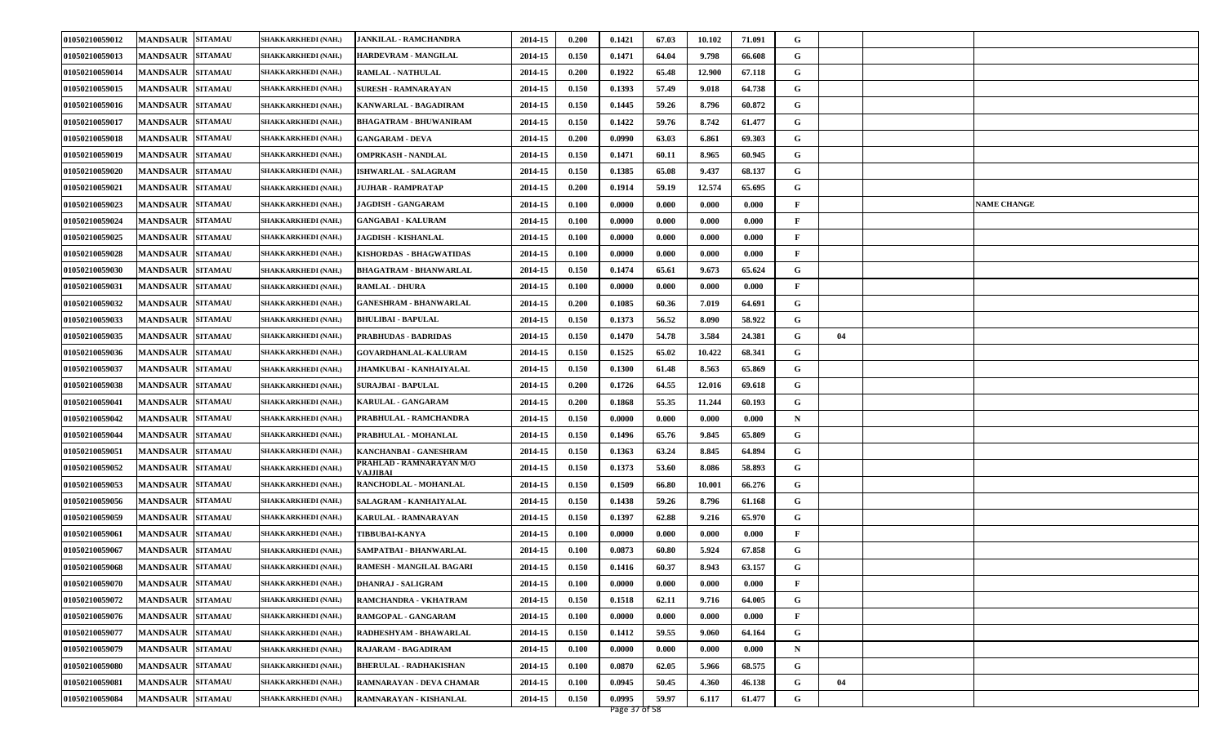| 01050210059012 | <b>MANDSAUR SITAMAU</b>           | SHAKKARKHEDI (NAH.)        | <b>JANKILAL - RAMCHANDRA</b>                 | 2014-15 | 0.200 | 0.1421 | 67.03 | 10.102 | 71.091 | G           |    |                    |
|----------------|-----------------------------------|----------------------------|----------------------------------------------|---------|-------|--------|-------|--------|--------|-------------|----|--------------------|
| 01050210059013 | <b>MANDSAUR SITAMAU</b>           | SHAKKARKHEDI (NAH.)        | HARDEVRAM - MANGILAL                         | 2014-15 | 0.150 | 0.1471 | 64.04 | 9.798  | 66.608 | G           |    |                    |
| 01050210059014 | <b>MANDSAUR SITAMAU</b>           | SHAKKARKHEDI (NAH.)        | <b>RAMLAL - NATHULAL</b>                     | 2014-15 | 0.200 | 0.1922 | 65.48 | 12.900 | 67.118 | G           |    |                    |
| 01050210059015 | <b>MANDSAUR SITAMAU</b>           | SHAKKARKHEDI (NAH.)        | <b>SURESH - RAMNARAYAN</b>                   | 2014-15 | 0.150 | 0.1393 | 57.49 | 9.018  | 64.738 | G           |    |                    |
| 01050210059016 | <b>MANDSAUR SITAMAU</b>           | SHAKKARKHEDI (NAH.)        | KANWARLAL - BAGADIRAM                        | 2014-15 | 0.150 | 0.1445 | 59.26 | 8.796  | 60.872 | G           |    |                    |
| 01050210059017 | <b>MANDSAUR SITAMAU</b>           | SHAKKARKHEDI (NAH.)        | <b>BHAGATRAM - BHUWANIRAM</b>                | 2014-15 | 0.150 | 0.1422 | 59.76 | 8.742  | 61.477 | G           |    |                    |
| 01050210059018 | <b>MANDSAUR SITAMAU</b>           | SHAKKARKHEDI (NAH.)        | <b>GANGARAM - DEVA</b>                       | 2014-15 | 0.200 | 0.0990 | 63.03 | 6.861  | 69.303 | G           |    |                    |
| 01050210059019 | <b>MANDSAUR SITAMAU</b>           | SHAKKARKHEDI (NAH.)        | <b>OMPRKASH - NANDLAL</b>                    | 2014-15 | 0.150 | 0.1471 | 60.11 | 8.965  | 60.945 | G           |    |                    |
| 01050210059020 | <b>SITAMAU</b><br><b>MANDSAUR</b> | SHAKKARKHEDI (NAH.)        | <b>ISHWARLAL - SALAGRAM</b>                  | 2014-15 | 0.150 | 0.1385 | 65.08 | 9.437  | 68.137 | G           |    |                    |
| 01050210059021 | <b>SITAMAU</b><br><b>MANDSAUR</b> | SHAKKARKHEDI (NAH.)        | JUJHAR - RAMPRATAP                           | 2014-15 | 0.200 | 0.1914 | 59.19 | 12.574 | 65.695 | G           |    |                    |
| 01050210059023 | <b>MANDSAUR</b><br><b>SITAMAU</b> | SHAKKARKHEDI (NAH.)        | <b>JAGDISH - GANGARAM</b>                    | 2014-15 | 0.100 | 0.0000 | 0.000 | 0.000  | 0.000  | F           |    | <b>NAME CHANGE</b> |
| 01050210059024 | <b>MANDSAUR SITAMAU</b>           | SHAKKARKHEDI (NAH.)        | <b>GANGABAI - KALURAM</b>                    | 2014-15 | 0.100 | 0.0000 | 0.000 | 0.000  | 0.000  | F           |    |                    |
| 01050210059025 | <b>MANDSAUR</b><br><b>SITAMAU</b> | SHAKKARKHEDI (NAH.)        | JAGDISH - KISHANLAL                          | 2014-15 | 0.100 | 0.0000 | 0.000 | 0.000  | 0.000  | F           |    |                    |
| 01050210059028 | <b>SITAMAU</b><br><b>MANDSAUR</b> | SHAKKARKHEDI (NAH.)        | KISHORDAS - BHAGWATIDAS                      | 2014-15 | 0.100 | 0.0000 | 0.000 | 0.000  | 0.000  | F           |    |                    |
| 01050210059030 | <b>MANDSAUR SITAMAU</b>           | SHAKKARKHEDI (NAH.)        | <b>BHAGATRAM - BHANWARLAL</b>                | 2014-15 | 0.150 | 0.1474 | 65.61 | 9.673  | 65.624 | G           |    |                    |
| 01050210059031 | <b>MANDSAUR SITAMAU</b>           | SHAKKARKHEDI (NAH.)        | <b>RAMLAL - DHURA</b>                        | 2014-15 | 0.100 | 0.0000 | 0.000 | 0.000  | 0.000  | F           |    |                    |
| 01050210059032 | <b>SITAMAU</b><br><b>MANDSAUR</b> | SHAKKARKHEDI (NAH.)        | <b>GANESHRAM - BHANWARLAL</b>                | 2014-15 | 0.200 | 0.1085 | 60.36 | 7.019  | 64.691 | G           |    |                    |
| 01050210059033 | <b>MANDSAUR</b><br><b>SITAMAU</b> | SHAKKARKHEDI (NAH.)        | <b>BHULIBAI - BAPULAL</b>                    | 2014-15 | 0.150 | 0.1373 | 56.52 | 8.090  | 58.922 | G           |    |                    |
| 01050210059035 | <b>MANDSAUR SITAMAU</b>           | SHAKKARKHEDI (NAH.)        | <b>PRABHUDAS - BADRIDAS</b>                  | 2014-15 | 0.150 | 0.1470 | 54.78 | 3.584  | 24.381 | G           | 04 |                    |
| 01050210059036 | <b>SITAMAU</b><br><b>MANDSAUR</b> | SHAKKARKHEDI (NAH.)        | <b>GOVARDHANLAL-KALURAM</b>                  | 2014-15 | 0.150 | 0.1525 | 65.02 | 10.422 | 68.341 | G           |    |                    |
| 01050210059037 | <b>MANDSAUR</b><br><b>SITAMAU</b> | SHAKKARKHEDI (NAH.)        | <b>JHAMKUBAI - KANHAIYALAL</b>               | 2014-15 | 0.150 | 0.1300 | 61.48 | 8.563  | 65.869 | G           |    |                    |
| 01050210059038 | <b>MANDSAUR SITAMAU</b>           | SHAKKARKHEDI (NAH.)        | <b>SURAJBAI - BAPULAL</b>                    | 2014-15 | 0.200 | 0.1726 | 64.55 | 12.016 | 69.618 | G           |    |                    |
| 01050210059041 | <b>MANDSAUR SITAMAU</b>           | SHAKKARKHEDI (NAH.)        | <b>KARULAL - GANGARAM</b>                    | 2014-15 | 0.200 | 0.1868 | 55.35 | 11.244 | 60.193 | G           |    |                    |
| 01050210059042 | <b>MANDSAUR SITAMAU</b>           | SHAKKARKHEDI (NAH.)        | PRABHULAL - RAMCHANDRA                       | 2014-15 | 0.150 | 0.0000 | 0.000 | 0.000  | 0.000  | N           |    |                    |
| 01050210059044 | <b>MANDSAUR</b><br><b>SITAMAU</b> | SHAKKARKHEDI (NAH.)        | PRABHULAL - MOHANLAL                         | 2014-15 | 0.150 | 0.1496 | 65.76 | 9.845  | 65.809 | G           |    |                    |
| 01050210059051 | <b>MANDSAUR</b><br><b>SITAMAU</b> | SHAKKARKHEDI (NAH.)        | KANCHANBAI - GANESHRAM                       | 2014-15 | 0.150 | 0.1363 | 63.24 | 8.845  | 64.894 | G           |    |                    |
| 01050210059052 | <b>MANDSAUR SITAMAU</b>           | SHAKKARKHEDI (NAH.)        | PRAHLAD - RAMNARAYAN M/O<br><b>VA.LIIBAI</b> | 2014-15 | 0.150 | 0.1373 | 53.60 | 8.086  | 58.893 | G           |    |                    |
| 01050210059053 | <b>MANDSAUR SITAMAU</b>           | SHAKKARKHEDI (NAH.)        | <b>RANCHODLAL - MOHANLAL</b>                 | 2014-15 | 0.150 | 0.1509 | 66.80 | 10.001 | 66.276 | G           |    |                    |
| 01050210059056 | <b>MANDSAUR SITAMAU</b>           | SHAKKARKHEDI (NAH.)        | SALAGRAM - KANHAIYALAL                       | 2014-15 | 0.150 | 0.1438 | 59.26 | 8.796  | 61.168 | G           |    |                    |
| 01050210059059 | <b>MANDSAUR SITAMAU</b>           | SHAKKARKHEDI (NAH.)        | <b>KARULAL - RAMNARAYAN</b>                  | 2014-15 | 0.150 | 0.1397 | 62.88 | 9.216  | 65.970 | G           |    |                    |
| 01050210059061 | <b>MANDSAUR SITAMAU</b>           | SHAKKARKHEDI (NAH.)        | <b>TIBBUBAI-KANYA</b>                        | 2014-15 | 0.100 | 0.0000 | 0.000 | 0.000  | 0.000  | F           |    |                    |
| 01050210059067 | <b>MANDSAUR</b><br><b>SITAMAU</b> | SHAKKARKHEDI (NAH.)        | SAMPATBAI - BHANWARLAL                       | 2014-15 | 0.100 | 0.0873 | 60.80 | 5.924  | 67.858 | G           |    |                    |
| 01050210059068 | MANDSAUR SITAMAU                  | SHAKKARKHEDI (NAH.)        | <b>RAMESH - MANGILAL BAGARI</b>              | 2014-15 | 0.150 | 0.1416 | 60.37 | 8.943  | 63.157 | G           |    |                    |
| 01050210059070 | MANDSAUR SITAMAU                  | SHAKKARKHEDI (NAH.)        | <b>DHANRAJ - SALIGRAM</b>                    | 2014-15 | 0.100 | 0.0000 | 0.000 | 0.000  | 0.000  | F           |    |                    |
| 01050210059072 | <b>MANDSAUR SITAMAU</b>           | SHAKKARKHEDI (NAH.)        | RAMCHANDRA - VKHATRAM                        | 2014-15 | 0.150 | 0.1518 | 62.11 | 9.716  | 64.005 | G           |    |                    |
| 01050210059076 | <b>MANDSAUR SITAMAU</b>           | SHAKKARKHEDI (NAH.)        | RAMGOPAL - GANGARAM                          | 2014-15 | 0.100 | 0.0000 | 0.000 | 0.000  | 0.000  | F           |    |                    |
| 01050210059077 | MANDSAUR SITAMAU                  | SHAKKARKHEDI (NAH.)        | RADHESHYAM - BHAWARLAL                       | 2014-15 | 0.150 | 0.1412 | 59.55 | 9.060  | 64.164 | G           |    |                    |
| 01050210059079 | MANDSAUR SITAMAU                  | <b>SHAKKARKHEDI (NAH.)</b> | RAJARAM - BAGADIRAM                          | 2014-15 | 0.100 | 0.0000 | 0.000 | 0.000  | 0.000  | $\mathbf N$ |    |                    |
| 01050210059080 | <b>MANDSAUR SITAMAU</b>           | SHAKKARKHEDI (NAH.)        | <b>BHERULAL - RADHAKISHAN</b>                | 2014-15 | 0.100 | 0.0870 | 62.05 | 5.966  | 68.575 | G           |    |                    |
| 01050210059081 | <b>SITAMAU</b><br><b>MANDSAUR</b> | SHAKKARKHEDI (NAH.)        | RAMNARAYAN - DEVA CHAMAR                     | 2014-15 | 0.100 | 0.0945 | 50.45 | 4.360  | 46.138 | G           | 04 |                    |
| 01050210059084 | <b>MANDSAUR SITAMAU</b>           | SHAKKARKHEDI (NAH.)        | RAMNARAYAN - KISHANLAL                       | 2014-15 | 0.150 | 0.0995 | 59.97 | 6.117  | 61.477 | G           |    |                    |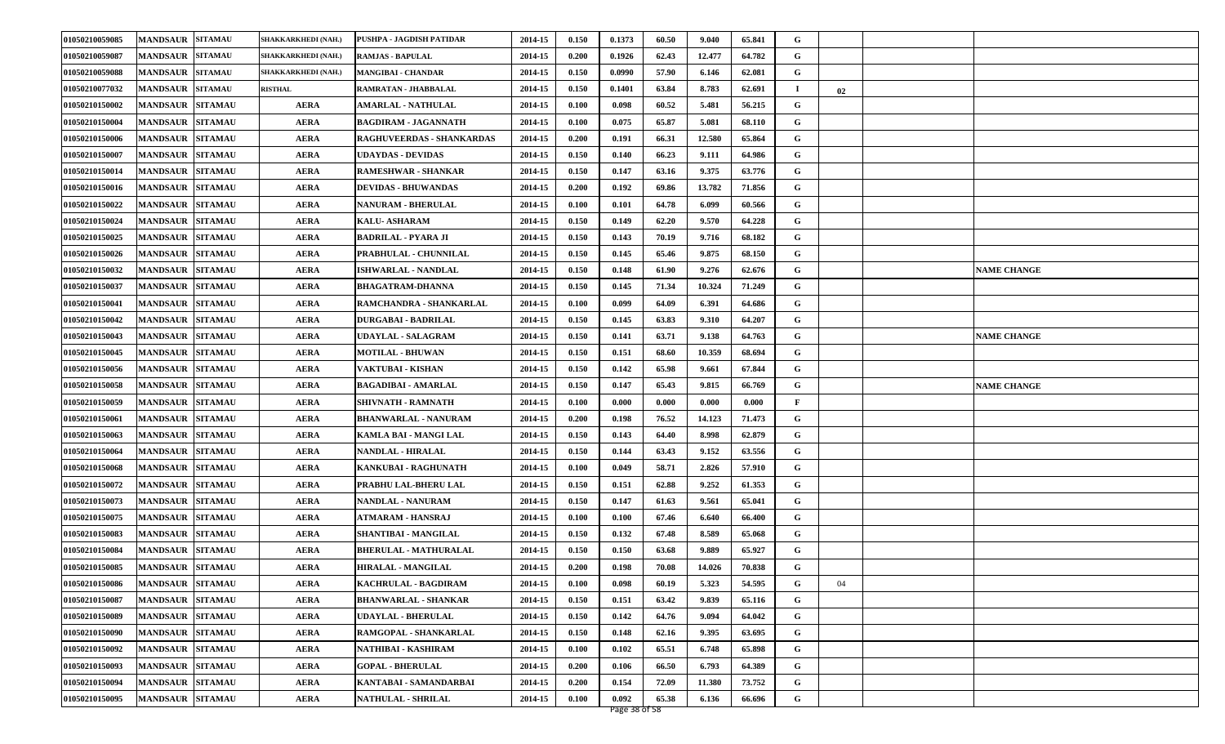| 01050210059085 | <b>MANDSAUR</b><br><b>SITAMAU</b> | SHAKKARKHEDI (NAH.) | PUSHPA - JAGDISH PATIDAR     | 2014-15 | 0.150 | 0.1373 | 60.50 | 9.040  | 65.841 | G           |    |                    |
|----------------|-----------------------------------|---------------------|------------------------------|---------|-------|--------|-------|--------|--------|-------------|----|--------------------|
| 01050210059087 | <b>SITAMAU</b><br><b>MANDSAUR</b> | SHAKKARKHEDI (NAH.) | <b>RAMJAS - BAPULAL</b>      | 2014-15 | 0.200 | 0.1926 | 62.43 | 12.477 | 64.782 | G           |    |                    |
| 01050210059088 | <b>MANDSAUR</b><br><b>SITAMAU</b> | SHAKKARKHEDI (NAH.) | <b>MANGIBAI - CHANDAR</b>    | 2014-15 | 0.150 | 0.0990 | 57.90 | 6.146  | 62.081 | G           |    |                    |
| 01050210077032 | <b>MANDSAUR</b><br><b>SITAMAU</b> | <b>RISTHAL</b>      | RAMRATAN - JHABBALAL         | 2014-15 | 0.150 | 0.1401 | 63.84 | 8.783  | 62.691 | $\mathbf I$ | 02 |                    |
| 01050210150002 | <b>SITAMAU</b><br><b>MANDSAUR</b> | <b>AERA</b>         | <b>AMARLAL - NATHULAL</b>    | 2014-15 | 0.100 | 0.098  | 60.52 | 5.481  | 56.215 | G           |    |                    |
| 01050210150004 | <b>MANDSAUR</b><br><b>SITAMAU</b> | <b>AERA</b>         | <b>BAGDIRAM - JAGANNATH</b>  | 2014-15 | 0.100 | 0.075  | 65.87 | 5.081  | 68.110 | G           |    |                    |
| 01050210150006 | <b>MANDSAUR</b><br><b>SITAMAU</b> | <b>AERA</b>         | RAGHUVEERDAS - SHANKARDAS    | 2014-15 | 0.200 | 0.191  | 66.31 | 12.580 | 65.864 | G           |    |                    |
| 01050210150007 | <b>MANDSAUR</b><br><b>SITAMAU</b> | <b>AERA</b>         | UDAYDAS - DEVIDAS            | 2014-15 | 0.150 | 0.140  | 66.23 | 9.111  | 64.986 | G           |    |                    |
| 01050210150014 | <b>MANDSAUR</b><br><b>SITAMAU</b> | <b>AERA</b>         | <b>RAMESHWAR - SHANKAR</b>   | 2014-15 | 0.150 | 0.147  | 63.16 | 9.375  | 63.776 | G           |    |                    |
| 01050210150016 | <b>MANDSAUR</b><br><b>SITAMAU</b> | <b>AERA</b>         | <b>DEVIDAS - BHUWANDAS</b>   | 2014-15 | 0.200 | 0.192  | 69.86 | 13.782 | 71.856 | G           |    |                    |
| 01050210150022 | <b>MANDSAUR</b><br><b>SITAMAU</b> | <b>AERA</b>         | <b>NANURAM - BHERULAL</b>    | 2014-15 | 0.100 | 0.101  | 64.78 | 6.099  | 60.566 | G           |    |                    |
| 01050210150024 | <b>MANDSAUR</b><br><b>SITAMAU</b> | <b>AERA</b>         | <b>KALU- ASHARAM</b>         | 2014-15 | 0.150 | 0.149  | 62.20 | 9.570  | 64.228 | G           |    |                    |
| 01050210150025 | <b>MANDSAUR</b><br><b>SITAMAU</b> | <b>AERA</b>         | <b>BADRILAL - PYARA JI</b>   | 2014-15 | 0.150 | 0.143  | 70.19 | 9.716  | 68.182 | G           |    |                    |
| 01050210150026 | <b>MANDSAUR</b><br><b>SITAMAU</b> | <b>AERA</b>         | PRABHULAL - CHUNNILAL        | 2014-15 | 0.150 | 0.145  | 65.46 | 9.875  | 68.150 | G           |    |                    |
| 01050210150032 | <b>MANDSAUR</b><br><b>SITAMAU</b> | <b>AERA</b>         | <b>ISHWARLAL - NANDLAL</b>   | 2014-15 | 0.150 | 0.148  | 61.90 | 9.276  | 62.676 | G           |    | <b>NAME CHANGE</b> |
| 01050210150037 | <b>SITAMAU</b><br><b>MANDSAUR</b> | <b>AERA</b>         | <b>BHAGATRAM-DHANNA</b>      | 2014-15 | 0.150 | 0.145  | 71.34 | 10.324 | 71.249 | G           |    |                    |
| 01050210150041 | <b>MANDSAUR</b><br><b>SITAMAU</b> | <b>AERA</b>         | RAMCHANDRA - SHANKARLAL      | 2014-15 | 0.100 | 0.099  | 64.09 | 6.391  | 64.686 | G           |    |                    |
| 01050210150042 | <b>MANDSAUR</b><br><b>SITAMAU</b> | <b>AERA</b>         | <b>DURGABAI - BADRILAL</b>   | 2014-15 | 0.150 | 0.145  | 63.83 | 9.310  | 64.207 | G           |    |                    |
| 01050210150043 | <b>MANDSAUR</b><br><b>SITAMAU</b> | <b>AERA</b>         | UDAYLAL - SALAGRAM           | 2014-15 | 0.150 | 0.141  | 63.71 | 9.138  | 64.763 | G           |    | <b>NAME CHANGE</b> |
| 01050210150045 | <b>SITAMAU</b><br><b>MANDSAUR</b> | <b>AERA</b>         | <b>MOTILAL - BHUWAN</b>      | 2014-15 | 0.150 | 0.151  | 68.60 | 10.359 | 68.694 | G           |    |                    |
| 01050210150056 | <b>MANDSAUR</b><br><b>SITAMAU</b> | <b>AERA</b>         | VAKTUBAI - KISHAN            | 2014-15 | 0.150 | 0.142  | 65.98 | 9.661  | 67.844 | G           |    |                    |
| 01050210150058 | <b>MANDSAUR</b><br><b>SITAMAU</b> | <b>AERA</b>         | <b>BAGADIBAI - AMARLAL</b>   | 2014-15 | 0.150 | 0.147  | 65.43 | 9.815  | 66.769 | G           |    | <b>NAME CHANGE</b> |
| 01050210150059 | <b>MANDSAUR</b><br><b>SITAMAU</b> | <b>AERA</b>         | <b>SHIVNATH - RAMNATH</b>    | 2014-15 | 0.100 | 0.000  | 0.000 | 0.000  | 0.000  | F           |    |                    |
| 01050210150061 | <b>SITAMAU</b><br><b>MANDSAUR</b> | <b>AERA</b>         | <b>BHANWARLAL - NANURAM</b>  | 2014-15 | 0.200 | 0.198  | 76.52 | 14.123 | 71.473 | G           |    |                    |
| 01050210150063 | <b>MANDSAUR</b><br><b>SITAMAU</b> | <b>AERA</b>         | KAMLA BAI - MANGI LAL        | 2014-15 | 0.150 | 0.143  | 64.40 | 8.998  | 62.879 | G           |    |                    |
| 01050210150064 | <b>MANDSAUR</b><br><b>SITAMAU</b> | <b>AERA</b>         | <b>NANDLAL - HIRALAL</b>     | 2014-15 | 0.150 | 0.144  | 63.43 | 9.152  | 63.556 | G           |    |                    |
| 01050210150068 | <b>MANDSAUR</b><br><b>SITAMAU</b> | <b>AERA</b>         | KANKUBAI - RAGHUNATH         | 2014-15 | 0.100 | 0.049  | 58.71 | 2.826  | 57.910 | G           |    |                    |
| 01050210150072 | <b>SITAMAU</b><br><b>MANDSAUR</b> | <b>AERA</b>         | PRABHU LAL-BHERU LAL         | 2014-15 | 0.150 | 0.151  | 62.88 | 9.252  | 61.353 | G           |    |                    |
| 01050210150073 | <b>MANDSAUR</b><br><b>SITAMAU</b> | <b>AERA</b>         | <b>NANDLAL - NANURAM</b>     | 2014-15 | 0.150 | 0.147  | 61.63 | 9.561  | 65.041 | G           |    |                    |
| 01050210150075 | <b>MANDSAUR</b><br><b>SITAMAU</b> | <b>AERA</b>         | ATMARAM - HANSRAJ            | 2014-15 | 0.100 | 0.100  | 67.46 | 6.640  | 66.400 | G           |    |                    |
| 01050210150083 | <b>MANDSAUR</b><br><b>SITAMAU</b> | <b>AERA</b>         | SHANTIBAI - MANGILAL         | 2014-15 | 0.150 | 0.132  | 67.48 | 8.589  | 65.068 | G           |    |                    |
| 01050210150084 | <b>MANDSAUR</b><br><b>SITAMAU</b> | <b>AERA</b>         | <b>BHERULAL - MATHURALAL</b> | 2014-15 | 0.150 | 0.150  | 63.68 | 9.889  | 65.927 | G           |    |                    |
| 01050210150085 | <b>MANDSAUR SITAMAU</b>           | <b>AERA</b>         | <b>HIRALAL - MANGILAL</b>    | 2014-15 | 0.200 | 0.198  | 70.08 | 14.026 | 70.838 | G           |    |                    |
| 01050210150086 | <b>MANDSAUR SITAMAU</b>           | <b>AERA</b>         | KACHRULAL - BAGDIRAM         | 2014-15 | 0.100 | 0.098  | 60.19 | 5.323  | 54.595 | G           | 04 |                    |
| 01050210150087 | <b>MANDSAUR</b><br><b>SITAMAU</b> | <b>AERA</b>         | <b>BHANWARLAL - SHANKAR</b>  | 2014-15 | 0.150 | 0.151  | 63.42 | 9.839  | 65.116 | G           |    |                    |
| 01050210150089 | <b>MANDSAUR</b><br><b>SITAMAU</b> | <b>AERA</b>         | <b>UDAYLAL - BHERULAL</b>    | 2014-15 | 0.150 | 0.142  | 64.76 | 9.094  | 64.042 | G           |    |                    |
| 01050210150090 | <b>SITAMAU</b><br><b>MANDSAUR</b> | <b>AERA</b>         | RAMGOPAL - SHANKARLAL        | 2014-15 | 0.150 | 0.148  | 62.16 | 9.395  | 63.695 | G           |    |                    |
| 01050210150092 | <b>MANDSAUR</b><br><b>SITAMAU</b> | <b>AERA</b>         | NATHIBAI - KASHIRAM          | 2014-15 | 0.100 | 0.102  | 65.51 | 6.748  | 65.898 | $\mathbf G$ |    |                    |
| 01050210150093 | <b>SITAMAU</b><br><b>MANDSAUR</b> | <b>AERA</b>         | <b>GOPAL - BHERULAL</b>      | 2014-15 | 0.200 | 0.106  | 66.50 | 6.793  | 64.389 | G           |    |                    |
| 01050210150094 | <b>MANDSAUR</b><br><b>SITAMAU</b> | <b>AERA</b>         | KANTABAI - SAMANDARBAI       | 2014-15 | 0.200 | 0.154  | 72.09 | 11.380 | 73.752 | G           |    |                    |
| 01050210150095 | MANDSAUR SITAMAU                  | <b>AERA</b>         | <b>NATHULAL - SHRILAL</b>    | 2014-15 | 0.100 | 0.092  | 65.38 | 6.136  | 66.696 | G           |    |                    |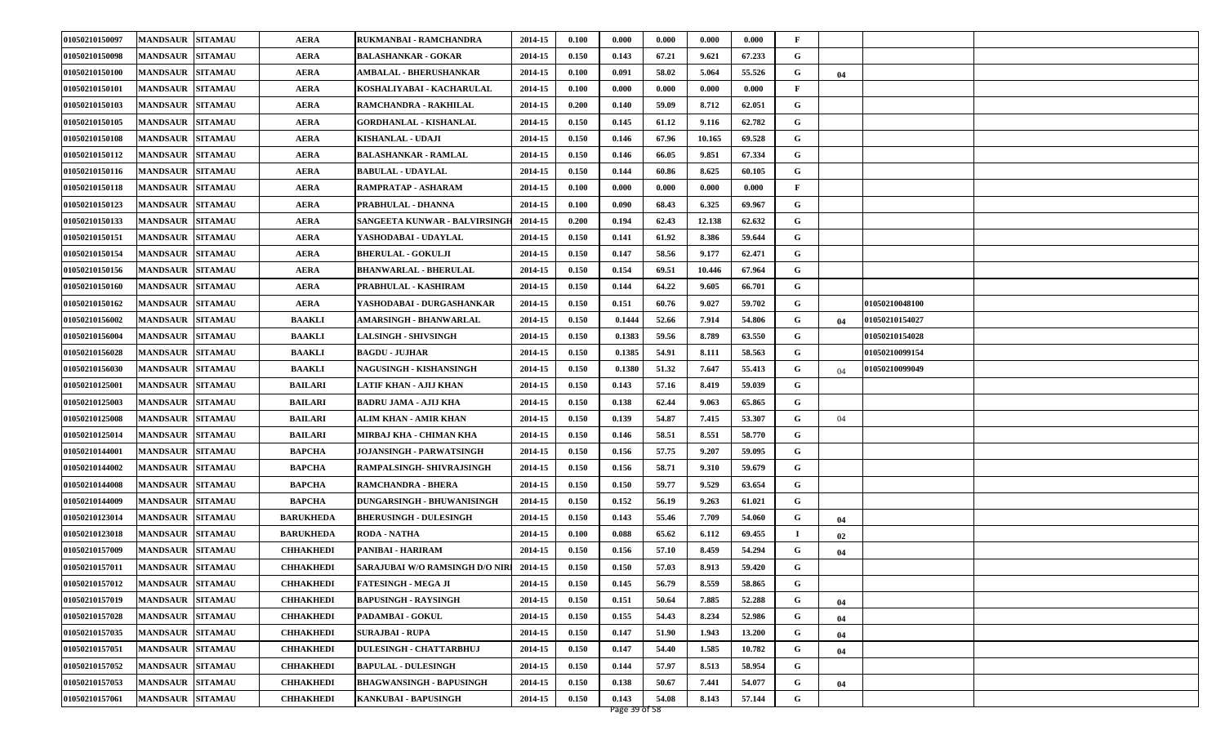| 01050210150097 | <b>MANDSAUR SITAMAU</b>  |                | <b>AERA</b>      | RUKMANBAI - RAMCHANDRA          | 2014-15 | 0.100 | 0.000  | 0.000 | 0.000  | 0.000  | F            |    |                |  |
|----------------|--------------------------|----------------|------------------|---------------------------------|---------|-------|--------|-------|--------|--------|--------------|----|----------------|--|
| 01050210150098 | <b>MANDSAUR</b>          | <b>SITAMAU</b> | <b>AERA</b>      | <b>BALASHANKAR - GOKAR</b>      | 2014-15 | 0.150 | 0.143  | 67.21 | 9.621  | 67.233 | G            |    |                |  |
| 01050210150100 | <b>MANDSAUR</b>          | <b>SITAMAU</b> | <b>AERA</b>      | AMBALAL - BHERUSHANKAR          | 2014-15 | 0.100 | 0.091  | 58.02 | 5.064  | 55.526 | G            | 04 |                |  |
| 01050210150101 | <b>MANDSAUR SITAMAU</b>  |                | <b>AERA</b>      | KOSHALIYABAI - KACHARULAL       | 2014-15 | 0.100 | 0.000  | 0.000 | 0.000  | 0.000  | F            |    |                |  |
| 01050210150103 | <b>MANDSAUR</b>          | <b>SITAMAU</b> | <b>AERA</b>      | RAMCHANDRA - RAKHILAL           | 2014-15 | 0.200 | 0.140  | 59.09 | 8.712  | 62.051 | G            |    |                |  |
| 01050210150105 | <b>MANDSAUR</b>          | <b>SITAMAU</b> | <b>AERA</b>      | <b>GORDHANLAL - KISHANLAL</b>   | 2014-15 | 0.150 | 0.145  | 61.12 | 9.116  | 62.782 | G            |    |                |  |
| 01050210150108 | <b>MANDSAUR</b>          | <b>SITAMAU</b> | <b>AERA</b>      | KISHANLAL - UDAJI               | 2014-15 | 0.150 | 0.146  | 67.96 | 10.165 | 69.528 | G            |    |                |  |
| 01050210150112 | <b>MANDSAUR</b>          | <b>SITAMAU</b> | <b>AERA</b>      | <b>BALASHANKAR - RAMLAL</b>     | 2014-15 | 0.150 | 0.146  | 66.05 | 9.851  | 67.334 | G            |    |                |  |
| 01050210150116 | <b>MANDSAUR</b>          | <b>SITAMAU</b> | <b>AERA</b>      | <b>BABULAL - UDAYLAL</b>        | 2014-15 | 0.150 | 0.144  | 60.86 | 8.625  | 60.105 | G            |    |                |  |
| 01050210150118 | <b>MANDSAUR</b>          | <b>SITAMAU</b> | <b>AERA</b>      | RAMPRATAP - ASHARAM             | 2014-15 | 0.100 | 0.000  | 0.000 | 0.000  | 0.000  | $\mathbf{F}$ |    |                |  |
| 01050210150123 | <b>MANDSAUR</b>          | <b>SITAMAU</b> | <b>AERA</b>      | PRABHULAL - DHANNA              | 2014-15 | 0.100 | 0.090  | 68.43 | 6.325  | 69.967 | G            |    |                |  |
| 01050210150133 | <b>MANDSAUR  SITAMAU</b> |                | <b>AERA</b>      | SANGEETA KUNWAR - BALVIRSINGH   | 2014-15 | 0.200 | 0.194  | 62.43 | 12.138 | 62.632 | G            |    |                |  |
| 01050210150151 | <b>MANDSAUR</b>          | <b>SITAMAU</b> | <b>AERA</b>      | YASHODABAI - UDAYLAL            | 2014-15 | 0.150 | 0.141  | 61.92 | 8.386  | 59.644 | G            |    |                |  |
| 01050210150154 | <b>MANDSAUR</b>          | <b>SITAMAU</b> | <b>AERA</b>      | <b>BHERULAL - GOKULJI</b>       | 2014-15 | 0.150 | 0.147  | 58.56 | 9.177  | 62.471 | G            |    |                |  |
| 01050210150156 | <b>MANDSAUR SITAMAU</b>  |                | <b>AERA</b>      | <b>BHANWARLAL - BHERULAL</b>    | 2014-15 | 0.150 | 0.154  | 69.51 | 10.446 | 67.964 | G            |    |                |  |
| 01050210150160 | <b>MANDSAUR</b>          | <b>SITAMAU</b> | <b>AERA</b>      | PRABHULAL - KASHIRAM            | 2014-15 | 0.150 | 0.144  | 64.22 | 9.605  | 66.701 | G            |    |                |  |
| 01050210150162 | <b>MANDSAUR</b>          | <b>SITAMAU</b> | <b>AERA</b>      | YASHODABAI - DURGASHANKAR       | 2014-15 | 0.150 | 0.151  | 60.76 | 9.027  | 59.702 | G            |    | 01050210048100 |  |
| 01050210156002 | <b>MANDSAUR</b>          | <b>SITAMAU</b> | <b>BAAKLI</b>    | AMARSINGH - BHANWARLAL          | 2014-15 | 0.150 | 0.1444 | 52.66 | 7.914  | 54.806 | G            | 04 | 01050210154027 |  |
| 01050210156004 | <b>MANDSAUR SITAMAU</b>  |                | <b>BAAKLI</b>    | <b>LALSINGH - SHIVSINGH</b>     | 2014-15 | 0.150 | 0.1383 | 59.56 | 8.789  | 63.550 | G            |    | 01050210154028 |  |
| 01050210156028 | <b>MANDSAUR</b>          | <b>SITAMAU</b> | <b>BAAKLI</b>    | <b>BAGDU - JUJHAR</b>           | 2014-15 | 0.150 | 0.1385 | 54.91 | 8.111  | 58.563 | G            |    | 01050210099154 |  |
| 01050210156030 | <b>MANDSAUR</b>          | <b>SITAMAU</b> | <b>BAAKLI</b>    | NAGUSINGH - KISHANSINGH         | 2014-15 | 0.150 | 0.1380 | 51.32 | 7.647  | 55.413 | G            | 04 | 01050210099049 |  |
| 01050210125001 | <b>MANDSAUR</b>          | <b>SITAMAU</b> | <b>BAILARI</b>   | LATIF KHAN - AJIJ KHAN          | 2014-15 | 0.150 | 0.143  | 57.16 | 8.419  | 59.039 | G            |    |                |  |
| 01050210125003 | <b>MANDSAUR SITAMAU</b>  |                | <b>BAILARI</b>   | <b>BADRU JAMA - AJIJ KHA</b>    | 2014-15 | 0.150 | 0.138  | 62.44 | 9.063  | 65.865 | G            |    |                |  |
| 01050210125008 | <b>MANDSAUR</b>          | <b>SITAMAU</b> | <b>BAILARI</b>   | ALIM KHAN - AMIR KHAN           | 2014-15 | 0.150 | 0.139  | 54.87 | 7.415  | 53.307 | G            | 04 |                |  |
| 01050210125014 | <b>MANDSAUR</b>          | <b>SITAMAU</b> | <b>BAILARI</b>   | MIRBAJ KHA - CHIMAN KHA         | 2014-15 | 0.150 | 0.146  | 58.51 | 8.551  | 58.770 | G            |    |                |  |
| 01050210144001 | <b>MANDSAUR</b>          | <b>SITAMAU</b> | <b>BAPCHA</b>    | <b>JOJANSINGH - PARWATSINGH</b> | 2014-15 | 0.150 | 0.156  | 57.75 | 9.207  | 59.095 | G            |    |                |  |
| 01050210144002 | <b>MANDSAUR</b>          | <b>SITAMAU</b> | <b>BAPCHA</b>    | RAMPALSINGH- SHIVRAJSINGH       | 2014-15 | 0.150 | 0.156  | 58.71 | 9.310  | 59.679 | G            |    |                |  |
| 01050210144008 | <b>MANDSAUR</b>          | <b>SITAMAU</b> | <b>BAPCHA</b>    | <b>RAMCHANDRA - BHERA</b>       | 2014-15 | 0.150 | 0.150  | 59.77 | 9.529  | 63.654 | G            |    |                |  |
| 01050210144009 | <b>MANDSAUR SITAMAU</b>  |                | <b>BAPCHA</b>    | DUNGARSINGH - BHUWANISINGH      | 2014-15 | 0.150 | 0.152  | 56.19 | 9.263  | 61.021 | G            |    |                |  |
| 01050210123014 | <b>MANDSAUR</b>          | <b>SITAMAU</b> | <b>BARUKHEDA</b> | <b>BHERUSINGH - DULESINGH</b>   | 2014-15 | 0.150 | 0.143  | 55.46 | 7.709  | 54.060 | G            | 04 |                |  |
| 01050210123018 | <b>MANDSAUR</b>          | <b>SITAMAU</b> | <b>BARUKHEDA</b> | <b>RODA - NATHA</b>             | 2014-15 | 0.100 | 0.088  | 65.62 | 6.112  | 69.455 | -1           | 02 |                |  |
| 01050210157009 | <b>MANDSAUR</b>          | <b>SITAMAU</b> | <b>CHHAKHEDI</b> | PANIBAI - HARIRAM               | 2014-15 | 0.150 | 0.156  | 57.10 | 8.459  | 54.294 | G            | 04 |                |  |
| 01050210157011 | <b>MANDSAUR SITAMAU</b>  |                | <b>CHHAKHEDI</b> | SARAJUBAI W/O RAMSINGH D/O NIRI | 2014-15 | 0.150 | 0.150  | 57.03 | 8.913  | 59.420 | G            |    |                |  |
| 01050210157012 | <b>MANDSAUR SITAMAU</b>  |                | <b>СННАКНЕDI</b> | <b>FATESINGH - MEGA JI</b>      | 2014-15 | 0.150 | 0.145  | 56.79 | 8.559  | 58.865 | G            |    |                |  |
| 01050210157019 | <b>MANDSAUR SITAMAU</b>  |                | <b>СННАКНЕDI</b> | <b>BAPUSINGH - RAYSINGH</b>     | 2014-15 | 0.150 | 0.151  | 50.64 | 7.885  | 52.288 | G            | 04 |                |  |
| 01050210157028 | MANDSAUR SITAMAU         |                | <b>СННАКНЕDI</b> | PADAMBAI - GOKUL                | 2014-15 | 0.150 | 0.155  | 54.43 | 8.234  | 52.986 | G            | 04 |                |  |
| 01050210157035 | MANDSAUR SITAMAU         |                | <b>CHHAKHEDI</b> | <b>SURAJBAI - RUPA</b>          | 2014-15 | 0.150 | 0.147  | 51.90 | 1.943  | 13.200 | G            | 04 |                |  |
| 01050210157051 | <b>MANDSAUR SITAMAU</b>  |                | <b>CHHAKHEDI</b> | <b>DULESINGH - CHATTARBHUJ</b>  | 2014-15 | 0.150 | 0.147  | 54.40 | 1.585  | 10.782 | G            | 04 |                |  |
| 01050210157052 | <b>MANDSAUR SITAMAU</b>  |                | <b>CHHAKHEDI</b> | <b>BAPULAL - DULESINGH</b>      | 2014-15 | 0.150 | 0.144  | 57.97 | 8.513  | 58.954 | G            |    |                |  |
| 01050210157053 | <b>MANDSAUR</b>          | <b>SITAMAU</b> | <b>CHHAKHEDI</b> | <b>BHAGWANSINGH - BAPUSINGH</b> | 2014-15 | 0.150 | 0.138  | 50.67 | 7.441  | 54.077 | G            | 04 |                |  |
| 01050210157061 | MANDSAUR SITAMAU         |                | <b>СННАКНЕDI</b> | <b>KANKUBAI - BAPUSINGH</b>     | 2014-15 | 0.150 | 0.143  | 54.08 | 8.143  | 57.144 | G            |    |                |  |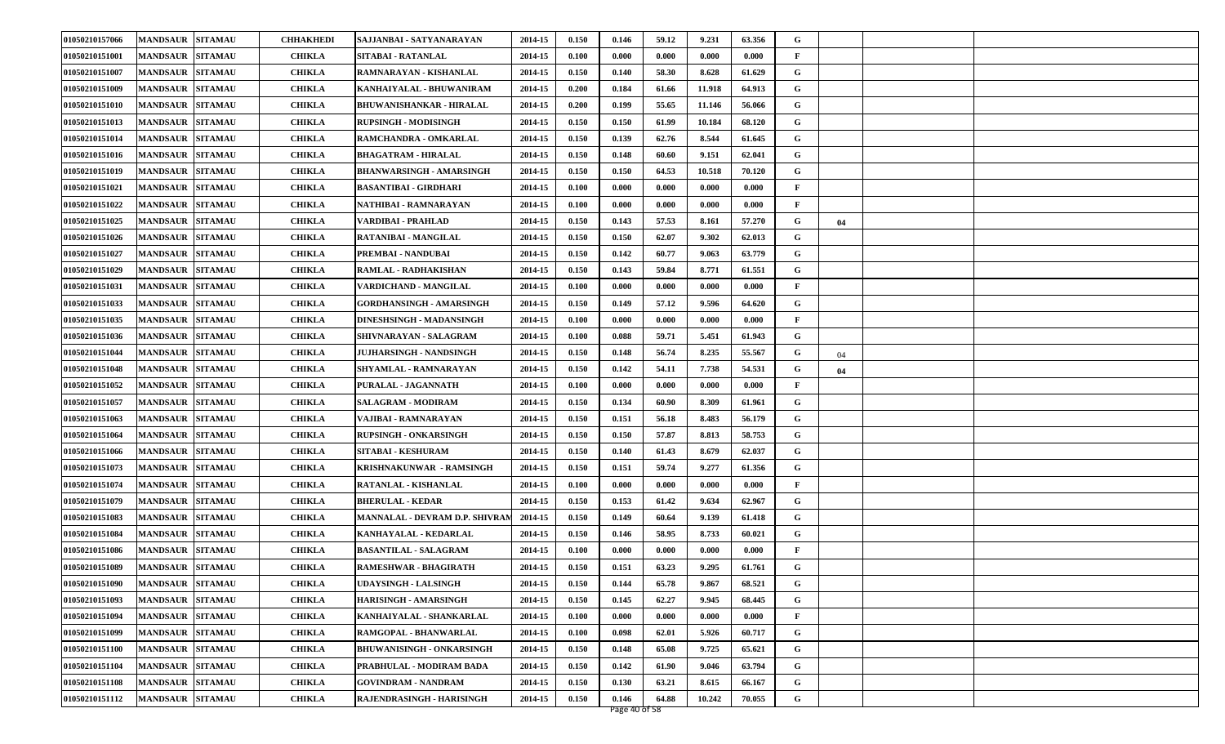| 01050210157066 | <b>MANDSAUR</b>         | <b>SITAMAU</b> | <b>CHHAKHEDI</b> | SAJJANBAI - SATYANARAYAN         | 2014-15 | 0.150 | 0.146 | 59.12 | 9.231  | 63.356 | G            |    |  |
|----------------|-------------------------|----------------|------------------|----------------------------------|---------|-------|-------|-------|--------|--------|--------------|----|--|
| 01050210151001 | <b>MANDSAUR</b>         | <b>SITAMAU</b> | <b>CHIKLA</b>    | SITABAI - RATANLAL               | 2014-15 | 0.100 | 0.000 | 0.000 | 0.000  | 0.000  | $\mathbf{F}$ |    |  |
| 01050210151007 | <b>MANDSAUR</b>         | <b>SITAMAU</b> | <b>CHIKLA</b>    | RAMNARAYAN - KISHANLAL           | 2014-15 | 0.150 | 0.140 | 58.30 | 8.628  | 61.629 | G            |    |  |
| 01050210151009 | <b>MANDSAUR</b>         | <b>SITAMAU</b> | <b>CHIKLA</b>    | KANHAIYALAL - BHUWANIRAM         | 2014-15 | 0.200 | 0.184 | 61.66 | 11.918 | 64.913 | G            |    |  |
| 01050210151010 | <b>MANDSAUR</b>         | <b>SITAMAU</b> | <b>CHIKLA</b>    | <b>BHUWANISHANKAR - HIRALAL</b>  | 2014-15 | 0.200 | 0.199 | 55.65 | 11.146 | 56.066 | G            |    |  |
| 01050210151013 | <b>MANDSAUR</b>         | <b>SITAMAU</b> | <b>CHIKLA</b>    | <b>RUPSINGH - MODISINGH</b>      | 2014-15 | 0.150 | 0.150 | 61.99 | 10.184 | 68.120 | G            |    |  |
| 01050210151014 | <b>MANDSAUR</b>         | <b>SITAMAU</b> | <b>CHIKLA</b>    | RAMCHANDRA - OMKARLAL            | 2014-15 | 0.150 | 0.139 | 62.76 | 8.544  | 61.645 | G            |    |  |
| 01050210151016 | <b>MANDSAUR</b>         | <b>SITAMAU</b> | <b>CHIKLA</b>    | <b>BHAGATRAM - HIRALAL</b>       | 2014-15 | 0.150 | 0.148 | 60.60 | 9.151  | 62.041 | G            |    |  |
| 01050210151019 | <b>MANDSAUR</b>         | <b>SITAMAU</b> | <b>CHIKLA</b>    | BHANWARSINGH - AMARSINGH         | 2014-15 | 0.150 | 0.150 | 64.53 | 10.518 | 70.120 | G            |    |  |
| 01050210151021 | <b>MANDSAUR</b>         | <b>SITAMAU</b> | <b>CHIKLA</b>    | <b>BASANTIBAI - GIRDHARI</b>     | 2014-15 | 0.100 | 0.000 | 0.000 | 0.000  | 0.000  | $\mathbf{F}$ |    |  |
| 01050210151022 | <b>MANDSAUR</b>         | <b>SITAMAU</b> | <b>CHIKLA</b>    | NATHIBAI - RAMNARAYAN            | 2014-15 | 0.100 | 0.000 | 0.000 | 0.000  | 0.000  | $\mathbf{F}$ |    |  |
| 01050210151025 | <b>MANDSAUR</b>         | <b>SITAMAU</b> | <b>CHIKLA</b>    | VARDIBAI - PRAHLAD               | 2014-15 | 0.150 | 0.143 | 57.53 | 8.161  | 57.270 | G            | 04 |  |
| 01050210151026 | <b>MANDSAUR</b>         | <b>SITAMAU</b> | <b>CHIKLA</b>    | RATANIBAI - MANGILAL             | 2014-15 | 0.150 | 0.150 | 62.07 | 9.302  | 62.013 | G            |    |  |
| 01050210151027 | <b>MANDSAUR</b>         | <b>SITAMAU</b> | <b>CHIKLA</b>    | PREMBAI - NANDUBAI               | 2014-15 | 0.150 | 0.142 | 60.77 | 9.063  | 63.779 | G            |    |  |
| 01050210151029 | <b>MANDSAUR</b>         | <b>SITAMAU</b> | <b>CHIKLA</b>    | <b>RAMLAL - RADHAKISHAN</b>      | 2014-15 | 0.150 | 0.143 | 59.84 | 8.771  | 61.551 | G            |    |  |
| 01050210151031 | <b>MANDSAUR</b>         | <b>SITAMAU</b> | <b>CHIKLA</b>    | VARDICHAND - MANGILAL            | 2014-15 | 0.100 | 0.000 | 0.000 | 0.000  | 0.000  | F            |    |  |
| 01050210151033 | <b>MANDSAUR</b>         | <b>SITAMAU</b> | <b>CHIKLA</b>    | GORDHANSINGH - AMARSINGH         | 2014-15 | 0.150 | 0.149 | 57.12 | 9.596  | 64.620 | G            |    |  |
| 01050210151035 | <b>MANDSAUR</b>         | <b>SITAMAU</b> | <b>CHIKLA</b>    | DINESHSINGH - MADANSINGH         | 2014-15 | 0.100 | 0.000 | 0.000 | 0.000  | 0.000  | $\mathbf{F}$ |    |  |
| 01050210151036 | <b>MANDSAUR</b>         | <b>SITAMAU</b> | <b>CHIKLA</b>    | SHIVNARAYAN - SALAGRAM           | 2014-15 | 0.100 | 0.088 | 59.71 | 5.451  | 61.943 | G            |    |  |
| 01050210151044 | <b>MANDSAUR</b>         | <b>SITAMAU</b> | <b>CHIKLA</b>    | <b>JUJHARSINGH - NANDSINGH</b>   | 2014-15 | 0.150 | 0.148 | 56.74 | 8.235  | 55.567 | G            | 04 |  |
| 01050210151048 | <b>MANDSAUR</b>         | <b>SITAMAU</b> | <b>CHIKLA</b>    | SHYAMLAL - RAMNARAYAN            | 2014-15 | 0.150 | 0.142 | 54.11 | 7.738  | 54.531 | G            | 04 |  |
| 01050210151052 | <b>MANDSAUR</b>         | <b>SITAMAU</b> | <b>CHIKLA</b>    | PURALAL - JAGANNATH              | 2014-15 | 0.100 | 0.000 | 0.000 | 0.000  | 0.000  | $\mathbf{F}$ |    |  |
| 01050210151057 | <b>MANDSAUR</b>         | <b>SITAMAU</b> | <b>CHIKLA</b>    | <b>SALAGRAM - MODIRAM</b>        | 2014-15 | 0.150 | 0.134 | 60.90 | 8.309  | 61.961 | G            |    |  |
| 01050210151063 | <b>MANDSAUR</b>         | <b>SITAMAU</b> | <b>CHIKLA</b>    | VAJIBAI - RAMNARAYAN             | 2014-15 | 0.150 | 0.151 | 56.18 | 8.483  | 56.179 | G            |    |  |
| 01050210151064 | <b>MANDSAUR</b>         | <b>SITAMAU</b> | <b>CHIKLA</b>    | RUPSINGH - ONKARSINGH            | 2014-15 | 0.150 | 0.150 | 57.87 | 8.813  | 58.753 | G            |    |  |
| 01050210151066 | <b>MANDSAUR</b>         | <b>SITAMAU</b> | <b>CHIKLA</b>    | SITABAI - KESHURAM               | 2014-15 | 0.150 | 0.140 | 61.43 | 8.679  | 62.037 | G            |    |  |
| 01050210151073 | <b>MANDSAUR</b>         | <b>SITAMAU</b> | <b>CHIKLA</b>    | KRISHNAKUNWAR - RAMSINGH         | 2014-15 | 0.150 | 0.151 | 59.74 | 9.277  | 61.356 | G            |    |  |
| 01050210151074 | <b>MANDSAUR</b>         | <b>SITAMAU</b> | <b>CHIKLA</b>    | RATANLAL - KISHANLAL             | 2014-15 | 0.100 | 0.000 | 0.000 | 0.000  | 0.000  | $\mathbf{F}$ |    |  |
| 01050210151079 | <b>MANDSAUR</b>         | <b>SITAMAU</b> | <b>CHIKLA</b>    | <b>BHERULAL - KEDAR</b>          | 2014-15 | 0.150 | 0.153 | 61.42 | 9.634  | 62.967 | G            |    |  |
| 01050210151083 | <b>MANDSAUR</b>         | <b>SITAMAU</b> | <b>CHIKLA</b>    | MANNALAL - DEVRAM D.P. SHIVRAI   | 2014-15 | 0.150 | 0.149 | 60.64 | 9.139  | 61.418 | G            |    |  |
| 01050210151084 | <b>MANDSAUR</b>         | <b>SITAMAU</b> | <b>CHIKLA</b>    | KANHAYALAL - KEDARLAL            | 2014-15 | 0.150 | 0.146 | 58.95 | 8.733  | 60.021 | G            |    |  |
| 01050210151086 | <b>MANDSAUR</b>         | <b>SITAMAU</b> | <b>CHIKLA</b>    | <b>BASANTILAL - SALAGRAM</b>     | 2014-15 | 0.100 | 0.000 | 0.000 | 0.000  | 0.000  | $\mathbf{F}$ |    |  |
| 01050210151089 | <b>MANDSAUR SITAMAU</b> |                | <b>CHIKLA</b>    | RAMESHWAR - BHAGIRATH            | 2014-15 | 0.150 | 0.151 | 63.23 | 9.295  | 61.761 | G            |    |  |
| 01050210151090 | MANDSAUR SITAMAU        |                | <b>CHIKLA</b>    | <b>UDAYSINGH - LALSINGH</b>      | 2014-15 | 0.150 | 0.144 | 65.78 | 9.867  | 68.521 | G            |    |  |
| 01050210151093 | <b>MANDSAUR</b>         | <b>SITAMAU</b> | <b>CHIKLA</b>    | <b>HARISINGH - AMARSINGH</b>     | 2014-15 | 0.150 | 0.145 | 62.27 | 9.945  | 68.445 | G            |    |  |
| 01050210151094 | <b>MANDSAUR</b>         | <b>SITAMAU</b> | <b>CHIKLA</b>    | KANHAIYALAL - SHANKARLAL         | 2014-15 | 0.100 | 0.000 | 0.000 | 0.000  | 0.000  | $\mathbf{F}$ |    |  |
| 01050210151099 | <b>MANDSAUR</b>         | <b>SITAMAU</b> | <b>CHIKLA</b>    | RAMGOPAL - BHANWARLAL            | 2014-15 | 0.100 | 0.098 | 62.01 | 5.926  | 60.717 | G            |    |  |
| 01050210151100 | <b>MANDSAUR</b>         | <b>SITAMAU</b> | <b>CHIKLA</b>    | <b>BHUWANISINGH - ONKARSINGH</b> | 2014-15 | 0.150 | 0.148 | 65.08 | 9.725  | 65.621 | G            |    |  |
| 01050210151104 | <b>MANDSAUR</b>         | <b>SITAMAU</b> | <b>CHIKLA</b>    | PRABHULAL - MODIRAM BADA         | 2014-15 | 0.150 | 0.142 | 61.90 | 9.046  | 63.794 | G            |    |  |
| 01050210151108 | <b>MANDSAUR</b>         | <b>SITAMAU</b> | <b>CHIKLA</b>    | <b>GOVINDRAM - NANDRAM</b>       | 2014-15 | 0.150 | 0.130 | 63.21 | 8.615  | 66.167 | G            |    |  |
| 01050210151112 | <b>MANDSAUR SITAMAU</b> |                | <b>CHIKLA</b>    | RAJENDRASINGH - HARISINGH        | 2014-15 | 0.150 | 0.146 | 64.88 | 10.242 | 70.055 | G            |    |  |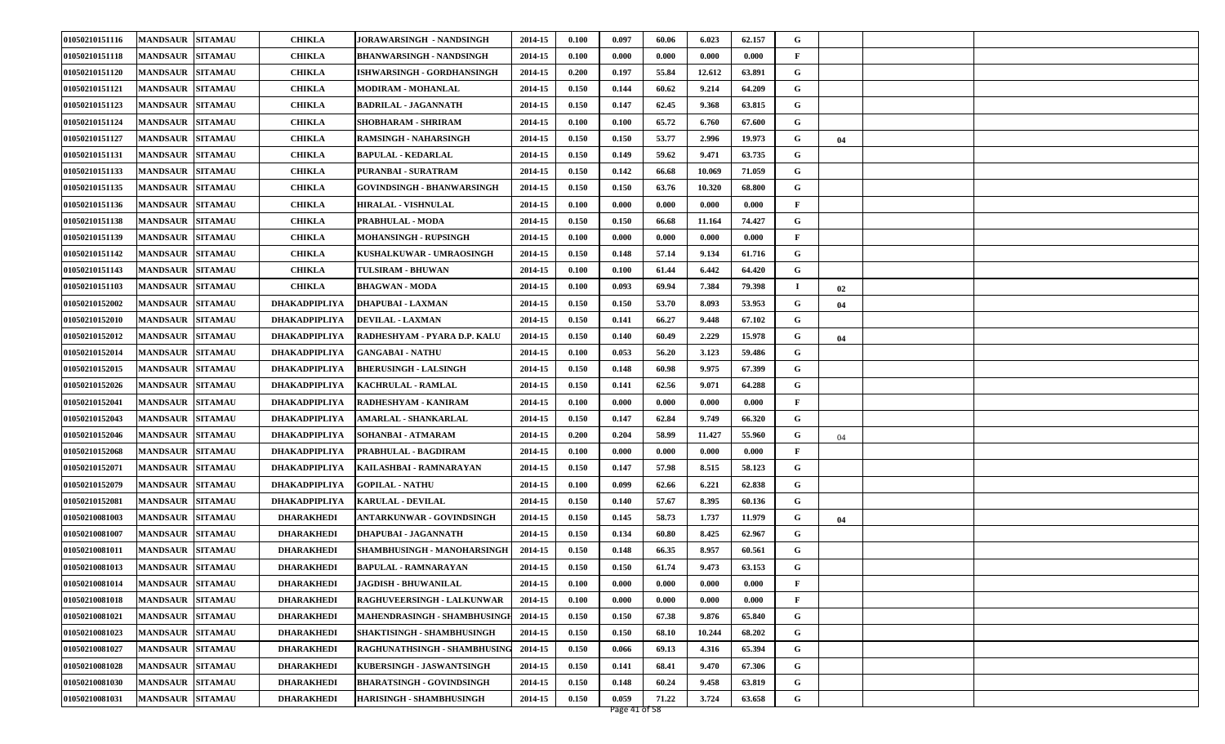| 01050210151116 | <b>MANDSAUR</b>         | <b>SITAMAU</b> | <b>CHIKLA</b>     | JORAWARSINGH - NANDSINGH          | 2014-15 | 0.100 | 0.097 | 60.06 | 6.023  | 62.157 | G            |    |  |
|----------------|-------------------------|----------------|-------------------|-----------------------------------|---------|-------|-------|-------|--------|--------|--------------|----|--|
| 01050210151118 | <b>MANDSAUR</b>         | <b>SITAMAU</b> | <b>CHIKLA</b>     | BHANWARSINGH - NANDSINGH          | 2014-15 | 0.100 | 0.000 | 0.000 | 0.000  | 0.000  | $\mathbf{F}$ |    |  |
| 01050210151120 | <b>MANDSAUR</b>         | <b>SITAMAU</b> | <b>CHIKLA</b>     | ISHWARSINGH - GORDHANSINGH        | 2014-15 | 0.200 | 0.197 | 55.84 | 12.612 | 63.891 | G            |    |  |
| 01050210151121 | <b>MANDSAUR</b>         | <b>SITAMAU</b> | <b>CHIKLA</b>     | <b>MODIRAM - MOHANLAL</b>         | 2014-15 | 0.150 | 0.144 | 60.62 | 9.214  | 64.209 | G            |    |  |
| 01050210151123 | <b>MANDSAUR</b>         | <b>SITAMAU</b> | <b>CHIKLA</b>     | <b>BADRILAL - JAGANNATH</b>       | 2014-15 | 0.150 | 0.147 | 62.45 | 9.368  | 63.815 | G            |    |  |
| 01050210151124 | <b>MANDSAUR</b>         | <b>SITAMAU</b> | <b>CHIKLA</b>     | SHOBHARAM - SHRIRAM               | 2014-15 | 0.100 | 0.100 | 65.72 | 6.760  | 67.600 | G            |    |  |
| 01050210151127 | <b>MANDSAUR</b>         | <b>SITAMAU</b> | <b>CHIKLA</b>     | RAMSINGH - NAHARSINGH             | 2014-15 | 0.150 | 0.150 | 53.77 | 2.996  | 19.973 | G            | 04 |  |
| 01050210151131 | <b>MANDSAUR</b>         | <b>SITAMAU</b> | <b>CHIKLA</b>     | <b>BAPULAL - KEDARLAL</b>         | 2014-15 | 0.150 | 0.149 | 59.62 | 9.471  | 63.735 | G            |    |  |
| 01050210151133 | <b>MANDSAUR</b>         | <b>SITAMAU</b> | <b>CHIKLA</b>     | PURANBAI - SURATRAM               | 2014-15 | 0.150 | 0.142 | 66.68 | 10.069 | 71.059 | G            |    |  |
| 01050210151135 | <b>MANDSAUR</b>         | <b>SITAMAU</b> | <b>CHIKLA</b>     | <b>GOVINDSINGH - BHANWARSINGH</b> | 2014-15 | 0.150 | 0.150 | 63.76 | 10.320 | 68.800 | G            |    |  |
| 01050210151136 | <b>MANDSAUR</b>         | <b>SITAMAU</b> | <b>CHIKLA</b>     | <b>HIRALAL - VISHNULAL</b>        | 2014-15 | 0.100 | 0.000 | 0.000 | 0.000  | 0.000  | $\mathbf{F}$ |    |  |
| 01050210151138 | <b>MANDSAUR</b>         | <b>SITAMAU</b> | <b>CHIKLA</b>     | PRABHULAL - MODA                  | 2014-15 | 0.150 | 0.150 | 66.68 | 11.164 | 74.427 | G            |    |  |
| 01050210151139 | <b>MANDSAUR</b>         | <b>SITAMAU</b> | <b>CHIKLA</b>     | <b>MOHANSINGH - RUPSINGH</b>      | 2014-15 | 0.100 | 0.000 | 0.000 | 0.000  | 0.000  | F            |    |  |
| 01050210151142 | <b>MANDSAUR</b>         | <b>SITAMAU</b> | <b>CHIKLA</b>     | KUSHALKUWAR - UMRAOSINGH          | 2014-15 | 0.150 | 0.148 | 57.14 | 9.134  | 61.716 | G            |    |  |
| 01050210151143 | <b>MANDSAUR</b>         | <b>SITAMAU</b> | <b>CHIKLA</b>     | TULSIRAM - BHUWAN                 | 2014-15 | 0.100 | 0.100 | 61.44 | 6.442  | 64.420 | G            |    |  |
| 01050210151103 | <b>MANDSAUR</b>         | <b>SITAMAU</b> | <b>CHIKLA</b>     | <b>BHAGWAN - MODA</b>             | 2014-15 | 0.100 | 0.093 | 69.94 | 7.384  | 79.398 | п            | 02 |  |
| 01050210152002 | <b>MANDSAUR</b>         | <b>SITAMAU</b> | DHAKADPIPLIYA     | <b>DHAPUBAI - LAXMAN</b>          | 2014-15 | 0.150 | 0.150 | 53.70 | 8.093  | 53.953 | G            | 04 |  |
| 01050210152010 | <b>MANDSAUR</b>         | <b>SITAMAU</b> | DHAKADPIPLIYA     | <b>DEVILAL - LAXMAN</b>           | 2014-15 | 0.150 | 0.141 | 66.27 | 9.448  | 67.102 | G            |    |  |
| 01050210152012 | <b>MANDSAUR</b>         | <b>SITAMAU</b> | DHAKADPIPLIYA     | RADHESHYAM - PYARA D.P. KALU      | 2014-15 | 0.150 | 0.140 | 60.49 | 2.229  | 15.978 | G            | 04 |  |
| 01050210152014 | <b>MANDSAUR</b>         | <b>SITAMAU</b> | DHAKADPIPLIYA     | <b>GANGABAI - NATHU</b>           | 2014-15 | 0.100 | 0.053 | 56.20 | 3.123  | 59.486 | G            |    |  |
| 01050210152015 | <b>MANDSAUR</b>         | <b>SITAMAU</b> | DHAKADPIPLIYA     | <b>BHERUSINGH - LALSINGH</b>      | 2014-15 | 0.150 | 0.148 | 60.98 | 9.975  | 67.399 | G            |    |  |
| 01050210152026 | <b>MANDSAUR</b>         | <b>SITAMAU</b> | DHAKADPIPLIYA     | <b>KACHRULAL - RAMLAL</b>         | 2014-15 | 0.150 | 0.141 | 62.56 | 9.071  | 64.288 | G            |    |  |
| 01050210152041 | <b>MANDSAUR</b>         | <b>SITAMAU</b> | DHAKADPIPLIYA     | RADHESHYAM - KANIRAM              | 2014-15 | 0.100 | 0.000 | 0.000 | 0.000  | 0.000  | F            |    |  |
| 01050210152043 | <b>MANDSAUR</b>         | <b>SITAMAU</b> | DHAKADPIPLIYA     | <b>AMARLAL - SHANKARLAL</b>       | 2014-15 | 0.150 | 0.147 | 62.84 | 9.749  | 66.320 | G            |    |  |
| 01050210152046 | <b>MANDSAUR</b>         | <b>SITAMAU</b> | DHAKADPIPLIYA     | SOHANBAI - ATMARAM                | 2014-15 | 0.200 | 0.204 | 58.99 | 11.427 | 55.960 | G            | 04 |  |
| 01050210152068 | <b>MANDSAUR</b>         | <b>SITAMAU</b> | DHAKADPIPLIYA     | PRABHULAL - BAGDIRAM              | 2014-15 | 0.100 | 0.000 | 0.000 | 0.000  | 0.000  | $\mathbf{F}$ |    |  |
| 01050210152071 | <b>MANDSAUR</b>         | <b>SITAMAU</b> | DHAKADPIPLIYA     | KAILASHBAI - RAMNARAYAN           | 2014-15 | 0.150 | 0.147 | 57.98 | 8.515  | 58.123 | G            |    |  |
| 01050210152079 | <b>MANDSAUR</b>         | <b>SITAMAU</b> | DHAKADPIPLIYA     | <b>GOPILAL - NATHU</b>            | 2014-15 | 0.100 | 0.099 | 62.66 | 6.221  | 62.838 | G            |    |  |
| 01050210152081 | <b>MANDSAUR</b>         | <b>SITAMAU</b> | DHAKADPIPLIYA     | <b>KARULAL - DEVILAL</b>          | 2014-15 | 0.150 | 0.140 | 57.67 | 8.395  | 60.136 | G            |    |  |
| 01050210081003 | <b>MANDSAUR</b>         | <b>SITAMAU</b> | <b>DHARAKHEDI</b> | <b>ANTARKUNWAR - GOVINDSINGH</b>  | 2014-15 | 0.150 | 0.145 | 58.73 | 1.737  | 11.979 | G            | 04 |  |
| 01050210081007 | <b>MANDSAUR</b>         | <b>SITAMAU</b> | <b>DHARAKHEDI</b> | DHAPUBAI - JAGANNATH              | 2014-15 | 0.150 | 0.134 | 60.80 | 8.425  | 62.967 | G            |    |  |
| 01050210081011 | <b>MANDSAUR</b>         | <b>SITAMAU</b> | <b>DHARAKHEDI</b> | SHAMBHUSINGH - MANOHARSINGH       | 2014-15 | 0.150 | 0.148 | 66.35 | 8.957  | 60.561 | G            |    |  |
| 01050210081013 | <b>MANDSAUR SITAMAU</b> |                | <b>DHARAKHEDI</b> | <b>BAPULAL - RAMNARAYAN</b>       | 2014-15 | 0.150 | 0.150 | 61.74 | 9.473  | 63.153 | G            |    |  |
| 01050210081014 | MANDSAUR SITAMAU        |                | <b>DHARAKHEDI</b> | <b>JAGDISH - BHUWANILAL</b>       | 2014-15 | 0.100 | 0.000 | 0.000 | 0.000  | 0.000  | F            |    |  |
| 01050210081018 | <b>MANDSAUR</b>         | <b>SITAMAU</b> | <b>DHARAKHEDI</b> | RAGHUVEERSINGH - LALKUNWAR        | 2014-15 | 0.100 | 0.000 | 0.000 | 0.000  | 0.000  | $\mathbf{F}$ |    |  |
| 01050210081021 | <b>MANDSAUR</b>         | <b>SITAMAU</b> | <b>DHARAKHEDI</b> | MAHENDRASINGH - SHAMBHUSING       | 2014-15 | 0.150 | 0.150 | 67.38 | 9.876  | 65.840 | G            |    |  |
| 01050210081023 | <b>MANDSAUR</b>         | <b>SITAMAU</b> | <b>DHARAKHEDI</b> | SHAKTISINGH - SHAMBHUSINGH        | 2014-15 | 0.150 | 0.150 | 68.10 | 10.244 | 68.202 | G            |    |  |
| 01050210081027 | <b>MANDSAUR</b>         | <b>SITAMAU</b> | <b>DHARAKHEDI</b> | RAGHUNATHSINGH - SHAMBHUSING      | 2014-15 | 0.150 | 0.066 | 69.13 | 4.316  | 65.394 | G            |    |  |
| 01050210081028 | <b>MANDSAUR</b>         | <b>SITAMAU</b> | <b>DHARAKHEDI</b> | KUBERSINGH - JASWANTSINGH         | 2014-15 | 0.150 | 0.141 | 68.41 | 9.470  | 67.306 | G            |    |  |
| 01050210081030 | <b>MANDSAUR</b>         | <b>SITAMAU</b> | <b>DHARAKHEDI</b> | <b>BHARATSINGH - GOVINDSINGH</b>  | 2014-15 | 0.150 | 0.148 | 60.24 | 9.458  | 63.819 | G            |    |  |
| 01050210081031 | <b>MANDSAUR SITAMAU</b> |                | <b>DHARAKHEDI</b> | <b>HARISINGH - SHAMBHUSINGH</b>   | 2014-15 | 0.150 | 0.059 | 71.22 | 3.724  | 63.658 | G            |    |  |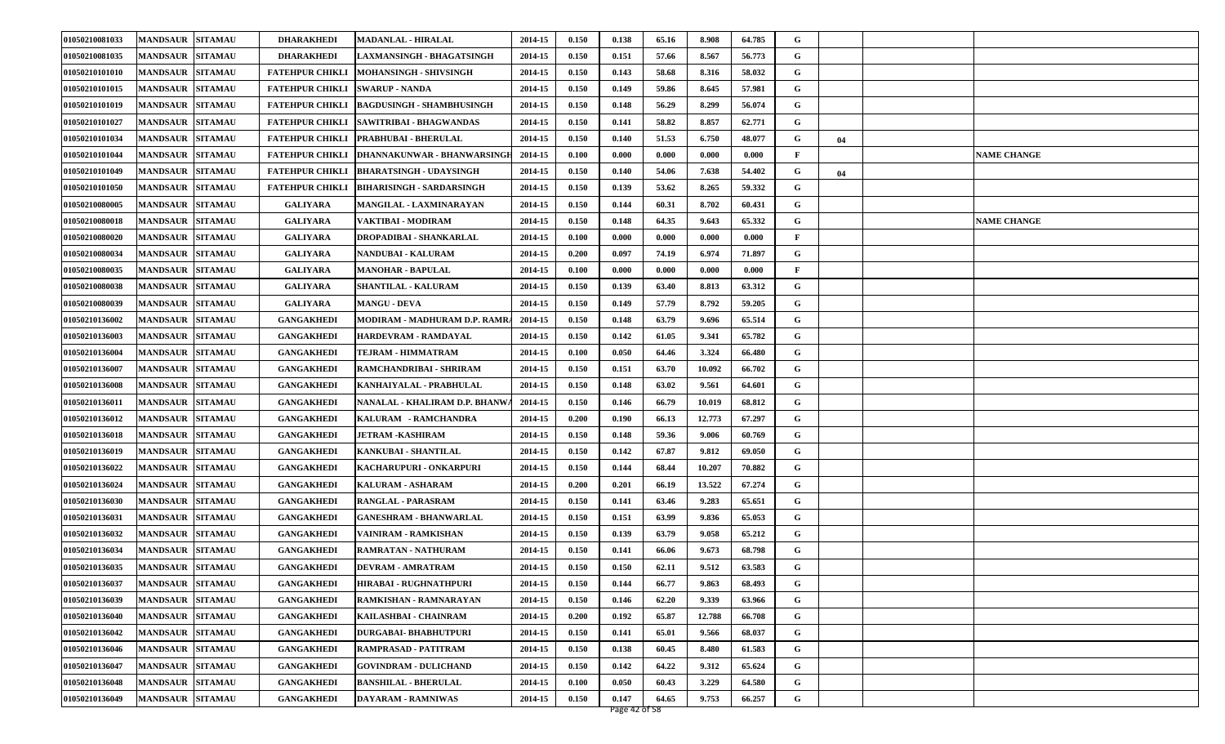| 01050210081033 | <b>MANDSAUR SITAMAU</b>           | <b>DHARAKHEDI</b>      | <b>MADANLAL - HIRALAL</b>        | 2014-15 | 0.150 | 0.138 | 65.16 | 8.908  | 64.785 | G |    |                    |
|----------------|-----------------------------------|------------------------|----------------------------------|---------|-------|-------|-------|--------|--------|---|----|--------------------|
| 01050210081035 | <b>MANDSAUR</b><br><b>SITAMAU</b> | <b>DHARAKHEDI</b>      | <b>LAXMANSINGH - BHAGATSINGH</b> | 2014-15 | 0.150 | 0.151 | 57.66 | 8.567  | 56.773 | G |    |                    |
| 01050210101010 | <b>MANDSAUR</b><br><b>SITAMAU</b> | <b>FATEHPUR CHIKLI</b> | <b>MOHANSINGH - SHIVSINGH</b>    | 2014-15 | 0.150 | 0.143 | 58.68 | 8.316  | 58.032 | G |    |                    |
| 01050210101015 | <b>MANDSAUR</b><br><b>SITAMAU</b> | <b>FATEHPUR CHIKLI</b> | <b>SWARUP - NANDA</b>            | 2014-15 | 0.150 | 0.149 | 59.86 | 8.645  | 57.981 | G |    |                    |
| 01050210101019 | <b>MANDSAUR</b><br><b>SITAMAU</b> | <b>FATEHPUR CHIKLI</b> | <b>BAGDUSINGH - SHAMBHUSINGH</b> | 2014-15 | 0.150 | 0.148 | 56.29 | 8.299  | 56.074 | G |    |                    |
| 01050210101027 | <b>MANDSAUR</b><br><b>SITAMAU</b> | <b>FATEHPUR CHIKLI</b> | SAWITRIBAI - BHAGWANDAS          | 2014-15 | 0.150 | 0.141 | 58.82 | 8.857  | 62.771 | G |    |                    |
| 01050210101034 | <b>MANDSAUR</b><br><b>SITAMAU</b> | <b>FATEHPUR CHIKLI</b> | <b>PRABHUBAI - BHERULAL</b>      | 2014-15 | 0.150 | 0.140 | 51.53 | 6.750  | 48.077 | G | 04 |                    |
| 01050210101044 | <b>MANDSAUR</b><br><b>SITAMAU</b> | <b>FATEHPUR CHIKLI</b> | DHANNAKUNWAR - BHANWARSINGH      | 2014-15 | 0.100 | 0.000 | 0.000 | 0.000  | 0.000  | F |    | <b>NAME CHANGE</b> |
| 01050210101049 | <b>MANDSAUR</b><br><b>SITAMAU</b> | <b>FATEHPUR CHIKLI</b> | <b>BHARATSINGH - UDAYSINGH</b>   | 2014-15 | 0.150 | 0.140 | 54.06 | 7.638  | 54.402 | G | 04 |                    |
| 01050210101050 | <b>MANDSAUR</b><br><b>SITAMAU</b> | <b>FATEHPUR CHIKLI</b> | <b>BIHARISINGH - SARDARSINGH</b> | 2014-15 | 0.150 | 0.139 | 53.62 | 8.265  | 59.332 | G |    |                    |
| 01050210080005 | <b>MANDSAUR</b><br><b>SITAMAU</b> | <b>GALIYARA</b>        | <b>MANGILAL - LAXMINARAYAN</b>   | 2014-15 | 0.150 | 0.144 | 60.31 | 8.702  | 60.431 | G |    |                    |
| 01050210080018 | <b>MANDSAUR</b><br><b>SITAMAU</b> | <b>GALIYARA</b>        | VAKTIBAI - MODIRAM               | 2014-15 | 0.150 | 0.148 | 64.35 | 9.643  | 65.332 | G |    | <b>NAME CHANGE</b> |
| 01050210080020 | <b>MANDSAUR</b><br><b>SITAMAU</b> | <b>GALIYARA</b>        | DROPADIBAI - SHANKARLAL          | 2014-15 | 0.100 | 0.000 | 0.000 | 0.000  | 0.000  | F |    |                    |
| 01050210080034 | <b>MANDSAUR</b><br><b>SITAMAU</b> | <b>GALIYARA</b>        | <b>NANDUBAI - KALURAM</b>        | 2014-15 | 0.200 | 0.097 | 74.19 | 6.974  | 71.897 | G |    |                    |
| 01050210080035 | <b>SITAMAU</b><br><b>MANDSAUR</b> | <b>GALIYARA</b>        | <b>MANOHAR - BAPULAL</b>         | 2014-15 | 0.100 | 0.000 | 0.000 | 0.000  | 0.000  | F |    |                    |
| 01050210080038 | <b>MANDSAUR</b><br><b>SITAMAU</b> | <b>GALIYARA</b>        | <b>SHANTILAL - KALURAM</b>       | 2014-15 | 0.150 | 0.139 | 63.40 | 8.813  | 63.312 | G |    |                    |
| 01050210080039 | <b>MANDSAUR</b><br><b>SITAMAU</b> | <b>GALIYARA</b>        | <b>MANGU - DEVA</b>              | 2014-15 | 0.150 | 0.149 | 57.79 | 8.792  | 59.205 | G |    |                    |
| 01050210136002 | <b>MANDSAUR</b><br><b>SITAMAU</b> | <b>GANGAKHEDI</b>      | MODIRAM - MADHURAM D.P. RAMRA    | 2014-15 | 0.150 | 0.148 | 63.79 | 9.696  | 65.514 | G |    |                    |
| 01050210136003 | <b>MANDSAUR</b><br><b>SITAMAU</b> | <b>GANGAKHEDI</b>      | HARDEVRAM - RAMDAYAL             | 2014-15 | 0.150 | 0.142 | 61.05 | 9.341  | 65.782 | G |    |                    |
| 01050210136004 | <b>SITAMAU</b><br><b>MANDSAUR</b> | <b>GANGAKHEDI</b>      | TEJRAM - HIMMATRAM               | 2014-15 | 0.100 | 0.050 | 64.46 | 3.324  | 66.480 | G |    |                    |
| 01050210136007 | <b>MANDSAUR</b><br><b>SITAMAU</b> | <b>GANGAKHEDI</b>      | RAMCHANDRIBAI - SHRIRAM          | 2014-15 | 0.150 | 0.151 | 63.70 | 10.092 | 66.702 | G |    |                    |
| 01050210136008 | <b>MANDSAUR</b><br><b>SITAMAU</b> | <b>GANGAKHEDI</b>      | KANHAIYALAL - PRABHULAL          | 2014-15 | 0.150 | 0.148 | 63.02 | 9.561  | 64.601 | G |    |                    |
| 01050210136011 | <b>MANDSAUR</b><br><b>SITAMAU</b> | <b>GANGAKHEDI</b>      | NANALAL - KHALIRAM D.P. BHANW    | 2014-15 | 0.150 | 0.146 | 66.79 | 10.019 | 68.812 | G |    |                    |
| 01050210136012 | <b>SITAMAU</b><br><b>MANDSAUR</b> | <b>GANGAKHEDI</b>      | KALURAM - RAMCHANDRA             | 2014-15 | 0.200 | 0.190 | 66.13 | 12.773 | 67.297 | G |    |                    |
| 01050210136018 | <b>MANDSAUR</b><br><b>SITAMAU</b> | <b>GANGAKHEDI</b>      | <b>JETRAM -KASHIRAM</b>          | 2014-15 | 0.150 | 0.148 | 59.36 | 9.006  | 60.769 | G |    |                    |
| 01050210136019 | <b>MANDSAUR</b><br><b>SITAMAU</b> | <b>GANGAKHEDI</b>      | <b>KANKUBAI - SHANTILAL</b>      | 2014-15 | 0.150 | 0.142 | 67.87 | 9.812  | 69.050 | G |    |                    |
| 01050210136022 | <b>MANDSAUR</b><br><b>SITAMAU</b> | <b>GANGAKHEDI</b>      | KACHARUPURI - ONKARPURI          | 2014-15 | 0.150 | 0.144 | 68.44 | 10.207 | 70.882 | G |    |                    |
| 01050210136024 | <b>MANDSAUR</b><br><b>SITAMAU</b> | <b>GANGAKHEDI</b>      | <b>KALURAM - ASHARAM</b>         | 2014-15 | 0.200 | 0.201 | 66.19 | 13.522 | 67.274 | G |    |                    |
| 01050210136030 | <b>MANDSAUR</b><br><b>SITAMAU</b> | <b>GANGAKHEDI</b>      | <b>RANGLAL - PARASRAM</b>        | 2014-15 | 0.150 | 0.141 | 63.46 | 9.283  | 65.651 | G |    |                    |
| 01050210136031 | <b>MANDSAUR</b><br><b>SITAMAU</b> | <b>GANGAKHEDI</b>      | <b>GANESHRAM - BHANWARLAL</b>    | 2014-15 | 0.150 | 0.151 | 63.99 | 9.836  | 65.053 | G |    |                    |
| 01050210136032 | <b>MANDSAUR</b><br><b>SITAMAU</b> | <b>GANGAKHEDI</b>      | VAINIRAM - RAMKISHAN             | 2014-15 | 0.150 | 0.139 | 63.79 | 9.058  | 65.212 | G |    |                    |
| 01050210136034 | <b>SITAMAU</b><br><b>MANDSAUR</b> | <b>GANGAKHEDI</b>      | RAMRATAN - NATHURAM              | 2014-15 | 0.150 | 0.141 | 66.06 | 9.673  | 68.798 | G |    |                    |
| 01050210136035 | <b>MANDSAUR SITAMAU</b>           | <b>GANGAKHEDI</b>      | <b>DEVRAM - AMRATRAM</b>         | 2014-15 | 0.150 | 0.150 | 62.11 | 9.512  | 63.583 | G |    |                    |
| 01050210136037 | <b>MANDSAUR SITAMAU</b>           | <b>GANGAKHEDI</b>      | <b>HIRABAI - RUGHNATHPURI</b>    | 2014-15 | 0.150 | 0.144 | 66.77 | 9.863  | 68.493 | G |    |                    |
| 01050210136039 | <b>MANDSAUR</b><br><b>SITAMAU</b> | <b>GANGAKHEDI</b>      | RAMKISHAN - RAMNARAYAN           | 2014-15 | 0.150 | 0.146 | 62.20 | 9.339  | 63.966 | G |    |                    |
| 01050210136040 | <b>MANDSAUR</b><br><b>SITAMAU</b> | <b>GANGAKHEDI</b>      | KAILASHBAI - CHAINRAM            | 2014-15 | 0.200 | 0.192 | 65.87 | 12.788 | 66.708 | G |    |                    |
| 01050210136042 | <b>SITAMAU</b><br><b>MANDSAUR</b> | <b>GANGAKHEDI</b>      | <b>DURGABAI- BHABHUTPURI</b>     | 2014-15 | 0.150 | 0.141 | 65.01 | 9.566  | 68.037 | G |    |                    |
| 01050210136046 | <b>MANDSAUR</b><br><b>SITAMAU</b> | <b>GANGAKHEDI</b>      | RAMPRASAD - PATITRAM             | 2014-15 | 0.150 | 0.138 | 60.45 | 8.480  | 61.583 | G |    |                    |
| 01050210136047 | <b>SITAMAU</b><br><b>MANDSAUR</b> | <b>GANGAKHEDI</b>      | <b>GOVINDRAM - DULICHAND</b>     | 2014-15 | 0.150 | 0.142 | 64.22 | 9.312  | 65.624 | G |    |                    |
| 01050210136048 | <b>SITAMAU</b><br><b>MANDSAUR</b> | <b>GANGAKHEDI</b>      | <b>BANSHILAL - BHERULAL</b>      | 2014-15 | 0.100 | 0.050 | 60.43 | 3.229  | 64.580 | G |    |                    |
| 01050210136049 | <b>MANDSAUR</b><br><b>SITAMAU</b> | <b>GANGAKHEDI</b>      | DAYARAM - RAMNIWAS               | 2014-15 | 0.150 | 0.147 | 64.65 | 9.753  | 66.257 | G |    |                    |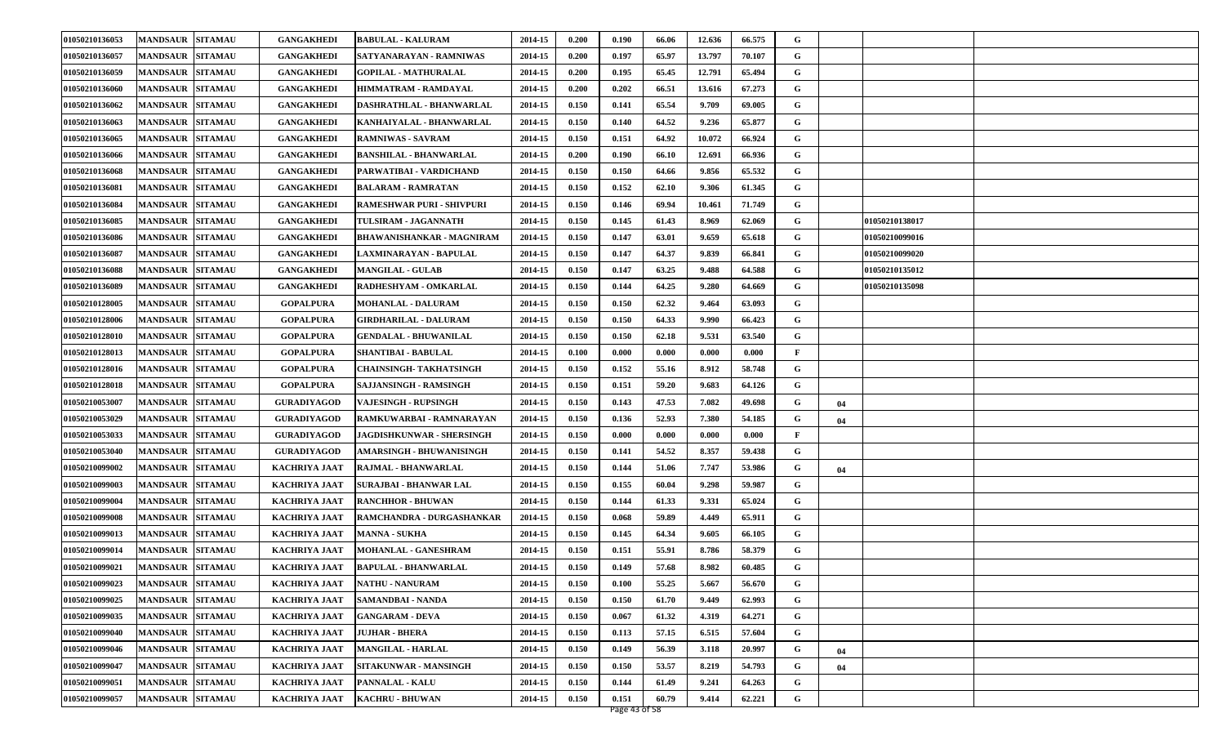| 01050210136053 | <b>MANDSAUR SITAMAU</b>           | <b>GANGAKHEDI</b>    | <b>BABULAL - KALURAM</b>         | 2014-15 | 0.200 | 0.190 | 66.06 | 12.636 | 66.575 | G |    |                |  |
|----------------|-----------------------------------|----------------------|----------------------------------|---------|-------|-------|-------|--------|--------|---|----|----------------|--|
| 01050210136057 | <b>MANDSAUR</b><br><b>SITAMAU</b> | <b>GANGAKHEDI</b>    | SATYANARAYAN - RAMNIWAS          | 2014-15 | 0.200 | 0.197 | 65.97 | 13.797 | 70.107 | G |    |                |  |
| 01050210136059 | <b>MANDSAUR</b><br><b>SITAMAU</b> | <b>GANGAKHEDI</b>    | <b>GOPILAL - MATHURALAL</b>      | 2014-15 | 0.200 | 0.195 | 65.45 | 12.791 | 65.494 | G |    |                |  |
| 01050210136060 | <b>MANDSAUR</b><br><b>SITAMAU</b> | <b>GANGAKHEDI</b>    | HIMMATRAM - RAMDAYAL             | 2014-15 | 0.200 | 0.202 | 66.51 | 13.616 | 67.273 | G |    |                |  |
| 01050210136062 | <b>MANDSAUR</b><br><b>SITAMAU</b> | <b>GANGAKHEDI</b>    | DASHRATHLAL - BHANWARLAL         | 2014-15 | 0.150 | 0.141 | 65.54 | 9.709  | 69.005 | G |    |                |  |
| 01050210136063 | <b>MANDSAUR</b><br><b>SITAMAU</b> | <b>GANGAKHEDI</b>    | KANHAIYALAL - BHANWARLAL         | 2014-15 | 0.150 | 0.140 | 64.52 | 9.236  | 65.877 | G |    |                |  |
| 01050210136065 | <b>MANDSAUR</b><br><b>SITAMAU</b> | <b>GANGAKHEDI</b>    | <b>RAMNIWAS - SAVRAM</b>         | 2014-15 | 0.150 | 0.151 | 64.92 | 10.072 | 66.924 | G |    |                |  |
| 01050210136066 | <b>MANDSAUR</b><br><b>SITAMAU</b> | <b>GANGAKHEDI</b>    | <b>BANSHILAL - BHANWARLAL</b>    | 2014-15 | 0.200 | 0.190 | 66.10 | 12.691 | 66.936 | G |    |                |  |
| 01050210136068 | <b>MANDSAUR</b><br><b>SITAMAU</b> | <b>GANGAKHEDI</b>    | PARWATIBAI - VARDICHAND          | 2014-15 | 0.150 | 0.150 | 64.66 | 9.856  | 65.532 | G |    |                |  |
| 01050210136081 | <b>MANDSAUR</b><br><b>SITAMAU</b> | <b>GANGAKHEDI</b>    | <b>BALARAM - RAMRATAN</b>        | 2014-15 | 0.150 | 0.152 | 62.10 | 9.306  | 61.345 | G |    |                |  |
| 01050210136084 | <b>MANDSAUR</b><br><b>SITAMAU</b> | <b>GANGAKHEDI</b>    | <b>RAMESHWAR PURI - SHIVPURI</b> | 2014-15 | 0.150 | 0.146 | 69.94 | 10.461 | 71.749 | G |    |                |  |
| 01050210136085 | <b>MANDSAUR</b><br><b>SITAMAU</b> | <b>GANGAKHEDI</b>    | TULSIRAM - JAGANNATH             | 2014-15 | 0.150 | 0.145 | 61.43 | 8.969  | 62.069 | G |    | 01050210138017 |  |
| 01050210136086 | <b>MANDSAUR</b><br><b>SITAMAU</b> | <b>GANGAKHEDI</b>    | <b>BHAWANISHANKAR - MAGNIRAM</b> | 2014-15 | 0.150 | 0.147 | 63.01 | 9.659  | 65.618 | G |    | 01050210099016 |  |
| 01050210136087 | <b>MANDSAUR</b><br><b>SITAMAU</b> | <b>GANGAKHEDI</b>    | LAXMINARAYAN - BAPULAL           | 2014-15 | 0.150 | 0.147 | 64.37 | 9.839  | 66.841 | G |    | 01050210099020 |  |
| 01050210136088 | <b>SITAMAU</b><br><b>MANDSAUR</b> | <b>GANGAKHEDI</b>    | <b>MANGILAL - GULAB</b>          | 2014-15 | 0.150 | 0.147 | 63.25 | 9.488  | 64.588 | G |    | 01050210135012 |  |
| 01050210136089 | <b>MANDSAUR</b><br><b>SITAMAU</b> | <b>GANGAKHEDI</b>    | RADHESHYAM - OMKARLAL            | 2014-15 | 0.150 | 0.144 | 64.25 | 9.280  | 64.669 | G |    | 01050210135098 |  |
| 01050210128005 | <b>MANDSAUR</b><br><b>SITAMAU</b> | <b>GOPALPURA</b>     | <b>MOHANLAL - DALURAM</b>        | 2014-15 | 0.150 | 0.150 | 62.32 | 9.464  | 63.093 | G |    |                |  |
| 01050210128006 | <b>MANDSAUR</b><br><b>SITAMAU</b> | <b>GOPALPURA</b>     | <b>GIRDHARILAL - DALURAM</b>     | 2014-15 | 0.150 | 0.150 | 64.33 | 9.990  | 66.423 | G |    |                |  |
| 01050210128010 | <b>MANDSAUR</b><br><b>SITAMAU</b> | <b>GOPALPURA</b>     | <b>GENDALAL - BHUWANILAL</b>     | 2014-15 | 0.150 | 0.150 | 62.18 | 9.531  | 63.540 | G |    |                |  |
| 01050210128013 | <b>SITAMAU</b><br><b>MANDSAUR</b> | <b>GOPALPURA</b>     | <b>SHANTIBAI - BABULAL</b>       | 2014-15 | 0.100 | 0.000 | 0.000 | 0.000  | 0.000  | F |    |                |  |
| 01050210128016 | <b>MANDSAUR</b><br><b>SITAMAU</b> | <b>GOPALPURA</b>     | <b>CHAINSINGH- TAKHATSINGH</b>   | 2014-15 | 0.150 | 0.152 | 55.16 | 8.912  | 58.748 | G |    |                |  |
| 01050210128018 | <b>MANDSAUR</b><br><b>SITAMAU</b> | <b>GOPALPURA</b>     | SAJJANSINGH - RAMSINGH           | 2014-15 | 0.150 | 0.151 | 59.20 | 9.683  | 64.126 | G |    |                |  |
| 01050210053007 | <b>MANDSAUR</b><br><b>SITAMAU</b> | <b>GURADIYAGOD</b>   | VAJESINGH - RUPSINGH             | 2014-15 | 0.150 | 0.143 | 47.53 | 7.082  | 49.698 | G | 04 |                |  |
| 01050210053029 | <b>SITAMAU</b><br><b>MANDSAUR</b> | <b>GURADIYAGOD</b>   | RAMKUWARBAI - RAMNARAYAN         | 2014-15 | 0.150 | 0.136 | 52.93 | 7.380  | 54.185 | G | 04 |                |  |
| 01050210053033 | <b>MANDSAUR</b><br><b>SITAMAU</b> | <b>GURADIYAGOD</b>   | <b>JAGDISHKUNWAR - SHERSINGH</b> | 2014-15 | 0.150 | 0.000 | 0.000 | 0.000  | 0.000  | F |    |                |  |
| 01050210053040 | <b>MANDSAUR</b><br><b>SITAMAU</b> | <b>GURADIYAGOD</b>   | AMARSINGH - BHUWANISINGH         | 2014-15 | 0.150 | 0.141 | 54.52 | 8.357  | 59.438 | G |    |                |  |
| 01050210099002 | <b>MANDSAUR</b><br><b>SITAMAU</b> | <b>KACHRIYA JAAT</b> | <b>RAJMAL - BHANWARLAL</b>       | 2014-15 | 0.150 | 0.144 | 51.06 | 7.747  | 53.986 | G | 04 |                |  |
| 01050210099003 | <b>SITAMAU</b><br><b>MANDSAUR</b> | <b>KACHRIYA JAAT</b> | <b>SURAJBAI - BHANWAR LAL</b>    | 2014-15 | 0.150 | 0.155 | 60.04 | 9.298  | 59.987 | G |    |                |  |
| 01050210099004 | <b>MANDSAUR</b><br><b>SITAMAU</b> | <b>KACHRIYA JAAT</b> | <b>RANCHHOR - BHUWAN</b>         | 2014-15 | 0.150 | 0.144 | 61.33 | 9.331  | 65.024 | G |    |                |  |
| 01050210099008 | <b>MANDSAUR</b><br><b>SITAMAU</b> | <b>KACHRIYA JAAT</b> | RAMCHANDRA - DURGASHANKAR        | 2014-15 | 0.150 | 0.068 | 59.89 | 4.449  | 65.911 | G |    |                |  |
| 01050210099013 | <b>MANDSAUR</b><br><b>SITAMAU</b> | <b>KACHRIYA JAAT</b> | <b>MANNA - SUKHA</b>             | 2014-15 | 0.150 | 0.145 | 64.34 | 9.605  | 66.105 | G |    |                |  |
| 01050210099014 | <b>SITAMAU</b><br><b>MANDSAUR</b> | <b>KACHRIYA JAAT</b> | <b>MOHANLAL - GANESHRAM</b>      | 2014-15 | 0.150 | 0.151 | 55.91 | 8.786  | 58.379 | G |    |                |  |
| 01050210099021 | <b>MANDSAUR SITAMAU</b>           | <b>KACHRIYA JAAT</b> | <b>BAPULAL - BHANWARLAL</b>      | 2014-15 | 0.150 | 0.149 | 57.68 | 8.982  | 60.485 | G |    |                |  |
| 01050210099023 | MANDSAUR SITAMAU                  | KACHRIYA JAAT        | <b>NATHU - NANURAM</b>           | 2014-15 | 0.150 | 0.100 | 55.25 | 5.667  | 56.670 | G |    |                |  |
| 01050210099025 | MANDSAUR SITAMAU                  | <b>KACHRIYA JAAT</b> | SAMANDBAI - NANDA                | 2014-15 | 0.150 | 0.150 | 61.70 | 9.449  | 62.993 | G |    |                |  |
| 01050210099035 | <b>MANDSAUR</b><br><b>SITAMAU</b> | KACHRIYA JAAT        | <b>GANGARAM - DEVA</b>           | 2014-15 | 0.150 | 0.067 | 61.32 | 4.319  | 64.271 | G |    |                |  |
| 01050210099040 | <b>SITAMAU</b><br><b>MANDSAUR</b> | <b>KACHRIYA JAAT</b> | <b>JUJHAR - BHERA</b>            | 2014-15 | 0.150 | 0.113 | 57.15 | 6.515  | 57.604 | G |    |                |  |
| 01050210099046 | <b>MANDSAUR</b><br><b>SITAMAU</b> | <b>KACHRIYA JAAT</b> | <b>MANGILAL - HARLAL</b>         | 2014-15 | 0.150 | 0.149 | 56.39 | 3.118  | 20.997 | G | 04 |                |  |
| 01050210099047 | <b>SITAMAU</b><br><b>MANDSAUR</b> | <b>KACHRIYA JAAT</b> | SITAKUNWAR - MANSINGH            | 2014-15 | 0.150 | 0.150 | 53.57 | 8.219  | 54.793 | G | 04 |                |  |
| 01050210099051 | <b>SITAMAU</b><br><b>MANDSAUR</b> | <b>KACHRIYA JAAT</b> | PANNALAL - KALU                  | 2014-15 | 0.150 | 0.144 | 61.49 | 9.241  | 64.263 | G |    |                |  |
| 01050210099057 | <b>SITAMAU</b><br><b>MANDSAUR</b> | <b>KACHRIYA JAAT</b> | <b>KACHRU - BHUWAN</b>           | 2014-15 | 0.150 | 0.151 | 60.79 | 9.414  | 62.221 | G |    |                |  |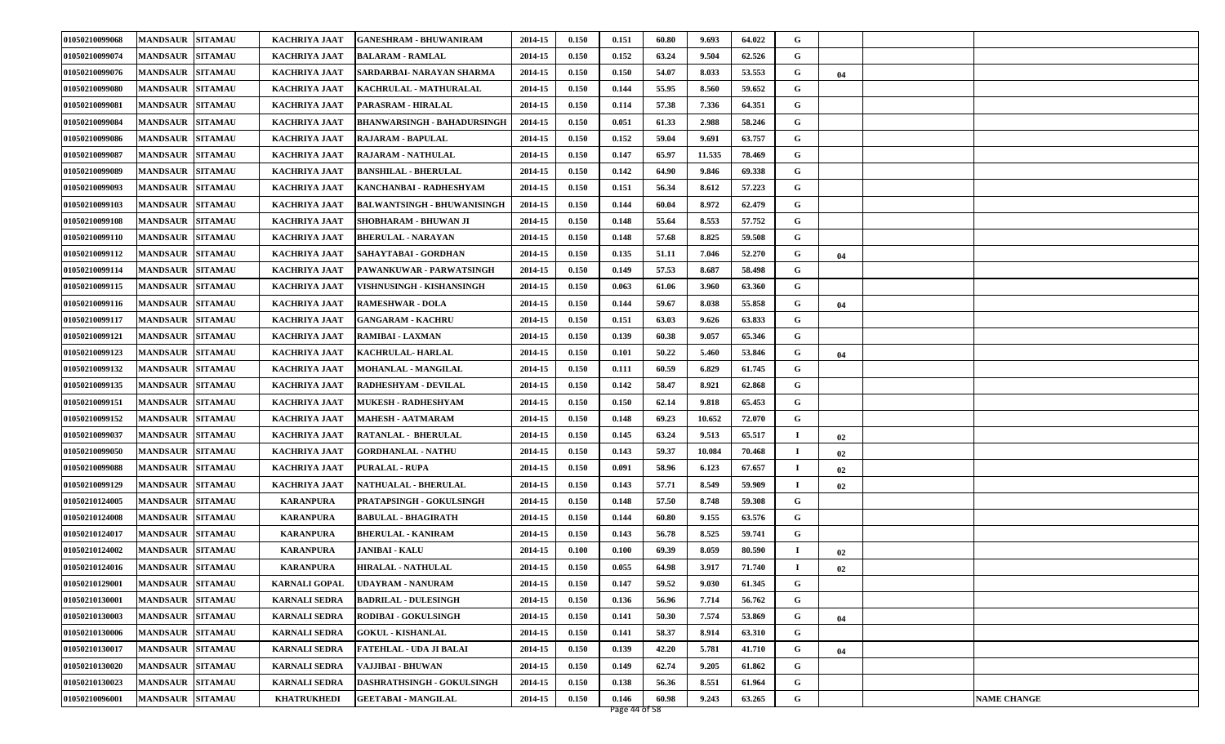| 01050210099068 | <b>MANDSAUR SITAMAU</b>           | <b>KACHRIYA JAAT</b> | <b>GANESHRAM - BHUWANIRAM</b>      | 2014-15 | 0.150 | 0.151 | 60.80 | 9.693  | 64.022 | G  |    |                    |
|----------------|-----------------------------------|----------------------|------------------------------------|---------|-------|-------|-------|--------|--------|----|----|--------------------|
| 01050210099074 | <b>MANDSAUR</b><br><b>SITAMAU</b> | <b>KACHRIYA JAAT</b> | <b>BALARAM - RAMLAL</b>            | 2014-15 | 0.150 | 0.152 | 63.24 | 9.504  | 62.526 | G  |    |                    |
| 01050210099076 | <b>MANDSAUR</b><br><b>SITAMAU</b> | <b>KACHRIYA JAAT</b> | SARDARBAI- NARAYAN SHARMA          | 2014-15 | 0.150 | 0.150 | 54.07 | 8.033  | 53.553 | G  | 04 |                    |
| 01050210099080 | <b>MANDSAUR</b><br><b>SITAMAU</b> | <b>KACHRIYA JAAT</b> | KACHRULAL - MATHURALAL             | 2014-15 | 0.150 | 0.144 | 55.95 | 8.560  | 59.652 | G  |    |                    |
| 01050210099081 | <b>MANDSAUR</b><br><b>SITAMAU</b> | <b>KACHRIYA JAAT</b> | PARASRAM - HIRALAL                 | 2014-15 | 0.150 | 0.114 | 57.38 | 7.336  | 64.351 | G  |    |                    |
| 01050210099084 | <b>MANDSAUR</b><br><b>SITAMAU</b> | <b>KACHRIYA JAAT</b> | <b>BHANWARSINGH - BAHADURSINGE</b> | 2014-15 | 0.150 | 0.051 | 61.33 | 2.988  | 58.246 | G  |    |                    |
| 01050210099086 | <b>MANDSAUR</b><br><b>SITAMAU</b> | <b>KACHRIYA JAAT</b> | <b>RAJARAM - BAPULAL</b>           | 2014-15 | 0.150 | 0.152 | 59.04 | 9.691  | 63.757 | G  |    |                    |
| 01050210099087 | <b>MANDSAUR</b><br><b>SITAMAU</b> | <b>KACHRIYA JAAT</b> | RAJARAM - NATHULAL                 | 2014-15 | 0.150 | 0.147 | 65.97 | 11.535 | 78.469 | G  |    |                    |
| 01050210099089 | <b>MANDSAUR</b><br><b>SITAMAU</b> | <b>KACHRIYA JAAT</b> | <b>BANSHILAL - BHERULAL</b>        | 2014-15 | 0.150 | 0.142 | 64.90 | 9.846  | 69.338 | G  |    |                    |
| 01050210099093 | <b>MANDSAUR</b><br><b>SITAMAU</b> | <b>KACHRIYA JAAT</b> | KANCHANBAI - RADHESHYAM            | 2014-15 | 0.150 | 0.151 | 56.34 | 8.612  | 57.223 | G  |    |                    |
| 01050210099103 | <b>SITAMAU</b><br><b>MANDSAUR</b> | <b>KACHRIYA JAAT</b> | <b>BALWANTSINGH - BHUWANISINGH</b> | 2014-15 | 0.150 | 0.144 | 60.04 | 8.972  | 62.479 | G  |    |                    |
| 01050210099108 | <b>MANDSAUR</b><br><b>SITAMAU</b> | <b>KACHRIYA JAAT</b> | SHOBHARAM - BHUWAN JI              | 2014-15 | 0.150 | 0.148 | 55.64 | 8.553  | 57.752 | G  |    |                    |
| 01050210099110 | <b>MANDSAUR</b><br><b>SITAMAU</b> | <b>KACHRIYA JAAT</b> | <b>BHERULAL - NARAYAN</b>          | 2014-15 | 0.150 | 0.148 | 57.68 | 8.825  | 59.508 | G  |    |                    |
| 01050210099112 | <b>SITAMAU</b><br><b>MANDSAUR</b> | <b>KACHRIYA JAAT</b> | SAHAYTABAI - GORDHAN               | 2014-15 | 0.150 | 0.135 | 51.11 | 7.046  | 52.270 | G  | 04 |                    |
| 01050210099114 | <b>MANDSAUR</b><br><b>SITAMAU</b> | <b>KACHRIYA JAAT</b> | PAWANKUWAR - PARWATSINGH           | 2014-15 | 0.150 | 0.149 | 57.53 | 8.687  | 58.498 | G  |    |                    |
| 01050210099115 | <b>SITAMAU</b><br><b>MANDSAUR</b> | <b>KACHRIYA JAAT</b> | VISHNUSINGH - KISHANSINGH          | 2014-15 | 0.150 | 0.063 | 61.06 | 3.960  | 63.360 | G  |    |                    |
| 01050210099116 | <b>MANDSAUR</b><br><b>SITAMAU</b> | KACHRIYA JAAT        | <b>RAMESHWAR - DOLA</b>            | 2014-15 | 0.150 | 0.144 | 59.67 | 8.038  | 55.858 | G  | 04 |                    |
| 01050210099117 | <b>SITAMAU</b><br><b>MANDSAUR</b> | <b>KACHRIYA JAAT</b> | <b>GANGARAM - KACHRU</b>           | 2014-15 | 0.150 | 0.151 | 63.03 | 9.626  | 63.833 | G  |    |                    |
| 01050210099121 | <b>MANDSAUR</b><br><b>SITAMAU</b> | <b>KACHRIYA JAAT</b> | RAMIBAI - LAXMAN                   | 2014-15 | 0.150 | 0.139 | 60.38 | 9.057  | 65.346 | G  |    |                    |
| 01050210099123 | <b>MANDSAUR</b><br><b>SITAMAU</b> | <b>KACHRIYA JAAT</b> | <b>KACHRULAL-HARLAL</b>            | 2014-15 | 0.150 | 0.101 | 50.22 | 5.460  | 53.846 | G  | 04 |                    |
| 01050210099132 | <b>MANDSAUR</b><br><b>SITAMAU</b> | <b>KACHRIYA JAAT</b> | MOHANLAL - MANGILAL                | 2014-15 | 0.150 | 0.111 | 60.59 | 6.829  | 61.745 | G  |    |                    |
| 01050210099135 | <b>MANDSAUR</b><br><b>SITAMAU</b> | <b>KACHRIYA JAAT</b> | RADHESHYAM - DEVILAL               | 2014-15 | 0.150 | 0.142 | 58.47 | 8.921  | 62.868 | G  |    |                    |
| 01050210099151 | <b>MANDSAUR</b><br><b>SITAMAU</b> | <b>KACHRIYA JAAT</b> | MUKESH - RADHESHYAM                | 2014-15 | 0.150 | 0.150 | 62.14 | 9.818  | 65.453 | G  |    |                    |
| 01050210099152 | <b>MANDSAUR</b><br><b>SITAMAU</b> | <b>KACHRIYA JAAT</b> | <b>MAHESH - AATMARAM</b>           | 2014-15 | 0.150 | 0.148 | 69.23 | 10.652 | 72.070 | G  |    |                    |
| 01050210099037 | <b>MANDSAUR</b><br><b>SITAMAU</b> | <b>KACHRIYA JAAT</b> | RATANLAL - BHERULAL                | 2014-15 | 0.150 | 0.145 | 63.24 | 9.513  | 65.517 | п  | 02 |                    |
| 01050210099050 | <b>MANDSAUR</b><br><b>SITAMAU</b> | <b>KACHRIYA JAAT</b> | <b>GORDHANLAL - NATHU</b>          | 2014-15 | 0.150 | 0.143 | 59.37 | 10.084 | 70.468 | п  | 02 |                    |
| 01050210099088 | <b>MANDSAUR</b><br><b>SITAMAU</b> | <b>KACHRIYA JAAT</b> | <b>PURALAL - RUPA</b>              | 2014-15 | 0.150 | 0.091 | 58.96 | 6.123  | 67.657 | п  | 02 |                    |
| 01050210099129 | <b>MANDSAUR</b><br><b>SITAMAU</b> | <b>KACHRIYA JAAT</b> | NATHUALAL - BHERULAL               | 2014-15 | 0.150 | 0.143 | 57.71 | 8.549  | 59.909 | -1 | 02 |                    |
| 01050210124005 | <b>MANDSAUR</b><br><b>SITAMAU</b> | <b>KARANPURA</b>     | PRATAPSINGH - GOKULSINGH           | 2014-15 | 0.150 | 0.148 | 57.50 | 8.748  | 59.308 | G  |    |                    |
| 01050210124008 | <b>MANDSAUR</b><br><b>SITAMAU</b> | <b>KARANPURA</b>     | <b>BABULAL - BHAGIRATH</b>         | 2014-15 | 0.150 | 0.144 | 60.80 | 9.155  | 63.576 | G  |    |                    |
| 01050210124017 | <b>SITAMAU</b><br><b>MANDSAUR</b> | <b>KARANPURA</b>     | <b>BHERULAL - KANIRAM</b>          | 2014-15 | 0.150 | 0.143 | 56.78 | 8.525  | 59.741 | G  |    |                    |
| 01050210124002 | <b>MANDSAUR</b><br><b>SITAMAU</b> | <b>KARANPURA</b>     | <b>JANIBAI - KALU</b>              | 2014-15 | 0.100 | 0.100 | 69.39 | 8.059  | 80.590 | -1 | 02 |                    |
| 01050210124016 | <b>MANDSAUR SITAMAU</b>           | <b>KARANPURA</b>     | <b>HIRALAL - NATHULAL</b>          | 2014-15 | 0.150 | 0.055 | 64.98 | 3.917  | 71.740 |    | 02 |                    |
| 01050210129001 | MANDSAUR SITAMAU                  | <b>KARNALI GOPAL</b> | <b>UDAYRAM - NANURAM</b>           | 2014-15 | 0.150 | 0.147 | 59.52 | 9.030  | 61.345 | G  |    |                    |
| 01050210130001 | <b>MANDSAUR</b><br><b>SITAMAU</b> | <b>KARNALI SEDRA</b> | <b>BADRILAL - DULESINGH</b>        | 2014-15 | 0.150 | 0.136 | 56.96 | 7.714  | 56.762 | G  |    |                    |
| 01050210130003 | <b>SITAMAU</b><br><b>MANDSAUR</b> | <b>KARNALI SEDRA</b> | RODIBAI - GOKULSINGH               | 2014-15 | 0.150 | 0.141 | 50.30 | 7.574  | 53.869 | G  | 04 |                    |
| 01050210130006 | <b>SITAMAU</b><br><b>MANDSAUR</b> | <b>KARNALI SEDRA</b> | <b>GOKUL - KISHANLAL</b>           | 2014-15 | 0.150 | 0.141 | 58.37 | 8.914  | 63.310 | G  |    |                    |
| 01050210130017 | <b>SITAMAU</b><br><b>MANDSAUR</b> | <b>KARNALI SEDRA</b> | <b>FATEHLAL - UDA JI BALAI</b>     | 2014-15 | 0.150 | 0.139 | 42.20 | 5.781  | 41.710 | G  | 04 |                    |
| 01050210130020 | <b>SITAMAU</b><br><b>MANDSAUR</b> | <b>KARNALI SEDRA</b> | VAJJIBAI - BHUWAN                  | 2014-15 | 0.150 | 0.149 | 62.74 | 9.205  | 61.862 | G  |    |                    |
| 01050210130023 | <b>MANDSAUR</b><br><b>SITAMAU</b> | <b>KARNALI SEDRA</b> | DASHRATHSINGH - GOKULSINGH         | 2014-15 | 0.150 | 0.138 | 56.36 | 8.551  | 61.964 | G  |    |                    |
| 01050210096001 | MANDSAUR SITAMAU                  | <b>KHATRUKHEDI</b>   | <b>GEETABAI - MANGILAL</b>         | 2014-15 | 0.150 | 0.146 | 60.98 | 9.243  | 63.265 | G  |    | <b>NAME CHANGE</b> |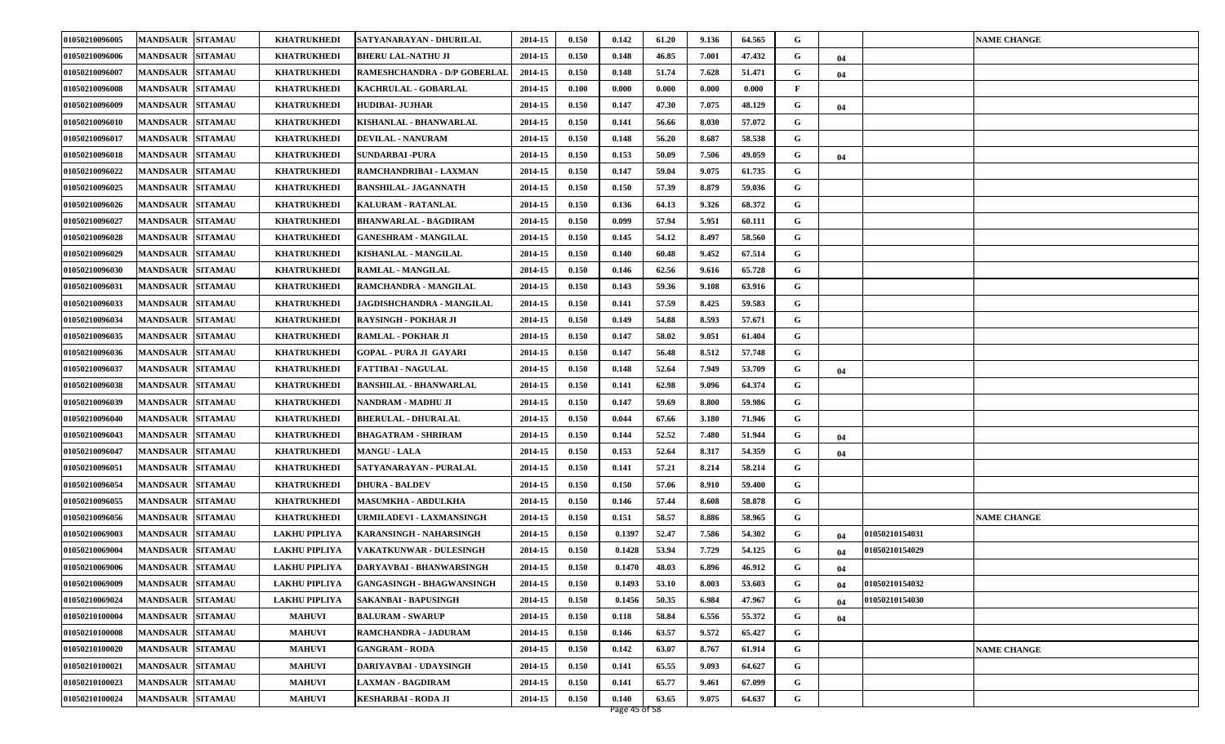| 01050210096005 | <b>MANDSAUR SITAMAU</b>           | <b>KHATRUKHEDI</b>   | SATYANARAYAN - DHURILAL          | 2014-15 | 0.150 | 0.142  | 61.20 | 9.136 | 64.565 | G |    |                | <b>NAME CHANGE</b> |
|----------------|-----------------------------------|----------------------|----------------------------------|---------|-------|--------|-------|-------|--------|---|----|----------------|--------------------|
| 01050210096006 | <b>MANDSAUR</b><br><b>SITAMAU</b> | <b>KHATRUKHEDI</b>   | <b>BHERU LAL-NATHU JI</b>        | 2014-15 | 0.150 | 0.148  | 46.85 | 7.001 | 47.432 | G | 04 |                |                    |
| 01050210096007 | <b>MANDSAUR</b><br><b>SITAMAU</b> | <b>KHATRUKHEDI</b>   | RAMESHCHANDRA - D/P GOBERLAI     | 2014-15 | 0.150 | 0.148  | 51.74 | 7.628 | 51.471 | G | 04 |                |                    |
| 01050210096008 | <b>MANDSAUR</b><br><b>SITAMAU</b> | <b>KHATRUKHEDI</b>   | KACHRULAL - GOBARLAL             | 2014-15 | 0.100 | 0.000  | 0.000 | 0.000 | 0.000  | F |    |                |                    |
| 01050210096009 | <b>SITAMAU</b><br><b>MANDSAUR</b> | <b>KHATRUKHEDI</b>   | <b>HUDIBAI- JUJHAR</b>           | 2014-15 | 0.150 | 0.147  | 47.30 | 7.075 | 48.129 | G | 04 |                |                    |
| 01050210096010 | <b>MANDSAUR</b><br><b>SITAMAU</b> | <b>KHATRUKHEDI</b>   | KISHANLAL - BHANWARLAL           | 2014-15 | 0.150 | 0.141  | 56.66 | 8.030 | 57.072 | G |    |                |                    |
| 01050210096017 | <b>MANDSAUR</b><br><b>SITAMAU</b> | <b>KHATRUKHEDI</b>   | <b>DEVILAL - NANURAM</b>         | 2014-15 | 0.150 | 0.148  | 56.20 | 8.687 | 58.538 | G |    |                |                    |
| 01050210096018 | <b>MANDSAUR</b><br><b>SITAMAU</b> | <b>KHATRUKHEDI</b>   | <b>SUNDARBAI -PURA</b>           | 2014-15 | 0.150 | 0.153  | 50.09 | 7.506 | 49.059 | G | 04 |                |                    |
| 01050210096022 | <b>MANDSAUR</b><br><b>SITAMAU</b> | <b>KHATRUKHEDI</b>   | RAMCHANDRIBAI - LAXMAN           | 2014-15 | 0.150 | 0.147  | 59.04 | 9.075 | 61.735 | G |    |                |                    |
| 01050210096025 | <b>MANDSAUR</b><br><b>SITAMAU</b> | <b>KHATRUKHEDI</b>   | <b>BANSHILAL- JAGANNATH</b>      | 2014-15 | 0.150 | 0.150  | 57.39 | 8.879 | 59.036 | G |    |                |                    |
| 01050210096026 | <b>MANDSAUR</b><br><b>SITAMAU</b> | <b>KHATRUKHEDI</b>   | <b>KALURAM - RATANLAL</b>        | 2014-15 | 0.150 | 0.136  | 64.13 | 9.326 | 68.372 | G |    |                |                    |
| 01050210096027 | <b>MANDSAUR</b><br><b>SITAMAU</b> | <b>KHATRUKHEDI</b>   | <b>BHANWARLAL - BAGDIRAM</b>     | 2014-15 | 0.150 | 0.099  | 57.94 | 5.951 | 60.111 | G |    |                |                    |
| 01050210096028 | <b>MANDSAUR</b><br><b>SITAMAU</b> | <b>KHATRUKHEDI</b>   | <b>GANESHRAM - MANGILAL</b>      | 2014-15 | 0.150 | 0.145  | 54.12 | 8.497 | 58.560 | G |    |                |                    |
| 01050210096029 | <b>SITAMAU</b><br><b>MANDSAUR</b> | <b>KHATRUKHEDI</b>   | KISHANLAL - MANGILAL             | 2014-15 | 0.150 | 0.140  | 60.48 | 9.452 | 67.514 | G |    |                |                    |
| 01050210096030 | <b>SITAMAU</b><br><b>MANDSAUR</b> | <b>KHATRUKHEDI</b>   | <b>RAMLAL - MANGILAL</b>         | 2014-15 | 0.150 | 0.146  | 62.56 | 9.616 | 65.728 | G |    |                |                    |
| 01050210096031 | <b>SITAMAU</b><br><b>MANDSAUR</b> | <b>KHATRUKHEDI</b>   | RAMCHANDRA - MANGILAL            | 2014-15 | 0.150 | 0.143  | 59.36 | 9.108 | 63.916 | G |    |                |                    |
| 01050210096033 | <b>MANDSAUR</b><br><b>SITAMAU</b> | <b>KHATRUKHEDI</b>   | <b>JAGDISHCHANDRA - MANGILAL</b> | 2014-15 | 0.150 | 0.141  | 57.59 | 8.425 | 59.583 | G |    |                |                    |
| 01050210096034 | <b>SITAMAU</b><br><b>MANDSAUR</b> | <b>KHATRUKHEDI</b>   | <b>RAYSINGH - POKHAR JI</b>      | 2014-15 | 0.150 | 0.149  | 54.88 | 8.593 | 57.671 | G |    |                |                    |
| 01050210096035 | <b>MANDSAUR</b><br><b>SITAMAU</b> | <b>KHATRUKHEDI</b>   | <b>RAMLAL - POKHAR JI</b>        | 2014-15 | 0.150 | 0.147  | 58.02 | 9.051 | 61.404 | G |    |                |                    |
| 01050210096036 | <b>SITAMAU</b><br><b>MANDSAUR</b> | <b>KHATRUKHEDI</b>   | <b>GOPAL - PURA JI GAYARI</b>    | 2014-15 | 0.150 | 0.147  | 56.48 | 8.512 | 57.748 | G |    |                |                    |
| 01050210096037 | <b>MANDSAUR</b><br><b>SITAMAU</b> | <b>KHATRUKHEDI</b>   | <b>FATTIBAI - NAGULAL</b>        | 2014-15 | 0.150 | 0.148  | 52.64 | 7.949 | 53.709 | G | 04 |                |                    |
| 01050210096038 | <b>SITAMAU</b><br><b>MANDSAUR</b> | <b>KHATRUKHEDI</b>   | <b>BANSHILAL - BHANWARLAL</b>    | 2014-15 | 0.150 | 0.141  | 62.98 | 9.096 | 64.374 | G |    |                |                    |
| 01050210096039 | <b>SITAMAU</b><br><b>MANDSAUR</b> | <b>KHATRUKHEDI</b>   | NANDRAM - MADHU JI               | 2014-15 | 0.150 | 0.147  | 59.69 | 8.800 | 59.986 | G |    |                |                    |
| 01050210096040 | <b>SITAMAU</b><br><b>MANDSAUR</b> | <b>KHATRUKHEDI</b>   | <b>BHERULAL - DHURALAL</b>       | 2014-15 | 0.150 | 0.044  | 67.66 | 3.180 | 71.946 | G |    |                |                    |
| 01050210096043 | <b>MANDSAUR</b><br><b>SITAMAU</b> | <b>KHATRUKHEDI</b>   | <b>BHAGATRAM - SHRIRAM</b>       | 2014-15 | 0.150 | 0.144  | 52.52 | 7.480 | 51.944 | G | 04 |                |                    |
| 01050210096047 | <b>MANDSAUR</b><br><b>SITAMAU</b> | <b>KHATRUKHEDI</b>   | <b>MANGU - LALA</b>              | 2014-15 | 0.150 | 0.153  | 52.64 | 8.317 | 54.359 | G | 04 |                |                    |
| 01050210096051 | <b>MANDSAUR</b><br><b>SITAMAU</b> | <b>KHATRUKHEDI</b>   | SATYANARAYAN - PURALAL           | 2014-15 | 0.150 | 0.141  | 57.21 | 8.214 | 58.214 | G |    |                |                    |
| 01050210096054 | <b>SITAMAU</b><br><b>MANDSAUR</b> | <b>KHATRUKHEDI</b>   | <b>DHURA - BALDEV</b>            | 2014-15 | 0.150 | 0.150  | 57.06 | 8.910 | 59.400 | G |    |                |                    |
| 01050210096055 | <b>MANDSAUR</b><br><b>SITAMAU</b> | <b>KHATRUKHEDI</b>   | <b>MASUMKHA - ABDULKHA</b>       | 2014-15 | 0.150 | 0.146  | 57.44 | 8.608 | 58.878 | G |    |                |                    |
| 01050210096056 | <b>MANDSAUR</b><br><b>SITAMAU</b> | <b>KHATRUKHEDI</b>   | URMILADEVI - LAXMANSINGH         | 2014-15 | 0.150 | 0.151  | 58.57 | 8.886 | 58.965 | G |    |                | <b>NAME CHANGE</b> |
| 01050210069003 | <b>MANDSAUR</b><br><b>SITAMAU</b> | <b>LAKHU PIPLIYA</b> | <b>KARANSINGH - NAHARSINGH</b>   | 2014-15 | 0.150 | 0.1397 | 52.47 | 7.586 | 54.302 | G | 04 | 01050210154031 |                    |
| 01050210069004 | <b>SITAMAU</b><br><b>MANDSAUR</b> | <b>LAKHU PIPLIYA</b> | <b>VAKATKUNWAR - DULESINGH</b>   | 2014-15 | 0.150 | 0.1428 | 53.94 | 7.729 | 54.125 | G | 04 | 01050210154029 |                    |
| 01050210069006 | <b>MANDSAUR SITAMAU</b>           | <b>LAKHU PIPLIYA</b> | DARYAVBAI - BHANWARSINGH         | 2014-15 | 0.150 | 0.1470 | 48.03 | 6.896 | 46.912 | G | 04 |                |                    |
| 01050210069009 | MANDSAUR SITAMAU                  | <b>LAKHU PIPLIYA</b> | <b>GANGASINGH - BHAGWANSINGH</b> | 2014-15 | 0.150 | 0.1493 | 53.10 | 8.003 | 53.603 | G | 04 | 01050210154032 |                    |
| 01050210069024 | <b>MANDSAUR SITAMAU</b>           | <b>LAKHU PIPLIYA</b> | <b>SAKANBAI - BAPUSINGH</b>      | 2014-15 | 0.150 | 0.1456 | 50.35 | 6.984 | 47.967 | G | 04 | 01050210154030 |                    |
| 01050210100004 | <b>MANDSAUR</b><br><b>SITAMAU</b> | <b>MAHUVI</b>        | <b>BALURAM - SWARUP</b>          | 2014-15 | 0.150 | 0.118  | 58.84 | 6.556 | 55.372 | G | 04 |                |                    |
| 01050210100008 | <b>SITAMAU</b><br><b>MANDSAUR</b> | <b>MAHUVI</b>        | RAMCHANDRA - JADURAM             | 2014-15 | 0.150 | 0.146  | 63.57 | 9.572 | 65.427 | G |    |                |                    |
| 01050210100020 | <b>MANDSAUR</b><br><b>SITAMAU</b> | <b>MAHUVI</b>        | <b>GANGRAM - RODA</b>            | 2014-15 | 0.150 | 0.142  | 63.07 | 8.767 | 61.914 | G |    |                | <b>NAME CHANGE</b> |
| 01050210100021 | <b>SITAMAU</b><br><b>MANDSAUR</b> | <b>MAHUVI</b>        | <b>DARIYAVBAI - UDAYSINGH</b>    | 2014-15 | 0.150 | 0.141  | 65.55 | 9.093 | 64.627 | G |    |                |                    |
| 01050210100023 | <b>MANDSAUR</b><br><b>SITAMAU</b> | <b>MAHUVI</b>        | LAXMAN - BAGDIRAM                | 2014-15 | 0.150 | 0.141  | 65.77 | 9.461 | 67.099 | G |    |                |                    |
| 01050210100024 | <b>MANDSAUR</b><br><b>SITAMAU</b> | <b>MAHUVI</b>        | <b>KESHARBAI - RODA JI</b>       | 2014-15 | 0.150 | 0.140  | 63.65 | 9.075 | 64.637 | G |    |                |                    |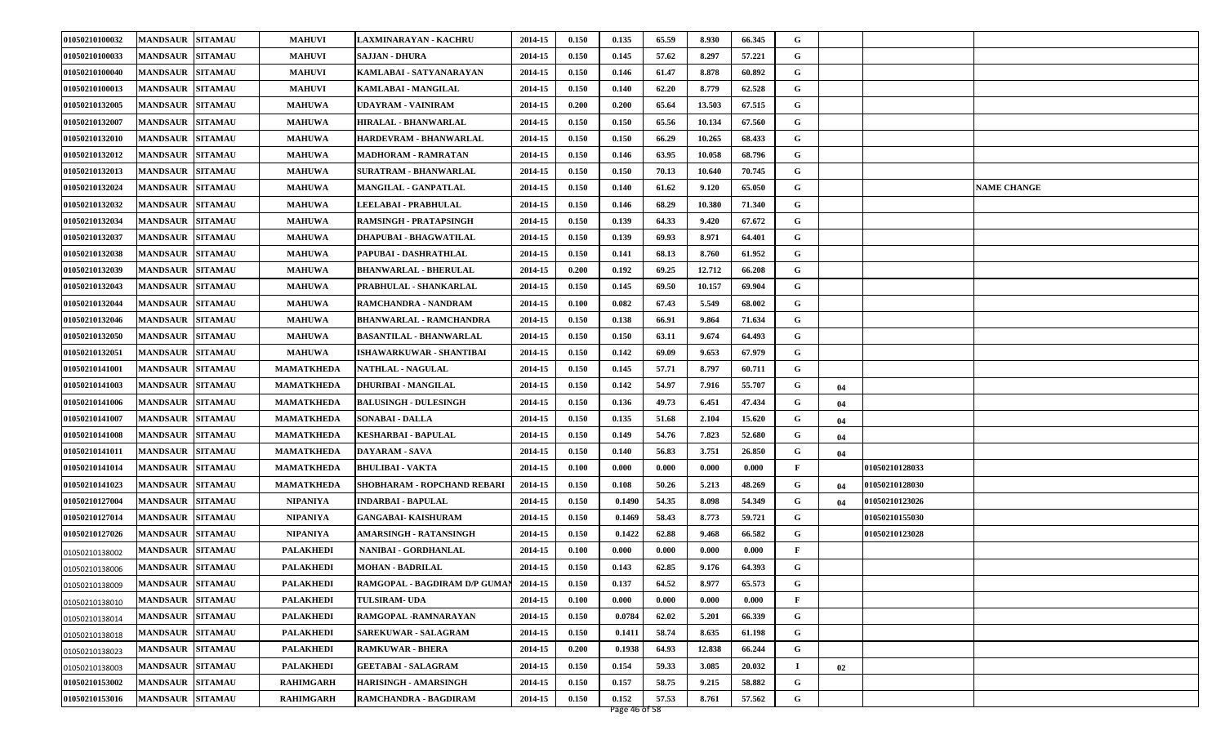| 01050210100032 | <b>MANDSAUR</b><br><b>SITAMAU</b> | <b>MAHUVI</b>     | LAXMINARAYAN - KACHRU              | 2014-15 | 0.150 | 0.135  | 65.59 | 8.930  | 66.345 | G           |    |                |                    |
|----------------|-----------------------------------|-------------------|------------------------------------|---------|-------|--------|-------|--------|--------|-------------|----|----------------|--------------------|
| 01050210100033 | <b>SITAMAU</b><br><b>MANDSAUR</b> | <b>MAHUVI</b>     | <b>SAJJAN - DHURA</b>              | 2014-15 | 0.150 | 0.145  | 57.62 | 8.297  | 57.221 | G           |    |                |                    |
| 01050210100040 | <b>SITAMAU</b><br><b>MANDSAUR</b> | <b>MAHUVI</b>     | KAMLABAI - SATYANARAYAN            | 2014-15 | 0.150 | 0.146  | 61.47 | 8.878  | 60.892 | G           |    |                |                    |
| 01050210100013 | <b>MANDSAUR</b><br><b>SITAMAU</b> | <b>MAHUVI</b>     | KAMLABAI - MANGILAL                | 2014-15 | 0.150 | 0.140  | 62.20 | 8.779  | 62.528 | G           |    |                |                    |
| 01050210132005 | <b>MANDSAUR</b><br><b>SITAMAU</b> | <b>MAHUWA</b>     | UDAYRAM - VAINIRAM                 | 2014-15 | 0.200 | 0.200  | 65.64 | 13.503 | 67.515 | G           |    |                |                    |
| 01050210132007 | <b>MANDSAUR</b><br><b>SITAMAU</b> | <b>MAHUWA</b>     | <b>HIRALAL - BHANWARLAL</b>        | 2014-15 | 0.150 | 0.150  | 65.56 | 10.134 | 67.560 | G           |    |                |                    |
| 01050210132010 | <b>SITAMAU</b><br><b>MANDSAUR</b> | <b>MAHUWA</b>     | HARDEVRAM - BHANWARLAL             | 2014-15 | 0.150 | 0.150  | 66.29 | 10.265 | 68.433 | G           |    |                |                    |
| 01050210132012 | <b>SITAMAU</b><br><b>MANDSAUR</b> | <b>MAHUWA</b>     | <b>MADHORAM - RAMRATAN</b>         | 2014-15 | 0.150 | 0.146  | 63.95 | 10.058 | 68.796 | G           |    |                |                    |
| 01050210132013 | <b>MANDSAUR</b><br><b>SITAMAU</b> | <b>MAHUWA</b>     | <b>SURATRAM - BHANWARLAL</b>       | 2014-15 | 0.150 | 0.150  | 70.13 | 10.640 | 70.745 | G           |    |                |                    |
| 01050210132024 | <b>MANDSAUR</b><br><b>SITAMAU</b> | <b>MAHUWA</b>     | MANGILAL - GANPATLAL               | 2014-15 | 0.150 | 0.140  | 61.62 | 9.120  | 65.050 | G           |    |                | <b>NAME CHANGE</b> |
| 01050210132032 | <b>MANDSAUR</b><br><b>SITAMAU</b> | <b>MAHUWA</b>     | LEELABAI - PRABHULAL               | 2014-15 | 0.150 | 0.146  | 68.29 | 10.380 | 71.340 | G           |    |                |                    |
| 01050210132034 | <b>SITAMAU</b><br><b>MANDSAUR</b> | <b>MAHUWA</b>     | <b>RAMSINGH - PRATAPSINGH</b>      | 2014-15 | 0.150 | 0.139  | 64.33 | 9.420  | 67.672 | G           |    |                |                    |
| 01050210132037 | <b>MANDSAUR</b><br><b>SITAMAU</b> | <b>MAHUWA</b>     | <b>DHAPUBAI - BHAGWATILAL</b>      | 2014-15 | 0.150 | 0.139  | 69.93 | 8.971  | 64.401 | G           |    |                |                    |
| 01050210132038 | <b>MANDSAUR</b><br><b>SITAMAU</b> | <b>MAHUWA</b>     | PAPUBAI - DASHRATHLAL              | 2014-15 | 0.150 | 0.141  | 68.13 | 8.760  | 61.952 | G           |    |                |                    |
| 01050210132039 | <b>MANDSAUR</b><br><b>SITAMAU</b> | <b>MAHUWA</b>     | <b>BHANWARLAL - BHERULAL</b>       | 2014-15 | 0.200 | 0.192  | 69.25 | 12.712 | 66.208 | G           |    |                |                    |
| 01050210132043 | <b>SITAMAU</b><br><b>MANDSAUR</b> | <b>MAHUWA</b>     | PRABHULAL - SHANKARLAL             | 2014-15 | 0.150 | 0.145  | 69.50 | 10.157 | 69.904 | G           |    |                |                    |
| 01050210132044 | <b>MANDSAUR</b><br><b>SITAMAU</b> | <b>MAHUWA</b>     | RAMCHANDRA - NANDRAM               | 2014-15 | 0.100 | 0.082  | 67.43 | 5.549  | 68.002 | G           |    |                |                    |
| 01050210132046 | <b>MANDSAUR</b><br><b>SITAMAU</b> | <b>MAHUWA</b>     | <b>BHANWARLAL - RAMCHANDRA</b>     | 2014-15 | 0.150 | 0.138  | 66.91 | 9.864  | 71.634 | G           |    |                |                    |
| 01050210132050 | <b>MANDSAUR</b><br><b>SITAMAU</b> | <b>MAHUWA</b>     | <b>BASANTILAL - BHANWARLAL</b>     | 2014-15 | 0.150 | 0.150  | 63.11 | 9.674  | 64.493 | G           |    |                |                    |
| 01050210132051 | <b>SITAMAU</b><br><b>MANDSAUR</b> | <b>MAHUWA</b>     | <b>ISHAWARKUWAR - SHANTIBAI</b>    | 2014-15 | 0.150 | 0.142  | 69.09 | 9.653  | 67.979 | G           |    |                |                    |
| 01050210141001 | <b>MANDSAUR</b><br><b>SITAMAU</b> | <b>MAMATKHEDA</b> | <b>NATHLAL - NAGULAL</b>           | 2014-15 | 0.150 | 0.145  | 57.71 | 8.797  | 60.711 | G           |    |                |                    |
| 01050210141003 | <b>MANDSAUR</b><br><b>SITAMAU</b> | <b>MAMATKHEDA</b> | <b>DHURIBAI - MANGILAL</b>         | 2014-15 | 0.150 | 0.142  | 54.97 | 7.916  | 55.707 | G           | 04 |                |                    |
| 01050210141006 | <b>MANDSAUR</b><br><b>SITAMAU</b> | <b>MAMATKHEDA</b> | <b>BALUSINGH - DULESINGH</b>       | 2014-15 | 0.150 | 0.136  | 49.73 | 6.451  | 47.434 | G           | 04 |                |                    |
| 01050210141007 | <b>SITAMAU</b><br><b>MANDSAUR</b> | <b>MAMATKHEDA</b> | <b>SONABAI - DALLA</b>             | 2014-15 | 0.150 | 0.135  | 51.68 | 2.104  | 15.620 | G           | 04 |                |                    |
| 01050210141008 | <b>MANDSAUR</b><br><b>SITAMAU</b> | <b>MAMATKHEDA</b> | <b>KESHARBAI - BAPULAL</b>         | 2014-15 | 0.150 | 0.149  | 54.76 | 7.823  | 52.680 | G           | 04 |                |                    |
| 01050210141011 | <b>SITAMAU</b><br><b>MANDSAUR</b> | <b>MAMATKHEDA</b> | DAYARAM - SAVA                     | 2014-15 | 0.150 | 0.140  | 56.83 | 3.751  | 26.850 | G           | 04 |                |                    |
| 01050210141014 | <b>MANDSAUR</b><br><b>SITAMAU</b> | <b>MAMATKHEDA</b> | <b>BHULIBAI - VAKTA</b>            | 2014-15 | 0.100 | 0.000  | 0.000 | 0.000  | 0.000  | F           |    | 01050210128033 |                    |
| 01050210141023 | <b>MANDSAUR</b><br><b>SITAMAU</b> | <b>MAMATKHEDA</b> | <b>SHOBHARAM - ROPCHAND REBARI</b> | 2014-15 | 0.150 | 0.108  | 50.26 | 5.213  | 48.269 | G           | 04 | 01050210128030 |                    |
| 01050210127004 | <b>MANDSAUR</b><br><b>SITAMAU</b> | <b>NIPANIYA</b>   | <b>INDARBAI - BAPULAL</b>          | 2014-15 | 0.150 | 0.1490 | 54.35 | 8.098  | 54.349 | G           | 04 | 01050210123026 |                    |
| 01050210127014 | <b>SITAMAU</b><br><b>MANDSAUR</b> | <b>NIPANIYA</b>   | <b>GANGABAI- KAISHURAM</b>         | 2014-15 | 0.150 | 0.1469 | 58.43 | 8.773  | 59.721 | G           |    | 01050210155030 |                    |
| 01050210127026 | <b>SITAMAU</b><br><b>MANDSAUR</b> | NIPANIYA          | AMARSINGH - RATANSINGH             | 2014-15 | 0.150 | 0.1422 | 62.88 | 9.468  | 66.582 | G           |    | 01050210123028 |                    |
| 01050210138002 | <b>SITAMAU</b><br><b>MANDSAUR</b> | <b>PALAKHEDI</b>  | NANIBAI - GORDHANLAL               | 2014-15 | 0.100 | 0.000  | 0.000 | 0.000  | 0.000  | F           |    |                |                    |
| 01050210138006 | <b>MANDSAUR SITAMAU</b>           | <b>PALAKHEDI</b>  | <b>MOHAN - BADRILAL</b>            | 2014-15 | 0.150 | 0.143  | 62.85 | 9.176  | 64.393 | G           |    |                |                    |
| 01050210138009 | MANDSAUR SITAMAU                  | <b>PALAKHEDI</b>  | RAMGOPAL - BAGDIRAM D/P GUMAN      | 2014-15 | 0.150 | 0.137  | 64.52 | 8.977  | 65.573 | G           |    |                |                    |
| 01050210138010 | <b>SITAMAU</b><br><b>MANDSAUR</b> | <b>PALAKHEDI</b>  | <b>TULSIRAM- UDA</b>               | 2014-15 | 0.100 | 0.000  | 0.000 | 0.000  | 0.000  | F           |    |                |                    |
| 01050210138014 | <b>SITAMAU</b><br><b>MANDSAUR</b> | <b>PALAKHEDI</b>  | RAMGOPAL -RAMNARAYAN               | 2014-15 | 0.150 | 0.0784 | 62.02 | 5.201  | 66.339 | $\mathbf G$ |    |                |                    |
| 01050210138018 | <b>MANDSAUR</b><br><b>SITAMAU</b> | <b>PALAKHEDI</b>  | <b>SAREKUWAR - SALAGRAM</b>        | 2014-15 | 0.150 | 0.1411 | 58.74 | 8.635  | 61.198 | G           |    |                |                    |
| 01050210138023 | <b>SITAMAU</b><br><b>MANDSAUR</b> | <b>PALAKHEDI</b>  | <b>RAMKUWAR - BHERA</b>            | 2014-15 | 0.200 | 0.1938 | 64.93 | 12.838 | 66.244 | G           |    |                |                    |
| 01050210138003 | <b>MANDSAUR</b><br><b>SITAMAU</b> | <b>PALAKHEDI</b>  | <b>GEETABAI - SALAGRAM</b>         | 2014-15 | 0.150 | 0.154  | 59.33 | 3.085  | 20.032 | п           | 02 |                |                    |
| 01050210153002 | <b>MANDSAUR</b><br><b>SITAMAU</b> | <b>RAHIMGARH</b>  | <b>HARISINGH - AMARSINGH</b>       | 2014-15 | 0.150 | 0.157  | 58.75 | 9.215  | 58.882 | G           |    |                |                    |
| 01050210153016 | <b>MANDSAUR SITAMAU</b>           | <b>RAHIMGARH</b>  | RAMCHANDRA - BAGDIRAM              | 2014-15 | 0.150 | 0.152  | 57.53 | 8.761  | 57.562 | G           |    |                |                    |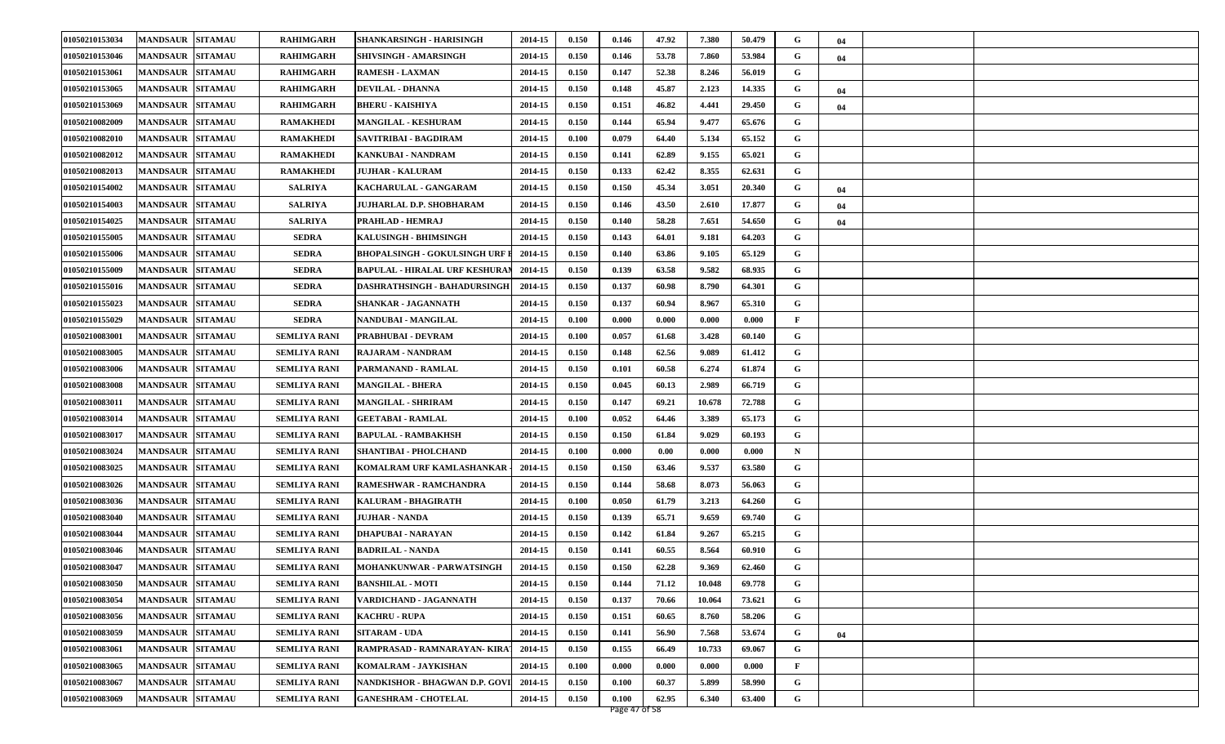| 01050210153034 | <b>MANDSAUR SITAMAU</b>           | RAHIMGARH           | <b>SHANKARSINGH - HARISINGH</b>      | 2014-15 | 0.150 | 0.146 | 47.92 | 7.380  | 50.479 | G            | 04 |  |
|----------------|-----------------------------------|---------------------|--------------------------------------|---------|-------|-------|-------|--------|--------|--------------|----|--|
| 01050210153046 | <b>MANDSAUR</b><br><b>SITAMAU</b> | <b>RAHIMGARH</b>    | SHIVSINGH - AMARSINGH                | 2014-15 | 0.150 | 0.146 | 53.78 | 7.860  | 53.984 | G            | 04 |  |
| 01050210153061 | <b>MANDSAUR</b><br><b>SITAMAU</b> | <b>RAHIMGARH</b>    | <b>RAMESH - LAXMAN</b>               | 2014-15 | 0.150 | 0.147 | 52.38 | 8.246  | 56.019 | G            |    |  |
| 01050210153065 | <b>MANDSAUR</b><br><b>SITAMAU</b> | <b>RAHIMGARH</b>    | <b>DEVILAL - DHANNA</b>              | 2014-15 | 0.150 | 0.148 | 45.87 | 2.123  | 14.335 | G            | 04 |  |
| 01050210153069 | <b>SITAMAU</b><br><b>MANDSAUR</b> | <b>RAHIMGARH</b>    | <b>BHERU - KAISHIYA</b>              | 2014-15 | 0.150 | 0.151 | 46.82 | 4.441  | 29.450 | G            | 04 |  |
| 01050210082009 | <b>MANDSAUR</b><br><b>SITAMAU</b> | <b>RAMAKHEDI</b>    | <b>MANGILAL - KESHURAM</b>           | 2014-15 | 0.150 | 0.144 | 65.94 | 9.477  | 65.676 | G            |    |  |
| 01050210082010 | <b>MANDSAUR</b><br><b>SITAMAU</b> | <b>RAMAKHEDI</b>    | SAVITRIBAI - BAGDIRAM                | 2014-15 | 0.100 | 0.079 | 64.40 | 5.134  | 65.152 | G            |    |  |
| 01050210082012 | <b>MANDSAUR</b><br><b>SITAMAU</b> | <b>RAMAKHEDI</b>    | <b>KANKUBAI - NANDRAM</b>            | 2014-15 | 0.150 | 0.141 | 62.89 | 9.155  | 65.021 | G            |    |  |
| 01050210082013 | <b>MANDSAUR</b><br><b>SITAMAU</b> | <b>RAMAKHEDI</b>    | <b>JUJHAR - KALURAM</b>              | 2014-15 | 0.150 | 0.133 | 62.42 | 8.355  | 62.631 | G            |    |  |
| 01050210154002 | <b>MANDSAUR</b><br><b>SITAMAU</b> | <b>SALRIYA</b>      | KACHARULAL - GANGARAM                | 2014-15 | 0.150 | 0.150 | 45.34 | 3.051  | 20.340 | G            | 04 |  |
| 01050210154003 | <b>SITAMAU</b><br><b>MANDSAUR</b> | <b>SALRIYA</b>      | JUJHARLAL D.P. SHOBHARAM             | 2014-15 | 0.150 | 0.146 | 43.50 | 2.610  | 17.877 | G            | 04 |  |
| 01050210154025 | <b>MANDSAUR</b><br><b>SITAMAU</b> | <b>SALRIYA</b>      | PRAHLAD - HEMRAJ                     | 2014-15 | 0.150 | 0.140 | 58.28 | 7.651  | 54.650 | G            | 04 |  |
| 01050210155005 | <b>MANDSAUR</b><br><b>SITAMAU</b> | <b>SEDRA</b>        | KALUSINGH - BHIMSINGH                | 2014-15 | 0.150 | 0.143 | 64.01 | 9.181  | 64.203 | G            |    |  |
| 01050210155006 | <b>SITAMAU</b><br><b>MANDSAUR</b> | <b>SEDRA</b>        | <b>BHOPALSINGH - GOKULSINGH UR</b>   | 2014-15 | 0.150 | 0.140 | 63.86 | 9.105  | 65.129 | G            |    |  |
| 01050210155009 | <b>MANDSAUR</b><br><b>SITAMAU</b> | <b>SEDRA</b>        | <b>BAPULAL - HIRALAL URF KESHURA</b> | 2014-15 | 0.150 | 0.139 | 63.58 | 9.582  | 68.935 | G            |    |  |
| 01050210155016 | <b>SITAMAU</b><br><b>MANDSAUR</b> | <b>SEDRA</b>        | DASHRATHSINGH - BAHADURSINGH         | 2014-15 | 0.150 | 0.137 | 60.98 | 8.790  | 64.301 | G            |    |  |
| 01050210155023 | <b>MANDSAUR</b><br><b>SITAMAU</b> | <b>SEDRA</b>        | SHANKAR - JAGANNATH                  | 2014-15 | 0.150 | 0.137 | 60.94 | 8.967  | 65.310 | G            |    |  |
| 01050210155029 | <b>SITAMAU</b><br><b>MANDSAUR</b> | <b>SEDRA</b>        | NANDUBAI - MANGILAL                  | 2014-15 | 0.100 | 0.000 | 0.000 | 0.000  | 0.000  | $\mathbf{F}$ |    |  |
| 01050210083001 | <b>MANDSAUR</b><br><b>SITAMAU</b> | <b>SEMLIYA RANI</b> | <b>PRABHUBAI - DEVRAM</b>            | 2014-15 | 0.100 | 0.057 | 61.68 | 3.428  | 60.140 | G            |    |  |
| 01050210083005 | <b>MANDSAUR</b><br><b>SITAMAU</b> | <b>SEMLIYA RANI</b> | <b>RAJARAM - NANDRAM</b>             | 2014-15 | 0.150 | 0.148 | 62.56 | 9.089  | 61.412 | G            |    |  |
| 01050210083006 | <b>MANDSAUR</b><br><b>SITAMAU</b> | <b>SEMLIYA RANI</b> | PARMANAND - RAMLAL                   | 2014-15 | 0.150 | 0.101 | 60.58 | 6.274  | 61.874 | G            |    |  |
| 01050210083008 | <b>MANDSAUR</b><br><b>SITAMAU</b> | <b>SEMLIYA RANI</b> | <b>MANGILAL - BHERA</b>              | 2014-15 | 0.150 | 0.045 | 60.13 | 2.989  | 66.719 | G            |    |  |
| 01050210083011 | <b>MANDSAUR</b><br><b>SITAMAU</b> | <b>SEMLIYA RANI</b> | <b>MANGILAL - SHRIRAM</b>            | 2014-15 | 0.150 | 0.147 | 69.21 | 10.678 | 72.788 | G            |    |  |
| 01050210083014 | <b>MANDSAUR</b><br><b>SITAMAU</b> | <b>SEMLIYA RANI</b> | <b>GEETABAI - RAMLAL</b>             | 2014-15 | 0.100 | 0.052 | 64.46 | 3.389  | 65.173 | G            |    |  |
| 01050210083017 | <b>MANDSAUR</b><br><b>SITAMAU</b> | <b>SEMLIYA RANI</b> | <b>BAPULAL - RAMBAKHSH</b>           | 2014-15 | 0.150 | 0.150 | 61.84 | 9.029  | 60.193 | G            |    |  |
| 01050210083024 | <b>MANDSAUR</b><br><b>SITAMAU</b> | <b>SEMLIYA RANI</b> | SHANTIBAI - PHOLCHAND                | 2014-15 | 0.100 | 0.000 | 0.00  | 0.000  | 0.000  | $\mathbf N$  |    |  |
| 01050210083025 | <b>MANDSAUR</b><br><b>SITAMAU</b> | <b>SEMLIYA RANI</b> | <b>KOMALRAM URF KAMLASHANKAR</b>     | 2014-15 | 0.150 | 0.150 | 63.46 | 9.537  | 63.580 | G            |    |  |
| 01050210083026 | <b>MANDSAUR</b><br><b>SITAMAU</b> | <b>SEMLIYA RANI</b> | RAMESHWAR - RAMCHANDRA               | 2014-15 | 0.150 | 0.144 | 58.68 | 8.073  | 56.063 | G            |    |  |
| 01050210083036 | <b>MANDSAUR</b><br><b>SITAMAU</b> | <b>SEMLIYA RANI</b> | KALURAM - BHAGIRATH                  | 2014-15 | 0.100 | 0.050 | 61.79 | 3.213  | 64.260 | G            |    |  |
| 01050210083040 | <b>MANDSAUR</b><br><b>SITAMAU</b> | <b>SEMLIYA RANI</b> | <b>JUJHAR - NANDA</b>                | 2014-15 | 0.150 | 0.139 | 65.71 | 9.659  | 69.740 | G            |    |  |
| 01050210083044 | <b>MANDSAUR</b><br><b>SITAMAU</b> | <b>SEMLIYA RANI</b> | DHAPUBAI - NARAYAN                   | 2014-15 | 0.150 | 0.142 | 61.84 | 9.267  | 65.215 | G            |    |  |
| 01050210083046 | <b>MANDSAUR</b><br><b>SITAMAU</b> | <b>SEMLIYA RANI</b> | <b>BADRILAL - NANDA</b>              | 2014-15 | 0.150 | 0.141 | 60.55 | 8.564  | 60.910 | G            |    |  |
| 01050210083047 | <b>MANDSAUR SITAMAU</b>           | <b>SEMLIYA RANI</b> | <b>MOHANKUNWAR - PARWATSINGH</b>     | 2014-15 | 0.150 | 0.150 | 62.28 | 9.369  | 62.460 | G            |    |  |
| 01050210083050 | MANDSAUR SITAMAU                  | <b>SEMLIYA RANI</b> | <b>BANSHILAL - MOTI</b>              | 2014-15 | 0.150 | 0.144 | 71.12 | 10.048 | 69.778 | G            |    |  |
| 01050210083054 | <b>MANDSAUR</b><br><b>SITAMAU</b> | <b>SEMLIYA RANI</b> | VARDICHAND - JAGANNATH               | 2014-15 | 0.150 | 0.137 | 70.66 | 10.064 | 73.621 | G            |    |  |
| 01050210083056 | <b>SITAMAU</b><br><b>MANDSAUR</b> | <b>SEMLIYA RANI</b> | <b>KACHRU - RUPA</b>                 | 2014-15 | 0.150 | 0.151 | 60.65 | 8.760  | 58.206 | G            |    |  |
| 01050210083059 | <b>SITAMAU</b><br><b>MANDSAUR</b> | <b>SEMLIYA RANI</b> | <b>SITARAM - UDA</b>                 | 2014-15 | 0.150 | 0.141 | 56.90 | 7.568  | 53.674 | G            | 04 |  |
| 01050210083061 | <b>SITAMAU</b><br><b>MANDSAUR</b> | <b>SEMLIYA RANI</b> | RAMPRASAD - RAMNARAYAN-KIRA          | 2014-15 | 0.150 | 0.155 | 66.49 | 10.733 | 69.067 | G            |    |  |
| 01050210083065 | <b>SITAMAU</b><br><b>MANDSAUR</b> | <b>SEMLIYA RANI</b> | KOMALRAM - JAYKISHAN                 | 2014-15 | 0.100 | 0.000 | 0.000 | 0.000  | 0.000  | F            |    |  |
| 01050210083067 | <b>SITAMAU</b><br><b>MANDSAUR</b> | <b>SEMLIYA RANI</b> | NANDKISHOR - BHAGWAN D.P. GOV        | 2014-15 | 0.150 | 0.100 | 60.37 | 5.899  | 58.990 | G            |    |  |
| 01050210083069 | MANDSAUR SITAMAU                  | <b>SEMLIYA RANI</b> | <b>GANESHRAM - CHOTELAL</b>          | 2014-15 | 0.150 | 0.100 | 62.95 | 6.340  | 63.400 | G            |    |  |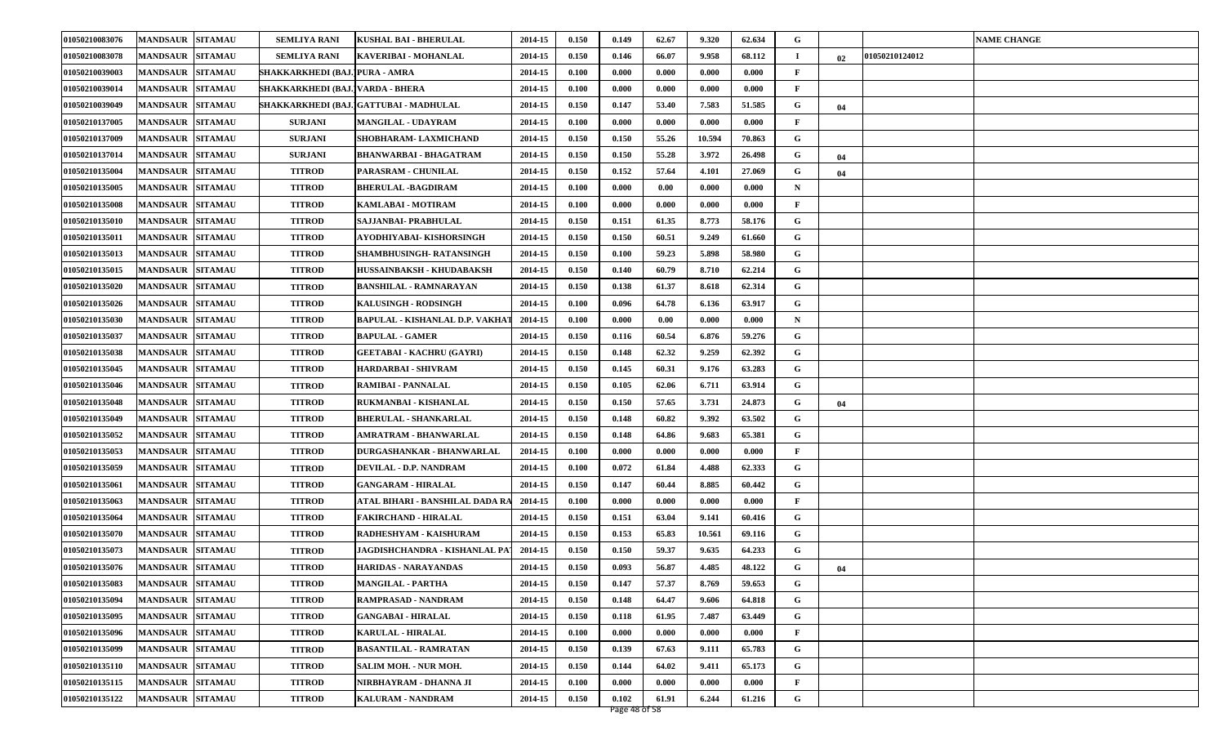| 01050210083076 | <b>MANDSAUR SITAMAU</b> |                | <b>SEMLIYA RANI</b>              | <b>KUSHAL BAI - BHERULAL</b>           | 2014-15 | 0.150 | 0.149 | 62.67 | 9.320  | 62.634 | G            |    |                | <b>NAME CHANGE</b> |
|----------------|-------------------------|----------------|----------------------------------|----------------------------------------|---------|-------|-------|-------|--------|--------|--------------|----|----------------|--------------------|
| 01050210083078 | <b>MANDSAUR</b>         | <b>SITAMAU</b> | <b>SEMLIYA RANI</b>              | KAVERIBAI - MOHANLAL                   | 2014-15 | 0.150 | 0.146 | 66.07 | 9.958  | 68.112 |              | 02 | 01050210124012 |                    |
| 01050210039003 | <b>MANDSAUR</b>         | <b>SITAMAU</b> | SHAKKARKHEDI (BAJ.)PURA - AMRA   |                                        | 2014-15 | 0.100 | 0.000 | 0.000 | 0.000  | 0.000  | F            |    |                |                    |
| 01050210039014 | MANDSAUR SITAMAU        |                | SHAKKARKHEDI (BAJ.)VARDA - BHERA |                                        | 2014-15 | 0.100 | 0.000 | 0.000 | 0.000  | 0.000  | F            |    |                |                    |
| 01050210039049 | <b>MANDSAUR</b>         | <b>SITAMAU</b> |                                  | SHAKKARKHEDI (BAJ.)GATTUBAI - MADHULAL | 2014-15 | 0.150 | 0.147 | 53.40 | 7.583  | 51.585 | G            | 04 |                |                    |
| 01050210137005 | <b>MANDSAUR</b>         | <b>SITAMAU</b> | <b>SURJANI</b>                   | MANGILAL - UDAYRAM                     | 2014-15 | 0.100 | 0.000 | 0.000 | 0.000  | 0.000  | F            |    |                |                    |
| 01050210137009 | <b>MANDSAUR SITAMAU</b> |                | <b>SURJANI</b>                   | SHOBHARAM- LAXMICHAND                  | 2014-15 | 0.150 | 0.150 | 55.26 | 10.594 | 70.863 | G            |    |                |                    |
| 01050210137014 | <b>MANDSAUR SITAMAU</b> |                | <b>SURJANI</b>                   | <b>BHANWARBAI - BHAGATRAM</b>          | 2014-15 | 0.150 | 0.150 | 55.28 | 3.972  | 26.498 | G            | 04 |                |                    |
| 01050210135004 | <b>MANDSAUR</b>         | <b>SITAMAU</b> | <b>TITROD</b>                    | PARASRAM - CHUNILAL                    | 2014-15 | 0.150 | 0.152 | 57.64 | 4.101  | 27.069 | G            | 04 |                |                    |
| 01050210135005 | <b>MANDSAUR SITAMAU</b> |                | <b>TITROD</b>                    | <b>BHERULAL -BAGDIRAM</b>              | 2014-15 | 0.100 | 0.000 | 0.00  | 0.000  | 0.000  | $\mathbf N$  |    |                |                    |
| 01050210135008 | <b>MANDSAUR SITAMAU</b> |                | <b>TITROD</b>                    | KAMLABAI - MOTIRAM                     | 2014-15 | 0.100 | 0.000 | 0.000 | 0.000  | 0.000  | F            |    |                |                    |
| 01050210135010 | <b>MANDSAUR SITAMAU</b> |                | <b>TITROD</b>                    | SAJJANBAI- PRABHULAL                   | 2014-15 | 0.150 | 0.151 | 61.35 | 8.773  | 58.176 | G            |    |                |                    |
| 01050210135011 | <b>MANDSAUR</b>         | <b>SITAMAU</b> | <b>TITROD</b>                    | AYODHIYABAI- KISHORSINGH               | 2014-15 | 0.150 | 0.150 | 60.51 | 9.249  | 61.660 | G            |    |                |                    |
| 01050210135013 | <b>MANDSAUR SITAMAU</b> |                | <b>TITROD</b>                    | SHAMBHUSINGH- RATANSINGH               | 2014-15 | 0.150 | 0.100 | 59.23 | 5.898  | 58.980 | G            |    |                |                    |
| 01050210135015 | MANDSAUR SITAMAU        |                | <b>TITROD</b>                    | HUSSAINBAKSH - KHUDABAKSH              | 2014-15 | 0.150 | 0.140 | 60.79 | 8.710  | 62.214 | G            |    |                |                    |
| 01050210135020 | <b>MANDSAUR SITAMAU</b> |                | <b>TITROD</b>                    | BANSHILAL - RAMNARAYAN                 | 2014-15 | 0.150 | 0.138 | 61.37 | 8.618  | 62.314 | G            |    |                |                    |
| 01050210135026 | <b>MANDSAUR</b>         | <b>SITAMAU</b> | <b>TITROD</b>                    | <b>KALUSINGH - RODSINGH</b>            | 2014-15 | 0.100 | 0.096 | 64.78 | 6.136  | 63.917 | G            |    |                |                    |
| 01050210135030 | <b>MANDSAUR</b>         | <b>SITAMAU</b> | <b>TITROD</b>                    | <b>BAPULAL - KISHANLAL D.P. VAKHA</b>  | 2014-15 | 0.100 | 0.000 | 0.00  | 0.000  | 0.000  | $\mathbf N$  |    |                |                    |
| 01050210135037 | <b>MANDSAUR SITAMAU</b> |                | <b>TITROD</b>                    | <b>BAPULAL - GAMER</b>                 | 2014-15 | 0.150 | 0.116 | 60.54 | 6.876  | 59.276 | G            |    |                |                    |
| 01050210135038 | <b>MANDSAUR SITAMAU</b> |                | <b>TITROD</b>                    | GEETABAI - KACHRU (GAYRI)              | 2014-15 | 0.150 | 0.148 | 62.32 | 9.259  | 62.392 | G            |    |                |                    |
| 01050210135045 | <b>MANDSAUR</b>         | <b>SITAMAU</b> | <b>TITROD</b>                    | HARDARBAI - SHIVRAM                    | 2014-15 | 0.150 | 0.145 | 60.31 | 9.176  | 63.283 | G            |    |                |                    |
| 01050210135046 | <b>MANDSAUR</b>         | <b>SITAMAU</b> | <b>TITROD</b>                    | RAMIBAI - PANNALAL                     | 2014-15 | 0.150 | 0.105 | 62.06 | 6.711  | 63.914 | G            |    |                |                    |
| 01050210135048 | <b>MANDSAUR SITAMAU</b> |                | <b>TITROD</b>                    | RUKMANBAI - KISHANLAL                  | 2014-15 | 0.150 | 0.150 | 57.65 | 3.731  | 24.873 | G            | 04 |                |                    |
| 01050210135049 | <b>MANDSAUR</b>         | <b>SITAMAU</b> | <b>TITROD</b>                    | BHERULAL - SHANKARLAL                  | 2014-15 | 0.150 | 0.148 | 60.82 | 9.392  | 63.502 | G            |    |                |                    |
| 01050210135052 | <b>MANDSAUR</b>         | <b>SITAMAU</b> | <b>TITROD</b>                    | AMRATRAM - BHANWARLAL                  | 2014-15 | 0.150 | 0.148 | 64.86 | 9.683  | 65.381 | G            |    |                |                    |
| 01050210135053 | <b>MANDSAUR</b>         | <b>SITAMAU</b> | <b>TITROD</b>                    | DURGASHANKAR - BHANWARLAL              | 2014-15 | 0.100 | 0.000 | 0.000 | 0.000  | 0.000  | F            |    |                |                    |
| 01050210135059 | <b>MANDSAUR SITAMAU</b> |                | <b>TITROD</b>                    | DEVILAL - D.P. NANDRAM                 | 2014-15 | 0.100 | 0.072 | 61.84 | 4.488  | 62.333 | G            |    |                |                    |
| 01050210135061 | <b>MANDSAUR</b>         | <b>SITAMAU</b> | <b>TITROD</b>                    | <b>GANGARAM - HIRALAL</b>              | 2014-15 | 0.150 | 0.147 | 60.44 | 8.885  | 60.442 | G            |    |                |                    |
| 01050210135063 | <b>MANDSAUR</b>         | <b>SITAMAU</b> | <b>TITROD</b>                    | ATAL BIHARI - BANSHILAL DADA R         | 2014-15 | 0.100 | 0.000 | 0.000 | 0.000  | 0.000  | F            |    |                |                    |
| 01050210135064 | MANDSAUR SITAMAU        |                | <b>TITROD</b>                    | <b>FAKIRCHAND - HIRALAL</b>            | 2014-15 | 0.150 | 0.151 | 63.04 | 9.141  | 60.416 | G            |    |                |                    |
| 01050210135070 | <b>MANDSAUR SITAMAU</b> |                | <b>TITROD</b>                    | RADHESHYAM - KAISHURAM                 | 2014-15 | 0.150 | 0.153 | 65.83 | 10.561 | 69.116 | G            |    |                |                    |
| 01050210135073 | <b>MANDSAUR</b>         | <b>SITAMAU</b> | <b>TITROD</b>                    | JAGDISHCHANDRA - KISHANLAL PA          | 2014-15 | 0.150 | 0.150 | 59.37 | 9.635  | 64.233 | G            |    |                |                    |
| 01050210135076 | <b>MANDSAUR SITAMAU</b> |                | <b>TITROD</b>                    | HARIDAS - NARAYANDAS                   | 2014-15 | 0.150 | 0.093 | 56.87 | 4.485  | 48.122 | G            | 04 |                |                    |
| 01050210135083 | MANDSAUR SITAMAU        |                | <b>TITROD</b>                    | <b>MANGILAL - PARTHA</b>               | 2014-15 | 0.150 | 0.147 | 57.37 | 8.769  | 59.653 | G            |    |                |                    |
| 01050210135094 | MANDSAUR SITAMAU        |                | <b>TITROD</b>                    | RAMPRASAD - NANDRAM                    | 2014-15 | 0.150 | 0.148 | 64.47 | 9.606  | 64.818 | G            |    |                |                    |
| 01050210135095 | <b>MANDSAUR SITAMAU</b> |                | <b>TITROD</b>                    | <b>GANGABAI - HIRALAL</b>              | 2014-15 | 0.150 | 0.118 | 61.95 | 7.487  | 63.449 | G            |    |                |                    |
| 01050210135096 | MANDSAUR SITAMAU        |                | <b>TITROD</b>                    | <b>KARULAL - HIRALAL</b>               | 2014-15 | 0.100 | 0.000 | 0.000 | 0.000  | 0.000  | $\mathbf{F}$ |    |                |                    |
| 01050210135099 | <b>MANDSAUR SITAMAU</b> |                | <b>TITROD</b>                    | <b>BASANTILAL - RAMRATAN</b>           | 2014-15 | 0.150 | 0.139 | 67.63 | 9.111  | 65.783 | G            |    |                |                    |
| 01050210135110 | MANDSAUR SITAMAU        |                | <b>TITROD</b>                    | <b>SALIM MOH. - NUR MOH.</b>           | 2014-15 | 0.150 | 0.144 | 64.02 | 9.411  | 65.173 | G            |    |                |                    |
| 01050210135115 | <b>MANDSAUR</b>         | <b>SITAMAU</b> | <b>TITROD</b>                    | NIRBHAYRAM - DHANNA JI                 | 2014-15 | 0.100 | 0.000 | 0.000 | 0.000  | 0.000  | F            |    |                |                    |
| 01050210135122 | MANDSAUR SITAMAU        |                | <b>TITROD</b>                    | <b>KALURAM - NANDRAM</b>               | 2014-15 | 0.150 | 0.102 | 61.91 | 6.244  | 61.216 | G            |    |                |                    |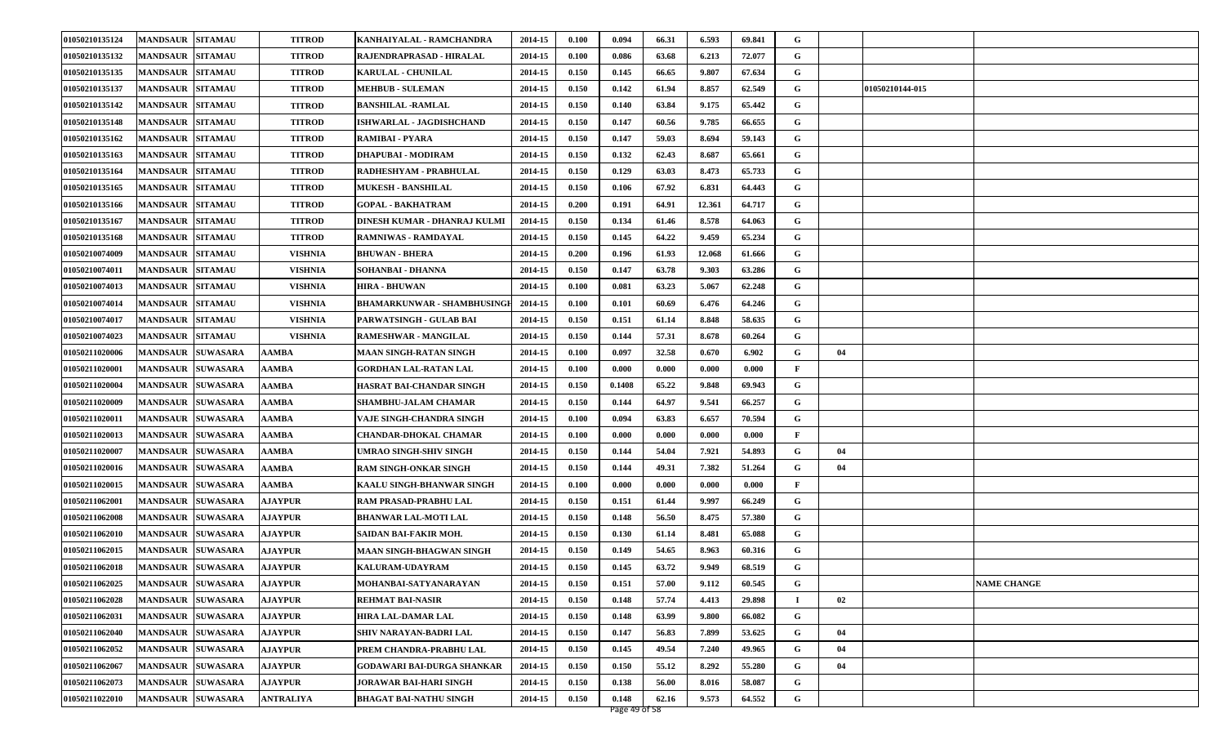| 01050210135124 | <b>MANDSAUR SITAMAU</b>  |                 | <b>TITROD</b>    | KANHAIYALAL - RAMCHANDRA          | 2014-15 | 0.100 | 0.094  | 66.31 | 6.593  | 69.841 | G            |    |                 |                    |
|----------------|--------------------------|-----------------|------------------|-----------------------------------|---------|-------|--------|-------|--------|--------|--------------|----|-----------------|--------------------|
| 01050210135132 | <b>MANDSAUR</b>          | <b>SITAMAU</b>  | <b>TITROD</b>    | RAJENDRAPRASAD - HIRALAL          | 2014-15 | 0.100 | 0.086  | 63.68 | 6.213  | 72.077 | G            |    |                 |                    |
| 01050210135135 | <b>MANDSAUR</b>          | <b>SITAMAU</b>  | <b>TITROD</b>    | <b>KARULAL - CHUNILAL</b>         | 2014-15 | 0.150 | 0.145  | 66.65 | 9.807  | 67.634 | G            |    |                 |                    |
| 01050210135137 | <b>MANDSAUR SITAMAU</b>  |                 | <b>TITROD</b>    | <b>MEHBUB - SULEMAN</b>           | 2014-15 | 0.150 | 0.142  | 61.94 | 8.857  | 62.549 | G            |    | 01050210144-015 |                    |
| 01050210135142 | <b>MANDSAUR</b>          | <b>SITAMAU</b>  | <b>TITROD</b>    | <b>BANSHILAL -RAMLAL</b>          | 2014-15 | 0.150 | 0.140  | 63.84 | 9.175  | 65.442 | G            |    |                 |                    |
| 01050210135148 | <b>MANDSAUR</b>          | <b>SITAMAU</b>  | <b>TITROD</b>    | ISHWARLAL - JAGDISHCHAND          | 2014-15 | 0.150 | 0.147  | 60.56 | 9.785  | 66.655 | G            |    |                 |                    |
| 01050210135162 | <b>MANDSAUR</b>          | <b>SITAMAU</b>  | <b>TITROD</b>    | <b>RAMIBAI - PYARA</b>            | 2014-15 | 0.150 | 0.147  | 59.03 | 8.694  | 59.143 | G            |    |                 |                    |
| 01050210135163 | <b>MANDSAUR</b>          | <b>SITAMAU</b>  | <b>TITROD</b>    | <b>DHAPUBAI - MODIRAM</b>         | 2014-15 | 0.150 | 0.132  | 62.43 | 8.687  | 65.661 | G            |    |                 |                    |
| 01050210135164 | <b>MANDSAUR</b>          | <b>SITAMAU</b>  | <b>TITROD</b>    | RADHESHYAM - PRABHULAL            | 2014-15 | 0.150 | 0.129  | 63.03 | 8.473  | 65.733 | G            |    |                 |                    |
| 01050210135165 | <b>MANDSAUR</b>          | <b>SITAMAU</b>  | <b>TITROD</b>    | <b>MUKESH - BANSHILAL</b>         | 2014-15 | 0.150 | 0.106  | 67.92 | 6.831  | 64.443 | G            |    |                 |                    |
| 01050210135166 | <b>MANDSAUR</b>          | <b>SITAMAU</b>  | <b>TITROD</b>    | <b>GOPAL - BAKHATRAM</b>          | 2014-15 | 0.200 | 0.191  | 64.91 | 12.361 | 64.717 | G            |    |                 |                    |
| 01050210135167 | <b>MANDSAUR  SITAMAU</b> |                 | <b>TITROD</b>    | DINESH KUMAR - DHANRAJ KULMI      | 2014-15 | 0.150 | 0.134  | 61.46 | 8.578  | 64.063 | G            |    |                 |                    |
| 01050210135168 | <b>MANDSAUR</b>          | <b>SITAMAU</b>  | <b>TITROD</b>    | <b>RAMNIWAS - RAMDAYAL</b>        | 2014-15 | 0.150 | 0.145  | 64.22 | 9.459  | 65.234 | G            |    |                 |                    |
| 01050210074009 | <b>MANDSAUR</b>          | <b>SITAMAU</b>  | <b>VISHNIA</b>   | <b>BHUWAN - BHERA</b>             | 2014-15 | 0.200 | 0.196  | 61.93 | 12.068 | 61.666 | G            |    |                 |                    |
| 01050210074011 | <b>MANDSAUR SITAMAU</b>  |                 | <b>VISHNIA</b>   | <b>SOHANBAI - DHANNA</b>          | 2014-15 | 0.150 | 0.147  | 63.78 | 9.303  | 63.286 | G            |    |                 |                    |
| 01050210074013 | <b>MANDSAUR</b>          | <b>SITAMAU</b>  | <b>VISHNIA</b>   | <b>HIRA - BHUWAN</b>              | 2014-15 | 0.100 | 0.081  | 63.23 | 5.067  | 62.248 | G            |    |                 |                    |
| 01050210074014 | <b>MANDSAUR</b>          | <b>SITAMAU</b>  | <b>VISHNIA</b>   | <b>BHAMARKUNWAR - SHAMBHUSING</b> | 2014-15 | 0.100 | 0.101  | 60.69 | 6.476  | 64.246 | G            |    |                 |                    |
| 01050210074017 | <b>MANDSAUR</b>          | <b>SITAMAU</b>  | <b>VISHNIA</b>   | PARWATSINGH - GULAB BAI           | 2014-15 | 0.150 | 0.151  | 61.14 | 8.848  | 58.635 | G            |    |                 |                    |
| 01050210074023 | <b>MANDSAUR SITAMAU</b>  |                 | <b>VISHNIA</b>   | <b>RAMESHWAR - MANGILAL</b>       | 2014-15 | 0.150 | 0.144  | 57.31 | 8.678  | 60.264 | G            |    |                 |                    |
| 01050211020006 | <b>MANDSAUR</b>          | <b>SUWASARA</b> | AAMBA            | <b>MAAN SINGH-RATAN SINGH</b>     | 2014-15 | 0.100 | 0.097  | 32.58 | 0.670  | 6.902  | G            | 04 |                 |                    |
| 0105021102000  | <b>MANDSAUR</b>          | <b>SUWASARA</b> | AAMBA            | <b>GORDHAN LAL-RATAN LAL</b>      | 2014-15 | 0.100 | 0.000  | 0.000 | 0.000  | 0.000  | F            |    |                 |                    |
| 01050211020004 | <b>MANDSAUR</b>          | <b>SUWASARA</b> | AAMBA            | <b>HASRAT BAI-CHANDAR SINGH</b>   | 2014-15 | 0.150 | 0.1408 | 65.22 | 9.848  | 69.943 | G            |    |                 |                    |
| 01050211020009 | <b>MANDSAUR</b>          | <b>SUWASARA</b> | <b>AAMBA</b>     | SHAMBHU-JALAM CHAMAR              | 2014-15 | 0.150 | 0.144  | 64.97 | 9.541  | 66.257 | G            |    |                 |                    |
| 01050211020011 | <b>MANDSAUR</b>          | <b>SUWASARA</b> | AAMBA            | VAJE SINGH-CHANDRA SINGH          | 2014-15 | 0.100 | 0.094  | 63.83 | 6.657  | 70.594 | G            |    |                 |                    |
| 01050211020013 | <b>MANDSAUR</b>          | <b>SUWASARA</b> | <b>AAMBA</b>     | <b>CHANDAR-DHOKAL CHAMAR</b>      | 2014-15 | 0.100 | 0.000  | 0.000 | 0.000  | 0.000  | $\mathbf{F}$ |    |                 |                    |
| 01050211020007 | <b>MANDSAUR</b>          | <b>SUWASARA</b> | AAMBA            | <b>UMRAO SINGH-SHIV SINGH</b>     | 2014-15 | 0.150 | 0.144  | 54.04 | 7.921  | 54.893 | G            | 04 |                 |                    |
| 01050211020016 | <b>MANDSAUR</b>          | <b>SUWASARA</b> | AAMBA            | <b>RAM SINGH-ONKAR SINGH</b>      | 2014-15 | 0.150 | 0.144  | 49.31 | 7.382  | 51.264 | G            | 04 |                 |                    |
| 01050211020015 | <b>MANDSAUR</b>          | <b>SUWASARA</b> | AAMBA            | KAALU SINGH-BHANWAR SINGH         | 2014-15 | 0.100 | 0.000  | 0.000 | 0.000  | 0.000  | $\mathbf{F}$ |    |                 |                    |
| 01050211062001 | <b>MANDSAUR SUWASARA</b> |                 | <b>AJAYPUR</b>   | RAM PRASAD-PRABHU LAL             | 2014-15 | 0.150 | 0.151  | 61.44 | 9.997  | 66.249 | G            |    |                 |                    |
| 01050211062008 | <b>MANDSAUR</b>          | <b>SUWASARA</b> | <b>AJAYPUR</b>   | <b>BHANWAR LAL-MOTI LAL</b>       | 2014-15 | 0.150 | 0.148  | 56.50 | 8.475  | 57.380 | G            |    |                 |                    |
| 01050211062010 | <b>MANDSAUR</b>          | <b>SUWASARA</b> | <b>AJAYPUR</b>   | SAIDAN BAI-FAKIR MOH.             | 2014-15 | 0.150 | 0.130  | 61.14 | 8.481  | 65.088 | G            |    |                 |                    |
| 01050211062015 | <b>MANDSAUR</b>          | <b>SUWASARA</b> | <b>AJAYPUR</b>   | MAAN SINGH-BHAGWAN SINGH          | 2014-15 | 0.150 | 0.149  | 54.65 | 8.963  | 60.316 | G            |    |                 |                    |
| 01050211062018 | MANDSAUR SUWASARA        |                 | <b>AJAYPUR</b>   | KALURAM-UDAYRAM                   | 2014-15 | 0.150 | 0.145  | 63.72 | 9.949  | 68.519 | G            |    |                 |                    |
| 01050211062025 | MANDSAUR SUWASARA        |                 | <b>AJAYPUR</b>   | MOHANBAI-SATYANARAYAN             | 2014-15 | 0.150 | 0.151  | 57.00 | 9.112  | 60.545 | G            |    |                 | <b>NAME CHANGE</b> |
| 01050211062028 | <b>MANDSAUR SUWASARA</b> |                 | <b>AJAYPUR</b>   | <b>REHMAT BAI-NASIR</b>           | 2014-15 | 0.150 | 0.148  | 57.74 | 4.413  | 29.898 | $\mathbf I$  | 02 |                 |                    |
| 01050211062031 | MANDSAUR SUWASARA        |                 | <b>AJAYPUR</b>   | HIRA LAL-DAMAR LAL                | 2014-15 | 0.150 | 0.148  | 63.99 | 9.800  | 66.082 | G            |    |                 |                    |
| 01050211062040 | MANDSAUR SUWASARA        |                 | <b>AJAYPUR</b>   | SHIV NARAYAN-BADRI LAL            | 2014-15 | 0.150 | 0.147  | 56.83 | 7.899  | 53.625 | G            | 04 |                 |                    |
| 01050211062052 | MANDSAUR SUWASARA        |                 | <b>AJAYPUR</b>   | PREM CHANDRA-PRABHU LAL           | 2014-15 | 0.150 | 0.145  | 49.54 | 7.240  | 49.965 | G            | 04 |                 |                    |
| 01050211062067 | MANDSAUR SUWASARA        |                 | <b>AJAYPUR</b>   | <b>GODAWARI BAI-DURGA SHANKAR</b> | 2014-15 | 0.150 | 0.150  | 55.12 | 8.292  | 55.280 | G            | 04 |                 |                    |
| 01050211062073 | <b>MANDSAUR</b>          | <b>SUWASARA</b> | <b>AJAYPUR</b>   | JORAWAR BAI-HARI SINGH            | 2014-15 | 0.150 | 0.138  | 56.00 | 8.016  | 58.087 | G            |    |                 |                    |
| 01050211022010 | MANDSAUR SUWASARA        |                 | <b>ANTRALIYA</b> | <b>BHAGAT BAI-NATHU SINGH</b>     | 2014-15 | 0.150 | 0.148  | 62.16 | 9.573  | 64.552 | G            |    |                 |                    |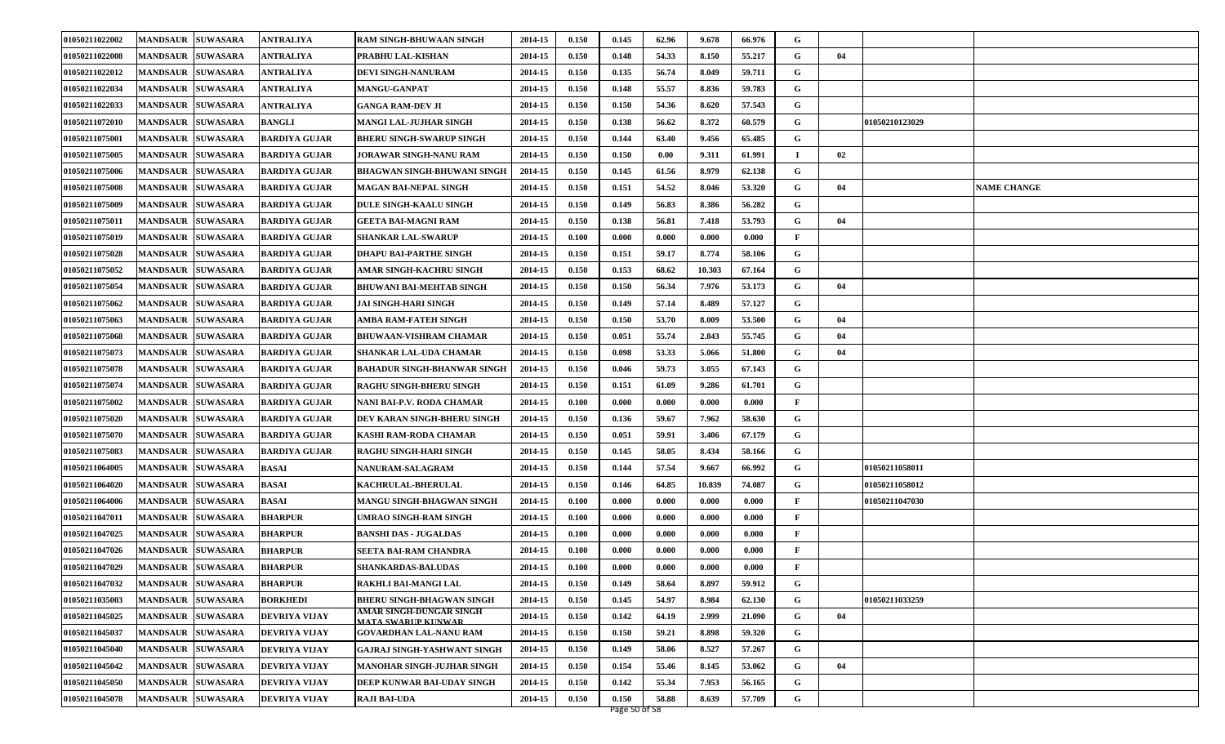| 01050211022002 | <b>MANDSAUR SUWASARA</b> |                 | <b>ANTRALIYA</b>     | <b>RAM SINGH-BHUWAAN SINGH</b>                                | 2014-15 | 0.150 | 0.145 | 62.96 | 9.678  | 66.976 | G              |    |                |                    |
|----------------|--------------------------|-----------------|----------------------|---------------------------------------------------------------|---------|-------|-------|-------|--------|--------|----------------|----|----------------|--------------------|
| 01050211022008 | <b>MANDSAUR</b>          | <b>SUWASARA</b> | <b>ANTRALIYA</b>     | PRABHU LAL-KISHAN                                             | 2014-15 | 0.150 | 0.148 | 54.33 | 8.150  | 55.217 | G              | 04 |                |                    |
| 01050211022012 | <b>MANDSAUR</b>          | <b>SUWASARA</b> | ANTRALIYA            | <b>DEVI SINGH-NANURAM</b>                                     | 2014-15 | 0.150 | 0.135 | 56.74 | 8.049  | 59.711 | G              |    |                |                    |
| 01050211022034 | <b>MANDSAUR SUWASARA</b> |                 | <b>ANTRALIYA</b>     | <b>MANGU-GANPAT</b>                                           | 2014-15 | 0.150 | 0.148 | 55.57 | 8.836  | 59.783 | G              |    |                |                    |
| 01050211022033 | <b>MANDSAUR</b>          | <b>SUWASARA</b> | ANTRALIYA            | <b>GANGA RAM-DEV JI</b>                                       | 2014-15 | 0.150 | 0.150 | 54.36 | 8.620  | 57.543 | G              |    |                |                    |
| 01050211072010 | <b>MANDSAUR</b>          | <b>SUWASARA</b> | <b>BANGLI</b>        | <b>MANGI LAL-JUJHAR SINGH</b>                                 | 2014-15 | 0.150 | 0.138 | 56.62 | 8.372  | 60.579 | G              |    | 01050210123029 |                    |
| 01050211075001 | <b>MANDSAUR</b>          | <b>SUWASARA</b> | <b>BARDIYA GUJAR</b> | <b>BHERU SINGH-SWARUP SINGH</b>                               | 2014-15 | 0.150 | 0.144 | 63.40 | 9.456  | 65.485 | G              |    |                |                    |
| 01050211075005 | <b>MANDSAUR</b>          | <b>SUWASARA</b> | <b>BARDIYA GUJAR</b> | <b>JORAWAR SINGH-NANU RAM</b>                                 | 2014-15 | 0.150 | 0.150 | 0.00  | 9.311  | 61.991 | $\blacksquare$ | 02 |                |                    |
| 01050211075006 | <b>MANDSAUR</b>          | <b>SUWASARA</b> | <b>BARDIYA GUJAR</b> | <b>BHAGWAN SINGH-BHUWANI SINGH</b>                            | 2014-15 | 0.150 | 0.145 | 61.56 | 8.979  | 62.138 | G              |    |                |                    |
| 01050211075008 | <b>MANDSAUR</b>          | <b>SUWASARA</b> | <b>BARDIYA GUJAR</b> | <b>MAGAN BAI-NEPAL SINGH</b>                                  | 2014-15 | 0.150 | 0.151 | 54.52 | 8.046  | 53.320 | G              | 04 |                | <b>NAME CHANGE</b> |
| 01050211075009 | <b>MANDSAUR</b>          | <b>SUWASARA</b> | <b>BARDIYA GUJAR</b> | <b>DULE SINGH-KAALU SINGH</b>                                 | 2014-15 | 0.150 | 0.149 | 56.83 | 8.386  | 56.282 | G              |    |                |                    |
| 01050211075011 | <b>MANDSAUR</b>          | <b>SUWASARA</b> | <b>BARDIYA GUJAR</b> | <b>GEETA BAI-MAGNI RAM</b>                                    | 2014-15 | 0.150 | 0.138 | 56.81 | 7.418  | 53.793 | G              | 04 |                |                    |
| 01050211075019 | <b>MANDSAUR</b>          | <b>SUWASARA</b> | <b>BARDIYA GUJAR</b> | <b>SHANKAR LAL-SWARUP</b>                                     | 2014-15 | 0.100 | 0.000 | 0.000 | 0.000  | 0.000  | $\mathbf{F}$   |    |                |                    |
| 01050211075028 | <b>MANDSAUR</b>          | <b>SUWASARA</b> | <b>BARDIYA GUJAR</b> | <b>DHAPU BAI-PARTHE SINGH</b>                                 | 2014-15 | 0.150 | 0.151 | 59.17 | 8.774  | 58.106 | G              |    |                |                    |
| 01050211075052 | <b>MANDSAUR</b>          | <b>SUWASARA</b> | <b>BARDIYA GUJAR</b> | AMAR SINGH-KACHRU SINGH                                       | 2014-15 | 0.150 | 0.153 | 68.62 | 10.303 | 67.164 | G              |    |                |                    |
| 01050211075054 | <b>MANDSAUR</b>          | <b>SUWASARA</b> | <b>BARDIYA GUJAR</b> | <b>BHUWANI BAI-MEHTAB SINGH</b>                               | 2014-15 | 0.150 | 0.150 | 56.34 | 7.976  | 53.173 | G              | 04 |                |                    |
| 01050211075062 | <b>MANDSAUR</b>          | <b>SUWASARA</b> | <b>BARDIYA GUJAR</b> | <b>JAI SINGH-HARI SINGH</b>                                   | 2014-15 | 0.150 | 0.149 | 57.14 | 8.489  | 57.127 | G              |    |                |                    |
| 01050211075063 | <b>MANDSAUR</b>          | <b>SUWASARA</b> | <b>BARDIYA GUJAR</b> | AMBA RAM-FATEH SINGH                                          | 2014-15 | 0.150 | 0.150 | 53.70 | 8.009  | 53.500 | G              | 04 |                |                    |
| 01050211075068 | <b>MANDSAUR SUWASARA</b> |                 | <b>BARDIYA GUJAR</b> | <b>BHUWAAN-VISHRAM CHAMAR</b>                                 | 2014-15 | 0.150 | 0.051 | 55.74 | 2.843  | 55.745 | G              | 04 |                |                    |
| 01050211075073 | <b>MANDSAUR</b>          | <b>SUWASARA</b> | <b>BARDIYA GUJAR</b> | <b>SHANKAR LAL-UDA CHAMAR</b>                                 | 2014-15 | 0.150 | 0.098 | 53.33 | 5.066  | 51.800 | G              | 04 |                |                    |
| 01050211075078 | <b>MANDSAUR</b>          | <b>SUWASARA</b> | <b>BARDIYA GUJAR</b> | <b>BAHADUR SINGH-BHANWAR SINGH</b>                            | 2014-15 | 0.150 | 0.046 | 59.73 | 3.055  | 67.143 | G              |    |                |                    |
| 01050211075074 | <b>MANDSAUR</b>          | <b>SUWASARA</b> | <b>BARDIYA GUJAR</b> | <b>RAGHU SINGH-BHERU SINGH</b>                                | 2014-15 | 0.150 | 0.151 | 61.09 | 9.286  | 61.701 | G              |    |                |                    |
| 01050211075002 | <b>MANDSAUR SUWASARA</b> |                 | <b>BARDIYA GUJAR</b> | NANI BAI-P.V. RODA CHAMAR                                     | 2014-15 | 0.100 | 0.000 | 0.000 | 0.000  | 0.000  | F              |    |                |                    |
| 01050211075020 | <b>MANDSAUR</b>          | <b>SUWASARA</b> | <b>BARDIYA GUJAR</b> | DEV KARAN SINGH-BHERU SINGH                                   | 2014-15 | 0.150 | 0.136 | 59.67 | 7.962  | 58.630 | G              |    |                |                    |
| 01050211075070 | <b>MANDSAUR</b>          | <b>SUWASARA</b> | <b>BARDIYA GUJAR</b> | KASHI RAM-RODA CHAMAR                                         | 2014-15 | 0.150 | 0.051 | 59.91 | 3.406  | 67.179 | G              |    |                |                    |
| 01050211075083 | <b>MANDSAUR</b>          | <b>SUWASARA</b> | <b>BARDIYA GUJAR</b> | RAGHU SINGH-HARI SINGH                                        | 2014-15 | 0.150 | 0.145 | 58.05 | 8.434  | 58.166 | G              |    |                |                    |
| 01050211064005 | <b>MANDSAUR</b>          | <b>SUWASARA</b> | <b>BASAI</b>         | <b>NANURAM-SALAGRAM</b>                                       | 2014-15 | 0.150 | 0.144 | 57.54 | 9.667  | 66.992 | G              |    | 01050211058011 |                    |
| 01050211064020 | <b>MANDSAUR</b>          | <b>SUWASARA</b> | BASAI                | <b>KACHRULAL-BHERULAL</b>                                     | 2014-15 | 0.150 | 0.146 | 64.85 | 10.839 | 74.087 | G              |    | 01050211058012 |                    |
| 01050211064006 | <b>MANDSAUR</b>          | <b>SUWASARA</b> | <b>BASAI</b>         | <b>MANGU SINGH-BHAGWAN SINGH</b>                              | 2014-15 | 0.100 | 0.000 | 0.000 | 0.000  | 0.000  | $\mathbf{F}$   |    | 01050211047030 |                    |
| 01050211047011 | <b>MANDSAUR</b>          | <b>SUWASARA</b> | <b>BHARPUR</b>       | <b>UMRAO SINGH-RAM SINGH</b>                                  | 2014-15 | 0.100 | 0.000 | 0.000 | 0.000  | 0.000  | $\mathbf{F}$   |    |                |                    |
| 01050211047025 | <b>MANDSAUR</b>          | <b>SUWASARA</b> | <b>BHARPUR</b>       | <b>BANSHI DAS - JUGALDAS</b>                                  | 2014-15 | 0.100 | 0.000 | 0.000 | 0.000  | 0.000  | $\mathbf{F}$   |    |                |                    |
| 01050211047026 | <b>MANDSAUR</b>          | <b>SUWASARA</b> | <b>BHARPUR</b>       | SEETA BAI-RAM CHANDRA                                         | 2014-15 | 0.100 | 0.000 | 0.000 | 0.000  | 0.000  | $\mathbf{F}$   |    |                |                    |
| 01050211047029 | <b>MANDSAUR SUWASARA</b> |                 | <b>BHARPUR</b>       | <b>SHANKARDAS-BALUDAS</b>                                     | 2014-15 | 0.100 | 0.000 | 0.000 | 0.000  | 0.000  | $\mathbf{F}$   |    |                |                    |
| 01050211047032 | MANDSAUR SUWASARA        |                 | <b>BHARPUR</b>       | <b>RAKHLI BAI-MANGI LAL</b>                                   | 2014-15 | 0.150 | 0.149 | 58.64 | 8.897  | 59.912 | G              |    |                |                    |
| 01050211035003 | <b>MANDSAUR SUWASARA</b> |                 | <b>BORKHEDI</b>      | <b>BHERU SINGH-BHAGWAN SINGH</b>                              | 2014-15 | 0.150 | 0.145 | 54.97 | 8.984  | 62.130 | G              |    | 01050211033259 |                    |
| 01050211045025 | MANDSAUR SUWASARA        |                 | <b>DEVRIYA VIJAY</b> | <b>AMAR SINGH-DUNGAR SINGH</b><br><b>MATA SWARIIP KIINWAR</b> | 2014-15 | 0.150 | 0.142 | 64.19 | 2.999  | 21.090 | G              | 04 |                |                    |
| 01050211045037 | MANDSAUR SUWASARA        |                 | <b>DEVRIYA VIJAY</b> | <b>GOVARDHAN LAL-NANU RAM</b>                                 | 2014-15 | 0.150 | 0.150 | 59.21 | 8.898  | 59.320 | G              |    |                |                    |
| 01050211045040 | MANDSAUR SUWASARA        |                 | DEVRIYA VIJAY        | <b>GAJRAJ SINGH-YASHWANT SINGH</b>                            | 2014-15 | 0.150 | 0.149 | 58.06 | 8.527  | 57.267 | G              |    |                |                    |
| 01050211045042 | MANDSAUR SUWASARA        |                 | DEVRIYA VIJAY        | <b>MANOHAR SINGH-JUJHAR SINGH</b>                             | 2014-15 | 0.150 | 0.154 | 55.46 | 8.145  | 53.062 | G              | 04 |                |                    |
| 01050211045050 | <b>MANDSAUR</b>          | <b>SUWASARA</b> | DEVRIYA VIJAY        | DEEP KUNWAR BAI-UDAY SINGH                                    | 2014-15 | 0.150 | 0.142 | 55.34 | 7.953  | 56.165 | G              |    |                |                    |
| 01050211045078 | MANDSAUR SUWASARA        |                 | DEVRIYA VIJAY        | <b>RAJI BAI-UDA</b>                                           | 2014-15 | 0.150 | 0.150 | 58.88 | 8.639  | 57.709 | G              |    |                |                    |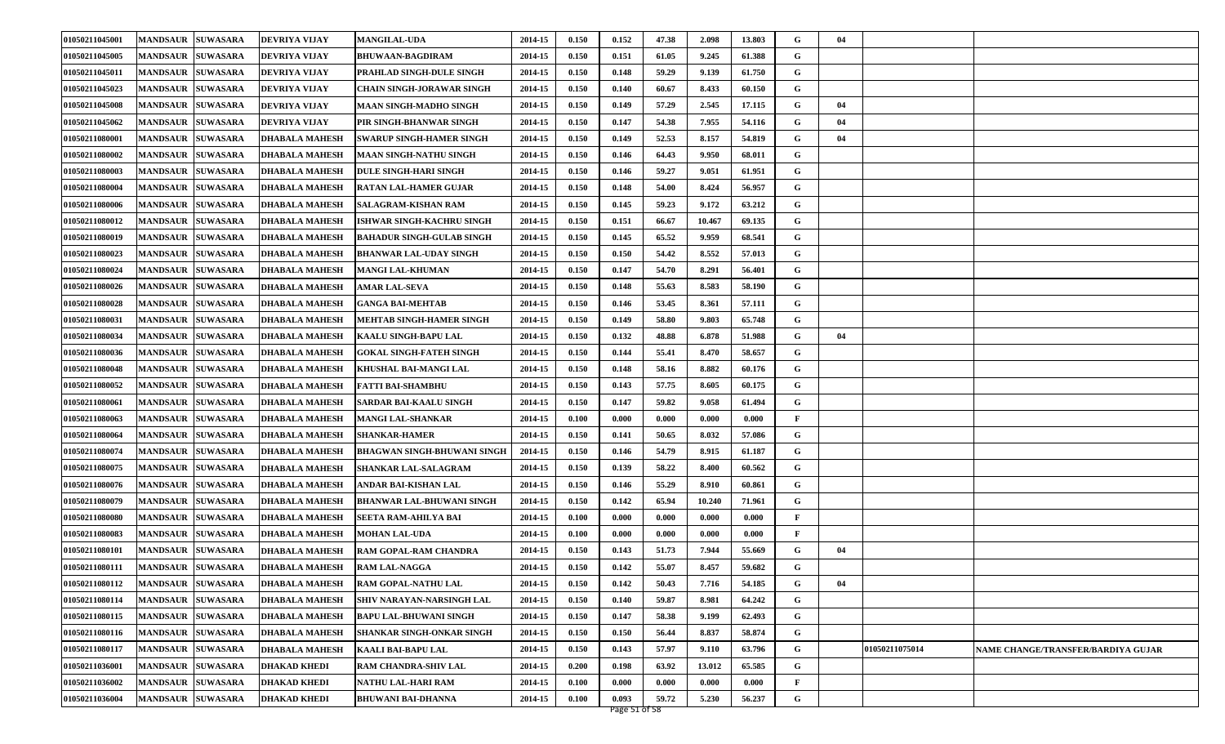| 01050211045001 | <b>MANDSAUR SUWASARA</b>           | <b>DEVRIYA VIJAY</b>  | <b>MANGILAL-UDA</b>                | 2014-15 | 0.150 | 0.152 | 47.38 | 2.098  | 13.803 | G | 04 |                |                                    |
|----------------|------------------------------------|-----------------------|------------------------------------|---------|-------|-------|-------|--------|--------|---|----|----------------|------------------------------------|
| 01050211045005 | <b>MANDSAUR  SUWASARA</b>          | <b>DEVRIYA VIJAY</b>  | <b>BHUWAAN-BAGDIRAM</b>            | 2014-15 | 0.150 | 0.151 | 61.05 | 9.245  | 61.388 | G |    |                |                                    |
| 01050211045011 | <b>MANDSAUR SUWASARA</b>           | <b>DEVRIYA VIJAY</b>  | PRAHLAD SINGH-DULE SINGH           | 2014-15 | 0.150 | 0.148 | 59.29 | 9.139  | 61.750 | G |    |                |                                    |
| 01050211045023 | <b>MANDSAUR SUWASARA</b>           | <b>DEVRIYA VIJAY</b>  | CHAIN SINGH-JORAWAR SINGH          | 2014-15 | 0.150 | 0.140 | 60.67 | 8.433  | 60.150 | G |    |                |                                    |
| 01050211045008 | <b>MANDSAUR SUWASARA</b>           | <b>DEVRIYA VIJAY</b>  | <b>MAAN SINGH-MADHO SINGH</b>      | 2014-15 | 0.150 | 0.149 | 57.29 | 2.545  | 17.115 | G | 04 |                |                                    |
| 01050211045062 | <b>MANDSAUR SUWASARA</b>           | <b>DEVRIYA VIJAY</b>  | PIR SINGH-BHANWAR SINGH            | 2014-15 | 0.150 | 0.147 | 54.38 | 7.955  | 54.116 | G | 04 |                |                                    |
| 01050211080001 | <b>MANDSAUR SUWASARA</b>           | <b>DHABALA MAHESH</b> | <b>SWARUP SINGH-HAMER SINGH</b>    | 2014-15 | 0.150 | 0.149 | 52.53 | 8.157  | 54.819 | G | 04 |                |                                    |
| 01050211080002 | <b>MANDSAUR  SUWASARA</b>          | <b>DHABALA MAHESH</b> | <b>MAAN SINGH-NATHU SINGH</b>      | 2014-15 | 0.150 | 0.146 | 64.43 | 9.950  | 68.011 | G |    |                |                                    |
| 01050211080003 | <b>MANDSAUR</b><br><b>SUWASARA</b> | <b>DHABALA MAHESH</b> | <b>DULE SINGH-HARI SINGH</b>       | 2014-15 | 0.150 | 0.146 | 59.27 | 9.051  | 61.951 | G |    |                |                                    |
| 01050211080004 | <b>MANDSAUR SUWASARA</b>           | <b>DHABALA MAHESH</b> | RATAN LAL-HAMER GUJAR              | 2014-15 | 0.150 | 0.148 | 54.00 | 8.424  | 56.957 | G |    |                |                                    |
| 01050211080006 | <b>MANDSAUR SUWASARA</b>           | <b>DHABALA MAHESH</b> | SALAGRAM-KISHAN RAM                | 2014-15 | 0.150 | 0.145 | 59.23 | 9.172  | 63.212 | G |    |                |                                    |
| 01050211080012 | <b>MANDSAUR  SUWASARA</b>          | <b>DHABALA MAHESH</b> | ISHWAR SINGH-KACHRU SINGH          | 2014-15 | 0.150 | 0.151 | 66.67 | 10.467 | 69.135 | G |    |                |                                    |
| 01050211080019 | <b>MANDSAUR</b><br><b>SUWASARA</b> | <b>DHABALA MAHESH</b> | <b>BAHADUR SINGH-GULAB SINGH</b>   | 2014-15 | 0.150 | 0.145 | 65.52 | 9.959  | 68.541 | G |    |                |                                    |
| 01050211080023 | <b>MANDSAUR SUWASARA</b>           | <b>DHABALA MAHESH</b> | <b>BHANWAR LAL-UDAY SINGH</b>      | 2014-15 | 0.150 | 0.150 | 54.42 | 8.552  | 57.013 | G |    |                |                                    |
| 01050211080024 | <b>MANDSAUR SUWASARA</b>           | <b>DHABALA MAHESH</b> | <b>MANGI LAL-KHUMAN</b>            | 2014-15 | 0.150 | 0.147 | 54.70 | 8.291  | 56.401 | G |    |                |                                    |
| 01050211080026 | <b>MANDSAUR  SUWASARA</b>          | <b>DHABALA MAHESH</b> | <b>AMAR LAL-SEVA</b>               | 2014-15 | 0.150 | 0.148 | 55.63 | 8.583  | 58.190 | G |    |                |                                    |
| 01050211080028 | <b>MANDSAUR</b><br><b>SUWASARA</b> | <b>DHABALA MAHESH</b> | <b>GANGA BAI-MEHTAB</b>            | 2014-15 | 0.150 | 0.146 | 53.45 | 8.361  | 57.111 | G |    |                |                                    |
| 01050211080031 | <b>MANDSAUR SUWASARA</b>           | <b>DHABALA MAHESH</b> | <b>MEHTAB SINGH-HAMER SINGH</b>    | 2014-15 | 0.150 | 0.149 | 58.80 | 9.803  | 65.748 | G |    |                |                                    |
| 01050211080034 | <b>MANDSAUR SUWASARA</b>           | <b>DHABALA MAHESH</b> | <b>KAALU SINGH-BAPU LAL</b>        | 2014-15 | 0.150 | 0.132 | 48.88 | 6.878  | 51.988 | G | 04 |                |                                    |
| 01050211080036 | <b>MANDSAUR  SUWASARA</b>          | <b>DHABALA MAHESH</b> | <b>GOKAL SINGH-FATEH SINGH</b>     | 2014-15 | 0.150 | 0.144 | 55.41 | 8.470  | 58.657 | G |    |                |                                    |
| 01050211080048 | <b>SUWASARA</b><br><b>MANDSAUR</b> | <b>DHABALA MAHESH</b> | KHUSHAL BAI-MANGI LAL              | 2014-15 | 0.150 | 0.148 | 58.16 | 8.882  | 60.176 | G |    |                |                                    |
| 01050211080052 | <b>MANDSAUR SUWASARA</b>           | <b>DHABALA MAHESH</b> | <b>FATTI BAI-SHAMBHU</b>           | 2014-15 | 0.150 | 0.143 | 57.75 | 8.605  | 60.175 | G |    |                |                                    |
| 01050211080061 | <b>MANDSAUR SUWASARA</b>           | <b>DHABALA MAHESH</b> | <b>SARDAR BAI-KAALU SINGH</b>      | 2014-15 | 0.150 | 0.147 | 59.82 | 9.058  | 61.494 | G |    |                |                                    |
| 01050211080063 | <b>MANDSAUR SUWASARA</b>           | <b>DHABALA MAHESH</b> | <b>MANGI LAL-SHANKAR</b>           | 2014-15 | 0.100 | 0.000 | 0.000 | 0.000  | 0.000  | F |    |                |                                    |
| 01050211080064 | <b>SUWASARA</b><br><b>MANDSAUR</b> | <b>DHABALA MAHESH</b> | <b>SHANKAR-HAMER</b>               | 2014-15 | 0.150 | 0.141 | 50.65 | 8.032  | 57.086 | G |    |                |                                    |
| 01050211080074 | <b>MANDSAUR SUWASARA</b>           | <b>DHABALA MAHESH</b> | <b>BHAGWAN SINGH-BHUWANI SINGH</b> | 2014-15 | 0.150 | 0.146 | 54.79 | 8.915  | 61.187 | G |    |                |                                    |
| 01050211080075 | <b>MANDSAUR SUWASARA</b>           | <b>DHABALA MAHESH</b> | <b>SHANKAR LAL-SALAGRAM</b>        | 2014-15 | 0.150 | 0.139 | 58.22 | 8.400  | 60.562 | G |    |                |                                    |
| 01050211080076 | <b>MANDSAUR SUWASARA</b>           | <b>DHABALA MAHESH</b> | ANDAR BAI-KISHAN LAL               | 2014-15 | 0.150 | 0.146 | 55.29 | 8.910  | 60.861 | G |    |                |                                    |
| 01050211080079 | <b>MANDSAUR SUWASARA</b>           | <b>DHABALA MAHESH</b> | <b>BHANWAR LAL-BHUWANI SINGH</b>   | 2014-15 | 0.150 | 0.142 | 65.94 | 10.240 | 71.961 | G |    |                |                                    |
| 01050211080080 | <b>MANDSAUR SUWASARA</b>           | <b>DHABALA MAHESH</b> | SEETA RAM-AHILYA BAI               | 2014-15 | 0.100 | 0.000 | 0.000 | 0.000  | 0.000  | F |    |                |                                    |
| 01050211080083 | <b>MANDSAUR SUWASARA</b>           | <b>DHABALA MAHESH</b> | <b>MOHAN LAL-UDA</b>               | 2014-15 | 0.100 | 0.000 | 0.000 | 0.000  | 0.000  | F |    |                |                                    |
| 01050211080101 | <b>MANDSAUR</b><br><b>SUWASARA</b> | <b>DHABALA MAHESH</b> | RAM GOPAL-RAM CHANDRA              | 2014-15 | 0.150 | 0.143 | 51.73 | 7.944  | 55.669 | G | 04 |                |                                    |
| 01050211080111 | <b>MANDSAUR SUWASARA</b>           | <b>DHABALA MAHESH</b> | <b>RAM LAL-NAGGA</b>               | 2014-15 | 0.150 | 0.142 | 55.07 | 8.457  | 59.682 | G |    |                |                                    |
| 01050211080112 | MANDSAUR SUWASARA                  | <b>DHABALA MAHESH</b> | RAM GOPAL-NATHU LAL                | 2014-15 | 0.150 | 0.142 | 50.43 | 7.716  | 54.185 | G | 04 |                |                                    |
| 01050211080114 | MANDSAUR SUWASARA                  | <b>DHABALA MAHESH</b> | SHIV NARAYAN-NARSINGH LAL          | 2014-15 | 0.150 | 0.140 | 59.87 | 8.981  | 64.242 | G |    |                |                                    |
| 01050211080115 | MANDSAUR SUWASARA                  | <b>DHABALA MAHESH</b> | <b>BAPU LAL-BHUWANI SINGH</b>      | 2014-15 | 0.150 | 0.147 | 58.38 | 9.199  | 62.493 | G |    |                |                                    |
| 01050211080116 | <b>MANDSAUR SUWASARA</b>           | <b>DHABALA MAHESH</b> | SHANKAR SINGH-ONKAR SINGH          | 2014-15 | 0.150 | 0.150 | 56.44 | 8.837  | 58.874 | G |    |                |                                    |
| 01050211080117 | MANDSAUR SUWASARA                  | <b>DHABALA MAHESH</b> | <b>KAALI BAI-BAPU LAL</b>          | 2014-15 | 0.150 | 0.143 | 57.97 | 9.110  | 63.796 | G |    | 01050211075014 | NAME CHANGE/TRANSFER/BARDIYA GUJAR |
| 01050211036001 | <b>MANDSAUR SUWASARA</b>           | <b>DHAKAD KHEDI</b>   | RAM CHANDRA-SHIV LAL               | 2014-15 | 0.200 | 0.198 | 63.92 | 13.012 | 65.585 | G |    |                |                                    |
| 01050211036002 | <b>SUWASARA</b><br><b>MANDSAUR</b> | <b>DHAKAD KHEDI</b>   | NATHU LAL-HARI RAM                 | 2014-15 | 0.100 | 0.000 | 0.000 | 0.000  | 0.000  | F |    |                |                                    |
| 01050211036004 | <b>MANDSAUR SUWASARA</b>           | <b>DHAKAD KHEDI</b>   | <b>BHUWANI BAI-DHANNA</b>          | 2014-15 | 0.100 | 0.093 | 59.72 | 5.230  | 56.237 | G |    |                |                                    |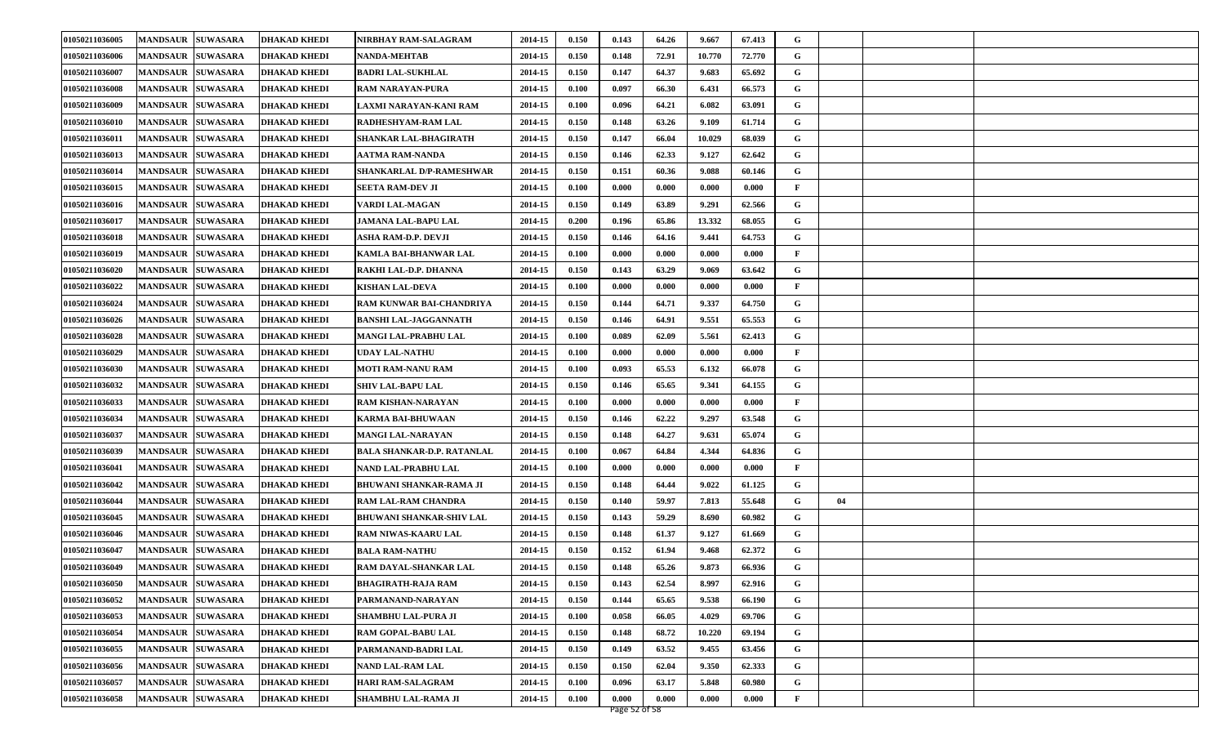| 01050211036005 | <b>MANDSAUR SUWASARA</b>           | <b>DHAKAD KHEDI</b> | NIRBHAY RAM-SALAGRAM              | 2014-15 | 0.150 | 0.143 | 64.26 | 9.667  | 67.413 | G            |    |  |
|----------------|------------------------------------|---------------------|-----------------------------------|---------|-------|-------|-------|--------|--------|--------------|----|--|
| 01050211036006 | <b>MANDSAUR</b><br><b>SUWASARA</b> | <b>DHAKAD KHEDI</b> | <b>NANDA-MEHTAB</b>               | 2014-15 | 0.150 | 0.148 | 72.91 | 10.770 | 72.770 | G            |    |  |
| 01050211036007 | <b>MANDSAUR</b><br><b>SUWASARA</b> | <b>DHAKAD KHEDI</b> | <b>BADRI LAL-SUKHLAL</b>          | 2014-15 | 0.150 | 0.147 | 64.37 | 9.683  | 65.692 | G            |    |  |
| 01050211036008 | <b>MANDSAUR</b><br><b>SUWASARA</b> | <b>DHAKAD KHEDI</b> | <b>RAM NARAYAN-PURA</b>           | 2014-15 | 0.100 | 0.097 | 66.30 | 6.431  | 66.573 | G            |    |  |
| 01050211036009 | <b>MANDSAUR</b><br><b>SUWASARA</b> | DHAKAD KHEDI        | LAXMI NARAYAN-KANI RAM            | 2014-15 | 0.100 | 0.096 | 64.21 | 6.082  | 63.091 | G            |    |  |
| 01050211036010 | <b>MANDSAUR</b><br><b>SUWASARA</b> | DHAKAD KHEDI        | RADHESHYAM-RAM LAL                | 2014-15 | 0.150 | 0.148 | 63.26 | 9.109  | 61.714 | G            |    |  |
| 01050211036011 | <b>MANDSAUR</b><br><b>SUWASARA</b> | DHAKAD KHEDI        | SHANKAR LAL-BHAGIRATH             | 2014-15 | 0.150 | 0.147 | 66.04 | 10.029 | 68.039 | G            |    |  |
| 01050211036013 | <b>MANDSAUR</b><br><b>SUWASARA</b> | DHAKAD KHEDI        | AATMA RAM-NANDA                   | 2014-15 | 0.150 | 0.146 | 62.33 | 9.127  | 62.642 | G            |    |  |
| 01050211036014 | <b>MANDSAUR</b><br><b>SUWASARA</b> | DHAKAD KHEDI        | SHANKARLAL D/P-RAMESHWAR          | 2014-15 | 0.150 | 0.151 | 60.36 | 9.088  | 60.146 | G            |    |  |
| 01050211036015 | <b>MANDSAUR</b><br><b>SUWASARA</b> | DHAKAD KHEDI        | <b>SEETA RAM-DEV JI</b>           | 2014-15 | 0.100 | 0.000 | 0.000 | 0.000  | 0.000  | $\mathbf{F}$ |    |  |
| 01050211036016 | <b>MANDSAUR</b><br><b>SUWASARA</b> | <b>DHAKAD KHEDI</b> | VARDI LAL-MAGAN                   | 2014-15 | 0.150 | 0.149 | 63.89 | 9.291  | 62.566 | G            |    |  |
| 01050211036017 | <b>MANDSAUR</b><br><b>SUWASARA</b> | DHAKAD KHEDI        | JAMANA LAL-BAPU LAL               | 2014-15 | 0.200 | 0.196 | 65.86 | 13.332 | 68.055 | G            |    |  |
| 01050211036018 | <b>MANDSAUR</b><br><b>SUWASARA</b> | DHAKAD KHEDI        | ASHA RAM-D.P. DEVJI               | 2014-15 | 0.150 | 0.146 | 64.16 | 9.441  | 64.753 | G            |    |  |
| 01050211036019 | <b>MANDSAUR</b><br><b>SUWASARA</b> | DHAKAD KHEDI        | KAMLA BAI-BHANWAR LAL             | 2014-15 | 0.100 | 0.000 | 0.000 | 0.000  | 0.000  | $\mathbf{F}$ |    |  |
| 01050211036020 | <b>MANDSAUR</b><br><b>SUWASARA</b> | DHAKAD KHEDI        | RAKHI LAL-D.P. DHANNA             | 2014-15 | 0.150 | 0.143 | 63.29 | 9.069  | 63.642 | G            |    |  |
| 01050211036022 | <b>SUWASARA</b><br><b>MANDSAUR</b> | DHAKAD KHEDI        | <b>KISHAN LAL-DEVA</b>            | 2014-15 | 0.100 | 0.000 | 0.000 | 0.000  | 0.000  | F            |    |  |
| 01050211036024 | <b>MANDSAUR</b><br><b>SUWASARA</b> | DHAKAD KHEDI        | RAM KUNWAR BAI-CHANDRIYA          | 2014-15 | 0.150 | 0.144 | 64.71 | 9.337  | 64.750 | G            |    |  |
| 01050211036026 | <b>MANDSAUR</b><br><b>SUWASARA</b> | <b>DHAKAD KHEDI</b> | <b>BANSHI LAL-JAGGANNATH</b>      | 2014-15 | 0.150 | 0.146 | 64.91 | 9.551  | 65.553 | G            |    |  |
| 01050211036028 | <b>MANDSAUR</b><br><b>SUWASARA</b> | DHAKAD KHEDI        | MANGI LAL-PRABHU LAL              | 2014-15 | 0.100 | 0.089 | 62.09 | 5.561  | 62.413 | G            |    |  |
| 01050211036029 | <b>MANDSAUR</b><br><b>SUWASARA</b> | DHAKAD KHEDI        | UDAY LAL-NATHU                    | 2014-15 | 0.100 | 0.000 | 0.000 | 0.000  | 0.000  | F            |    |  |
| 01050211036030 | <b>MANDSAUR</b><br><b>SUWASARA</b> | DHAKAD KHEDI        | MOTI RAM-NANU RAM                 | 2014-15 | 0.100 | 0.093 | 65.53 | 6.132  | 66.078 | G            |    |  |
| 01050211036032 | <b>MANDSAUR</b><br><b>SUWASARA</b> | DHAKAD KHEDI        | <b>SHIV LAL-BAPU LAL</b>          | 2014-15 | 0.150 | 0.146 | 65.65 | 9.341  | 64.155 | G            |    |  |
| 01050211036033 | <b>MANDSAUR</b><br><b>SUWASARA</b> | DHAKAD KHEDI        | RAM KISHAN-NARAYAN                | 2014-15 | 0.100 | 0.000 | 0.000 | 0.000  | 0.000  | F            |    |  |
| 01050211036034 | <b>MANDSAUR</b><br><b>SUWASARA</b> | DHAKAD KHEDI        | <b>KARMA BAI-BHUWAAN</b>          | 2014-15 | 0.150 | 0.146 | 62.22 | 9.297  | 63.548 | G            |    |  |
| 01050211036037 | <b>MANDSAUR</b><br><b>SUWASARA</b> | <b>DHAKAD KHEDI</b> | <b>MANGI LAL-NARAYAN</b>          | 2014-15 | 0.150 | 0.148 | 64.27 | 9.631  | 65.074 | G            |    |  |
| 01050211036039 | <b>MANDSAUR</b><br><b>SUWASARA</b> | <b>DHAKAD KHEDI</b> | <b>BALA SHANKAR-D.P. RATANLAL</b> | 2014-15 | 0.100 | 0.067 | 64.84 | 4.344  | 64.836 | G            |    |  |
| 01050211036041 | <b>MANDSAUR</b><br><b>SUWASARA</b> | <b>DHAKAD KHEDI</b> | NAND LAL-PRABHU LAL               | 2014-15 | 0.100 | 0.000 | 0.000 | 0.000  | 0.000  | F            |    |  |
| 01050211036042 | <b>MANDSAUR</b><br><b>SUWASARA</b> | DHAKAD KHEDI        | <b>BHUWANI SHANKAR-RAMA JI</b>    | 2014-15 | 0.150 | 0.148 | 64.44 | 9.022  | 61.125 | G            |    |  |
| 01050211036044 | <b>MANDSAUR</b><br><b>SUWASARA</b> | DHAKAD KHEDI        | RAM LAL-RAM CHANDRA               | 2014-15 | 0.150 | 0.140 | 59.97 | 7.813  | 55.648 | G            | 04 |  |
| 01050211036045 | <b>MANDSAUR</b><br><b>SUWASARA</b> | DHAKAD KHEDI        | <b>BHUWANI SHANKAR-SHIV LAL</b>   | 2014-15 | 0.150 | 0.143 | 59.29 | 8.690  | 60.982 | G            |    |  |
| 01050211036046 | <b>SUWASARA</b><br><b>MANDSAUR</b> | DHAKAD KHEDI        | RAM NIWAS-KAARU LAL               | 2014-15 | 0.150 | 0.148 | 61.37 | 9.127  | 61.669 | G            |    |  |
| 01050211036047 | <b>MANDSAUR</b><br><b>SUWASARA</b> | DHAKAD KHEDI        | <b>BALA RAM-NATHU</b>             | 2014-15 | 0.150 | 0.152 | 61.94 | 9.468  | 62.372 | G            |    |  |
| 01050211036049 | <b>MANDSAUR SUWASARA</b>           | DHAKAD KHEDI        | RAM DAYAL-SHANKAR LAL             | 2014-15 | 0.150 | 0.148 | 65.26 | 9.873  | 66.936 | G            |    |  |
| 01050211036050 | MANDSAUR SUWASARA                  | <b>DHAKAD KHEDI</b> | <b>BHAGIRATH-RAJA RAM</b>         | 2014-15 | 0.150 | 0.143 | 62.54 | 8.997  | 62.916 | G            |    |  |
| 01050211036052 | <b>MANDSAUR SUWASARA</b>           | <b>DHAKAD KHEDI</b> | PARMANAND-NARAYAN                 | 2014-15 | 0.150 | 0.144 | 65.65 | 9.538  | 66.190 | G            |    |  |
| 01050211036053 | <b>SUWASARA</b><br><b>MANDSAUR</b> | <b>DHAKAD KHEDI</b> | SHAMBHU LAL-PURA JI               | 2014-15 | 0.100 | 0.058 | 66.05 | 4.029  | 69.706 | G            |    |  |
| 01050211036054 | <b>MANDSAUR</b><br><b>SUWASARA</b> | <b>DHAKAD KHEDI</b> | RAM GOPAL-BABU LAL                | 2014-15 | 0.150 | 0.148 | 68.72 | 10.220 | 69.194 | G            |    |  |
| 01050211036055 | <b>SUWASARA</b><br><b>MANDSAUR</b> | <b>DHAKAD KHEDI</b> | PARMANAND-BADRI LAL               | 2014-15 | 0.150 | 0.149 | 63.52 | 9.455  | 63.456 | G            |    |  |
| 01050211036056 | <b>SUWASARA</b><br><b>MANDSAUR</b> | DHAKAD KHEDI        | NAND LAL-RAM LAL                  | 2014-15 | 0.150 | 0.150 | 62.04 | 9.350  | 62.333 | G            |    |  |
| 01050211036057 | <b>SUWASARA</b><br><b>MANDSAUR</b> | DHAKAD KHEDI        | <b>HARI RAM-SALAGRAM</b>          | 2014-15 | 0.100 | 0.096 | 63.17 | 5.848  | 60.980 | G            |    |  |
| 01050211036058 | <b>MANDSAUR SUWASARA</b>           | <b>DHAKAD KHEDI</b> | SHAMBHU LAL-RAMA JI               | 2014-15 | 0.100 | 0.000 | 0.000 | 0.000  | 0.000  | $\mathbf{F}$ |    |  |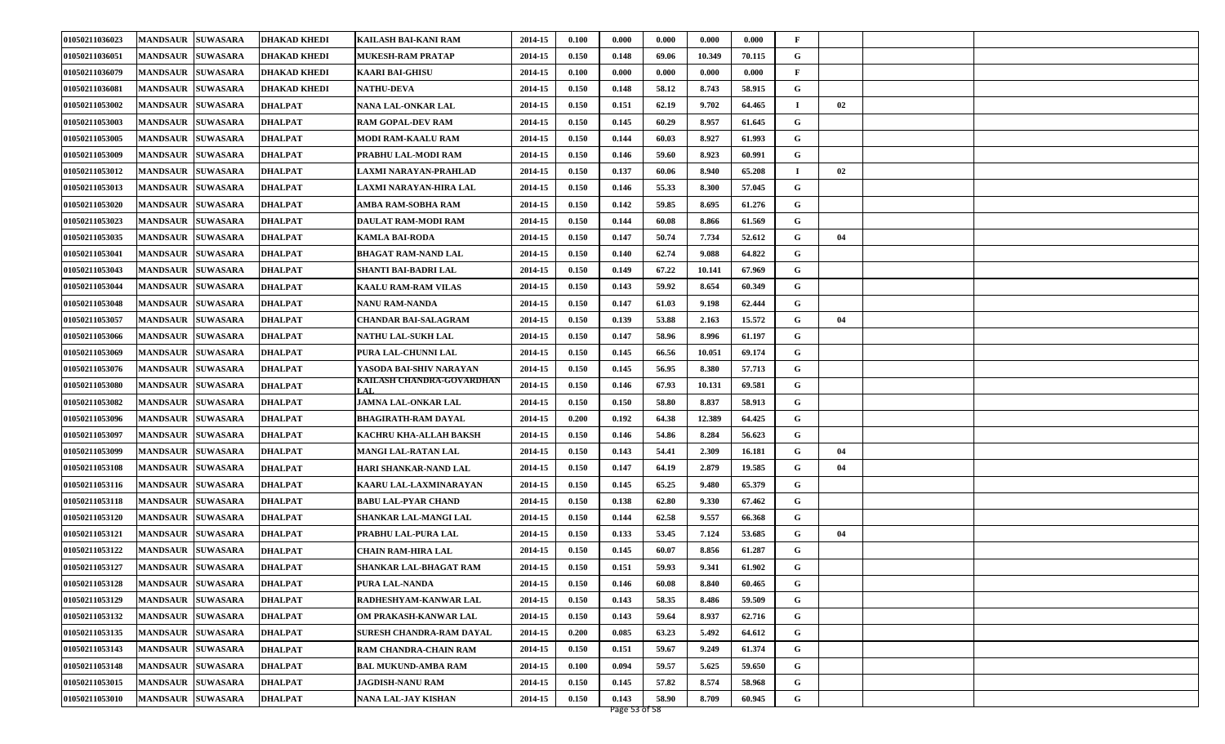| 01050211036023 | <b>MANDSAUR SUWASARA</b>           | <b>DHAKAD KHEDI</b> | KAILASH BAI-KANI RAM        | 2014-15 | 0.100 | 0.000 | 0.000 | 0.000  | 0.000  | F            |    |  |
|----------------|------------------------------------|---------------------|-----------------------------|---------|-------|-------|-------|--------|--------|--------------|----|--|
| 01050211036051 | <b>MANDSAUR</b><br><b>SUWASARA</b> | <b>DHAKAD KHEDI</b> | MUKESH-RAM PRATAP           | 2014-15 | 0.150 | 0.148 | 69.06 | 10.349 | 70.115 | G            |    |  |
| 01050211036079 | <b>MANDSAUR</b><br><b>SUWASARA</b> | <b>DHAKAD KHEDI</b> | <b>KAARI BAI-GHISU</b>      | 2014-15 | 0.100 | 0.000 | 0.000 | 0.000  | 0.000  | $\mathbf{F}$ |    |  |
| 01050211036081 | <b>MANDSAUR</b><br><b>SUWASARA</b> | <b>DHAKAD KHEDI</b> | <b>NATHU-DEVA</b>           | 2014-15 | 0.150 | 0.148 | 58.12 | 8.743  | 58.915 | G            |    |  |
| 01050211053002 | <b>SUWASARA</b><br><b>MANDSAUR</b> | <b>DHALPAT</b>      | NANA LAL-ONKAR LAL          | 2014-15 | 0.150 | 0.151 | 62.19 | 9.702  | 64.465 | $\mathbf I$  | 02 |  |
| 01050211053003 | <b>MANDSAUR</b><br><b>SUWASARA</b> | <b>DHALPAT</b>      | <b>RAM GOPAL-DEV RAM</b>    | 2014-15 | 0.150 | 0.145 | 60.29 | 8.957  | 61.645 | G            |    |  |
| 01050211053005 | <b>MANDSAUR</b><br><b>SUWASARA</b> | DHALPAT             | <b>MODI RAM-KAALU RAM</b>   | 2014-15 | 0.150 | 0.144 | 60.03 | 8.927  | 61.993 | G            |    |  |
| 01050211053009 | <b>SUWASARA</b><br><b>MANDSAUR</b> | <b>DHALPAT</b>      | PRABHU LAL-MODI RAM         | 2014-15 | 0.150 | 0.146 | 59.60 | 8.923  | 60.991 | G            |    |  |
| 01050211053012 | <b>MANDSAUR</b><br><b>SUWASARA</b> | <b>DHALPAT</b>      | LAXMI NARAYAN-PRAHLAD       | 2014-15 | 0.150 | 0.137 | 60.06 | 8.940  | 65.208 | $\mathbf I$  | 02 |  |
| 01050211053013 | <b>MANDSAUR</b><br><b>SUWASARA</b> | <b>DHALPAT</b>      | LAXMI NARAYAN-HIRA LAL      | 2014-15 | 0.150 | 0.146 | 55.33 | 8.300  | 57.045 | G            |    |  |
| 01050211053020 | <b>MANDSAUR</b><br><b>SUWASARA</b> | <b>DHALPAT</b>      | AMBA RAM-SOBHA RAM          | 2014-15 | 0.150 | 0.142 | 59.85 | 8.695  | 61.276 | G            |    |  |
| 01050211053023 | <b>SUWASARA</b><br><b>MANDSAUR</b> | DHALPAT             | DAULAT RAM-MODI RAM         | 2014-15 | 0.150 | 0.144 | 60.08 | 8.866  | 61.569 | G            |    |  |
| 01050211053035 | <b>MANDSAUR</b><br><b>SUWASARA</b> | <b>DHALPAT</b>      | KAMLA BAI-RODA              | 2014-15 | 0.150 | 0.147 | 50.74 | 7.734  | 52.612 | G            | 04 |  |
| 01050211053041 | <b>MANDSAUR</b><br><b>SUWASARA</b> | <b>DHALPAT</b>      | <b>BHAGAT RAM-NAND LAL</b>  | 2014-15 | 0.150 | 0.140 | 62.74 | 9.088  | 64.822 | G            |    |  |
| 01050211053043 | <b>MANDSAUR</b><br><b>SUWASARA</b> | <b>DHALPAT</b>      | SHANTI BAI-BADRI LAL        | 2014-15 | 0.150 | 0.149 | 67.22 | 10.141 | 67.969 | G            |    |  |
| 01050211053044 | <b>SUWASARA</b><br><b>MANDSAUR</b> | DHALPAT             | KAALU RAM-RAM VILAS         | 2014-15 | 0.150 | 0.143 | 59.92 | 8.654  | 60.349 | G            |    |  |
| 01050211053048 | <b>MANDSAUR</b><br><b>SUWASARA</b> | <b>DHALPAT</b>      | NANU RAM-NANDA              | 2014-15 | 0.150 | 0.147 | 61.03 | 9.198  | 62.444 | G            |    |  |
| 01050211053057 | <b>MANDSAUR</b><br><b>SUWASARA</b> | <b>DHALPAT</b>      | <b>CHANDAR BAI-SALAGRAM</b> | 2014-15 | 0.150 | 0.139 | 53.88 | 2.163  | 15.572 | G            | 04 |  |
| 01050211053066 | <b>MANDSAUR</b><br><b>SUWASARA</b> | <b>DHALPAT</b>      | NATHU LAL-SUKH LAL          | 2014-15 | 0.150 | 0.147 | 58.96 | 8.996  | 61.197 | G            |    |  |
| 01050211053069 | <b>MANDSAUR</b><br><b>SUWASARA</b> | DHALPAT             | PURA LAL-CHUNNI LAL         | 2014-15 | 0.150 | 0.145 | 66.56 | 10.051 | 69.174 | G            |    |  |
| 01050211053076 | <b>MANDSAUR</b><br><b>SUWASARA</b> | <b>DHALPAT</b>      | YASODA BAI-SHIV NARAYAN     | 2014-15 | 0.150 | 0.145 | 56.95 | 8.380  | 57.713 | G            |    |  |
| 01050211053080 | <b>MANDSAUR</b><br><b>SUWASARA</b> | DHALPAT             | KAILASH CHANDRA-GOVARDHAN   | 2014-15 | 0.150 | 0.146 | 67.93 | 10.131 | 69.581 | G            |    |  |
| 01050211053082 | <b>MANDSAUR</b><br><b>SUWASARA</b> | <b>DHALPAT</b>      | JAMNA LAL-ONKAR LAL         | 2014-15 | 0.150 | 0.150 | 58.80 | 8.837  | 58.913 | G            |    |  |
| 01050211053096 | <b>MANDSAUR</b><br><b>SUWASARA</b> | <b>DHALPAT</b>      | <b>BHAGIRATH-RAM DAYAL</b>  | 2014-15 | 0.200 | 0.192 | 64.38 | 12.389 | 64.425 | G            |    |  |
| 01050211053097 | <b>SUWASARA</b><br><b>MANDSAUR</b> | <b>DHALPAT</b>      | KACHRU KHA-ALLAH BAKSH      | 2014-15 | 0.150 | 0.146 | 54.86 | 8.284  | 56.623 | G            |    |  |
| 01050211053099 | <b>MANDSAUR</b><br><b>SUWASARA</b> | <b>DHALPAT</b>      | <b>MANGI LAL-RATAN LAL</b>  | 2014-15 | 0.150 | 0.143 | 54.41 | 2.309  | 16.181 | G            | 04 |  |
| 01050211053108 | <b>MANDSAUR</b><br><b>SUWASARA</b> | <b>DHALPAT</b>      | HARI SHANKAR-NAND LAL       | 2014-15 | 0.150 | 0.147 | 64.19 | 2.879  | 19.585 | G            | 04 |  |
| 01050211053116 | <b>SUWASARA</b><br><b>MANDSAUR</b> | <b>DHALPAT</b>      | KAARU LAL-LAXMINARAYAN      | 2014-15 | 0.150 | 0.145 | 65.25 | 9.480  | 65.379 | G            |    |  |
| 01050211053118 | <b>MANDSAUR</b><br><b>SUWASARA</b> | <b>DHALPAT</b>      | <b>BABU LAL-PYAR CHAND</b>  | 2014-15 | 0.150 | 0.138 | 62.80 | 9.330  | 67.462 | G            |    |  |
| 01050211053120 | <b>MANDSAUR</b><br><b>SUWASARA</b> | DHALPAT             | SHANKAR LAL-MANGI LAL       | 2014-15 | 0.150 | 0.144 | 62.58 | 9.557  | 66.368 | G            |    |  |
| 01050211053121 | <b>SUWASARA</b><br><b>MANDSAUR</b> | <b>DHALPAT</b>      | PRABHU LAL-PURA LAL         | 2014-15 | 0.150 | 0.133 | 53.45 | 7.124  | 53.685 | G            | 04 |  |
| 01050211053122 | <b>MANDSAUR</b><br><b>SUWASARA</b> | <b>DHALPAT</b>      | CHAIN RAM-HIRA LAL          | 2014-15 | 0.150 | 0.145 | 60.07 | 8.856  | 61.287 | G            |    |  |
| 01050211053127 | <b>MANDSAUR SUWASARA</b>           | <b>DHALPAT</b>      | SHANKAR LAL-BHAGAT RAM      | 2014-15 | 0.150 | 0.151 | 59.93 | 9.341  | 61.902 | G            |    |  |
| 01050211053128 | <b>MANDSAUR SUWASARA</b>           | <b>DHALPAT</b>      | PURA LAL-NANDA              | 2014-15 | 0.150 | 0.146 | 60.08 | 8.840  | 60.465 | G            |    |  |
| 01050211053129 | MANDSAUR SUWASARA                  | <b>DHALPAT</b>      | RADHESHYAM-KANWAR LAL       | 2014-15 | 0.150 | 0.143 | 58.35 | 8.486  | 59.509 | G            |    |  |
| 01050211053132 | <b>MANDSAUR</b><br><b>SUWASARA</b> | <b>DHALPAT</b>      | OM PRAKASH-KANWAR LAL       | 2014-15 | 0.150 | 0.143 | 59.64 | 8.937  | 62.716 | G            |    |  |
| 01050211053135 | <b>SUWASARA</b><br><b>MANDSAUR</b> | <b>DHALPAT</b>      | SURESH CHANDRA-RAM DAYAL    | 2014-15 | 0.200 | 0.085 | 63.23 | 5.492  | 64.612 | G            |    |  |
| 01050211053143 | MANDSAUR SUWASARA                  | <b>DHALPAT</b>      | RAM CHANDRA-CHAIN RAM       | 2014-15 | 0.150 | 0.151 | 59.67 | 9.249  | 61.374 | G            |    |  |
| 01050211053148 | <b>SUWASARA</b><br><b>MANDSAUR</b> | DHALPAT             | BAL MUKUND-AMBA RAM         | 2014-15 | 0.100 | 0.094 | 59.57 | 5.625  | 59.650 | G            |    |  |
| 01050211053015 | <b>MANDSAUR</b><br><b>SUWASARA</b> | <b>DHALPAT</b>      | <b>JAGDISH-NANU RAM</b>     | 2014-15 | 0.150 | 0.145 | 57.82 | 8.574  | 58.968 | G            |    |  |
| 01050211053010 | MANDSAUR SUWASARA                  | <b>DHALPAT</b>      | NANA LAL-JAY KISHAN         | 2014-15 | 0.150 | 0.143 | 58.90 | 8.709  | 60.945 | $\mathbf G$  |    |  |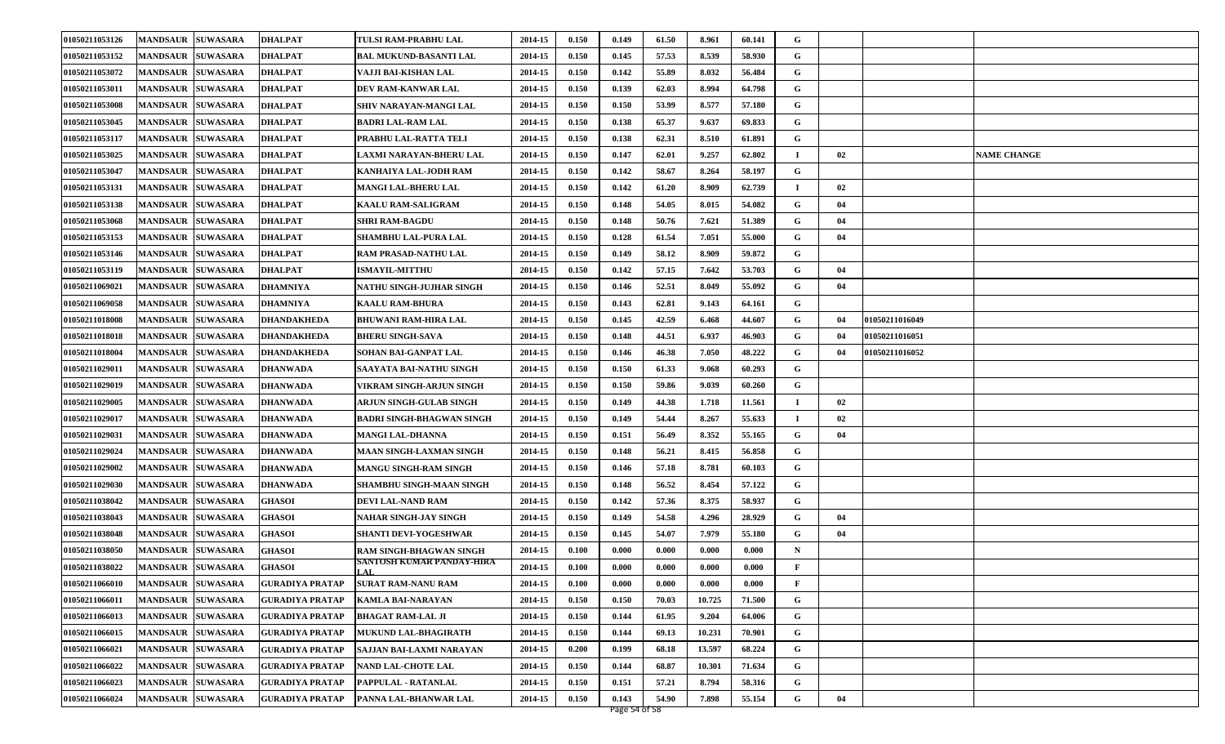| 01050211053126 | <b>MANDSAUR</b><br><b>SUWASARA</b> | <b>DHALPAT</b>         | TULSI RAM-PRABHU LAL              | 2014-15 | 0.150 | 0.149 | 61.50 | 8.961  | 60.141 | G              |    |                |                    |
|----------------|------------------------------------|------------------------|-----------------------------------|---------|-------|-------|-------|--------|--------|----------------|----|----------------|--------------------|
| 01050211053152 | <b>MANDSAUR</b><br><b>SUWASARA</b> | <b>DHALPAT</b>         | <b>BAL MUKUND-BASANTI LAL</b>     | 2014-15 | 0.150 | 0.145 | 57.53 | 8.539  | 58.930 | G              |    |                |                    |
| 01050211053072 | <b>MANDSAUR</b><br><b>SUWASARA</b> | <b>DHALPAT</b>         | VAJJI BAI-KISHAN LAL              | 2014-15 | 0.150 | 0.142 | 55.89 | 8.032  | 56.484 | G              |    |                |                    |
| 01050211053011 | <b>MANDSAUR</b><br><b>SUWASARA</b> | <b>DHALPAT</b>         | DEV RAM-KANWAR LAL                | 2014-15 | 0.150 | 0.139 | 62.03 | 8.994  | 64.798 | G              |    |                |                    |
| 01050211053008 | <b>SUWASARA</b><br><b>MANDSAUR</b> | <b>DHALPAT</b>         | <b>SHIV NARAYAN-MANGI LAL</b>     | 2014-15 | 0.150 | 0.150 | 53.99 | 8.577  | 57.180 | G              |    |                |                    |
| 01050211053045 | <b>MANDSAUR</b><br><b>SUWASARA</b> | <b>DHALPAT</b>         | <b>BADRI LAL-RAM LAL</b>          | 2014-15 | 0.150 | 0.138 | 65.37 | 9.637  | 69.833 | G              |    |                |                    |
| 01050211053117 | <b>MANDSAUR</b><br><b>SUWASARA</b> | <b>DHALPAT</b>         | PRABHU LAL-RATTA TELI             | 2014-15 | 0.150 | 0.138 | 62.31 | 8.510  | 61.891 | G              |    |                |                    |
| 01050211053025 | <b>MANDSAUR</b><br><b>SUWASARA</b> | <b>DHALPAT</b>         | LAXMI NARAYAN-BHERU LAL           | 2014-15 | 0.150 | 0.147 | 62.01 | 9.257  | 62.802 | $\blacksquare$ | 02 |                | <b>NAME CHANGE</b> |
| 01050211053047 | <b>MANDSAUR</b><br><b>SUWASARA</b> | <b>DHALPAT</b>         | KANHAIYA LAL-JODH RAM             | 2014-15 | 0.150 | 0.142 | 58.67 | 8.264  | 58.197 | G              |    |                |                    |
| 01050211053131 | <b>MANDSAUR</b><br><b>SUWASARA</b> | <b>DHALPAT</b>         | <b>MANGI LAL-BHERU LAL</b>        | 2014-15 | 0.150 | 0.142 | 61.20 | 8.909  | 62.739 | $\blacksquare$ | 02 |                |                    |
| 01050211053138 | <b>MANDSAUR</b><br><b>SUWASARA</b> | <b>DHALPAT</b>         | <b>KAALU RAM-SALIGRAM</b>         | 2014-15 | 0.150 | 0.148 | 54.05 | 8.015  | 54.082 | G              | 04 |                |                    |
| 01050211053068 | <b>SUWASARA</b><br><b>MANDSAUR</b> | <b>DHALPAT</b>         | <b>SHRI RAM-BAGDU</b>             | 2014-15 | 0.150 | 0.148 | 50.76 | 7.621  | 51.389 | G              | 04 |                |                    |
| 01050211053153 | <b>MANDSAUR</b><br><b>SUWASARA</b> | <b>DHALPAT</b>         | SHAMBHU LAL-PURA LAL              | 2014-15 | 0.150 | 0.128 | 61.54 | 7.051  | 55.000 | G              | 04 |                |                    |
| 01050211053146 | <b>MANDSAUR</b><br><b>SUWASARA</b> | <b>DHALPAT</b>         | <b>RAM PRASAD-NATHU LAL</b>       | 2014-15 | 0.150 | 0.149 | 58.12 | 8.909  | 59.872 | G              |    |                |                    |
| 01050211053119 | <b>MANDSAUR</b><br><b>SUWASARA</b> | <b>DHALPAT</b>         | <b>ISMAYIL-MITTHU</b>             | 2014-15 | 0.150 | 0.142 | 57.15 | 7.642  | 53.703 | G              | 04 |                |                    |
| 01050211069021 | <b>SUWASARA</b><br><b>MANDSAUR</b> | <b>DHAMNIYA</b>        | NATHU SINGH-JUJHAR SINGH          | 2014-15 | 0.150 | 0.146 | 52.51 | 8.049  | 55.092 | G              | 04 |                |                    |
| 01050211069058 | <b>SUWASARA</b><br><b>MANDSAUR</b> | DHAMNIYA               | <b>KAALU RAM-BHURA</b>            | 2014-15 | 0.150 | 0.143 | 62.81 | 9.143  | 64.161 | G              |    |                |                    |
| 01050211018008 | <b>MANDSAUR</b><br><b>SUWASARA</b> | <b>DHANDAKHEDA</b>     | <b>BHUWANI RAM-HIRA LAL</b>       | 2014-15 | 0.150 | 0.145 | 42.59 | 6.468  | 44.607 | G              | 04 | 01050211016049 |                    |
| 01050211018018 | <b>MANDSAUR</b><br><b>SUWASARA</b> | <b>DHANDAKHEDA</b>     | <b>BHERU SINGH-SAVA</b>           | 2014-15 | 0.150 | 0.148 | 44.51 | 6.937  | 46.903 | G              | 04 | 01050211016051 |                    |
| 01050211018004 | <b>MANDSAUR</b><br><b>SUWASARA</b> | <b>DHANDAKHEDA</b>     | SOHAN BAI-GANPAT LAL              | 2014-15 | 0.150 | 0.146 | 46.38 | 7.050  | 48.222 | G              | 04 | 01050211016052 |                    |
| 01050211029011 | <b>MANDSAUR</b><br><b>SUWASARA</b> | <b>DHANWADA</b>        | SAAYATA BAI-NATHU SINGH           | 2014-15 | 0.150 | 0.150 | 61.33 | 9.068  | 60.293 | G              |    |                |                    |
| 01050211029019 | <b>MANDSAUR</b><br><b>SUWASARA</b> | <b>DHANWADA</b>        | VIKRAM SINGH-ARJUN SINGH          | 2014-15 | 0.150 | 0.150 | 59.86 | 9.039  | 60.260 | G              |    |                |                    |
| 01050211029005 | <b>MANDSAUR</b><br><b>SUWASARA</b> | <b>DHANWADA</b>        | ARJUN SINGH-GULAB SINGH           | 2014-15 | 0.150 | 0.149 | 44.38 | 1.718  | 11.561 | $\blacksquare$ | 02 |                |                    |
| 01050211029017 | <b>MANDSAUR</b><br><b>SUWASARA</b> | <b>DHANWADA</b>        | <b>BADRI SINGH-BHAGWAN SINGH</b>  | 2014-15 | 0.150 | 0.149 | 54.44 | 8.267  | 55.633 |                | 02 |                |                    |
| 01050211029031 | <b>SUWASARA</b><br><b>MANDSAUR</b> | <b>DHANWADA</b>        | <b>MANGI LAL-DHANNA</b>           | 2014-15 | 0.150 | 0.151 | 56.49 | 8.352  | 55.165 | G              | 04 |                |                    |
| 01050211029024 | <b>MANDSAUR</b><br><b>SUWASARA</b> | <b>DHANWADA</b>        | <b>MAAN SINGH-LAXMAN SINGH</b>    | 2014-15 | 0.150 | 0.148 | 56.21 | 8.415  | 56.858 | G              |    |                |                    |
| 01050211029002 | <b>MANDSAUR</b><br><b>SUWASARA</b> | <b>DHANWADA</b>        | <b>MANGU SINGH-RAM SINGH</b>      | 2014-15 | 0.150 | 0.146 | 57.18 | 8.781  | 60.103 | G              |    |                |                    |
| 01050211029030 | <b>SUWASARA</b><br><b>MANDSAUR</b> | <b>DHANWADA</b>        | <b>SHAMBHU SINGH-MAAN SINGH</b>   | 2014-15 | 0.150 | 0.148 | 56.52 | 8.454  | 57.122 | G              |    |                |                    |
| 01050211038042 | <b>MANDSAUR</b><br><b>SUWASARA</b> | <b>GHASOI</b>          | <b>DEVI LAL-NAND RAM</b>          | 2014-15 | 0.150 | 0.142 | 57.36 | 8.375  | 58.937 | G              |    |                |                    |
| 01050211038043 | <b>MANDSAUR</b><br><b>SUWASARA</b> | <b>GHASOI</b>          | NAHAR SINGH-JAY SINGH             | 2014-15 | 0.150 | 0.149 | 54.58 | 4.296  | 28.929 | G              | 04 |                |                    |
| 01050211038048 | <b>SUWASARA</b><br><b>MANDSAUR</b> | <b>GHASOI</b>          | <b>SHANTI DEVI-YOGESHWAR</b>      | 2014-15 | 0.150 | 0.145 | 54.07 | 7.979  | 55.180 | G              | 04 |                |                    |
| 01050211038050 | <b>MANDSAUR</b><br><b>SUWASARA</b> | <b>GHASOI</b>          | <b>RAM SINGH-BHAGWAN SINGH</b>    | 2014-15 | 0.100 | 0.000 | 0.000 | 0.000  | 0.000  | $\mathbf N$    |    |                |                    |
| 01050211038022 | <b>MANDSAUR SUWASARA</b>           | <b>GHASOI</b>          | SANTOSH KUMAR PANDAY-HIRA<br>LAL. | 2014-15 | 0.100 | 0.000 | 0.000 | 0.000  | 0.000  | F              |    |                |                    |
| 01050211066010 | MANDSAUR SUWASARA                  | <b>GURADIYA PRATAP</b> | <b>SURAT RAM-NANU RAM</b>         | 2014-15 | 0.100 | 0.000 | 0.000 | 0.000  | 0.000  | F              |    |                |                    |
| 01050211066011 | <b>MANDSAUR SUWASARA</b>           | <b>GURADIYA PRATAP</b> | <b>KAMLA BAI-NARAYAN</b>          | 2014-15 | 0.150 | 0.150 | 70.03 | 10.725 | 71.500 | G              |    |                |                    |
| 01050211066013 | <b>SUWASARA</b><br><b>MANDSAUR</b> | <b>GURADIYA PRATAP</b> | <b>BHAGAT RAM-LAL JI</b>          | 2014-15 | 0.150 | 0.144 | 61.95 | 9.204  | 64.006 | G              |    |                |                    |
| 01050211066015 | <b>MANDSAUR</b><br><b>SUWASARA</b> | <b>GURADIYA PRATAP</b> | MUKUND LAL-BHAGIRATH              | 2014-15 | 0.150 | 0.144 | 69.13 | 10.231 | 70.901 | G              |    |                |                    |
| 01050211066021 | <b>MANDSAUR SUWASARA</b>           | <b>GURADIYA PRATAP</b> | SAJJAN BAI-LAXMI NARAYAN          | 2014-15 | 0.200 | 0.199 | 68.18 | 13.597 | 68.224 | G              |    |                |                    |
| 01050211066022 | <b>SUWASARA</b><br><b>MANDSAUR</b> | <b>GURADIYA PRATAP</b> | <b>NAND LAL-CHOTE LAL</b>         | 2014-15 | 0.150 | 0.144 | 68.87 | 10.301 | 71.634 | G              |    |                |                    |
| 01050211066023 | <b>SUWASARA</b><br><b>MANDSAUR</b> | <b>GURADIYA PRATAP</b> | PAPPULAL - RATANLAL               | 2014-15 | 0.150 | 0.151 | 57.21 | 8.794  | 58.316 | G              |    |                |                    |
| 01050211066024 | <b>MANDSAUR SUWASARA</b>           | <b>GURADIYA PRATAP</b> | PANNA LAL-BHANWAR LAL             | 2014-15 | 0.150 | 0.143 | 54.90 | 7.898  | 55.154 | G              | 04 |                |                    |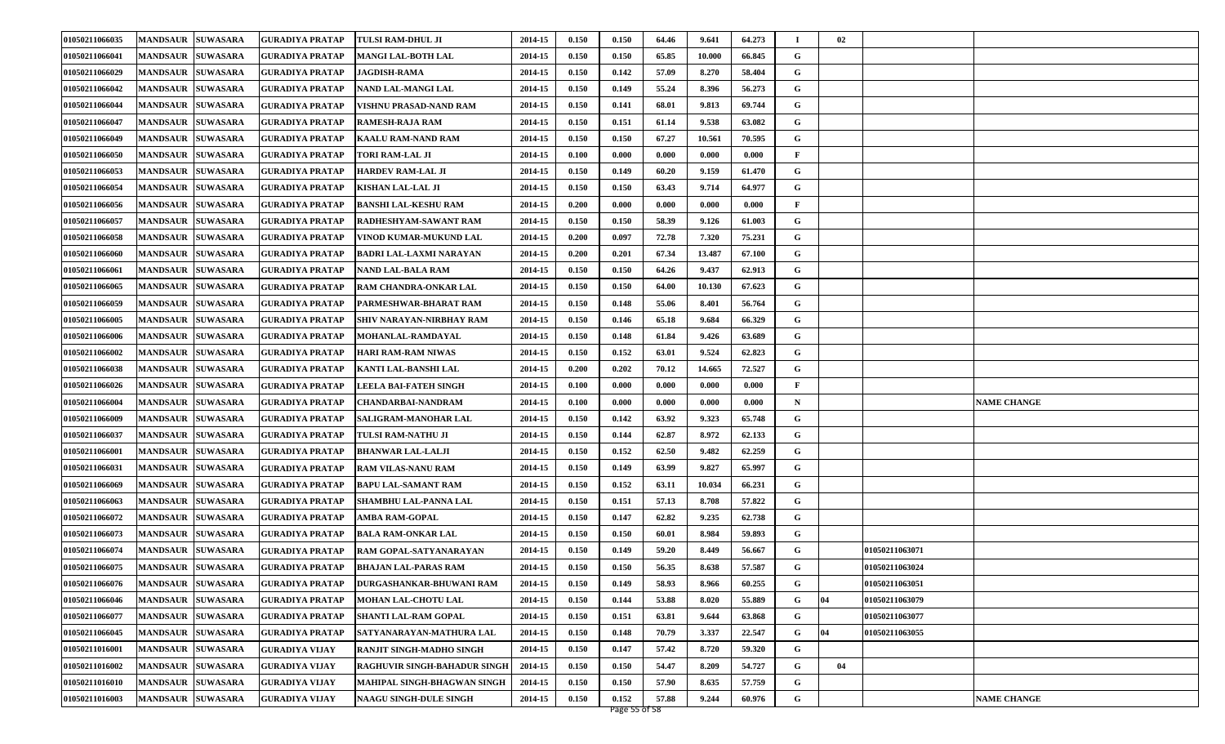| 01050211066035 | <b>MANDSAUR SUWASARA</b>           | <b>GURADIYA PRATAP</b> | <b>TULSI RAM-DHUL JI</b>        | 2014-15 | 0.150 | 0.150 | 64.46 | 9.641  | 64.273 |   | 02           |                |                    |
|----------------|------------------------------------|------------------------|---------------------------------|---------|-------|-------|-------|--------|--------|---|--------------|----------------|--------------------|
| 01050211066041 | <b>MANDSAUR</b><br><b>SUWASARA</b> | <b>GURADIYA PRATAP</b> | <b>MANGI LAL-BOTH LAL</b>       | 2014-15 | 0.150 | 0.150 | 65.85 | 10.000 | 66.845 | G |              |                |                    |
| 01050211066029 | <b>MANDSAUR SUWASARA</b>           | <b>GURADIYA PRATAP</b> | <b>JAGDISH-RAMA</b>             | 2014-15 | 0.150 | 0.142 | 57.09 | 8.270  | 58.404 | G |              |                |                    |
| 01050211066042 | <b>MANDSAUR SUWASARA</b>           | <b>GURADIYA PRATAP</b> | NAND LAL-MANGI LAL              | 2014-15 | 0.150 | 0.149 | 55.24 | 8.396  | 56.273 | G |              |                |                    |
| 01050211066044 | <b>MANDSAUR  SUWASARA</b>          | <b>GURADIYA PRATAP</b> | VISHNU PRASAD-NAND RAM          | 2014-15 | 0.150 | 0.141 | 68.01 | 9.813  | 69.744 | G |              |                |                    |
| 01050211066047 | <b>SUWASARA</b><br><b>MANDSAUR</b> | <b>GURADIYA PRATAP</b> | RAMESH-RAJA RAM                 | 2014-15 | 0.150 | 0.151 | 61.14 | 9.538  | 63.082 | G |              |                |                    |
| 01050211066049 | <b>MANDSAUR SUWASARA</b>           | <b>GURADIYA PRATAP</b> | <b>KAALU RAM-NAND RAM</b>       | 2014-15 | 0.150 | 0.150 | 67.27 | 10.561 | 70.595 | G |              |                |                    |
| 01050211066050 | <b>MANDSAUR SUWASARA</b>           | <b>GURADIYA PRATAP</b> | TORI RAM-LAL JI                 | 2014-15 | 0.100 | 0.000 | 0.000 | 0.000  | 0.000  | F |              |                |                    |
| 01050211066053 | <b>MANDSAUR SUWASARA</b>           | <b>GURADIYA PRATAP</b> | <b>HARDEV RAM-LAL JI</b>        | 2014-15 | 0.150 | 0.149 | 60.20 | 9.159  | 61.470 | G |              |                |                    |
| 01050211066054 | <b>MANDSAUR SUWASARA</b>           | <b>GURADIYA PRATAP</b> | KISHAN LAL-LAL JI               | 2014-15 | 0.150 | 0.150 | 63.43 | 9.714  | 64.977 | G |              |                |                    |
| 01050211066056 | <b>MANDSAUR SUWASARA</b>           | <b>GURADIYA PRATAP</b> | <b>BANSHI LAL-KESHU RAM</b>     | 2014-15 | 0.200 | 0.000 | 0.000 | 0.000  | 0.000  | F |              |                |                    |
| 01050211066057 | <b>MANDSAUR SUWASARA</b>           | <b>GURADIYA PRATAP</b> | RADHESHYAM-SAWANT RAM           | 2014-15 | 0.150 | 0.150 | 58.39 | 9.126  | 61.003 | G |              |                |                    |
| 01050211066058 | <b>MANDSAUR SUWASARA</b>           | <b>GURADIYA PRATAP</b> | VINOD KUMAR-MUKUND LAL          | 2014-15 | 0.200 | 0.097 | 72.78 | 7.320  | 75.231 | G |              |                |                    |
| 01050211066060 | <b>MANDSAUR SUWASARA</b>           | <b>GURADIYA PRATAP</b> | <b>BADRI LAL-LAXMI NARAYAN</b>  | 2014-15 | 0.200 | 0.201 | 67.34 | 13.487 | 67.100 | G |              |                |                    |
| 01050211066061 | <b>MANDSAUR SUWASARA</b>           | <b>GURADIYA PRATAP</b> | <b>NAND LAL-BALA RAM</b>        | 2014-15 | 0.150 | 0.150 | 64.26 | 9.437  | 62.913 | G |              |                |                    |
| 01050211066065 | <b>MANDSAUR SUWASARA</b>           | <b>GURADIYA PRATAP</b> | <b>RAM CHANDRA-ONKAR LAL</b>    | 2014-15 | 0.150 | 0.150 | 64.00 | 10.130 | 67.623 | G |              |                |                    |
| 01050211066059 | <b>MANDSAUR</b><br><b>SUWASARA</b> | <b>GURADIYA PRATAP</b> | PARMESHWAR-BHARAT RAM           | 2014-15 | 0.150 | 0.148 | 55.06 | 8.401  | 56.764 | G |              |                |                    |
| 01050211066005 | <b>MANDSAUR SUWASARA</b>           | <b>GURADIYA PRATAP</b> | SHIV NARAYAN-NIRBHAY RAM        | 2014-15 | 0.150 | 0.146 | 65.18 | 9.684  | 66.329 | G |              |                |                    |
| 01050211066006 | <b>MANDSAUR SUWASARA</b>           | <b>GURADIYA PRATAP</b> | <b>MOHANLAL-RAMDAYAL</b>        | 2014-15 | 0.150 | 0.148 | 61.84 | 9.426  | 63.689 | G |              |                |                    |
| 01050211066002 | <b>MANDSAUR  SUWASARA</b>          | <b>GURADIYA PRATAP</b> | <b>HARI RAM-RAM NIWAS</b>       | 2014-15 | 0.150 | 0.152 | 63.01 | 9.524  | 62.823 | G |              |                |                    |
| 01050211066038 | <b>MANDSAUR</b><br><b>SUWASARA</b> | <b>GURADIYA PRATAP</b> | KANTI LAL-BANSHI LAL            | 2014-15 | 0.200 | 0.202 | 70.12 | 14.665 | 72.527 | G |              |                |                    |
| 01050211066026 | <b>MANDSAUR SUWASARA</b>           | <b>GURADIYA PRATAP</b> | LEELA BAI-FATEH SINGH           | 2014-15 | 0.100 | 0.000 | 0.000 | 0.000  | 0.000  | F |              |                |                    |
| 01050211066004 | <b>MANDSAUR SUWASARA</b>           | <b>GURADIYA PRATAP</b> | CHANDARBAI-NANDRAM              | 2014-15 | 0.100 | 0.000 | 0.000 | 0.000  | 0.000  | N |              |                | <b>NAME CHANGE</b> |
| 01050211066009 | <b>MANDSAUR SUWASARA</b>           | <b>GURADIYA PRATAP</b> | <b>SALIGRAM-MANOHAR LAL</b>     | 2014-15 | 0.150 | 0.142 | 63.92 | 9.323  | 65.748 | G |              |                |                    |
| 01050211066037 | <b>SUWASARA</b><br><b>MANDSAUR</b> | <b>GURADIYA PRATAP</b> | TULSI RAM-NATHU JI              | 2014-15 | 0.150 | 0.144 | 62.87 | 8.972  | 62.133 | G |              |                |                    |
| 01050211066001 | <b>MANDSAUR</b><br><b>SUWASARA</b> | <b>GURADIYA PRATAP</b> | <b>BHANWAR LAL-LALJI</b>        | 2014-15 | 0.150 | 0.152 | 62.50 | 9.482  | 62.259 | G |              |                |                    |
| 01050211066031 | <b>MANDSAUR SUWASARA</b>           | <b>GURADIYA PRATAP</b> | <b>RAM VILAS-NANU RAM</b>       | 2014-15 | 0.150 | 0.149 | 63.99 | 9.827  | 65.997 | G |              |                |                    |
| 01050211066069 | <b>MANDSAUR SUWASARA</b>           | <b>GURADIYA PRATAP</b> | <b>BAPU LAL-SAMANT RAM</b>      | 2014-15 | 0.150 | 0.152 | 63.11 | 10.034 | 66.231 | G |              |                |                    |
| 01050211066063 | <b>SUWASARA</b><br><b>MANDSAUR</b> | <b>GURADIYA PRATAP</b> | <b>SHAMBHU LAL-PANNA LAL</b>    | 2014-15 | 0.150 | 0.151 | 57.13 | 8.708  | 57.822 | G |              |                |                    |
| 01050211066072 | <b>MANDSAUR SUWASARA</b>           | <b>GURADIYA PRATAP</b> | <b>AMBA RAM-GOPAL</b>           | 2014-15 | 0.150 | 0.147 | 62.82 | 9.235  | 62.738 | G |              |                |                    |
| 01050211066073 | <b>MANDSAUR SUWASARA</b>           | <b>GURADIYA PRATAP</b> | <b>BALA RAM-ONKAR LAL</b>       | 2014-15 | 0.150 | 0.150 | 60.01 | 8.984  | 59.893 | G |              |                |                    |
| 01050211066074 | <b>MANDSAUR SUWASARA</b>           | <b>GURADIYA PRATAP</b> | RAM GOPAL-SATYANARAYAN          | 2014-15 | 0.150 | 0.149 | 59.20 | 8.449  | 56.667 | G |              | 01050211063071 |                    |
| 01050211066075 | <b>MANDSAUR SUWASARA</b>           | <b>GURADIYA PRATAP</b> | <b>BHAJAN LAL-PARAS RAM</b>     | 2014-15 | 0.150 | 0.150 | 56.35 | 8.638  | 57.587 | G |              | 01050211063024 |                    |
| 01050211066076 | MANDSAUR SUWASARA                  | <b>GURADIYA PRATAP</b> | <b>DURGASHANKAR-BHUWANI RAM</b> | 2014-15 | 0.150 | 0.149 | 58.93 | 8.966  | 60.255 | G |              | 01050211063051 |                    |
| 01050211066046 | MANDSAUR SUWASARA                  | <b>GURADIYA PRATAP</b> | MOHAN LAL-CHOTU LAL             | 2014-15 | 0.150 | 0.144 | 53.88 | 8.020  | 55.889 | G | $ 04\rangle$ | 01050211063079 |                    |
| 01050211066077 | <b>MANDSAUR SUWASARA</b>           | <b>GURADIYA PRATAP</b> | <b>SHANTI LAL-RAM GOPAL</b>     | 2014-15 | 0.150 | 0.151 | 63.81 | 9.644  | 63.868 | G |              | 01050211063077 |                    |
| 01050211066045 | MANDSAUR SUWASARA                  | <b>GURADIYA PRATAP</b> | SATYANARAYAN-MATHURA LAL        | 2014-15 | 0.150 | 0.148 | 70.79 | 3.337  | 22.547 | G | 04           | 01050211063055 |                    |
| 01050211016001 | MANDSAUR SUWASARA                  | <b>GURADIYA VIJAY</b>  | RANJIT SINGH-MADHO SINGH        | 2014-15 | 0.150 | 0.147 | 57.42 | 8.720  | 59.320 | G |              |                |                    |
| 01050211016002 | MANDSAUR SUWASARA                  | <b>GURADIYA VIJAY</b>  | RAGHUVIR SINGH-BAHADUR SINGH    | 2014-15 | 0.150 | 0.150 | 54.47 | 8.209  | 54.727 | G | 04           |                |                    |
| 01050211016010 | MANDSAUR SUWASARA                  | <b>GURADIYA VIJAY</b>  | MAHIPAL SINGH-BHAGWAN SINGH     | 2014-15 | 0.150 | 0.150 | 57.90 | 8.635  | 57.759 | G |              |                |                    |
| 01050211016003 | MANDSAUR SUWASARA                  | <b>GURADIYA VIJAY</b>  | <b>NAAGU SINGH-DULE SINGH</b>   | 2014-15 | 0.150 | 0.152 | 57.88 | 9.244  | 60.976 | G |              |                | <b>NAME CHANGE</b> |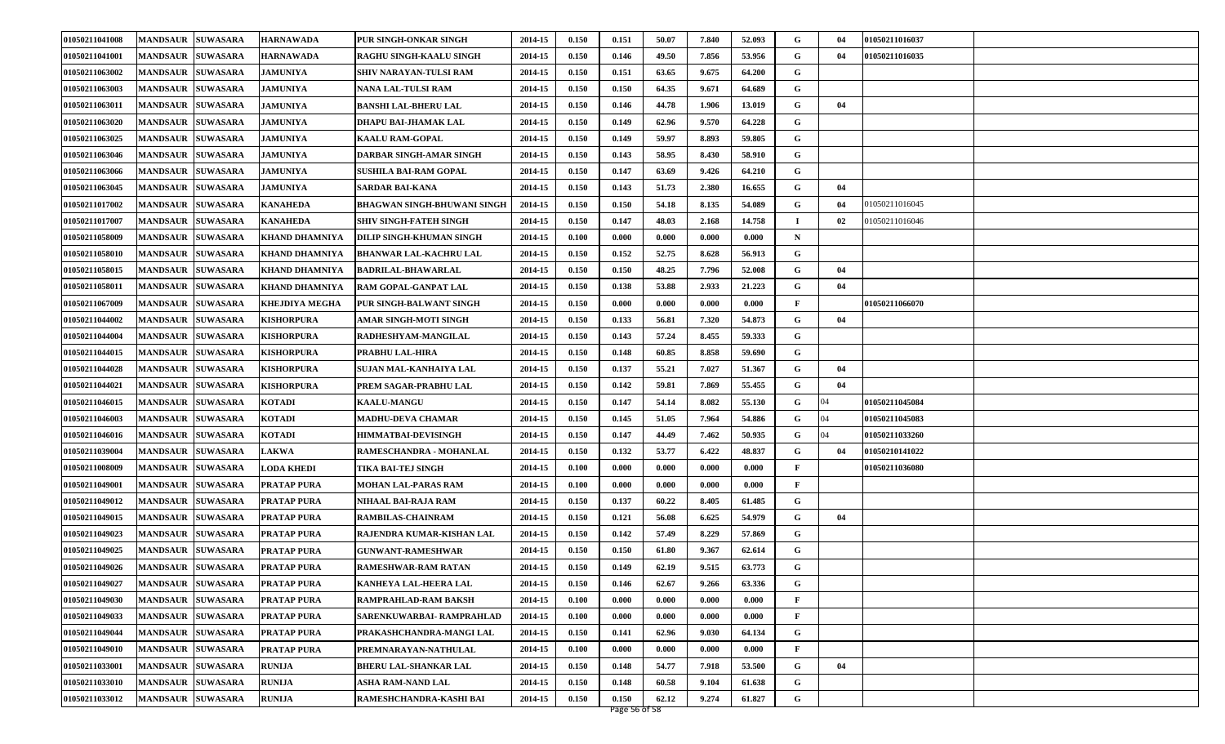| 01050211041008 | MANDSAUR SUWASARA                  | <b>HARNAWADA</b>      | PUR SINGH-ONKAR SINGH              | 2014-15 | 0.150 | 0.151 | 50.07 | 7.840 | 52.093 | G            | 04 | 01050211016037 |  |
|----------------|------------------------------------|-----------------------|------------------------------------|---------|-------|-------|-------|-------|--------|--------------|----|----------------|--|
| 01050211041001 | <b>MANDSAUR</b><br><b>SUWASARA</b> | <b>HARNAWADA</b>      | <b>RAGHU SINGH-KAALU SINGH</b>     | 2014-15 | 0.150 | 0.146 | 49.50 | 7.856 | 53.956 | G            | 04 | 01050211016035 |  |
| 01050211063002 | <b>MANDSAUR SUWASARA</b>           | <b>JAMUNIYA</b>       | <b>SHIV NARAYAN-TULSI RAM</b>      | 2014-15 | 0.150 | 0.151 | 63.65 | 9.675 | 64.200 | G            |    |                |  |
| 01050211063003 | <b>MANDSAUR SUWASARA</b>           | <b>JAMUNIYA</b>       | NANA LAL-TULSI RAM                 | 2014-15 | 0.150 | 0.150 | 64.35 | 9.671 | 64.689 | G            |    |                |  |
| 01050211063011 | <b>MANDSAUR SUWASARA</b>           | <b>JAMUNIYA</b>       | BANSHI LAL-BHERU LAL               | 2014-15 | 0.150 | 0.146 | 44.78 | 1.906 | 13.019 | G            | 04 |                |  |
| 01050211063020 | <b>MANDSAUR</b><br><b>SUWASARA</b> | <b>JAMUNIYA</b>       | DHAPU BAI-JHAMAK LAL               | 2014-15 | 0.150 | 0.149 | 62.96 | 9.570 | 64.228 | G            |    |                |  |
| 01050211063025 | <b>MANDSAUR SUWASARA</b>           | <b>JAMUNIYA</b>       | <b>KAALU RAM-GOPAL</b>             | 2014-15 | 0.150 | 0.149 | 59.97 | 8.893 | 59.805 | G            |    |                |  |
| 01050211063046 | <b>MANDSAUR SUWASARA</b>           | <b>JAMUNIYA</b>       | DARBAR SINGH-AMAR SINGH            | 2014-15 | 0.150 | 0.143 | 58.95 | 8.430 | 58.910 | G            |    |                |  |
| 01050211063066 | <b>SUWASARA</b><br><b>MANDSAUR</b> | <b>JAMUNIYA</b>       | <b>SUSHILA BAI-RAM GOPAL</b>       | 2014-15 | 0.150 | 0.147 | 63.69 | 9.426 | 64.210 | G            |    |                |  |
| 01050211063045 | <b>MANDSAUR</b><br><b>SUWASARA</b> | <b>JAMUNIYA</b>       | SARDAR BAI-KANA                    | 2014-15 | 0.150 | 0.143 | 51.73 | 2.380 | 16.655 | G            | 04 |                |  |
| 01050211017002 | <b>MANDSAUR SUWASARA</b>           | <b>KANAHEDA</b>       | <b>BHAGWAN SINGH-BHUWANI SINGH</b> | 2014-15 | 0.150 | 0.150 | 54.18 | 8.135 | 54.089 | G            | 04 | 01050211016045 |  |
| 01050211017007 | <b>MANDSAUR SUWASARA</b>           | <b>KANAHEDA</b>       | <b>SHIV SINGH-FATEH SINGH</b>      | 2014-15 | 0.150 | 0.147 | 48.03 | 2.168 | 14.758 | п            | 02 | 01050211016046 |  |
| 01050211058009 | <b>MANDSAUR SUWASARA</b>           | <b>KHAND DHAMNIYA</b> | DILIP SINGH-KHUMAN SINGH           | 2014-15 | 0.100 | 0.000 | 0.000 | 0.000 | 0.000  | $\mathbf N$  |    |                |  |
| 01050211058010 | <b>MANDSAUR SUWASARA</b>           | <b>KHAND DHAMNIYA</b> | <b>BHANWAR LAL-KACHRU LAL</b>      | 2014-15 | 0.150 | 0.152 | 52.75 | 8.628 | 56.913 | G            |    |                |  |
| 01050211058015 | <b>MANDSAUR SUWASARA</b>           | <b>KHAND DHAMNIYA</b> | <b>BADRILAL-BHAWARLAL</b>          | 2014-15 | 0.150 | 0.150 | 48.25 | 7.796 | 52.008 | G            | 04 |                |  |
| 01050211058011 | <b>MANDSAUR SUWASARA</b>           | <b>KHAND DHAMNIYA</b> | RAM GOPAL-GANPAT LAL               | 2014-15 | 0.150 | 0.138 | 53.88 | 2.933 | 21.223 | G            | 04 |                |  |
| 01050211067009 | <b>MANDSAUR SUWASARA</b>           | <b>KHEJDIYA MEGHA</b> | PUR SINGH-BALWANT SINGH            | 2014-15 | 0.150 | 0.000 | 0.000 | 0.000 | 0.000  | F            |    | 01050211066070 |  |
| 01050211044002 | <b>MANDSAUR SUWASARA</b>           | <b>KISHORPURA</b>     | AMAR SINGH-MOTI SINGH              | 2014-15 | 0.150 | 0.133 | 56.81 | 7.320 | 54.873 | G            | 04 |                |  |
| 01050211044004 | <b>MANDSAUR SUWASARA</b>           | <b>KISHORPURA</b>     | RADHESHYAM-MANGILAL                | 2014-15 | 0.150 | 0.143 | 57.24 | 8.455 | 59.333 | G            |    |                |  |
| 01050211044015 | MANDSAUR SUWASARA                  | <b>KISHORPURA</b>     | PRABHU LAL-HIRA                    | 2014-15 | 0.150 | 0.148 | 60.85 | 8.858 | 59.690 | G            |    |                |  |
| 01050211044028 | <b>MANDSAUR SUWASARA</b>           | <b>KISHORPURA</b>     | SUJAN MAL-KANHAIYA LAL             | 2014-15 | 0.150 | 0.137 | 55.21 | 7.027 | 51.367 | G            | 04 |                |  |
| 01050211044021 | <b>MANDSAUR SUWASARA</b>           | <b>KISHORPURA</b>     | PREM SAGAR-PRABHU LAL              | 2014-15 | 0.150 | 0.142 | 59.81 | 7.869 | 55.455 | G            | 04 |                |  |
| 01050211046015 | <b>MANDSAUR SUWASARA</b>           | <b>KOTADI</b>         | <b>KAALU-MANGU</b>                 | 2014-15 | 0.150 | 0.147 | 54.14 | 8.082 | 55.130 | G            | 04 | 01050211045084 |  |
| 01050211046003 | <b>MANDSAUR SUWASARA</b>           | <b>KOTADI</b>         | MADHU-DEVA CHAMAR                  | 2014-15 | 0.150 | 0.145 | 51.05 | 7.964 | 54.886 | G            | 04 | 01050211045083 |  |
| 01050211046016 | <b>MANDSAUR</b><br><b>SUWASARA</b> | <b>KOTADI</b>         | <b>HIMMATBAI-DEVISINGH</b>         | 2014-15 | 0.150 | 0.147 | 44.49 | 7.462 | 50.935 | G            | 04 | 01050211033260 |  |
| 01050211039004 | <b>MANDSAUR SUWASARA</b>           | <b>LAKWA</b>          | RAMESCHANDRA - MOHANLAL            | 2014-15 | 0.150 | 0.132 | 53.77 | 6.422 | 48.837 | G            | 04 | 01050210141022 |  |
| 01050211008009 | <b>MANDSAUR SUWASARA</b>           | <b>LODA KHEDI</b>     | TIKA BAI-TEJ SINGH                 | 2014-15 | 0.100 | 0.000 | 0.000 | 0.000 | 0.000  | F            |    | 01050211036080 |  |
| 01050211049001 | <b>MANDSAUR SUWASARA</b>           | <b>PRATAP PURA</b>    | <b>MOHAN LAL-PARAS RAM</b>         | 2014-15 | 0.100 | 0.000 | 0.000 | 0.000 | 0.000  | F            |    |                |  |
| 01050211049012 | <b>MANDSAUR</b><br><b>SUWASARA</b> | <b>PRATAP PURA</b>    | NIHAAL BAI-RAJA RAM                | 2014-15 | 0.150 | 0.137 | 60.22 | 8.405 | 61.485 | G            |    |                |  |
| 01050211049015 | <b>MANDSAUR SUWASARA</b>           | <b>PRATAP PURA</b>    | <b>RAMBILAS-CHAINRAM</b>           | 2014-15 | 0.150 | 0.121 | 56.08 | 6.625 | 54.979 | G            | 04 |                |  |
| 01050211049023 | <b>MANDSAUR SUWASARA</b>           | <b>PRATAP PURA</b>    | RAJENDRA KUMAR-KISHAN LAL          | 2014-15 | 0.150 | 0.142 | 57.49 | 8.229 | 57.869 | G            |    |                |  |
| 01050211049025 | <b>MANDSAUR</b><br><b>SUWASARA</b> | <b>PRATAP PURA</b>    | <b>GUNWANT-RAMESHWAR</b>           | 2014-15 | 0.150 | 0.150 | 61.80 | 9.367 | 62.614 | G            |    |                |  |
| 01050211049026 | <b>MANDSAUR SUWASARA</b>           | <b>PRATAP PURA</b>    | RAMESHWAR-RAM RATAN                | 2014-15 | 0.150 | 0.149 | 62.19 | 9.515 | 63.773 | G            |    |                |  |
| 01050211049027 | MANDSAUR SUWASARA                  | <b>PRATAP PURA</b>    | <b>KANHEYA LAL-HEERA LAL</b>       | 2014-15 | 0.150 | 0.146 | 62.67 | 9.266 | 63.336 | G            |    |                |  |
| 01050211049030 | MANDSAUR SUWASARA                  | <b>PRATAP PURA</b>    | RAMPRAHLAD-RAM BAKSH               | 2014-15 | 0.100 | 0.000 | 0.000 | 0.000 | 0.000  | $\mathbf{F}$ |    |                |  |
| 01050211049033 | MANDSAUR SUWASARA                  | <b>PRATAP PURA</b>    | SARENKUWARBAI- RAMPRAHLAD          | 2014-15 | 0.100 | 0.000 | 0.000 | 0.000 | 0.000  | F            |    |                |  |
| 01050211049044 | MANDSAUR SUWASARA                  | <b>PRATAP PURA</b>    | PRAKASHCHANDRA-MANGI LAL           | 2014-15 | 0.150 | 0.141 | 62.96 | 9.030 | 64.134 | G            |    |                |  |
| 01050211049010 | MANDSAUR SUWASARA                  | <b>PRATAP PURA</b>    | PREMNARAYAN-NATHULAL               | 2014-15 | 0.100 | 0.000 | 0.000 | 0.000 | 0.000  | F            |    |                |  |
| 01050211033001 | MANDSAUR SUWASARA                  | <b>RUNIJA</b>         | <b>BHERU LAL-SHANKAR LAL</b>       | 2014-15 | 0.150 | 0.148 | 54.77 | 7.918 | 53.500 | G            | 04 |                |  |
| 01050211033010 | <b>MANDSAUR SUWASARA</b>           | <b>RUNIJA</b>         | ASHA RAM-NAND LAL                  | 2014-15 | 0.150 | 0.148 | 60.58 | 9.104 | 61.638 | G            |    |                |  |
| 01050211033012 | MANDSAUR SUWASARA                  | <b>RUNIJA</b>         | RAMESHCHANDRA-KASHI BAI            | 2014-15 | 0.150 | 0.150 | 62.12 | 9.274 | 61.827 | G            |    |                |  |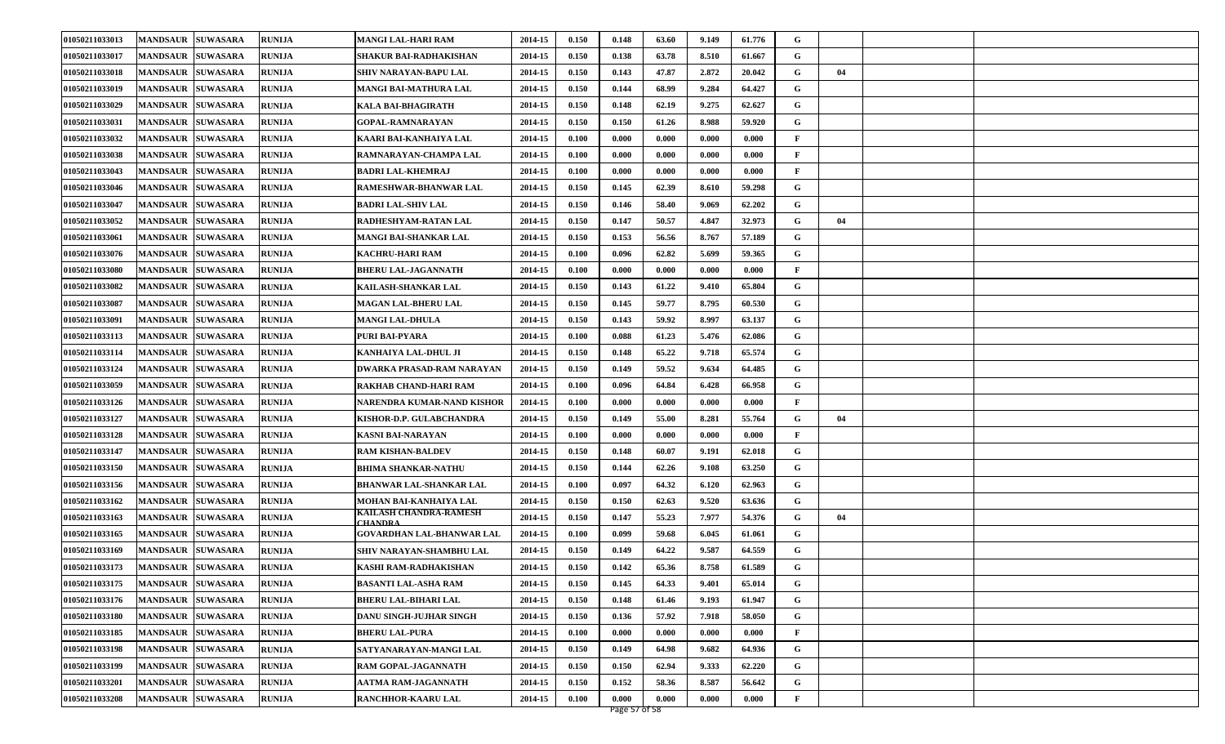| 01050211033013 | <b>MANDSAUR  SUWASARA</b>          | <b>RUNIJA</b> | <b>MANGI LAL-HARI RAM</b>                | 2014-15 | 0.150 | 0.148 | 63.60 | 9.149 | 61.776 | G            |    |  |
|----------------|------------------------------------|---------------|------------------------------------------|---------|-------|-------|-------|-------|--------|--------------|----|--|
| 01050211033017 | <b>MANDSAUR</b><br><b>SUWASARA</b> | <b>RUNIJA</b> | SHAKUR BAI-RADHAKISHAN                   | 2014-15 | 0.150 | 0.138 | 63.78 | 8.510 | 61.667 | G            |    |  |
| 01050211033018 | <b>MANDSAUR</b><br><b>SUWASARA</b> | <b>RUNIJA</b> | SHIV NARAYAN-BAPU LAL                    | 2014-15 | 0.150 | 0.143 | 47.87 | 2.872 | 20.042 | G            | 04 |  |
| 01050211033019 | <b>MANDSAUR</b><br><b>SUWASARA</b> | <b>RUNIJA</b> | MANGI BAI-MATHURA LAL                    | 2014-15 | 0.150 | 0.144 | 68.99 | 9.284 | 64.427 | G            |    |  |
| 01050211033029 | <b>SUWASARA</b><br><b>MANDSAUR</b> | <b>RUNIJA</b> | KALA BAI-BHAGIRATH                       | 2014-15 | 0.150 | 0.148 | 62.19 | 9.275 | 62.627 | G            |    |  |
| 01050211033031 | <b>MANDSAUR</b><br><b>SUWASARA</b> | <b>RUNIJA</b> | <b>GOPAL-RAMNARAYAN</b>                  | 2014-15 | 0.150 | 0.150 | 61.26 | 8.988 | 59.920 | G            |    |  |
| 01050211033032 | <b>MANDSAUR</b><br><b>SUWASARA</b> | <b>RUNIJA</b> | KAARI BAI-KANHAIYA LAL                   | 2014-15 | 0.100 | 0.000 | 0.000 | 0.000 | 0.000  | $\mathbf{F}$ |    |  |
| 01050211033038 | <b>SUWASARA</b><br><b>MANDSAUR</b> | <b>RUNIJA</b> | RAMNARAYAN-CHAMPA LAL                    | 2014-15 | 0.100 | 0.000 | 0.000 | 0.000 | 0.000  | $\mathbf{F}$ |    |  |
| 01050211033043 | <b>MANDSAUR</b><br><b>SUWASARA</b> | <b>RUNIJA</b> | BADRI LAL-KHEMRAJ                        | 2014-15 | 0.100 | 0.000 | 0.000 | 0.000 | 0.000  | $\mathbf{F}$ |    |  |
| 01050211033046 | <b>MANDSAUR</b><br><b>SUWASARA</b> | <b>RUNIJA</b> | <b>RAMESHWAR-BHANWAR LAL</b>             | 2014-15 | 0.150 | 0.145 | 62.39 | 8.610 | 59.298 | G            |    |  |
| 01050211033047 | <b>MANDSAUR</b><br><b>SUWASARA</b> | <b>RUNIJA</b> | <b>BADRI LAL-SHIV LAL</b>                | 2014-15 | 0.150 | 0.146 | 58.40 | 9.069 | 62.202 | G            |    |  |
| 01050211033052 | <b>SUWASARA</b><br><b>MANDSAUR</b> | <b>RUNIJA</b> | RADHESHYAM-RATAN LAL                     | 2014-15 | 0.150 | 0.147 | 50.57 | 4.847 | 32.973 | G            | 04 |  |
| 01050211033061 | <b>MANDSAUR</b><br><b>SUWASARA</b> | <b>RUNIJA</b> | MANGI BAI-SHANKAR LAL                    | 2014-15 | 0.150 | 0.153 | 56.56 | 8.767 | 57.189 | G            |    |  |
| 01050211033076 | <b>MANDSAUR</b><br><b>SUWASARA</b> | <b>RUNIJA</b> | KACHRU-HARI RAM                          | 2014-15 | 0.100 | 0.096 | 62.82 | 5.699 | 59.365 | G            |    |  |
| 01050211033080 | <b>MANDSAUR</b><br><b>SUWASARA</b> | <b>RUNIJA</b> | <b>BHERU LAL-JAGANNATH</b>               | 2014-15 | 0.100 | 0.000 | 0.000 | 0.000 | 0.000  | $\mathbf{F}$ |    |  |
| 01050211033082 | <b>SUWASARA</b><br><b>MANDSAUR</b> | <b>RUNIJA</b> | KAILASH-SHANKAR LAL                      | 2014-15 | 0.150 | 0.143 | 61.22 | 9.410 | 65.804 | G            |    |  |
| 01050211033087 | <b>MANDSAUR</b><br><b>SUWASARA</b> | <b>RUNIJA</b> | <b>MAGAN LAL-BHERU LAL</b>               | 2014-15 | 0.150 | 0.145 | 59.77 | 8.795 | 60.530 | G            |    |  |
| 01050211033091 | <b>MANDSAUR</b><br><b>SUWASARA</b> | <b>RUNIJA</b> | <b>MANGI LAL-DHULA</b>                   | 2014-15 | 0.150 | 0.143 | 59.92 | 8.997 | 63.137 | G            |    |  |
| 01050211033113 | <b>MANDSAUR</b><br><b>SUWASARA</b> | <b>RUNIJA</b> | PURI BAI-PYARA                           | 2014-15 | 0.100 | 0.088 | 61.23 | 5.476 | 62.086 | G            |    |  |
| 01050211033114 | <b>MANDSAUR</b><br><b>SUWASARA</b> | <b>RUNIJA</b> | KANHAIYA LAL-DHUL JI                     | 2014-15 | 0.150 | 0.148 | 65.22 | 9.718 | 65.574 | G            |    |  |
| 01050211033124 | <b>MANDSAUR</b><br><b>SUWASARA</b> | <b>RUNIJA</b> | DWARKA PRASAD-RAM NARAYAN                | 2014-15 | 0.150 | 0.149 | 59.52 | 9.634 | 64.485 | G            |    |  |
| 01050211033059 | <b>MANDSAUR</b><br><b>SUWASARA</b> | <b>RUNIJA</b> | RAKHAB CHAND-HARI RAM                    | 2014-15 | 0.100 | 0.096 | 64.84 | 6.428 | 66.958 | G            |    |  |
| 01050211033126 | <b>MANDSAUR</b><br><b>SUWASARA</b> | <b>RUNIJA</b> | NARENDRA KUMAR-NAND KISHOR               | 2014-15 | 0.100 | 0.000 | 0.000 | 0.000 | 0.000  | F            |    |  |
| 01050211033127 | <b>MANDSAUR</b><br><b>SUWASARA</b> | <b>RUNIJA</b> | KISHOR-D.P. GULABCHANDRA                 | 2014-15 | 0.150 | 0.149 | 55.00 | 8.281 | 55.764 | G            | 04 |  |
| 01050211033128 | <b>SUWASARA</b><br><b>MANDSAUR</b> | <b>RUNIJA</b> | KASNI BAI-NARAYAN                        | 2014-15 | 0.100 | 0.000 | 0.000 | 0.000 | 0.000  | $\mathbf{F}$ |    |  |
| 01050211033147 | <b>MANDSAUR</b><br><b>SUWASARA</b> | <b>RUNIJA</b> | <b>RAM KISHAN-BALDEV</b>                 | 2014-15 | 0.150 | 0.148 | 60.07 | 9.191 | 62.018 | G            |    |  |
| 01050211033150 | <b>MANDSAUR</b><br><b>SUWASARA</b> | <b>RUNIJA</b> | BHIMA SHANKAR-NATHU                      | 2014-15 | 0.150 | 0.144 | 62.26 | 9.108 | 63.250 | G            |    |  |
| 01050211033156 | <b>SUWASARA</b><br><b>MANDSAUR</b> | <b>RUNIJA</b> | BHANWAR LAL-SHANKAR LAL                  | 2014-15 | 0.100 | 0.097 | 64.32 | 6.120 | 62.963 | G            |    |  |
| 01050211033162 | <b>MANDSAUR</b><br><b>SUWASARA</b> | <b>RUNIJA</b> | MOHAN BAI-KANHAIYA LAL                   | 2014-15 | 0.150 | 0.150 | 62.63 | 9.520 | 63.636 | G            |    |  |
| 01050211033163 | <b>MANDSAUR</b><br><b>SUWASARA</b> | <b>RUNIJA</b> | KAILASH CHANDRA-RAMESH<br><b>CHANDRA</b> | 2014-15 | 0.150 | 0.147 | 55.23 | 7.977 | 54.376 | G            | 04 |  |
| 01050211033165 | <b>SUWASARA</b><br><b>MANDSAUR</b> | <b>RUNIJA</b> | GOVARDHAN LAL-BHANWAR LAL                | 2014-15 | 0.100 | 0.099 | 59.68 | 6.045 | 61.061 | G            |    |  |
| 01050211033169 | <b>MANDSAUR</b><br><b>SUWASARA</b> | <b>RUNIJA</b> | SHIV NARAYAN-SHAMBHU LAL                 | 2014-15 | 0.150 | 0.149 | 64.22 | 9.587 | 64.559 | G            |    |  |
| 01050211033173 | <b>MANDSAUR SUWASARA</b>           | <b>RUNIJA</b> | KASHI RAM-RADHAKISHAN                    | 2014-15 | 0.150 | 0.142 | 65.36 | 8.758 | 61.589 | G            |    |  |
| 01050211033175 | MANDSAUR SUWASARA                  | <b>RUNIJA</b> | <b>BASANTI LAL-ASHA RAM</b>              | 2014-15 | 0.150 | 0.145 | 64.33 | 9.401 | 65.014 | G            |    |  |
| 01050211033176 | <b>MANDSAUR SUWASARA</b>           | <b>RUNIJA</b> | <b>BHERU LAL-BIHARI LAL</b>              | 2014-15 | 0.150 | 0.148 | 61.46 | 9.193 | 61.947 | G            |    |  |
| 01050211033180 | <b>MANDSAUR</b><br><b>SUWASARA</b> | <b>RUNIJA</b> | DANU SINGH-JUJHAR SINGH                  | 2014-15 | 0.150 | 0.136 | 57.92 | 7.918 | 58.050 | G            |    |  |
| 01050211033185 | <b>SUWASARA</b><br><b>MANDSAUR</b> | <b>RUNIJA</b> | <b>BHERU LAL-PURA</b>                    | 2014-15 | 0.100 | 0.000 | 0.000 | 0.000 | 0.000  | $\mathbf{F}$ |    |  |
| 01050211033198 | <b>MANDSAUR SUWASARA</b>           | <b>RUNIJA</b> | SATYANARAYAN-MANGI LAL                   | 2014-15 | 0.150 | 0.149 | 64.98 | 9.682 | 64.936 | G            |    |  |
| 01050211033199 | <b>SUWASARA</b><br><b>MANDSAUR</b> | <b>RUNIJA</b> | RAM GOPAL-JAGANNATH                      | 2014-15 | 0.150 | 0.150 | 62.94 | 9.333 | 62.220 | G            |    |  |
| 01050211033201 | <b>MANDSAUR</b><br><b>SUWASARA</b> | <b>RUNIJA</b> | AATMA RAM-JAGANNATH                      | 2014-15 | 0.150 | 0.152 | 58.36 | 8.587 | 56.642 | G            |    |  |
| 01050211033208 | MANDSAUR SUWASARA                  | <b>RUNIJA</b> | RANCHHOR-KAARU LAL                       | 2014-15 | 0.100 | 0.000 | 0.000 | 0.000 | 0.000  | $\mathbf{F}$ |    |  |